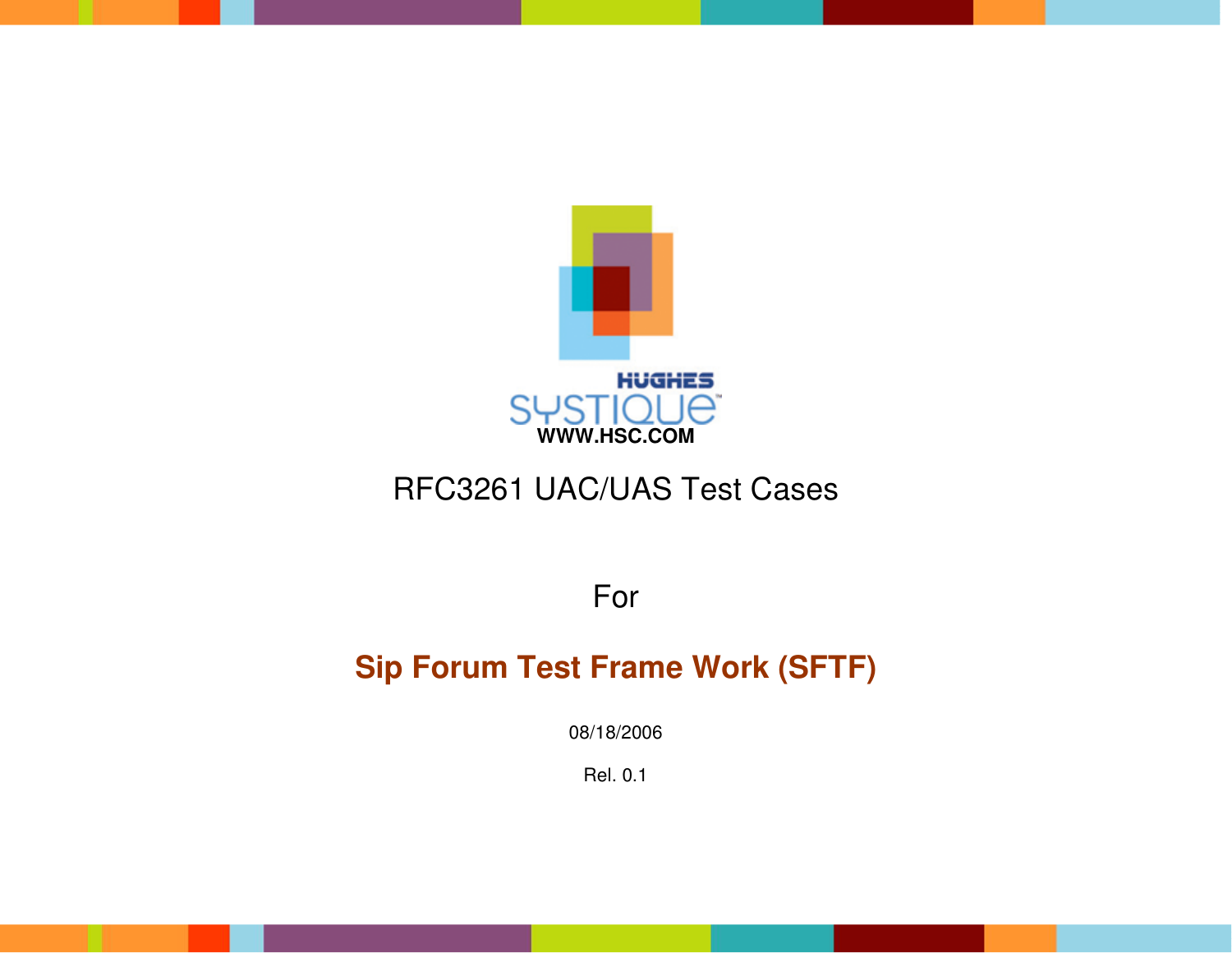

# RFC3261 UAC/UAS Test Cases

For

# **Sip Forum Test Frame Work (SFTF)**

08/18/2006

Rel. 0.1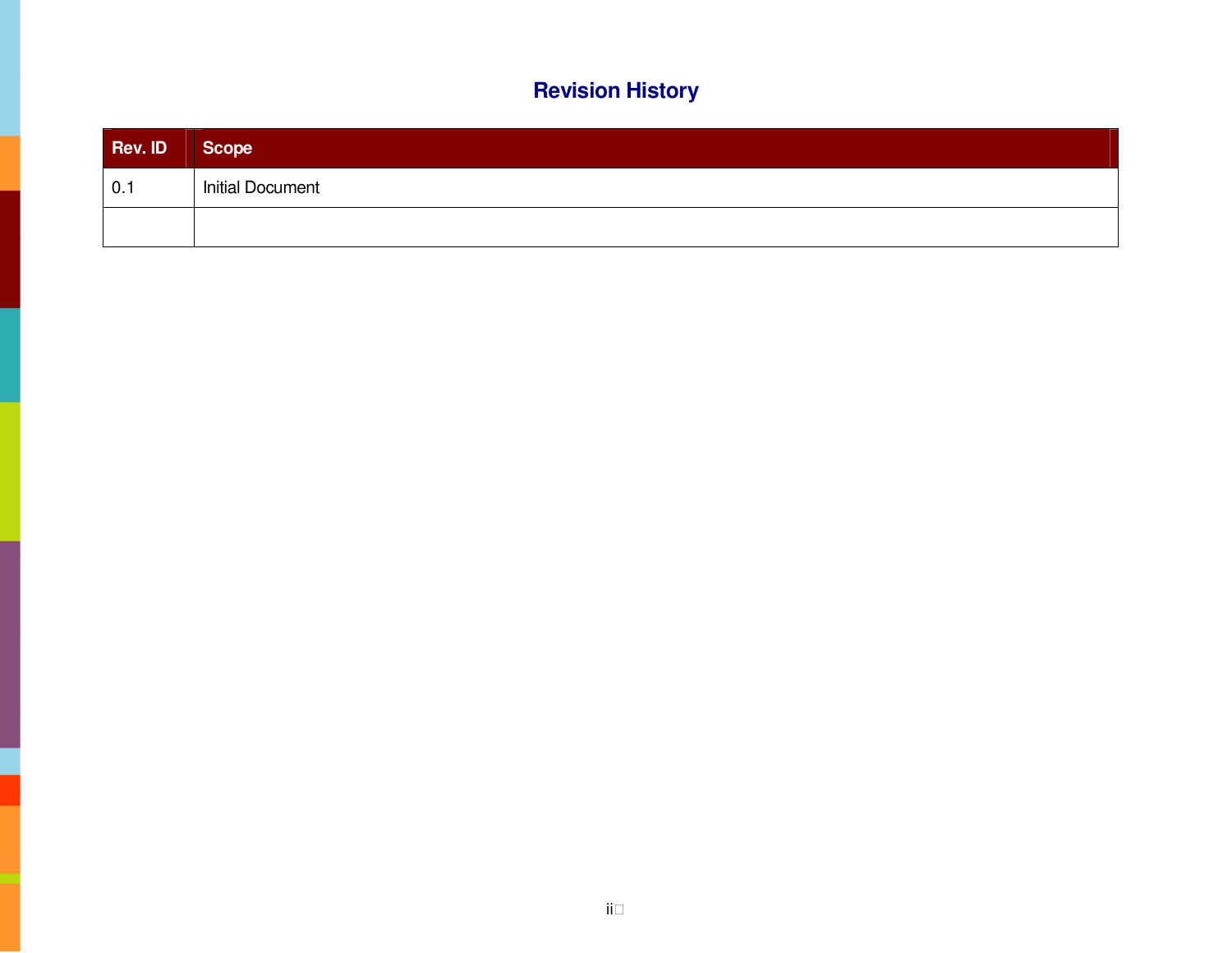## **Revision History**

| Rev. ID | Scope                   |
|---------|-------------------------|
| 0.1     | <b>Initial Document</b> |
|         |                         |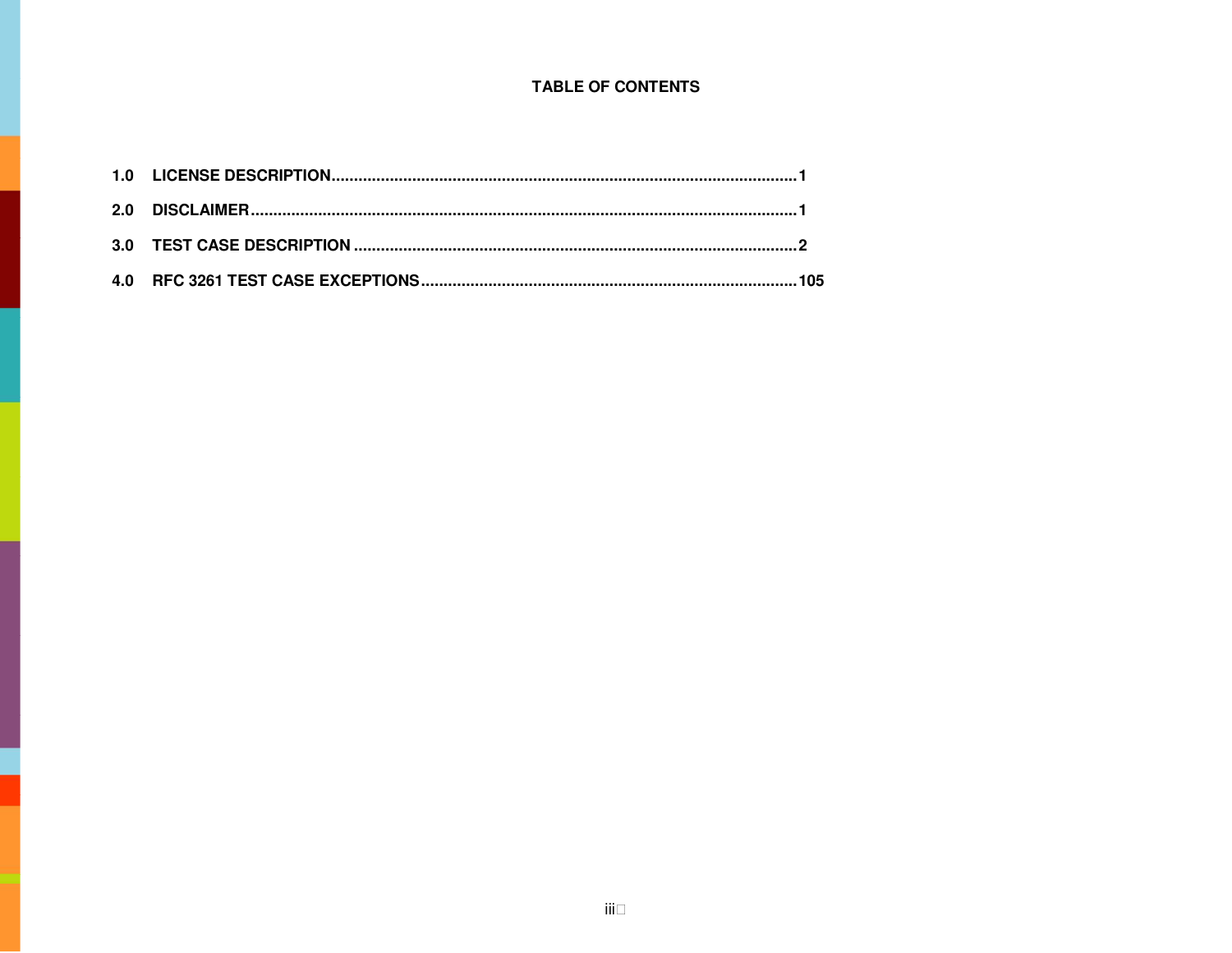#### **TABLE OF CONTENTS**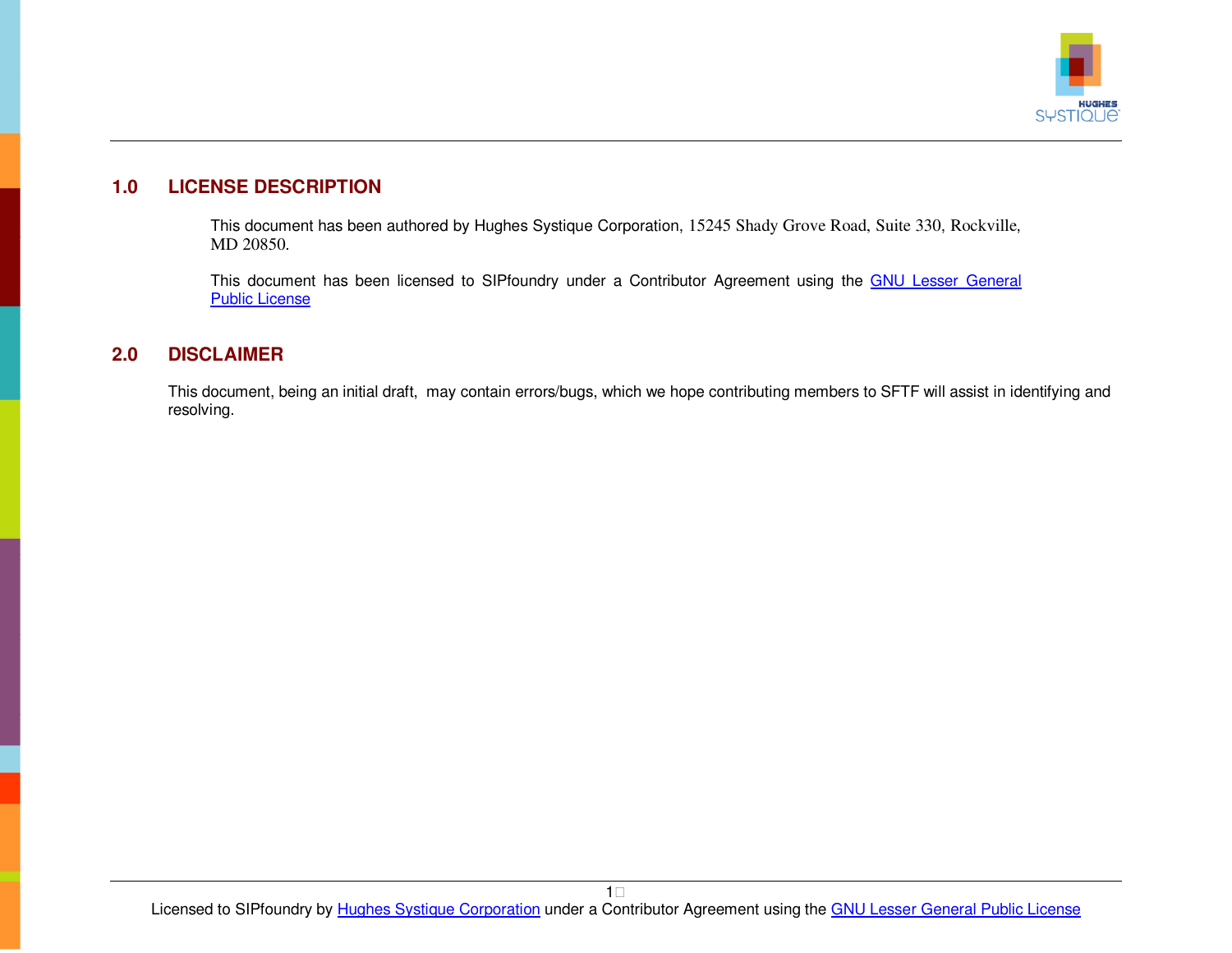

### <span id="page-3-0"></span>**1.0 LICENSE DESCRIPTION**

This document has been authored by Hughes Systique Corpo[ratio](http://www.opensource.org/licenses/lgpl-license.php)n, 15245 Shady Grove Road, Suite 330, Rockville, MD 20850.

This document has been licensed to SIPfoundry under a Contributor Agreement using the GNU Lesser General Public License

#### **2.0 DISCLAIMER**

This document, being an initial draft, may contain errors/bugs, which we hope contributing members to SFTF will assist in identifying and resolving.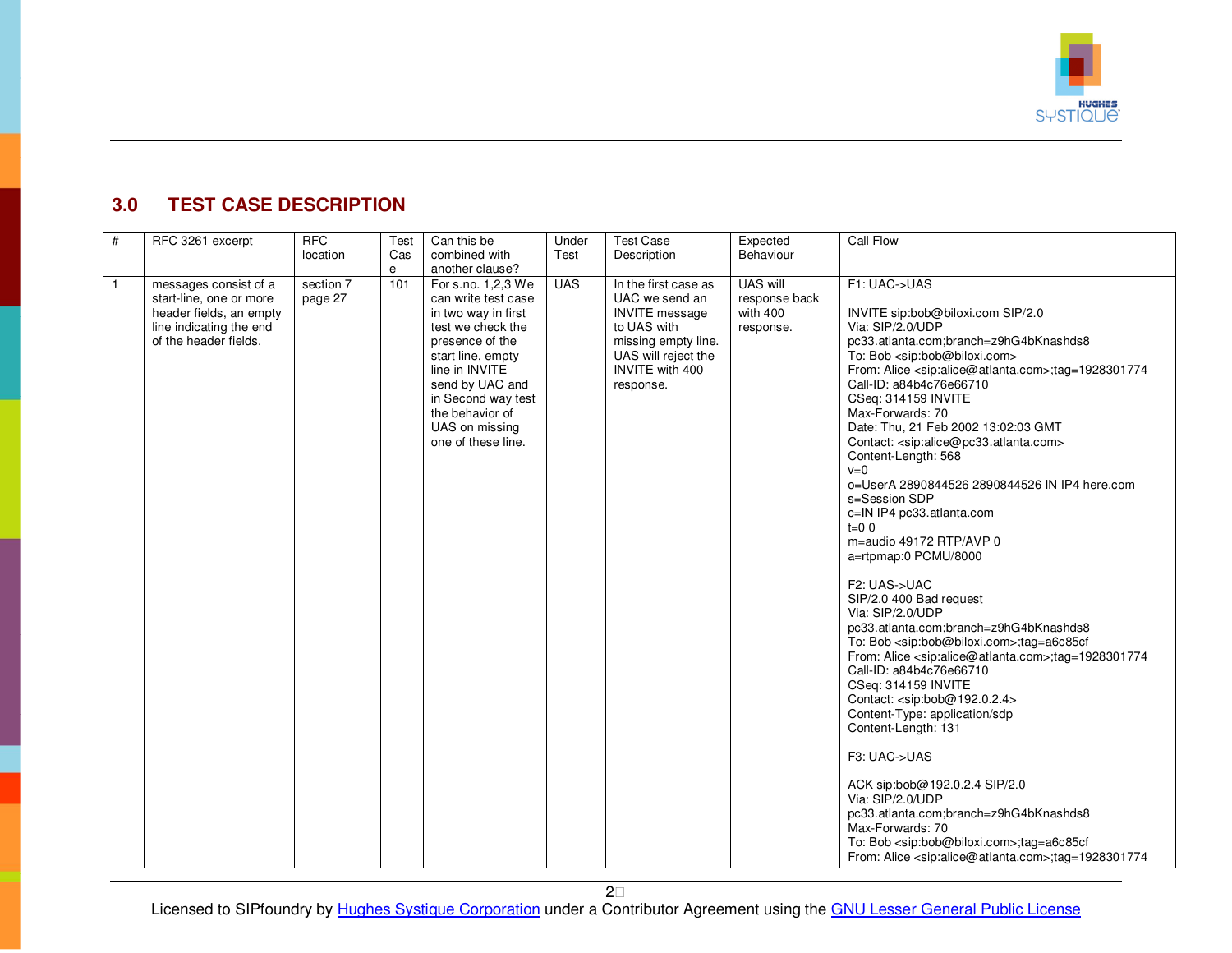

### <span id="page-4-0"></span>**3.0 TEST CASE DESCRIPTION**

| #              | RFC 3261 excerpt                                                                                                                | <b>RFC</b><br>location | Test<br>Cas<br>e | Can this be<br>combined with<br>another clause?                                                                                                                                                                                                     | Under<br>Test | <b>Test Case</b><br>Description                                                                                                                              | Expected<br>Behaviour                              | Call Flow                                                                                                                                                                                                                                                                                                                                                                                                                                                                                                                                                                                                                                                                                                                                                                                                                                                                                                                                                                                                                                                                                                                                                                                                                                                                                                                                                                                              |
|----------------|---------------------------------------------------------------------------------------------------------------------------------|------------------------|------------------|-----------------------------------------------------------------------------------------------------------------------------------------------------------------------------------------------------------------------------------------------------|---------------|--------------------------------------------------------------------------------------------------------------------------------------------------------------|----------------------------------------------------|--------------------------------------------------------------------------------------------------------------------------------------------------------------------------------------------------------------------------------------------------------------------------------------------------------------------------------------------------------------------------------------------------------------------------------------------------------------------------------------------------------------------------------------------------------------------------------------------------------------------------------------------------------------------------------------------------------------------------------------------------------------------------------------------------------------------------------------------------------------------------------------------------------------------------------------------------------------------------------------------------------------------------------------------------------------------------------------------------------------------------------------------------------------------------------------------------------------------------------------------------------------------------------------------------------------------------------------------------------------------------------------------------------|
| $\overline{1}$ | messages consist of a<br>start-line, one or more<br>header fields, an empty<br>line indicating the end<br>of the header fields. | section 7<br>page 27   | 101              | For s.no. 1,2,3 We<br>can write test case<br>in two way in first<br>test we check the<br>presence of the<br>start line, empty<br>line in INVITE<br>send by UAC and<br>in Second way test<br>the behavior of<br>UAS on missing<br>one of these line. | <b>UAS</b>    | In the first case as<br>UAC we send an<br><b>INVITE</b> message<br>to UAS with<br>missing empty line.<br>UAS will reject the<br>INVITE with 400<br>response. | UAS will<br>response back<br>with 400<br>response. | F1: UAC->UAS<br>INVITE sip:bob@biloxi.com SIP/2.0<br>Via: SIP/2.0/UDP<br>pc33.atlanta.com;branch=z9hG4bKnashds8<br>To: Bob <sip:bob@biloxi.com><br/>From: Alice <sip:alice@atlanta.com>;tag=1928301774<br/>Call-ID: a84b4c76e66710<br/>CSeq: 314159 INVITE<br/>Max-Forwards: 70<br/>Date: Thu, 21 Feb 2002 13:02:03 GMT<br/>Contact: <sip:alice@pc33.atlanta.com><br/>Content-Length: 568<br/><math>v=0</math><br/>o=UserA 2890844526 2890844526 IN IP4 here.com<br/>s=Session SDP<br/>c=IN IP4 pc33.atlanta.com<br/><math>t=0</math> 0<br/>m=audio 49172 RTP/AVP 0<br/>a=rtpmap:0 PCMU/8000<br/>F2: UAS-&gt;UAC<br/>SIP/2.0 400 Bad request<br/>Via: SIP/2.0/UDP<br/>pc33.atlanta.com;branch=z9hG4bKnashds8<br/>To: Bob <sip:bob@biloxi.com>;tag=a6c85cf<br/>From: Alice <sip:alice@atlanta.com>;tag=1928301774<br/>Call-ID: a84b4c76e66710<br/>CSeq: 314159 INVITE<br/>Contact: <sip:bob@192.0.2.4><br/>Content-Type: application/sdp<br/>Content-Length: 131<br/>F3: UAC-&gt;UAS<br/>ACK sip:bob@192.0.2.4 SIP/2.0<br/>Via: SIP/2.0/UDP<br/>pc33.atlanta.com;branch=z9hG4bKnashds8<br/>Max-Forwards: 70<br/>To: Bob <sip:bob@biloxi.com>;taq=a6c85cf<br/>From: Alice <sip:alice@atlanta.com>;tag=1928301774</sip:alice@atlanta.com></sip:bob@biloxi.com></sip:bob@192.0.2.4></sip:alice@atlanta.com></sip:bob@biloxi.com></sip:alice@pc33.atlanta.com></sip:alice@atlanta.com></sip:bob@biloxi.com> |

2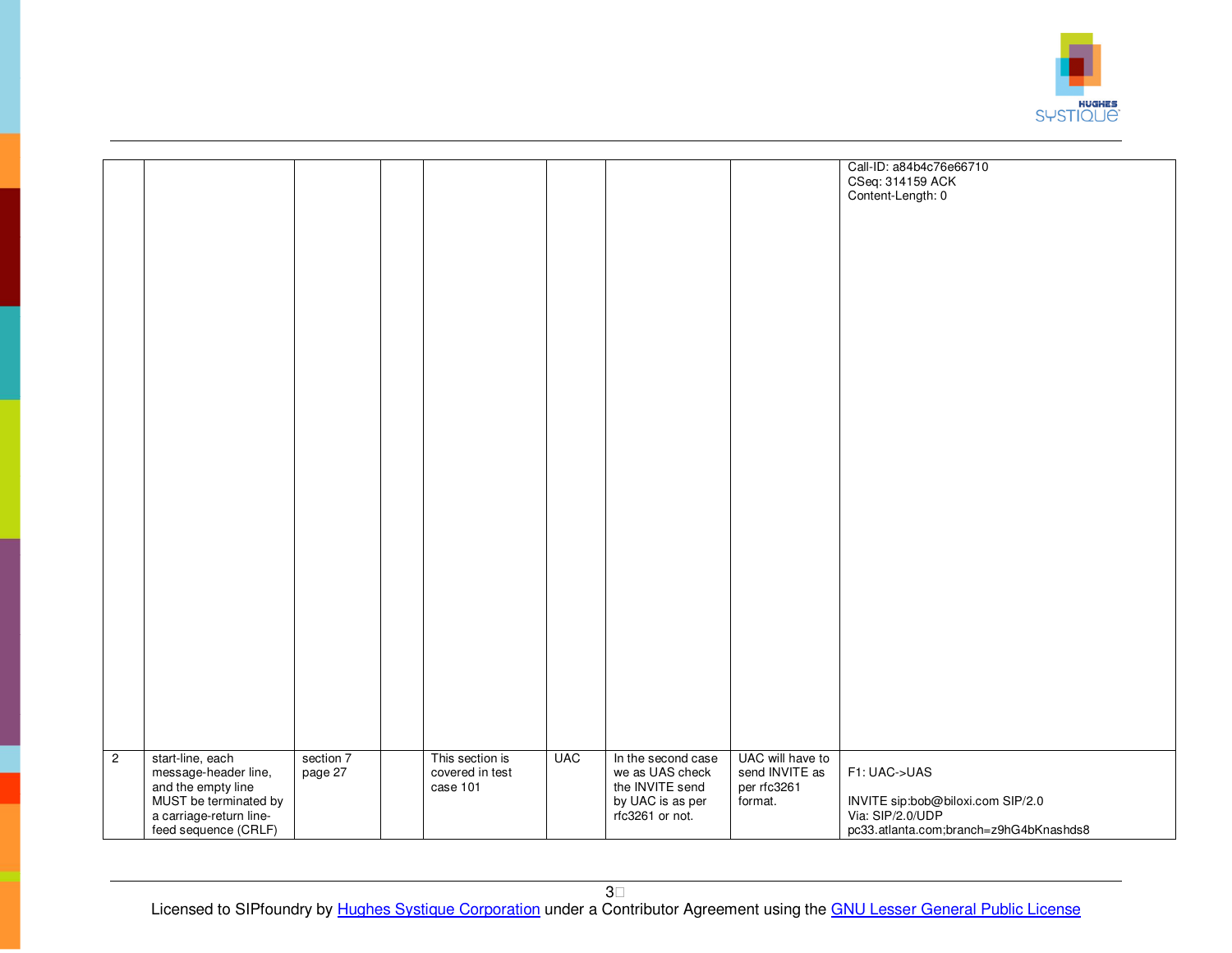

|                |                                             |           |                 |            |                    |                  | Call-ID: a84b4c76e66710                               |
|----------------|---------------------------------------------|-----------|-----------------|------------|--------------------|------------------|-------------------------------------------------------|
|                |                                             |           |                 |            |                    |                  | CSeq: 314159 ACK                                      |
|                |                                             |           |                 |            |                    |                  | Content-Length: 0                                     |
|                |                                             |           |                 |            |                    |                  |                                                       |
|                |                                             |           |                 |            |                    |                  |                                                       |
|                |                                             |           |                 |            |                    |                  |                                                       |
|                |                                             |           |                 |            |                    |                  |                                                       |
|                |                                             |           |                 |            |                    |                  |                                                       |
|                |                                             |           |                 |            |                    |                  |                                                       |
|                |                                             |           |                 |            |                    |                  |                                                       |
|                |                                             |           |                 |            |                    |                  |                                                       |
|                |                                             |           |                 |            |                    |                  |                                                       |
|                |                                             |           |                 |            |                    |                  |                                                       |
|                |                                             |           |                 |            |                    |                  |                                                       |
|                |                                             |           |                 |            |                    |                  |                                                       |
|                |                                             |           |                 |            |                    |                  |                                                       |
|                |                                             |           |                 |            |                    |                  |                                                       |
|                |                                             |           |                 |            |                    |                  |                                                       |
|                |                                             |           |                 |            |                    |                  |                                                       |
|                |                                             |           |                 |            |                    |                  |                                                       |
|                |                                             |           |                 |            |                    |                  |                                                       |
|                |                                             |           |                 |            |                    |                  |                                                       |
|                |                                             |           |                 |            |                    |                  |                                                       |
|                |                                             |           |                 |            |                    |                  |                                                       |
|                |                                             |           |                 |            |                    |                  |                                                       |
|                |                                             |           |                 |            |                    |                  |                                                       |
|                |                                             |           |                 |            |                    |                  |                                                       |
|                |                                             |           |                 |            |                    |                  |                                                       |
|                |                                             |           |                 |            |                    |                  |                                                       |
|                |                                             |           |                 |            |                    |                  |                                                       |
|                |                                             |           |                 |            |                    |                  |                                                       |
|                |                                             |           |                 |            |                    |                  |                                                       |
|                |                                             |           |                 |            |                    |                  |                                                       |
|                |                                             |           |                 |            |                    |                  |                                                       |
|                |                                             |           |                 |            |                    |                  |                                                       |
|                |                                             |           |                 |            |                    |                  |                                                       |
|                |                                             |           |                 |            |                    |                  |                                                       |
| $\overline{2}$ | start-line, each                            | section 7 | This section is | <b>UAC</b> | In the second case | UAC will have to |                                                       |
|                | message-header line,                        | page 27   | covered in test |            | we as UAS check    | send INVITE as   | F1: UAC->UAS                                          |
|                | and the empty line<br>MUST be terminated by |           | case 101        |            | the INVITE send    | per rfc3261      |                                                       |
|                |                                             |           |                 |            | by UAC is as per   | format.          | INVITE sip:bob@biloxi.com SIP/2.0<br>Via: SIP/2.0/UDP |
|                | a carriage-return line-                     |           |                 |            | rfc3261 or not.    |                  |                                                       |
|                | feed sequence (CRLF)                        |           |                 |            |                    |                  | pc33.atlanta.com;branch=z9hG4bKnashds8                |
|                |                                             |           |                 |            |                    |                  |                                                       |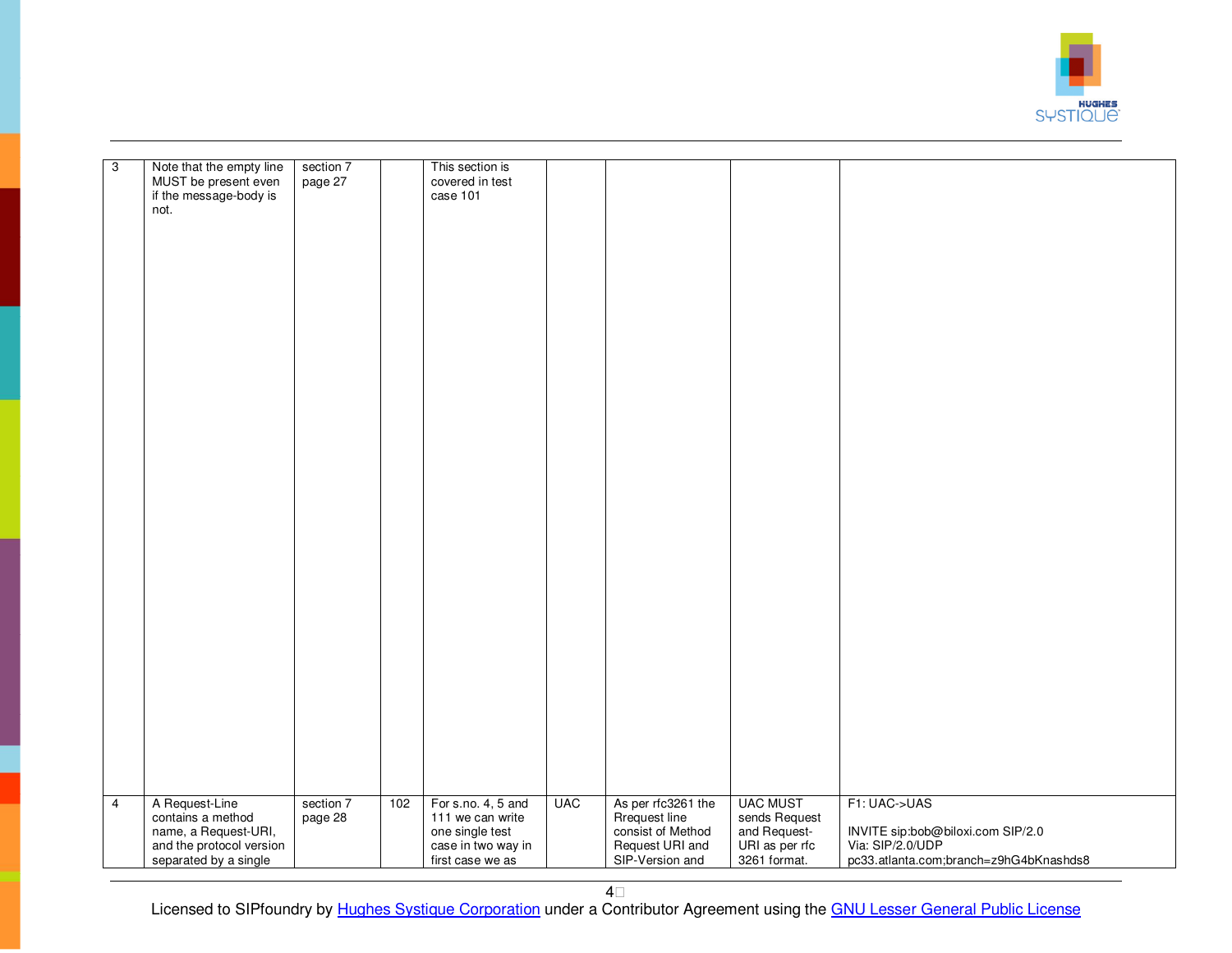

| $\overline{3}$ | Note that the empty line<br>MUST be present even<br>if the message-body is<br>not. | section 7<br>page 27 |     | This section is<br>covered in test<br>case 101            |            |                                                          |                                                  |                                                                                                 |
|----------------|------------------------------------------------------------------------------------|----------------------|-----|-----------------------------------------------------------|------------|----------------------------------------------------------|--------------------------------------------------|-------------------------------------------------------------------------------------------------|
|                |                                                                                    |                      |     |                                                           |            |                                                          |                                                  |                                                                                                 |
|                |                                                                                    |                      |     |                                                           |            |                                                          |                                                  |                                                                                                 |
|                |                                                                                    |                      |     |                                                           |            |                                                          |                                                  |                                                                                                 |
|                |                                                                                    |                      |     |                                                           |            |                                                          |                                                  |                                                                                                 |
|                |                                                                                    |                      |     |                                                           |            |                                                          |                                                  |                                                                                                 |
|                |                                                                                    |                      |     |                                                           |            |                                                          |                                                  |                                                                                                 |
|                |                                                                                    |                      |     |                                                           |            |                                                          |                                                  |                                                                                                 |
|                |                                                                                    |                      |     |                                                           |            |                                                          |                                                  |                                                                                                 |
|                |                                                                                    |                      |     |                                                           |            |                                                          |                                                  |                                                                                                 |
|                |                                                                                    |                      |     |                                                           |            |                                                          |                                                  |                                                                                                 |
|                |                                                                                    |                      |     |                                                           |            |                                                          |                                                  |                                                                                                 |
|                |                                                                                    |                      |     |                                                           |            |                                                          |                                                  |                                                                                                 |
|                |                                                                                    |                      |     |                                                           |            |                                                          |                                                  |                                                                                                 |
|                |                                                                                    |                      |     |                                                           |            |                                                          |                                                  |                                                                                                 |
|                |                                                                                    |                      |     |                                                           |            |                                                          |                                                  |                                                                                                 |
|                |                                                                                    |                      |     |                                                           |            |                                                          |                                                  |                                                                                                 |
|                |                                                                                    |                      |     |                                                           |            |                                                          |                                                  |                                                                                                 |
| $\overline{4}$ | A Request-Line<br>contains a method<br>name, a Request-URI,                        | section 7<br>page 28 | 102 | For s.no. 4, 5 and<br>111 we can write<br>one single test | <b>UAC</b> | As per rfc3261 the<br>Rrequest line<br>consist of Method | <b>UAC MUST</b><br>sends Request<br>and Request- | F1: UAC->UAS                                                                                    |
|                | and the protocol version<br>separated by a single                                  |                      |     | case in two way in<br>first case we as                    |            | Request URI and<br>SIP-Version and                       | URI as per rfc<br>3261 format.                   | INVITE sip:bob@biloxi.com SIP/2.0<br>Via: SIP/2.0/UDP<br>pc33.atlanta.com;branch=z9hG4bKnashds8 |
|                |                                                                                    |                      |     |                                                           |            |                                                          |                                                  |                                                                                                 |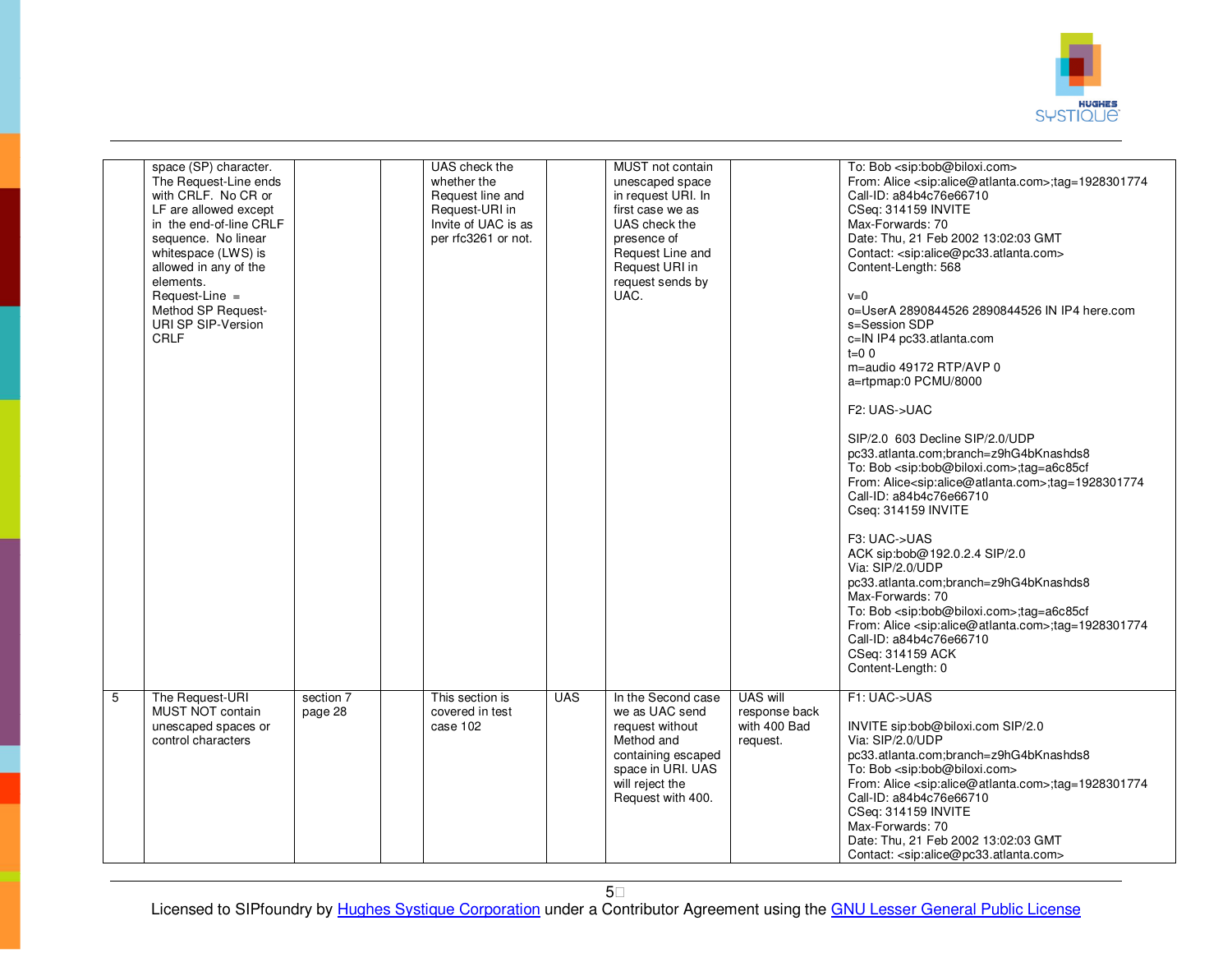

|                | space (SP) character.<br>The Request-Line ends<br>with CRLF. No CR or<br>LF are allowed except<br>in the end-of-line CRLF<br>sequence. No linear<br>whitespace (LWS) is<br>allowed in any of the<br>elements.<br>Request-Line =<br>Method SP Request-<br>URI SP SIP-Version<br><b>CRLF</b> |                      | UAS check the<br>whether the<br>Request line and<br>Request-URI in<br>Invite of UAC is as<br>per rfc3261 or not. |            | MUST not contain<br>unescaped space<br>in request URI. In<br>first case we as<br>UAS check the<br>presence of<br>Request Line and<br>Request URI in<br>request sends by<br>UAC. |                                                       | To: Bob <sip:bob@biloxi.com><br/>From: Alice <sip:alice@atlanta.com>;tag=1928301774<br/>Call-ID: a84b4c76e66710<br/>CSeq: 314159 INVITE<br/>Max-Forwards: 70<br/>Date: Thu, 21 Feb 2002 13:02:03 GMT<br/>Contact: <sip:alice@pc33.atlanta.com><br/>Content-Length: 568<br/><math>v=0</math><br/>o=UserA 2890844526 2890844526 IN IP4 here.com<br/>s=Session SDP<br/>c=IN IP4 pc33.atlanta.com<br/><math>t=0</math> 0<br/>m=audio 49172 RTP/AVP 0<br/>a=rtpmap:0 PCMU/8000<br/>F2: UAS-&gt;UAC<br/>SIP/2.0 603 Decline SIP/2.0/UDP<br/>pc33.atlanta.com;branch=z9hG4bKnashds8<br/>To: Bob <sip:bob@biloxi.com>;tag=a6c85cf<br/>From: Alice<sip:alice@atlanta.com>;tag=1928301774<br/>Call-ID: a84b4c76e66710<br/>Cseq: 314159 INVITE<br/>F3: UAC-&gt;UAS<br/>ACK sip:bob@192.0.2.4 SIP/2.0<br/>Via: SIP/2.0/UDP<br/>pc33.atlanta.com;branch=z9hG4bKnashds8<br/>Max-Forwards: 70<br/>To: Bob <sip:bob@biloxi.com>;tag=a6c85cf<br/>From: Alice <sip:alice@atlanta.com>;tag=1928301774<br/>Call-ID: a84b4c76e66710<br/>CSeq: 314159 ACK<br/>Content-Length: 0</sip:alice@atlanta.com></sip:bob@biloxi.com></sip:alice@atlanta.com></sip:bob@biloxi.com></sip:alice@pc33.atlanta.com></sip:alice@atlanta.com></sip:bob@biloxi.com> |
|----------------|--------------------------------------------------------------------------------------------------------------------------------------------------------------------------------------------------------------------------------------------------------------------------------------------|----------------------|------------------------------------------------------------------------------------------------------------------|------------|---------------------------------------------------------------------------------------------------------------------------------------------------------------------------------|-------------------------------------------------------|-------------------------------------------------------------------------------------------------------------------------------------------------------------------------------------------------------------------------------------------------------------------------------------------------------------------------------------------------------------------------------------------------------------------------------------------------------------------------------------------------------------------------------------------------------------------------------------------------------------------------------------------------------------------------------------------------------------------------------------------------------------------------------------------------------------------------------------------------------------------------------------------------------------------------------------------------------------------------------------------------------------------------------------------------------------------------------------------------------------------------------------------------------------------------------------------------------------------------------|
| $\overline{5}$ | The Request-URI<br>MUST NOT contain<br>unescaped spaces or<br>control characters                                                                                                                                                                                                           | section 7<br>page 28 | This section is<br>covered in test<br>case 102                                                                   | <b>UAS</b> | In the Second case<br>we as UAC send<br>request without<br>Method and<br>containing escaped<br>space in URI. UAS<br>will reject the<br>Request with 400.                        | UAS will<br>response back<br>with 400 Bad<br>request. | F1: UAC->UAS<br>INVITE sip:bob@biloxi.com SIP/2.0<br>Via: SIP/2.0/UDP<br>pc33.atlanta.com;branch=z9hG4bKnashds8<br>To: Bob <sip:bob@biloxi.com><br/>From: Alice <sip:alice@atlanta.com>;tag=1928301774<br/>Call-ID: a84b4c76e66710<br/>CSeq: 314159 INVITE<br/>Max-Forwards: 70<br/>Date: Thu, 21 Feb 2002 13:02:03 GMT<br/>Contact: <sip:alice@pc33.atlanta.com></sip:alice@pc33.atlanta.com></sip:alice@atlanta.com></sip:bob@biloxi.com>                                                                                                                                                                                                                                                                                                                                                                                                                                                                                                                                                                                                                                                                                                                                                                                   |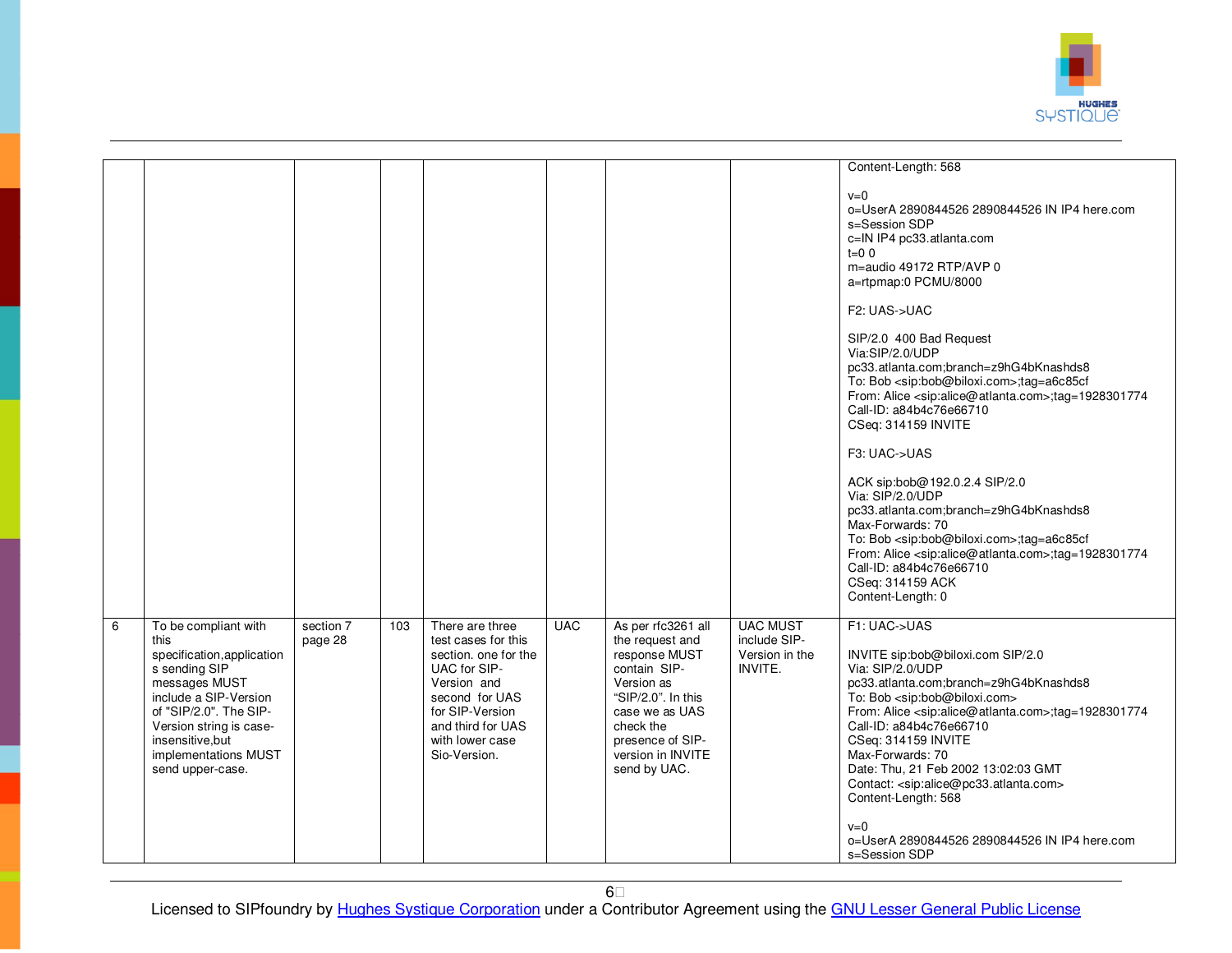

|   |                                                                                                                                                                                                                                            |                      |     |                                                                                                                                                                                            |            |                                                                                                                                                                                                    |                                                              | Content-Length: 568<br>$v=0$<br>o=UserA 2890844526 2890844526 IN IP4 here.com<br>s=Session SDP<br>c=IN IP4 pc33.atlanta.com<br>$t=0$ 0<br>m=audio 49172 RTP/AVP 0<br>a=rtpmap:0 PCMU/8000<br>F2: UAS->UAC<br>SIP/2.0 400 Bad Request<br>Via:SIP/2.0/UDP<br>pc33.atlanta.com;branch=z9hG4bKnashds8<br>To: Bob <sip:bob@biloxi.com>;tag=a6c85cf<br/>From: Alice <sip:alice@atlanta.com>;tag=1928301774<br/>Call-ID: a84b4c76e66710<br/>CSeq: 314159 INVITE<br/>F3: UAC-&gt;UAS<br/>ACK sip:bob@192.0.2.4 SIP/2.0<br/>Via: SIP/2.0/UDP<br/>pc33.atlanta.com;branch=z9hG4bKnashds8<br/>Max-Forwards: 70<br/>To: Bob <sip:bob@biloxi.com>;tag=a6c85cf<br/>From: Alice <sip:alice@atlanta.com>;tag=1928301774<br/>Call-ID: a84b4c76e66710<br/>CSeq: 314159 ACK</sip:alice@atlanta.com></sip:bob@biloxi.com></sip:alice@atlanta.com></sip:bob@biloxi.com> |
|---|--------------------------------------------------------------------------------------------------------------------------------------------------------------------------------------------------------------------------------------------|----------------------|-----|--------------------------------------------------------------------------------------------------------------------------------------------------------------------------------------------|------------|----------------------------------------------------------------------------------------------------------------------------------------------------------------------------------------------------|--------------------------------------------------------------|----------------------------------------------------------------------------------------------------------------------------------------------------------------------------------------------------------------------------------------------------------------------------------------------------------------------------------------------------------------------------------------------------------------------------------------------------------------------------------------------------------------------------------------------------------------------------------------------------------------------------------------------------------------------------------------------------------------------------------------------------------------------------------------------------------------------------------------------------|
|   |                                                                                                                                                                                                                                            |                      |     |                                                                                                                                                                                            |            |                                                                                                                                                                                                    |                                                              | Content-Length: 0                                                                                                                                                                                                                                                                                                                                                                                                                                                                                                                                                                                                                                                                                                                                                                                                                                  |
| 6 | To be compliant with<br>this<br>specification, application<br>s sending SIP<br>messages MUST<br>include a SIP-Version<br>of "SIP/2.0". The SIP-<br>Version string is case-<br>insensitive, but<br>implementations MUST<br>send upper-case. | section 7<br>page 28 | 103 | There are three<br>test cases for this<br>section, one for the<br>UAC for SIP-<br>Version and<br>second for UAS<br>for SIP-Version<br>and third for UAS<br>with lower case<br>Sio-Version. | <b>UAC</b> | As per rfc3261 all<br>the request and<br>response MUST<br>contain SIP-<br>Version as<br>"SIP/2.0". In this<br>case we as UAS<br>check the<br>presence of SIP-<br>version in INVITE<br>send by UAC. | <b>UAC MUST</b><br>include SIP-<br>Version in the<br>INVITE. | F1: UAC->UAS<br>INVITE sip:bob@biloxi.com SIP/2.0<br>Via: SIP/2.0/UDP<br>pc33.atlanta.com;branch=z9hG4bKnashds8<br>To: Bob <sip:bob@biloxi.com><br/>From: Alice <sip:alice@atlanta.com>;tag=1928301774<br/>Call-ID: a84b4c76e66710<br/>CSeq: 314159 INVITE<br/>Max-Forwards: 70<br/>Date: Thu, 21 Feb 2002 13:02:03 GMT<br/>Contact: <sip:alice@pc33.atlanta.com><br/>Content-Length: 568<br/><math>v=0</math><br/>o=UserA 2890844526 2890844526 IN IP4 here.com<br/>s=Session SDP</sip:alice@pc33.atlanta.com></sip:alice@atlanta.com></sip:bob@biloxi.com>                                                                                                                                                                                                                                                                                       |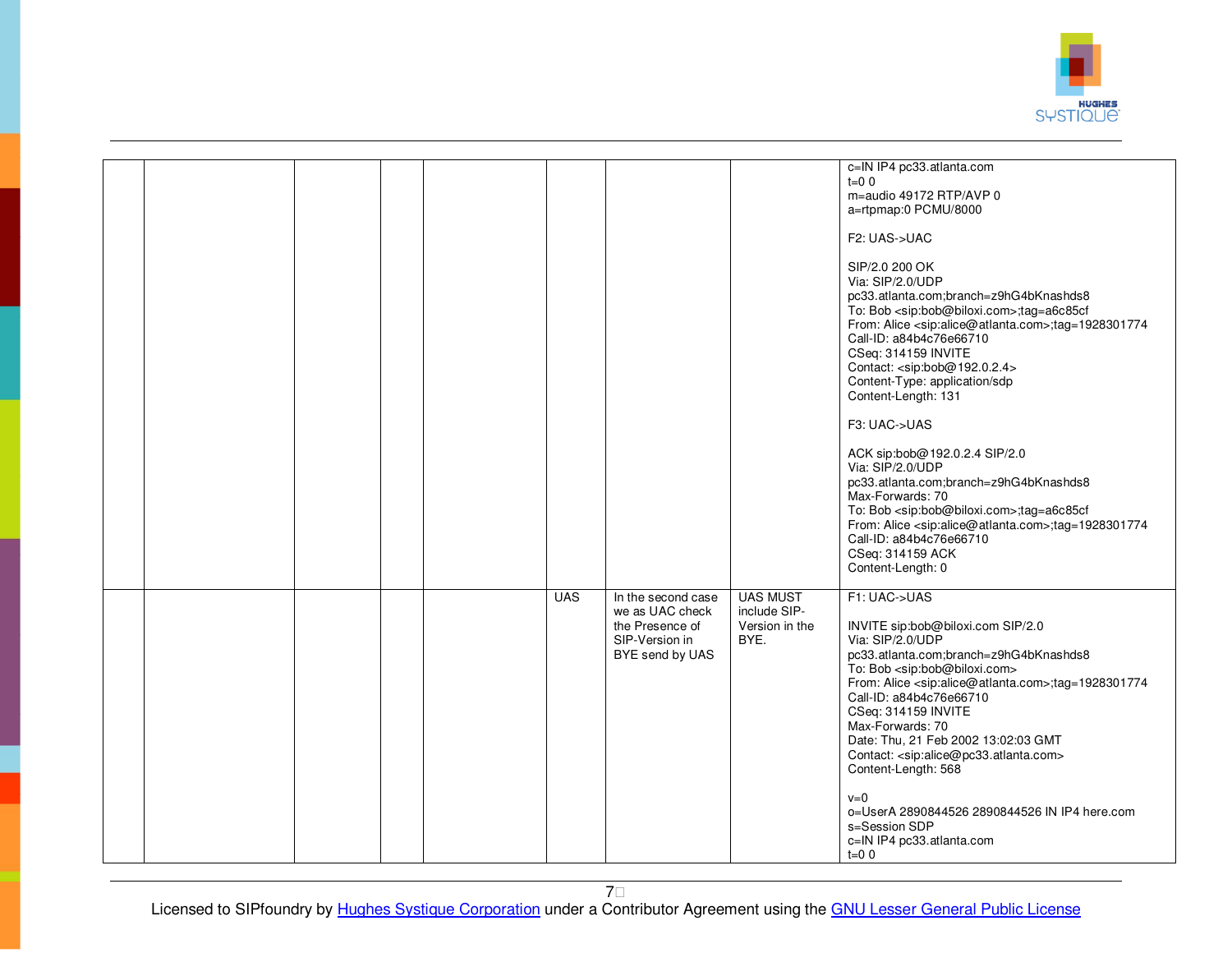

|  |  |            |                                                                                               |                                                           | c=IN IP4 pc33.atlanta.com<br>$t=0$ 0<br>m=audio 49172 RTP/AVP 0<br>a=rtpmap:0 PCMU/8000<br>F2: UAS->UAC<br>SIP/2.0 200 OK<br>Via: SIP/2.0/UDP<br>pc33.atlanta.com;branch=z9hG4bKnashds8<br>To: Bob <sip:bob@biloxi.com>;tag=a6c85cf<br/>From: Alice <sip:alice@atlanta.com>;tag=1928301774<br/>Call-ID: a84b4c76e66710<br/>CSeq: 314159 INVITE<br/>Contact: <sip:bob@192.0.2.4><br/>Content-Type: application/sdp<br/>Content-Length: 131<br/>F3: UAC-&gt;UAS<br/>ACK sip:bob@192.0.2.4 SIP/2.0<br/>Via: SIP/2.0/UDP<br/>pc33.atlanta.com;branch=z9hG4bKnashds8<br/>Max-Forwards: 70<br/>To: Bob <sip:bob@biloxi.com>;tag=a6c85cf<br/>From: Alice <sip:alice@atlanta.com>;tag=1928301774<br/>Call-ID: a84b4c76e66710<br/>CSeq: 314159 ACK<br/>Content-Length: 0</sip:alice@atlanta.com></sip:bob@biloxi.com></sip:bob@192.0.2.4></sip:alice@atlanta.com></sip:bob@biloxi.com> |
|--|--|------------|-----------------------------------------------------------------------------------------------|-----------------------------------------------------------|-------------------------------------------------------------------------------------------------------------------------------------------------------------------------------------------------------------------------------------------------------------------------------------------------------------------------------------------------------------------------------------------------------------------------------------------------------------------------------------------------------------------------------------------------------------------------------------------------------------------------------------------------------------------------------------------------------------------------------------------------------------------------------------------------------------------------------------------------------------------------------|
|  |  | <b>UAS</b> | In the second case<br>we as UAC check<br>the Presence of<br>SIP-Version in<br>BYE send by UAS | <b>UAS MUST</b><br>include SIP-<br>Version in the<br>BYE. | F1: UAC->UAS<br>INVITE sip:bob@biloxi.com SIP/2.0<br>Via: SIP/2.0/UDP<br>pc33.atlanta.com;branch=z9hG4bKnashds8<br>To: Bob <sip:bob@biloxi.com><br/>From: Alice <sip:alice@atlanta.com>;tag=1928301774<br/>Call-ID: a84b4c76e66710<br/>CSeq: 314159 INVITE<br/>Max-Forwards: 70<br/>Date: Thu, 21 Feb 2002 13:02:03 GMT<br/>Contact: <sip:alice@pc33.atlanta.com><br/>Content-Length: 568<br/><math>v=0</math><br/>o=UserA 2890844526 2890844526 IN IP4 here.com<br/>s=Session SDP<br/>c=IN IP4 pc33.atlanta.com<br/><math>t=0</math> 0</sip:alice@pc33.atlanta.com></sip:alice@atlanta.com></sip:bob@biloxi.com>                                                                                                                                                                                                                                                             |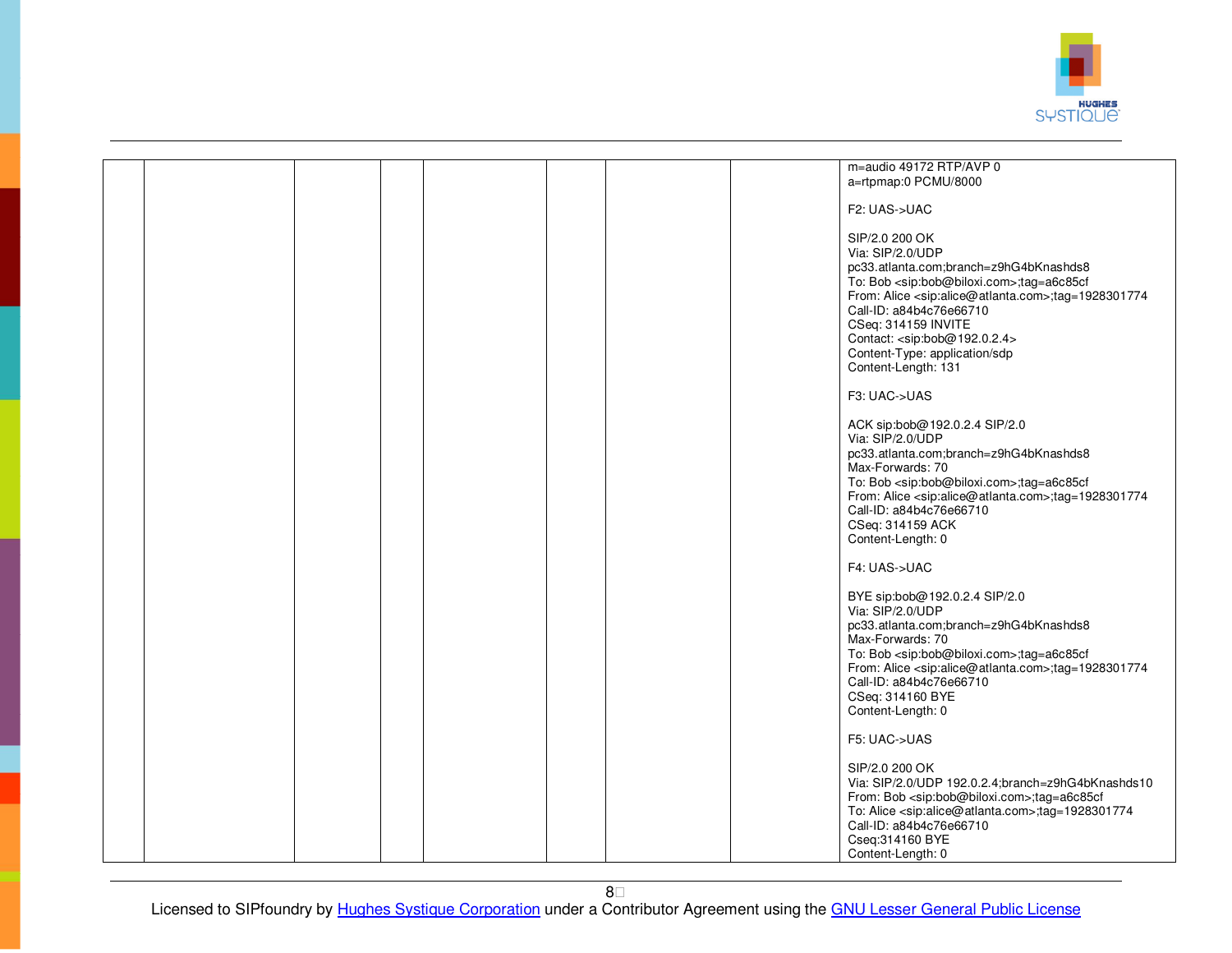

|  |  |  |  | m=audio 49172 RTP/AVP 0                                                    |
|--|--|--|--|----------------------------------------------------------------------------|
|  |  |  |  | a=rtpmap:0 PCMU/8000                                                       |
|  |  |  |  |                                                                            |
|  |  |  |  |                                                                            |
|  |  |  |  | F2: UAS->UAC                                                               |
|  |  |  |  |                                                                            |
|  |  |  |  |                                                                            |
|  |  |  |  | SIP/2.0 200 OK                                                             |
|  |  |  |  | Via: SIP/2.0/UDP                                                           |
|  |  |  |  |                                                                            |
|  |  |  |  | pc33.atlanta.com;branch=z9hG4bKnashds8                                     |
|  |  |  |  | To: Bob <sip:bob@biloxi.com>;tag=a6c85cf</sip:bob@biloxi.com>              |
|  |  |  |  |                                                                            |
|  |  |  |  | From: Alice <sip:alice@atlanta.com>;tag=1928301774</sip:alice@atlanta.com> |
|  |  |  |  | Call-ID: a84b4c76e66710                                                    |
|  |  |  |  | CSeq: 314159 INVITE                                                        |
|  |  |  |  |                                                                            |
|  |  |  |  | Contact: <sip:bob@192.0.2.4></sip:bob@192.0.2.4>                           |
|  |  |  |  | Content-Type: application/sdp                                              |
|  |  |  |  | Content-Length: 131                                                        |
|  |  |  |  |                                                                            |
|  |  |  |  |                                                                            |
|  |  |  |  | F3: UAC->UAS                                                               |
|  |  |  |  |                                                                            |
|  |  |  |  |                                                                            |
|  |  |  |  | ACK sip:bob@192.0.2.4 SIP/2.0                                              |
|  |  |  |  | Via: SIP/2.0/UDP                                                           |
|  |  |  |  |                                                                            |
|  |  |  |  | pc33.atlanta.com;branch=z9hG4bKnashds8                                     |
|  |  |  |  | Max-Forwards: 70                                                           |
|  |  |  |  |                                                                            |
|  |  |  |  | To: Bob <sip:bob@biloxi.com>;tag=a6c85cf</sip:bob@biloxi.com>              |
|  |  |  |  | From: Alice <sip:alice@atlanta.com>;tag=1928301774</sip:alice@atlanta.com> |
|  |  |  |  | Call-ID: a84b4c76e66710                                                    |
|  |  |  |  |                                                                            |
|  |  |  |  | CSeq: 314159 ACK                                                           |
|  |  |  |  | Content-Length: 0                                                          |
|  |  |  |  |                                                                            |
|  |  |  |  |                                                                            |
|  |  |  |  | F4: UAS->UAC                                                               |
|  |  |  |  |                                                                            |
|  |  |  |  | BYE sip:bob@192.0.2.4 SIP/2.0                                              |
|  |  |  |  |                                                                            |
|  |  |  |  | Via: SIP/2.0/UDP                                                           |
|  |  |  |  | pc33.atlanta.com;branch=z9hG4bKnashds8                                     |
|  |  |  |  | Max-Forwards: 70                                                           |
|  |  |  |  |                                                                            |
|  |  |  |  | To: Bob <sip:bob@biloxi.com>;tag=a6c85cf</sip:bob@biloxi.com>              |
|  |  |  |  | From: Alice <sip:alice@atlanta.com>;tag=1928301774</sip:alice@atlanta.com> |
|  |  |  |  |                                                                            |
|  |  |  |  | Call-ID: a84b4c76e66710                                                    |
|  |  |  |  | CSeq: 314160 BYE                                                           |
|  |  |  |  | Content-Length: 0                                                          |
|  |  |  |  |                                                                            |
|  |  |  |  |                                                                            |
|  |  |  |  | F5: UAC->UAS                                                               |
|  |  |  |  |                                                                            |
|  |  |  |  |                                                                            |
|  |  |  |  | SIP/2.0 200 OK                                                             |
|  |  |  |  | Via: SIP/2.0/UDP 192.0.2.4;branch=z9hG4bKnashds10                          |
|  |  |  |  | From: Bob <sip:bob@biloxi.com>;tag=a6c85cf</sip:bob@biloxi.com>            |
|  |  |  |  |                                                                            |
|  |  |  |  | To: Alice <sip:alice@atlanta.com>;tag=1928301774</sip:alice@atlanta.com>   |
|  |  |  |  | Call-ID: a84b4c76e66710                                                    |
|  |  |  |  |                                                                            |
|  |  |  |  | Cseq:314160 BYE                                                            |
|  |  |  |  | Content-Length: 0                                                          |
|  |  |  |  |                                                                            |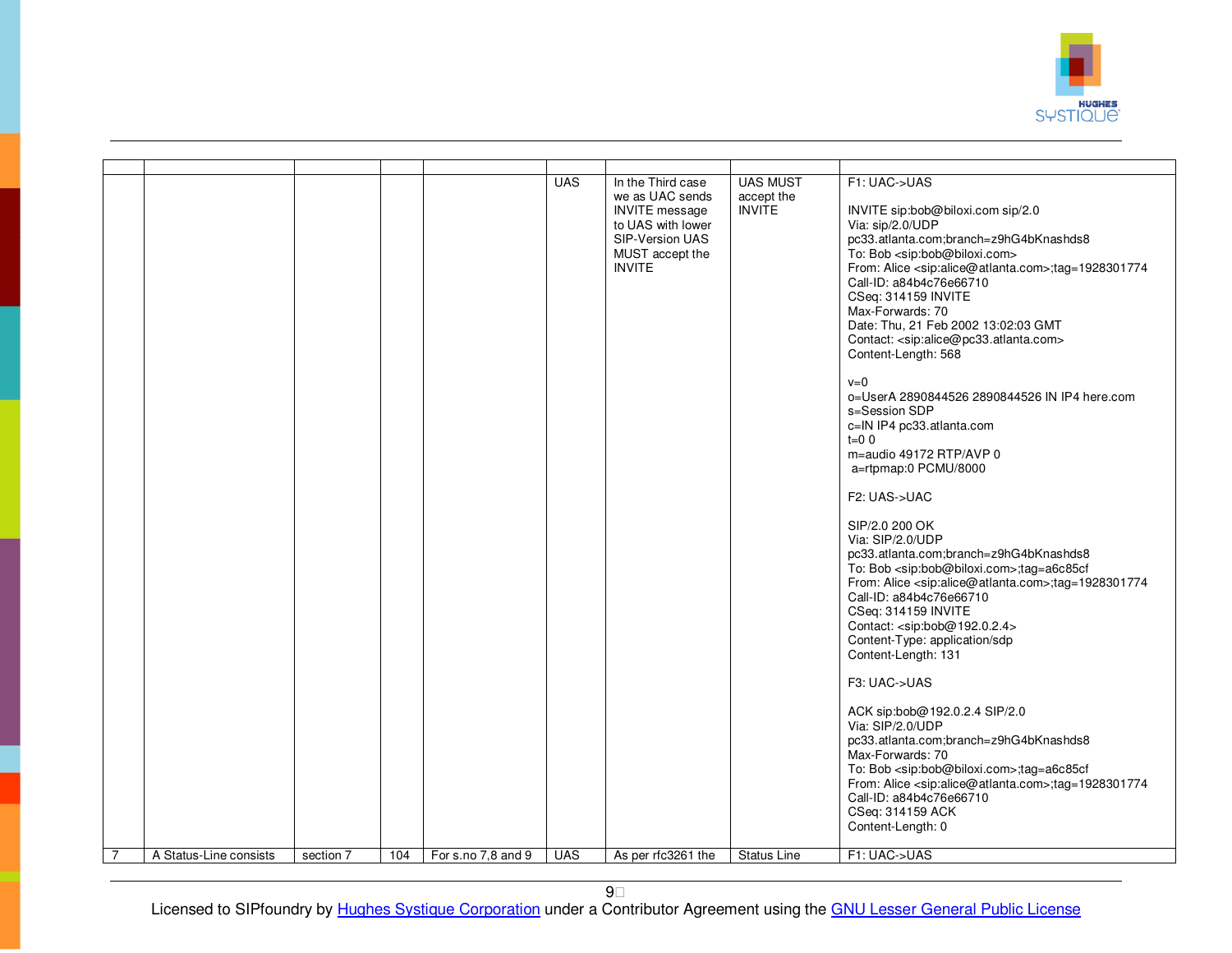

|                |                        |           |     |                    | <b>UAS</b> | In the Third case<br>we as UAC sends<br><b>INVITE</b> message<br>to UAS with lower<br>SIP-Version UAS<br>MUST accept the<br><b>INVITE</b> | <b>UAS MUST</b><br>accept the<br><b>INVITE</b> | F1: UAC->UAS<br>INVITE sip:bob@biloxi.com sip/2.0<br>Via: sip/2.0/UDP<br>pc33.atlanta.com;branch=z9hG4bKnashds8<br>To: Bob <sip:bob@biloxi.com><br/>From: Alice <sip:alice@atlanta.com>;tag=1928301774<br/>Call-ID: a84b4c76e66710<br/>CSeq: 314159 INVITE<br/>Max-Forwards: 70<br/>Date: Thu, 21 Feb 2002 13:02:03 GMT<br/>Contact: <sip:alice@pc33.atlanta.com><br/>Content-Length: 568<br/><math>v=0</math><br/>o=UserA 2890844526 2890844526 IN IP4 here.com<br/>s=Session SDP<br/>c=IN IP4 pc33.atlanta.com<br/><math>t=0</math> 0<br/>m=audio 49172 RTP/AVP 0<br/>a=rtpmap:0 PCMU/8000<br/>F2: UAS-&gt;UAC<br/>SIP/2.0 200 OK<br/>Via: SIP/2.0/UDP<br/>pc33.atlanta.com;branch=z9hG4bKnashds8<br/>To: Bob <sip:bob@biloxi.com>;tag=a6c85cf<br/>From: Alice <sip:alice@atlanta.com>;tag=1928301774<br/>Call-ID: a84b4c76e66710<br/>CSeq: 314159 INVITE<br/>Contact: <sip:bob@192.0.2.4><br/>Content-Type: application/sdp<br/>Content-Length: 131<br/>F3: UAC-&gt;UAS<br/>ACK sip:bob@192.0.2.4 SIP/2.0<br/>Via: SIP/2.0/UDP<br/>pc33.atlanta.com;branch=z9hG4bKnashds8<br/>Max-Forwards: 70<br/>To: Bob <sip:bob@biloxi.com>;tag=a6c85cf<br/>From: Alice <sip:alice@atlanta.com>;tag=1928301774<br/>Call-ID: a84b4c76e66710<br/>CSeq: 314159 ACK<br/>Content-Length: 0</sip:alice@atlanta.com></sip:bob@biloxi.com></sip:bob@192.0.2.4></sip:alice@atlanta.com></sip:bob@biloxi.com></sip:alice@pc33.atlanta.com></sip:alice@atlanta.com></sip:bob@biloxi.com> |
|----------------|------------------------|-----------|-----|--------------------|------------|-------------------------------------------------------------------------------------------------------------------------------------------|------------------------------------------------|----------------------------------------------------------------------------------------------------------------------------------------------------------------------------------------------------------------------------------------------------------------------------------------------------------------------------------------------------------------------------------------------------------------------------------------------------------------------------------------------------------------------------------------------------------------------------------------------------------------------------------------------------------------------------------------------------------------------------------------------------------------------------------------------------------------------------------------------------------------------------------------------------------------------------------------------------------------------------------------------------------------------------------------------------------------------------------------------------------------------------------------------------------------------------------------------------------------------------------------------------------------------------------------------------------------------------------------------------------------------------------------------------------------------------------------------------------------------|
| $\overline{7}$ | A Status-Line consists | section 7 | 104 | For s.no 7,8 and 9 | <b>UAS</b> | As per rfc3261 the                                                                                                                        | <b>Status Line</b>                             | F1: UAC->UAS                                                                                                                                                                                                                                                                                                                                                                                                                                                                                                                                                                                                                                                                                                                                                                                                                                                                                                                                                                                                                                                                                                                                                                                                                                                                                                                                                                                                                                                         |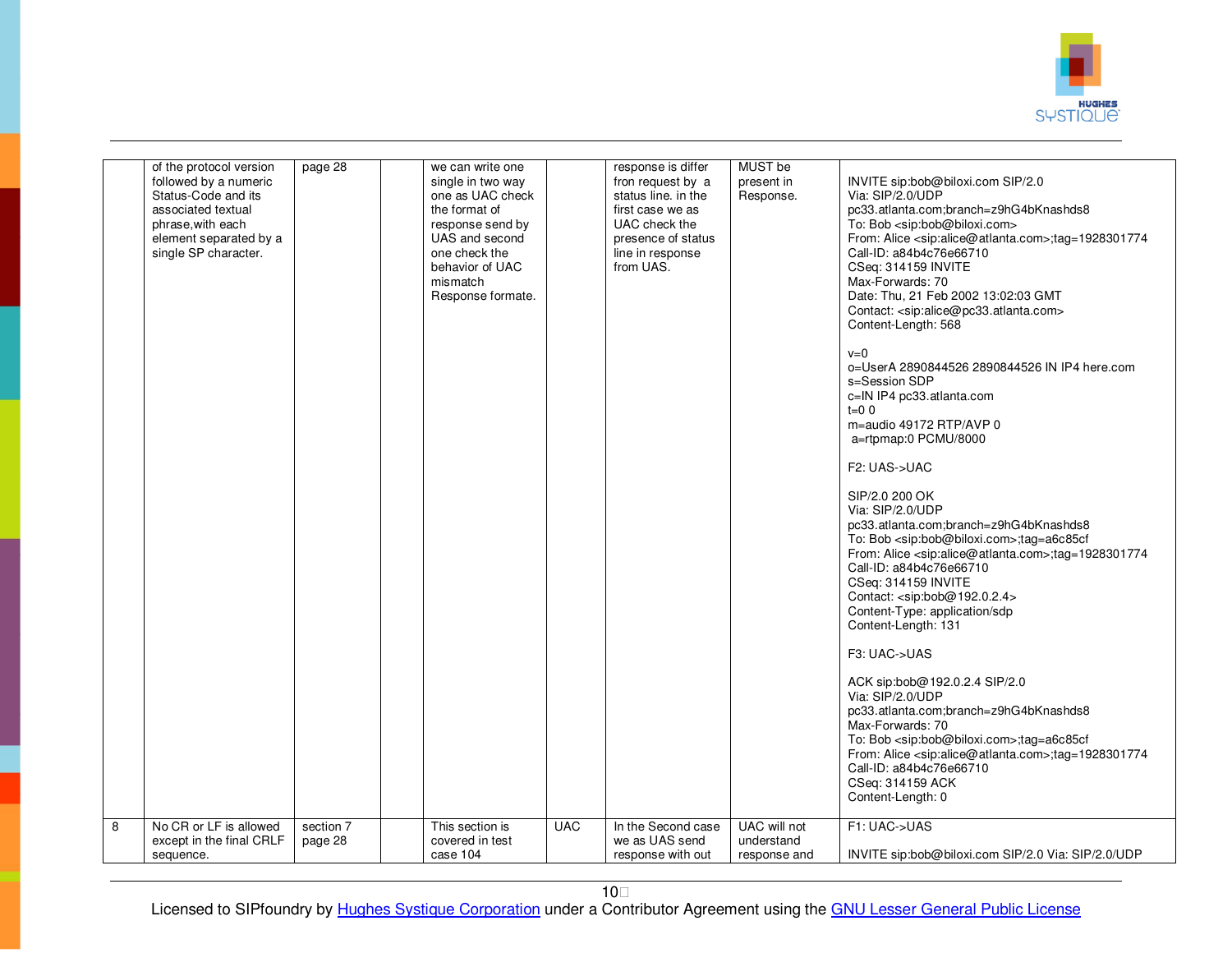

|                | of the protocol version<br>followed by a numeric<br>Status-Code and its<br>associated textual<br>phrase, with each<br>element separated by a<br>single SP character. | page 28   | we can write one<br>single in two way<br>one as UAC check<br>the format of<br>response send by<br>UAS and second<br>one check the<br>behavior of UAC<br>mismatch<br>Response formate. |            | response is differ<br>fron request by a<br>status line. in the<br>first case we as<br>UAC check the<br>presence of status<br>line in response<br>from UAS. | MUST be<br>present in<br>Response. | INVITE sip:bob@biloxi.com SIP/2.0<br>Via: SIP/2.0/UDP<br>pc33.atlanta.com;branch=z9hG4bKnashds8<br>To: Bob <sip:bob@biloxi.com><br/>From: Alice <sip:alice@atlanta.com>;tag=1928301774<br/>Call-ID: a84b4c76e66710<br/>CSeq: 314159 INVITE<br/>Max-Forwards: 70<br/>Date: Thu, 21 Feb 2002 13:02:03 GMT<br/>Contact: <sip:alice@pc33.atlanta.com><br/>Content-Length: 568<br/><math>v=0</math><br/>o=UserA 2890844526 2890844526 IN IP4 here.com<br/>s=Session SDP<br/>c=IN IP4 pc33.atlanta.com<br/><math>t=0</math> 0<br/>m=audio 49172 RTP/AVP 0<br/>a=rtpmap:0 PCMU/8000<br/>F2: UAS-&gt;UAC<br/>SIP/2.0 200 OK<br/>Via: SIP/2.0/UDP<br/>pc33.atlanta.com;branch=z9hG4bKnashds8<br/>To: Bob <sip:bob@biloxi.com>;tag=a6c85cf<br/>From: Alice <sip:alice@atlanta.com>;tag=1928301774<br/>Call-ID: a84b4c76e66710<br/>CSeq: 314159 INVITE<br/>Contact: <sip:bob@192.0.2.4><br/>Content-Type: application/sdp<br/>Content-Length: 131<br/>F3: UAC-&gt;UAS<br/>ACK sip:bob@192.0.2.4 SIP/2.0<br/>Via: SIP/2.0/UDP<br/>pc33.atlanta.com;branch=z9hG4bKnashds8<br/>Max-Forwards: 70<br/>To: Bob <sip:bob@biloxi.com>;tag=a6c85cf<br/>From: Alice <sip:alice@atlanta.com>;tag=1928301774<br/>Call-ID: a84b4c76e66710<br/>CSeq: 314159 ACK<br/>Content-Length: 0</sip:alice@atlanta.com></sip:bob@biloxi.com></sip:bob@192.0.2.4></sip:alice@atlanta.com></sip:bob@biloxi.com></sip:alice@pc33.atlanta.com></sip:alice@atlanta.com></sip:bob@biloxi.com> |
|----------------|----------------------------------------------------------------------------------------------------------------------------------------------------------------------|-----------|---------------------------------------------------------------------------------------------------------------------------------------------------------------------------------------|------------|------------------------------------------------------------------------------------------------------------------------------------------------------------|------------------------------------|------------------------------------------------------------------------------------------------------------------------------------------------------------------------------------------------------------------------------------------------------------------------------------------------------------------------------------------------------------------------------------------------------------------------------------------------------------------------------------------------------------------------------------------------------------------------------------------------------------------------------------------------------------------------------------------------------------------------------------------------------------------------------------------------------------------------------------------------------------------------------------------------------------------------------------------------------------------------------------------------------------------------------------------------------------------------------------------------------------------------------------------------------------------------------------------------------------------------------------------------------------------------------------------------------------------------------------------------------------------------------------------------------------------------------------------------------|
| $\overline{8}$ | No CR or LF is allowed                                                                                                                                               | section 7 | This section is                                                                                                                                                                       | <b>UAC</b> | In the Second case                                                                                                                                         | UAC will not                       | F1: UAC->UAS                                                                                                                                                                                                                                                                                                                                                                                                                                                                                                                                                                                                                                                                                                                                                                                                                                                                                                                                                                                                                                                                                                                                                                                                                                                                                                                                                                                                                                         |
|                | except in the final CRLF                                                                                                                                             | page 28   | covered in test                                                                                                                                                                       |            | we as UAS send                                                                                                                                             | understand                         |                                                                                                                                                                                                                                                                                                                                                                                                                                                                                                                                                                                                                                                                                                                                                                                                                                                                                                                                                                                                                                                                                                                                                                                                                                                                                                                                                                                                                                                      |
|                | sequence.                                                                                                                                                            |           | case 104                                                                                                                                                                              |            | response with out                                                                                                                                          | response and                       | INVITE sip:bob@biloxi.com SIP/2.0 Via: SIP/2.0/UDP                                                                                                                                                                                                                                                                                                                                                                                                                                                                                                                                                                                                                                                                                                                                                                                                                                                                                                                                                                                                                                                                                                                                                                                                                                                                                                                                                                                                   |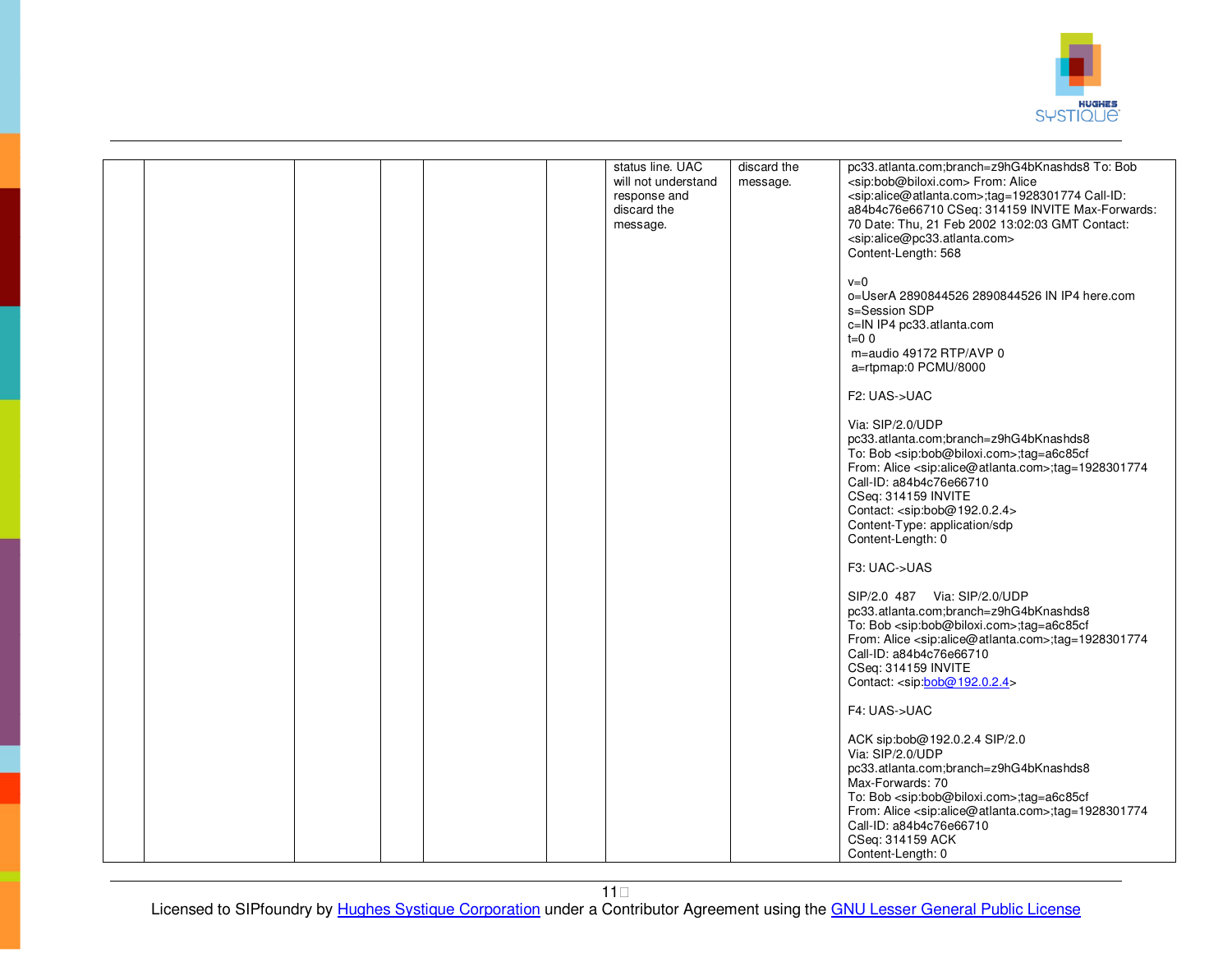

|  |  | status line. UAC<br>will not understand<br>response and<br>discard the<br>message. | discard the<br>message. | pc33.atlanta.com;branch=z9hG4bKnashds8 To: Bob<br><sip:bob@biloxi.com> From: Alice<br/><sip:alice@atlanta.com>;tag=1928301774 Call-ID:<br/>a84b4c76e66710 CSeq: 314159 INVITE Max-Forwards:<br/>70 Date: Thu, 21 Feb 2002 13:02:03 GMT Contact:<br/><sip:alice@pc33.atlanta.com><br/>Content-Length: 568<br/><math>v=0</math><br/>o=UserA 2890844526 2890844526 IN IP4 here.com<br/>s=Session SDP<br/>c=IN IP4 pc33.atlanta.com<br/><math>t=0</math> 0<br/>m=audio 49172 RTP/AVP 0<br/>a=rtpmap:0 PCMU/8000<br/>F2: UAS-&gt;UAC<br/>Via: SIP/2.0/UDP<br/>pc33.atlanta.com;branch=z9hG4bKnashds8<br/>To: Bob <sip:bob@biloxi.com>;tag=a6c85cf<br/>From: Alice <sip:alice@atlanta.com>;tag=1928301774<br/>Call-ID: a84b4c76e66710<br/>CSeq: 314159 INVITE<br/>Contact: <sip:bob@192.0.2.4><br/>Content-Type: application/sdp<br/>Content-Length: 0</sip:bob@192.0.2.4></sip:alice@atlanta.com></sip:bob@biloxi.com></sip:alice@pc33.atlanta.com></sip:alice@atlanta.com></sip:bob@biloxi.com> |
|--|--|------------------------------------------------------------------------------------|-------------------------|---------------------------------------------------------------------------------------------------------------------------------------------------------------------------------------------------------------------------------------------------------------------------------------------------------------------------------------------------------------------------------------------------------------------------------------------------------------------------------------------------------------------------------------------------------------------------------------------------------------------------------------------------------------------------------------------------------------------------------------------------------------------------------------------------------------------------------------------------------------------------------------------------------------------------------------------------------------------------------------------|
|  |  |                                                                                    |                         | F3: UAC->UAS<br>SIP/2.0 487 Via: SIP/2.0/UDP<br>pc33.atlanta.com;branch=z9hG4bKnashds8<br>To: Bob <sip:bob@biloxi.com>;tag=a6c85cf<br/>From: Alice <sip:alice@atlanta.com>;tag=1928301774<br/>Call-ID: a84b4c76e66710<br/>CSeq: 314159 INVITE<br/>Contact: <sip:bob@192.0.2.4><br/>F4: UAS-&gt;UAC<br/>ACK sip:bob@192.0.2.4 SIP/2.0<br/>Via: SIP/2.0/UDP<br/>pc33.atlanta.com;branch=z9hG4bKnashds8<br/>Max-Forwards: 70<br/>To: Bob <sip:bob@biloxi.com>;tag=a6c85cf<br/>From: Alice <sip:alice@atlanta.com>;tag=1928301774<br/>Call-ID: a84b4c76e66710</sip:alice@atlanta.com></sip:bob@biloxi.com></sip:bob@192.0.2.4></sip:alice@atlanta.com></sip:bob@biloxi.com>                                                                                                                                                                                                                                                                                                                     |
|  |  |                                                                                    |                         | CSeq: 314159 ACK<br>Content-Length: 0                                                                                                                                                                                                                                                                                                                                                                                                                                                                                                                                                                                                                                                                                                                                                                                                                                                                                                                                                       |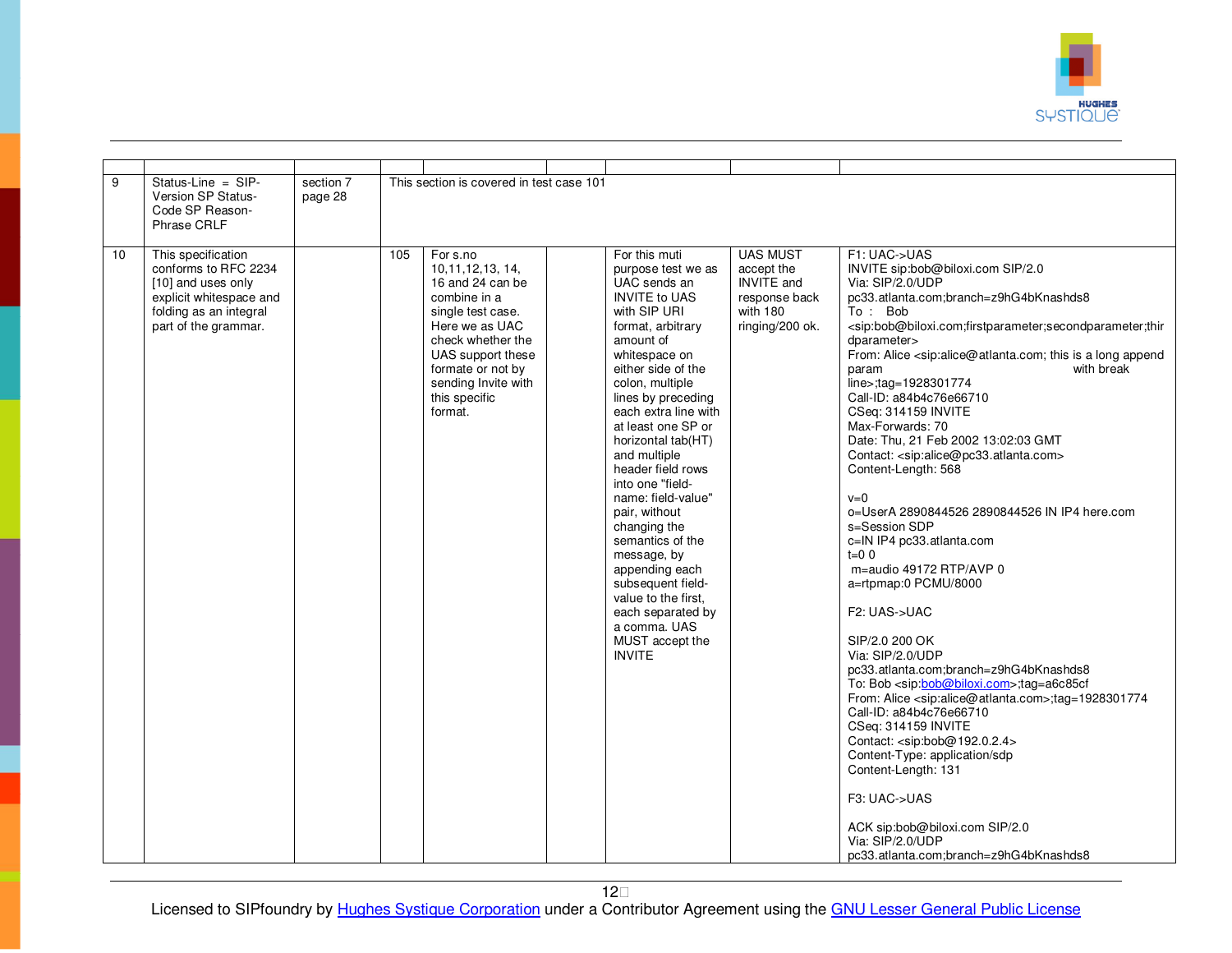

| $\overline{9}$ | Status-Line = SIP-<br>Version SP Status-<br>Code SP Reason-<br>Phrase CRLF                                                                    | section 7<br>page 28 |     | This section is covered in test case 101                                                                                                                                                                                     |                                                                                                                                                                                                                                                                                                                                                                                                                                                                                                                                                                             |                                                                                                    |                                                                                                                                                                                                                                                                                                                                                                                                                                                                                                                                                                                                                                                                                                                                                                                                                                                                                                                                                                                                                                                                                                                                                                                                                                                                                                                                                                                                    |
|----------------|-----------------------------------------------------------------------------------------------------------------------------------------------|----------------------|-----|------------------------------------------------------------------------------------------------------------------------------------------------------------------------------------------------------------------------------|-----------------------------------------------------------------------------------------------------------------------------------------------------------------------------------------------------------------------------------------------------------------------------------------------------------------------------------------------------------------------------------------------------------------------------------------------------------------------------------------------------------------------------------------------------------------------------|----------------------------------------------------------------------------------------------------|----------------------------------------------------------------------------------------------------------------------------------------------------------------------------------------------------------------------------------------------------------------------------------------------------------------------------------------------------------------------------------------------------------------------------------------------------------------------------------------------------------------------------------------------------------------------------------------------------------------------------------------------------------------------------------------------------------------------------------------------------------------------------------------------------------------------------------------------------------------------------------------------------------------------------------------------------------------------------------------------------------------------------------------------------------------------------------------------------------------------------------------------------------------------------------------------------------------------------------------------------------------------------------------------------------------------------------------------------------------------------------------------------|
| 10             | This specification<br>conforms to RFC 2234<br>[10] and uses only<br>explicit whitespace and<br>folding as an integral<br>part of the grammar. |                      | 105 | For s.no<br>10, 11, 12, 13, 14,<br>16 and 24 can be<br>combine in a<br>single test case.<br>Here we as UAC<br>check whether the<br>UAS support these<br>formate or not by<br>sending Invite with<br>this specific<br>format. | For this muti<br>purpose test we as<br>UAC sends an<br><b>INVITE to UAS</b><br>with SIP URI<br>format, arbitrary<br>amount of<br>whitespace on<br>either side of the<br>colon, multiple<br>lines by preceding<br>each extra line with<br>at least one SP or<br>horizontal tab(HT)<br>and multiple<br>header field rows<br>into one "field-<br>name: field-value"<br>pair, without<br>changing the<br>semantics of the<br>message, by<br>appending each<br>subsequent field-<br>value to the first,<br>each separated by<br>a comma. UAS<br>MUST accept the<br><b>INVITE</b> | <b>UAS MUST</b><br>accept the<br><b>INVITE</b> and<br>response back<br>with 180<br>ringing/200 ok. | F1: UAC->UAS<br>INVITE sip:bob@biloxi.com SIP/2.0<br>Via: SIP/2.0/UDP<br>pc33.atlanta.com;branch=z9hG4bKnashds8<br>To: Bob<br><sip:bob@biloxi.com;firstparameter;secondparameter;thir<br>dparameter&gt;<br/>From: Alice <sip:alice@atlanta.com; a="" append<br="" is="" long="" this="">with break<br/>param<br/>line&gt;;tag=1928301774<br/>Call-ID: a84b4c76e66710<br/>CSeq: 314159 INVITE<br/>Max-Forwards: 70<br/>Date: Thu, 21 Feb 2002 13:02:03 GMT<br/>Contact: <sip:alice@pc33.atlanta.com><br/>Content-Length: 568<br/><math>v=0</math><br/>o=UserA 2890844526 2890844526 IN IP4 here.com<br/>s=Session SDP<br/>c=IN IP4 pc33.atlanta.com<br/><math>t=0</math> 0<br/>m=audio 49172 RTP/AVP 0<br/>a=rtpmap:0 PCMU/8000<br/>F2: UAS-&gt;UAC<br/>SIP/2.0 200 OK<br/>Via: SIP/2.0/UDP<br/>pc33.atlanta.com;branch=z9hG4bKnashds8<br/>To: Bob <sip:bob@biloxi.com>;tag=a6c85cf<br/>From: Alice <sip:alice@atlanta.com>;tag=1928301774<br/>Call-ID: a84b4c76e66710<br/>CSeq: 314159 INVITE<br/>Contact: <sip:bob@192.0.2.4><br/>Content-Type: application/sdp<br/>Content-Length: 131<br/>F3: UAC-&gt;UAS<br/>ACK sip:bob@biloxi.com SIP/2.0<br/>Via: SIP/2.0/UDP<br/>pc33.atlanta.com;branch=z9hG4bKnashds8</sip:bob@192.0.2.4></sip:alice@atlanta.com></sip:bob@biloxi.com></sip:alice@pc33.atlanta.com></sip:alice@atlanta.com;></sip:bob@biloxi.com;firstparameter;secondparameter;thir<br> |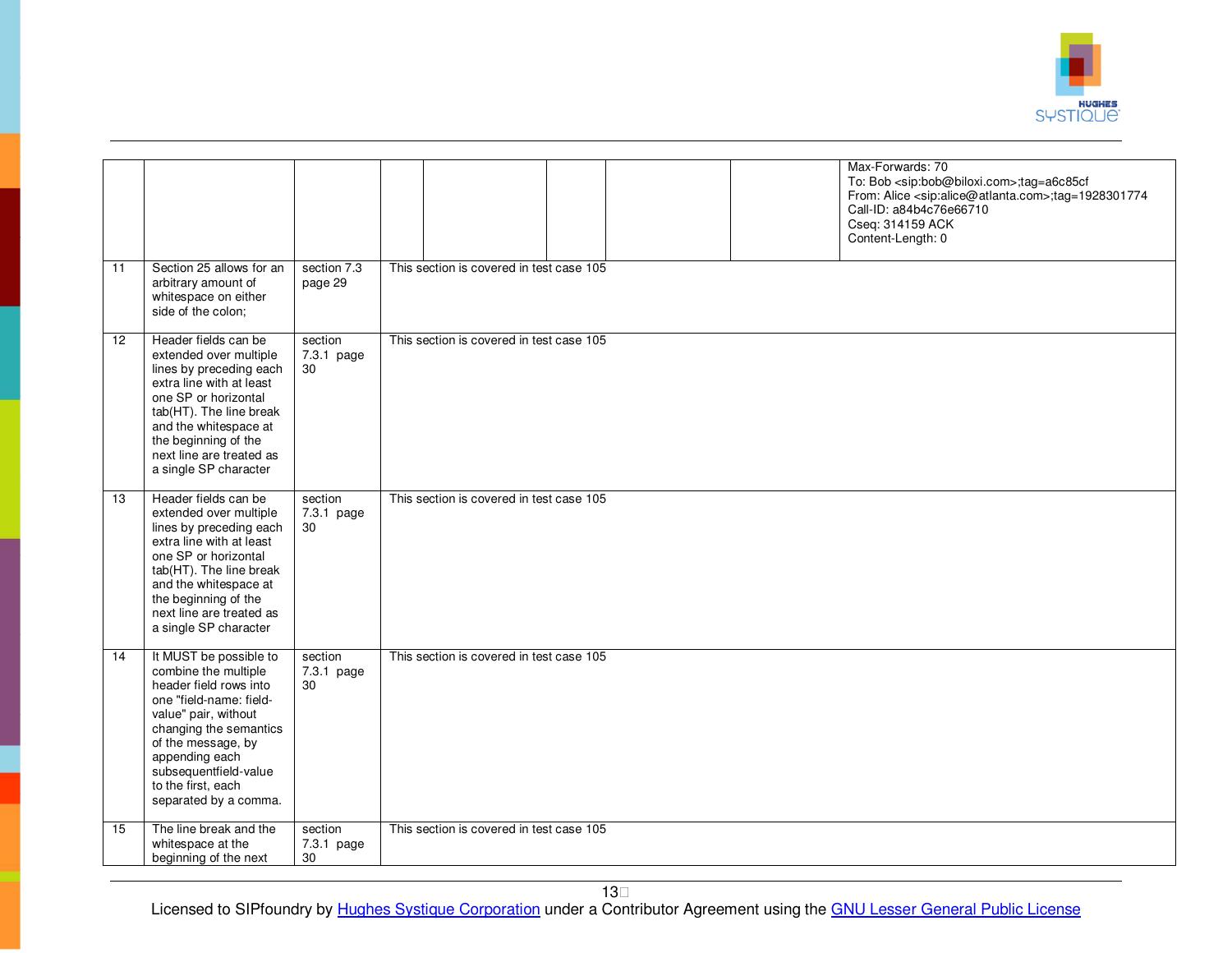

|                 |                                                                                                                                                                                                                                                                       |                             | Max-Forwards: 70<br>Cseq: 314159 ACK<br>Content-Length: 0 | To: Bob <sip:bob@biloxi.com>;tag=a6c85cf<br/>From: Alice <sip:alice@atlanta.com>;tag=1928301774<br/>Call-ID: a84b4c76e66710</sip:alice@atlanta.com></sip:bob@biloxi.com> |
|-----------------|-----------------------------------------------------------------------------------------------------------------------------------------------------------------------------------------------------------------------------------------------------------------------|-----------------------------|-----------------------------------------------------------|--------------------------------------------------------------------------------------------------------------------------------------------------------------------------|
| $\overline{11}$ | Section 25 allows for an<br>arbitrary amount of<br>whitespace on either<br>side of the colon;                                                                                                                                                                         | section 7.3<br>page 29      | This section is covered in test case 105                  |                                                                                                                                                                          |
| 12              | Header fields can be<br>extended over multiple<br>lines by preceding each<br>extra line with at least<br>one SP or horizontal<br>tab(HT). The line break<br>and the whitespace at<br>the beginning of the<br>next line are treated as<br>a single SP character        | section<br>7.3.1 page<br>30 | This section is covered in test case 105                  |                                                                                                                                                                          |
| $\overline{13}$ | Header fields can be<br>extended over multiple<br>lines by preceding each<br>extra line with at least<br>one SP or horizontal<br>tab(HT). The line break<br>and the whitespace at<br>the beginning of the<br>next line are treated as<br>a single SP character        | section<br>7.3.1 page<br>30 | This section is covered in test case 105                  |                                                                                                                                                                          |
| 14              | It MUST be possible to<br>combine the multiple<br>header field rows into<br>one "field-name: field-<br>value" pair, without<br>changing the semantics<br>of the message, by<br>appending each<br>subsequentfield-value<br>to the first, each<br>separated by a comma. | section<br>7.3.1 page<br>30 | This section is covered in test case 105                  |                                                                                                                                                                          |
| 15              | The line break and the<br>whitespace at the<br>beginning of the next                                                                                                                                                                                                  | section<br>7.3.1 page<br>30 | This section is covered in test case 105                  |                                                                                                                                                                          |

13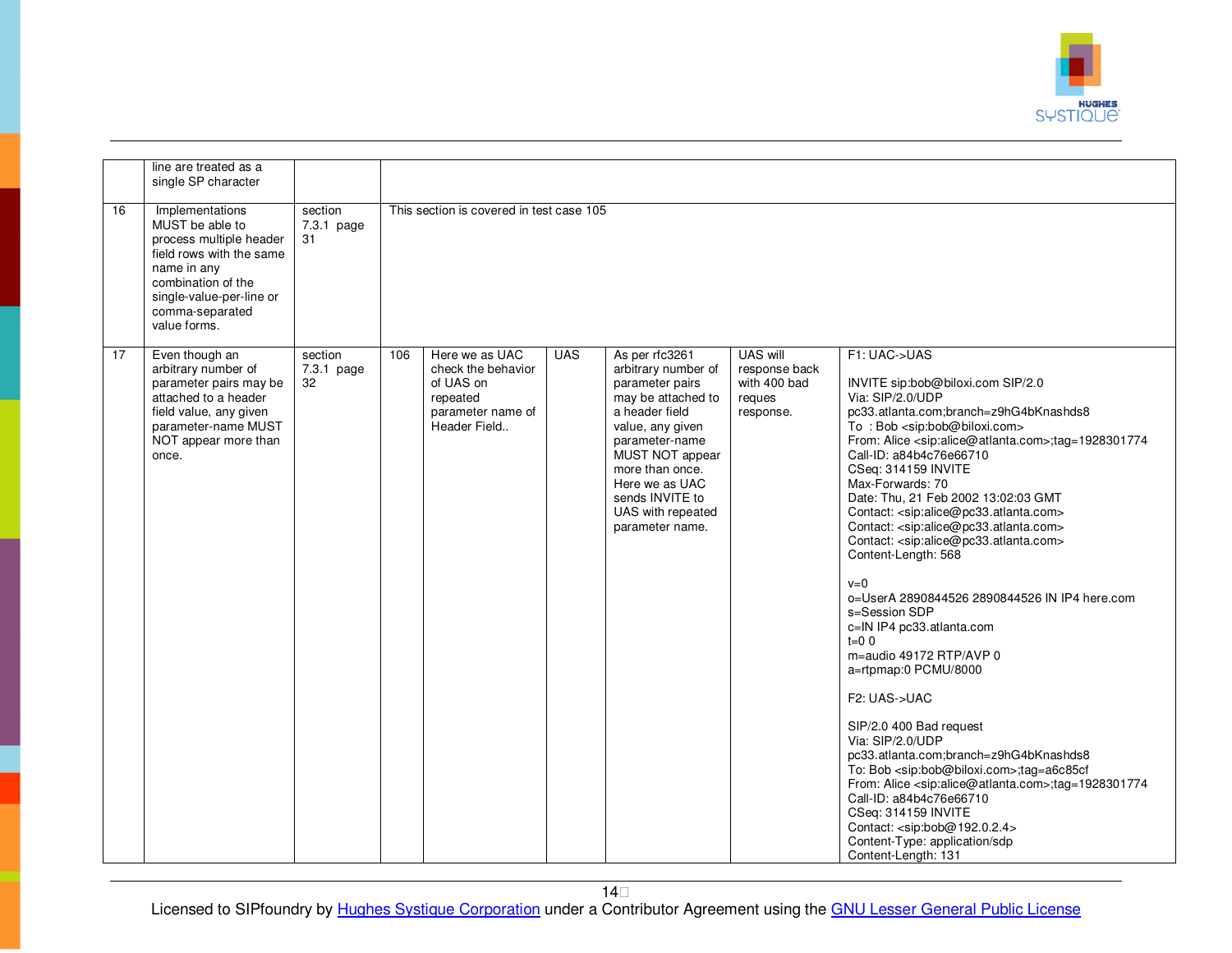

|    | line are treated as a<br>single SP character                                                                                                                                                  |                               |     |                                                                                                    |            |                                                                                                                                                                                                                                                           |                                                                  |                                                                                                                                                                                                                                                                                                                                                                                                                                                                                                                                                                                                                                                                                                                                                                                                                                                                                                                                                                                                                                                                                                                                                                                                                                                            |
|----|-----------------------------------------------------------------------------------------------------------------------------------------------------------------------------------------------|-------------------------------|-----|----------------------------------------------------------------------------------------------------|------------|-----------------------------------------------------------------------------------------------------------------------------------------------------------------------------------------------------------------------------------------------------------|------------------------------------------------------------------|------------------------------------------------------------------------------------------------------------------------------------------------------------------------------------------------------------------------------------------------------------------------------------------------------------------------------------------------------------------------------------------------------------------------------------------------------------------------------------------------------------------------------------------------------------------------------------------------------------------------------------------------------------------------------------------------------------------------------------------------------------------------------------------------------------------------------------------------------------------------------------------------------------------------------------------------------------------------------------------------------------------------------------------------------------------------------------------------------------------------------------------------------------------------------------------------------------------------------------------------------------|
| 16 | Implementations<br>MUST be able to<br>process multiple header<br>field rows with the same<br>name in any<br>combination of the<br>single-value-per-line or<br>comma-separated<br>value forms. | section<br>7.3.1 page<br>31   |     | This section is covered in test case 105                                                           |            |                                                                                                                                                                                                                                                           |                                                                  |                                                                                                                                                                                                                                                                                                                                                                                                                                                                                                                                                                                                                                                                                                                                                                                                                                                                                                                                                                                                                                                                                                                                                                                                                                                            |
| 17 | Even though an<br>arbitrary number of<br>parameter pairs may be<br>attached to a header<br>field value, any given<br>parameter-name MUST<br>NOT appear more than<br>once.                     | section<br>$7.3.1$ page<br>32 | 106 | Here we as UAC<br>check the behavior<br>of UAS on<br>repeated<br>parameter name of<br>Header Field | <b>UAS</b> | As per rfc3261<br>arbitrary number of<br>parameter pairs<br>may be attached to<br>a header field<br>value, any given<br>parameter-name<br>MUST NOT appear<br>more than once.<br>Here we as UAC<br>sends INVITE to<br>UAS with repeated<br>parameter name. | UAS will<br>response back<br>with 400 bad<br>reques<br>response. | F1: UAC->UAS<br>INVITE sip:bob@biloxi.com SIP/2.0<br>Via: SIP/2.0/UDP<br>pc33.atlanta.com;branch=z9hG4bKnashds8<br>To: Bob <sip:bob@biloxi.com><br/>From: Alice <sip:alice@atlanta.com>;tag=1928301774<br/>Call-ID: a84b4c76e66710<br/>CSeq: 314159 INVITE<br/>Max-Forwards: 70<br/>Date: Thu, 21 Feb 2002 13:02:03 GMT<br/>Contact: <sip:alice@pc33.atlanta.com><br/>Contact: <sip:alice@pc33.atlanta.com><br/>Contact: <sip:alice@pc33.atlanta.com><br/>Content-Length: 568<br/><math>v=0</math><br/>o=UserA 2890844526 2890844526 IN IP4 here.com<br/>s=Session SDP<br/>c=IN IP4 pc33.atlanta.com<br/><math>t = 0.0</math><br/>m=audio 49172 RTP/AVP 0<br/>a=rtpmap:0 PCMU/8000<br/>F2: UAS-&gt;UAC<br/>SIP/2.0 400 Bad request<br/>Via: SIP/2.0/UDP<br/>pc33.atlanta.com;branch=z9hG4bKnashds8<br/>To: Bob <sip:bob@biloxi.com>;tag=a6c85cf<br/>From: Alice <sip:alice@atlanta.com>;tag=1928301774<br/>Call-ID: a84b4c76e66710<br/>CSeq: 314159 INVITE<br/>Contact: <sip:bob@192.0.2.4><br/>Content-Type: application/sdp<br/>Content-Length: 131</sip:bob@192.0.2.4></sip:alice@atlanta.com></sip:bob@biloxi.com></sip:alice@pc33.atlanta.com></sip:alice@pc33.atlanta.com></sip:alice@pc33.atlanta.com></sip:alice@atlanta.com></sip:bob@biloxi.com> |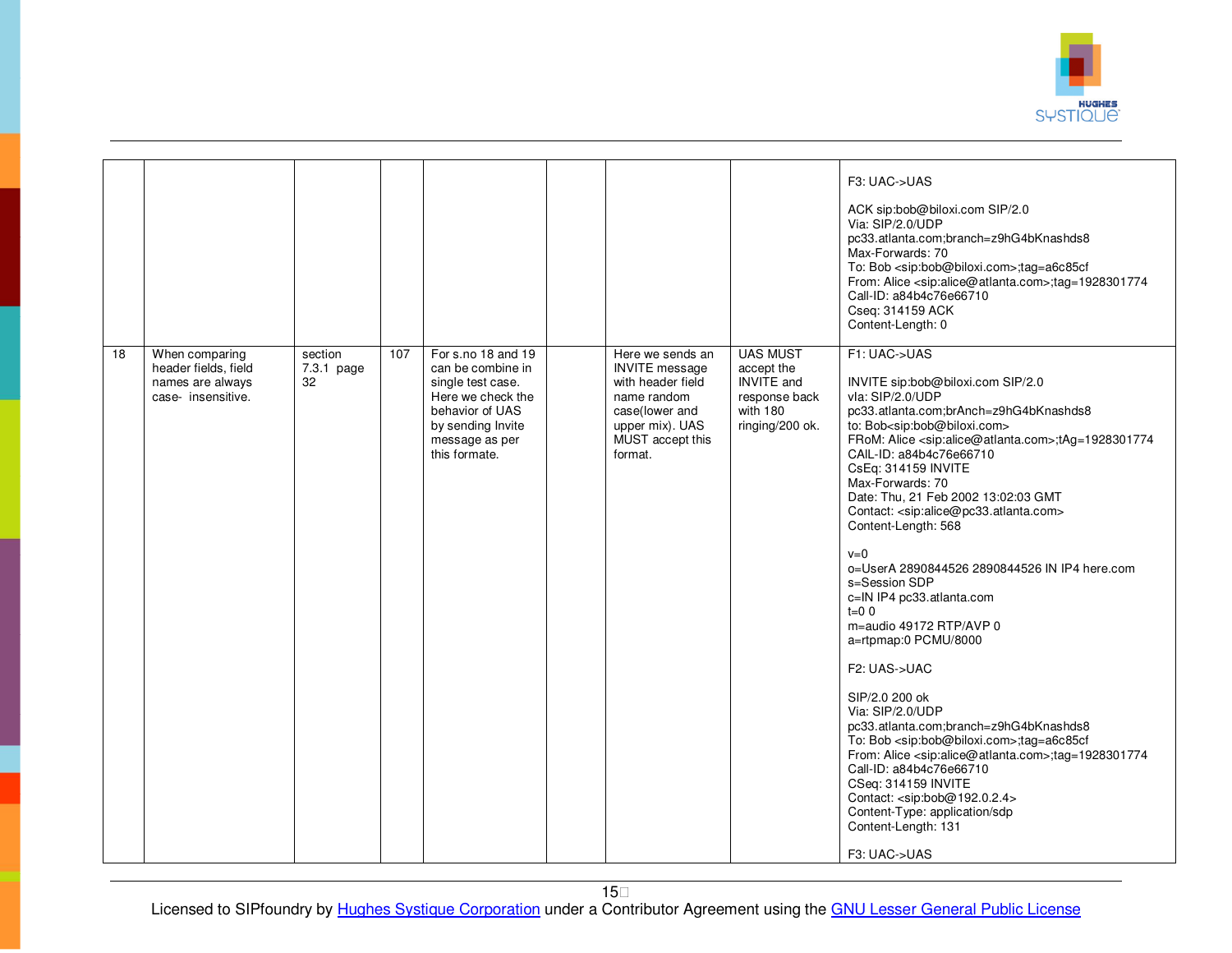

|    |                                                                                  |                             |     |                                                                                                                                                              |                                                                                                                                                   |                                                                                                    | F3: UAC->UAS<br>ACK sip:bob@biloxi.com SIP/2.0<br>Via: SIP/2.0/UDP<br>pc33.atlanta.com;branch=z9hG4bKnashds8<br>Max-Forwards: 70<br>To: Bob <sip:bob@biloxi.com>;tag=a6c85cf<br/>From: Alice <sip:alice@atlanta.com>;tag=1928301774<br/>Call-ID: a84b4c76e66710<br/>Cseq: 314159 ACK<br/>Content-Length: 0</sip:alice@atlanta.com></sip:bob@biloxi.com>                                                                                                                                                                                                                                                                                                                                                                                                                                                                                                                                                                                                                                                                                                                                                               |
|----|----------------------------------------------------------------------------------|-----------------------------|-----|--------------------------------------------------------------------------------------------------------------------------------------------------------------|---------------------------------------------------------------------------------------------------------------------------------------------------|----------------------------------------------------------------------------------------------------|-----------------------------------------------------------------------------------------------------------------------------------------------------------------------------------------------------------------------------------------------------------------------------------------------------------------------------------------------------------------------------------------------------------------------------------------------------------------------------------------------------------------------------------------------------------------------------------------------------------------------------------------------------------------------------------------------------------------------------------------------------------------------------------------------------------------------------------------------------------------------------------------------------------------------------------------------------------------------------------------------------------------------------------------------------------------------------------------------------------------------|
| 18 | When comparing<br>header fields, field<br>names are always<br>case- insensitive. | section<br>7.3.1 page<br>32 | 107 | For s.no 18 and 19<br>can be combine in<br>single test case.<br>Here we check the<br>behavior of UAS<br>by sending Invite<br>message as per<br>this formate. | Here we sends an<br><b>INVITE</b> message<br>with header field<br>name random<br>case(lower and<br>upper mix). UAS<br>MUST accept this<br>format. | <b>UAS MUST</b><br>accept the<br><b>INVITE</b> and<br>response back<br>with 180<br>ringing/200 ok. | F1: UAC->UAS<br>INVITE sip:bob@biloxi.com SIP/2.0<br>vla: SIP/2.0/UDP<br>pc33.atlanta.com;brAnch=z9hG4bKnashds8<br>to: Bob <sip:bob@biloxi.com><br/>FRoM: Alice <sip:alice@atlanta.com>;tAg=1928301774<br/>CAIL-ID: a84b4c76e66710<br/>CsEq: 314159 INVITE<br/>Max-Forwards: 70<br/>Date: Thu, 21 Feb 2002 13:02:03 GMT<br/>Contact: <sip:alice@pc33.atlanta.com><br/>Content-Length: 568<br/><math>v=0</math><br/>o=UserA 2890844526 2890844526 IN IP4 here.com<br/>s=Session SDP<br/>c=IN IP4 pc33.atlanta.com<br/><math>t=0</math> 0<br/>m=audio 49172 RTP/AVP 0<br/>a=rtpmap:0 PCMU/8000<br/>F2: UAS-&gt;UAC<br/>SIP/2.0 200 ok<br/>Via: SIP/2.0/UDP<br/>pc33.atlanta.com;branch=z9hG4bKnashds8<br/>To: Bob <sip:bob@biloxi.com>;tag=a6c85cf<br/>From: Alice <sip:alice@atlanta.com>;tag=1928301774<br/>Call-ID: a84b4c76e66710<br/>CSeq: 314159 INVITE<br/>Contact: <sip:bob@192.0.2.4><br/>Content-Type: application/sdp<br/>Content-Length: 131<br/>F3: UAC-&gt;UAS</sip:bob@192.0.2.4></sip:alice@atlanta.com></sip:bob@biloxi.com></sip:alice@pc33.atlanta.com></sip:alice@atlanta.com></sip:bob@biloxi.com> |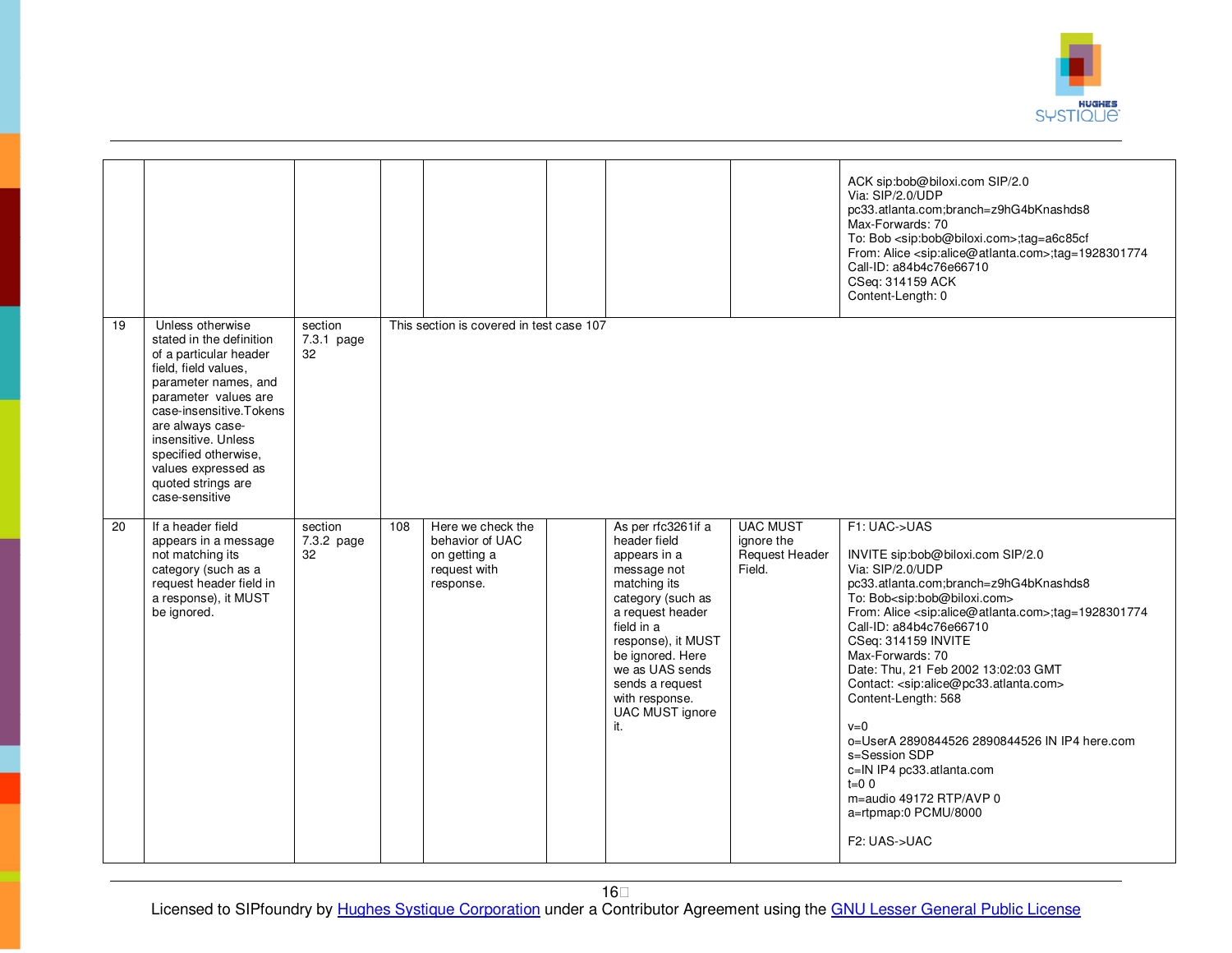

|                 |                                                                                                                                                                                                                                                                                                             |                             |     |                                                                                   |                                                                                                                                                                                                                                                                      |                                                                  | ACK sip:bob@biloxi.com SIP/2.0<br>Via: SIP/2.0/UDP<br>pc33.atlanta.com;branch=z9hG4bKnashds8<br>Max-Forwards: 70<br>To: Bob <sip:bob@biloxi.com>;tag=a6c85cf<br/>From: Alice <sip:alice@atlanta.com>;tag=1928301774<br/>Call-ID: a84b4c76e66710<br/>CSeq: 314159 ACK<br/>Content-Length: 0</sip:alice@atlanta.com></sip:bob@biloxi.com>                                                                                                                                                                                                                                                                                                                                                    |
|-----------------|-------------------------------------------------------------------------------------------------------------------------------------------------------------------------------------------------------------------------------------------------------------------------------------------------------------|-----------------------------|-----|-----------------------------------------------------------------------------------|----------------------------------------------------------------------------------------------------------------------------------------------------------------------------------------------------------------------------------------------------------------------|------------------------------------------------------------------|--------------------------------------------------------------------------------------------------------------------------------------------------------------------------------------------------------------------------------------------------------------------------------------------------------------------------------------------------------------------------------------------------------------------------------------------------------------------------------------------------------------------------------------------------------------------------------------------------------------------------------------------------------------------------------------------|
| $\overline{19}$ | Unless otherwise<br>stated in the definition<br>of a particular header<br>field, field values,<br>parameter names, and<br>parameter values are<br>case-insensitive.Tokens<br>are always case-<br>insensitive. Unless<br>specified otherwise,<br>values expressed as<br>quoted strings are<br>case-sensitive | section<br>7.3.1 page<br>32 |     | This section is covered in test case 107                                          |                                                                                                                                                                                                                                                                      |                                                                  |                                                                                                                                                                                                                                                                                                                                                                                                                                                                                                                                                                                                                                                                                            |
| 20              | If a header field<br>appears in a message<br>not matching its<br>category (such as a<br>request header field in<br>a response), it MUST<br>be ignored.                                                                                                                                                      | section<br>7.3.2 page<br>32 | 108 | Here we check the<br>behavior of UAC<br>on getting a<br>request with<br>response. | As per rfc3261if a<br>header field<br>appears in a<br>message not<br>matching its<br>category (such as<br>a request header<br>field in a<br>response), it MUST<br>be ignored. Here<br>we as UAS sends<br>sends a request<br>with response.<br>UAC MUST ignore<br>it. | <b>UAC MUST</b><br>ignore the<br><b>Request Header</b><br>Field. | F1: UAC->UAS<br>INVITE sip:bob@biloxi.com SIP/2.0<br>Via: SIP/2.0/UDP<br>pc33.atlanta.com;branch=z9hG4bKnashds8<br>To: Bob <sip:bob@biloxi.com><br/>From: Alice <sip:alice@atlanta.com>;tag=1928301774<br/>Call-ID: a84b4c76e66710<br/>CSeq: 314159 INVITE<br/>Max-Forwards: 70<br/>Date: Thu, 21 Feb 2002 13:02:03 GMT<br/>Contact: <sip:alice@pc33.atlanta.com><br/>Content-Length: 568<br/><math>v=0</math><br/>o=UserA 2890844526 2890844526 IN IP4 here.com<br/>s=Session SDP<br/>c=IN IP4 pc33.atlanta.com<br/><math>t=0</math> 0<br/>m=audio 49172 RTP/AVP 0<br/>a=rtpmap:0 PCMU/8000<br/>F2: UAS-&gt;UAC</sip:alice@pc33.atlanta.com></sip:alice@atlanta.com></sip:bob@biloxi.com> |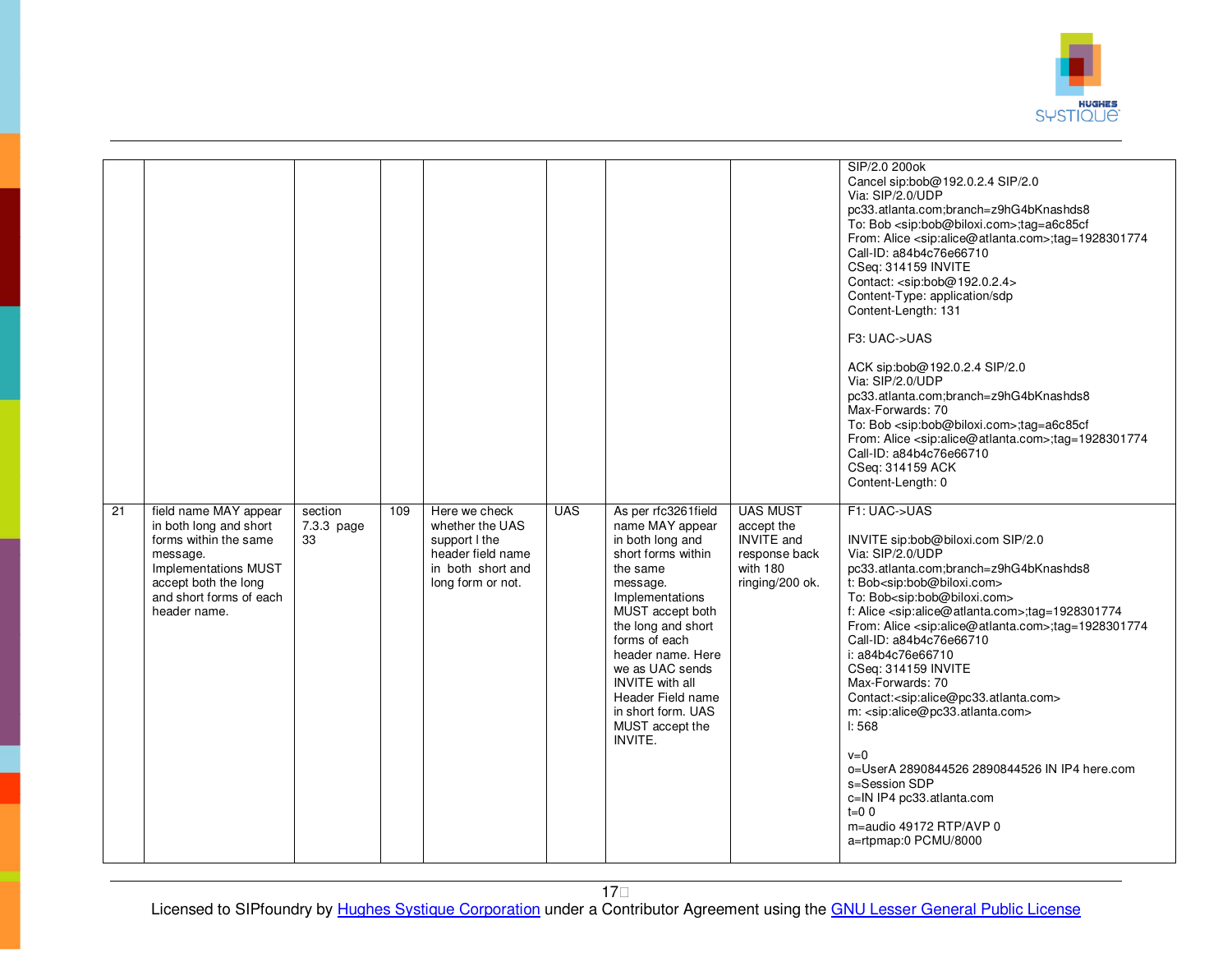

|    |                                                 |                  |     |                                  |            |                                       |                                 | SIP/2.0 200ok                                                                                                                                          |
|----|-------------------------------------------------|------------------|-----|----------------------------------|------------|---------------------------------------|---------------------------------|--------------------------------------------------------------------------------------------------------------------------------------------------------|
|    |                                                 |                  |     |                                  |            |                                       |                                 | Cancel sip:bob@192.0.2.4 SIP/2.0<br>Via: SIP/2.0/UDP                                                                                                   |
|    |                                                 |                  |     |                                  |            |                                       |                                 | pc33.atlanta.com;branch=z9hG4bKnashds8                                                                                                                 |
|    |                                                 |                  |     |                                  |            |                                       |                                 | To: Bob <sip:bob@biloxi.com>;tag=a6c85cf</sip:bob@biloxi.com>                                                                                          |
|    |                                                 |                  |     |                                  |            |                                       |                                 | From: Alice <sip:alice@atlanta.com>;tag=1928301774<br/>Call-ID: a84b4c76e66710</sip:alice@atlanta.com>                                                 |
|    |                                                 |                  |     |                                  |            |                                       |                                 | CSeq: 314159 INVITE                                                                                                                                    |
|    |                                                 |                  |     |                                  |            |                                       |                                 | Contact: <sip:bob@192.0.2.4></sip:bob@192.0.2.4>                                                                                                       |
|    |                                                 |                  |     |                                  |            |                                       |                                 | Content-Type: application/sdp                                                                                                                          |
|    |                                                 |                  |     |                                  |            |                                       |                                 | Content-Length: 131                                                                                                                                    |
|    |                                                 |                  |     |                                  |            |                                       |                                 | F3: UAC->UAS                                                                                                                                           |
|    |                                                 |                  |     |                                  |            |                                       |                                 | ACK sip:bob@192.0.2.4 SIP/2.0                                                                                                                          |
|    |                                                 |                  |     |                                  |            |                                       |                                 | Via: SIP/2.0/UDP                                                                                                                                       |
|    |                                                 |                  |     |                                  |            |                                       |                                 | pc33.atlanta.com;branch=z9hG4bKnashds8<br>Max-Forwards: 70                                                                                             |
|    |                                                 |                  |     |                                  |            |                                       |                                 | To: Bob <sip:bob@biloxi.com>;tag=a6c85cf</sip:bob@biloxi.com>                                                                                          |
|    |                                                 |                  |     |                                  |            |                                       |                                 | From: Alice <sip:alice@atlanta.com>;tag=1928301774</sip:alice@atlanta.com>                                                                             |
|    |                                                 |                  |     |                                  |            |                                       |                                 | Call-ID: a84b4c76e66710                                                                                                                                |
|    |                                                 |                  |     |                                  |            |                                       |                                 | CSeq: 314159 ACK                                                                                                                                       |
|    |                                                 |                  |     |                                  |            |                                       |                                 | Content-Length: 0                                                                                                                                      |
| 21 | field name MAY appear                           | section          | 109 | Here we check                    | <b>UAS</b> | As per rfc3261field                   | <b>UAS MUST</b>                 | F1: UAC->UAS                                                                                                                                           |
|    | in both long and short<br>forms within the same | 7.3.3 page<br>33 |     | whether the UAS<br>support I the |            | name MAY appear<br>in both long and   | accept the<br><b>INVITE</b> and | INVITE sip:bob@biloxi.com SIP/2.0                                                                                                                      |
|    | message.                                        |                  |     | header field name                |            | short forms within                    | response back                   | Via: SIP/2.0/UDP                                                                                                                                       |
|    | Implementations MUST                            |                  |     | in both short and                |            | the same                              | with 180                        | pc33.atlanta.com;branch=z9hG4bKnashds8                                                                                                                 |
|    | accept both the long                            |                  |     | long form or not.                |            | message.                              | ringing/200 ok.                 | t: Bob <sip:bob@biloxi.com></sip:bob@biloxi.com>                                                                                                       |
|    | and short forms of each<br>header name.         |                  |     |                                  |            | Implementations<br>MUST accept both   |                                 | To: Bob <sip:bob@biloxi.com></sip:bob@biloxi.com>                                                                                                      |
|    |                                                 |                  |     |                                  |            | the long and short                    |                                 | f: Alice <sip:alice@atlanta.com>;tag=1928301774<br/>From: Alice <sip:alice@atlanta.com>;tag=1928301774</sip:alice@atlanta.com></sip:alice@atlanta.com> |
|    |                                                 |                  |     |                                  |            | forms of each                         |                                 | Call-ID: a84b4c76e66710                                                                                                                                |
|    |                                                 |                  |     |                                  |            | header name. Here                     |                                 | i: a84b4c76e66710                                                                                                                                      |
|    |                                                 |                  |     |                                  |            | we as UAC sends                       |                                 | CSeq: 314159 INVITE                                                                                                                                    |
|    |                                                 |                  |     |                                  |            | <b>INVITE</b> with all                |                                 | Max-Forwards: 70                                                                                                                                       |
|    |                                                 |                  |     |                                  |            | Header Field name                     |                                 | Contact: <sip:alice@pc33.atlanta.com></sip:alice@pc33.atlanta.com>                                                                                     |
|    |                                                 |                  |     |                                  |            | in short form. UAS<br>MUST accept the |                                 | m: <sip:alice@pc33.atlanta.com><br/>I: 568</sip:alice@pc33.atlanta.com>                                                                                |
|    |                                                 |                  |     |                                  |            | INVITE.                               |                                 |                                                                                                                                                        |
|    |                                                 |                  |     |                                  |            |                                       |                                 | $v=0$                                                                                                                                                  |
|    |                                                 |                  |     |                                  |            |                                       |                                 | o=UserA 2890844526 2890844526 IN IP4 here.com                                                                                                          |
|    |                                                 |                  |     |                                  |            |                                       |                                 | s=Session SDP<br>c=IN IP4 pc33.atlanta.com                                                                                                             |
|    |                                                 |                  |     |                                  |            |                                       |                                 | $t=0$ 0                                                                                                                                                |
|    |                                                 |                  |     |                                  |            |                                       |                                 |                                                                                                                                                        |
|    |                                                 |                  |     |                                  |            |                                       |                                 | m=audio 49172 RTP/AVP 0                                                                                                                                |
|    |                                                 |                  |     |                                  |            |                                       |                                 | a=rtpmap:0 PCMU/8000                                                                                                                                   |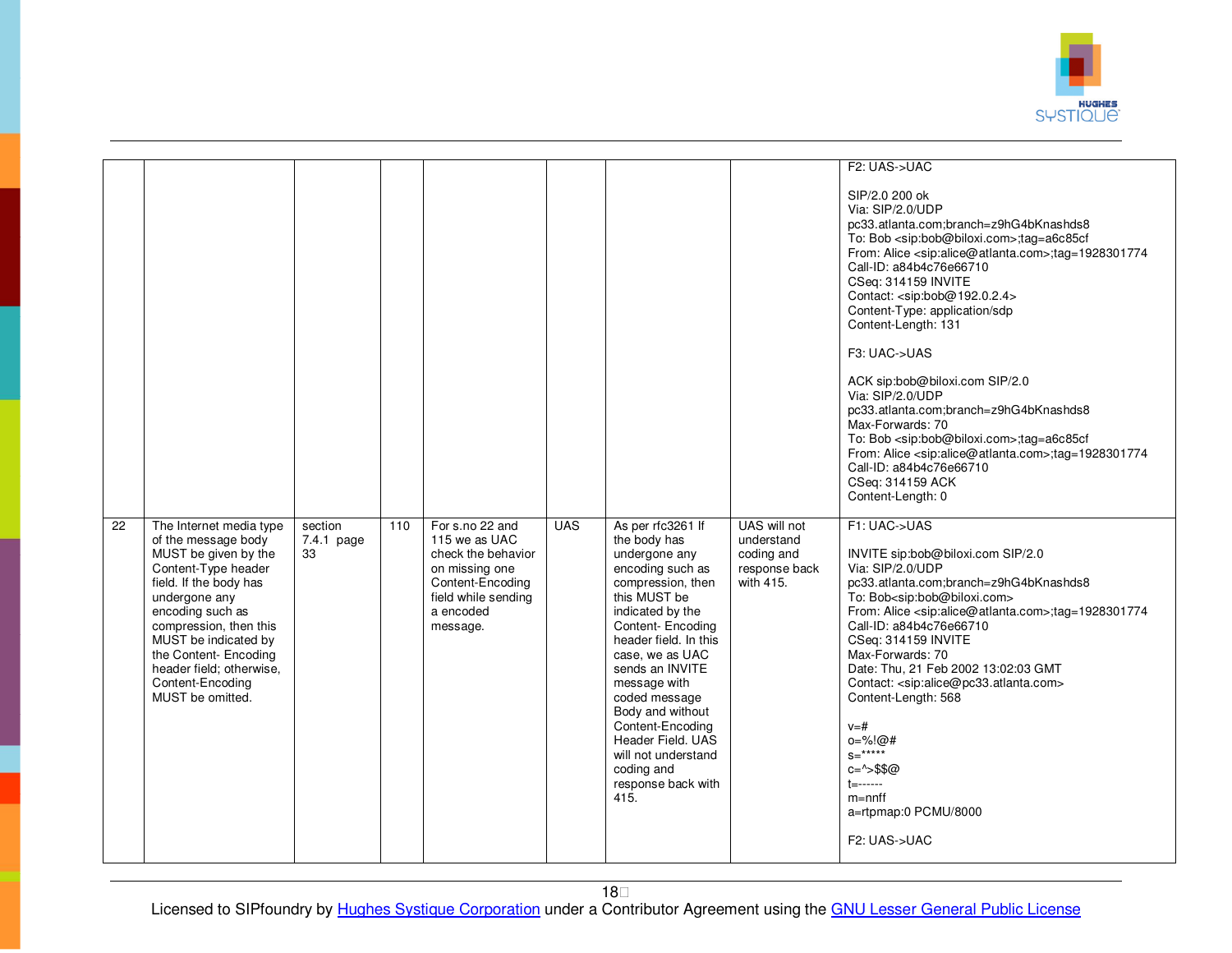

| 22 | The Internet media type<br>of the message body<br>MUST be given by the<br>Content-Type header<br>field. If the body has<br>undergone any<br>encoding such as<br>compression, then this | section<br>$7.4.1$ page<br>33 | 110 | For s.no 22 and<br>115 we as UAC<br>check the behavior<br>on missing one<br>Content-Encoding<br>field while sending<br>a encoded<br>message. | <b>UAS</b> | As per rfc3261 If<br>the body has<br>undergone any<br>encoding such as<br>compression, then<br>this MUST be<br>indicated by the<br>Content-Encoding                                                                          | UAS will not<br>understand<br>coding and<br>response back<br>with 415. | F2: UAS->UAC<br>SIP/2.0 200 ok<br>Via: SIP/2.0/UDP<br>pc33.atlanta.com;branch=z9hG4bKnashds8<br>To: Bob <sip:bob@biloxi.com>;tag=a6c85cf<br/>From: Alice <sip:alice@atlanta.com>;tag=1928301774<br/>Call-ID: a84b4c76e66710<br/>CSeq: 314159 INVITE<br/>Contact: <sip:bob@192.0.2.4><br/>Content-Type: application/sdp<br/>Content-Length: 131<br/>F3: UAC-&gt;UAS<br/>ACK sip:bob@biloxi.com SIP/2.0<br/>Via: SIP/2.0/UDP<br/>pc33.atlanta.com;branch=z9hG4bKnashds8<br/>Max-Forwards: 70<br/>To: Bob <sip:bob@biloxi.com>;tag=a6c85cf<br/>From: Alice <sip:alice@atlanta.com>;tag=1928301774<br/>Call-ID: a84b4c76e66710<br/>CSeq: 314159 ACK<br/>Content-Length: 0<br/>F1: UAC-&gt;UAS<br/>INVITE sip:bob@biloxi.com SIP/2.0<br/>Via: SIP/2.0/UDP<br/>pc33.atlanta.com;branch=z9hG4bKnashds8<br/>To: Bob<sip:bob@biloxi.com><br/>From: Alice <sip:alice@atlanta.com>;tag=1928301774<br/>Call-ID: a84b4c76e66710</sip:alice@atlanta.com></sip:bob@biloxi.com></sip:alice@atlanta.com></sip:bob@biloxi.com></sip:bob@192.0.2.4></sip:alice@atlanta.com></sip:bob@biloxi.com> |
|----|----------------------------------------------------------------------------------------------------------------------------------------------------------------------------------------|-------------------------------|-----|----------------------------------------------------------------------------------------------------------------------------------------------|------------|------------------------------------------------------------------------------------------------------------------------------------------------------------------------------------------------------------------------------|------------------------------------------------------------------------|-------------------------------------------------------------------------------------------------------------------------------------------------------------------------------------------------------------------------------------------------------------------------------------------------------------------------------------------------------------------------------------------------------------------------------------------------------------------------------------------------------------------------------------------------------------------------------------------------------------------------------------------------------------------------------------------------------------------------------------------------------------------------------------------------------------------------------------------------------------------------------------------------------------------------------------------------------------------------------------------------------------------------------------------------------------------------------|
|    | MUST be indicated by<br>the Content- Encoding<br>header field; otherwise,<br>Content-Encoding<br>MUST be omitted.                                                                      |                               |     |                                                                                                                                              |            | header field. In this<br>case, we as UAC<br>sends an INVITE<br>message with<br>coded message<br>Body and without<br>Content-Encoding<br>Header Field, UAS<br>will not understand<br>coding and<br>response back with<br>415. |                                                                        | CSeq: 314159 INVITE<br>Max-Forwards: 70<br>Date: Thu, 21 Feb 2002 13:02:03 GMT<br>Contact: <sip:alice@pc33.atlanta.com><br/>Content-Length: 568<br/><math>V = #</math><br/><math>0 = \% (0)</math>#<br/><math>s = \frac{***}{*}</math><br/><math>c = \frac{1}{5}</math>\$\$@<br/><math>t =</math>-------<br/><math>m = nnf</math><br/>a=rtpmap:0 PCMU/8000<br/>F2: UAS-&gt;UAC</sip:alice@pc33.atlanta.com>                                                                                                                                                                                                                                                                                                                                                                                                                                                                                                                                                                                                                                                                   |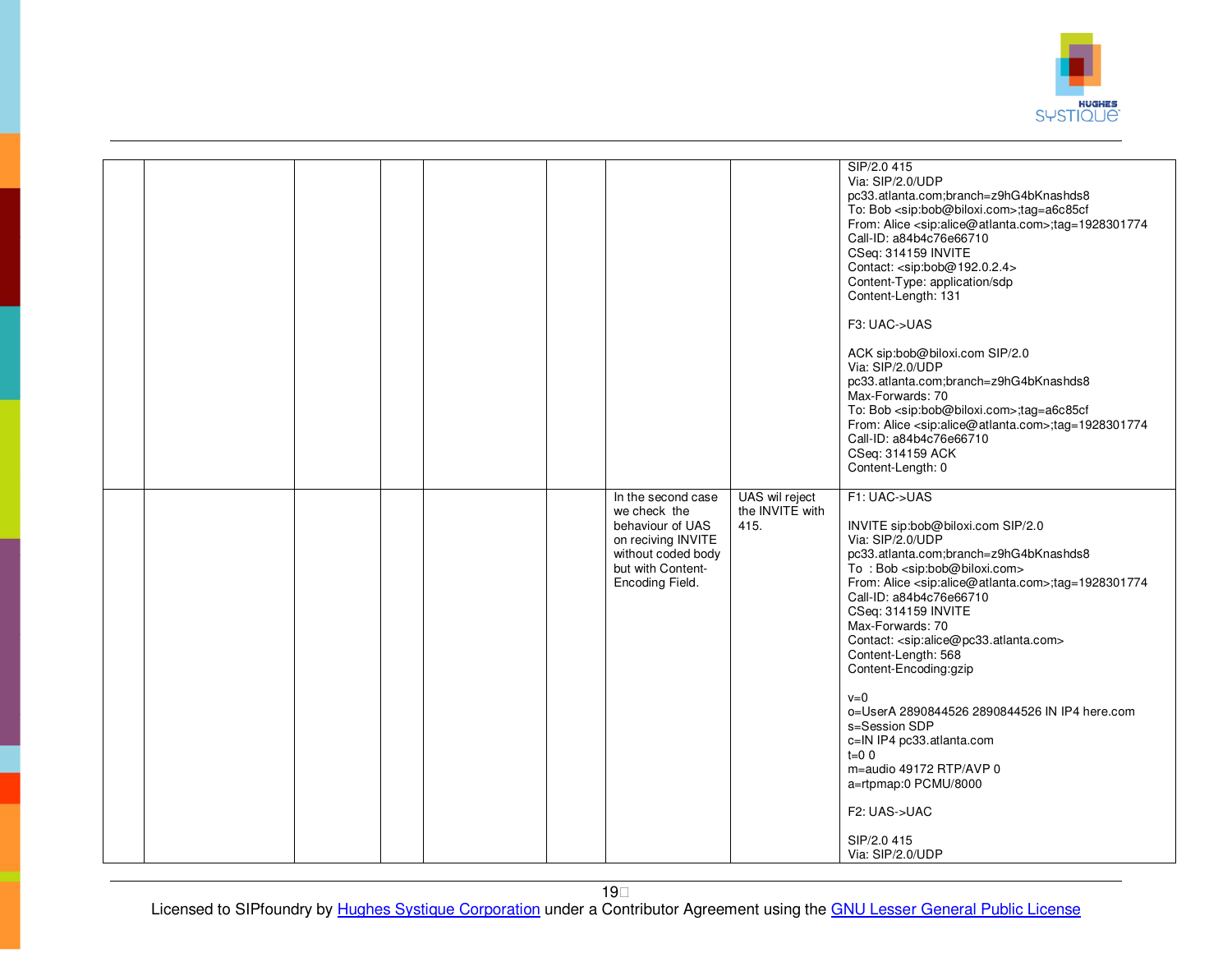

|  |                                                                                                                                                                                         | SIP/2.0 415<br>Via: SIP/2.0/UDP<br>pc33.atlanta.com;branch=z9hG4bKnashds8<br>To: Bob <sip:bob@biloxi.com>;tag=a6c85cf<br/>From: Alice <sip:alice@atlanta.com>;tag=1928301774<br/>Call-ID: a84b4c76e66710<br/>CSeq: 314159 INVITE<br/>Contact: <sip:bob@192.0.2.4><br/>Content-Type: application/sdp<br/>Content-Length: 131<br/>F3: UAC-&gt;UAS<br/>ACK sip:bob@biloxi.com SIP/2.0<br/>Via: SIP/2.0/UDP<br/>pc33.atlanta.com;branch=z9hG4bKnashds8</sip:bob@192.0.2.4></sip:alice@atlanta.com></sip:bob@biloxi.com>                                                                                                                                                          |
|--|-----------------------------------------------------------------------------------------------------------------------------------------------------------------------------------------|------------------------------------------------------------------------------------------------------------------------------------------------------------------------------------------------------------------------------------------------------------------------------------------------------------------------------------------------------------------------------------------------------------------------------------------------------------------------------------------------------------------------------------------------------------------------------------------------------------------------------------------------------------------------------|
|  |                                                                                                                                                                                         | Max-Forwards: 70<br>To: Bob <sip:bob@biloxi.com>;tag=a6c85cf<br/>From: Alice <sip:alice@atlanta.com>;tag=1928301774<br/>Call-ID: a84b4c76e66710<br/>CSeq: 314159 ACK<br/>Content-Length: 0</sip:alice@atlanta.com></sip:bob@biloxi.com>                                                                                                                                                                                                                                                                                                                                                                                                                                      |
|  | UAS wil reject<br>In the second case<br>we check the<br>the INVITE with<br>behaviour of UAS<br>415.<br>on reciving INVITE<br>without coded body<br>but with Content-<br>Encoding Field. | F1: UAC->UAS<br>INVITE sip:bob@biloxi.com SIP/2.0<br>Via: SIP/2.0/UDP<br>pc33.atlanta.com;branch=z9hG4bKnashds8<br>To: Bob <sip:bob@biloxi.com><br/>From: Alice <sip:alice@atlanta.com>;tag=1928301774<br/>Call-ID: a84b4c76e66710<br/>CSeq: 314159 INVITE<br/>Max-Forwards: 70<br/>Contact: <sip:alice@pc33.atlanta.com><br/>Content-Length: 568<br/>Content-Encoding:gzip<br/><math>v=0</math><br/>o=UserA 2890844526 2890844526 IN IP4 here.com<br/>s=Session SDP<br/>c=IN IP4 pc33.atlanta.com<br/><math>t=0</math> 0<br/>m=audio 49172 RTP/AVP 0<br/>a=rtpmap:0 PCMU/8000<br/>F2: UAS-&gt;UAC</sip:alice@pc33.atlanta.com></sip:alice@atlanta.com></sip:bob@biloxi.com> |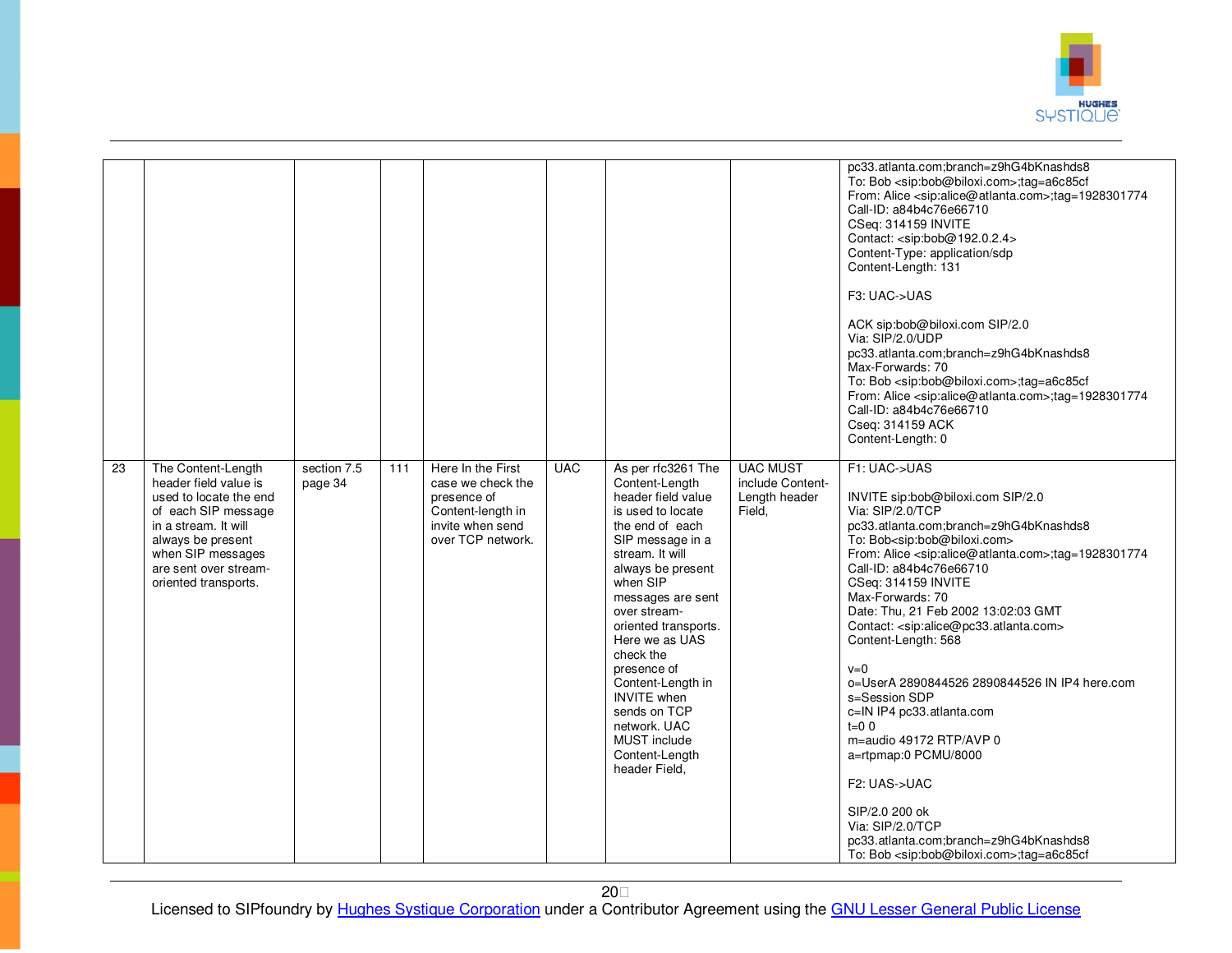

|    |                                                                                                                                                                                                                 |                        |     |                                                                                                                     |            |                                                                                                                                                                                                                                                                                                                                                                                                                            |                                                                | pc33.atlanta.com;branch=z9hG4bKnashds8<br>To: Bob <sip:bob@biloxi.com>;tag=a6c85cf<br/>From: Alice <sip:alice@atlanta.com>;tag=1928301774<br/>Call-ID: a84b4c76e66710<br/>CSeq: 314159 INVITE<br/>Contact: <sip:bob@192.0.2.4><br/>Content-Type: application/sdp<br/>Content-Length: 131<br/>F3: UAC-&gt;UAS<br/>ACK sip:bob@biloxi.com SIP/2.0<br/>Via: SIP/2.0/UDP<br/>pc33.atlanta.com;branch=z9hG4bKnashds8<br/>Max-Forwards: 70<br/>To: Bob <sip:bob@biloxi.com>;tag=a6c85cf<br/>From: Alice <sip:alice@atlanta.com>;tag=1928301774<br/>Call-ID: a84b4c76e66710<br/>Cseq: 314159 ACK<br/>Content-Length: 0</sip:alice@atlanta.com></sip:bob@biloxi.com></sip:bob@192.0.2.4></sip:alice@atlanta.com></sip:bob@biloxi.com>                                                                                                                   |
|----|-----------------------------------------------------------------------------------------------------------------------------------------------------------------------------------------------------------------|------------------------|-----|---------------------------------------------------------------------------------------------------------------------|------------|----------------------------------------------------------------------------------------------------------------------------------------------------------------------------------------------------------------------------------------------------------------------------------------------------------------------------------------------------------------------------------------------------------------------------|----------------------------------------------------------------|-------------------------------------------------------------------------------------------------------------------------------------------------------------------------------------------------------------------------------------------------------------------------------------------------------------------------------------------------------------------------------------------------------------------------------------------------------------------------------------------------------------------------------------------------------------------------------------------------------------------------------------------------------------------------------------------------------------------------------------------------------------------------------------------------------------------------------------------------|
| 23 | The Content-Length<br>header field value is<br>used to locate the end<br>of each SIP message<br>in a stream. It will<br>always be present<br>when SIP messages<br>are sent over stream-<br>oriented transports. | section 7.5<br>page 34 | 111 | Here In the First<br>case we check the<br>presence of<br>Content-length in<br>invite when send<br>over TCP network. | <b>UAC</b> | As per rfc3261 The<br>Content-Length<br>header field value<br>is used to locate<br>the end of each<br>SIP message in a<br>stream. It will<br>always be present<br>when SIP<br>messages are sent<br>over stream-<br>oriented transports.<br>Here we as UAS<br>check the<br>presence of<br>Content-Length in<br><b>INVITE</b> when<br>sends on TCP<br>network. UAC<br><b>MUST</b> include<br>Content-Length<br>header Field, | <b>UAC MUST</b><br>include Content-<br>Length header<br>Field. | F1: UAC->UAS<br>INVITE sip:bob@biloxi.com SIP/2.0<br>Via: SIP/2.0/TCP<br>pc33.atlanta.com;branch=z9hG4bKnashds8<br>To: Bob <sip:bob@biloxi.com><br/>From: Alice <sip:alice@atlanta.com>;tag=1928301774<br/>Call-ID: a84b4c76e66710<br/>CSeq: 314159 INVITE<br/>Max-Forwards: 70<br/>Date: Thu, 21 Feb 2002 13:02:03 GMT<br/>Contact: <sip:alice@pc33.atlanta.com><br/>Content-Length: 568<br/><math>v=0</math><br/>o=UserA 2890844526 2890844526 IN IP4 here.com<br/>s=Session SDP<br/>c=IN IP4 pc33.atlanta.com<br/><math>t=0</math> 0<br/>m=audio 49172 RTP/AVP 0<br/>a=rtpmap:0 PCMU/8000<br/>F2: UAS-&gt;UAC<br/>SIP/2.0 200 ok<br/>Via: SIP/2.0/TCP<br/>pc33.atlanta.com;branch=z9hG4bKnashds8<br/>To: Bob <sip:bob@biloxi.com>;tag=a6c85cf</sip:bob@biloxi.com></sip:alice@pc33.atlanta.com></sip:alice@atlanta.com></sip:bob@biloxi.com> |

20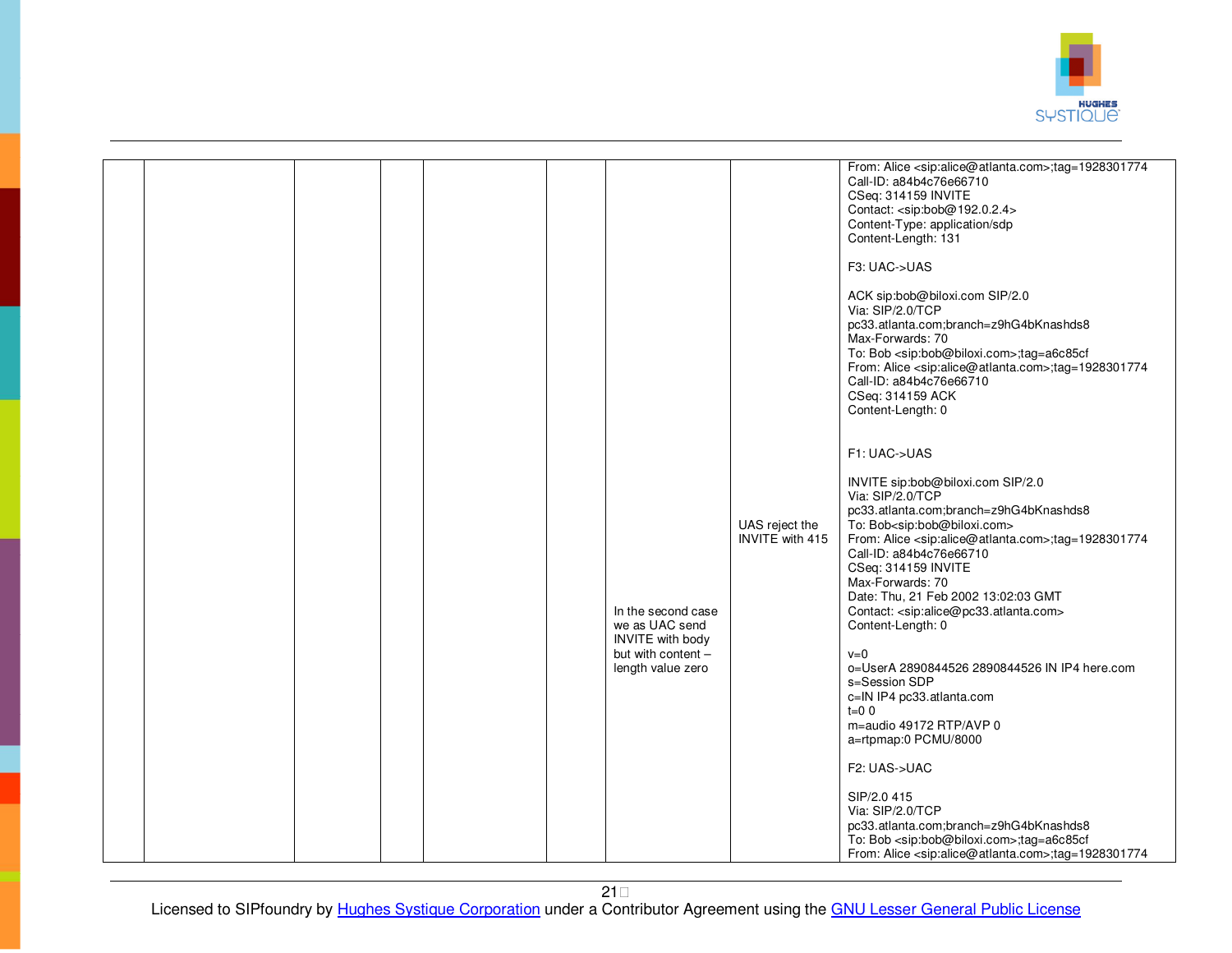

|  |  |  | In the second case<br>we as UAC send<br><b>INVITE</b> with body<br>but with content -<br>length value zero | UAS reject the<br>INVITE with 415 | From: Alice <sip:alice@atlanta.com>;tag=1928301774<br/>Call-ID: a84b4c76e66710<br/>CSeq: 314159 INVITE<br/>Contact: <sip:bob@192.0.2.4><br/>Content-Type: application/sdp<br/>Content-Length: 131<br/>F3: UAC-&gt;UAS<br/>ACK sip:bob@biloxi.com SIP/2.0<br/>Via: SIP/2.0/TCP<br/>pc33.atlanta.com;branch=z9hG4bKnashds8<br/>Max-Forwards: 70<br/>To: Bob <sip:bob@biloxi.com>;tag=a6c85cf<br/>From: Alice <sip:alice@atlanta.com>;tag=1928301774<br/>Call-ID: a84b4c76e66710<br/>CSeq: 314159 ACK<br/>Content-Length: 0<br/>F1: UAC-&gt;UAS<br/>INVITE sip:bob@biloxi.com SIP/2.0<br/>Via: SIP/2.0/TCP<br/>pc33.atlanta.com;branch=z9hG4bKnashds8<br/>To: Bob<sip:bob@biloxi.com><br/>From: Alice <sip:alice@atlanta.com>;tag=1928301774<br/>Call-ID: a84b4c76e66710<br/>CSeq: 314159 INVITE<br/>Max-Forwards: 70<br/>Date: Thu, 21 Feb 2002 13:02:03 GMT<br/>Contact: <sip:alice@pc33.atlanta.com><br/>Content-Length: 0<br/><math>v=0</math><br/>o=UserA 2890844526 2890844526 IN IP4 here.com<br/>s=Session SDP<br/>c=IN IP4 pc33.atlanta.com<br/><math>t=0</math> 0<br/>m=audio 49172 RTP/AVP 0<br/>a=rtpmap:0 PCMU/8000<br/>F2: UAS-&gt;UAC<br/>SIP/2.0 415<br/>Via: SIP/2.0/TCP<br/>pc33.atlanta.com;branch=z9hG4bKnashds8<br/>To: Bob <sip:bob@biloxi.com>;tag=a6c85cf<br/>From: Alice <sip:alice@atlanta.com>;tag=1928301774</sip:alice@atlanta.com></sip:bob@biloxi.com></sip:alice@pc33.atlanta.com></sip:alice@atlanta.com></sip:bob@biloxi.com></sip:alice@atlanta.com></sip:bob@biloxi.com></sip:bob@192.0.2.4></sip:alice@atlanta.com> |
|--|--|--|------------------------------------------------------------------------------------------------------------|-----------------------------------|-------------------------------------------------------------------------------------------------------------------------------------------------------------------------------------------------------------------------------------------------------------------------------------------------------------------------------------------------------------------------------------------------------------------------------------------------------------------------------------------------------------------------------------------------------------------------------------------------------------------------------------------------------------------------------------------------------------------------------------------------------------------------------------------------------------------------------------------------------------------------------------------------------------------------------------------------------------------------------------------------------------------------------------------------------------------------------------------------------------------------------------------------------------------------------------------------------------------------------------------------------------------------------------------------------------------------------------------------------------------------------------------------------------------------------------------------------------------------------------------------------------------------------------------------------|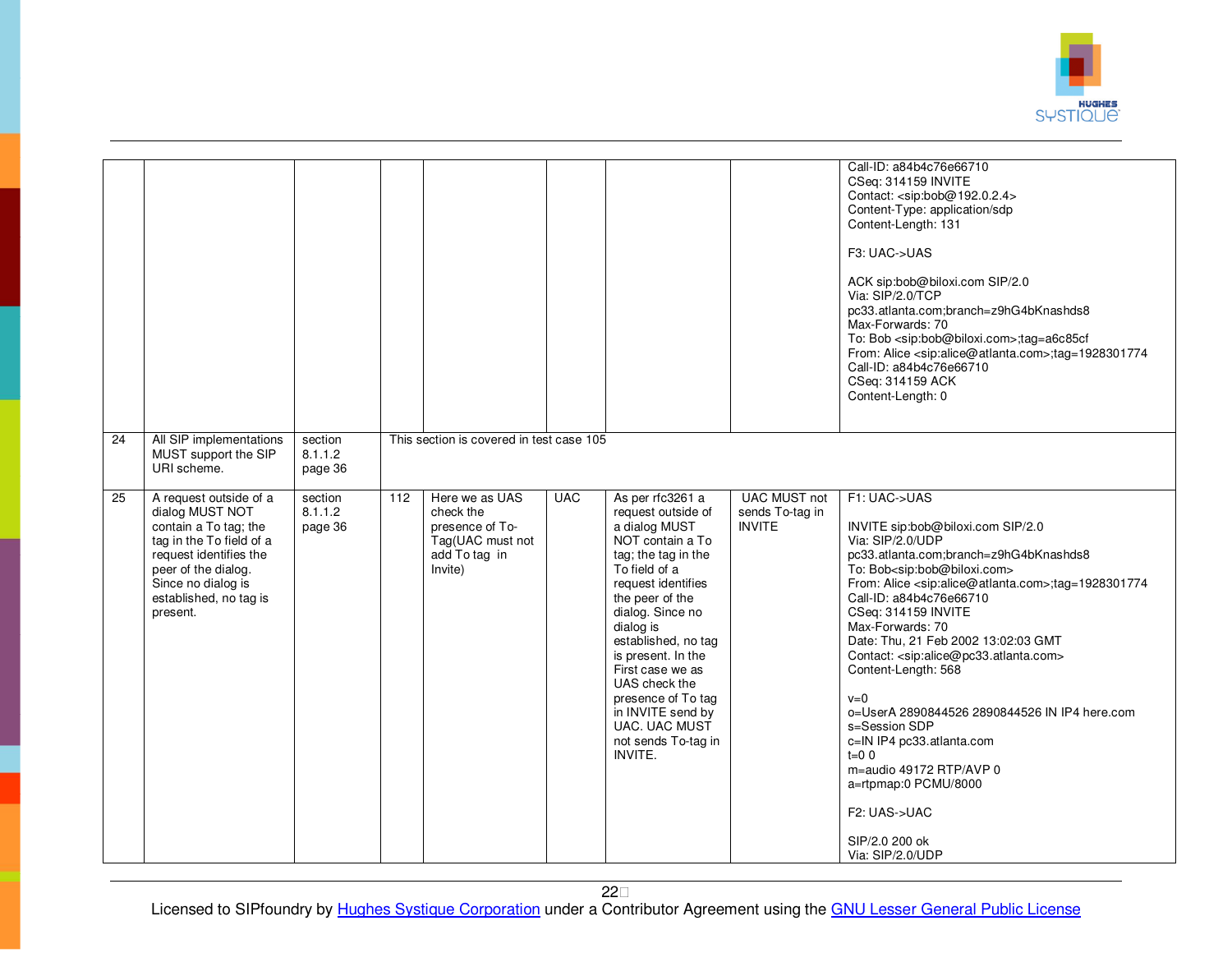

|                 |                                                                                                                                                                                                             |                               |     |                                                                                                |            |                                                                                                                                                                                                                                                                                                                                                                                             |                                                         | Call-ID: a84b4c76e66710<br>CSeq: 314159 INVITE<br>Contact: <sip:bob@192.0.2.4><br/>Content-Type: application/sdp<br/>Content-Length: 131<br/>F3: UAC-&gt;UAS<br/>ACK sip:bob@biloxi.com SIP/2.0<br/>Via: SIP/2.0/TCP<br/>pc33.atlanta.com;branch=z9hG4bKnashds8<br/>Max-Forwards: 70<br/>To: Bob <sip:bob@biloxi.com>;tag=a6c85cf<br/>From: Alice <sip:alice@atlanta.com>;tag=1928301774<br/>Call-ID: a84b4c76e66710<br/>CSeq: 314159 ACK<br/>Content-Length: 0</sip:alice@atlanta.com></sip:bob@biloxi.com></sip:bob@192.0.2.4>                                                                                                                                                                                                   |
|-----------------|-------------------------------------------------------------------------------------------------------------------------------------------------------------------------------------------------------------|-------------------------------|-----|------------------------------------------------------------------------------------------------|------------|---------------------------------------------------------------------------------------------------------------------------------------------------------------------------------------------------------------------------------------------------------------------------------------------------------------------------------------------------------------------------------------------|---------------------------------------------------------|------------------------------------------------------------------------------------------------------------------------------------------------------------------------------------------------------------------------------------------------------------------------------------------------------------------------------------------------------------------------------------------------------------------------------------------------------------------------------------------------------------------------------------------------------------------------------------------------------------------------------------------------------------------------------------------------------------------------------------|
| 24              | All SIP implementations<br>MUST support the SIP<br>URI scheme.                                                                                                                                              | section<br>8.1.1.2<br>page 36 |     | This section is covered in test case 105                                                       |            |                                                                                                                                                                                                                                                                                                                                                                                             |                                                         |                                                                                                                                                                                                                                                                                                                                                                                                                                                                                                                                                                                                                                                                                                                                    |
| $\overline{25}$ | A request outside of a<br>dialog MUST NOT<br>contain a To tag; the<br>tag in the To field of a<br>request identifies the<br>peer of the dialog.<br>Since no dialog is<br>established, no tag is<br>present. | section<br>8.1.1.2<br>page 36 | 112 | Here we as UAS<br>check the<br>presence of To-<br>Tag(UAC must not<br>add To tag in<br>Invite) | <b>UAC</b> | As per rfc3261 a<br>request outside of<br>a dialog MUST<br>NOT contain a To<br>tag; the tag in the<br>To field of a<br>request identifies<br>the peer of the<br>dialog. Since no<br>dialog is<br>established, no tag<br>is present. In the<br>First case we as<br>UAS check the<br>presence of To tag<br>in INVITE send by<br><b>UAC. UAC MUST</b><br>not sends To-tag in<br><b>INVITE.</b> | <b>UAC MUST not</b><br>sends To-tag in<br><b>INVITE</b> | F1: UAC->UAS<br>INVITE sip:bob@biloxi.com SIP/2.0<br>Via: SIP/2.0/UDP<br>pc33.atlanta.com;branch=z9hG4bKnashds8<br>To: Bob <sip:bob@biloxi.com><br/>From: Alice <sip:alice@atlanta.com>;tag=1928301774<br/>Call-ID: a84b4c76e66710<br/>CSeq: 314159 INVITE<br/>Max-Forwards: 70<br/>Date: Thu, 21 Feb 2002 13:02:03 GMT<br/>Contact: <sip:alice@pc33.atlanta.com><br/>Content-Length: 568<br/><math>v=0</math><br/>o=UserA 2890844526 2890844526 IN IP4 here.com<br/>s=Session SDP<br/>c=IN IP4 pc33.atlanta.com<br/><math>t=0</math> 0<br/>m=audio 49172 RTP/AVP 0<br/>a=rtpmap:0 PCMU/8000<br/>F2: UAS-&gt;UAC<br/>SIP/2.0 200 ok<br/>Via: SIP/2.0/UDP</sip:alice@pc33.atlanta.com></sip:alice@atlanta.com></sip:bob@biloxi.com> |

22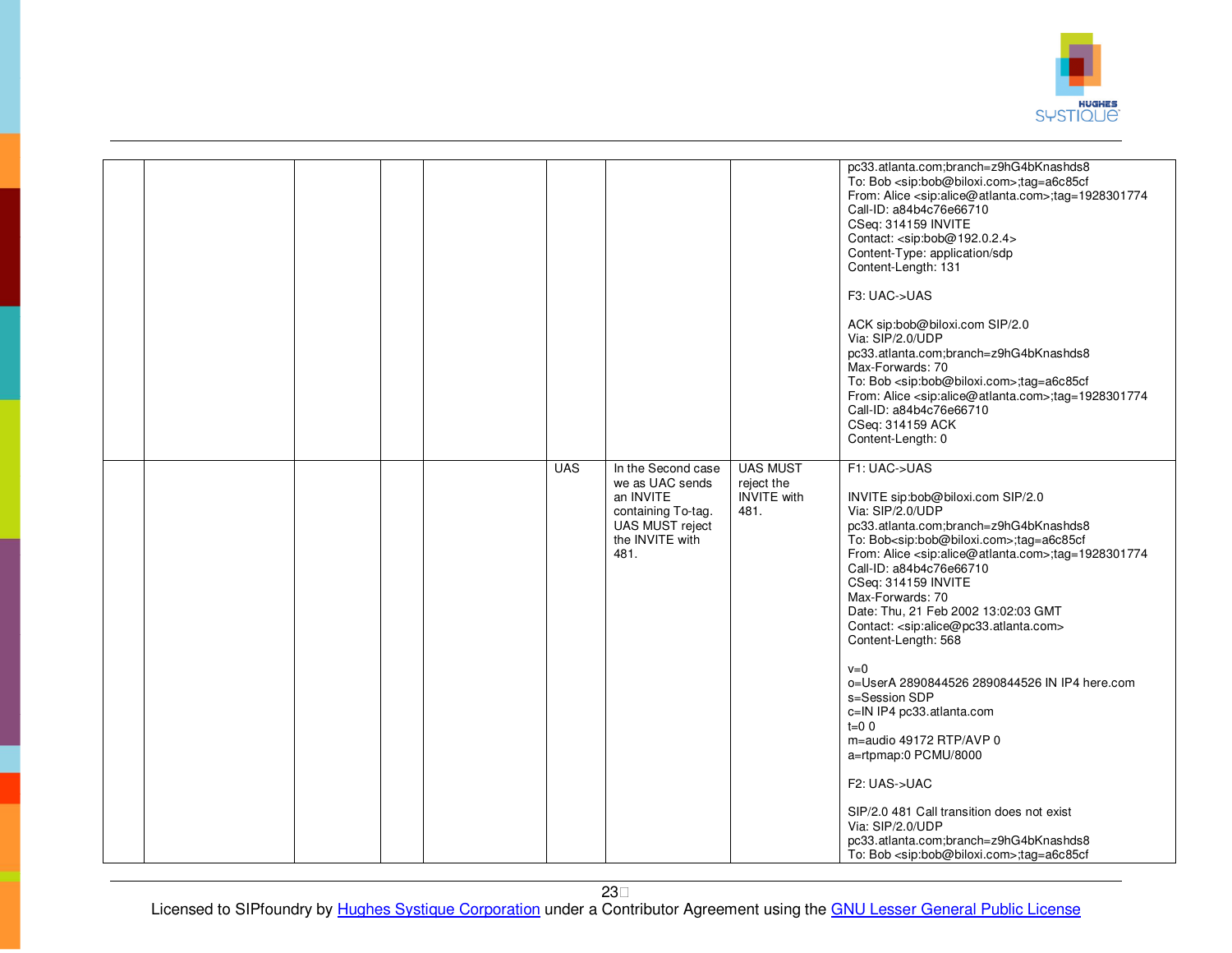

|  |  |            |                                                                                                                        |                                                             | pc33.atlanta.com;branch=z9hG4bKnashds8<br>To: Bob <sip:bob@biloxi.com>;tag=a6c85cf<br/>From: Alice <sip:alice@atlanta.com>;tag=1928301774<br/>Call-ID: a84b4c76e66710<br/>CSeq: 314159 INVITE<br/>Contact: <sip:bob@192.0.2.4><br/>Content-Type: application/sdp<br/>Content-Length: 131<br/>F3: UAC-&gt;UAS<br/>ACK sip:bob@biloxi.com SIP/2.0<br/>Via: SIP/2.0/UDP<br/>pc33.atlanta.com;branch=z9hG4bKnashds8<br/>Max-Forwards: 70<br/>To: Bob <sip:bob@biloxi.com>;tag=a6c85cf<br/>From: Alice <sip:alice@atlanta.com>;tag=1928301774<br/>Call-ID: a84b4c76e66710<br/>CSeq: 314159 ACK<br/>Content-Length: 0</sip:alice@atlanta.com></sip:bob@biloxi.com></sip:bob@192.0.2.4></sip:alice@atlanta.com></sip:bob@biloxi.com>                                                                                                                                                           |
|--|--|------------|------------------------------------------------------------------------------------------------------------------------|-------------------------------------------------------------|-----------------------------------------------------------------------------------------------------------------------------------------------------------------------------------------------------------------------------------------------------------------------------------------------------------------------------------------------------------------------------------------------------------------------------------------------------------------------------------------------------------------------------------------------------------------------------------------------------------------------------------------------------------------------------------------------------------------------------------------------------------------------------------------------------------------------------------------------------------------------------------------|
|  |  | <b>UAS</b> | In the Second case<br>we as UAC sends<br>an INVITE<br>containing To-tag.<br>UAS MUST reject<br>the INVITE with<br>481. | <b>UAS MUST</b><br>reject the<br><b>INVITE</b> with<br>481. | F1: UAC->UAS<br>INVITE sip:bob@biloxi.com SIP/2.0<br>Via: SIP/2.0/UDP<br>pc33.atlanta.com;branch=z9hG4bKnashds8<br>To: Bob <sip:bob@biloxi.com>;tag=a6c85cf<br/>From: Alice <sip:alice@atlanta.com>;tag=1928301774<br/>Call-ID: a84b4c76e66710<br/>CSeq: 314159 INVITE<br/>Max-Forwards: 70<br/>Date: Thu, 21 Feb 2002 13:02:03 GMT<br/>Contact: <sip:alice@pc33.atlanta.com><br/>Content-Length: 568<br/><math>v=0</math><br/>0=UserA 2890844526 2890844526 IN IP4 here.com<br/>s=Session SDP<br/>c=IN IP4 pc33.atlanta.com<br/><math>t=0</math> 0<br/>m=audio 49172 RTP/AVP 0<br/>a=rtpmap:0 PCMU/8000<br/>F2: UAS-&gt;UAC<br/>SIP/2.0 481 Call transition does not exist<br/>Via: SIP/2.0/UDP<br/>pc33.atlanta.com;branch=z9hG4bKnashds8<br/>To: Bob <sip:bob@biloxi.com>;tag=a6c85cf</sip:bob@biloxi.com></sip:alice@pc33.atlanta.com></sip:alice@atlanta.com></sip:bob@biloxi.com> |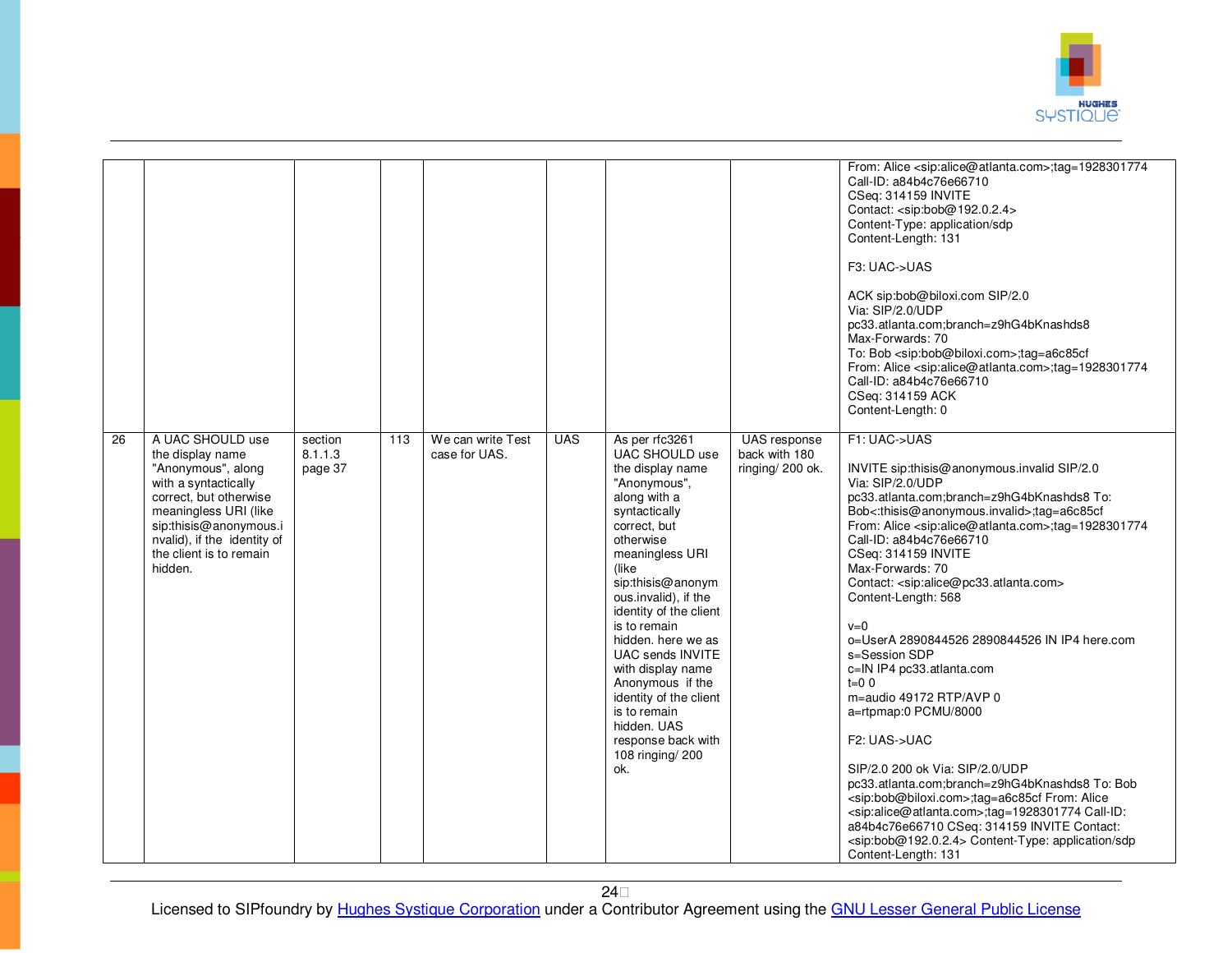

|    |                                                                                                                                                                                                                                      |                               |     |                                    |            |                                                                                                                                                                                                                                                                                                                                                                                                                                                           |                                                   | From: Alice <sip:alice@atlanta.com>;tag=1928301774<br/>Call-ID: a84b4c76e66710<br/>CSeq: 314159 INVITE<br/>Contact: <sip:bob@192.0.2.4><br/>Content-Type: application/sdp<br/>Content-Length: 131<br/>F3: UAC-&gt;UAS<br/>ACK sip:bob@biloxi.com SIP/2.0<br/>Via: SIP/2.0/UDP<br/>pc33.atlanta.com;branch=z9hG4bKnashds8<br/>Max-Forwards: 70<br/>To: Bob <sip:bob@biloxi.com>;tag=a6c85cf<br/>From: Alice <sip:alice@atlanta.com>;tag=1928301774<br/>Call-ID: a84b4c76e66710</sip:alice@atlanta.com></sip:bob@biloxi.com></sip:bob@192.0.2.4></sip:alice@atlanta.com>                                                                                                                                                                                                                                                                                                                                                                                                                                                                              |
|----|--------------------------------------------------------------------------------------------------------------------------------------------------------------------------------------------------------------------------------------|-------------------------------|-----|------------------------------------|------------|-----------------------------------------------------------------------------------------------------------------------------------------------------------------------------------------------------------------------------------------------------------------------------------------------------------------------------------------------------------------------------------------------------------------------------------------------------------|---------------------------------------------------|-----------------------------------------------------------------------------------------------------------------------------------------------------------------------------------------------------------------------------------------------------------------------------------------------------------------------------------------------------------------------------------------------------------------------------------------------------------------------------------------------------------------------------------------------------------------------------------------------------------------------------------------------------------------------------------------------------------------------------------------------------------------------------------------------------------------------------------------------------------------------------------------------------------------------------------------------------------------------------------------------------------------------------------------------------|
|    |                                                                                                                                                                                                                                      |                               |     |                                    |            |                                                                                                                                                                                                                                                                                                                                                                                                                                                           |                                                   | CSeq: 314159 ACK<br>Content-Length: 0                                                                                                                                                                                                                                                                                                                                                                                                                                                                                                                                                                                                                                                                                                                                                                                                                                                                                                                                                                                                               |
| 26 | A UAC SHOULD use<br>the display name<br>"Anonymous", along<br>with a syntactically<br>correct, but otherwise<br>meaningless URI (like<br>sip:thisis@anonymous.i<br>nvalid), if the identity of<br>the client is to remain<br>hidden. | section<br>8.1.1.3<br>page 37 | 113 | We can write Test<br>case for UAS. | <b>UAS</b> | As per rfc3261<br>UAC SHOULD use<br>the display name<br>"Anonymous",<br>along with a<br>syntactically<br>correct, but<br>otherwise<br>meaningless URI<br>(like<br>sip:thisis@anonym<br>ous.invalid), if the<br>identity of the client<br>is to remain<br>hidden. here we as<br><b>UAC sends INVITE</b><br>with display name<br>Anonymous if the<br>identity of the client<br>is to remain<br>hidden. UAS<br>response back with<br>108 ringing/ 200<br>ok. | UAS response<br>back with 180<br>ringing/ 200 ok. | F1: UAC->UAS<br>INVITE sip:thisis@anonymous.invalid SIP/2.0<br>Via: SIP/2.0/UDP<br>pc33.atlanta.com;branch=z9hG4bKnashds8 To:<br>Bob<:thisis@anonymous.invalid>;tag=a6c85cf<br>From: Alice <sip:alice@atlanta.com>;tag=1928301774<br/>Call-ID: a84b4c76e66710<br/>CSeq: 314159 INVITE<br/>Max-Forwards: 70<br/>Contact: <sip:alice@pc33.atlanta.com><br/>Content-Length: 568<br/><math>v=0</math><br/>o=UserA 2890844526 2890844526 IN IP4 here.com<br/>s=Session SDP<br/>c=IN IP4 pc33.atlanta.com<br/><math>t=0</math> 0<br/>m=audio 49172 RTP/AVP 0<br/>a=rtpmap:0 PCMU/8000<br/>F2: UAS-&gt;UAC<br/>SIP/2.0 200 ok Via: SIP/2.0/UDP<br/>pc33.atlanta.com;branch=z9hG4bKnashds8 To: Bob<br/><sip:bob@biloxi.com>;tag=a6c85cf From: Alice<br/><sip:alice@atlanta.com>;tag=1928301774 Call-ID:<br/>a84b4c76e66710 CSeq: 314159 INVITE Contact:<br/><sip:bob@192.0.2.4> Content-Type: application/sdp<br/>Content-Length: 131</sip:bob@192.0.2.4></sip:alice@atlanta.com></sip:bob@biloxi.com></sip:alice@pc33.atlanta.com></sip:alice@atlanta.com> |

24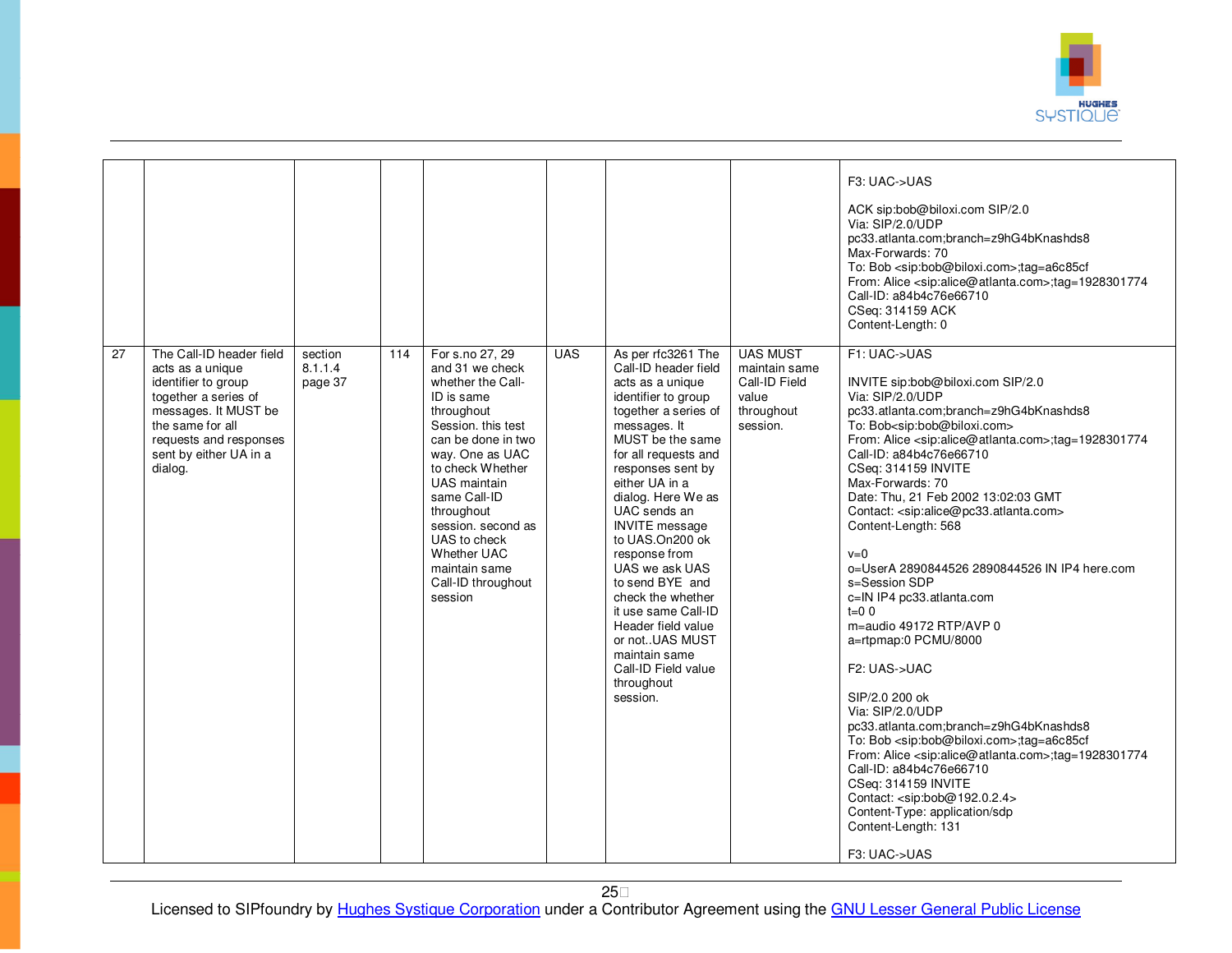

|                 |                                                                                                                                                                                                        |                               |     |                                                                                                                                                                                                                                                                                                                                    |            |                                                                                                                                                                                                                                                                                                                                                                                                                                                                                                                |                                                                                      | F3: UAC->UAS<br>ACK sip:bob@biloxi.com SIP/2.0<br>Via: SIP/2.0/UDP<br>pc33.atlanta.com;branch=z9hG4bKnashds8<br>Max-Forwards: 70<br>To: Bob <sip:bob@biloxi.com>;tag=a6c85cf<br/>From: Alice <sip:alice@atlanta.com>;tag=1928301774<br/>Call-ID: a84b4c76e66710<br/>CSeq: 314159 ACK</sip:alice@atlanta.com></sip:bob@biloxi.com>                                                                                                                                                                                                                                                                                                                                                                                                                                                                                                                                                                                                                                                                                                                                                                                                          |
|-----------------|--------------------------------------------------------------------------------------------------------------------------------------------------------------------------------------------------------|-------------------------------|-----|------------------------------------------------------------------------------------------------------------------------------------------------------------------------------------------------------------------------------------------------------------------------------------------------------------------------------------|------------|----------------------------------------------------------------------------------------------------------------------------------------------------------------------------------------------------------------------------------------------------------------------------------------------------------------------------------------------------------------------------------------------------------------------------------------------------------------------------------------------------------------|--------------------------------------------------------------------------------------|--------------------------------------------------------------------------------------------------------------------------------------------------------------------------------------------------------------------------------------------------------------------------------------------------------------------------------------------------------------------------------------------------------------------------------------------------------------------------------------------------------------------------------------------------------------------------------------------------------------------------------------------------------------------------------------------------------------------------------------------------------------------------------------------------------------------------------------------------------------------------------------------------------------------------------------------------------------------------------------------------------------------------------------------------------------------------------------------------------------------------------------------|
| $\overline{27}$ | The Call-ID header field<br>acts as a unique<br>identifier to group<br>together a series of<br>messages. It MUST be<br>the same for all<br>requests and responses<br>sent by either UA in a<br>dialog. | section<br>8.1.1.4<br>page 37 | 114 | For s.no 27, 29<br>and 31 we check<br>whether the Call-<br>ID is same<br>throughout<br>Session, this test<br>can be done in two<br>way. One as UAC<br>to check Whether<br>UAS maintain<br>same Call-ID<br>throughout<br>session. second as<br>UAS to check<br><b>Whether UAC</b><br>maintain same<br>Call-ID throughout<br>session | <b>UAS</b> | As per rfc3261 The<br>Call-ID header field<br>acts as a unique<br>identifier to group<br>together a series of<br>messages. It<br>MUST be the same<br>for all requests and<br>responses sent by<br>either UA in a<br>dialog. Here We as<br>UAC sends an<br><b>INVITE</b> message<br>to UAS.On200 ok<br>response from<br>UAS we ask UAS<br>to send BYE and<br>check the whether<br>it use same Call-ID<br>Header field value<br>or notUAS MUST<br>maintain same<br>Call-ID Field value<br>throughout<br>session. | <b>UAS MUST</b><br>maintain same<br>Call-ID Field<br>value<br>throughout<br>session. | Content-Length: 0<br>F1: UAC->UAS<br>INVITE sip:bob@biloxi.com SIP/2.0<br>Via: SIP/2.0/UDP<br>pc33.atlanta.com;branch=z9hG4bKnashds8<br>To: Bob <sip:bob@biloxi.com><br/>From: Alice <sip:alice@atlanta.com>;tag=1928301774<br/>Call-ID: a84b4c76e66710<br/>CSeq: 314159 INVITE<br/>Max-Forwards: 70<br/>Date: Thu, 21 Feb 2002 13:02:03 GMT<br/>Contact: <sip:alice@pc33.atlanta.com><br/>Content-Length: 568<br/><math>v=0</math><br/>o=UserA 2890844526 2890844526 IN IP4 here.com<br/>s=Session SDP<br/>c=IN IP4 pc33.atlanta.com<br/><math>t=0</math> 0<br/>m=audio 49172 RTP/AVP 0<br/>a=rtpmap:0 PCMU/8000<br/>F2: UAS-&gt;UAC<br/>SIP/2.0 200 ok<br/>Via: SIP/2.0/UDP<br/>pc33.atlanta.com;branch=z9hG4bKnashds8<br/>To: Bob <sip:bob@biloxi.com>;tag=a6c85cf<br/>From: Alice <sip:alice@atlanta.com>;tag=1928301774<br/>Call-ID: a84b4c76e66710<br/>CSeq: 314159 INVITE<br/>Contact: <sip:bob@192.0.2.4><br/>Content-Type: application/sdp<br/>Content-Length: 131<br/>F3: UAC-&gt;UAS</sip:bob@192.0.2.4></sip:alice@atlanta.com></sip:bob@biloxi.com></sip:alice@pc33.atlanta.com></sip:alice@atlanta.com></sip:bob@biloxi.com> |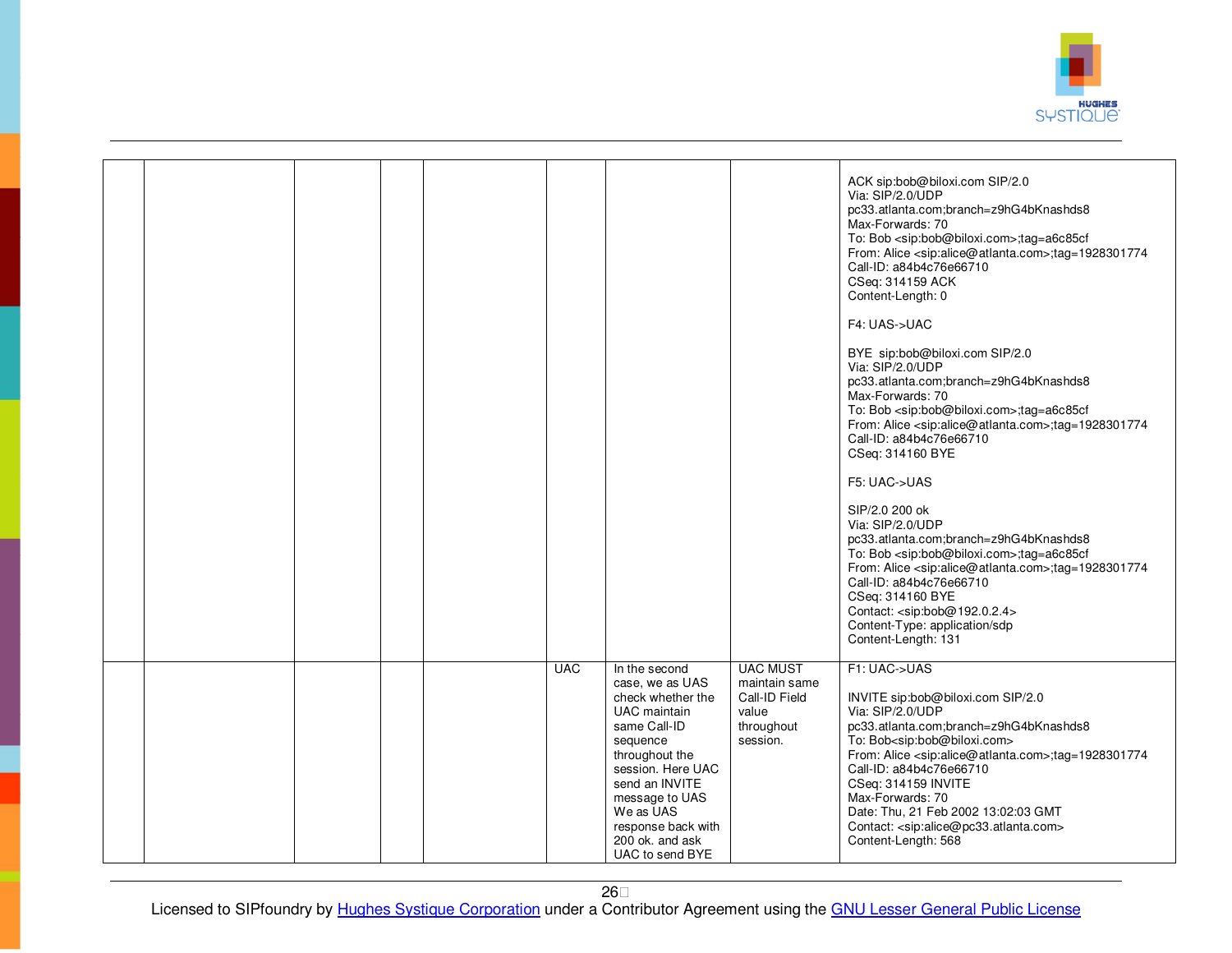

|  |  |            |                                                                                                                                                                                                                                                              |                                                                                      | ACK sip:bob@biloxi.com SIP/2.0<br>Via: SIP/2.0/UDP<br>pc33.atlanta.com;branch=z9hG4bKnashds8<br>Max-Forwards: 70<br>To: Bob <sip:bob@biloxi.com>;tag=a6c85cf<br/>From: Alice <sip:alice@atlanta.com>;tag=1928301774<br/>Call-ID: a84b4c76e66710<br/>CSeq: 314159 ACK<br/>Content-Length: 0<br/>F4: UAS-&gt;UAC<br/>BYE sip:bob@biloxi.com SIP/2.0<br/>Via: SIP/2.0/UDP<br/>pc33.atlanta.com;branch=z9hG4bKnashds8<br/>Max-Forwards: 70<br/>To: Bob <sip:bob@biloxi.com>;tag=a6c85cf<br/>From: Alice <sip:alice@atlanta.com>;tag=1928301774<br/>Call-ID: a84b4c76e66710<br/>CSeq: 314160 BYE<br/>F5: UAC-&gt;UAS<br/>SIP/2.0 200 ok<br/>Via: SIP/2.0/UDP<br/>pc33.atlanta.com;branch=z9hG4bKnashds8<br/>To: Bob <sip:bob@biloxi.com>;tag=a6c85cf<br/>From: Alice <sip:alice@atlanta.com>;tag=1928301774<br/>Call-ID: a84b4c76e66710<br/>CSeq: 314160 BYE<br/>Contact: <sip:bob@192.0.2.4><br/>Content-Type: application/sdp<br/>Content-Length: 131</sip:bob@192.0.2.4></sip:alice@atlanta.com></sip:bob@biloxi.com></sip:alice@atlanta.com></sip:bob@biloxi.com></sip:alice@atlanta.com></sip:bob@biloxi.com> |
|--|--|------------|--------------------------------------------------------------------------------------------------------------------------------------------------------------------------------------------------------------------------------------------------------------|--------------------------------------------------------------------------------------|---------------------------------------------------------------------------------------------------------------------------------------------------------------------------------------------------------------------------------------------------------------------------------------------------------------------------------------------------------------------------------------------------------------------------------------------------------------------------------------------------------------------------------------------------------------------------------------------------------------------------------------------------------------------------------------------------------------------------------------------------------------------------------------------------------------------------------------------------------------------------------------------------------------------------------------------------------------------------------------------------------------------------------------------------------------------------------------------------------------|
|  |  | <b>UAC</b> | In the second<br>case, we as UAS<br>check whether the<br><b>UAC</b> maintain<br>same Call-ID<br>sequence<br>throughout the<br>session. Here UAC<br>send an INVITE<br>message to UAS<br>We as UAS<br>response back with<br>200 ok. and ask<br>UAC to send BYE | <b>UAC MUST</b><br>maintain same<br>Call-ID Field<br>value<br>throughout<br>session. | F1: UAC->UAS<br>INVITE sip:bob@biloxi.com SIP/2.0<br>Via: SIP/2.0/UDP<br>pc33.atlanta.com;branch=z9hG4bKnashds8<br>To: Bob <sip:bob@biloxi.com><br/>From: Alice <sip:alice@atlanta.com>;tag=1928301774<br/>Call-ID: a84b4c76e66710<br/>CSeq: 314159 INVITE<br/>Max-Forwards: 70<br/>Date: Thu, 21 Feb 2002 13:02:03 GMT<br/>Contact: <sip:alice@pc33.atlanta.com><br/>Content-Length: 568</sip:alice@pc33.atlanta.com></sip:alice@atlanta.com></sip:bob@biloxi.com>                                                                                                                                                                                                                                                                                                                                                                                                                                                                                                                                                                                                                                           |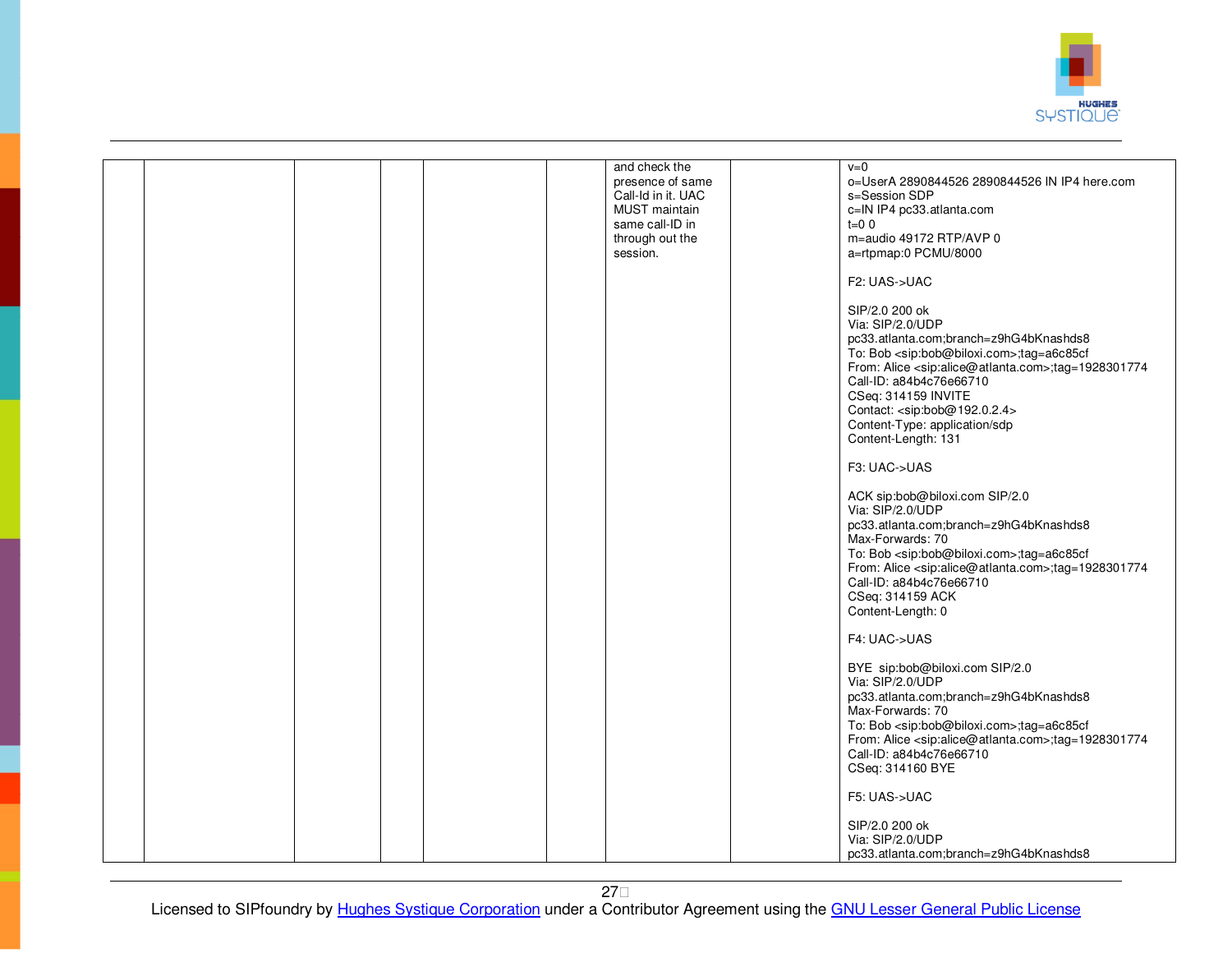

|  |  | and check the<br>presence of same<br>Call-Id in it. UAC<br><b>MUST</b> maintain<br>same call-ID in<br>through out the<br>session. | $v=0$<br>o=UserA 2890844526 2890844526 IN IP4 here.com<br>s=Session SDP<br>c=IN IP4 pc33.atlanta.com<br>$t=0$ 0<br>m=audio 49172 RTP/AVP 0<br>a=rtpmap:0 PCMU/8000<br>F2: UAS->UAC<br>SIP/2.0 200 ok<br>Via: SIP/2.0/UDP<br>pc33.atlanta.com;branch=z9hG4bKnashds8<br>To: Bob <sip:bob@biloxi.com>;tag=a6c85cf<br/>From: Alice <sip:alice@atlanta.com>;tag=1928301774<br/>Call-ID: a84b4c76e66710<br/>CSeq: 314159 INVITE<br/>Contact: <sip:bob@192.0.2.4><br/>Content-Type: application/sdp<br/>Content-Length: 131<br/>F3: UAC-&gt;UAS<br/>ACK sip:bob@biloxi.com SIP/2.0<br/>Via: SIP/2.0/UDP<br/>pc33.atlanta.com;branch=z9hG4bKnashds8<br/>Max-Forwards: 70<br/>To: Bob <sip:bob@biloxi.com>;tag=a6c85cf<br/>From: Alice <sip:alice@atlanta.com>;tag=1928301774<br/>Call-ID: a84b4c76e66710<br/>CSeq: 314159 ACK<br/>Content-Length: 0<br/>F4: UAC-&gt;UAS<br/>BYE sip:bob@biloxi.com SIP/2.0<br/>Via: SIP/2.0/UDP<br/>pc33.atlanta.com;branch=z9hG4bKnashds8<br/>Max-Forwards: 70<br/>To: Bob <sip:bob@biloxi.com>;tag=a6c85cf<br/>From: Alice <sip:alice@atlanta.com>;tag=1928301774<br/>Call-ID: a84b4c76e66710<br/>CSeq: 314160 BYE<br/>F5: UAS-&gt;UAC</sip:alice@atlanta.com></sip:bob@biloxi.com></sip:alice@atlanta.com></sip:bob@biloxi.com></sip:bob@192.0.2.4></sip:alice@atlanta.com></sip:bob@biloxi.com> |
|--|--|-----------------------------------------------------------------------------------------------------------------------------------|-----------------------------------------------------------------------------------------------------------------------------------------------------------------------------------------------------------------------------------------------------------------------------------------------------------------------------------------------------------------------------------------------------------------------------------------------------------------------------------------------------------------------------------------------------------------------------------------------------------------------------------------------------------------------------------------------------------------------------------------------------------------------------------------------------------------------------------------------------------------------------------------------------------------------------------------------------------------------------------------------------------------------------------------------------------------------------------------------------------------------------------------------------------------------------------------------------------------------------------------------------------------------------------------------------------------------------|
|  |  |                                                                                                                                   |                                                                                                                                                                                                                                                                                                                                                                                                                                                                                                                                                                                                                                                                                                                                                                                                                                                                                                                                                                                                                                                                                                                                                                                                                                                                                                                             |
|  |  |                                                                                                                                   | SIP/2.0 200 ok<br>Via: SIP/2.0/UDP<br>pc33.atlanta.com;branch=z9hG4bKnashds8                                                                                                                                                                                                                                                                                                                                                                                                                                                                                                                                                                                                                                                                                                                                                                                                                                                                                                                                                                                                                                                                                                                                                                                                                                                |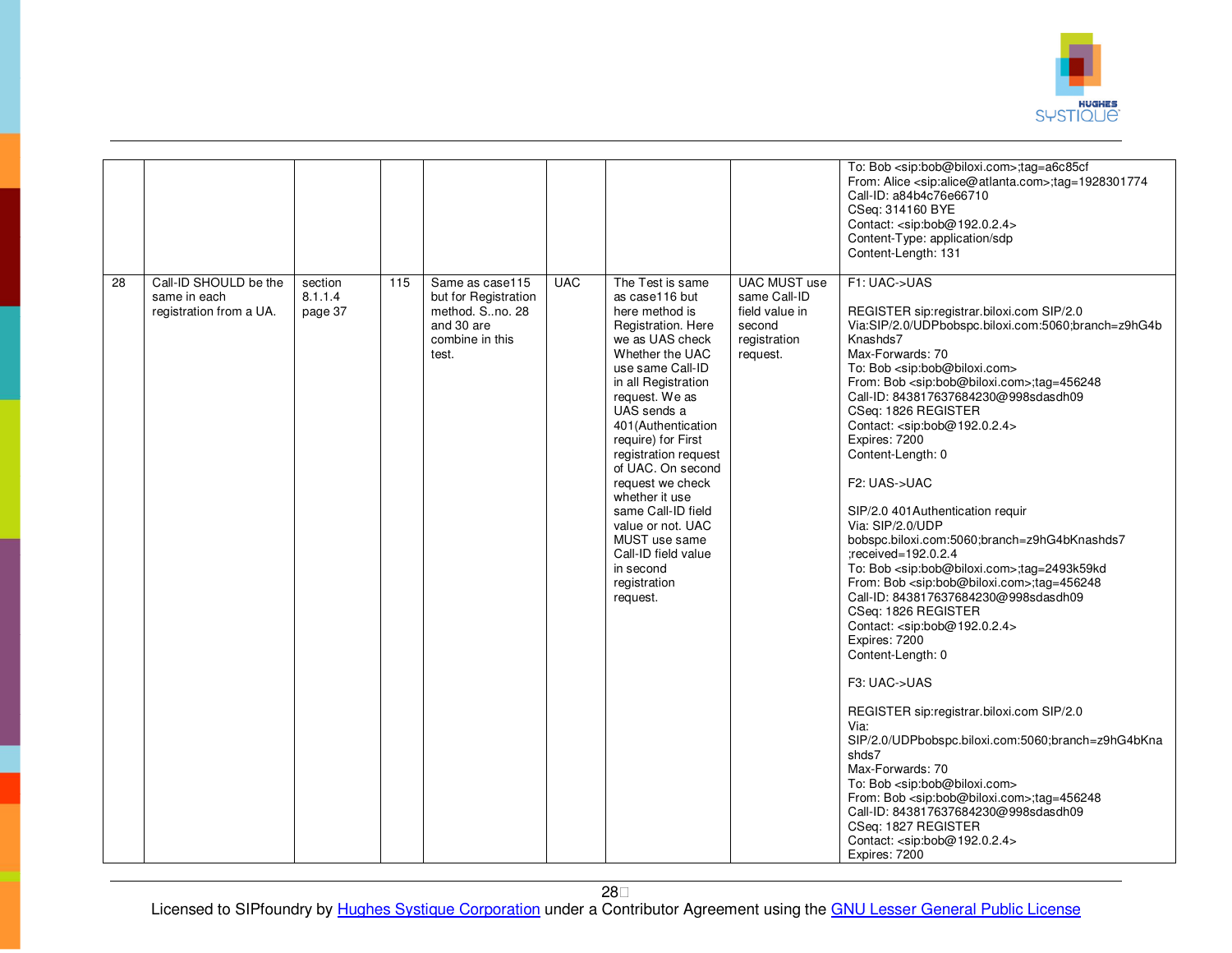

| 28 | Call-ID SHOULD be the                   | section            | 115 | Same as case115                                                                   | <b>UAC</b> | The Test is same                                                                                                                                                                                                                                                                                                                                                                                                                     | <b>UAC MUST use</b>                                                  | To: Bob <sip:bob@biloxi.com>;tag=a6c85cf<br/>From: Alice <sip:alice@atlanta.com>;tag=1928301774<br/>Call-ID: a84b4c76e66710<br/>CSeq: 314160 BYE<br/>Contact: <sip:bob@192.0.2.4><br/>Content-Type: application/sdp<br/>Content-Length: 131<br/>F1: UAC-&gt;UAS</sip:bob@192.0.2.4></sip:alice@atlanta.com></sip:bob@biloxi.com>                                                                                                                                                                                                                                                                                                                                                                                                                                                                                                                                                                                                                                                                                                                                                                                                                                                                                                                                                                                      |
|----|-----------------------------------------|--------------------|-----|-----------------------------------------------------------------------------------|------------|--------------------------------------------------------------------------------------------------------------------------------------------------------------------------------------------------------------------------------------------------------------------------------------------------------------------------------------------------------------------------------------------------------------------------------------|----------------------------------------------------------------------|-----------------------------------------------------------------------------------------------------------------------------------------------------------------------------------------------------------------------------------------------------------------------------------------------------------------------------------------------------------------------------------------------------------------------------------------------------------------------------------------------------------------------------------------------------------------------------------------------------------------------------------------------------------------------------------------------------------------------------------------------------------------------------------------------------------------------------------------------------------------------------------------------------------------------------------------------------------------------------------------------------------------------------------------------------------------------------------------------------------------------------------------------------------------------------------------------------------------------------------------------------------------------------------------------------------------------|
|    | same in each<br>registration from a UA. | 8.1.1.4<br>page 37 |     | but for Registration<br>method. Sno. 28<br>and 30 are<br>combine in this<br>test. |            | as case116 but<br>here method is<br>Registration. Here<br>we as UAS check<br>Whether the UAC<br>use same Call-ID<br>in all Registration<br>request. We as<br>UAS sends a<br>401 (Authentication<br>require) for First<br>registration request<br>of UAC. On second<br>request we check<br>whether it use<br>same Call-ID field<br>value or not. UAC<br>MUST use same<br>Call-ID field value<br>in second<br>registration<br>request. | same Call-ID<br>field value in<br>second<br>registration<br>request. | REGISTER sip:registrar.biloxi.com SIP/2.0<br>Via:SIP/2.0/UDPbobspc.biloxi.com:5060;branch=z9hG4b<br>Knashds7<br>Max-Forwards: 70<br>To: Bob <sip:bob@biloxi.com><br/>From: Bob <sip:bob@biloxi.com>;tag=456248<br/>Call-ID: 843817637684230@998sdasdh09<br/>CSeq: 1826 REGISTER<br/>Contact: <sip:bob@192.0.2.4><br/>Expires: 7200<br/>Content-Length: 0<br/>F2: UAS-&gt;UAC<br/>SIP/2.0 401 Authentication requir<br/>Via: SIP/2.0/UDP<br/>bobspc.biloxi.com:5060;branch=z9hG4bKnashds7<br/>:received=192.0.2.4<br/>To: Bob <sip:bob@biloxi.com>;tag=2493k59kd<br/>From: Bob <sip:bob@biloxi.com>;tag=456248<br/>Call-ID: 843817637684230@998sdasdh09<br/>CSeq: 1826 REGISTER<br/>Contact: <sip:bob@192.0.2.4><br/>Expires: 7200<br/>Content-Length: 0<br/>F3: UAC-&gt;UAS<br/>REGISTER sip:registrar.biloxi.com SIP/2.0<br/>Via:<br/>SIP/2.0/UDPbobspc.biloxi.com:5060;branch=z9hG4bKna<br/>shds7<br/>Max-Forwards: 70<br/>To: Bob <sip:bob@biloxi.com><br/>From: Bob <sip:bob@biloxi.com>;tag=456248<br/>Call-ID: 843817637684230@998sdasdh09<br/>CSeq: 1827 REGISTER<br/>Contact: <sip:bob@192.0.2.4><br/>Expires: 7200</sip:bob@192.0.2.4></sip:bob@biloxi.com></sip:bob@biloxi.com></sip:bob@192.0.2.4></sip:bob@biloxi.com></sip:bob@biloxi.com></sip:bob@192.0.2.4></sip:bob@biloxi.com></sip:bob@biloxi.com> |

28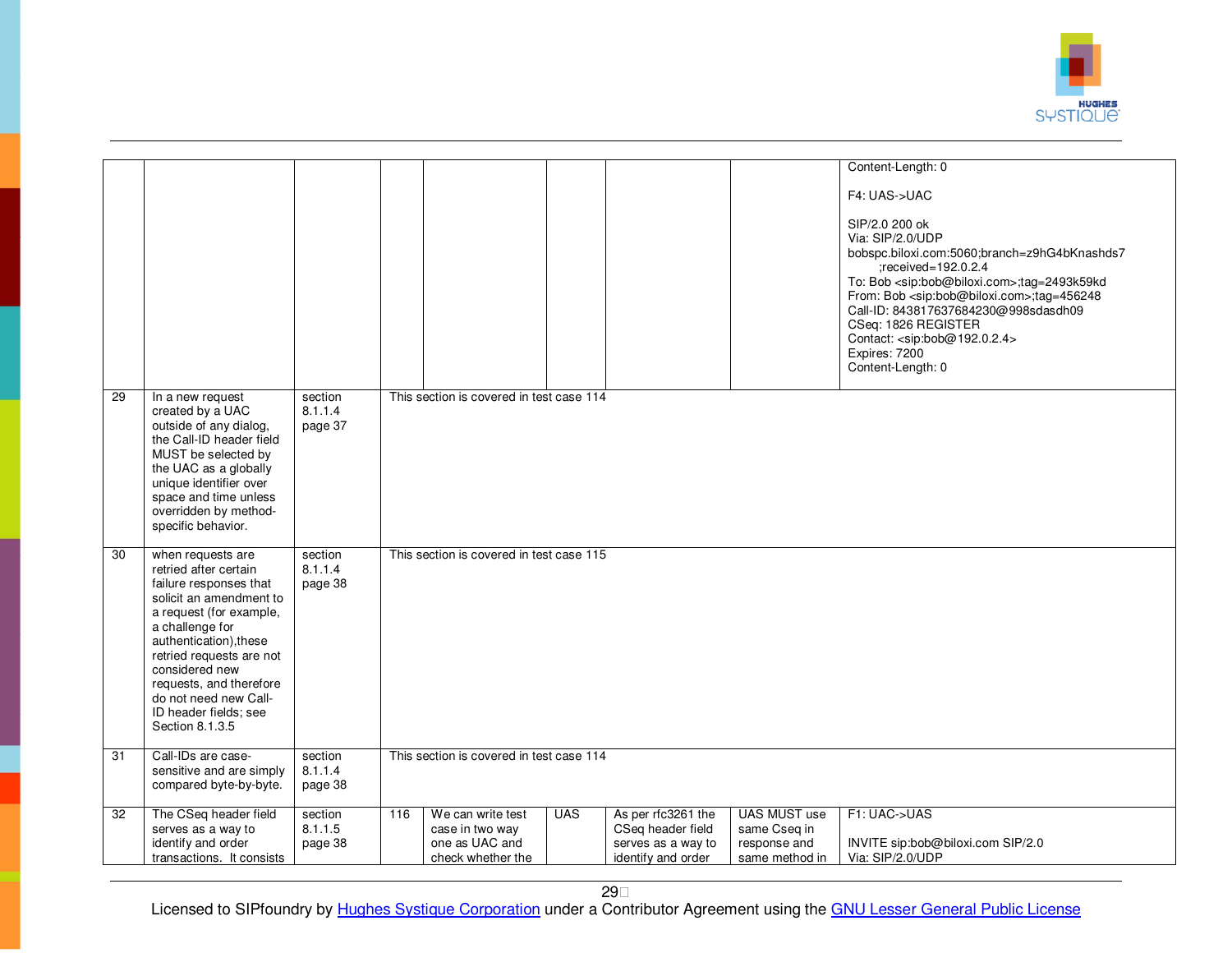

|    |                                                                                                                                                                                                                                                                                                                       |                               |     |                                                                             |            |                                                                                     |                                                                       | Content-Length: 0                                                                                                                                                                                                                                                                                                                                                                                                |  |  |
|----|-----------------------------------------------------------------------------------------------------------------------------------------------------------------------------------------------------------------------------------------------------------------------------------------------------------------------|-------------------------------|-----|-----------------------------------------------------------------------------|------------|-------------------------------------------------------------------------------------|-----------------------------------------------------------------------|------------------------------------------------------------------------------------------------------------------------------------------------------------------------------------------------------------------------------------------------------------------------------------------------------------------------------------------------------------------------------------------------------------------|--|--|
|    |                                                                                                                                                                                                                                                                                                                       |                               |     |                                                                             |            |                                                                                     |                                                                       | F4: UAS->UAC                                                                                                                                                                                                                                                                                                                                                                                                     |  |  |
|    |                                                                                                                                                                                                                                                                                                                       |                               |     |                                                                             |            |                                                                                     |                                                                       | SIP/2.0 200 ok<br>Via: SIP/2.0/UDP<br>bobspc.biloxi.com:5060;branch=z9hG4bKnashds7<br>$:$ received=192.0.2.4<br>To: Bob <sip:bob@biloxi.com>;tag=2493k59kd<br/>From: Bob <sip:bob@biloxi.com>;tag=456248<br/>Call-ID: 843817637684230@998sdasdh09<br/>CSeq: 1826 REGISTER<br/>Contact: <sip:bob@192.0.2.4><br/>Expires: 7200<br/>Content-Length: 0</sip:bob@192.0.2.4></sip:bob@biloxi.com></sip:bob@biloxi.com> |  |  |
| 29 | In a new request<br>created by a UAC<br>outside of any dialog,<br>the Call-ID header field<br>MUST be selected by<br>the UAC as a globally<br>unique identifier over<br>space and time unless<br>overridden by method-<br>specific behavior.                                                                          | section<br>8.1.1.4<br>page 37 |     | This section is covered in test case 114                                    |            |                                                                                     |                                                                       |                                                                                                                                                                                                                                                                                                                                                                                                                  |  |  |
| 30 | when requests are<br>retried after certain<br>failure responses that<br>solicit an amendment to<br>a request (for example,<br>a challenge for<br>authentication), these<br>retried requests are not<br>considered new<br>requests, and therefore<br>do not need new Call-<br>ID header fields; see<br>Section 8.1.3.5 | section<br>8.1.1.4<br>page 38 |     | This section is covered in test case 115                                    |            |                                                                                     |                                                                       |                                                                                                                                                                                                                                                                                                                                                                                                                  |  |  |
| 31 | Call-IDs are case-<br>sensitive and are simply<br>compared byte-by-byte.                                                                                                                                                                                                                                              | section<br>8.1.1.4<br>page 38 |     | This section is covered in test case 114                                    |            |                                                                                     |                                                                       |                                                                                                                                                                                                                                                                                                                                                                                                                  |  |  |
| 32 | The CSeq header field<br>serves as a way to<br>identify and order<br>transactions. It consists                                                                                                                                                                                                                        | section<br>8.1.1.5<br>page 38 | 116 | We can write test<br>case in two way<br>one as UAC and<br>check whether the | <b>UAS</b> | As per rfc3261 the<br>CSeq header field<br>serves as a way to<br>identify and order | <b>UAS MUST use</b><br>same Cseq in<br>response and<br>same method in | F1: UAC->UAS<br>INVITE sip:bob@biloxi.com SIP/2.0<br>Via: SIP/2.0/UDP                                                                                                                                                                                                                                                                                                                                            |  |  |

29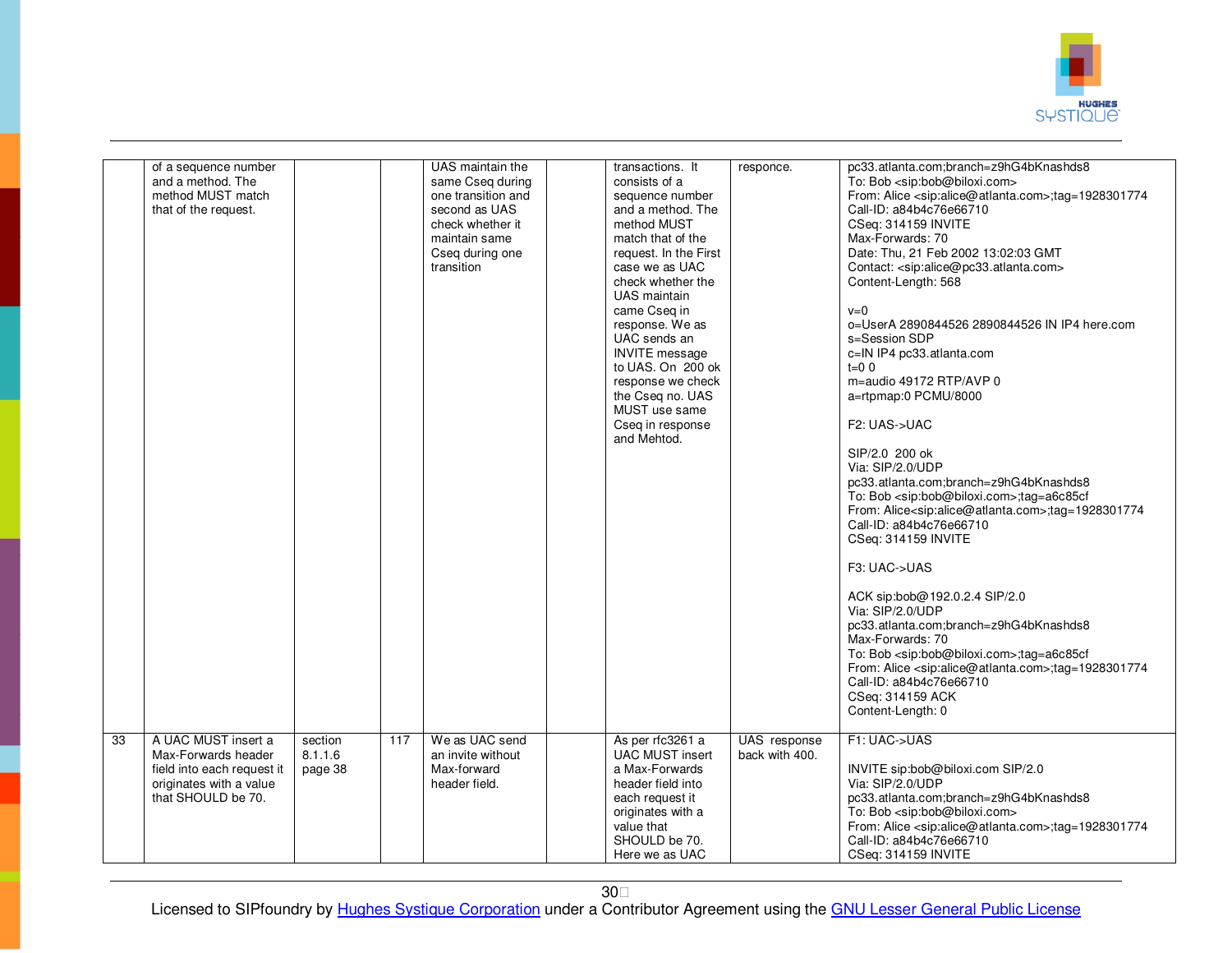

|    | of a sequence number<br>and a method. The<br>method MUST match<br>that of the request.                                    |                               |     | UAS maintain the<br>same Cseq during<br>one transition and<br>second as UAS<br>check whether it<br>maintain same<br>Cseg during one<br>transition | transactions. It<br>consists of a<br>sequence number<br>and a method. The<br>method MUST<br>match that of the<br>request. In the First<br>case we as UAC<br>check whether the<br><b>UAS</b> maintain<br>came Cseq in<br>response. We as<br>UAC sends an<br><b>INVITE</b> message<br>to UAS. On 200 ok<br>response we check<br>the Cseq no. UAS<br>MUST use same<br>Cseq in response<br>and Mehtod. | responce.                      | pc33.atlanta.com;branch=z9hG4bKnashds8<br>To: Bob <sip:bob@biloxi.com><br/>From: Alice <sip:alice@atlanta.com>;tag=1928301774<br/>Call-ID: a84b4c76e66710<br/>CSeq: 314159 INVITE<br/>Max-Forwards: 70<br/>Date: Thu, 21 Feb 2002 13:02:03 GMT<br/>Contact: <sip:alice@pc33.atlanta.com><br/>Content-Length: 568<br/><math>v=0</math><br/>o=UserA 2890844526 2890844526 IN IP4 here.com<br/>s=Session SDP<br/>c=IN IP4 pc33.atlanta.com<br/><math>t=0</math> 0<br/>m=audio 49172 RTP/AVP 0<br/>a=rtpmap:0 PCMU/8000<br/>F<sub>2</sub>: UAS-&gt;UAC<br/>SIP/2.0 200 ok<br/>Via: SIP/2.0/UDP<br/>pc33.atlanta.com;branch=z9hG4bKnashds8<br/>To: Bob <sip:bob@biloxi.com>;tag=a6c85cf<br/>From: Alice<sip:alice@atlanta.com>;tag=1928301774<br/>Call-ID: a84b4c76e66710<br/>CSeq: 314159 INVITE<br/>F3: UAC-&gt;UAS<br/>ACK sip:bob@192.0.2.4 SIP/2.0<br/>Via: SIP/2.0/UDP<br/>pc33.atlanta.com;branch=z9hG4bKnashds8<br/>Max-Forwards: 70<br/>To: Bob <sip:bob@biloxi.com>;tag=a6c85cf<br/>From: Alice <sip:alice@atlanta.com>;tag=1928301774<br/>Call-ID: a84b4c76e66710<br/>CSeq: 314159 ACK<br/>Content-Length: 0</sip:alice@atlanta.com></sip:bob@biloxi.com></sip:alice@atlanta.com></sip:bob@biloxi.com></sip:alice@pc33.atlanta.com></sip:alice@atlanta.com></sip:bob@biloxi.com> |
|----|---------------------------------------------------------------------------------------------------------------------------|-------------------------------|-----|---------------------------------------------------------------------------------------------------------------------------------------------------|----------------------------------------------------------------------------------------------------------------------------------------------------------------------------------------------------------------------------------------------------------------------------------------------------------------------------------------------------------------------------------------------------|--------------------------------|----------------------------------------------------------------------------------------------------------------------------------------------------------------------------------------------------------------------------------------------------------------------------------------------------------------------------------------------------------------------------------------------------------------------------------------------------------------------------------------------------------------------------------------------------------------------------------------------------------------------------------------------------------------------------------------------------------------------------------------------------------------------------------------------------------------------------------------------------------------------------------------------------------------------------------------------------------------------------------------------------------------------------------------------------------------------------------------------------------------------------------------------------------------------------------------------------------------------------------------------------------------------------------------|
| 33 | A UAC MUST insert a<br>Max-Forwards header<br>field into each request it<br>originates with a value<br>that SHOULD be 70. | section<br>8.1.1.6<br>page 38 | 117 | We as UAC send<br>an invite without<br>Max-forward<br>header field.                                                                               | As per rfc3261 a<br><b>UAC MUST insert</b><br>a Max-Forwards<br>header field into<br>each request it<br>originates with a<br>value that<br>SHOULD be 70.<br>Here we as UAC                                                                                                                                                                                                                         | UAS response<br>back with 400. | F1: UAC->UAS<br>INVITE sip:bob@biloxi.com SIP/2.0<br>Via: SIP/2.0/UDP<br>pc33.atlanta.com;branch=z9hG4bKnashds8<br>To: Bob <sip:bob@biloxi.com><br/>From: Alice <sip:alice@atlanta.com>;tag=1928301774<br/>Call-ID: a84b4c76e66710<br/>CSeq: 314159 INVITE</sip:alice@atlanta.com></sip:bob@biloxi.com>                                                                                                                                                                                                                                                                                                                                                                                                                                                                                                                                                                                                                                                                                                                                                                                                                                                                                                                                                                                |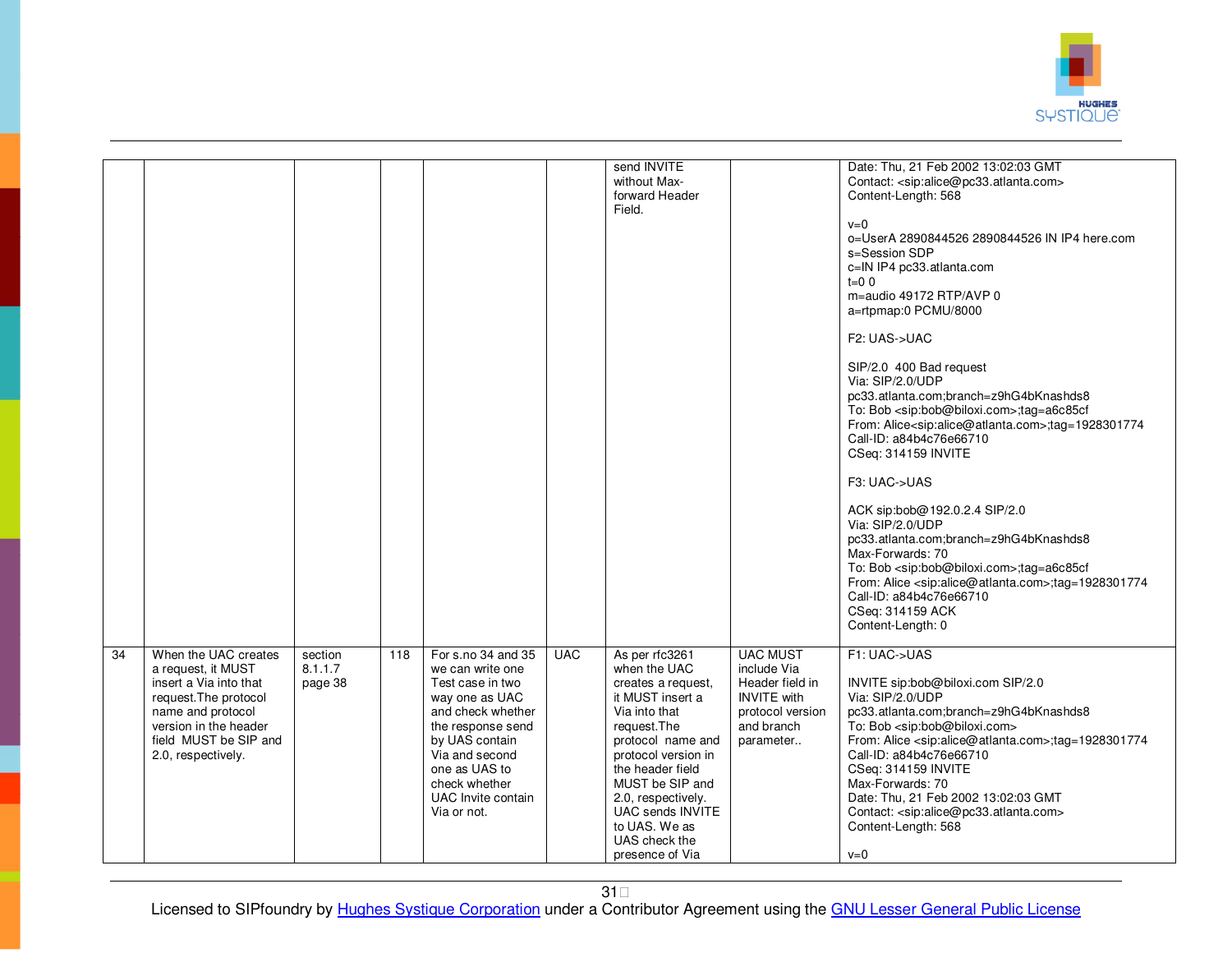

|                 |                                                                                                                                                                                            |                               |     |                                                                                                                                                                                                                                   |            | send INVITE<br>without Max-<br>forward Header<br>Field.                                                                                                                                                                                                                                     |                                                                                                                        | Date: Thu, 21 Feb 2002 13:02:03 GMT<br>Contact: <sip:alice@pc33.atlanta.com><br/>Content-Length: 568</sip:alice@pc33.atlanta.com>                                                                                                                                                                                                                                                                                                                                                        |
|-----------------|--------------------------------------------------------------------------------------------------------------------------------------------------------------------------------------------|-------------------------------|-----|-----------------------------------------------------------------------------------------------------------------------------------------------------------------------------------------------------------------------------------|------------|---------------------------------------------------------------------------------------------------------------------------------------------------------------------------------------------------------------------------------------------------------------------------------------------|------------------------------------------------------------------------------------------------------------------------|------------------------------------------------------------------------------------------------------------------------------------------------------------------------------------------------------------------------------------------------------------------------------------------------------------------------------------------------------------------------------------------------------------------------------------------------------------------------------------------|
|                 |                                                                                                                                                                                            |                               |     |                                                                                                                                                                                                                                   |            |                                                                                                                                                                                                                                                                                             |                                                                                                                        | $v=0$<br>o=UserA 2890844526 2890844526 IN IP4 here.com<br>s=Session SDP<br>c=IN IP4 pc33.atlanta.com<br>$t = 00$<br>m=audio 49172 RTP/AVP 0<br>a=rtpmap:0 PCMU/8000<br>F2: UAS->UAC<br>SIP/2.0 400 Bad request<br>Via: SIP/2.0/UDP<br>pc33.atlanta.com;branch=z9hG4bKnashds8<br>To: Bob <sip:bob@biloxi.com>;tag=a6c85cf<br/>From: Alice<sip:alice@atlanta.com>;tag=1928301774<br/>Call-ID: a84b4c76e66710<br/>CSeq: 314159 INVITE</sip:alice@atlanta.com></sip:bob@biloxi.com>          |
|                 |                                                                                                                                                                                            |                               |     |                                                                                                                                                                                                                                   |            |                                                                                                                                                                                                                                                                                             |                                                                                                                        | F3: UAC->UAS<br>ACK sip:bob@192.0.2.4 SIP/2.0<br>Via: SIP/2.0/UDP<br>pc33.atlanta.com;branch=z9hG4bKnashds8<br>Max-Forwards: 70<br>To: Bob <sip:bob@biloxi.com>;tag=a6c85cf<br/>From: Alice <sip:alice@atlanta.com>;tag=1928301774<br/>Call-ID: a84b4c76e66710<br/>CSeq: 314159 ACK<br/>Content-Length: 0</sip:alice@atlanta.com></sip:bob@biloxi.com>                                                                                                                                   |
| $\overline{34}$ | When the UAC creates<br>a request, it MUST<br>insert a Via into that<br>request. The protocol<br>name and protocol<br>version in the header<br>field MUST be SIP and<br>2.0, respectively. | section<br>8.1.1.7<br>page 38 | 118 | For s.no 34 and 35<br>we can write one<br>Test case in two<br>way one as UAC<br>and check whether<br>the response send<br>by UAS contain<br>Via and second<br>one as UAS to<br>check whether<br>UAC Invite contain<br>Via or not. | <b>UAC</b> | As per rfc3261<br>when the UAC<br>creates a request,<br>it MUST insert a<br>Via into that<br>request. The<br>protocol name and<br>protocol version in<br>the header field<br>MUST be SIP and<br>2.0, respectively.<br>UAC sends INVITE<br>to UAS. We as<br>UAS check the<br>presence of Via | <b>UAC MUST</b><br>include Via<br>Header field in<br><b>INVITE</b> with<br>protocol version<br>and branch<br>parameter | F1: UAC->UAS<br>INVITE sip:bob@biloxi.com SIP/2.0<br>Via: SIP/2.0/UDP<br>pc33.atlanta.com;branch=z9hG4bKnashds8<br>To: Bob <sip:bob@biloxi.com><br/>From: Alice <sip:alice@atlanta.com>;tag=1928301774<br/>Call-ID: a84b4c76e66710<br/>CSeq: 314159 INVITE<br/>Max-Forwards: 70<br/>Date: Thu, 21 Feb 2002 13:02:03 GMT<br/>Contact: <sip:alice@pc33.atlanta.com><br/>Content-Length: 568<br/><math>v=0</math></sip:alice@pc33.atlanta.com></sip:alice@atlanta.com></sip:bob@biloxi.com> |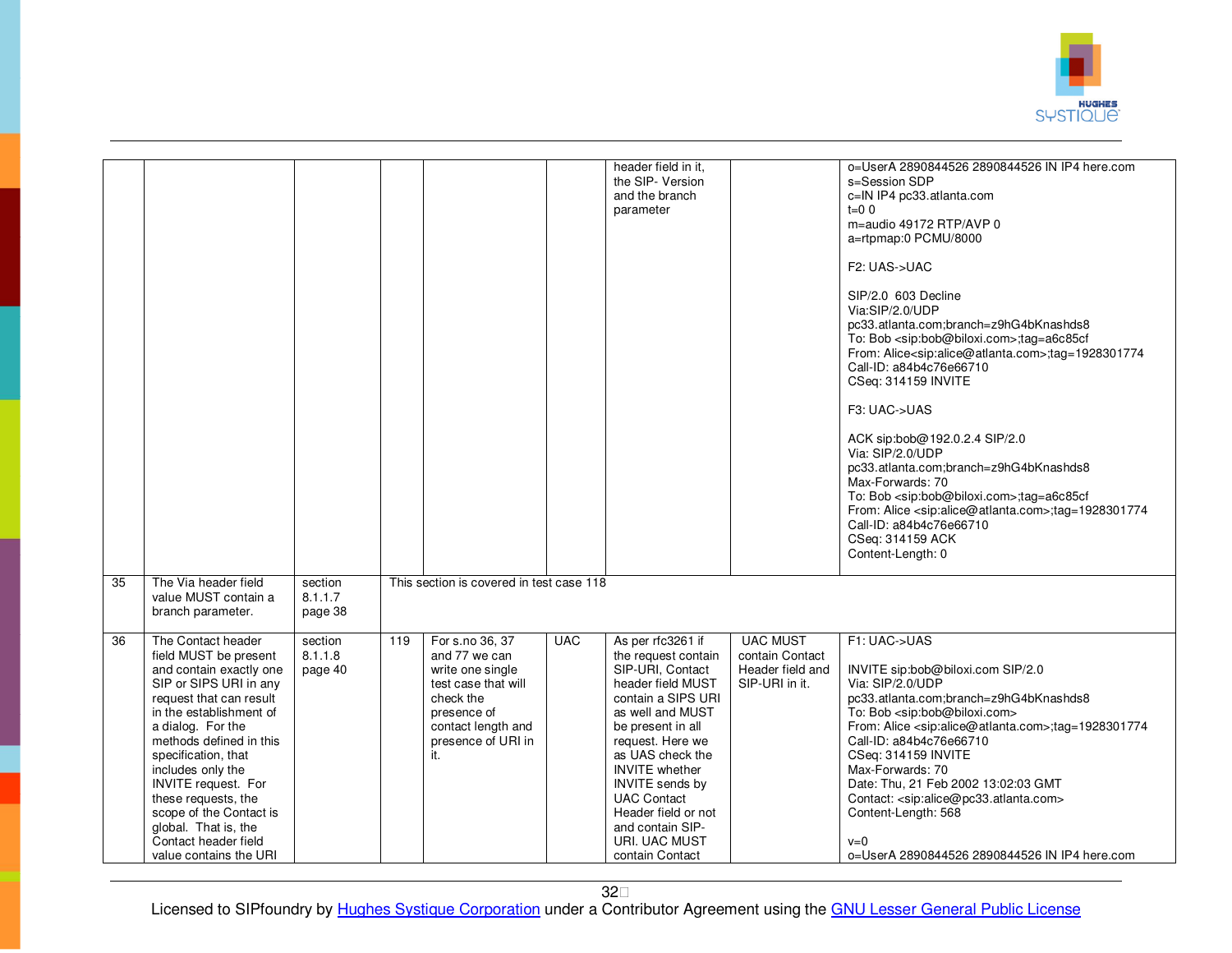

|    |                                                                                                                                                                                                                                                                                                                                                                                                              |                               |     |                                                                                                                                                            |            | header field in it.<br>the SIP- Version<br>and the branch<br>parameter                                                                                                                                                                                                                                                                           |                                                                          | o=UserA 2890844526 2890844526 IN IP4 here.com<br>s=Session SDP<br>c=IN IP4 pc33.atlanta.com<br>$t=0$ 0<br>m=audio 49172 RTP/AVP 0<br>a=rtpmap:0 PCMU/8000<br>F2: UAS->UAC<br>SIP/2.0 603 Decline<br>Via:SIP/2.0/UDP<br>pc33.atlanta.com;branch=z9hG4bKnashds8<br>To: Bob <sip:bob@biloxi.com>;tag=a6c85cf<br/>From: Alice<sip:alice@atlanta.com>;tag=1928301774<br/>Call-ID: a84b4c76e66710<br/>CSeq: 314159 INVITE<br/>F3: UAC-&gt;UAS<br/>ACK sip:bob@192.0.2.4 SIP/2.0<br/>Via: SIP/2.0/UDP<br/>pc33.atlanta.com;branch=z9hG4bKnashds8<br/>Max-Forwards: 70<br/>To: Bob <sip:bob@biloxi.com>;tag=a6c85cf<br/>From: Alice <sip:alice@atlanta.com>;tag=1928301774<br/>Call-ID: a84b4c76e66710<br/>CSeq: 314159 ACK<br/>Content-Length: 0</sip:alice@atlanta.com></sip:bob@biloxi.com></sip:alice@atlanta.com></sip:bob@biloxi.com> |
|----|--------------------------------------------------------------------------------------------------------------------------------------------------------------------------------------------------------------------------------------------------------------------------------------------------------------------------------------------------------------------------------------------------------------|-------------------------------|-----|------------------------------------------------------------------------------------------------------------------------------------------------------------|------------|--------------------------------------------------------------------------------------------------------------------------------------------------------------------------------------------------------------------------------------------------------------------------------------------------------------------------------------------------|--------------------------------------------------------------------------|-------------------------------------------------------------------------------------------------------------------------------------------------------------------------------------------------------------------------------------------------------------------------------------------------------------------------------------------------------------------------------------------------------------------------------------------------------------------------------------------------------------------------------------------------------------------------------------------------------------------------------------------------------------------------------------------------------------------------------------------------------------------------------------------------------------------------------------|
| 35 | The Via header field<br>value MUST contain a<br>branch parameter.                                                                                                                                                                                                                                                                                                                                            | section<br>8.1.1.7<br>page 38 |     | This section is covered in test case 118                                                                                                                   |            |                                                                                                                                                                                                                                                                                                                                                  |                                                                          |                                                                                                                                                                                                                                                                                                                                                                                                                                                                                                                                                                                                                                                                                                                                                                                                                                     |
| 36 | The Contact header<br>field MUST be present<br>and contain exactly one<br>SIP or SIPS URI in any<br>request that can result<br>in the establishment of<br>a dialog. For the<br>methods defined in this<br>specification, that<br>includes only the<br><b>INVITE</b> request. For<br>these requests, the<br>scope of the Contact is<br>global. That is, the<br>Contact header field<br>value contains the URI | section<br>8.1.1.8<br>page 40 | 119 | For s.no 36, 37<br>and 77 we can<br>write one single<br>test case that will<br>check the<br>presence of<br>contact length and<br>presence of URI in<br>it. | <b>UAC</b> | As per rfc3261 if<br>the request contain<br>SIP-URI, Contact<br>header field MUST<br>contain a SIPS URI<br>as well and MUST<br>be present in all<br>request. Here we<br>as UAS check the<br><b>INVITE</b> whether<br><b>INVITE</b> sends by<br><b>UAC Contact</b><br>Header field or not<br>and contain SIP-<br>URI. UAC MUST<br>contain Contact | <b>UAC MUST</b><br>contain Contact<br>Header field and<br>SIP-URI in it. | F1: UAC->UAS<br>INVITE sip:bob@biloxi.com SIP/2.0<br>Via: SIP/2.0/UDP<br>pc33.atlanta.com;branch=z9hG4bKnashds8<br>To: Bob <sip:bob@biloxi.com><br/>From: Alice <sip:alice@atlanta.com>;tag=1928301774<br/>Call-ID: a84b4c76e66710<br/>CSeq: 314159 INVITE<br/>Max-Forwards: 70<br/>Date: Thu, 21 Feb 2002 13:02:03 GMT<br/>Contact: <sip:alice@pc33.atlanta.com><br/>Content-Length: 568<br/><math>v=0</math><br/>o=UserA 2890844526 2890844526 IN IP4 here.com</sip:alice@pc33.atlanta.com></sip:alice@atlanta.com></sip:bob@biloxi.com>                                                                                                                                                                                                                                                                                          |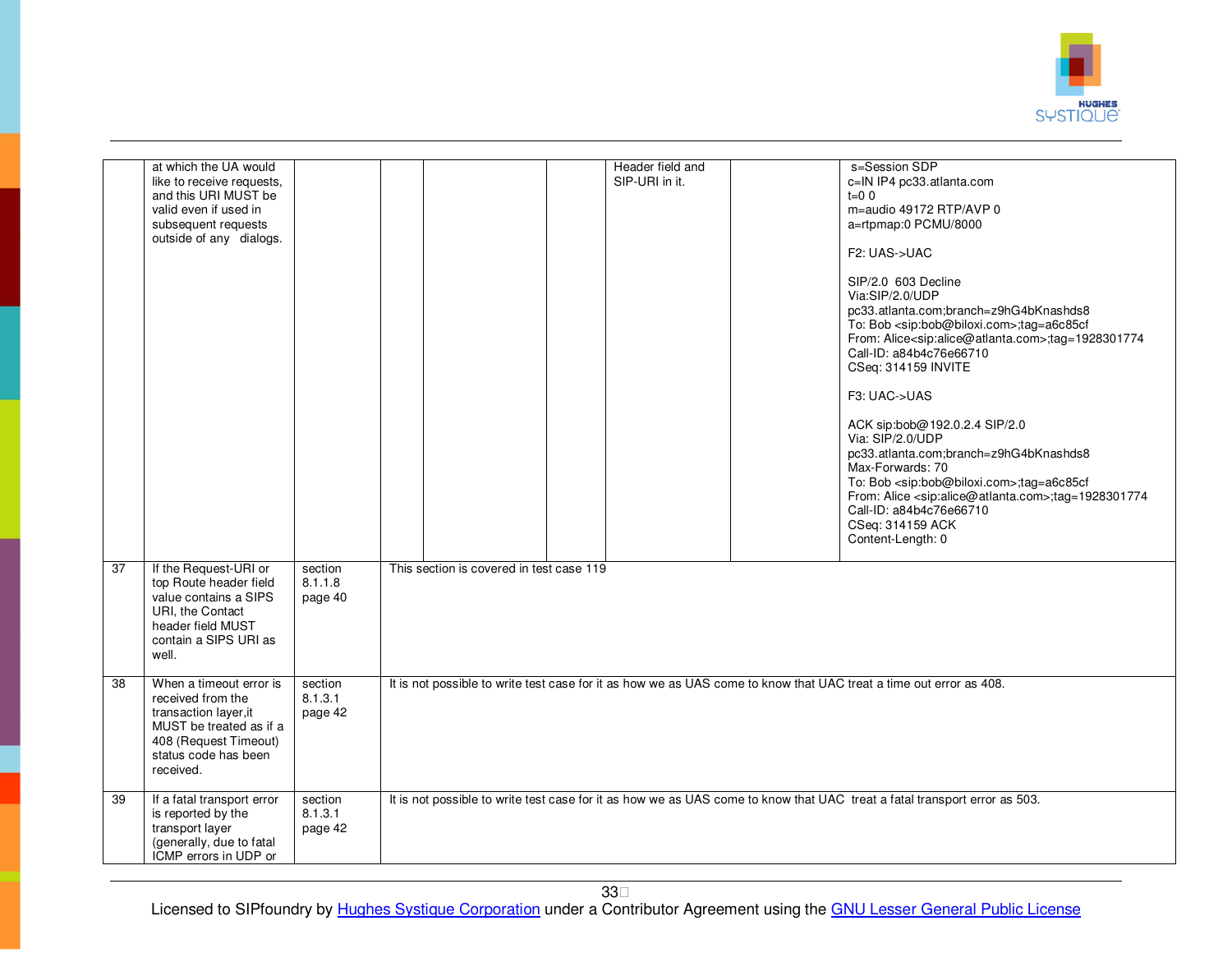

|                 | at which the UA would<br>like to receive requests,<br>and this URI MUST be<br>valid even if used in<br>subsequent requests<br>outside of any dialogs.          |                               |                                                                                                                           | Header field and<br>SIP-URI in it. | s=Session SDP<br>c=IN IP4 pc33.atlanta.com<br>$t=0.0$<br>m=audio 49172 RTP/AVP 0<br>a=rtpmap:0 PCMU/8000<br>F2: UAS->UAC<br>SIP/2.0 603 Decline<br>Via:SIP/2.0/UDP<br>pc33.atlanta.com;branch=z9hG4bKnashds8<br>To: Bob <sip:bob@biloxi.com>;tag=a6c85cf<br/>From: Alice<sip:alice@atlanta.com>;tag=1928301774<br/>Call-ID: a84b4c76e66710<br/>CSeq: 314159 INVITE<br/>F3: UAC-&gt;UAS<br/>ACK sip:bob@192.0.2.4 SIP/2.0<br/>Via: SIP/2.0/UDP<br/>pc33.atlanta.com;branch=z9hG4bKnashds8<br/>Max-Forwards: 70<br/>To: Bob <sip:bob@biloxi.com>;tag=a6c85cf<br/>From: Alice <sip:alice@atlanta.com>;tag=1928301774<br/>Call-ID: a84b4c76e66710<br/>CSeq: 314159 ACK<br/>Content-Length: 0</sip:alice@atlanta.com></sip:bob@biloxi.com></sip:alice@atlanta.com></sip:bob@biloxi.com> |  |  |  |  |
|-----------------|----------------------------------------------------------------------------------------------------------------------------------------------------------------|-------------------------------|---------------------------------------------------------------------------------------------------------------------------|------------------------------------|------------------------------------------------------------------------------------------------------------------------------------------------------------------------------------------------------------------------------------------------------------------------------------------------------------------------------------------------------------------------------------------------------------------------------------------------------------------------------------------------------------------------------------------------------------------------------------------------------------------------------------------------------------------------------------------------------------------------------------------------------------------------------------|--|--|--|--|
| $\overline{37}$ | If the Request-URI or<br>top Route header field<br>value contains a SIPS<br>URI, the Contact<br>header field MUST<br>contain a SIPS URI as<br>well.            | section<br>8.1.1.8<br>page 40 | This section is covered in test case 119                                                                                  |                                    |                                                                                                                                                                                                                                                                                                                                                                                                                                                                                                                                                                                                                                                                                                                                                                                    |  |  |  |  |
| 38              | When a timeout error is<br>received from the<br>transaction layer, it<br>MUST be treated as if a<br>408 (Request Timeout)<br>status code has been<br>received. | section<br>8.1.3.1<br>page 42 | It is not possible to write test case for it as how we as UAS come to know that UAC treat a time out error as 408.        |                                    |                                                                                                                                                                                                                                                                                                                                                                                                                                                                                                                                                                                                                                                                                                                                                                                    |  |  |  |  |
| 39              | If a fatal transport error<br>is reported by the<br>transport layer<br>(generally, due to fatal<br>ICMP errors in UDP or                                       | section<br>8.1.3.1<br>page 42 | It is not possible to write test case for it as how we as UAS come to know that UAC treat a fatal transport error as 503. |                                    |                                                                                                                                                                                                                                                                                                                                                                                                                                                                                                                                                                                                                                                                                                                                                                                    |  |  |  |  |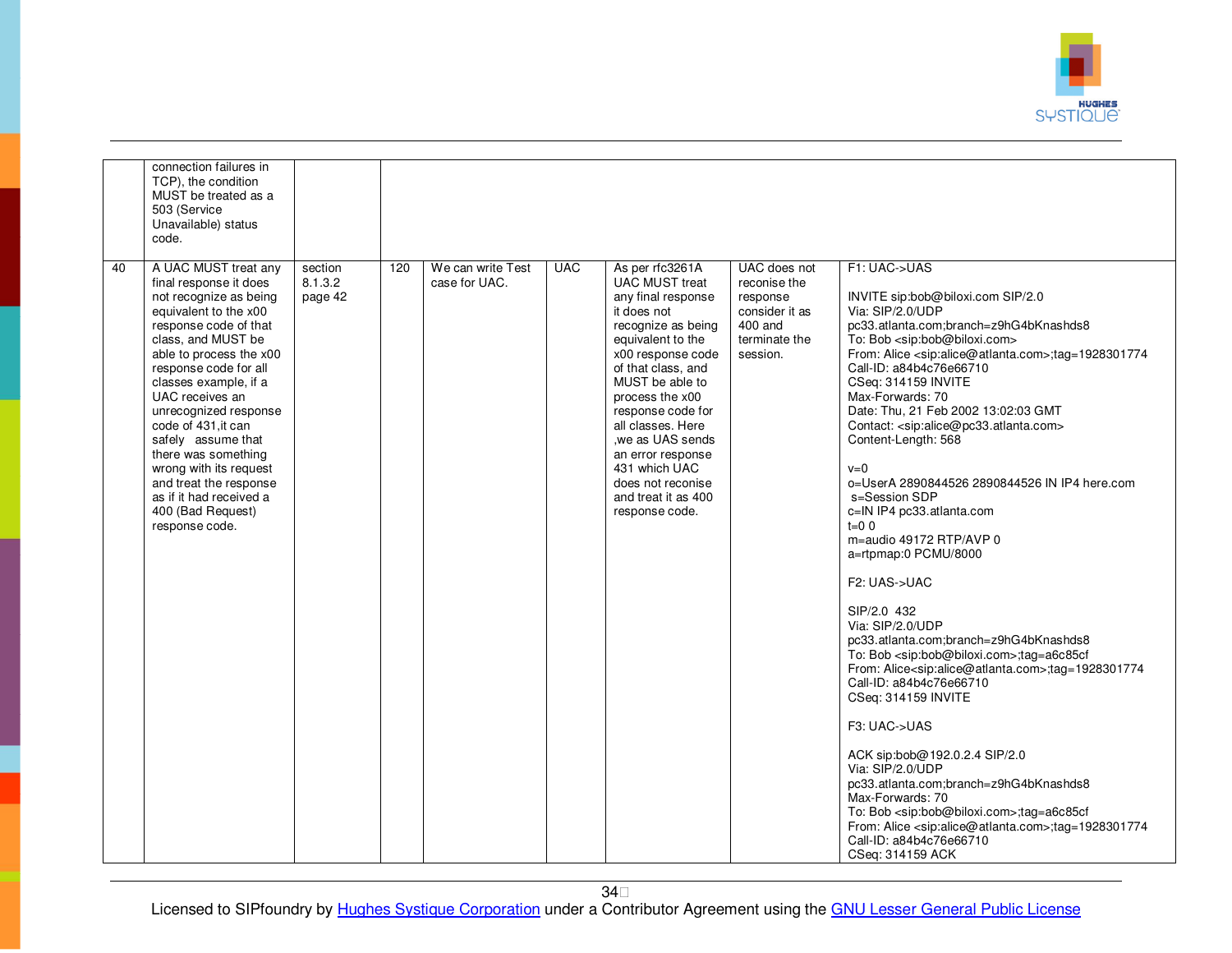

|    | connection failures in<br>TCP), the condition<br>MUST be treated as a<br>503 (Service<br>Unavailable) status<br>code.                                                                                                                                                                                                                                                                                                                                               |                               |     |                                    |            |                                                                                                                                                                                                                                                                                                                                                                             |                                                                                                    |                                                                                                                                                                                                                                                                                                                                                                                                                                                                                                                                                                                                                                                                                                                                                                                                                                                                                                                                                                                                                                                                                                                                                                                                                                                                                                                                        |
|----|---------------------------------------------------------------------------------------------------------------------------------------------------------------------------------------------------------------------------------------------------------------------------------------------------------------------------------------------------------------------------------------------------------------------------------------------------------------------|-------------------------------|-----|------------------------------------|------------|-----------------------------------------------------------------------------------------------------------------------------------------------------------------------------------------------------------------------------------------------------------------------------------------------------------------------------------------------------------------------------|----------------------------------------------------------------------------------------------------|----------------------------------------------------------------------------------------------------------------------------------------------------------------------------------------------------------------------------------------------------------------------------------------------------------------------------------------------------------------------------------------------------------------------------------------------------------------------------------------------------------------------------------------------------------------------------------------------------------------------------------------------------------------------------------------------------------------------------------------------------------------------------------------------------------------------------------------------------------------------------------------------------------------------------------------------------------------------------------------------------------------------------------------------------------------------------------------------------------------------------------------------------------------------------------------------------------------------------------------------------------------------------------------------------------------------------------------|
| 40 | A UAC MUST treat any<br>final response it does<br>not recognize as being<br>equivalent to the x00<br>response code of that<br>class, and MUST be<br>able to process the x00<br>response code for all<br>classes example, if a<br>UAC receives an<br>unrecognized response<br>code of 431, it can<br>safely assume that<br>there was something<br>wrong with its request<br>and treat the response<br>as if it had received a<br>400 (Bad Request)<br>response code. | section<br>8.1.3.2<br>page 42 | 120 | We can write Test<br>case for UAC. | <b>UAC</b> | As per rfc3261A<br><b>UAC MUST treat</b><br>any final response<br>it does not<br>recognize as being<br>equivalent to the<br>x00 response code<br>of that class, and<br>MUST be able to<br>process the x00<br>response code for<br>all classes. Here<br>we as UAS sends.<br>an error response<br>431 which UAC<br>does not reconise<br>and treat it as 400<br>response code. | UAC does not<br>reconise the<br>response<br>consider it as<br>400 and<br>terminate the<br>session. | F1: UAC->UAS<br>INVITE sip:bob@biloxi.com SIP/2.0<br>Via: SIP/2.0/UDP<br>pc33.atlanta.com;branch=z9hG4bKnashds8<br>To: Bob <sip:bob@biloxi.com><br/>From: Alice <sip:alice@atlanta.com>;tag=1928301774<br/>Call-ID: a84b4c76e66710<br/>CSeq: 314159 INVITE<br/>Max-Forwards: 70<br/>Date: Thu, 21 Feb 2002 13:02:03 GMT<br/>Contact: <sip:alice@pc33.atlanta.com><br/>Content-Length: 568<br/><math>v=0</math><br/>o=UserA 2890844526 2890844526 IN IP4 here.com<br/>s=Session SDP<br/>c=IN IP4 pc33.atlanta.com<br/><math>t=0</math> 0<br/>m=audio 49172 RTP/AVP 0<br/>a=rtpmap:0 PCMU/8000<br/>F<sub>2</sub>: UAS-&gt;UAC<br/>SIP/2.0 432<br/>Via: SIP/2.0/UDP<br/>pc33.atlanta.com;branch=z9hG4bKnashds8<br/>To: Bob <sip:bob@biloxi.com>;tag=a6c85cf<br/>From: Alice<sip:alice@atlanta.com>;tag=1928301774<br/>Call-ID: a84b4c76e66710<br/>CSeq: 314159 INVITE<br/>F3: UAC-&gt;UAS<br/>ACK sip:bob@192.0.2.4 SIP/2.0<br/>Via: SIP/2.0/UDP<br/>pc33.atlanta.com;branch=z9hG4bKnashds8<br/>Max-Forwards: 70<br/>To: Bob <sip:bob@biloxi.com>;tag=a6c85cf<br/>From: Alice <sip:alice@atlanta.com>;tag=1928301774<br/>Call-ID: a84b4c76e66710<br/>CSeq: 314159 ACK</sip:alice@atlanta.com></sip:bob@biloxi.com></sip:alice@atlanta.com></sip:bob@biloxi.com></sip:alice@pc33.atlanta.com></sip:alice@atlanta.com></sip:bob@biloxi.com> |

34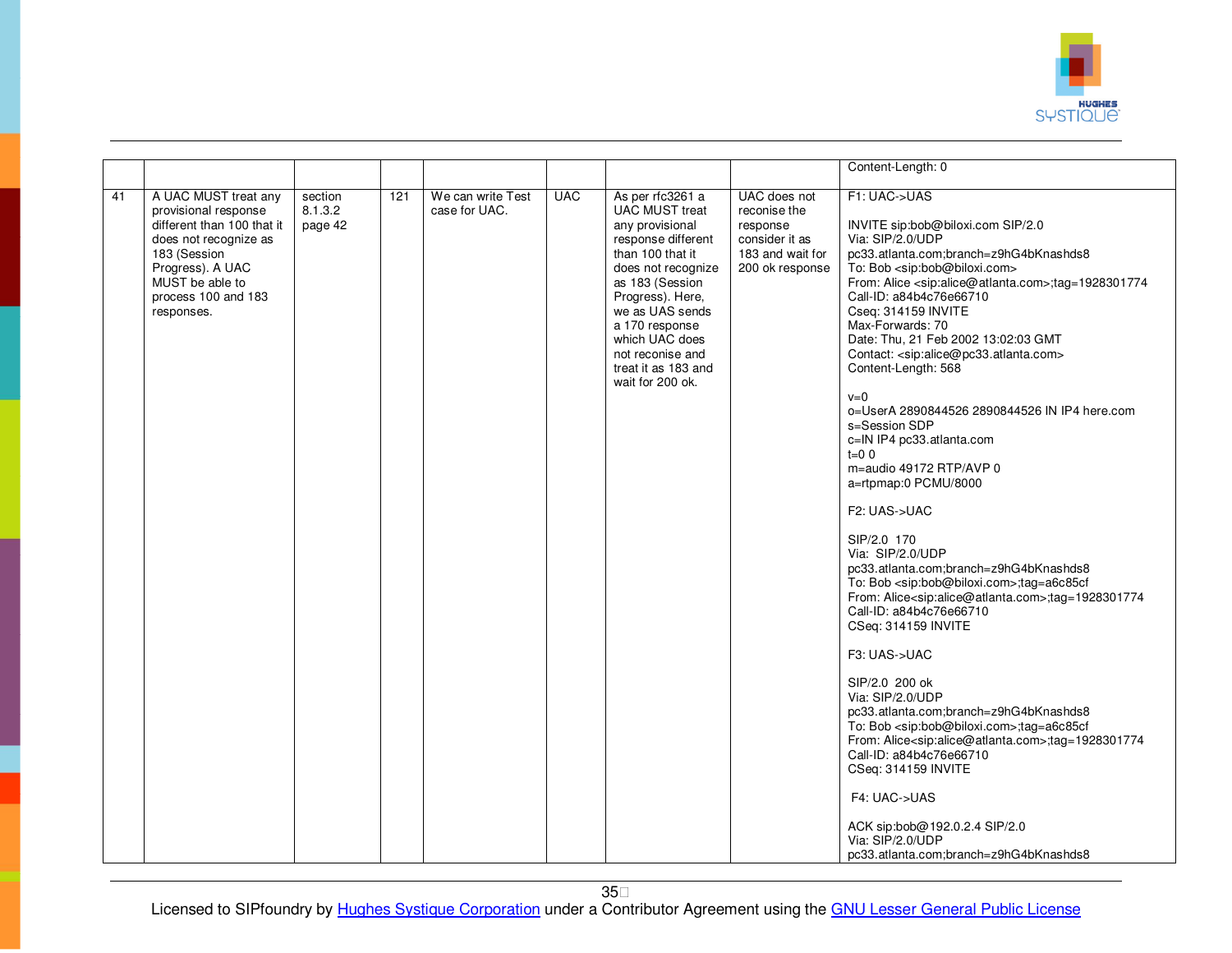

|    |                                                                                                                                                                                                 |                               |     |                                    |            |                                                                                                                                                                                                                                                                                           |                                                                                                   | Content-Length: 0                                                                                                                                                                                                                                                                                                                                                                                                                                                                                                                                                                                                                                                                                                                                                                                                                                                                                                                                                                                                                                                                                                                                                                                                                                                                                                                                                                                               |
|----|-------------------------------------------------------------------------------------------------------------------------------------------------------------------------------------------------|-------------------------------|-----|------------------------------------|------------|-------------------------------------------------------------------------------------------------------------------------------------------------------------------------------------------------------------------------------------------------------------------------------------------|---------------------------------------------------------------------------------------------------|-----------------------------------------------------------------------------------------------------------------------------------------------------------------------------------------------------------------------------------------------------------------------------------------------------------------------------------------------------------------------------------------------------------------------------------------------------------------------------------------------------------------------------------------------------------------------------------------------------------------------------------------------------------------------------------------------------------------------------------------------------------------------------------------------------------------------------------------------------------------------------------------------------------------------------------------------------------------------------------------------------------------------------------------------------------------------------------------------------------------------------------------------------------------------------------------------------------------------------------------------------------------------------------------------------------------------------------------------------------------------------------------------------------------|
|    |                                                                                                                                                                                                 |                               |     |                                    |            |                                                                                                                                                                                                                                                                                           |                                                                                                   |                                                                                                                                                                                                                                                                                                                                                                                                                                                                                                                                                                                                                                                                                                                                                                                                                                                                                                                                                                                                                                                                                                                                                                                                                                                                                                                                                                                                                 |
| 41 | A UAC MUST treat any<br>provisional response<br>different than 100 that it<br>does not recognize as<br>183 (Session<br>Progress). A UAC<br>MUST be able to<br>process 100 and 183<br>responses. | section<br>8.1.3.2<br>page 42 | 121 | We can write Test<br>case for UAC. | <b>UAC</b> | As per rfc3261 a<br><b>UAC MUST treat</b><br>any provisional<br>response different<br>than 100 that it<br>does not recognize<br>as 183 (Session<br>Progress). Here,<br>we as UAS sends<br>a 170 response<br>which UAC does<br>not reconise and<br>treat it as 183 and<br>wait for 200 ok. | UAC does not<br>reconise the<br>response<br>consider it as<br>183 and wait for<br>200 ok response | F1: UAC->UAS<br>INVITE sip:bob@biloxi.com SIP/2.0<br>Via: SIP/2.0/UDP<br>pc33.atlanta.com;branch=z9hG4bKnashds8<br>To: Bob <sip:bob@biloxi.com><br/>From: Alice <sip:alice@atlanta.com>;tag=1928301774<br/>Call-ID: a84b4c76e66710<br/>Cseq: 314159 INVITE<br/>Max-Forwards: 70<br/>Date: Thu, 21 Feb 2002 13:02:03 GMT<br/>Contact: <sip:alice@pc33.atlanta.com><br/>Content-Length: 568<br/><math>v=0</math><br/>o=UserA 2890844526 2890844526 IN IP4 here.com<br/>s=Session SDP<br/>c=IN IP4 pc33.atlanta.com<br/><math>t=0</math> 0<br/>m=audio 49172 RTP/AVP 0<br/>a=rtpmap:0 PCMU/8000<br/>F2: UAS-&gt;UAC<br/>SIP/2.0 170<br/>Via: SIP/2.0/UDP<br/>pc33.atlanta.com;branch=z9hG4bKnashds8<br/>To: Bob <sip:bob@biloxi.com>;tag=a6c85cf<br/>From: Alice<sip:alice@atlanta.com>;tag=1928301774<br/>Call-ID: a84b4c76e66710<br/>CSeq: 314159 INVITE<br/>F3: UAS-&gt;UAC<br/>SIP/2.0 200 ok<br/>Via: SIP/2.0/UDP<br/>pc33.atlanta.com;branch=z9hG4bKnashds8<br/>To: Bob <sip:bob@biloxi.com>;tag=a6c85cf<br/>From: Alice<sip:alice@atlanta.com>;tag=1928301774<br/>Call-ID: a84b4c76e66710<br/>CSeq: 314159 INVITE<br/>F4: UAC-&gt;UAS<br/>ACK sip:bob@192.0.2.4 SIP/2.0<br/>Via: SIP/2.0/UDP<br/>pc33.atlanta.com:branch=z9hG4bKnashds8</sip:alice@atlanta.com></sip:bob@biloxi.com></sip:alice@atlanta.com></sip:bob@biloxi.com></sip:alice@pc33.atlanta.com></sip:alice@atlanta.com></sip:bob@biloxi.com> |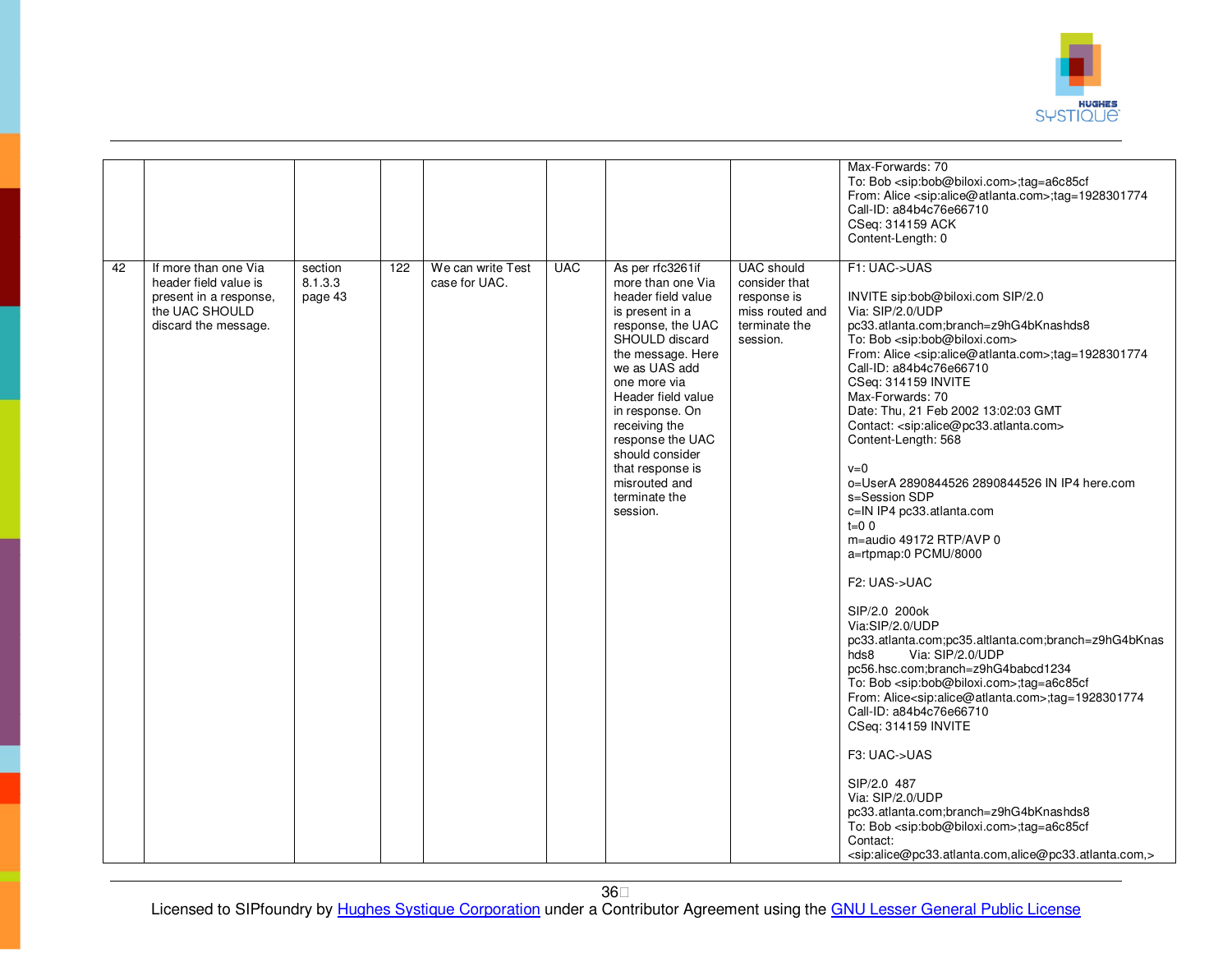

| 42 | If more than one Via<br>header field value is<br>present in a response, | section<br>8.1.3.3<br>page 43 | 122 | We can write Test<br>case for UAC. | <b>UAC</b> | As per rfc3261if<br>more than one Via<br>header field value                                                                                                                                                                                                                     | <b>UAC</b> should<br>consider that<br>response is | Max-Forwards: 70<br>To: Bob <sip:bob@biloxi.com>;tag=a6c85cf<br/>From: Alice <sip:alice@atlanta.com>;tag=1928301774<br/>Call-ID: a84b4c76e66710<br/>CSeq: 314159 ACK<br/>Content-Length: 0<br/>F1: UAC-&gt;UAS<br/>INVITE sip:bob@biloxi.com SIP/2.0</sip:alice@atlanta.com></sip:bob@biloxi.com>                                                                                                                                                                                                                                                                                                                                                                                                                                                                                                                                                                                                                                                                                                               |
|----|-------------------------------------------------------------------------|-------------------------------|-----|------------------------------------|------------|---------------------------------------------------------------------------------------------------------------------------------------------------------------------------------------------------------------------------------------------------------------------------------|---------------------------------------------------|-----------------------------------------------------------------------------------------------------------------------------------------------------------------------------------------------------------------------------------------------------------------------------------------------------------------------------------------------------------------------------------------------------------------------------------------------------------------------------------------------------------------------------------------------------------------------------------------------------------------------------------------------------------------------------------------------------------------------------------------------------------------------------------------------------------------------------------------------------------------------------------------------------------------------------------------------------------------------------------------------------------------|
|    | the UAC SHOULD<br>discard the message.                                  |                               |     |                                    |            | is present in a<br>response, the UAC<br>SHOULD discard<br>the message. Here<br>we as UAS add<br>one more via<br>Header field value<br>in response. On<br>receiving the<br>response the UAC<br>should consider<br>that response is<br>misrouted and<br>terminate the<br>session. | miss routed and<br>terminate the<br>session.      | Via: SIP/2.0/UDP<br>pc33.atlanta.com;branch=z9hG4bKnashds8<br>To: Bob <sip:bob@biloxi.com><br/>From: Alice <sip:alice@atlanta.com>;tag=1928301774<br/>Call-ID: a84b4c76e66710<br/>CSeq: 314159 INVITE<br/>Max-Forwards: 70<br/>Date: Thu, 21 Feb 2002 13:02:03 GMT<br/>Contact: <sip:alice@pc33.atlanta.com><br/>Content-Length: 568<br/><math>v=0</math><br/>o=UserA 2890844526 2890844526 IN IP4 here.com<br/>s=Session SDP<br/>c=IN IP4 pc33.atlanta.com<br/><math>t = 0</math> 0<br/>m=audio 49172 RTP/AVP 0<br/>a=rtpmap:0 PCMU/8000<br/>F2: UAS-&gt;UAC<br/>SIP/2.0 200ok<br/>Via:SIP/2.0/UDP<br/>pc33.atlanta.com;pc35.altlanta.com;branch=z9hG4bKnas<br/>Via: SIP/2.0/UDP<br/>hds8<br/>pc56.hsc.com;branch=z9hG4babcd1234<br/>To: Bob <sip:bob@biloxi.com>;tag=a6c85cf<br/>From: Alice<sip:alice@atlanta.com>;tag=1928301774<br/>Call-ID: a84b4c76e66710<br/>CSeq: 314159 INVITE</sip:alice@atlanta.com></sip:bob@biloxi.com></sip:alice@pc33.atlanta.com></sip:alice@atlanta.com></sip:bob@biloxi.com> |
|    |                                                                         |                               |     |                                    |            |                                                                                                                                                                                                                                                                                 |                                                   | F3: UAC->UAS<br>SIP/2.0 487<br>Via: SIP/2.0/UDP<br>pc33.atlanta.com;branch=z9hG4bKnashds8                                                                                                                                                                                                                                                                                                                                                                                                                                                                                                                                                                                                                                                                                                                                                                                                                                                                                                                       |
|    |                                                                         |                               |     |                                    |            |                                                                                                                                                                                                                                                                                 |                                                   | To: Bob <sip:bob@biloxi.com>;tag=a6c85cf<br/>Contact:<br/><sip:alice@pc33.atlanta.com,alice@pc33.atlanta.com,></sip:alice@pc33.atlanta.com,alice@pc33.atlanta.com,></sip:bob@biloxi.com>                                                                                                                                                                                                                                                                                                                                                                                                                                                                                                                                                                                                                                                                                                                                                                                                                        |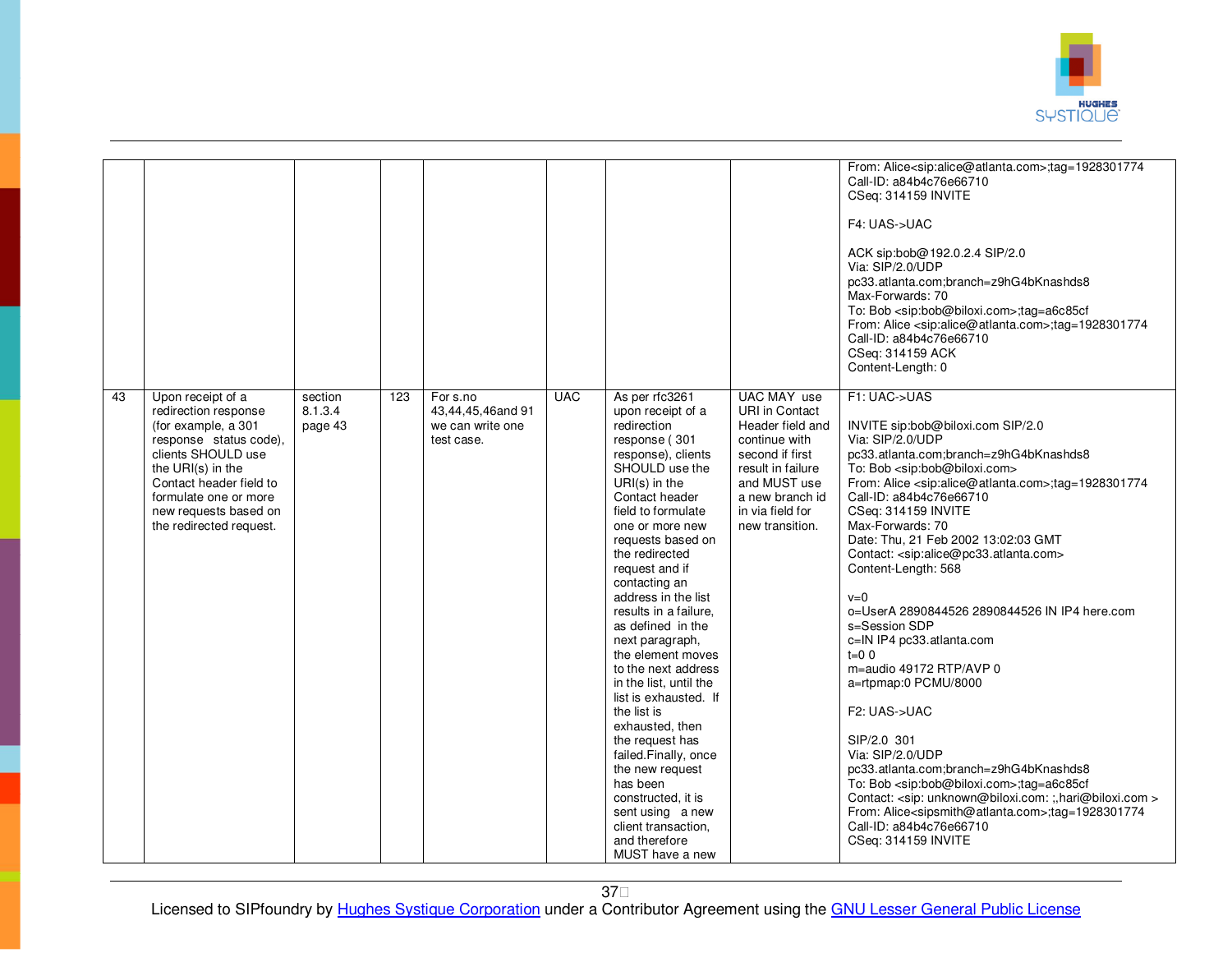

|    |                                                |                    |     |                               |            |                                                 |                                      | From: Alice <sip:alice@atlanta.com>;tag=1928301774</sip:alice@atlanta.com>                                                                   |
|----|------------------------------------------------|--------------------|-----|-------------------------------|------------|-------------------------------------------------|--------------------------------------|----------------------------------------------------------------------------------------------------------------------------------------------|
|    |                                                |                    |     |                               |            |                                                 |                                      | Call-ID: a84b4c76e66710                                                                                                                      |
|    |                                                |                    |     |                               |            |                                                 |                                      | CSeq: 314159 INVITE                                                                                                                          |
|    |                                                |                    |     |                               |            |                                                 |                                      |                                                                                                                                              |
|    |                                                |                    |     |                               |            |                                                 |                                      | F4: UAS->UAC                                                                                                                                 |
|    |                                                |                    |     |                               |            |                                                 |                                      | ACK sip:bob@192.0.2.4 SIP/2.0                                                                                                                |
|    |                                                |                    |     |                               |            |                                                 |                                      | Via: SIP/2.0/UDP                                                                                                                             |
|    |                                                |                    |     |                               |            |                                                 |                                      | pc33.atlanta.com;branch=z9hG4bKnashds8                                                                                                       |
|    |                                                |                    |     |                               |            |                                                 |                                      | Max-Forwards: 70                                                                                                                             |
|    |                                                |                    |     |                               |            |                                                 |                                      | To: Bob <sip:bob@biloxi.com>;tag=a6c85cf<br/>From: Alice <sip:alice@atlanta.com>;tag=1928301774</sip:alice@atlanta.com></sip:bob@biloxi.com> |
|    |                                                |                    |     |                               |            |                                                 |                                      | Call-ID: a84b4c76e66710                                                                                                                      |
|    |                                                |                    |     |                               |            |                                                 |                                      | CSeq: 314159 ACK                                                                                                                             |
|    |                                                |                    |     |                               |            |                                                 |                                      | Content-Length: 0                                                                                                                            |
|    |                                                |                    |     |                               |            |                                                 |                                      |                                                                                                                                              |
| 43 | Upon receipt of a<br>redirection response      | section<br>8.1.3.4 | 123 | For s.no<br>43,44,45,46and 91 | <b>UAC</b> | As per rfc3261<br>upon receipt of a             | UAC MAY use<br><b>URI in Contact</b> | F1: UAC->UAS                                                                                                                                 |
|    | (for example, a 301                            | page 43            |     | we can write one              |            | redirection                                     | Header field and                     | INVITE sip:bob@biloxi.com SIP/2.0                                                                                                            |
|    | response status code),                         |                    |     | test case.                    |            | response (301                                   | continue with                        | Via: SIP/2.0/UDP                                                                                                                             |
|    | clients SHOULD use                             |                    |     |                               |            | response), clients                              | second if first                      | pc33.atlanta.com;branch=z9hG4bKnashds8                                                                                                       |
|    | the URI(s) in the                              |                    |     |                               |            | SHOULD use the                                  | result in failure                    | To: Bob <sip:bob@biloxi.com></sip:bob@biloxi.com>                                                                                            |
|    | Contact header field to                        |                    |     |                               |            | $URI(s)$ in the                                 | and MUST use                         | From: Alice <sip:alice@atlanta.com>;tag=1928301774</sip:alice@atlanta.com>                                                                   |
|    | formulate one or more<br>new requests based on |                    |     |                               |            | Contact header<br>field to formulate            | a new branch id<br>in via field for  | Call-ID: a84b4c76e66710<br>CSeq: 314159 INVITE                                                                                               |
|    | the redirected request.                        |                    |     |                               |            | one or more new                                 | new transition.                      | Max-Forwards: 70                                                                                                                             |
|    |                                                |                    |     |                               |            | requests based on                               |                                      | Date: Thu, 21 Feb 2002 13:02:03 GMT                                                                                                          |
|    |                                                |                    |     |                               |            | the redirected                                  |                                      | Contact: <sip:alice@pc33.atlanta.com></sip:alice@pc33.atlanta.com>                                                                           |
|    |                                                |                    |     |                               |            | request and if                                  |                                      | Content-Length: 568                                                                                                                          |
|    |                                                |                    |     |                               |            | contacting an<br>address in the list            |                                      | $v=0$                                                                                                                                        |
|    |                                                |                    |     |                               |            | results in a failure,                           |                                      | o=UserA 2890844526 2890844526 IN IP4 here.com                                                                                                |
|    |                                                |                    |     |                               |            | as defined in the                               |                                      | s=Session SDP                                                                                                                                |
|    |                                                |                    |     |                               |            | next paragraph,                                 |                                      | c=IN IP4 pc33.atlanta.com                                                                                                                    |
|    |                                                |                    |     |                               |            | the element moves                               |                                      | $t=0$ 0                                                                                                                                      |
|    |                                                |                    |     |                               |            | to the next address                             |                                      | m=audio 49172 RTP/AVP 0                                                                                                                      |
|    |                                                |                    |     |                               |            | in the list, until the<br>list is exhausted. If |                                      | a=rtpmap:0 PCMU/8000                                                                                                                         |
|    |                                                |                    |     |                               |            | the list is                                     |                                      | F2: UAS->UAC                                                                                                                                 |
|    |                                                |                    |     |                               |            | exhausted, then                                 |                                      |                                                                                                                                              |
|    |                                                |                    |     |                               |            | the request has                                 |                                      | SIP/2.0 301                                                                                                                                  |
|    |                                                |                    |     |                               |            | failed.Finally, once                            |                                      | Via: SIP/2.0/UDP                                                                                                                             |
|    |                                                |                    |     |                               |            | the new request                                 |                                      | pc33.atlanta.com;branch=z9hG4bKnashds8                                                                                                       |
|    |                                                |                    |     |                               |            | has been                                        |                                      | To: Bob <sip:bob@biloxi.com>;tag=a6c85cf<br/>Contact: <sip: :,hari@biloxi.com="" unknown@biloxi.com:=""></sip:></sip:bob@biloxi.com>         |
|    |                                                |                    |     |                               |            | constructed, it is<br>sent using a new          |                                      | From: Alice <sipsmith@atlanta.com>;tag=1928301774</sipsmith@atlanta.com>                                                                     |
|    |                                                |                    |     |                               |            | client transaction,                             |                                      | Call-ID: a84b4c76e66710                                                                                                                      |
|    |                                                |                    |     |                               |            | and therefore                                   |                                      | CSeq: 314159 INVITE                                                                                                                          |
|    |                                                |                    |     |                               |            | MUST have a new                                 |                                      |                                                                                                                                              |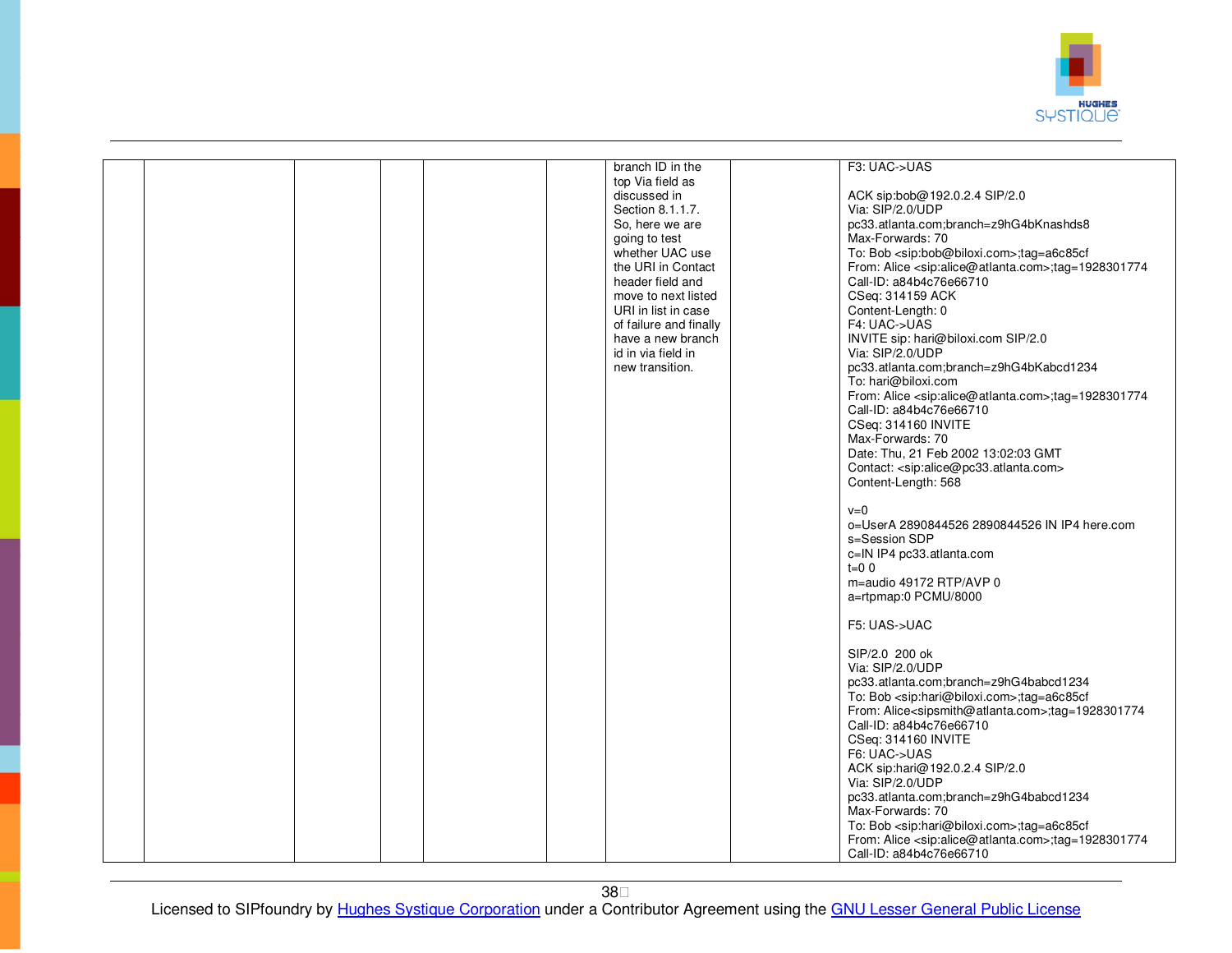

|  |  | branch ID in the       | F3: UAC->UAS                                                               |
|--|--|------------------------|----------------------------------------------------------------------------|
|  |  | top Via field as       |                                                                            |
|  |  | discussed in           | ACK sip:bob@192.0.2.4 SIP/2.0                                              |
|  |  | Section 8.1.1.7.       | Via: SIP/2.0/UDP                                                           |
|  |  | So, here we are        | pc33.atlanta.com;branch=z9hG4bKnashds8                                     |
|  |  | going to test          | Max-Forwards: 70                                                           |
|  |  | whether UAC use        | To: Bob <sip:bob@biloxi.com>;tag=a6c85cf</sip:bob@biloxi.com>              |
|  |  | the URI in Contact     | From: Alice <sip:alice@atlanta.com>;tag=1928301774</sip:alice@atlanta.com> |
|  |  |                        |                                                                            |
|  |  | header field and       | Call-ID: a84b4c76e66710                                                    |
|  |  | move to next listed    | CSeq: 314159 ACK                                                           |
|  |  | URI in list in case    | Content-Length: 0                                                          |
|  |  | of failure and finally | F4: UAC->UAS                                                               |
|  |  | have a new branch      | INVITE sip: hari@biloxi.com SIP/2.0                                        |
|  |  | id in via field in     | Via: SIP/2.0/UDP                                                           |
|  |  | new transition.        | pc33.atlanta.com;branch=z9hG4bKabcd1234                                    |
|  |  |                        | To: hari@biloxi.com                                                        |
|  |  |                        | From: Alice <sip:alice@atlanta.com>;tag=1928301774</sip:alice@atlanta.com> |
|  |  |                        | Call-ID: a84b4c76e66710                                                    |
|  |  |                        |                                                                            |
|  |  |                        | CSeq: 314160 INVITE                                                        |
|  |  |                        | Max-Forwards: 70                                                           |
|  |  |                        | Date: Thu, 21 Feb 2002 13:02:03 GMT                                        |
|  |  |                        | Contact: <sip:alice@pc33.atlanta.com></sip:alice@pc33.atlanta.com>         |
|  |  |                        | Content-Length: 568                                                        |
|  |  |                        |                                                                            |
|  |  |                        | $v=0$                                                                      |
|  |  |                        | o=UserA 2890844526 2890844526 IN IP4 here.com                              |
|  |  |                        | s=Session SDP                                                              |
|  |  |                        | c=IN IP4 pc33.atlanta.com                                                  |
|  |  |                        | $t=0$ 0                                                                    |
|  |  |                        |                                                                            |
|  |  |                        | m=audio 49172 RTP/AVP 0                                                    |
|  |  |                        | a=rtpmap:0 PCMU/8000                                                       |
|  |  |                        |                                                                            |
|  |  |                        | F5: UAS->UAC                                                               |
|  |  |                        |                                                                            |
|  |  |                        | SIP/2.0 200 ok                                                             |
|  |  |                        | Via: SIP/2.0/UDP                                                           |
|  |  |                        | pc33.atlanta.com;branch=z9hG4babcd1234                                     |
|  |  |                        | To: Bob <sip:hari@biloxi.com>;tag=a6c85cf</sip:hari@biloxi.com>            |
|  |  |                        | From: Alice <sipsmith@atlanta.com>;tag=1928301774</sipsmith@atlanta.com>   |
|  |  |                        | Call-ID: a84b4c76e66710                                                    |
|  |  |                        | CSeq: 314160 INVITE                                                        |
|  |  |                        | F6: UAC->UAS                                                               |
|  |  |                        |                                                                            |
|  |  |                        | ACK sip:hari@192.0.2.4 SIP/2.0                                             |
|  |  |                        | Via: SIP/2.0/UDP                                                           |
|  |  |                        | pc33.atlanta.com;branch=z9hG4babcd1234                                     |
|  |  |                        | Max-Forwards: 70                                                           |
|  |  |                        | To: Bob <sip:hari@biloxi.com>;tag=a6c85cf</sip:hari@biloxi.com>            |
|  |  |                        | From: Alice <sip:alice@atlanta.com>;tag=1928301774</sip:alice@atlanta.com> |
|  |  |                        | Call-ID: a84b4c76e66710                                                    |
|  |  |                        |                                                                            |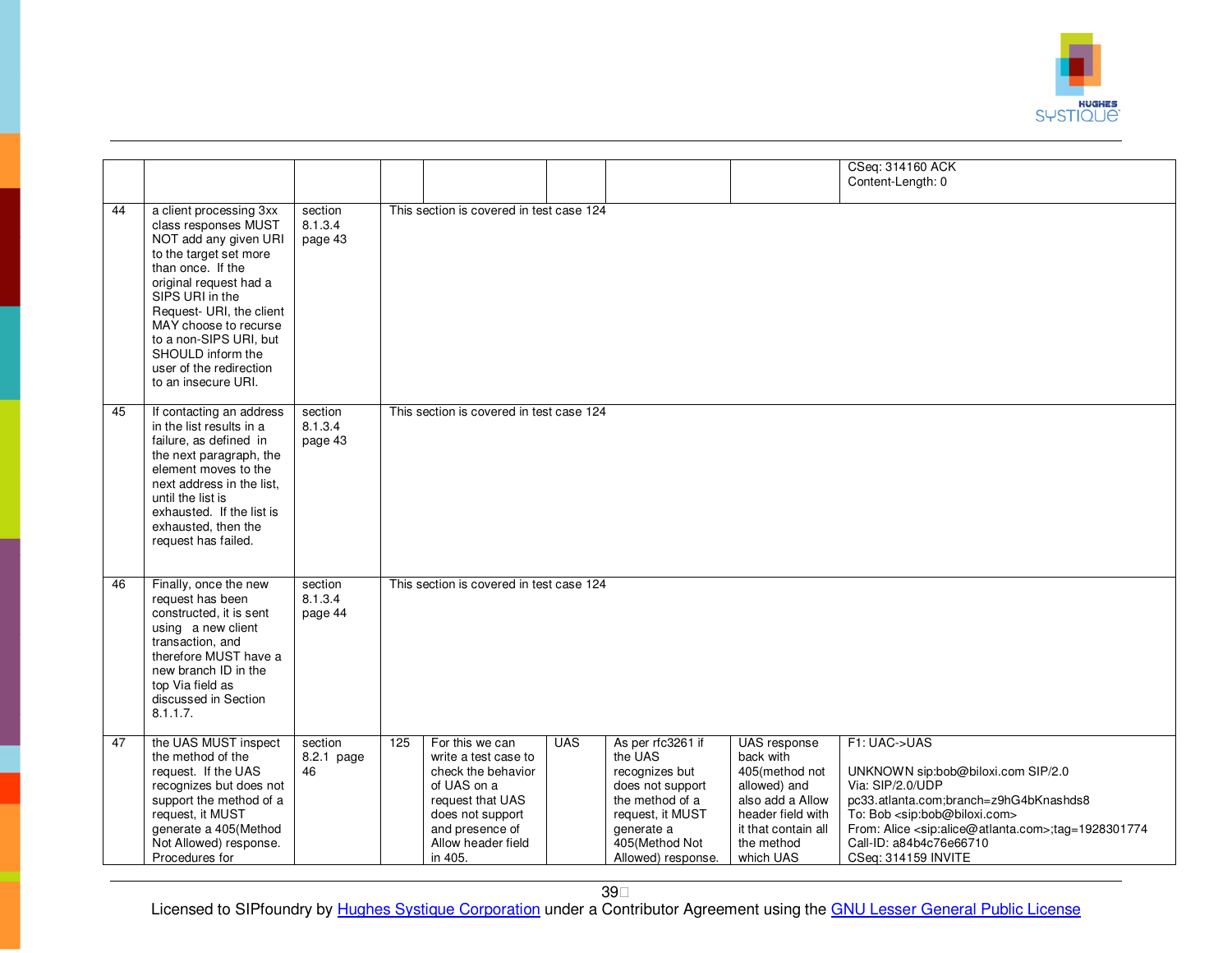

|    |                                                                                                                                                                                                                                                                                                                            |                               |     |                                                                                                                                                                          |            |                                                                                                                                                                 |                                                                                                                                                        | CSeq: 314160 ACK<br>Content-Length: 0                                                                                                                                                                                                                                                                    |
|----|----------------------------------------------------------------------------------------------------------------------------------------------------------------------------------------------------------------------------------------------------------------------------------------------------------------------------|-------------------------------|-----|--------------------------------------------------------------------------------------------------------------------------------------------------------------------------|------------|-----------------------------------------------------------------------------------------------------------------------------------------------------------------|--------------------------------------------------------------------------------------------------------------------------------------------------------|----------------------------------------------------------------------------------------------------------------------------------------------------------------------------------------------------------------------------------------------------------------------------------------------------------|
| 44 | a client processing 3xx<br>class responses MUST<br>NOT add any given URI<br>to the target set more<br>than once. If the<br>original request had a<br>SIPS URI in the<br>Request- URI, the client<br>MAY choose to recurse<br>to a non-SIPS URI, but<br>SHOULD inform the<br>user of the redirection<br>to an insecure URI. | section<br>8.1.3.4<br>page 43 |     | This section is covered in test case 124                                                                                                                                 |            |                                                                                                                                                                 |                                                                                                                                                        |                                                                                                                                                                                                                                                                                                          |
| 45 | If contacting an address<br>in the list results in a<br>failure, as defined in<br>the next paragraph, the<br>element moves to the<br>next address in the list.<br>until the list is<br>exhausted. If the list is<br>exhausted, then the<br>request has failed.                                                             | section<br>8.1.3.4<br>page 43 |     | This section is covered in test case 124                                                                                                                                 |            |                                                                                                                                                                 |                                                                                                                                                        |                                                                                                                                                                                                                                                                                                          |
| 46 | Finally, once the new<br>request has been<br>constructed, it is sent<br>using a new client<br>transaction, and<br>therefore MUST have a<br>new branch ID in the<br>top Via field as<br>discussed in Section<br>8.1.1.7.                                                                                                    | section<br>8.1.3.4<br>page 44 |     | This section is covered in test case 124                                                                                                                                 |            |                                                                                                                                                                 |                                                                                                                                                        |                                                                                                                                                                                                                                                                                                          |
| 47 | the UAS MUST inspect<br>the method of the<br>request. If the UAS<br>recognizes but does not<br>support the method of a<br>request, it MUST<br>generate a 405(Method<br>Not Allowed) response.<br>Procedures for                                                                                                            | section<br>8.2.1 page<br>46   | 125 | For this we can<br>write a test case to<br>check the behavior<br>of UAS on a<br>request that UAS<br>does not support<br>and presence of<br>Allow header field<br>in 405. | <b>UAS</b> | As per rfc3261 if<br>the UAS<br>recognizes but<br>does not support<br>the method of a<br>request, it MUST<br>generate a<br>405(Method Not<br>Allowed) response. | UAS response<br>back with<br>405(method not<br>allowed) and<br>also add a Allow<br>header field with<br>it that contain all<br>the method<br>which UAS | F1: UAC->UAS<br>UNKNOWN sip:bob@biloxi.com SIP/2.0<br>Via: SIP/2.0/UDP<br>pc33.atlanta.com;branch=z9hG4bKnashds8<br>To: Bob <sip:bob@biloxi.com><br/>From: Alice <sip:alice@atlanta.com>;tag=1928301774<br/>Call-ID: a84b4c76e66710<br/>CSeq: 314159 INVITE</sip:alice@atlanta.com></sip:bob@biloxi.com> |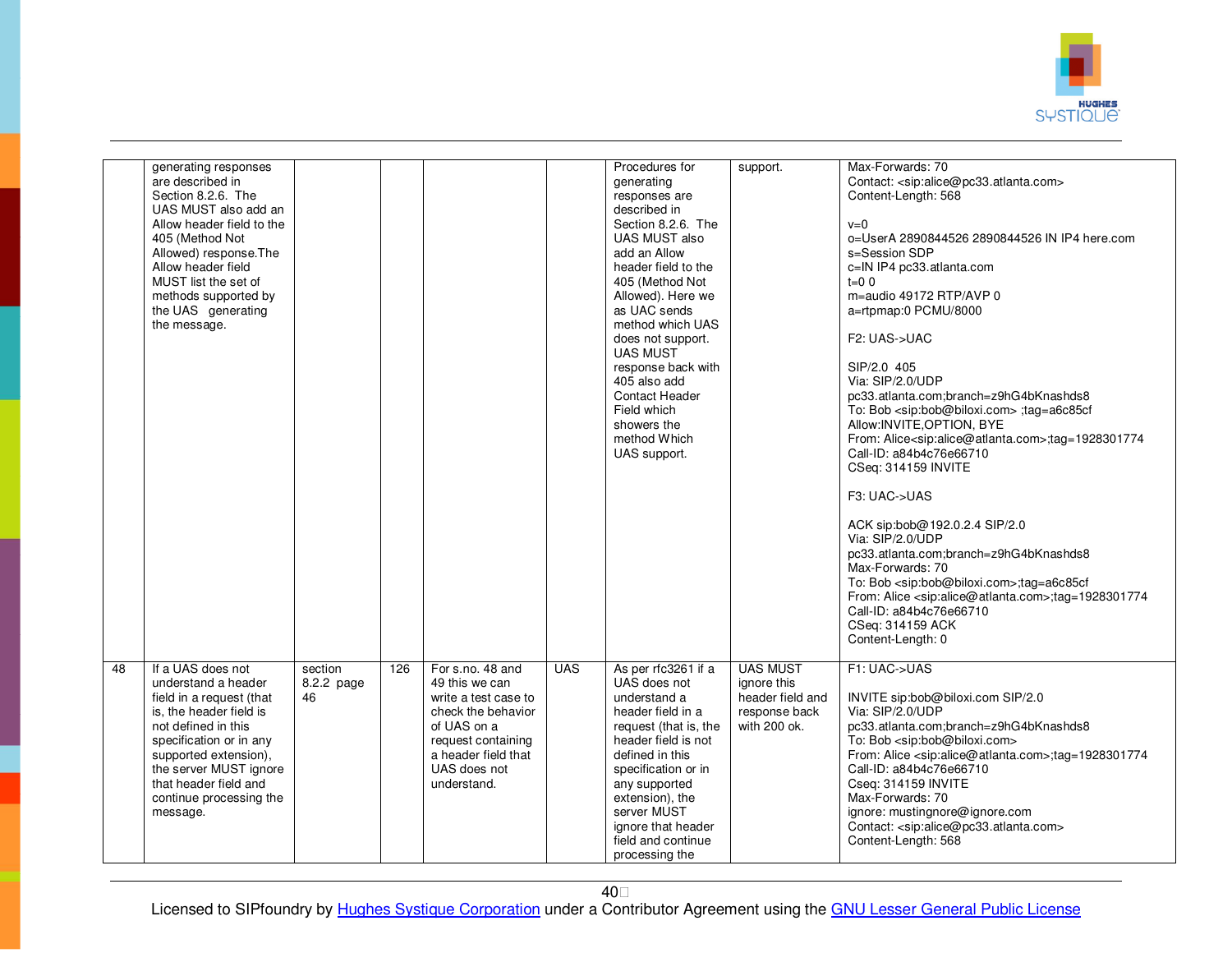

|                 | generating responses<br>are described in<br>Section 8.2.6. The<br>UAS MUST also add an<br>Allow header field to the<br>405 (Method Not<br>Allowed) response. The<br>Allow header field<br>MUST list the set of<br>methods supported by<br>the UAS generating<br>the message. |                             |     |                                                                                                                                                                             |            | Procedures for<br>generating<br>responses are<br>described in<br>Section 8.2.6. The<br>UAS MUST also<br>add an Allow<br>header field to the<br>405 (Method Not<br>Allowed). Here we<br>as UAC sends<br>method which UAS<br>does not support.<br><b>UAS MUST</b><br>response back with<br>405 also add<br>Contact Header<br>Field which<br>showers the<br>method Which<br>UAS support. | support.                                                                            | Max-Forwards: 70<br>Contact: <sip:alice@pc33.atlanta.com><br/>Content-Length: 568<br/><math>v=0</math><br/>o=UserA 2890844526 2890844526 IN IP4 here.com<br/>s=Session SDP<br/>c=IN IP4 pc33.atlanta.com<br/><math>t=0</math> 0<br/>m=audio 49172 RTP/AVP 0<br/>a=rtpmap:0 PCMU/8000<br/>F2: UAS-&gt;UAC<br/>SIP/2.0 405<br/>Via: SIP/2.0/UDP<br/>pc33.atlanta.com;branch=z9hG4bKnashds8<br/>To: Bob <sip:bob@biloxi.com> :tag=a6c85cf<br/>Allow: INVITE, OPTION, BYE<br/>From: Alice<sip:alice@atlanta.com>;tag=1928301774<br/>Call-ID: a84b4c76e66710<br/>CSeq: 314159 INVITE<br/>F3: UAC-&gt;UAS<br/>ACK sip:bob@192.0.2.4 SIP/2.0<br/>Via: SIP/2.0/UDP<br/>pc33.atlanta.com;branch=z9hG4bKnashds8<br/>Max-Forwards: 70<br/>To: Bob <sip:bob@biloxi.com>;tag=a6c85cf<br/>From: Alice <sip:alice@atlanta.com>;tag=1928301774<br/>Call-ID: a84b4c76e66710<br/>CSeq: 314159 ACK<br/>Content-Length: 0</sip:alice@atlanta.com></sip:bob@biloxi.com></sip:alice@atlanta.com></sip:bob@biloxi.com></sip:alice@pc33.atlanta.com> |
|-----------------|------------------------------------------------------------------------------------------------------------------------------------------------------------------------------------------------------------------------------------------------------------------------------|-----------------------------|-----|-----------------------------------------------------------------------------------------------------------------------------------------------------------------------------|------------|---------------------------------------------------------------------------------------------------------------------------------------------------------------------------------------------------------------------------------------------------------------------------------------------------------------------------------------------------------------------------------------|-------------------------------------------------------------------------------------|------------------------------------------------------------------------------------------------------------------------------------------------------------------------------------------------------------------------------------------------------------------------------------------------------------------------------------------------------------------------------------------------------------------------------------------------------------------------------------------------------------------------------------------------------------------------------------------------------------------------------------------------------------------------------------------------------------------------------------------------------------------------------------------------------------------------------------------------------------------------------------------------------------------------------------------------------------------------------------------------------------------------------|
| $\overline{48}$ | If a UAS does not<br>understand a header<br>field in a request (that<br>is, the header field is<br>not defined in this<br>specification or in any<br>supported extension),<br>the server MUST ignore<br>that header field and<br>continue processing the<br>message.         | section<br>8.2.2 page<br>46 | 126 | For s.no. 48 and<br>49 this we can<br>write a test case to<br>check the behavior<br>of UAS on a<br>request containing<br>a header field that<br>UAS does not<br>understand. | <b>UAS</b> | As per rfc3261 if a<br>UAS does not<br>understand a<br>header field in a<br>request (that is, the<br>header field is not<br>defined in this<br>specification or in<br>any supported<br>extension), the<br>server MUST<br>ignore that header<br>field and continue<br>processing the                                                                                                   | <b>UAS MUST</b><br>ignore this<br>header field and<br>response back<br>with 200 ok. | F1: UAC->UAS<br>INVITE sip:bob@biloxi.com SIP/2.0<br>Via: SIP/2.0/UDP<br>pc33.atlanta.com;branch=z9hG4bKnashds8<br>To: Bob <sip:bob@biloxi.com><br/>From: Alice <sip:alice@atlanta.com>;tag=1928301774<br/>Call-ID: a84b4c76e66710<br/>Cseq: 314159 INVITE<br/>Max-Forwards: 70<br/>ignore: mustingnore@ignore.com<br/>Contact: <sip:alice@pc33.atlanta.com><br/>Content-Length: 568</sip:alice@pc33.atlanta.com></sip:alice@atlanta.com></sip:bob@biloxi.com>                                                                                                                                                                                                                                                                                                                                                                                                                                                                                                                                                               |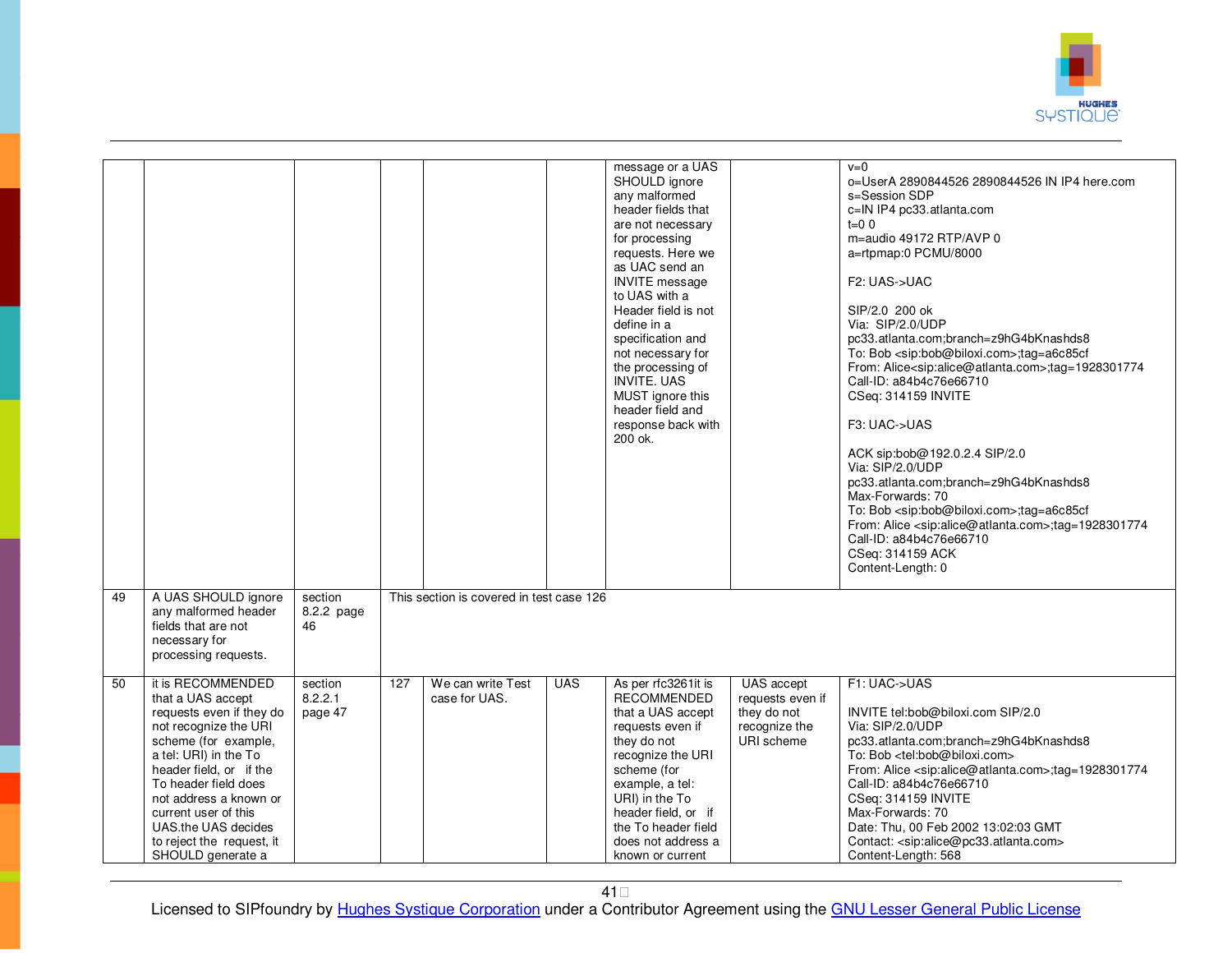

|    |                                                                                                                                                                                                                                                                                                                            |                               |     |                                          |            | message or a UAS<br>SHOULD ignore<br>any malformed<br>header fields that<br>are not necessary<br>for processing<br>requests. Here we<br>as UAC send an<br><b>INVITE</b> message<br>to UAS with a<br>Header field is not<br>define in a<br>specification and<br>not necessary for<br>the processing of<br><b>INVITE. UAS</b><br>MUST ignore this<br>header field and<br>response back with<br>200 ok. |                                                                              | $v=0$<br>o=UserA 2890844526 2890844526 IN IP4 here.com<br>s=Session SDP<br>c=IN IP4 pc33.atlanta.com<br>$t=0$ 0<br>m=audio 49172 RTP/AVP 0<br>a=rtpmap:0 PCMU/8000<br>F2: UAS->UAC<br>SIP/2.0 200 ok<br>Via: SIP/2.0/UDP<br>pc33.atlanta.com;branch=z9hG4bKnashds8<br>To: Bob <sip:bob@biloxi.com>;tag=a6c85cf<br/>From: Alice<sip:alice@atlanta.com>;tag=1928301774<br/>Call-ID: a84b4c76e66710<br/>CSeq: 314159 INVITE<br/>F3: UAC-&gt;UAS<br/>ACK sip:bob@192.0.2.4 SIP/2.0<br/>Via: SIP/2.0/UDP<br/>pc33.atlanta.com;branch=z9hG4bKnashds8<br/>Max-Forwards: 70<br/>To: Bob <sip:bob@biloxi.com>;tag=a6c85cf<br/>From: Alice <sip:alice@atlanta.com>;tag=1928301774<br/>Call-ID: a84b4c76e66710<br/>CSeq: 314159 ACK<br/>Content-Length: 0</sip:alice@atlanta.com></sip:bob@biloxi.com></sip:alice@atlanta.com></sip:bob@biloxi.com> |
|----|----------------------------------------------------------------------------------------------------------------------------------------------------------------------------------------------------------------------------------------------------------------------------------------------------------------------------|-------------------------------|-----|------------------------------------------|------------|------------------------------------------------------------------------------------------------------------------------------------------------------------------------------------------------------------------------------------------------------------------------------------------------------------------------------------------------------------------------------------------------------|------------------------------------------------------------------------------|------------------------------------------------------------------------------------------------------------------------------------------------------------------------------------------------------------------------------------------------------------------------------------------------------------------------------------------------------------------------------------------------------------------------------------------------------------------------------------------------------------------------------------------------------------------------------------------------------------------------------------------------------------------------------------------------------------------------------------------------------------------------------------------------------------------------------------------|
| 49 | A UAS SHOULD ignore<br>any malformed header<br>fields that are not<br>necessary for<br>processing requests.                                                                                                                                                                                                                | section<br>8.2.2 page<br>46   |     | This section is covered in test case 126 |            |                                                                                                                                                                                                                                                                                                                                                                                                      |                                                                              |                                                                                                                                                                                                                                                                                                                                                                                                                                                                                                                                                                                                                                                                                                                                                                                                                                          |
| 50 | it is RECOMMENDED<br>that a UAS accept<br>requests even if they do<br>not recognize the URI<br>scheme (for example,<br>a tel: URI) in the To<br>header field, or if the<br>To header field does<br>not address a known or<br>current user of this<br>UAS.the UAS decides<br>to reject the request, it<br>SHOULD generate a | section<br>8.2.2.1<br>page 47 | 127 | We can write Test<br>case for UAS.       | <b>UAS</b> | As per rfc3261it is<br><b>RECOMMENDED</b><br>that a UAS accept<br>requests even if<br>they do not<br>recognize the URI<br>scheme (for<br>example, a tel:<br>URI) in the To<br>header field, or if<br>the To header field<br>does not address a<br>known or current                                                                                                                                   | UAS accept<br>requests even if<br>they do not<br>recognize the<br>URI scheme | F1: UAC->UAS<br>INVITE tel:bob@biloxi.com SIP/2.0<br>Via: SIP/2.0/UDP<br>pc33.atlanta.com;branch=z9hG4bKnashds8<br>To: Bob <tel:bob@biloxi.com><br/>From: Alice <sip:alice@atlanta.com>;tag=1928301774<br/>Call-ID: a84b4c76e66710<br/>CSeq: 314159 INVITE<br/>Max-Forwards: 70<br/>Date: Thu, 00 Feb 2002 13:02:03 GMT<br/>Contact: <sip:alice@pc33.atlanta.com><br/>Content-Length: 568</sip:alice@pc33.atlanta.com></sip:alice@atlanta.com></tel:bob@biloxi.com>                                                                                                                                                                                                                                                                                                                                                                      |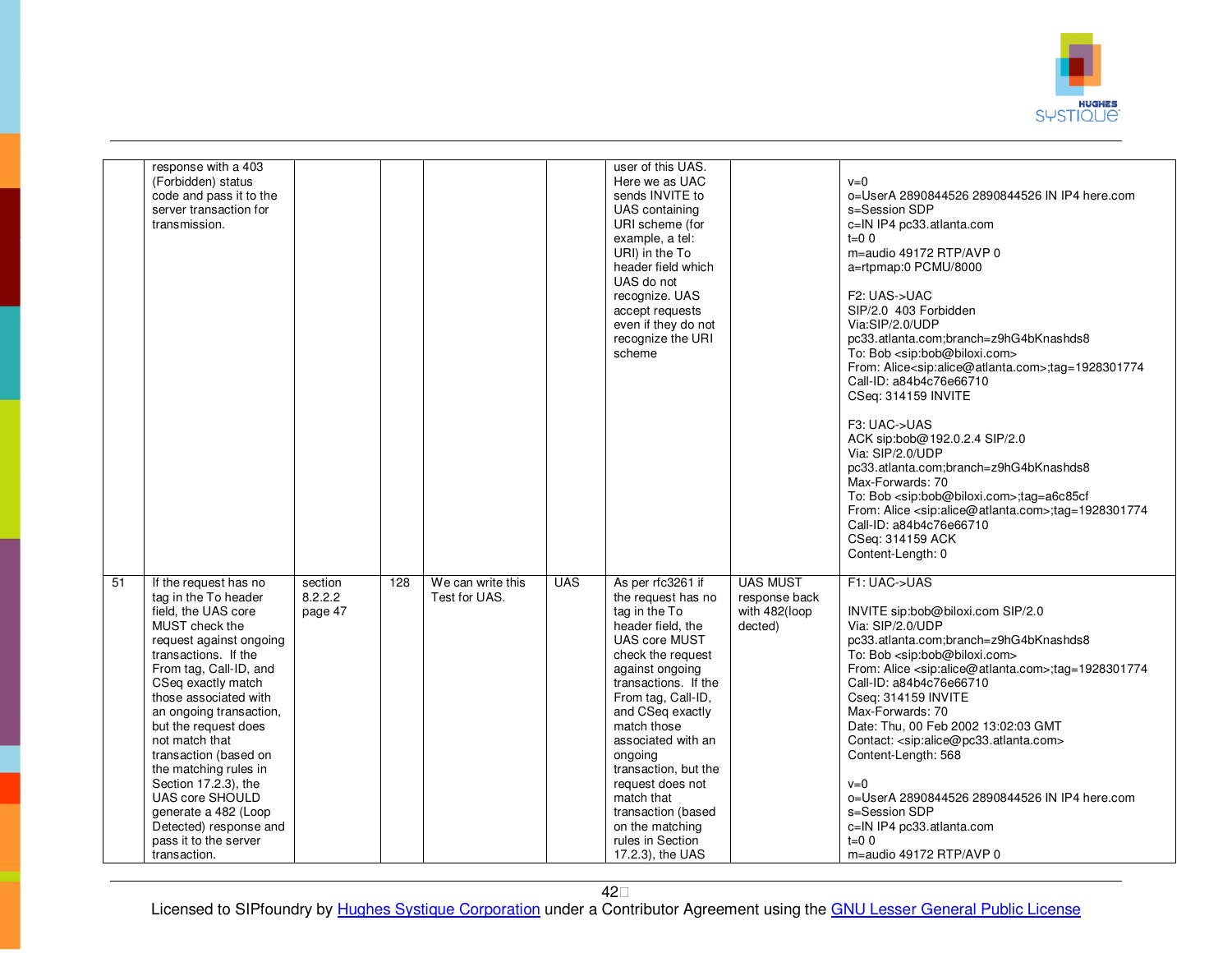

|    | response with a 403<br>(Forbidden) status<br>code and pass it to the<br>server transaction for<br>transmission.                                                                                                                                                                                                                                                                                                                                                                        |                               |     |                                    |            | user of this UAS.<br>Here we as UAC<br>sends INVITE to<br>UAS containing<br>URI scheme (for<br>example, a tel:<br>URI) in the To<br>header field which<br>UAS do not<br>recognize. UAS<br>accept requests<br>even if they do not<br>recognize the URI<br>scheme                                                                                                                                            |                                                              | $v=0$<br>o=UserA 2890844526 2890844526 IN IP4 here.com<br>s=Session SDP<br>c=IN IP4 pc33.atlanta.com<br>$t=0$ 0<br>m=audio 49172 RTP/AVP 0<br>a=rtpmap:0 PCMU/8000<br>F2: UAS->UAC<br>SIP/2.0 403 Forbidden<br>Via:SIP/2.0/UDP<br>pc33.atlanta.com;branch=z9hG4bKnashds8<br>To: Bob <sip:bob@biloxi.com><br/>From: Alice<sip:alice@atlanta.com>;tag=1928301774<br/>Call-ID: a84b4c76e66710<br/>CSeq: 314159 INVITE<br/>F3: UAC-&gt;UAS<br/>ACK sip:bob@192.0.2.4 SIP/2.0<br/>Via: SIP/2.0/UDP<br/>pc33.atlanta.com;branch=z9hG4bKnashds8<br/>Max-Forwards: 70<br/>To: Bob <sip:bob@biloxi.com>;tag=a6c85cf<br/>From: Alice <sip:alice@atlanta.com>;tag=1928301774<br/>Call-ID: a84b4c76e66710<br/>CSeq: 314159 ACK<br/>Content-Length: 0</sip:alice@atlanta.com></sip:bob@biloxi.com></sip:alice@atlanta.com></sip:bob@biloxi.com> |
|----|----------------------------------------------------------------------------------------------------------------------------------------------------------------------------------------------------------------------------------------------------------------------------------------------------------------------------------------------------------------------------------------------------------------------------------------------------------------------------------------|-------------------------------|-----|------------------------------------|------------|------------------------------------------------------------------------------------------------------------------------------------------------------------------------------------------------------------------------------------------------------------------------------------------------------------------------------------------------------------------------------------------------------------|--------------------------------------------------------------|------------------------------------------------------------------------------------------------------------------------------------------------------------------------------------------------------------------------------------------------------------------------------------------------------------------------------------------------------------------------------------------------------------------------------------------------------------------------------------------------------------------------------------------------------------------------------------------------------------------------------------------------------------------------------------------------------------------------------------------------------------------------------------------------------------------------------------|
| 51 | If the request has no<br>tag in the To header<br>field, the UAS core<br>MUST check the<br>request against ongoing<br>transactions. If the<br>From tag, Call-ID, and<br>CSeq exactly match<br>those associated with<br>an ongoing transaction,<br>but the request does<br>not match that<br>transaction (based on<br>the matching rules in<br>Section 17.2.3), the<br><b>UAS core SHOULD</b><br>generate a 482 (Loop<br>Detected) response and<br>pass it to the server<br>transaction. | section<br>8.2.2.2<br>page 47 | 128 | We can write this<br>Test for UAS. | <b>UAS</b> | As per rfc3261 if<br>the request has no<br>tag in the To<br>header field, the<br><b>UAS core MUST</b><br>check the request<br>against ongoing<br>transactions. If the<br>From tag, Call-ID,<br>and CSeq exactly<br>match those<br>associated with an<br>ongoing<br>transaction, but the<br>request does not<br>match that<br>transaction (based<br>on the matching<br>rules in Section<br>17.2.3), the UAS | <b>UAS MUST</b><br>response back<br>with 482(loop<br>dected) | F1: UAC->UAS<br>INVITE sip:bob@biloxi.com SIP/2.0<br>Via: SIP/2.0/UDP<br>pc33.atlanta.com;branch=z9hG4bKnashds8<br>To: Bob <sip:bob@biloxi.com><br/>From: Alice <sip:alice@atlanta.com>;tag=1928301774<br/>Call-ID: a84b4c76e66710<br/>Cseq: 314159 INVITE<br/>Max-Forwards: 70<br/>Date: Thu, 00 Feb 2002 13:02:03 GMT<br/>Contact: <sip:alice@pc33.atlanta.com><br/>Content-Length: 568<br/><math>v=0</math><br/>o=UserA 2890844526 2890844526 IN IP4 here.com<br/>s=Session SDP<br/>c=IN IP4 pc33.atlanta.com<br/><math>t=0</math> 0<br/>m=audio 49172 RTP/AVP 0</sip:alice@pc33.atlanta.com></sip:alice@atlanta.com></sip:bob@biloxi.com>                                                                                                                                                                                      |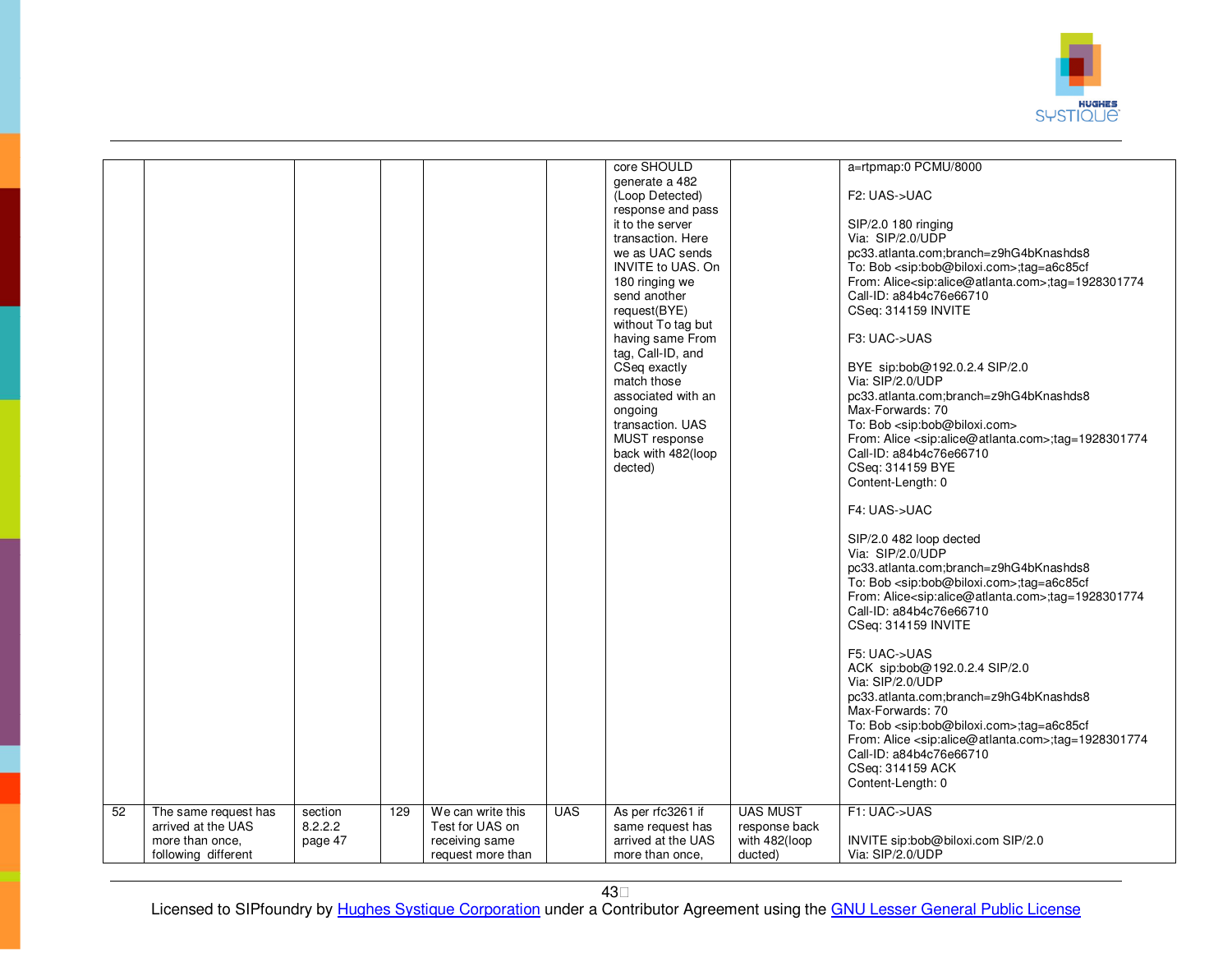

| generate a 482<br>(Loop Detected)<br>F2: UAS->UAC<br>response and pass<br>SIP/2.0 180 ringing<br>it to the server<br>Via: SIP/2.0/UDP<br>transaction. Here<br>we as UAC sends<br>pc33.atlanta.com;branch=z9hG4bKnashds8<br><b>INVITE to UAS. On</b><br>To: Bob <sip:bob@biloxi.com>;tag=a6c85cf<br/>180 ringing we<br/>From: Alice<sip:alice@atlanta.com>;tag=1928301774<br/>Call-ID: a84b4c76e66710<br/>send another<br/>request(BYE)<br/>CSeq: 314159 INVITE<br/>without To tag but<br/>F3: UAC-&gt;UAS<br/>having same From<br/>tag, Call-ID, and<br/>CSeq exactly<br/>BYE sip:bob@192.0.2.4 SIP/2.0<br/>Via: SIP/2.0/UDP<br/>match those<br/>pc33.atlanta.com;branch=z9hG4bKnashds8<br/>associated with an<br/>Max-Forwards: 70<br/>ongoing<br/>transaction. UAS<br/>To: Bob <sip:bob@biloxi.com><br/>MUST response<br/>From: Alice <sip:alice@atlanta.com>;tag=1928301774<br/>back with 482(loop<br/>Call-ID: a84b4c76e66710<br/>CSeq: 314159 BYE<br/>dected)<br/>Content-Length: 0<br/>F4: UAS-&gt;UAC<br/>SIP/2.0 482 loop dected<br/>Via: SIP/2.0/UDP<br/>pc33.atlanta.com;branch=z9hG4bKnashds8<br/>To: Bob <sip:bob@biloxi.com>;tag=a6c85cf<br/>From: Alice<sip:alice@atlanta.com>;tag=1928301774<br/>Call-ID: a84b4c76e66710<br/>CSeq: 314159 INVITE<br/>F5: UAC-&gt;UAS<br/>ACK sip:bob@192.0.2.4 SIP/2.0<br/>Via: SIP/2.0/UDP<br/>pc33.atlanta.com;branch=z9hG4bKnashds8<br/>Max-Forwards: 70<br/>To: Bob <sip:bob@biloxi.com>;tag=a6c85cf<br/>From: Alice <sip:alice@atlanta.com>;tag=1928301774<br/>Call-ID: a84b4c76e66710<br/>CSeq: 314159 ACK<br/>Content-Length: 0<br/>52<br/><b>UAS MUST</b><br/>We can write this<br/><b>UAS</b><br/>As per rfc3261 if<br/>F1: UAC-&gt;UAS<br/>The same request has<br/>129<br/>section<br/>arrived at the UAS<br/>8.2.2.2<br/>Test for UAS on<br/>same request has<br/>response back<br/>INVITE sip:bob@biloxi.com SIP/2.0<br/>more than once,<br/>receiving same<br/>arrived at the UAS<br/>with 482(loop<br/>page 47<br/>ducted)<br/>Via: SIP/2.0/UDP<br/>following different<br/>request more than<br/>more than once.</sip:alice@atlanta.com></sip:bob@biloxi.com></sip:alice@atlanta.com></sip:bob@biloxi.com></sip:alice@atlanta.com></sip:bob@biloxi.com></sip:alice@atlanta.com></sip:bob@biloxi.com> |  |  |  |             |                      |
|---------------------------------------------------------------------------------------------------------------------------------------------------------------------------------------------------------------------------------------------------------------------------------------------------------------------------------------------------------------------------------------------------------------------------------------------------------------------------------------------------------------------------------------------------------------------------------------------------------------------------------------------------------------------------------------------------------------------------------------------------------------------------------------------------------------------------------------------------------------------------------------------------------------------------------------------------------------------------------------------------------------------------------------------------------------------------------------------------------------------------------------------------------------------------------------------------------------------------------------------------------------------------------------------------------------------------------------------------------------------------------------------------------------------------------------------------------------------------------------------------------------------------------------------------------------------------------------------------------------------------------------------------------------------------------------------------------------------------------------------------------------------------------------------------------------------------------------------------------------------------------------------------------------------------------------------------------------------------------------------------------------------------------------------------------------------------------------------------------------------------------------------------------------------------------------------------------------------------------------------------------------------|--|--|--|-------------|----------------------|
|                                                                                                                                                                                                                                                                                                                                                                                                                                                                                                                                                                                                                                                                                                                                                                                                                                                                                                                                                                                                                                                                                                                                                                                                                                                                                                                                                                                                                                                                                                                                                                                                                                                                                                                                                                                                                                                                                                                                                                                                                                                                                                                                                                                                                                                                     |  |  |  | core SHOULD | a=rtpmap:0 PCMU/8000 |
|                                                                                                                                                                                                                                                                                                                                                                                                                                                                                                                                                                                                                                                                                                                                                                                                                                                                                                                                                                                                                                                                                                                                                                                                                                                                                                                                                                                                                                                                                                                                                                                                                                                                                                                                                                                                                                                                                                                                                                                                                                                                                                                                                                                                                                                                     |  |  |  |             |                      |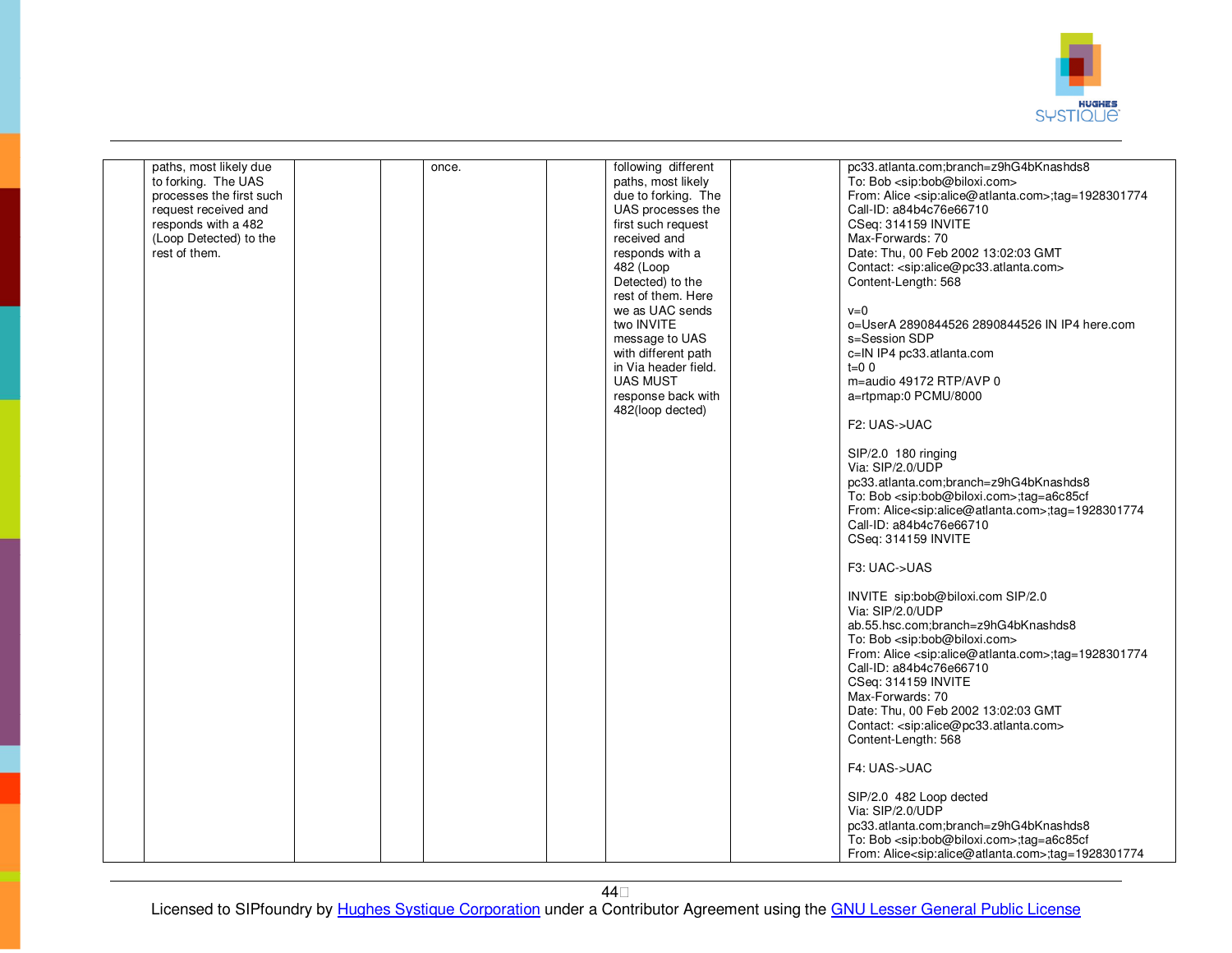

| paths, most likely due<br>to forking. The UAS<br>processes the first such<br>request received and<br>responds with a 482<br>(Loop Detected) to the<br>rest of them. | once. | following different<br>paths, most likely<br>due to forking. The<br>UAS processes the<br>first such request<br>received and<br>responds with a<br>482 (Loop<br>Detected) to the<br>rest of them. Here<br>we as UAC sends<br>two INVITE<br>message to UAS | pc33.atlanta.com;branch=z9hG4bKnashds8<br>To: Bob <sip:bob@biloxi.com><br/>From: Alice <sip:alice@atlanta.com>;tag=1928301774<br/>Call-ID: a84b4c76e66710<br/>CSeq: 314159 INVITE<br/>Max-Forwards: 70<br/>Date: Thu, 00 Feb 2002 13:02:03 GMT<br/>Contact: <sip:alice@pc33.atlanta.com><br/>Content-Length: 568<br/><math>v=0</math><br/>o=UserA 2890844526 2890844526 IN IP4 here.com<br/>s=Session SDP</sip:alice@pc33.atlanta.com></sip:alice@atlanta.com></sip:bob@biloxi.com> |
|---------------------------------------------------------------------------------------------------------------------------------------------------------------------|-------|----------------------------------------------------------------------------------------------------------------------------------------------------------------------------------------------------------------------------------------------------------|-------------------------------------------------------------------------------------------------------------------------------------------------------------------------------------------------------------------------------------------------------------------------------------------------------------------------------------------------------------------------------------------------------------------------------------------------------------------------------------|
|                                                                                                                                                                     |       | with different path<br>in Via header field.<br><b>UAS MUST</b><br>response back with<br>482(loop dected)                                                                                                                                                 | c=IN IP4 pc33.atlanta.com<br>$t=0$ 0<br>m=audio 49172 RTP/AVP 0<br>a=rtpmap:0 PCMU/8000<br>F2: UAS->UAC                                                                                                                                                                                                                                                                                                                                                                             |
|                                                                                                                                                                     |       |                                                                                                                                                                                                                                                          | SIP/2.0 180 ringing<br>Via: SIP/2.0/UDP<br>pc33.atlanta.com;branch=z9hG4bKnashds8<br>To: Bob <sip:bob@biloxi.com>;tag=a6c85cf<br/>From: Alice<sip:alice@atlanta.com>;tag=1928301774<br/>Call-ID: a84b4c76e66710<br/>CSeq: 314159 INVITE</sip:alice@atlanta.com></sip:bob@biloxi.com>                                                                                                                                                                                                |
|                                                                                                                                                                     |       |                                                                                                                                                                                                                                                          | F3: UAC->UAS<br>INVITE sip:bob@biloxi.com SIP/2.0<br>Via: SIP/2.0/UDP                                                                                                                                                                                                                                                                                                                                                                                                               |
|                                                                                                                                                                     |       |                                                                                                                                                                                                                                                          | ab.55.hsc.com;branch=z9hG4bKnashds8<br>To: Bob <sip:bob@biloxi.com><br/>From: Alice <sip:alice@atlanta.com>;tag=1928301774<br/>Call-ID: a84b4c76e66710<br/>CSeq: 314159 INVITE<br/>Max-Forwards: 70<br/>Date: Thu, 00 Feb 2002 13:02:03 GMT<br/>Contact: <sip:alice@pc33.atlanta.com><br/>Content-Length: 568</sip:alice@pc33.atlanta.com></sip:alice@atlanta.com></sip:bob@biloxi.com>                                                                                             |
|                                                                                                                                                                     |       |                                                                                                                                                                                                                                                          | F4: UAS->UAC<br>SIP/2.0 482 Loop dected                                                                                                                                                                                                                                                                                                                                                                                                                                             |
|                                                                                                                                                                     |       |                                                                                                                                                                                                                                                          | Via: SIP/2.0/UDP<br>pc33.atlanta.com;branch=z9hG4bKnashds8<br>To: Bob <sip:bob@biloxi.com>;tag=a6c85cf<br/>From: Alice<sip:alice@atlanta.com>;tag=1928301774</sip:alice@atlanta.com></sip:bob@biloxi.com>                                                                                                                                                                                                                                                                           |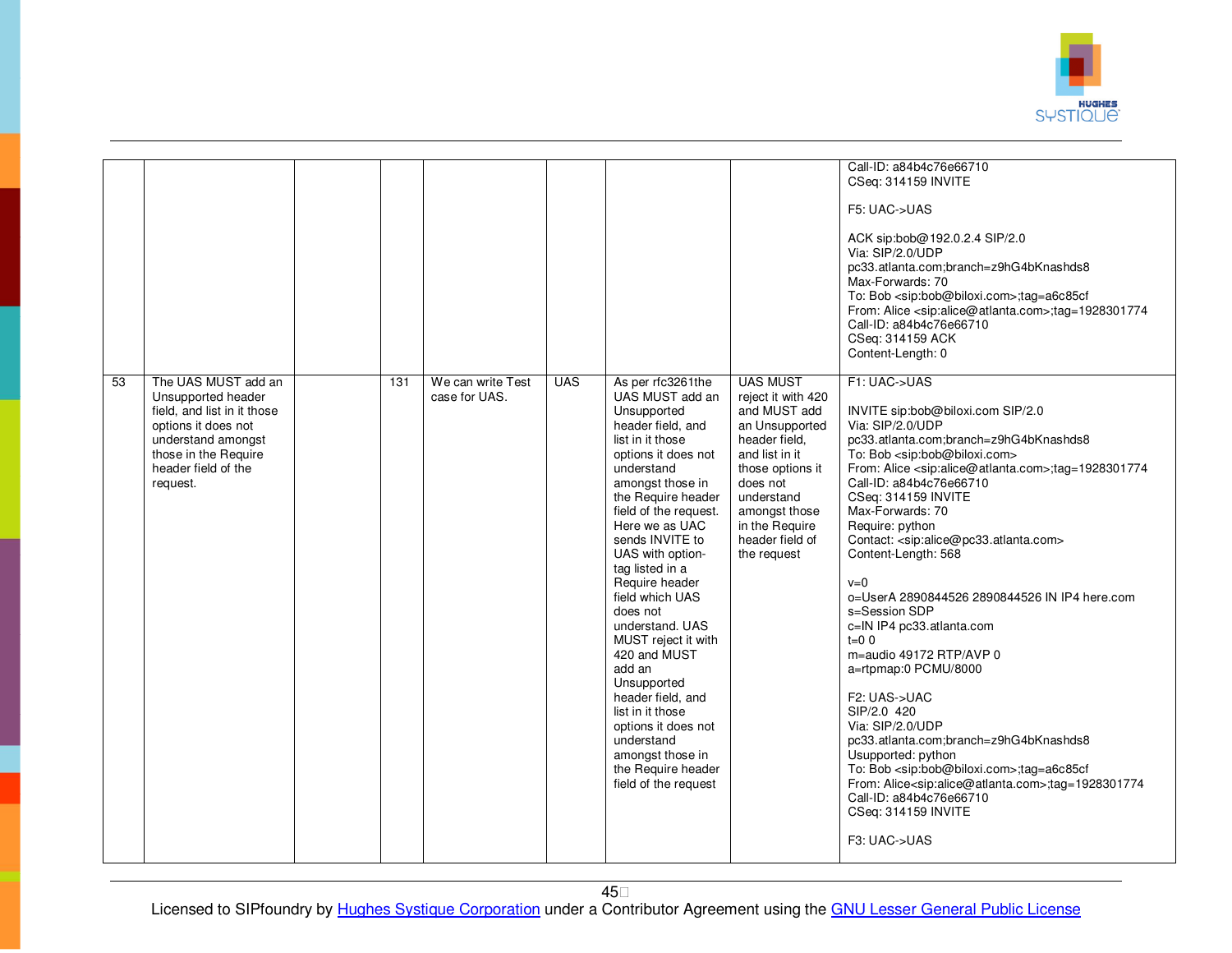

|                 |                                                                                                                                                                                  |     |                                    |            |                                                                                                                                                                                                                                                                                                                                                                                                                                                                                                                                                                      |                                                                                                                                                                                                                               | Call-ID: a84b4c76e66710<br>CSeq: 314159 INVITE<br>F5: UAC->UAS<br>ACK sip:bob@192.0.2.4 SIP/2.0<br>Via: SIP/2.0/UDP<br>pc33.atlanta.com;branch=z9hG4bKnashds8<br>Max-Forwards: 70<br>To: Bob <sip:bob@biloxi.com>;tag=a6c85cf<br/>From: Alice <sip:alice@atlanta.com>;tag=1928301774<br/>Call-ID: a84b4c76e66710<br/>CSeq: 314159 ACK<br/>Content-Length: 0</sip:alice@atlanta.com></sip:bob@biloxi.com>                                                                                                                                                                                                                                                                                                                                                                                                                                                                                                                                                                                              |
|-----------------|----------------------------------------------------------------------------------------------------------------------------------------------------------------------------------|-----|------------------------------------|------------|----------------------------------------------------------------------------------------------------------------------------------------------------------------------------------------------------------------------------------------------------------------------------------------------------------------------------------------------------------------------------------------------------------------------------------------------------------------------------------------------------------------------------------------------------------------------|-------------------------------------------------------------------------------------------------------------------------------------------------------------------------------------------------------------------------------|-------------------------------------------------------------------------------------------------------------------------------------------------------------------------------------------------------------------------------------------------------------------------------------------------------------------------------------------------------------------------------------------------------------------------------------------------------------------------------------------------------------------------------------------------------------------------------------------------------------------------------------------------------------------------------------------------------------------------------------------------------------------------------------------------------------------------------------------------------------------------------------------------------------------------------------------------------------------------------------------------------|
| $\overline{53}$ | The UAS MUST add an<br>Unsupported header<br>field, and list in it those<br>options it does not<br>understand amongst<br>those in the Require<br>header field of the<br>request. | 131 | We can write Test<br>case for UAS. | <b>UAS</b> | As per rfc3261the<br>UAS MUST add an<br>Unsupported<br>header field, and<br>list in it those<br>options it does not<br>understand<br>amongst those in<br>the Require header<br>field of the request.<br>Here we as UAC<br>sends INVITE to<br>UAS with option-<br>tag listed in a<br>Require header<br>field which UAS<br>does not<br>understand. UAS<br>MUST reject it with<br>420 and MUST<br>add an<br>Unsupported<br>header field, and<br>list in it those<br>options it does not<br>understand<br>amongst those in<br>the Require header<br>field of the request | <b>UAS MUST</b><br>reject it with 420<br>and MUST add<br>an Unsupported<br>header field.<br>and list in it<br>those options it<br>does not<br>understand<br>amongst those<br>in the Require<br>header field of<br>the request | F1: UAC->UAS<br>INVITE sip:bob@biloxi.com SIP/2.0<br>Via: SIP/2.0/UDP<br>pc33.atlanta.com;branch=z9hG4bKnashds8<br>To: Bob <sip:bob@biloxi.com><br/>From: Alice <sip:alice@atlanta.com>;tag=1928301774<br/>Call-ID: a84b4c76e66710<br/>CSeq: 314159 INVITE<br/>Max-Forwards: 70<br/>Require: python<br/>Contact: <sip:alice@pc33.atlanta.com><br/>Content-Length: 568<br/><math>v=0</math><br/>o=UserA 2890844526 2890844526 IN IP4 here.com<br/>s=Session SDP<br/>c=IN IP4 pc33.atlanta.com<br/><math>t=0</math> 0<br/>m=audio 49172 RTP/AVP 0<br/>a=rtpmap:0 PCMU/8000<br/>F2: UAS-&gt;UAC<br/>SIP/2.0 420<br/>Via: SIP/2.0/UDP<br/>pc33.atlanta.com;branch=z9hG4bKnashds8<br/>Usupported: python<br/>To: Bob <sip:bob@biloxi.com>;tag=a6c85cf<br/>From: Alice<sip:alice@atlanta.com>;tag=1928301774<br/>Call-ID: a84b4c76e66710<br/>CSeq: 314159 INVITE<br/>F3: UAC-&gt;UAS</sip:alice@atlanta.com></sip:bob@biloxi.com></sip:alice@pc33.atlanta.com></sip:alice@atlanta.com></sip:bob@biloxi.com> |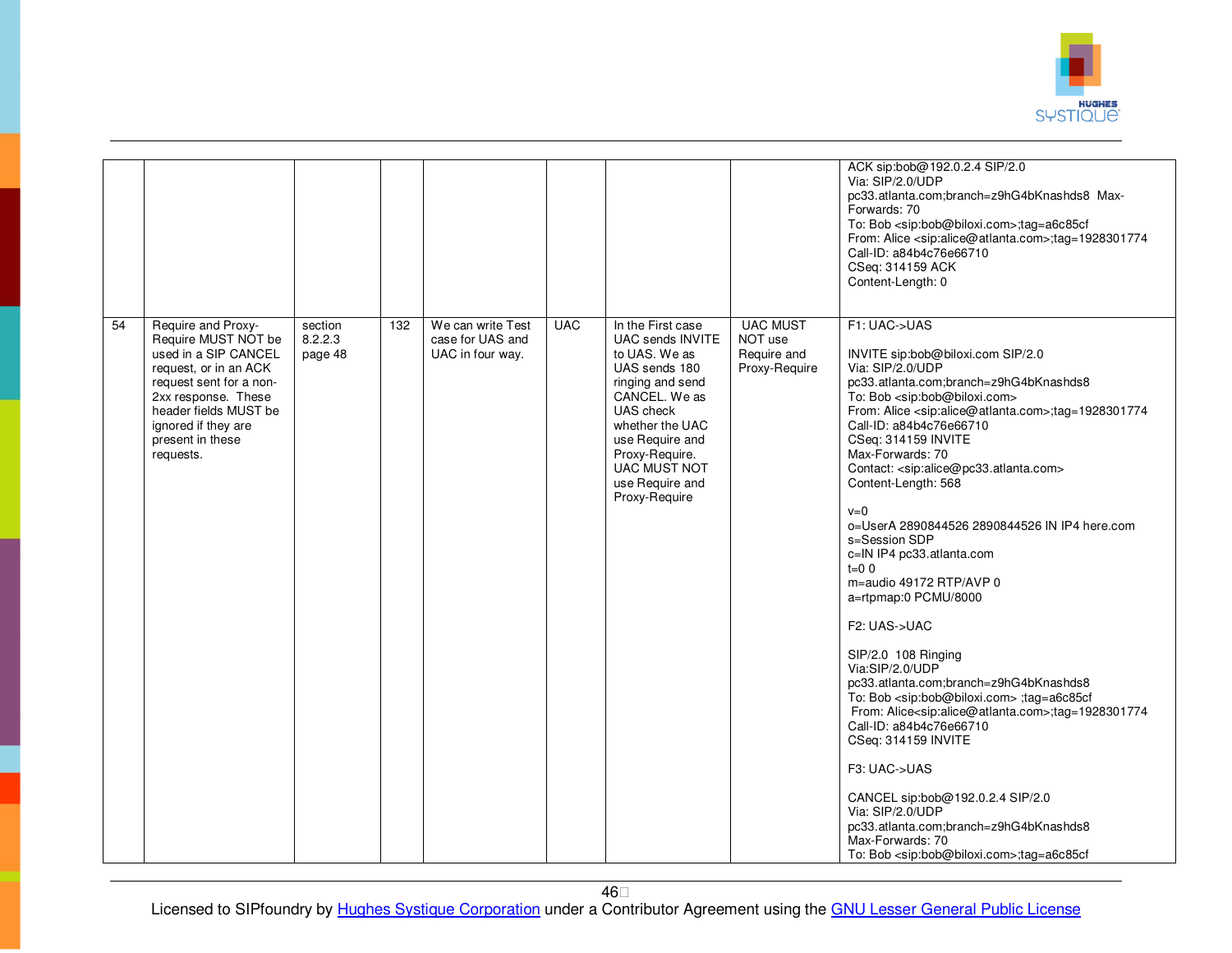

|    |                                                                                                                                                                                                                               |                               |     |                                                           |            |                                                                                                                                                                                                                                              |                                                            | ACK sip:bob@192.0.2.4 SIP/2.0<br>Via: SIP/2.0/UDP<br>pc33.atlanta.com;branch=z9hG4bKnashds8 Max-<br>Forwards: 70<br>To: Bob <sip:bob@biloxi.com>;tag=a6c85cf<br/>From: Alice <sip:alice@atlanta.com>;tag=1928301774<br/>Call-ID: a84b4c76e66710<br/>CSeq: 314159 ACK<br/>Content-Length: 0</sip:alice@atlanta.com></sip:bob@biloxi.com>                                                                                                                                                                                                                                                                                                                                                                                                                                                                                                                                                                                                                                                                                                                                                                                                                        |
|----|-------------------------------------------------------------------------------------------------------------------------------------------------------------------------------------------------------------------------------|-------------------------------|-----|-----------------------------------------------------------|------------|----------------------------------------------------------------------------------------------------------------------------------------------------------------------------------------------------------------------------------------------|------------------------------------------------------------|----------------------------------------------------------------------------------------------------------------------------------------------------------------------------------------------------------------------------------------------------------------------------------------------------------------------------------------------------------------------------------------------------------------------------------------------------------------------------------------------------------------------------------------------------------------------------------------------------------------------------------------------------------------------------------------------------------------------------------------------------------------------------------------------------------------------------------------------------------------------------------------------------------------------------------------------------------------------------------------------------------------------------------------------------------------------------------------------------------------------------------------------------------------|
| 54 | Require and Proxy-<br>Require MUST NOT be<br>used in a SIP CANCEL<br>request, or in an ACK<br>request sent for a non-<br>2xx response. These<br>header fields MUST be<br>ignored if they are<br>present in these<br>requests. | section<br>8.2.2.3<br>page 48 | 132 | We can write Test<br>case for UAS and<br>UAC in four way. | <b>UAC</b> | In the First case<br>UAC sends INVITE<br>to UAS. We as<br>UAS sends 180<br>ringing and send<br>CANCEL. We as<br>UAS check<br>whether the UAC<br>use Require and<br>Proxy-Require.<br><b>UAC MUST NOT</b><br>use Require and<br>Proxy-Require | <b>UAC MUST</b><br>NOT use<br>Require and<br>Proxy-Require | F1: UAC->UAS<br>INVITE sip:bob@biloxi.com SIP/2.0<br>Via: SIP/2.0/UDP<br>pc33.atlanta.com;branch=z9hG4bKnashds8<br>To: Bob <sip:bob@biloxi.com><br/>From: Alice <sip:alice@atlanta.com>;tag=1928301774<br/>Call-ID: a84b4c76e66710<br/>CSeq: 314159 INVITE<br/>Max-Forwards: 70<br/>Contact: <sip:alice@pc33.atlanta.com><br/>Content-Length: 568<br/><math>v=0</math><br/>o=UserA 2890844526 2890844526 IN IP4 here.com<br/>s=Session SDP<br/>c=IN IP4 pc33.atlanta.com<br/><math>t=0</math> 0<br/>m=audio 49172 RTP/AVP 0<br/>a=rtpmap:0 PCMU/8000<br/>F2: UAS-&gt;UAC<br/>SIP/2.0 108 Ringing<br/>Via:SIP/2.0/UDP<br/>pc33.atlanta.com;branch=z9hG4bKnashds8<br/>To: Bob <sip:bob@biloxi.com> ;tag=a6c85cf<br/>From: Alice<sip:alice@atlanta.com>;tag=1928301774<br/>Call-ID: a84b4c76e66710<br/>CSeq: 314159 INVITE<br/>F3: UAC-&gt;UAS<br/>CANCEL sip:bob@192.0.2.4 SIP/2.0<br/>Via: SIP/2.0/UDP<br/>pc33.atlanta.com;branch=z9hG4bKnashds8<br/>Max-Forwards: 70<br/>To: Bob <sip:bob@biloxi.com>;tag=a6c85cf</sip:bob@biloxi.com></sip:alice@atlanta.com></sip:bob@biloxi.com></sip:alice@pc33.atlanta.com></sip:alice@atlanta.com></sip:bob@biloxi.com> |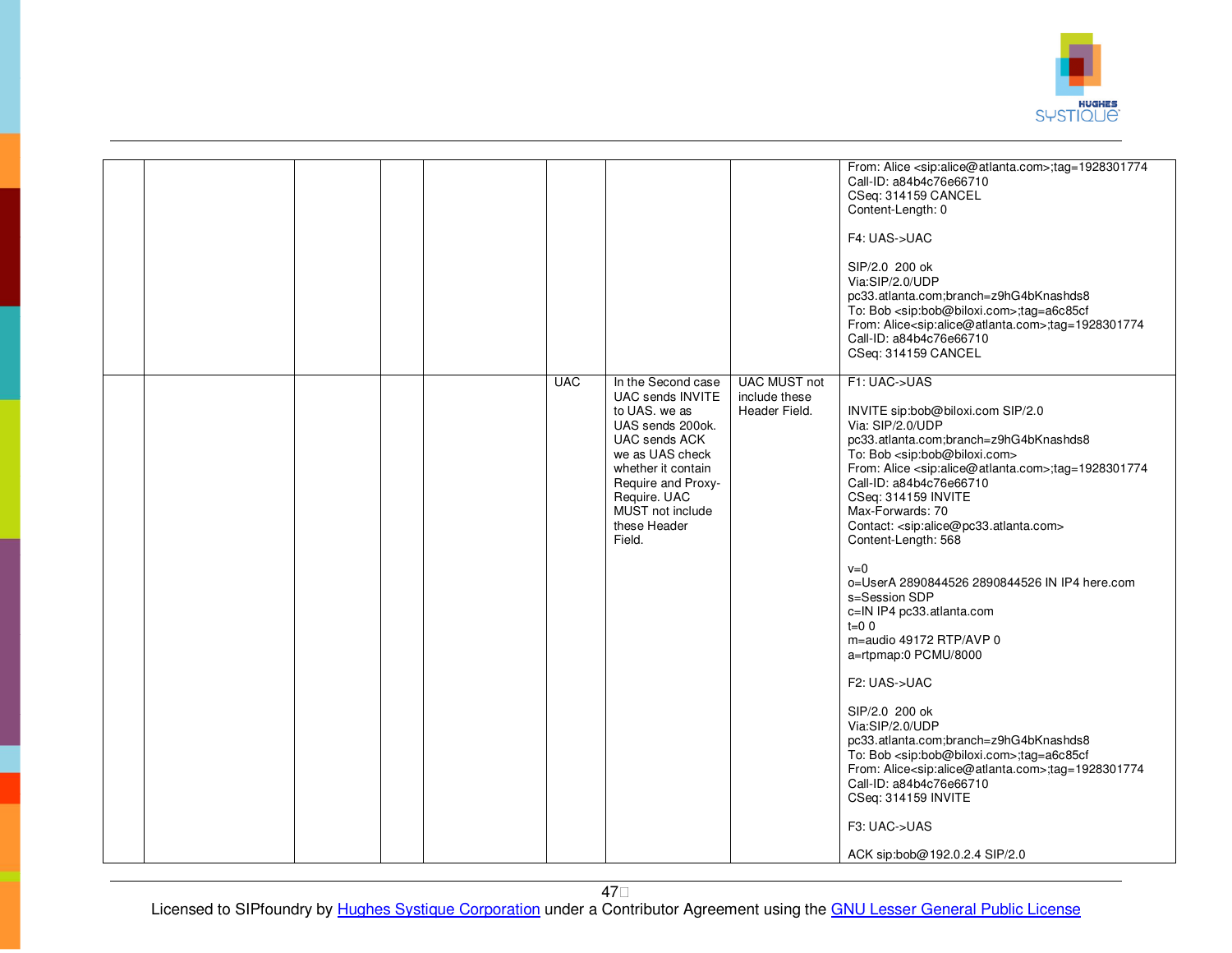

|  |            |                                                                                                                                                                                                                                  |                                                       | From: Alice <sip:alice@atlanta.com>;tag=1928301774<br/>Call-ID: a84b4c76e66710<br/>CSeq: 314159 CANCEL<br/>Content-Length: 0<br/>F4: UAS-&gt;UAC<br/>SIP/2.0 200 ok<br/>Via:SIP/2.0/UDP<br/>pc33.atlanta.com;branch=z9hG4bKnashds8<br/>To: Bob <sip:bob@biloxi.com>;tag=a6c85cf<br/>From: Alice<sip:alice@atlanta.com>;tag=1928301774<br/>Call-ID: a84b4c76e66710<br/>CSeq: 314159 CANCEL</sip:alice@atlanta.com></sip:bob@biloxi.com></sip:alice@atlanta.com>                                                                                                                                                                                                                                                                                                                                                                                                                                                                                                                                 |
|--|------------|----------------------------------------------------------------------------------------------------------------------------------------------------------------------------------------------------------------------------------|-------------------------------------------------------|------------------------------------------------------------------------------------------------------------------------------------------------------------------------------------------------------------------------------------------------------------------------------------------------------------------------------------------------------------------------------------------------------------------------------------------------------------------------------------------------------------------------------------------------------------------------------------------------------------------------------------------------------------------------------------------------------------------------------------------------------------------------------------------------------------------------------------------------------------------------------------------------------------------------------------------------------------------------------------------------|
|  | <b>UAC</b> | In the Second case<br>UAC sends INVITE<br>to UAS. we as<br>UAS sends 200ok.<br><b>UAC sends ACK</b><br>we as UAS check<br>whether it contain<br>Require and Proxy-<br>Require. UAC<br>MUST not include<br>these Header<br>Field. | <b>UAC MUST not</b><br>include these<br>Header Field. | F1: UAC->UAS<br>INVITE sip:bob@biloxi.com SIP/2.0<br>Via: SIP/2.0/UDP<br>pc33.atlanta.com;branch=z9hG4bKnashds8<br>To: Bob <sip:bob@biloxi.com><br/>From: Alice <sip:alice@atlanta.com>;tag=1928301774<br/>Call-ID: a84b4c76e66710<br/>CSeq: 314159 INVITE<br/>Max-Forwards: 70<br/>Contact: <sip:alice@pc33.atlanta.com><br/>Content-Length: 568<br/><math>v=0</math><br/>o=UserA 2890844526 2890844526 IN IP4 here.com<br/>s=Session SDP<br/>c=IN IP4 pc33.atlanta.com<br/><math>t=0</math> 0<br/>m=audio 49172 RTP/AVP 0<br/>a=rtpmap:0 PCMU/8000<br/>F2: UAS-&gt;UAC<br/>SIP/2.0 200 ok<br/>Via:SIP/2.0/UDP<br/>pc33.atlanta.com;branch=z9hG4bKnashds8<br/>To: Bob <sip:bob@biloxi.com>;tag=a6c85cf<br/>From: Alice<sip:alice@atlanta.com>;tag=1928301774<br/>Call-ID: a84b4c76e66710<br/>CSeq: 314159 INVITE<br/>F3: UAC-&gt;UAS<br/>ACK sip:bob@192.0.2.4 SIP/2.0</sip:alice@atlanta.com></sip:bob@biloxi.com></sip:alice@pc33.atlanta.com></sip:alice@atlanta.com></sip:bob@biloxi.com> |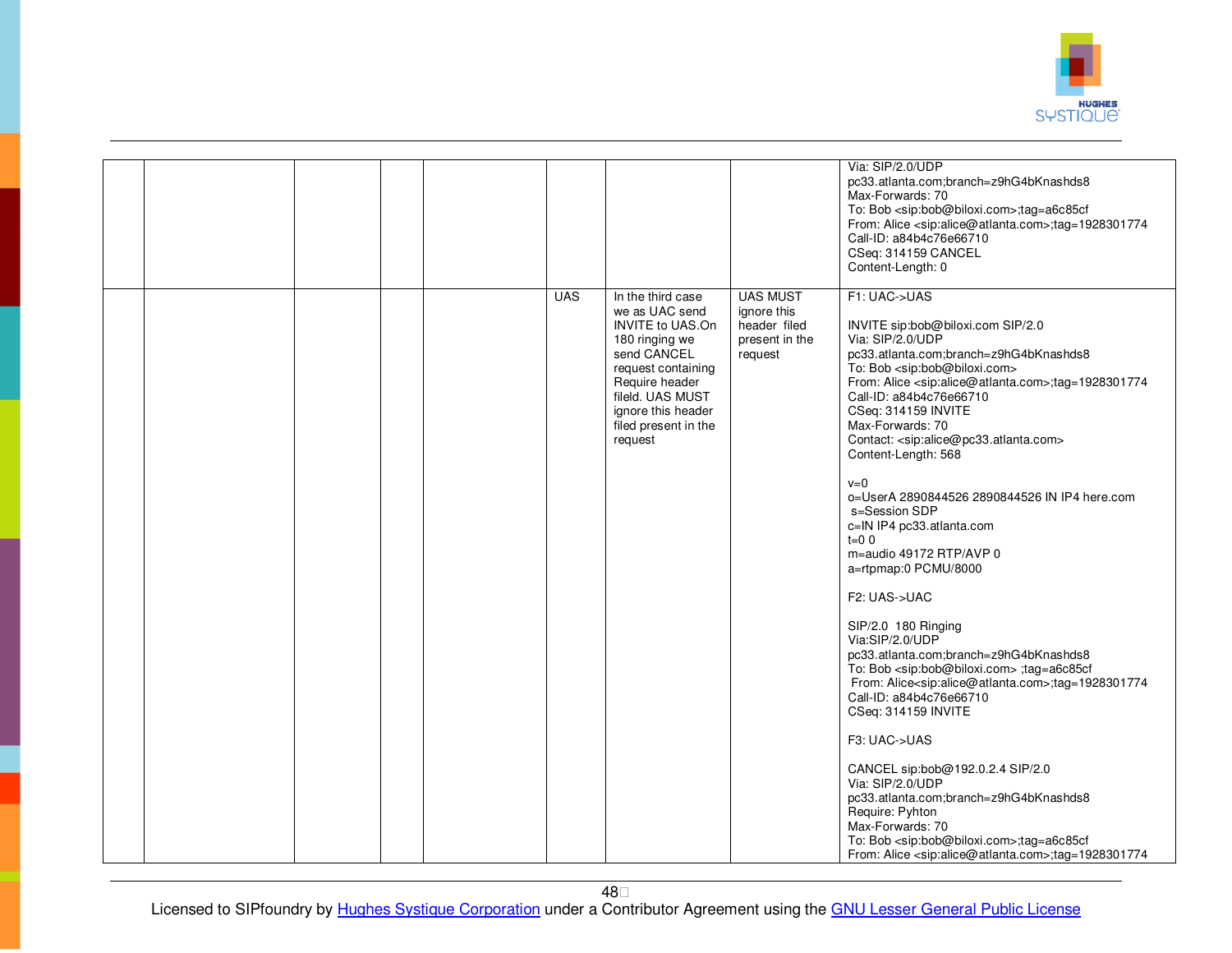

|  |  |            |                                                                                                                                                                                                                      |                                                                             | Via: SIP/2.0/UDP<br>pc33.atlanta.com;branch=z9hG4bKnashds8<br>Max-Forwards: 70<br>To: Bob <sip:bob@biloxi.com>;tag=a6c85cf<br/>From: Alice <sip:alice@atlanta.com>;tag=1928301774<br/>Call-ID: a84b4c76e66710<br/>CSeq: 314159 CANCEL<br/>Content-Length: 0</sip:alice@atlanta.com></sip:bob@biloxi.com>                                                                                                                                                                                                                                                                                                                                                                                                                                                                                                                                                                                                                                                                                                                                                                                                                                                                                                                                                          |
|--|--|------------|----------------------------------------------------------------------------------------------------------------------------------------------------------------------------------------------------------------------|-----------------------------------------------------------------------------|-------------------------------------------------------------------------------------------------------------------------------------------------------------------------------------------------------------------------------------------------------------------------------------------------------------------------------------------------------------------------------------------------------------------------------------------------------------------------------------------------------------------------------------------------------------------------------------------------------------------------------------------------------------------------------------------------------------------------------------------------------------------------------------------------------------------------------------------------------------------------------------------------------------------------------------------------------------------------------------------------------------------------------------------------------------------------------------------------------------------------------------------------------------------------------------------------------------------------------------------------------------------|
|  |  | <b>UAS</b> | In the third case<br>we as UAC send<br><b>INVITE to UAS.On</b><br>180 ringing we<br>send CANCEL<br>request containing<br>Require header<br>fileld. UAS MUST<br>ignore this header<br>filed present in the<br>request | <b>UAS MUST</b><br>ignore this<br>header filed<br>present in the<br>request | F1: UAC->UAS<br>INVITE sip:bob@biloxi.com SIP/2.0<br>Via: SIP/2.0/UDP<br>pc33.atlanta.com;branch=z9hG4bKnashds8<br>To: Bob <sip:bob@biloxi.com><br/>From: Alice <sip:alice@atlanta.com>;tag=1928301774<br/>Call-ID: a84b4c76e66710<br/>CSeq: 314159 INVITE<br/>Max-Forwards: 70<br/>Contact: <sip:alice@pc33.atlanta.com><br/>Content-Length: 568<br/><math>v=0</math><br/>o=UserA 2890844526 2890844526 IN IP4 here.com<br/>s=Session SDP<br/>c=IN IP4 pc33.atlanta.com<br/><math>t=0</math> 0<br/>m=audio 49172 RTP/AVP 0<br/>a=rtpmap:0 PCMU/8000<br/>F2: UAS-&gt;UAC<br/>SIP/2.0 180 Ringing<br/>Via:SIP/2.0/UDP<br/>pc33.atlanta.com;branch=z9hG4bKnashds8<br/>To: Bob <sip:bob@biloxi.com> ;tag=a6c85cf<br/>From: Alice<sip:alice@atlanta.com>;tag=1928301774<br/>Call-ID: a84b4c76e66710<br/>CSeq: 314159 INVITE<br/>F3: UAC-&gt;UAS<br/>CANCEL sip:bob@192.0.2.4 SIP/2.0<br/>Via: SIP/2.0/UDP<br/>pc33.atlanta.com;branch=z9hG4bKnashds8<br/>Require: Pyhton<br/>Max-Forwards: 70<br/>To: Bob <sip:bob@biloxi.com>;tag=a6c85cf<br/>From: Alice <sip:alice@atlanta.com>;tag=1928301774</sip:alice@atlanta.com></sip:bob@biloxi.com></sip:alice@atlanta.com></sip:bob@biloxi.com></sip:alice@pc33.atlanta.com></sip:alice@atlanta.com></sip:bob@biloxi.com> |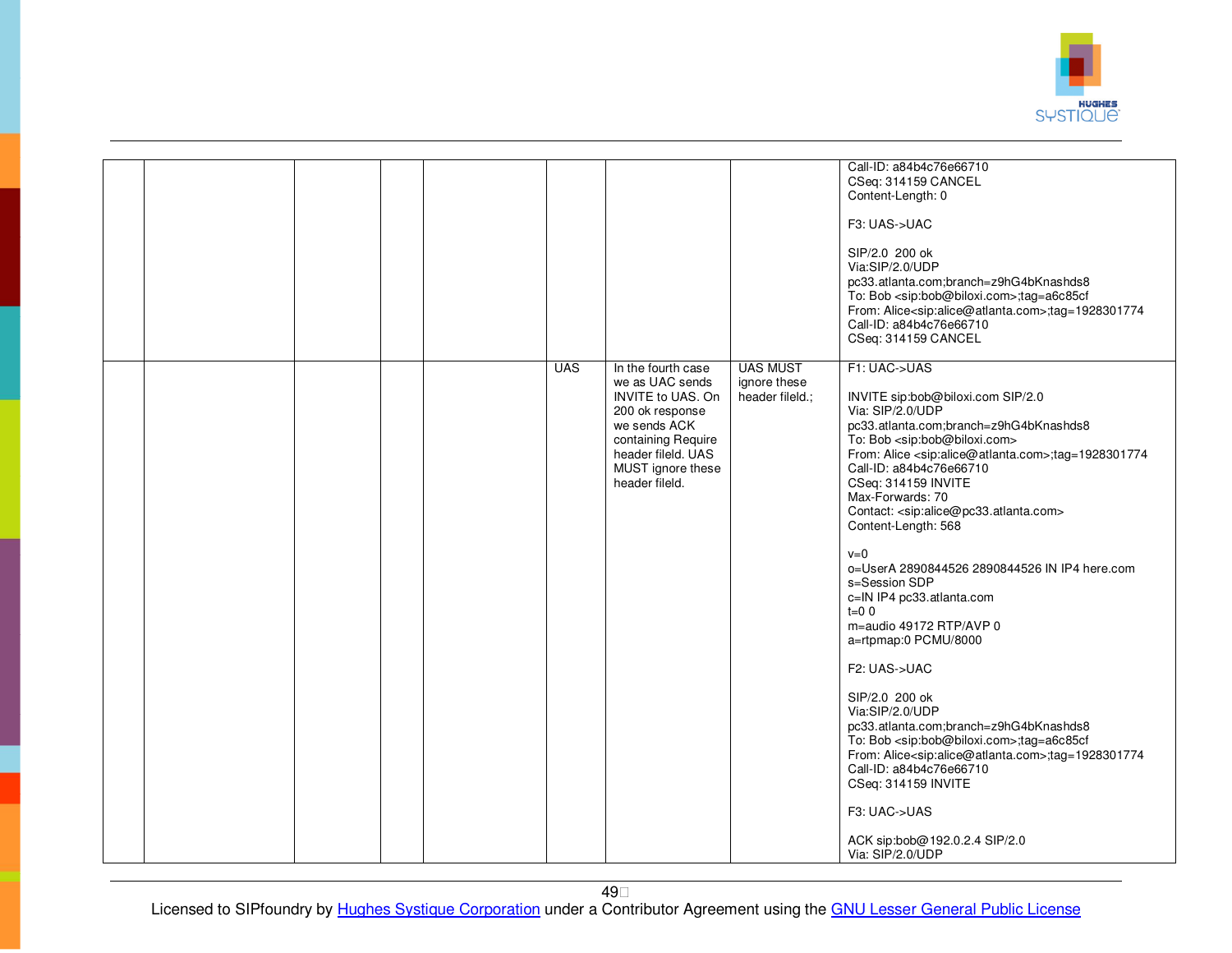

|  |  |            |                                                                                                                                                                                  |                                                    | Call-ID: a84b4c76e66710<br>CSeq: 314159 CANCEL<br>Content-Length: 0<br>F3: UAS->UAC<br>SIP/2.0 200 ok<br>Via:SIP/2.0/UDP<br>pc33.atlanta.com;branch=z9hG4bKnashds8<br>To: Bob <sip:bob@biloxi.com>;tag=a6c85cf<br/>From: Alice<sip:alice@atlanta.com>;tag=1928301774<br/>Call-ID: a84b4c76e66710<br/>CSeq: 314159 CANCEL</sip:alice@atlanta.com></sip:bob@biloxi.com>                                                                                                                                                                                                                                                                                                                                                                                                                                                                                                                                                                                                                                               |
|--|--|------------|----------------------------------------------------------------------------------------------------------------------------------------------------------------------------------|----------------------------------------------------|---------------------------------------------------------------------------------------------------------------------------------------------------------------------------------------------------------------------------------------------------------------------------------------------------------------------------------------------------------------------------------------------------------------------------------------------------------------------------------------------------------------------------------------------------------------------------------------------------------------------------------------------------------------------------------------------------------------------------------------------------------------------------------------------------------------------------------------------------------------------------------------------------------------------------------------------------------------------------------------------------------------------|
|  |  | <b>UAS</b> | In the fourth case<br>we as UAC sends<br>INVITE to UAS. On<br>200 ok response<br>we sends ACK<br>containing Require<br>header fileld, UAS<br>MUST ignore these<br>header fileld. | <b>UAS MUST</b><br>ignore these<br>header fileld.; | F1: UAC->UAS<br>INVITE sip:bob@biloxi.com SIP/2.0<br>Via: SIP/2.0/UDP<br>pc33.atlanta.com;branch=z9hG4bKnashds8<br>To: Bob <sip:bob@biloxi.com><br/>From: Alice <sip:alice@atlanta.com>;tag=1928301774<br/>Call-ID: a84b4c76e66710<br/>CSeq: 314159 INVITE<br/>Max-Forwards: 70<br/>Contact: <sip:alice@pc33.atlanta.com><br/>Content-Length: 568<br/><math>v=0</math><br/>o=UserA 2890844526 2890844526 IN IP4 here.com<br/>s=Session SDP<br/>c=IN IP4 pc33.atlanta.com<br/><math>t=0</math> 0<br/>m=audio 49172 RTP/AVP 0<br/>a=rtpmap:0 PCMU/8000<br/>F2: UAS-&gt;UAC<br/>SIP/2.0 200 ok<br/>Via:SIP/2.0/UDP<br/>pc33.atlanta.com;branch=z9hG4bKnashds8<br/>To: Bob <sip:bob@biloxi.com>;tag=a6c85cf<br/>From: Alice<sip:alice@atlanta.com>;tag=1928301774<br/>Call-ID: a84b4c76e66710<br/>CSeq: 314159 INVITE<br/>F3: UAC-&gt;UAS<br/>ACK sip:bob@192.0.2.4 SIP/2.0<br/>Via: SIP/2.0/UDP</sip:alice@atlanta.com></sip:bob@biloxi.com></sip:alice@pc33.atlanta.com></sip:alice@atlanta.com></sip:bob@biloxi.com> |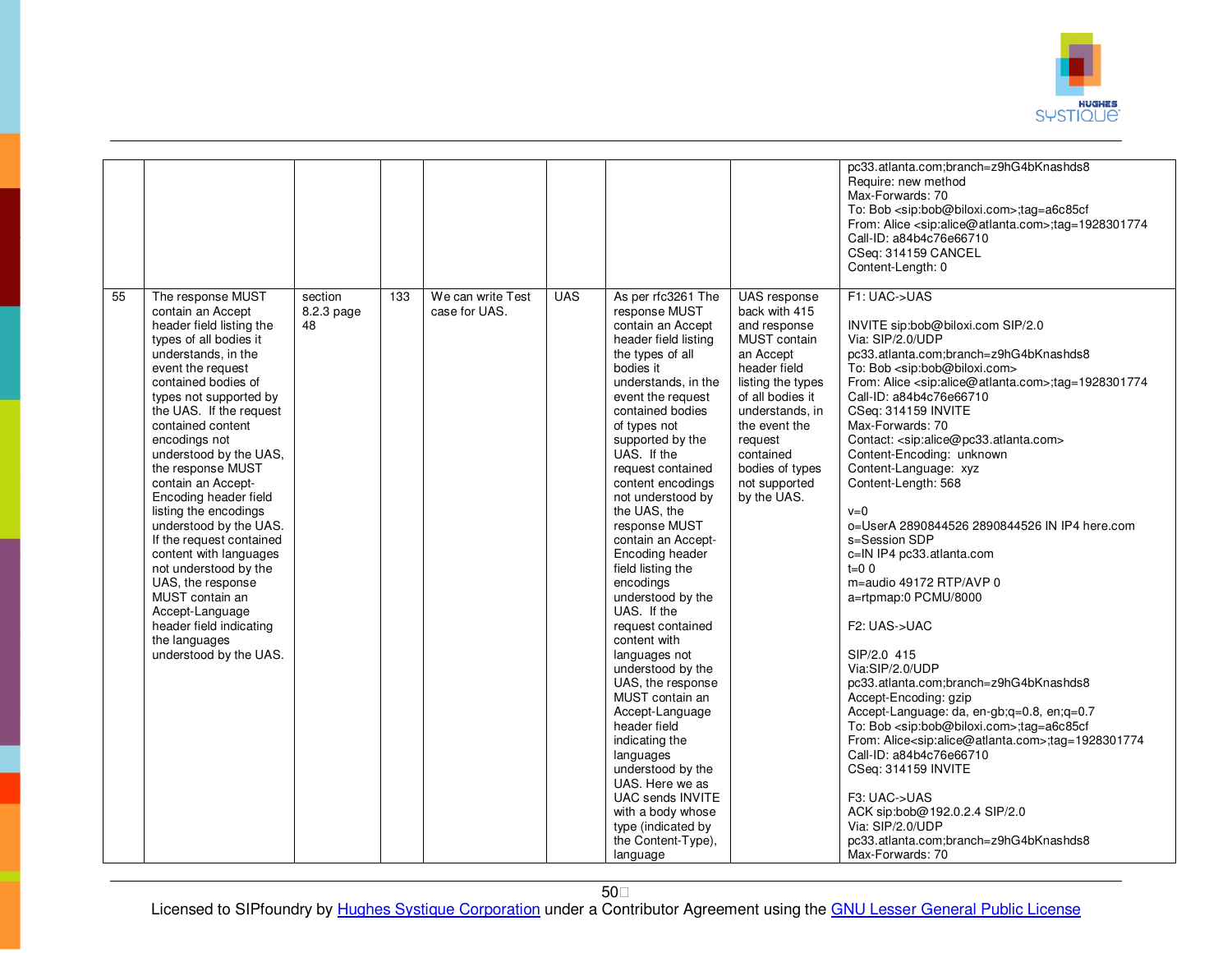

|    |                                                                                                                                                                                                                                                                                                                                                                                                                                                                                                                                                                                                                             |                             |     |                                    |            |                                                                                                                                                                                                                                                                                                                                                                                                                                                                                                                                                                                                                                                                                                                                                                                   |                                                                                                                                                                                                                                                    | pc33.atlanta.com;branch=z9hG4bKnashds8<br>Require: new method<br>Max-Forwards: 70<br>To: Bob <sip:bob@biloxi.com>;tag=a6c85cf<br/>From: Alice <sip:alice@atlanta.com>;tag=1928301774<br/>Call-ID: a84b4c76e66710<br/>CSeq: 314159 CANCEL<br/>Content-Length: 0</sip:alice@atlanta.com></sip:bob@biloxi.com>                                                                                                                                                                                                                                                                                                                                                                                                                                                                                                                                                                                                                                                                                                                                                                                                                                                                                                       |
|----|-----------------------------------------------------------------------------------------------------------------------------------------------------------------------------------------------------------------------------------------------------------------------------------------------------------------------------------------------------------------------------------------------------------------------------------------------------------------------------------------------------------------------------------------------------------------------------------------------------------------------------|-----------------------------|-----|------------------------------------|------------|-----------------------------------------------------------------------------------------------------------------------------------------------------------------------------------------------------------------------------------------------------------------------------------------------------------------------------------------------------------------------------------------------------------------------------------------------------------------------------------------------------------------------------------------------------------------------------------------------------------------------------------------------------------------------------------------------------------------------------------------------------------------------------------|----------------------------------------------------------------------------------------------------------------------------------------------------------------------------------------------------------------------------------------------------|-------------------------------------------------------------------------------------------------------------------------------------------------------------------------------------------------------------------------------------------------------------------------------------------------------------------------------------------------------------------------------------------------------------------------------------------------------------------------------------------------------------------------------------------------------------------------------------------------------------------------------------------------------------------------------------------------------------------------------------------------------------------------------------------------------------------------------------------------------------------------------------------------------------------------------------------------------------------------------------------------------------------------------------------------------------------------------------------------------------------------------------------------------------------------------------------------------------------|
| 55 | The response MUST<br>contain an Accept<br>header field listing the<br>types of all bodies it<br>understands, in the<br>event the request<br>contained bodies of<br>types not supported by<br>the UAS. If the request<br>contained content<br>encodings not<br>understood by the UAS,<br>the response MUST<br>contain an Accept-<br>Encoding header field<br>listing the encodings<br>understood by the UAS.<br>If the request contained<br>content with languages<br>not understood by the<br>UAS, the response<br>MUST contain an<br>Accept-Language<br>header field indicating<br>the languages<br>understood by the UAS. | section<br>8.2.3 page<br>48 | 133 | We can write Test<br>case for UAS. | <b>UAS</b> | As per rfc3261 The<br>response MUST<br>contain an Accept<br>header field listing<br>the types of all<br>bodies it<br>understands, in the<br>event the request<br>contained bodies<br>of types not<br>supported by the<br>UAS. If the<br>request contained<br>content encodings<br>not understood by<br>the UAS, the<br>response MUST<br>contain an Accept-<br>Encoding header<br>field listing the<br>encodings<br>understood by the<br>UAS. If the<br>request contained<br>content with<br>languages not<br>understood by the<br>UAS, the response<br>MUST contain an<br>Accept-Language<br>header field<br>indicating the<br>languages<br>understood by the<br>UAS. Here we as<br>UAC sends INVITE<br>with a body whose<br>type (indicated by<br>the Content-Type),<br>language | UAS response<br>back with 415<br>and response<br>MUST contain<br>an Accept<br>header field<br>listing the types<br>of all bodies it<br>understands, in<br>the event the<br>request<br>contained<br>bodies of types<br>not supported<br>by the UAS. | F1: UAC->UAS<br>INVITE sip:bob@biloxi.com SIP/2.0<br>Via: SIP/2.0/UDP<br>pc33.atlanta.com;branch=z9hG4bKnashds8<br>To: Bob <sip:bob@biloxi.com><br/>From: Alice <sip:alice@atlanta.com>;tag=1928301774<br/>Call-ID: a84b4c76e66710<br/>CSeq: 314159 INVITE<br/>Max-Forwards: 70<br/>Contact: <sip:alice@pc33.atlanta.com><br/>Content-Encoding: unknown<br/>Content-Language: xyz<br/>Content-Length: 568<br/><math>v=0</math><br/>o=UserA 2890844526 2890844526 IN IP4 here.com<br/>s=Session SDP<br/>c=IN IP4 pc33.atlanta.com<br/><math>t=0</math> 0<br/>m=audio 49172 RTP/AVP 0<br/>a=rtpmap:0 PCMU/8000<br/>F2: UAS-&gt;UAC<br/>SIP/2.0 415<br/>Via:SIP/2.0/UDP<br/>pc33.atlanta.com;branch=z9hG4bKnashds8<br/>Accept-Encoding: gzip<br/>Accept-Language: da, en-gb;q=0.8, en;q=0.7<br/>To: Bob <sip:bob@biloxi.com>;tag=a6c85cf<br/>From: Alice<sip:alice@atlanta.com>;tag=1928301774<br/>Call-ID: a84b4c76e66710<br/>CSeq: 314159 INVITE<br/>F3: UAC-&gt;UAS<br/>ACK sip:bob@192.0.2.4 SIP/2.0<br/>Via: SIP/2.0/UDP<br/>pc33.atlanta.com;branch=z9hG4bKnashds8<br/>Max-Forwards: 70</sip:alice@atlanta.com></sip:bob@biloxi.com></sip:alice@pc33.atlanta.com></sip:alice@atlanta.com></sip:bob@biloxi.com> |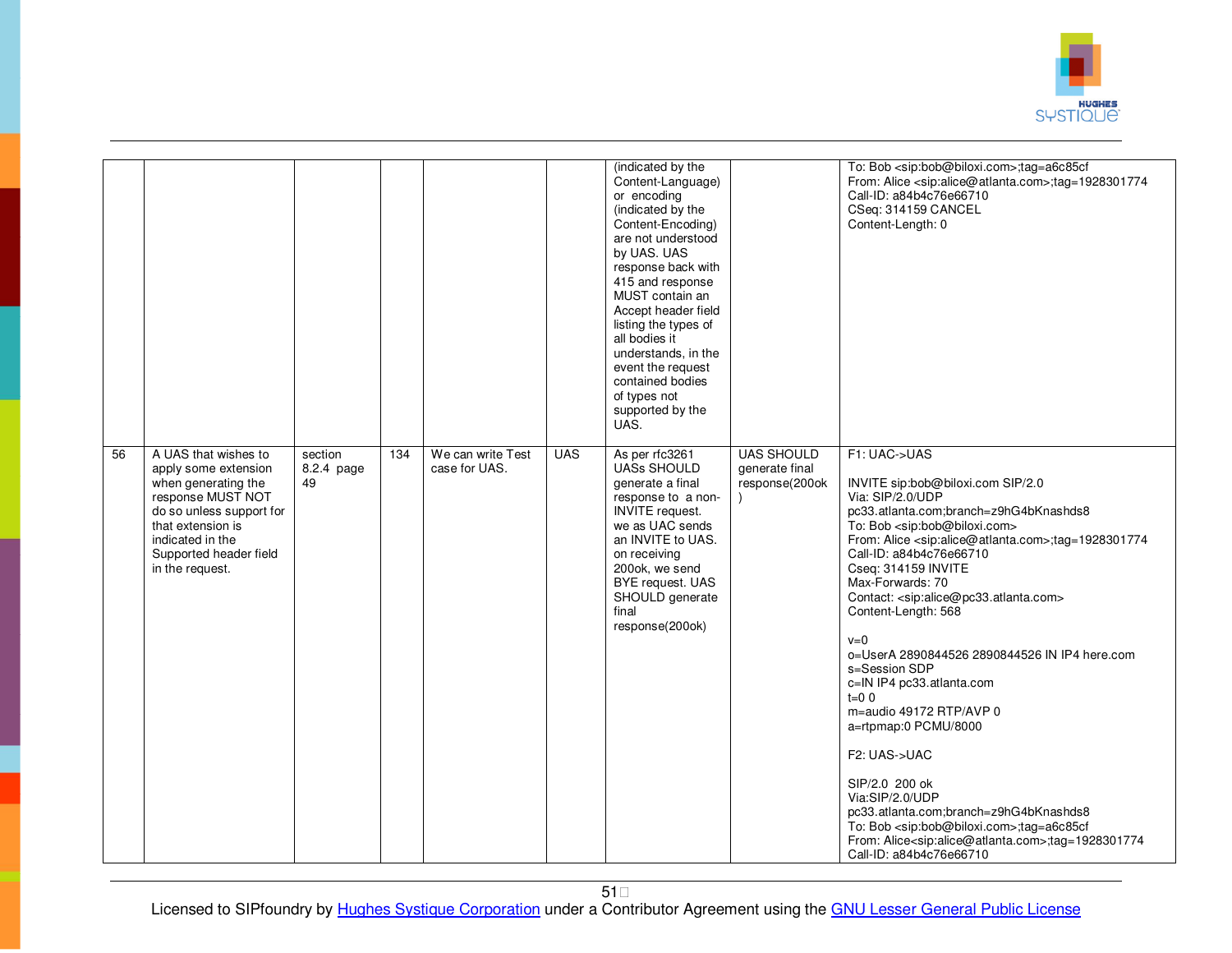

|                 |                                                                                                                                                                                                            |                             |     |                                    |            | (indicated by the<br>Content-Language)<br>or encoding<br>(indicated by the<br>Content-Encoding)<br>are not understood<br>by UAS. UAS<br>response back with<br>415 and response<br>MUST contain an<br>Accept header field<br>listing the types of<br>all bodies it<br>understands, in the<br>event the request<br>contained bodies<br>of types not<br>supported by the<br>UAS. |                                                       | To: Bob <sip:bob@biloxi.com>;tag=a6c85cf<br/>From: Alice <sip:alice@atlanta.com>;tag=1928301774<br/>Call-ID: a84b4c76e66710<br/>CSeq: 314159 CANCEL<br/>Content-Length: 0</sip:alice@atlanta.com></sip:bob@biloxi.com>                                                                                                                                                                                                                                                                                                                                                                                                                                                                                                                                                                                                                                                                                           |
|-----------------|------------------------------------------------------------------------------------------------------------------------------------------------------------------------------------------------------------|-----------------------------|-----|------------------------------------|------------|-------------------------------------------------------------------------------------------------------------------------------------------------------------------------------------------------------------------------------------------------------------------------------------------------------------------------------------------------------------------------------|-------------------------------------------------------|------------------------------------------------------------------------------------------------------------------------------------------------------------------------------------------------------------------------------------------------------------------------------------------------------------------------------------------------------------------------------------------------------------------------------------------------------------------------------------------------------------------------------------------------------------------------------------------------------------------------------------------------------------------------------------------------------------------------------------------------------------------------------------------------------------------------------------------------------------------------------------------------------------------|
| $\overline{56}$ | A UAS that wishes to<br>apply some extension<br>when generating the<br>response MUST NOT<br>do so unless support for<br>that extension is<br>indicated in the<br>Supported header field<br>in the request. | section<br>8.2.4 page<br>49 | 134 | We can write Test<br>case for UAS. | <b>UAS</b> | As per rfc3261<br><b>UASs SHOULD</b><br>generate a final<br>response to a non-<br><b>INVITE</b> request.<br>we as UAC sends<br>an INVITE to UAS.<br>on receiving<br>200ok, we send<br>BYE request. UAS<br>SHOULD generate<br>final<br>response(200ok)                                                                                                                         | <b>UAS SHOULD</b><br>generate final<br>response(200ok | F1: UAC->UAS<br>INVITE sip:bob@biloxi.com SIP/2.0<br>Via: SIP/2.0/UDP<br>pc33.atlanta.com;branch=z9hG4bKnashds8<br>To: Bob <sip:bob@biloxi.com><br/>From: Alice <sip:alice@atlanta.com>;tag=1928301774<br/>Call-ID: a84b4c76e66710<br/>Cseq: 314159 INVITE<br/>Max-Forwards: 70<br/>Contact: <sip:alice@pc33.atlanta.com><br/>Content-Length: 568<br/><math>v=0</math><br/>o=UserA 2890844526 2890844526 IN IP4 here.com<br/>s=Session SDP<br/>c=IN IP4 pc33.atlanta.com<br/><math>t=0</math> 0<br/>m=audio 49172 RTP/AVP 0<br/>a=rtpmap:0 PCMU/8000<br/>F2: UAS-&gt;UAC<br/>SIP/2.0 200 ok<br/>Via:SIP/2.0/UDP<br/>pc33.atlanta.com;branch=z9hG4bKnashds8<br/>To: Bob <sip:bob@biloxi.com>;tag=a6c85cf<br/>From: Alice<sip:alice@atlanta.com>;tag=1928301774<br/>Call-ID: a84b4c76e66710</sip:alice@atlanta.com></sip:bob@biloxi.com></sip:alice@pc33.atlanta.com></sip:alice@atlanta.com></sip:bob@biloxi.com> |

51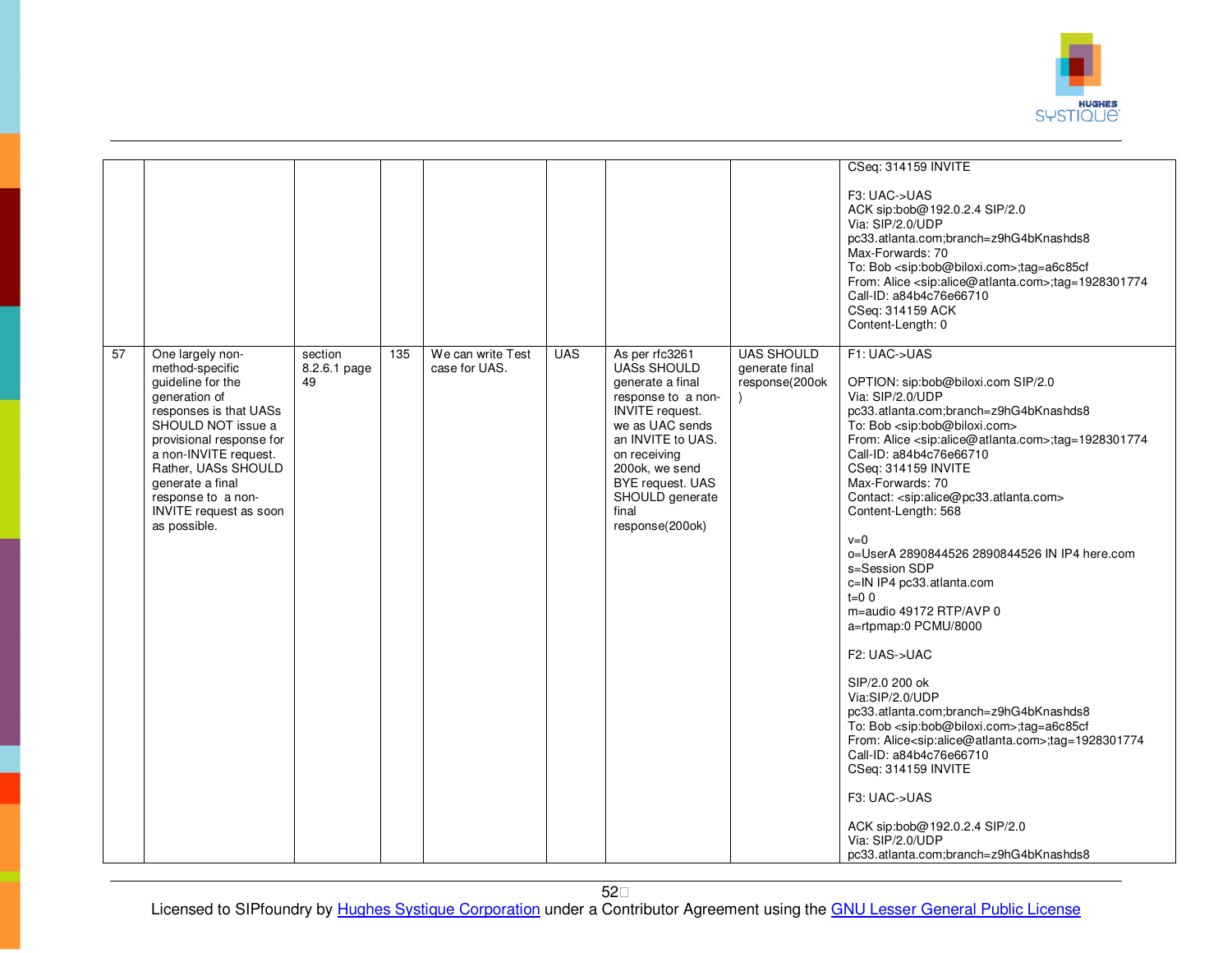

|                 |                                                                                                                                                                                                                                                                                           |                               |     |                                    |            |                                                                                                                                                                                                                                                       |                                                       | CSeq: 314159 INVITE<br>F3: UAC->UAS<br>ACK sip:bob@192.0.2.4 SIP/2.0<br>Via: SIP/2.0/UDP<br>pc33.atlanta.com;branch=z9hG4bKnashds8<br>Max-Forwards: 70<br>To: Bob <sip:bob@biloxi.com>;tag=a6c85cf<br/>From: Alice <sip:alice@atlanta.com>;tag=1928301774<br/>Call-ID: a84b4c76e66710<br/>CSeq: 314159 ACK<br/>Content-Length: 0</sip:alice@atlanta.com></sip:bob@biloxi.com>                                                                                                                                                                                                                                                                                                                                                                                                                                                                                                                                                                                                                                                                                   |
|-----------------|-------------------------------------------------------------------------------------------------------------------------------------------------------------------------------------------------------------------------------------------------------------------------------------------|-------------------------------|-----|------------------------------------|------------|-------------------------------------------------------------------------------------------------------------------------------------------------------------------------------------------------------------------------------------------------------|-------------------------------------------------------|-----------------------------------------------------------------------------------------------------------------------------------------------------------------------------------------------------------------------------------------------------------------------------------------------------------------------------------------------------------------------------------------------------------------------------------------------------------------------------------------------------------------------------------------------------------------------------------------------------------------------------------------------------------------------------------------------------------------------------------------------------------------------------------------------------------------------------------------------------------------------------------------------------------------------------------------------------------------------------------------------------------------------------------------------------------------|
| $\overline{57}$ | One largely non-<br>method-specific<br>guideline for the<br>generation of<br>responses is that UASs<br>SHOULD NOT issue a<br>provisional response for<br>a non-INVITE request.<br>Rather, UASs SHOULD<br>generate a final<br>response to a non-<br>INVITE request as soon<br>as possible. | section<br>8.2.6.1 page<br>49 | 135 | We can write Test<br>case for UAS. | <b>UAS</b> | As per rfc3261<br><b>UASs SHOULD</b><br>generate a final<br>response to a non-<br><b>INVITE</b> request.<br>we as UAC sends<br>an INVITE to UAS.<br>on receiving<br>200ok, we send<br>BYE request. UAS<br>SHOULD generate<br>final<br>response(200ok) | <b>UAS SHOULD</b><br>generate final<br>response(200ok | F1: UAC->UAS<br>OPTION: sip:bob@biloxi.com SIP/2.0<br>Via: SIP/2.0/UDP<br>pc33.atlanta.com;branch=z9hG4bKnashds8<br>To: Bob <sip:bob@biloxi.com><br/>From: Alice <sip:alice@atlanta.com>;tag=1928301774<br/>Call-ID: a84b4c76e66710<br/>CSeq: 314159 INVITE<br/>Max-Forwards: 70<br/>Contact: <sip:alice@pc33.atlanta.com><br/>Content-Length: 568<br/><math>v=0</math><br/>o=UserA 2890844526 2890844526 IN IP4 here.com<br/>s=Session SDP<br/>c=IN IP4 pc33.atlanta.com<br/><math>t=0</math> 0<br/>m=audio 49172 RTP/AVP 0<br/>a=rtpmap:0 PCMU/8000<br/>F2: UAS-&gt;UAC<br/>SIP/2.0 200 ok<br/>Via:SIP/2.0/UDP<br/>pc33.atlanta.com;branch=z9hG4bKnashds8<br/>To: Bob <sip:bob@biloxi.com>;tag=a6c85cf<br/>From: Alice<sip:alice@atlanta.com>;tag=1928301774<br/>Call-ID: a84b4c76e66710<br/>CSeq: 314159 INVITE<br/>F3: UAC-&gt;UAS<br/>ACK sip:bob@192.0.2.4 SIP/2.0<br/>Via: SIP/2.0/UDP<br/>pc33.atlanta.com:branch=z9hG4bKnashds8</sip:alice@atlanta.com></sip:bob@biloxi.com></sip:alice@pc33.atlanta.com></sip:alice@atlanta.com></sip:bob@biloxi.com> |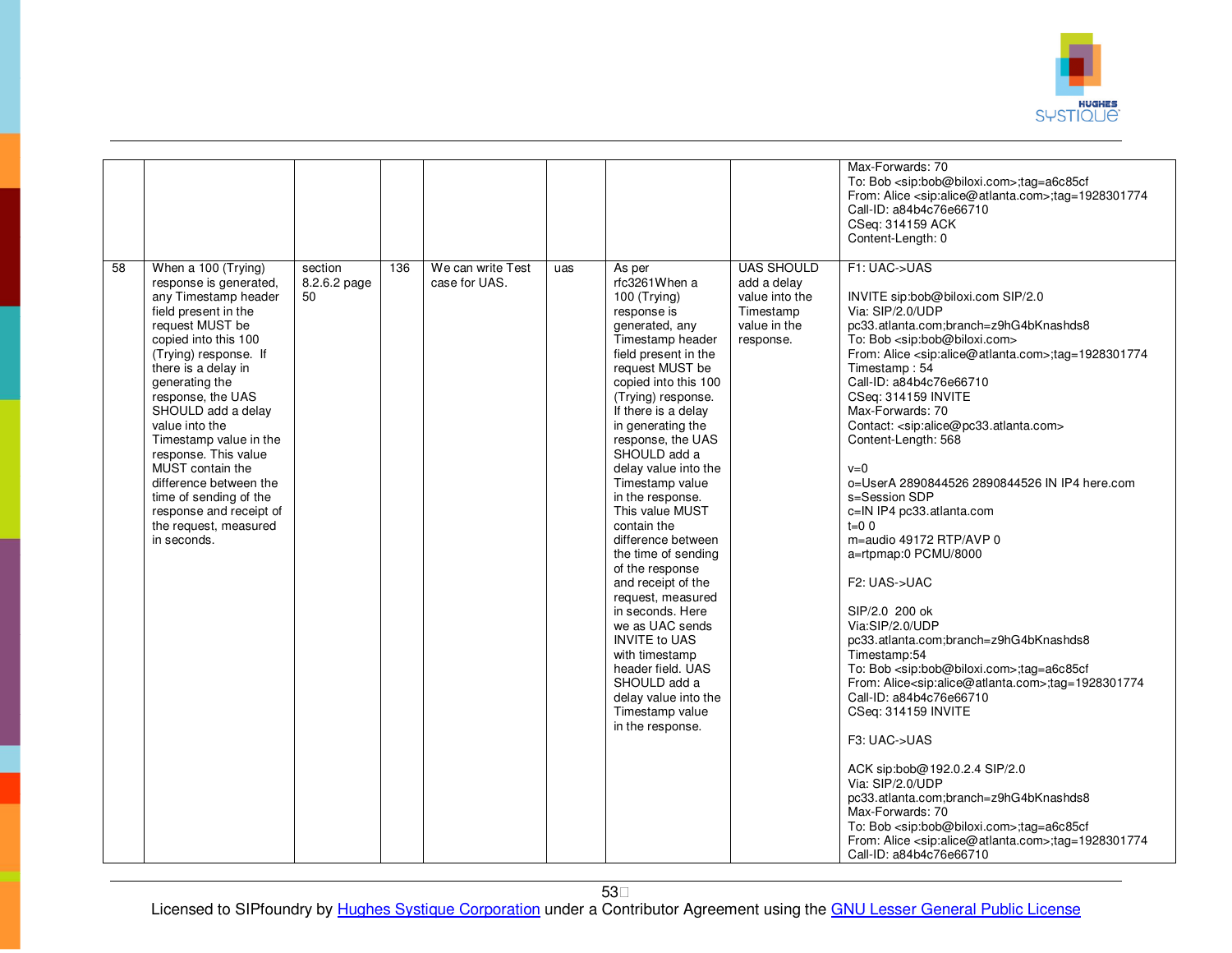

| 58 | When a 100 (Trying)                                                                                                                                                                                                                                                                                                                                                                                                                           | section            | 136 | We can write Test | uas |                                                                                                                                                                                                                                                                                                                                                                                                                                                                                                                                                                                                                                                                         | <b>UAS SHOULD</b>                                                       | Max-Forwards: 70<br>To: Bob <sip:bob@biloxi.com>;tag=a6c85cf<br/>From: Alice <sip:alice@atlanta.com>;tag=1928301774<br/>Call-ID: a84b4c76e66710<br/>CSeq: 314159 ACK<br/>Content-Length: 0<br/>F1: UAC-&gt;UAS</sip:alice@atlanta.com></sip:bob@biloxi.com>                                                                                                                                                                                                                                                                                                                                                                                                                                                                                                                                                                                                                                                                                                                                                                                                                                                                                                                                                                                                                         |
|----|-----------------------------------------------------------------------------------------------------------------------------------------------------------------------------------------------------------------------------------------------------------------------------------------------------------------------------------------------------------------------------------------------------------------------------------------------|--------------------|-----|-------------------|-----|-------------------------------------------------------------------------------------------------------------------------------------------------------------------------------------------------------------------------------------------------------------------------------------------------------------------------------------------------------------------------------------------------------------------------------------------------------------------------------------------------------------------------------------------------------------------------------------------------------------------------------------------------------------------------|-------------------------------------------------------------------------|-------------------------------------------------------------------------------------------------------------------------------------------------------------------------------------------------------------------------------------------------------------------------------------------------------------------------------------------------------------------------------------------------------------------------------------------------------------------------------------------------------------------------------------------------------------------------------------------------------------------------------------------------------------------------------------------------------------------------------------------------------------------------------------------------------------------------------------------------------------------------------------------------------------------------------------------------------------------------------------------------------------------------------------------------------------------------------------------------------------------------------------------------------------------------------------------------------------------------------------------------------------------------------------|
|    | response is generated,<br>any Timestamp header<br>field present in the<br>request MUST be<br>copied into this 100<br>(Trying) response. If<br>there is a delay in<br>generating the<br>response, the UAS<br>SHOULD add a delay<br>value into the<br>Timestamp value in the<br>response. This value<br>MUST contain the<br>difference between the<br>time of sending of the<br>response and receipt of<br>the request, measured<br>in seconds. | 8.2.6.2 page<br>50 |     | case for UAS.     |     | As per<br>rfc3261When a<br>100 (Trying)<br>response is<br>generated, any<br>Timestamp header<br>field present in the<br>request MUST be<br>copied into this 100<br>(Trying) response.<br>If there is a delay<br>in generating the<br>response, the UAS<br>SHOULD add a<br>delay value into the<br>Timestamp value<br>in the response.<br>This value MUST<br>contain the<br>difference between<br>the time of sending<br>of the response<br>and receipt of the<br>request, measured<br>in seconds. Here<br>we as UAC sends<br><b>INVITE to UAS</b><br>with timestamp<br>header field. UAS<br>SHOULD add a<br>delay value into the<br>Timestamp value<br>in the response. | add a delay<br>value into the<br>Timestamp<br>value in the<br>response. | INVITE sip:bob@biloxi.com SIP/2.0<br>Via: SIP/2.0/UDP<br>pc33.atlanta.com;branch=z9hG4bKnashds8<br>To: Bob <sip:bob@biloxi.com><br/>From: Alice <sip:alice@atlanta.com>;tag=1928301774<br/>Timestamp: 54<br/>Call-ID: a84b4c76e66710<br/>CSeq: 314159 INVITE<br/>Max-Forwards: 70<br/>Contact: <sip:alice@pc33.atlanta.com><br/>Content-Length: 568<br/><math>v=0</math><br/>0=UserA 2890844526 2890844526 IN IP4 here.com<br/>s=Session SDP<br/>c=IN IP4 pc33.atlanta.com<br/><math>t=0</math> 0<br/>m=audio 49172 RTP/AVP 0<br/>a=rtpmap:0 PCMU/8000<br/>F2: UAS-&gt;UAC<br/>SIP/2.0 200 ok<br/>Via:SIP/2.0/UDP<br/>pc33.atlanta.com;branch=z9hG4bKnashds8<br/>Timestamp:54<br/>To: Bob <sip:bob@biloxi.com>;tag=a6c85cf<br/>From: Alice<sip:alice@atlanta.com>;tag=1928301774<br/>Call-ID: a84b4c76e66710<br/>CSeq: 314159 INVITE<br/>F3: UAC-&gt;UAS<br/>ACK sip:bob@192.0.2.4 SIP/2.0<br/>Via: SIP/2.0/UDP<br/>pc33.atlanta.com;branch=z9hG4bKnashds8<br/>Max-Forwards: 70<br/>To: Bob <sip:bob@biloxi.com>;tag=a6c85cf<br/>From: Alice <sip:alice@atlanta.com>;tag=1928301774<br/>Call-ID: a84b4c76e66710</sip:alice@atlanta.com></sip:bob@biloxi.com></sip:alice@atlanta.com></sip:bob@biloxi.com></sip:alice@pc33.atlanta.com></sip:alice@atlanta.com></sip:bob@biloxi.com> |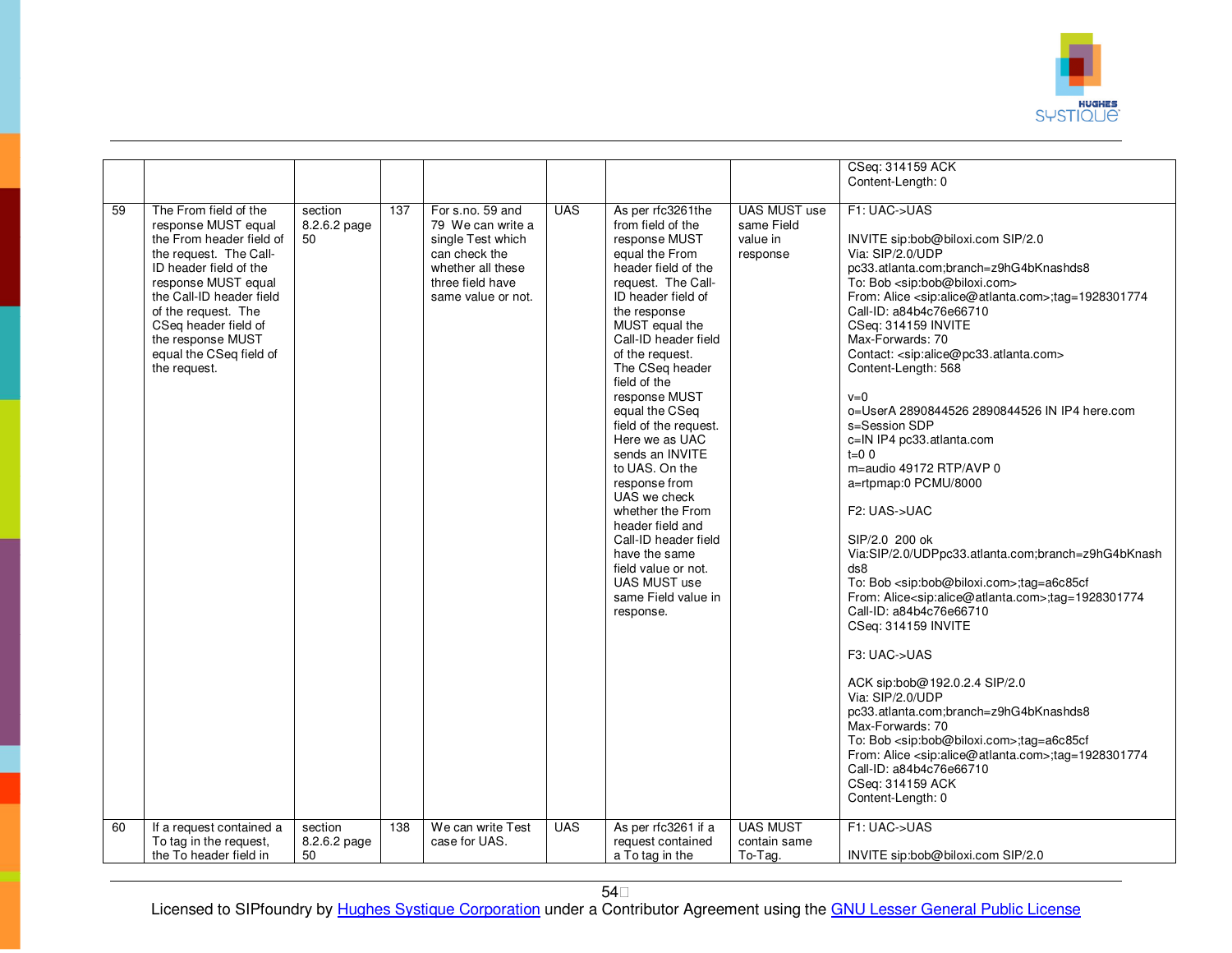

|          |                                                                                                                                                                                                                                                                                                                            |                                          |            |                                                                                                                                                                 |                          |                                                                                                                                                                                                                                                                                                                                                                                                                                                                                                                                                                                                     |                                                                              | CSeq: 314159 ACK<br>Content-Length: 0                                                                                                                                                                                                                                                                                                                                                                                                                                                                                                                                                                                                                                                                                                                                                                                                                                                                                                                                                                                                                                                                                                                                                                                                                                                                                                      |
|----------|----------------------------------------------------------------------------------------------------------------------------------------------------------------------------------------------------------------------------------------------------------------------------------------------------------------------------|------------------------------------------|------------|-----------------------------------------------------------------------------------------------------------------------------------------------------------------|--------------------------|-----------------------------------------------------------------------------------------------------------------------------------------------------------------------------------------------------------------------------------------------------------------------------------------------------------------------------------------------------------------------------------------------------------------------------------------------------------------------------------------------------------------------------------------------------------------------------------------------------|------------------------------------------------------------------------------|--------------------------------------------------------------------------------------------------------------------------------------------------------------------------------------------------------------------------------------------------------------------------------------------------------------------------------------------------------------------------------------------------------------------------------------------------------------------------------------------------------------------------------------------------------------------------------------------------------------------------------------------------------------------------------------------------------------------------------------------------------------------------------------------------------------------------------------------------------------------------------------------------------------------------------------------------------------------------------------------------------------------------------------------------------------------------------------------------------------------------------------------------------------------------------------------------------------------------------------------------------------------------------------------------------------------------------------------|
|          |                                                                                                                                                                                                                                                                                                                            |                                          |            |                                                                                                                                                                 |                          |                                                                                                                                                                                                                                                                                                                                                                                                                                                                                                                                                                                                     |                                                                              |                                                                                                                                                                                                                                                                                                                                                                                                                                                                                                                                                                                                                                                                                                                                                                                                                                                                                                                                                                                                                                                                                                                                                                                                                                                                                                                                            |
| 59<br>60 | The From field of the<br>response MUST equal<br>the From header field of<br>the request. The Call-<br>ID header field of the<br>response MUST equal<br>the Call-ID header field<br>of the request. The<br>CSeq header field of<br>the response MUST<br>equal the CSeq field of<br>the request.<br>If a request contained a | section<br>8.2.6.2 page<br>50<br>section | 137<br>138 | For s.no. 59 and<br>79 We can write a<br>single Test which<br>can check the<br>whether all these<br>three field have<br>same value or not.<br>We can write Test | <b>UAS</b><br><b>UAS</b> | As per rfc3261the<br>from field of the<br>response MUST<br>equal the From<br>header field of the<br>request. The Call-<br>ID header field of<br>the response<br>MUST equal the<br>Call-ID header field<br>of the request.<br>The CSeq header<br>field of the<br>response MUST<br>equal the CSeq<br>field of the request.<br>Here we as UAC<br>sends an INVITE<br>to UAS. On the<br>response from<br>UAS we check<br>whether the From<br>header field and<br>Call-ID header field<br>have the same<br>field value or not.<br>UAS MUST use<br>same Field value in<br>response.<br>As per rfc3261 if a | <b>UAS MUST use</b><br>same Field<br>value in<br>response<br><b>UAS MUST</b> | F1: UAC->UAS<br>INVITE sip:bob@biloxi.com SIP/2.0<br>Via: SIP/2.0/UDP<br>pc33.atlanta.com:branch=z9hG4bKnashds8<br>To: Bob <sip:bob@biloxi.com><br/>From: Alice <sip:alice@atlanta.com>;tag=1928301774<br/>Call-ID: a84b4c76e66710<br/>CSeq: 314159 INVITE<br/>Max-Forwards: 70<br/>Contact: <sip:alice@pc33.atlanta.com><br/>Content-Length: 568<br/><math>v=0</math><br/>o=UserA 2890844526 2890844526 IN IP4 here.com<br/>s=Session SDP<br/>c=IN IP4 pc33.atlanta.com<br/><math>t=0</math> 0<br/>m=audio 49172 RTP/AVP 0<br/>a=rtpmap:0 PCMU/8000<br/>F<sub>2</sub>: UAS-&gt;UAC<br/>SIP/2.0 200 ok<br/>Via:SIP/2.0/UDPpc33.atlanta.com;branch=z9hG4bKnash<br/>ds8<br/>To: Bob <sip:bob@biloxi.com>;tag=a6c85cf<br/>From: Alice<sip:alice@atlanta.com>;tag=1928301774<br/>Call-ID: a84b4c76e66710<br/>CSeq: 314159 INVITE<br/>F3: UAC-&gt;UAS<br/>ACK sip:bob@192.0.2.4 SIP/2.0<br/>Via: SIP/2.0/UDP<br/>pc33.atlanta.com;branch=z9hG4bKnashds8<br/>Max-Forwards: 70<br/>To: Bob <sip:bob@biloxi.com>;tag=a6c85cf<br/>From: Alice <sip:alice@atlanta.com>;tag=1928301774<br/>Call-ID: a84b4c76e66710<br/>CSeq: 314159 ACK<br/>Content-Length: 0<br/>F1: UAC-&gt;UAS</sip:alice@atlanta.com></sip:bob@biloxi.com></sip:alice@atlanta.com></sip:bob@biloxi.com></sip:alice@pc33.atlanta.com></sip:alice@atlanta.com></sip:bob@biloxi.com> |
|          | To tag in the request,                                                                                                                                                                                                                                                                                                     | 8.2.6.2 page                             |            | case for UAS.                                                                                                                                                   |                          | request contained                                                                                                                                                                                                                                                                                                                                                                                                                                                                                                                                                                                   | contain same                                                                 |                                                                                                                                                                                                                                                                                                                                                                                                                                                                                                                                                                                                                                                                                                                                                                                                                                                                                                                                                                                                                                                                                                                                                                                                                                                                                                                                            |
|          | the To header field in                                                                                                                                                                                                                                                                                                     | 50                                       |            |                                                                                                                                                                 |                          | a To tag in the                                                                                                                                                                                                                                                                                                                                                                                                                                                                                                                                                                                     | To-Tag.                                                                      | INVITE sip:bob@biloxi.com SIP/2.0                                                                                                                                                                                                                                                                                                                                                                                                                                                                                                                                                                                                                                                                                                                                                                                                                                                                                                                                                                                                                                                                                                                                                                                                                                                                                                          |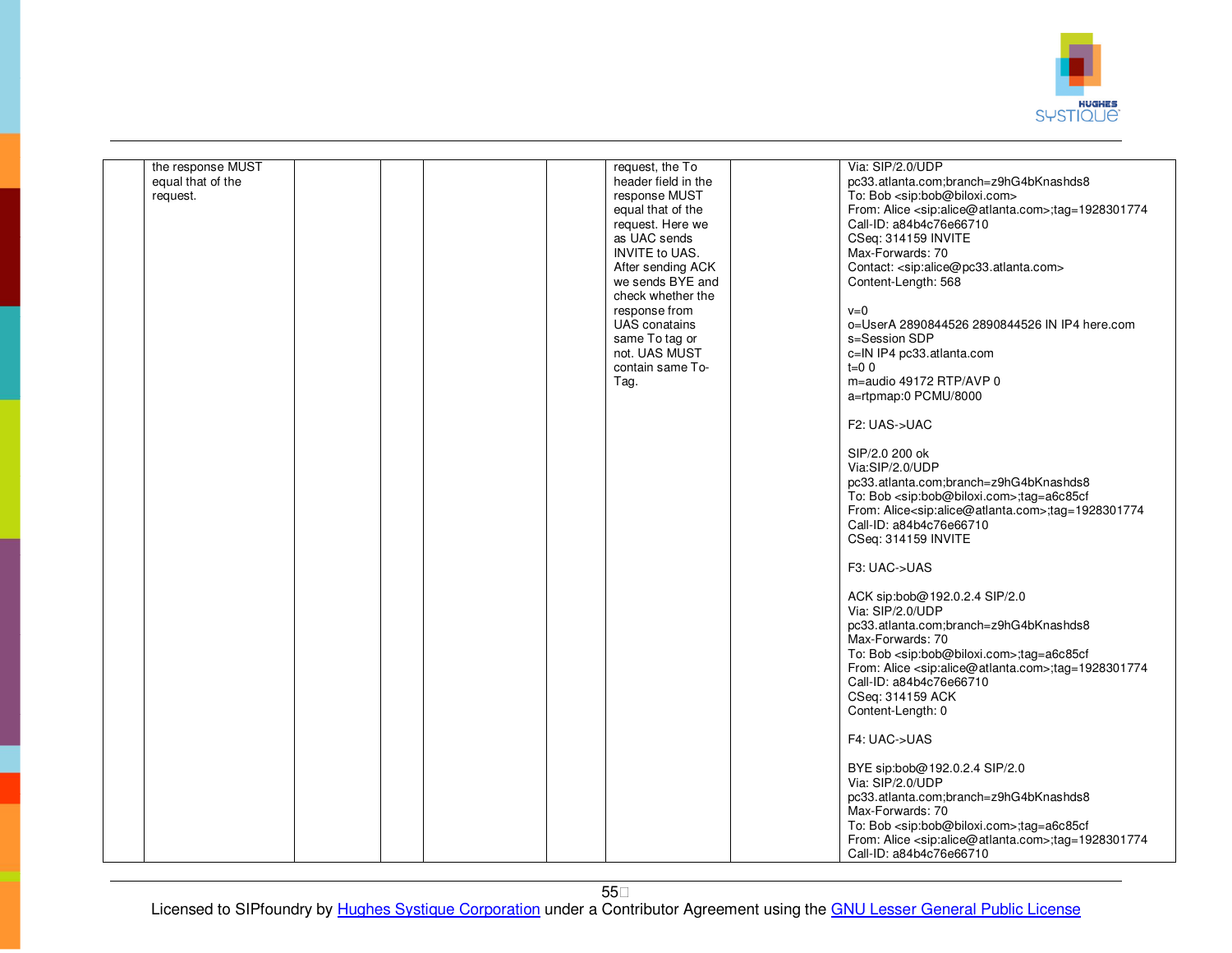

| the response MUST<br>request, the To<br>Via: SIP/2.0/UDP<br>header field in the<br>equal that of the<br>pc33.atlanta.com;branch=z9hG4bKnashds8<br>To: Bob <sip:bob@biloxi.com><br/>response MUST<br/>request.<br/>From: Alice <sip:alice@atlanta.com>;tag=1928301774<br/>equal that of the<br/>Call-ID: a84b4c76e66710<br/>request. Here we<br/>CSeq: 314159 INVITE<br/>as UAC sends<br/>INVITE to UAS.<br/>Max-Forwards: 70<br/>After sending ACK<br/>Contact: <sip:alice@pc33.atlanta.com><br/>we sends BYE and<br/>Content-Length: 568</sip:alice@pc33.atlanta.com></sip:alice@atlanta.com></sip:bob@biloxi.com> |  |
|---------------------------------------------------------------------------------------------------------------------------------------------------------------------------------------------------------------------------------------------------------------------------------------------------------------------------------------------------------------------------------------------------------------------------------------------------------------------------------------------------------------------------------------------------------------------------------------------------------------------|--|
|                                                                                                                                                                                                                                                                                                                                                                                                                                                                                                                                                                                                                     |  |
|                                                                                                                                                                                                                                                                                                                                                                                                                                                                                                                                                                                                                     |  |
|                                                                                                                                                                                                                                                                                                                                                                                                                                                                                                                                                                                                                     |  |
|                                                                                                                                                                                                                                                                                                                                                                                                                                                                                                                                                                                                                     |  |
|                                                                                                                                                                                                                                                                                                                                                                                                                                                                                                                                                                                                                     |  |
|                                                                                                                                                                                                                                                                                                                                                                                                                                                                                                                                                                                                                     |  |
|                                                                                                                                                                                                                                                                                                                                                                                                                                                                                                                                                                                                                     |  |
|                                                                                                                                                                                                                                                                                                                                                                                                                                                                                                                                                                                                                     |  |
|                                                                                                                                                                                                                                                                                                                                                                                                                                                                                                                                                                                                                     |  |
|                                                                                                                                                                                                                                                                                                                                                                                                                                                                                                                                                                                                                     |  |
|                                                                                                                                                                                                                                                                                                                                                                                                                                                                                                                                                                                                                     |  |
| check whether the                                                                                                                                                                                                                                                                                                                                                                                                                                                                                                                                                                                                   |  |
| response from<br>$v=0$                                                                                                                                                                                                                                                                                                                                                                                                                                                                                                                                                                                              |  |
| <b>UAS</b> conatains<br>o=UserA 2890844526 2890844526 IN IP4 here.com                                                                                                                                                                                                                                                                                                                                                                                                                                                                                                                                               |  |
| same To tag or<br>s=Session SDP                                                                                                                                                                                                                                                                                                                                                                                                                                                                                                                                                                                     |  |
|                                                                                                                                                                                                                                                                                                                                                                                                                                                                                                                                                                                                                     |  |
| not. UAS MUST<br>c=IN IP4 pc33.atlanta.com                                                                                                                                                                                                                                                                                                                                                                                                                                                                                                                                                                          |  |
| contain same To-<br>$t=0$ 0                                                                                                                                                                                                                                                                                                                                                                                                                                                                                                                                                                                         |  |
| m=audio 49172 RTP/AVP 0<br>Tag.                                                                                                                                                                                                                                                                                                                                                                                                                                                                                                                                                                                     |  |
| a=rtpmap:0 PCMU/8000                                                                                                                                                                                                                                                                                                                                                                                                                                                                                                                                                                                                |  |
|                                                                                                                                                                                                                                                                                                                                                                                                                                                                                                                                                                                                                     |  |
|                                                                                                                                                                                                                                                                                                                                                                                                                                                                                                                                                                                                                     |  |
| F2: UAS->UAC                                                                                                                                                                                                                                                                                                                                                                                                                                                                                                                                                                                                        |  |
|                                                                                                                                                                                                                                                                                                                                                                                                                                                                                                                                                                                                                     |  |
| SIP/2.0 200 ok                                                                                                                                                                                                                                                                                                                                                                                                                                                                                                                                                                                                      |  |
| Via:SIP/2.0/UDP                                                                                                                                                                                                                                                                                                                                                                                                                                                                                                                                                                                                     |  |
| pc33.atlanta.com;branch=z9hG4bKnashds8                                                                                                                                                                                                                                                                                                                                                                                                                                                                                                                                                                              |  |
|                                                                                                                                                                                                                                                                                                                                                                                                                                                                                                                                                                                                                     |  |
| To: Bob <sip:bob@biloxi.com>;tag=a6c85cf</sip:bob@biloxi.com>                                                                                                                                                                                                                                                                                                                                                                                                                                                                                                                                                       |  |
| From: Alice <sip:alice@atlanta.com>;tag=1928301774</sip:alice@atlanta.com>                                                                                                                                                                                                                                                                                                                                                                                                                                                                                                                                          |  |
| Call-ID: a84b4c76e66710                                                                                                                                                                                                                                                                                                                                                                                                                                                                                                                                                                                             |  |
| CSeq: 314159 INVITE                                                                                                                                                                                                                                                                                                                                                                                                                                                                                                                                                                                                 |  |
|                                                                                                                                                                                                                                                                                                                                                                                                                                                                                                                                                                                                                     |  |
| F3: UAC->UAS                                                                                                                                                                                                                                                                                                                                                                                                                                                                                                                                                                                                        |  |
|                                                                                                                                                                                                                                                                                                                                                                                                                                                                                                                                                                                                                     |  |
|                                                                                                                                                                                                                                                                                                                                                                                                                                                                                                                                                                                                                     |  |
| ACK sip:bob@192.0.2.4 SIP/2.0                                                                                                                                                                                                                                                                                                                                                                                                                                                                                                                                                                                       |  |
| Via: SIP/2.0/UDP                                                                                                                                                                                                                                                                                                                                                                                                                                                                                                                                                                                                    |  |
| pc33.atlanta.com;branch=z9hG4bKnashds8                                                                                                                                                                                                                                                                                                                                                                                                                                                                                                                                                                              |  |
| Max-Forwards: 70                                                                                                                                                                                                                                                                                                                                                                                                                                                                                                                                                                                                    |  |
| To: Bob <sip:bob@biloxi.com>;tag=a6c85cf</sip:bob@biloxi.com>                                                                                                                                                                                                                                                                                                                                                                                                                                                                                                                                                       |  |
|                                                                                                                                                                                                                                                                                                                                                                                                                                                                                                                                                                                                                     |  |
| From: Alice <sip:alice@atlanta.com>;tag=1928301774</sip:alice@atlanta.com>                                                                                                                                                                                                                                                                                                                                                                                                                                                                                                                                          |  |
| Call-ID: a84b4c76e66710                                                                                                                                                                                                                                                                                                                                                                                                                                                                                                                                                                                             |  |
| CSeq: 314159 ACK                                                                                                                                                                                                                                                                                                                                                                                                                                                                                                                                                                                                    |  |
| Content-Length: 0                                                                                                                                                                                                                                                                                                                                                                                                                                                                                                                                                                                                   |  |
|                                                                                                                                                                                                                                                                                                                                                                                                                                                                                                                                                                                                                     |  |
| F4: UAC->UAS                                                                                                                                                                                                                                                                                                                                                                                                                                                                                                                                                                                                        |  |
|                                                                                                                                                                                                                                                                                                                                                                                                                                                                                                                                                                                                                     |  |
|                                                                                                                                                                                                                                                                                                                                                                                                                                                                                                                                                                                                                     |  |
| BYE sip:bob@192.0.2.4 SIP/2.0                                                                                                                                                                                                                                                                                                                                                                                                                                                                                                                                                                                       |  |
| Via: SIP/2.0/UDP                                                                                                                                                                                                                                                                                                                                                                                                                                                                                                                                                                                                    |  |
| pc33.atlanta.com;branch=z9hG4bKnashds8                                                                                                                                                                                                                                                                                                                                                                                                                                                                                                                                                                              |  |
| Max-Forwards: 70                                                                                                                                                                                                                                                                                                                                                                                                                                                                                                                                                                                                    |  |
| To: Bob <sip:bob@biloxi.com>;tag=a6c85cf</sip:bob@biloxi.com>                                                                                                                                                                                                                                                                                                                                                                                                                                                                                                                                                       |  |
|                                                                                                                                                                                                                                                                                                                                                                                                                                                                                                                                                                                                                     |  |
| From: Alice <sip:alice@atlanta.com>;tag=1928301774</sip:alice@atlanta.com>                                                                                                                                                                                                                                                                                                                                                                                                                                                                                                                                          |  |
| Call-ID: a84b4c76e66710                                                                                                                                                                                                                                                                                                                                                                                                                                                                                                                                                                                             |  |

55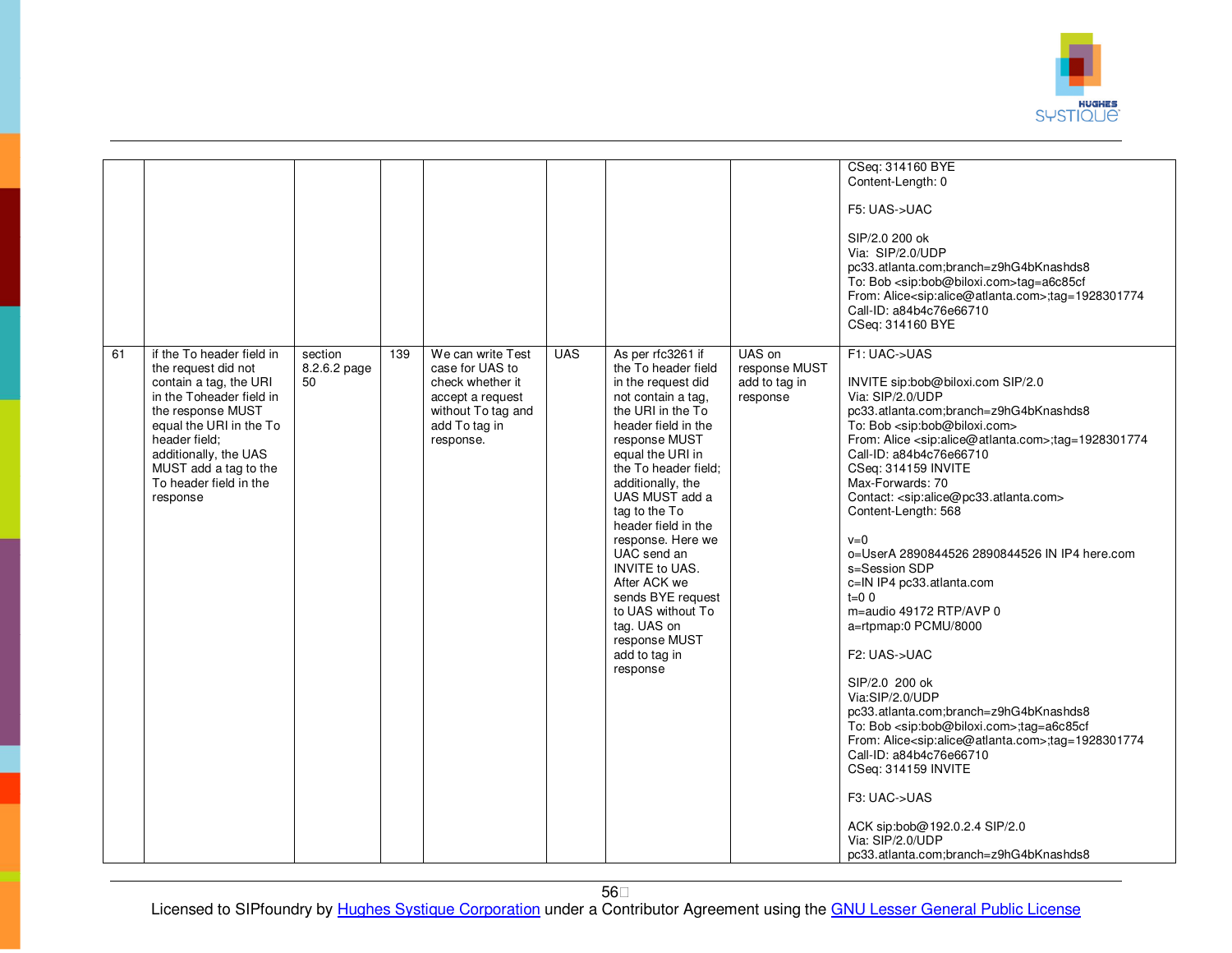

|    |                                                                                                                                                                                                                                                                 |                               |     |                                                                                                                                  |            |                                                                                                                                                                                                                                                                                                                                                                                                                                                                  |                                                      | CSeq: 314160 BYE<br>Content-Length: 0<br>F5: UAS->UAC<br>SIP/2.0 200 ok<br>Via: SIP/2.0/UDP<br>pc33.atlanta.com;branch=z9hG4bKnashds8<br>To: Bob <sip:bob@biloxi.com>tag=a6c85cf<br/>From: Alice<sip:alice@atlanta.com>;tag=1928301774<br/>Call-ID: a84b4c76e66710<br/>CSeq: 314160 BYE</sip:alice@atlanta.com></sip:bob@biloxi.com>                                                                                                                                                                                                                                                                                                                                                                                                                                                                                                                                                                                                                                                                                                                           |
|----|-----------------------------------------------------------------------------------------------------------------------------------------------------------------------------------------------------------------------------------------------------------------|-------------------------------|-----|----------------------------------------------------------------------------------------------------------------------------------|------------|------------------------------------------------------------------------------------------------------------------------------------------------------------------------------------------------------------------------------------------------------------------------------------------------------------------------------------------------------------------------------------------------------------------------------------------------------------------|------------------------------------------------------|----------------------------------------------------------------------------------------------------------------------------------------------------------------------------------------------------------------------------------------------------------------------------------------------------------------------------------------------------------------------------------------------------------------------------------------------------------------------------------------------------------------------------------------------------------------------------------------------------------------------------------------------------------------------------------------------------------------------------------------------------------------------------------------------------------------------------------------------------------------------------------------------------------------------------------------------------------------------------------------------------------------------------------------------------------------|
| 61 | if the To header field in<br>the request did not<br>contain a tag, the URI<br>in the Toheader field in<br>the response MUST<br>equal the URI in the To<br>header field;<br>additionally, the UAS<br>MUST add a tag to the<br>To header field in the<br>response | section<br>8.2.6.2 page<br>50 | 139 | We can write Test<br>case for UAS to<br>check whether it<br>accept a request<br>without To tag and<br>add To tag in<br>response. | <b>UAS</b> | As per rfc3261 if<br>the To header field<br>in the request did<br>not contain a tag,<br>the URI in the To<br>header field in the<br>response MUST<br>equal the URI in<br>the To header field;<br>additionally, the<br>UAS MUST add a<br>tag to the To<br>header field in the<br>response. Here we<br>UAC send an<br><b>INVITE to UAS.</b><br>After ACK we<br>sends BYE request<br>to UAS without To<br>tag. UAS on<br>response MUST<br>add to tag in<br>response | UAS on<br>response MUST<br>add to tag in<br>response | F1: UAC->UAS<br>INVITE sip:bob@biloxi.com SIP/2.0<br>Via: SIP/2.0/UDP<br>pc33.atlanta.com;branch=z9hG4bKnashds8<br>To: Bob <sip:bob@biloxi.com><br/>From: Alice <sip:alice@atlanta.com>;tag=1928301774<br/>Call-ID: a84b4c76e66710<br/>CSeq: 314159 INVITE<br/>Max-Forwards: 70<br/>Contact: <sip:alice@pc33.atlanta.com><br/>Content-Length: 568<br/><math>v=0</math><br/>o=UserA 2890844526 2890844526 IN IP4 here.com<br/>s=Session SDP<br/>c=IN IP4 pc33.atlanta.com<br/><math>t=0</math> 0<br/>m=audio 49172 RTP/AVP 0<br/>a=rtpmap:0 PCMU/8000<br/>F2: UAS-&gt;UAC<br/>SIP/2.0 200 ok<br/>Via:SIP/2.0/UDP<br/>pc33.atlanta.com;branch=z9hG4bKnashds8<br/>To: Bob <sip:bob@biloxi.com>;tag=a6c85cf<br/>From: Alice<sip:alice@atlanta.com>;tag=1928301774<br/>Call-ID: a84b4c76e66710<br/>CSeq: 314159 INVITE<br/>F3: UAC-&gt;UAS<br/>ACK sip:bob@192.0.2.4 SIP/2.0<br/>Via: SIP/2.0/UDP<br/>pc33.atlanta.com;branch=z9hG4bKnashds8</sip:alice@atlanta.com></sip:bob@biloxi.com></sip:alice@pc33.atlanta.com></sip:alice@atlanta.com></sip:bob@biloxi.com> |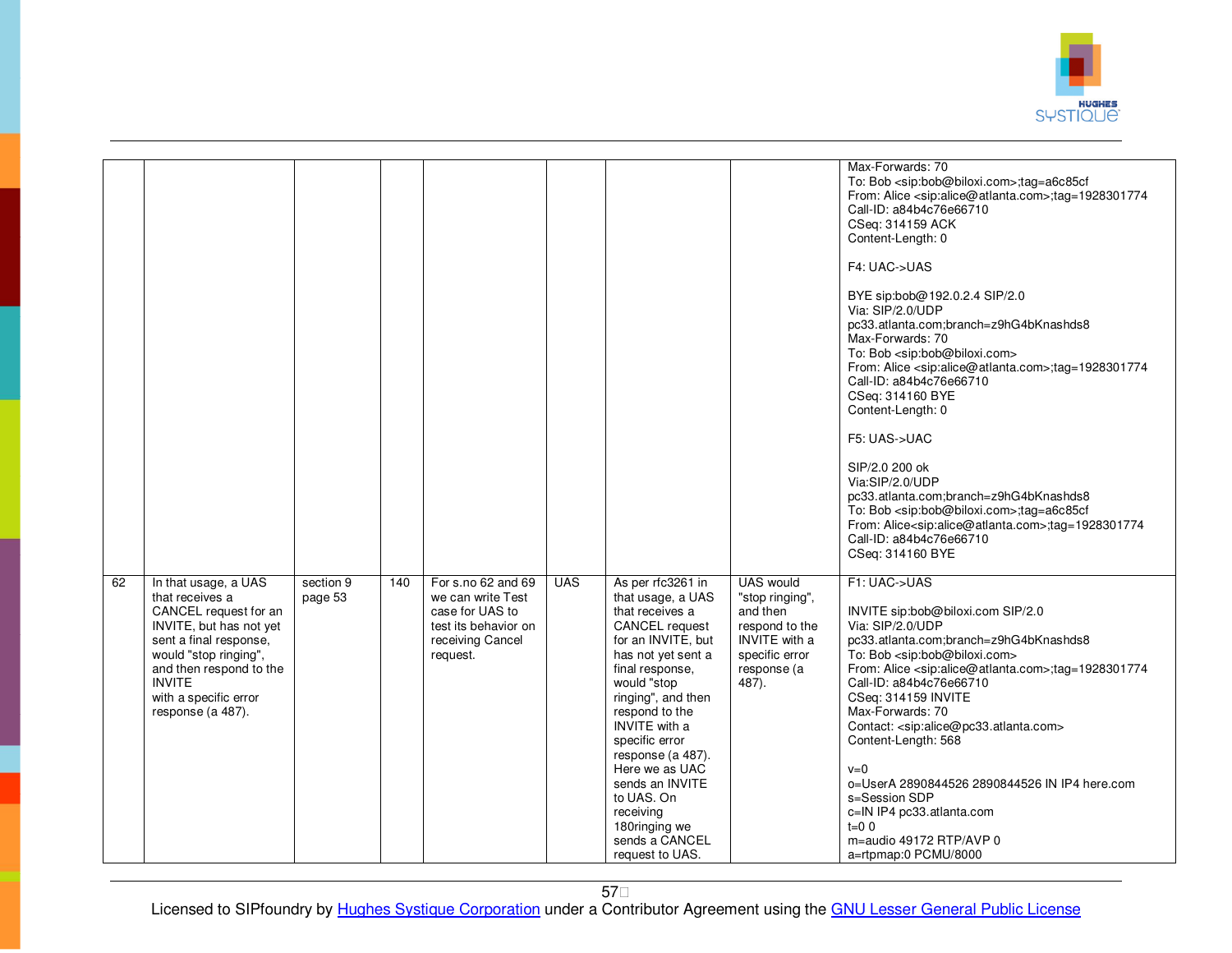

|    |                                                                                                                                                                                                                                          |                      |     |                                                                                                                    |            |                                                                                                                                                                                                                                                                                                                                                                                        |                                                                                                                                     | Max-Forwards: 70<br>To: Bob <sip:bob@biloxi.com>;tag=a6c85cf<br/>From: Alice <sip:alice@atlanta.com>;tag=1928301774<br/>Call-ID: a84b4c76e66710<br/>CSeq: 314159 ACK<br/>Content-Length: 0<br/>F4: UAC-&gt;UAS<br/>BYE sip:bob@192.0.2.4 SIP/2.0<br/>Via: SIP/2.0/UDP<br/>pc33.atlanta.com;branch=z9hG4bKnashds8<br/>Max-Forwards: 70<br/>To: Bob <sip:bob@biloxi.com><br/>From: Alice <sip:alice@atlanta.com>;tag=1928301774<br/>Call-ID: a84b4c76e66710<br/>CSeq: 314160 BYE<br/>Content-Length: 0<br/>F5: UAS-&gt;UAC<br/>SIP/2.0 200 ok<br/>Via:SIP/2.0/UDP<br/>pc33.atlanta.com;branch=z9hG4bKnashds8<br/>To: Bob <sip:bob@biloxi.com>;tag=a6c85cf<br/>From: Alice<sip:alice@atlanta.com>;tag=1928301774<br/>Call-ID: a84b4c76e66710<br/>CSeq: 314160 BYE</sip:alice@atlanta.com></sip:bob@biloxi.com></sip:alice@atlanta.com></sip:bob@biloxi.com></sip:alice@atlanta.com></sip:bob@biloxi.com> |
|----|------------------------------------------------------------------------------------------------------------------------------------------------------------------------------------------------------------------------------------------|----------------------|-----|--------------------------------------------------------------------------------------------------------------------|------------|----------------------------------------------------------------------------------------------------------------------------------------------------------------------------------------------------------------------------------------------------------------------------------------------------------------------------------------------------------------------------------------|-------------------------------------------------------------------------------------------------------------------------------------|-------------------------------------------------------------------------------------------------------------------------------------------------------------------------------------------------------------------------------------------------------------------------------------------------------------------------------------------------------------------------------------------------------------------------------------------------------------------------------------------------------------------------------------------------------------------------------------------------------------------------------------------------------------------------------------------------------------------------------------------------------------------------------------------------------------------------------------------------------------------------------------------------------|
| 62 | In that usage, a UAS<br>that receives a<br>CANCEL request for an<br>INVITE, but has not yet<br>sent a final response.<br>would "stop ringing",<br>and then respond to the<br><b>INVITE</b><br>with a specific error<br>response (a 487). | section 9<br>page 53 | 140 | For s.no 62 and 69<br>we can write Test<br>case for UAS to<br>test its behavior on<br>receiving Cancel<br>request. | <b>UAS</b> | As per rfc3261 in<br>that usage, a UAS<br>that receives a<br>CANCEL request<br>for an INVITE, but<br>has not yet sent a<br>final response,<br>would "stop<br>ringing", and then<br>respond to the<br><b>INVITE</b> with a<br>specific error<br>response (a 487).<br>Here we as UAC<br>sends an INVITE<br>to UAS. On<br>receiving<br>180ringing we<br>sends a CANCEL<br>request to UAS. | <b>UAS</b> would<br>"stop ringing",<br>and then<br>respond to the<br><b>INVITE</b> with a<br>specific error<br>response (a<br>487). | F1: UAC->UAS<br>INVITE sip:bob@biloxi.com SIP/2.0<br>Via: SIP/2.0/UDP<br>pc33.atlanta.com;branch=z9hG4bKnashds8<br>To: Bob <sip:bob@biloxi.com><br/>From: Alice <sip:alice@atlanta.com>;tag=1928301774<br/>Call-ID: a84b4c76e66710<br/>CSeq: 314159 INVITE<br/>Max-Forwards: 70<br/>Contact: <sip:alice@pc33.atlanta.com><br/>Content-Length: 568<br/><math>v=0</math><br/>o=UserA 2890844526 2890844526 IN IP4 here.com<br/>s=Session SDP<br/>c=IN IP4 pc33.atlanta.com<br/><math>t=0</math> 0<br/>m=audio 49172 RTP/AVP 0<br/>a=rtpmap:0 PCMU/8000</sip:alice@pc33.atlanta.com></sip:alice@atlanta.com></sip:bob@biloxi.com>                                                                                                                                                                                                                                                                        |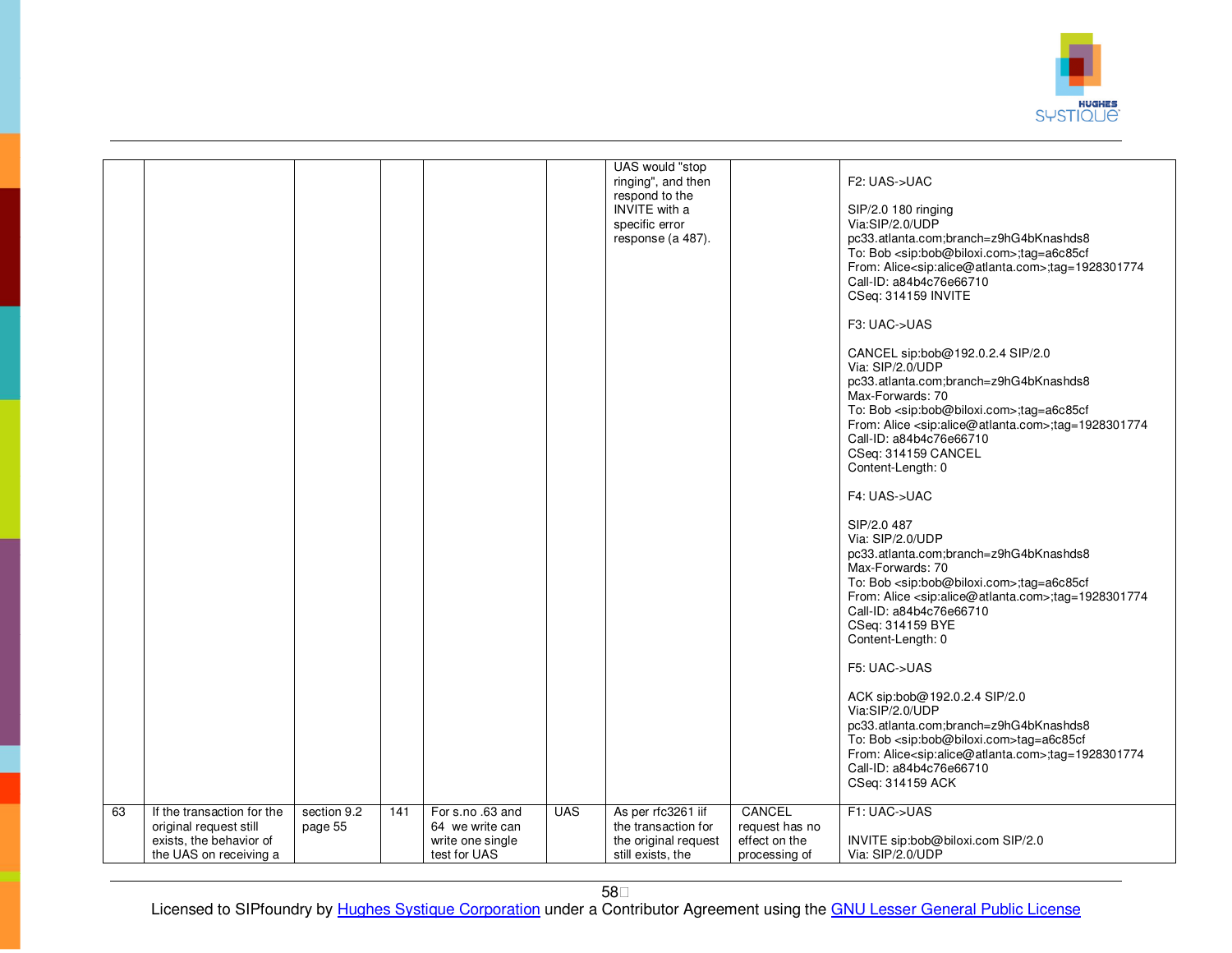

|    |                                                      |                        |     |                                     |            | UAS would "stop<br>ringing", and then<br>respond to the<br><b>INVITE</b> with a<br>specific error<br>response (a 487). |                                | F2: UAS->UAC<br>SIP/2.0 180 ringing<br>Via:SIP/2.0/UDP<br>pc33.atlanta.com;branch=z9hG4bKnashds8<br>To: Bob <sip:bob@biloxi.com>;tag=a6c85cf<br/>From: Alice<sip:alice@atlanta.com>;tag=1928301774<br/>Call-ID: a84b4c76e66710<br/>CSeq: 314159 INVITE<br/>F3: UAC-&gt;UAS<br/>CANCEL sip:bob@192.0.2.4 SIP/2.0<br/>Via: SIP/2.0/UDP<br/>pc33.atlanta.com;branch=z9hG4bKnashds8<br/>Max-Forwards: 70<br/>To: Bob <sip:bob@biloxi.com>;tag=a6c85cf<br/>From: Alice <sip:alice@atlanta.com>;tag=1928301774<br/>Call-ID: a84b4c76e66710<br/>CSeq: 314159 CANCEL<br/>Content-Length: 0<br/>F4: UAS-&gt;UAC<br/>SIP/2.0 487<br/>Via: SIP/2.0/UDP<br/>pc33.atlanta.com;branch=z9hG4bKnashds8<br/>Max-Forwards: 70<br/>To: Bob <sip:bob@biloxi.com>;tag=a6c85cf<br/>From: Alice <sip:alice@atlanta.com>;tag=1928301774<br/>Call-ID: a84b4c76e66710<br/>CSeq: 314159 BYE<br/>Content-Length: 0<br/>F5: UAC-&gt;UAS<br/>ACK sip:bob@192.0.2.4 SIP/2.0<br/>Via:SIP/2.0/UDP<br/>pc33.atlanta.com;branch=z9hG4bKnashds8<br/>To: Bob <sip:bob@biloxi.com>tag=a6c85cf<br/>From: Alice<sip:alice@atlanta.com>;tag=1928301774<br/>Call-ID: a84b4c76e66710<br/>CSeq: 314159 ACK</sip:alice@atlanta.com></sip:bob@biloxi.com></sip:alice@atlanta.com></sip:bob@biloxi.com></sip:alice@atlanta.com></sip:bob@biloxi.com></sip:alice@atlanta.com></sip:bob@biloxi.com> |
|----|------------------------------------------------------|------------------------|-----|-------------------------------------|------------|------------------------------------------------------------------------------------------------------------------------|--------------------------------|----------------------------------------------------------------------------------------------------------------------------------------------------------------------------------------------------------------------------------------------------------------------------------------------------------------------------------------------------------------------------------------------------------------------------------------------------------------------------------------------------------------------------------------------------------------------------------------------------------------------------------------------------------------------------------------------------------------------------------------------------------------------------------------------------------------------------------------------------------------------------------------------------------------------------------------------------------------------------------------------------------------------------------------------------------------------------------------------------------------------------------------------------------------------------------------------------------------------------------------------------------------------------------------------------------------------------------------------------|
| 63 | If the transaction for the<br>original request still | section 9.2<br>page 55 | 141 | For s.no .63 and<br>64 we write can | <b>UAS</b> | As per rfc3261 iif<br>the transaction for                                                                              | CANCEL<br>request has no       | F1: UAC->UAS                                                                                                                                                                                                                                                                                                                                                                                                                                                                                                                                                                                                                                                                                                                                                                                                                                                                                                                                                                                                                                                                                                                                                                                                                                                                                                                                       |
|    | exists, the behavior of<br>the UAS on receiving a    |                        |     | write one single<br>test for UAS    |            | the original request<br>still exists, the                                                                              | effect on the<br>processing of | INVITE sip:bob@biloxi.com SIP/2.0<br>Via: SIP/2.0/UDP                                                                                                                                                                                                                                                                                                                                                                                                                                                                                                                                                                                                                                                                                                                                                                                                                                                                                                                                                                                                                                                                                                                                                                                                                                                                                              |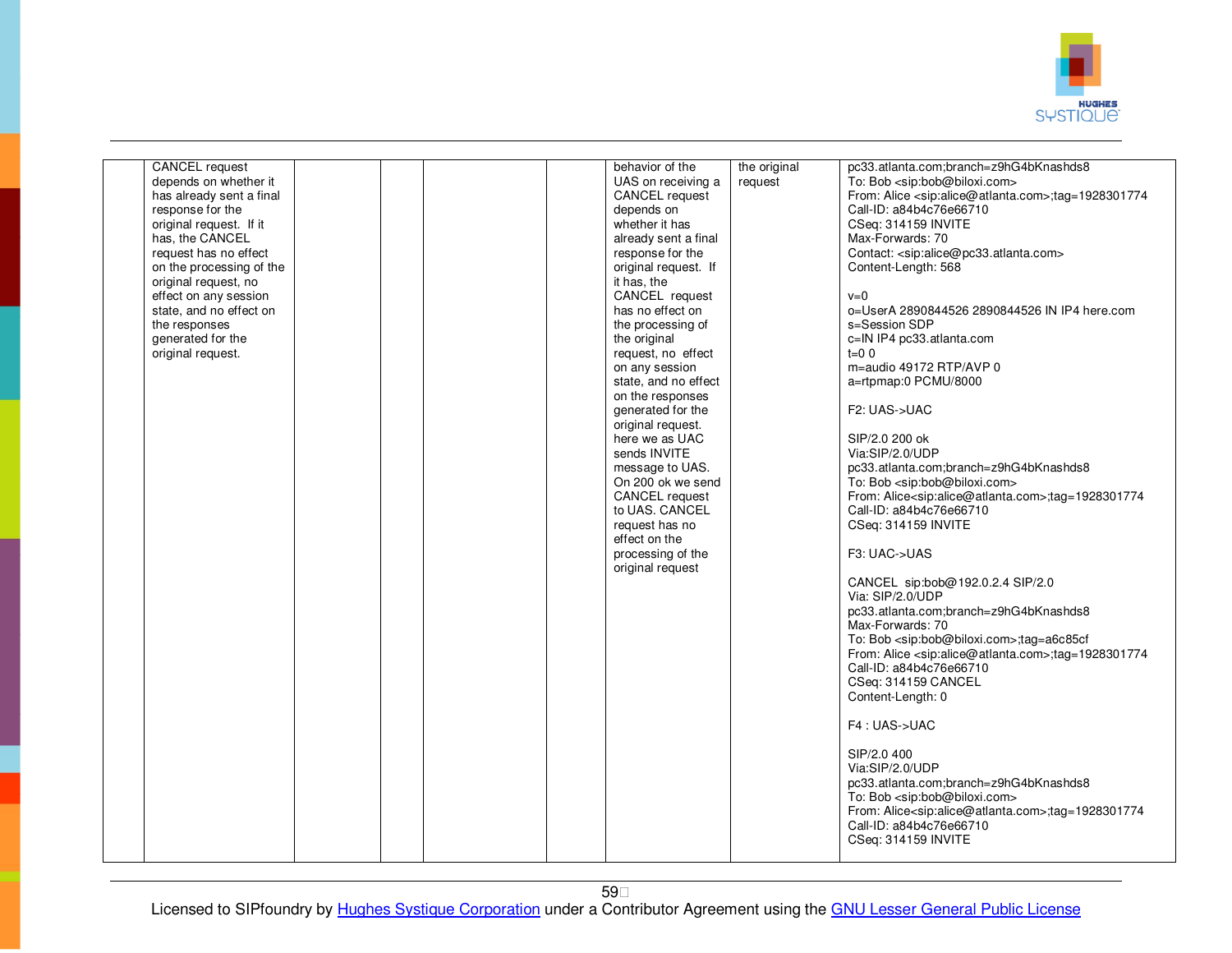

| <b>CANCEL</b> request<br>depends on whether it<br>has already sent a final<br>response for the<br>original request. If it<br>has, the CANCEL<br>request has no effect<br>on the processing of the<br>original request, no<br>effect on any session<br>state, and no effect on<br>the responses<br>generated for the<br>original request. |  | behavior of the<br>UAS on receiving a<br><b>CANCEL</b> request<br>depends on<br>whether it has<br>already sent a final<br>response for the<br>original request. If<br>it has, the<br>CANCEL request<br>has no effect on<br>the processing of<br>the original<br>request, no effect<br>on any session<br>state, and no effect<br>on the responses<br>generated for the<br>original request.<br>here we as UAC<br>sends INVITE<br>message to UAS.<br>On 200 ok we send<br>CANCEL request<br>to UAS. CANCEL<br>request has no<br>effect on the<br>processing of the<br>original request | the original<br>request | pc33.atlanta.com;branch=z9hG4bKnashds8<br>To: Bob <sip:bob@biloxi.com><br/>From: Alice <sip:alice@atlanta.com>;tag=1928301774<br/>Call-ID: a84b4c76e66710<br/>CSeq: 314159 INVITE<br/>Max-Forwards: 70<br/>Contact: <sip:alice@pc33.atlanta.com><br/>Content-Length: 568<br/><math>v=0</math><br/>o=UserA 2890844526 2890844526 IN IP4 here.com<br/>s=Session SDP<br/>c=IN IP4 pc33.atlanta.com<br/><math>t=0</math> 0<br/>m=audio 49172 RTP/AVP 0<br/>a=rtpmap:0 PCMU/8000<br/>F2: UAS-&gt;UAC<br/>SIP/2.0 200 ok<br/>Via:SIP/2.0/UDP<br/>pc33.atlanta.com;branch=z9hG4bKnashds8<br/>To: Bob <sip:bob@biloxi.com><br/>From: Alice<sip:alice@atlanta.com>;tag=1928301774<br/>Call-ID: a84b4c76e66710<br/>CSeq: 314159 INVITE<br/>F3: UAC-&gt;UAS<br/>CANCEL sip:bob@192.0.2.4 SIP/2.0<br/>Via: SIP/2.0/UDP<br/>pc33.atlanta.com;branch=z9hG4bKnashds8<br/>Max-Forwards: 70<br/>To: Bob <sip:bob@biloxi.com>;tag=a6c85cf<br/>From: Alice <sip:alice@atlanta.com>;tag=1928301774<br/>Call-ID: a84b4c76e66710</sip:alice@atlanta.com></sip:bob@biloxi.com></sip:alice@atlanta.com></sip:bob@biloxi.com></sip:alice@pc33.atlanta.com></sip:alice@atlanta.com></sip:bob@biloxi.com> |
|------------------------------------------------------------------------------------------------------------------------------------------------------------------------------------------------------------------------------------------------------------------------------------------------------------------------------------------|--|--------------------------------------------------------------------------------------------------------------------------------------------------------------------------------------------------------------------------------------------------------------------------------------------------------------------------------------------------------------------------------------------------------------------------------------------------------------------------------------------------------------------------------------------------------------------------------------|-------------------------|--------------------------------------------------------------------------------------------------------------------------------------------------------------------------------------------------------------------------------------------------------------------------------------------------------------------------------------------------------------------------------------------------------------------------------------------------------------------------------------------------------------------------------------------------------------------------------------------------------------------------------------------------------------------------------------------------------------------------------------------------------------------------------------------------------------------------------------------------------------------------------------------------------------------------------------------------------------------------------------------------------------------------------------------------------------------------------------------------------------------------------------------------------------------------------|
|                                                                                                                                                                                                                                                                                                                                          |  |                                                                                                                                                                                                                                                                                                                                                                                                                                                                                                                                                                                      |                         |                                                                                                                                                                                                                                                                                                                                                                                                                                                                                                                                                                                                                                                                                                                                                                                                                                                                                                                                                                                                                                                                                                                                                                                |
|                                                                                                                                                                                                                                                                                                                                          |  |                                                                                                                                                                                                                                                                                                                                                                                                                                                                                                                                                                                      |                         |                                                                                                                                                                                                                                                                                                                                                                                                                                                                                                                                                                                                                                                                                                                                                                                                                                                                                                                                                                                                                                                                                                                                                                                |
|                                                                                                                                                                                                                                                                                                                                          |  |                                                                                                                                                                                                                                                                                                                                                                                                                                                                                                                                                                                      |                         |                                                                                                                                                                                                                                                                                                                                                                                                                                                                                                                                                                                                                                                                                                                                                                                                                                                                                                                                                                                                                                                                                                                                                                                |
|                                                                                                                                                                                                                                                                                                                                          |  |                                                                                                                                                                                                                                                                                                                                                                                                                                                                                                                                                                                      |                         | CSeq: 314159 CANCEL<br>Content-Length: 0<br>F4: UAS->UAC                                                                                                                                                                                                                                                                                                                                                                                                                                                                                                                                                                                                                                                                                                                                                                                                                                                                                                                                                                                                                                                                                                                       |
|                                                                                                                                                                                                                                                                                                                                          |  |                                                                                                                                                                                                                                                                                                                                                                                                                                                                                                                                                                                      |                         | SIP/2.0 400<br>Via:SIP/2.0/UDP<br>pc33.atlanta.com;branch=z9hG4bKnashds8<br>To: Bob <sip:bob@biloxi.com><br/>From: Alice<sip:alice@atlanta.com>;tag=1928301774</sip:alice@atlanta.com></sip:bob@biloxi.com>                                                                                                                                                                                                                                                                                                                                                                                                                                                                                                                                                                                                                                                                                                                                                                                                                                                                                                                                                                    |
|                                                                                                                                                                                                                                                                                                                                          |  |                                                                                                                                                                                                                                                                                                                                                                                                                                                                                                                                                                                      |                         | Call-ID: a84b4c76e66710<br>CSeq: 314159 INVITE                                                                                                                                                                                                                                                                                                                                                                                                                                                                                                                                                                                                                                                                                                                                                                                                                                                                                                                                                                                                                                                                                                                                 |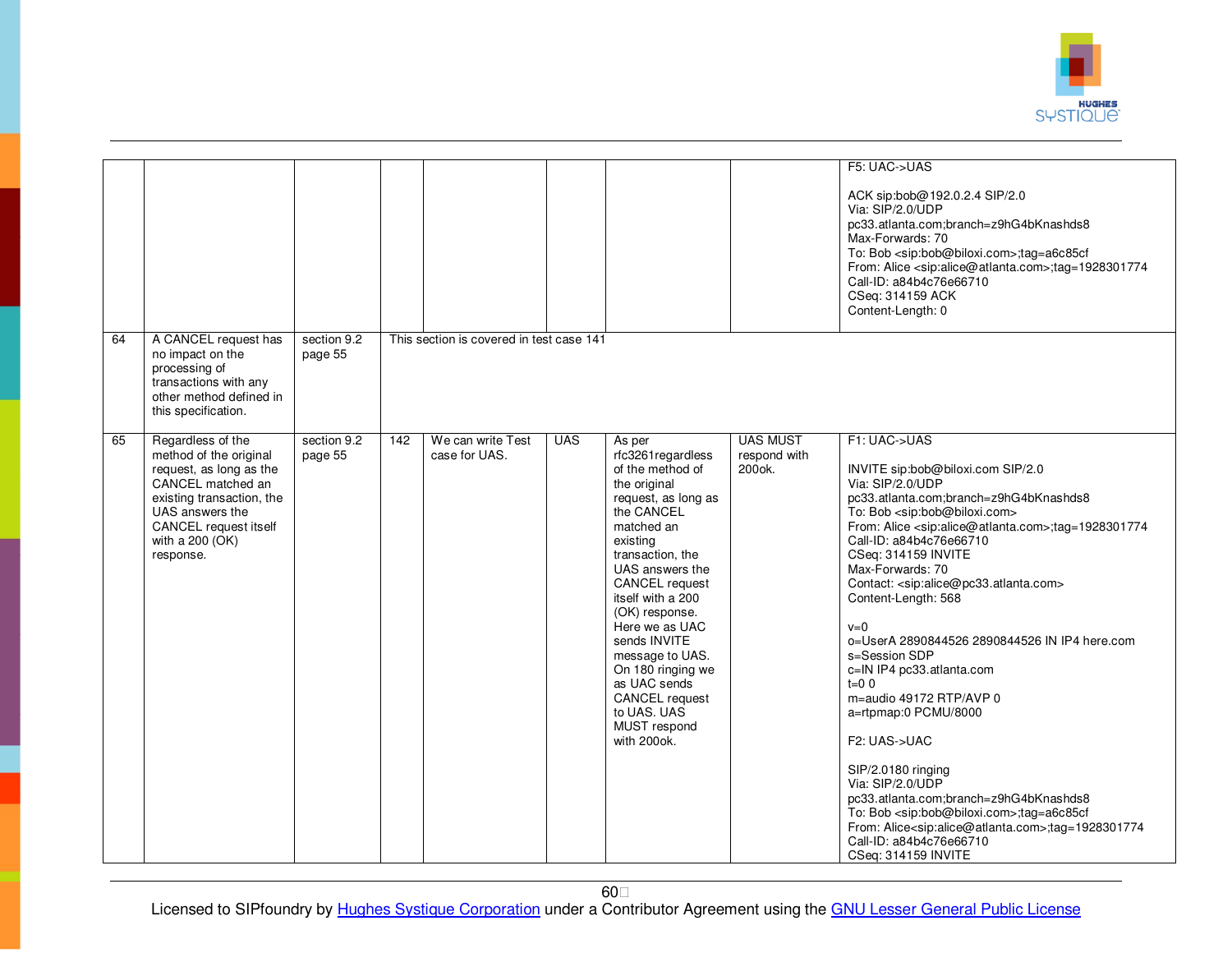

| 64 | A CANCEL request has                                                                                                                                                                                 | section 9.2            |     | This section is covered in test case 141 |            |                                                                                                                                                                                                                                                                                                                                                                                          |                                                      | F5: UAC->UAS<br>ACK sip:bob@192.0.2.4 SIP/2.0<br>Via: SIP/2.0/UDP<br>pc33.atlanta.com;branch=z9hG4bKnashds8<br>Max-Forwards: 70<br>To: Bob <sip:bob@biloxi.com>;tag=a6c85cf<br/>From: Alice <sip:alice@atlanta.com>;tag=1928301774<br/>Call-ID: a84b4c76e66710<br/>CSeq: 314159 ACK<br/>Content-Length: 0</sip:alice@atlanta.com></sip:bob@biloxi.com>                                                                                                                                                                                                                                                                                                                                                                                                                                                                                                                                                                                        |
|----|------------------------------------------------------------------------------------------------------------------------------------------------------------------------------------------------------|------------------------|-----|------------------------------------------|------------|------------------------------------------------------------------------------------------------------------------------------------------------------------------------------------------------------------------------------------------------------------------------------------------------------------------------------------------------------------------------------------------|------------------------------------------------------|-----------------------------------------------------------------------------------------------------------------------------------------------------------------------------------------------------------------------------------------------------------------------------------------------------------------------------------------------------------------------------------------------------------------------------------------------------------------------------------------------------------------------------------------------------------------------------------------------------------------------------------------------------------------------------------------------------------------------------------------------------------------------------------------------------------------------------------------------------------------------------------------------------------------------------------------------|
|    | no impact on the<br>processing of<br>transactions with any<br>other method defined in<br>this specification.                                                                                         | page 55                |     |                                          |            |                                                                                                                                                                                                                                                                                                                                                                                          |                                                      |                                                                                                                                                                                                                                                                                                                                                                                                                                                                                                                                                                                                                                                                                                                                                                                                                                                                                                                                               |
| 65 | Regardless of the<br>method of the original<br>request, as long as the<br>CANCEL matched an<br>existing transaction, the<br>UAS answers the<br>CANCEL request itself<br>with a 200 (OK)<br>response. | section 9.2<br>page 55 | 142 | We can write Test<br>case for UAS.       | <b>UAS</b> | As per<br>rfc3261regardless<br>of the method of<br>the original<br>request, as long as<br>the CANCEL<br>matched an<br>existing<br>transaction, the<br>UAS answers the<br>CANCEL request<br>itself with a 200<br>(OK) response.<br>Here we as UAC<br>sends INVITE<br>message to UAS.<br>On 180 ringing we<br>as UAC sends<br>CANCEL request<br>to UAS, UAS<br>MUST respond<br>with 200ok. | <b>UAS MUST</b><br>respond with<br>200 <sub>ok</sub> | F1: UAC->UAS<br>INVITE sip:bob@biloxi.com SIP/2.0<br>Via: SIP/2.0/UDP<br>pc33.atlanta.com;branch=z9hG4bKnashds8<br>To: Bob <sip:bob@biloxi.com><br/>From: Alice <sip:alice@atlanta.com>;tag=1928301774<br/>Call-ID: a84b4c76e66710<br/>CSeq: 314159 INVITE<br/>Max-Forwards: 70<br/>Contact: <sip:alice@pc33.atlanta.com><br/>Content-Length: 568<br/><math>v=0</math><br/>o=UserA 2890844526 2890844526 IN IP4 here.com<br/>s=Session SDP<br/>c=IN IP4 pc33.atlanta.com<br/><math>t=0</math> 0<br/>m=audio 49172 RTP/AVP 0<br/>a=rtpmap:0 PCMU/8000<br/>F2: UAS-&gt;UAC<br/>SIP/2.0180 ringing<br/>Via: SIP/2.0/UDP<br/>pc33.atlanta.com;branch=z9hG4bKnashds8<br/>To: Bob <sip:bob@biloxi.com>;tag=a6c85cf<br/>From: Alice<sip:alice@atlanta.com>;tag=1928301774<br/>Call-ID: a84b4c76e66710<br/>CSeq: 314159 INVITE</sip:alice@atlanta.com></sip:bob@biloxi.com></sip:alice@pc33.atlanta.com></sip:alice@atlanta.com></sip:bob@biloxi.com> |

60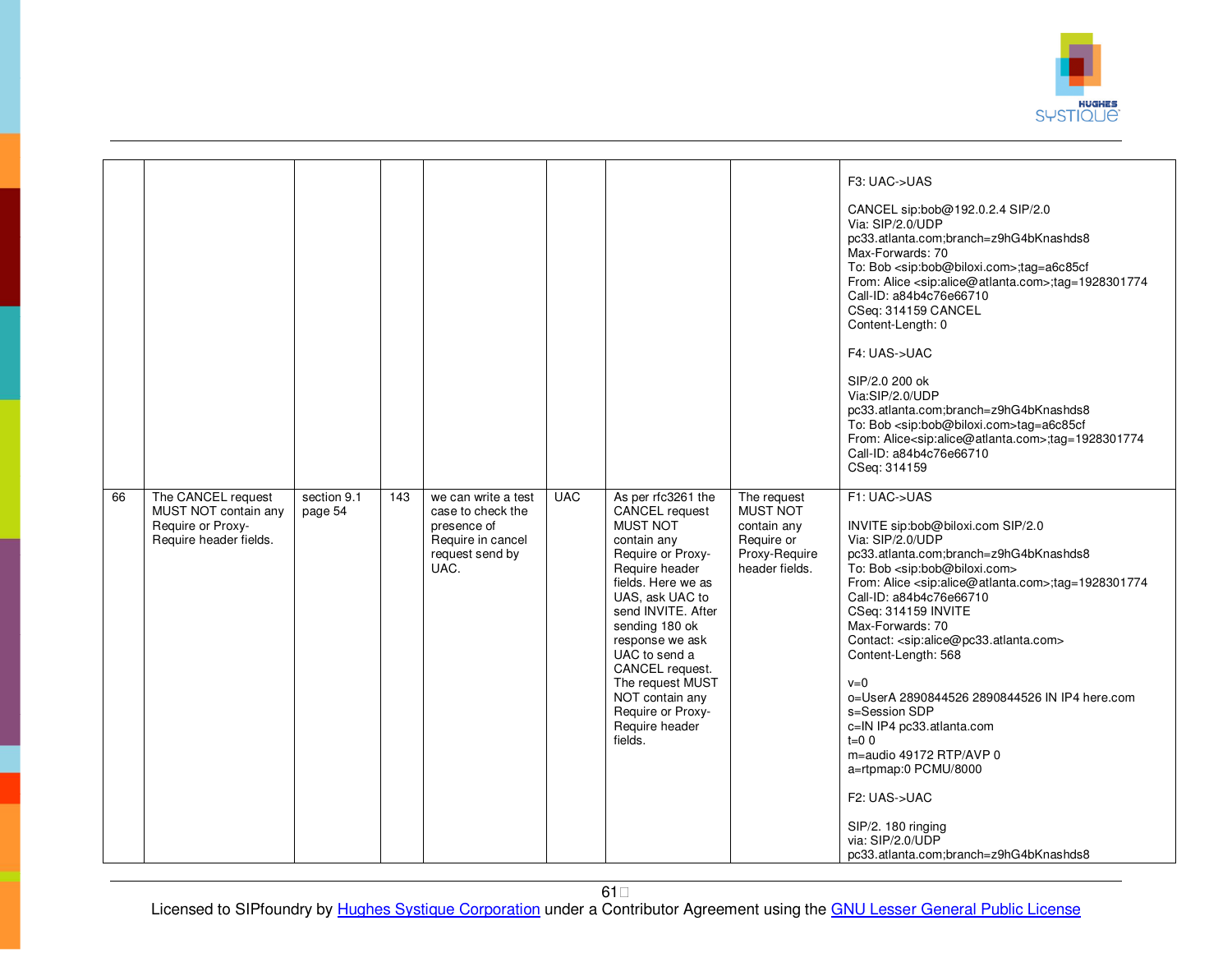

|    |                                                                                           |                        |     |                                                                                                         |            |                                                                                                                                                                                                                                                                                                                                                |                                                                                                | F3: UAC->UAS<br>CANCEL sip:bob@192.0.2.4 SIP/2.0<br>Via: SIP/2.0/UDP<br>pc33.atlanta.com;branch=z9hG4bKnashds8<br>Max-Forwards: 70<br>To: Bob <sip:bob@biloxi.com>;tag=a6c85cf<br/>From: Alice <sip:alice@atlanta.com>;tag=1928301774<br/>Call-ID: a84b4c76e66710<br/>CSeq: 314159 CANCEL<br/>Content-Length: 0<br/>F4: UAS-&gt;UAC<br/>SIP/2.0 200 ok<br/>Via:SIP/2.0/UDP<br/>pc33.atlanta.com;branch=z9hG4bKnashds8<br/>To: Bob <sip:bob@biloxi.com>tag=a6c85cf<br/>From: Alice<sip:alice@atlanta.com>;tag=1928301774<br/>Call-ID: a84b4c76e66710<br/>CSeq: 314159</sip:alice@atlanta.com></sip:bob@biloxi.com></sip:alice@atlanta.com></sip:bob@biloxi.com>                                                                            |
|----|-------------------------------------------------------------------------------------------|------------------------|-----|---------------------------------------------------------------------------------------------------------|------------|------------------------------------------------------------------------------------------------------------------------------------------------------------------------------------------------------------------------------------------------------------------------------------------------------------------------------------------------|------------------------------------------------------------------------------------------------|-------------------------------------------------------------------------------------------------------------------------------------------------------------------------------------------------------------------------------------------------------------------------------------------------------------------------------------------------------------------------------------------------------------------------------------------------------------------------------------------------------------------------------------------------------------------------------------------------------------------------------------------------------------------------------------------------------------------------------------------|
| 66 | The CANCEL request<br>MUST NOT contain any<br>Require or Proxy-<br>Require header fields. | section 9.1<br>page 54 | 143 | we can write a test<br>case to check the<br>presence of<br>Require in cancel<br>request send by<br>UAC. | <b>UAC</b> | As per rfc3261 the<br>CANCEL request<br><b>MUST NOT</b><br>contain any<br>Require or Proxy-<br>Require header<br>fields. Here we as<br>UAS, ask UAC to<br>send INVITE, After<br>sending 180 ok<br>response we ask<br>UAC to send a<br>CANCEL request.<br>The request MUST<br>NOT contain any<br>Require or Proxy-<br>Require header<br>fields. | The request<br><b>MUST NOT</b><br>contain any<br>Require or<br>Proxy-Require<br>header fields. | F1: UAC->UAS<br>INVITE sip:bob@biloxi.com SIP/2.0<br>Via: SIP/2.0/UDP<br>pc33.atlanta.com;branch=z9hG4bKnashds8<br>To: Bob <sip:bob@biloxi.com><br/>From: Alice <sip:alice@atlanta.com>;tag=1928301774<br/>Call-ID: a84b4c76e66710<br/>CSeq: 314159 INVITE<br/>Max-Forwards: 70<br/>Contact: <sip:alice@pc33.atlanta.com><br/>Content-Length: 568<br/><math>v=0</math><br/>o=UserA 2890844526 2890844526 IN IP4 here.com<br/>s=Session SDP<br/>c=IN IP4 pc33.atlanta.com<br/><math>t=0</math> 0<br/>m=audio 49172 RTP/AVP 0<br/>a=rtpmap:0 PCMU/8000<br/>F2: UAS-&gt;UAC<br/>SIP/2. 180 ringing<br/>via: SIP/2.0/UDP<br/>pc33.atlanta.com:branch=z9hG4bKnashds8</sip:alice@pc33.atlanta.com></sip:alice@atlanta.com></sip:bob@biloxi.com> |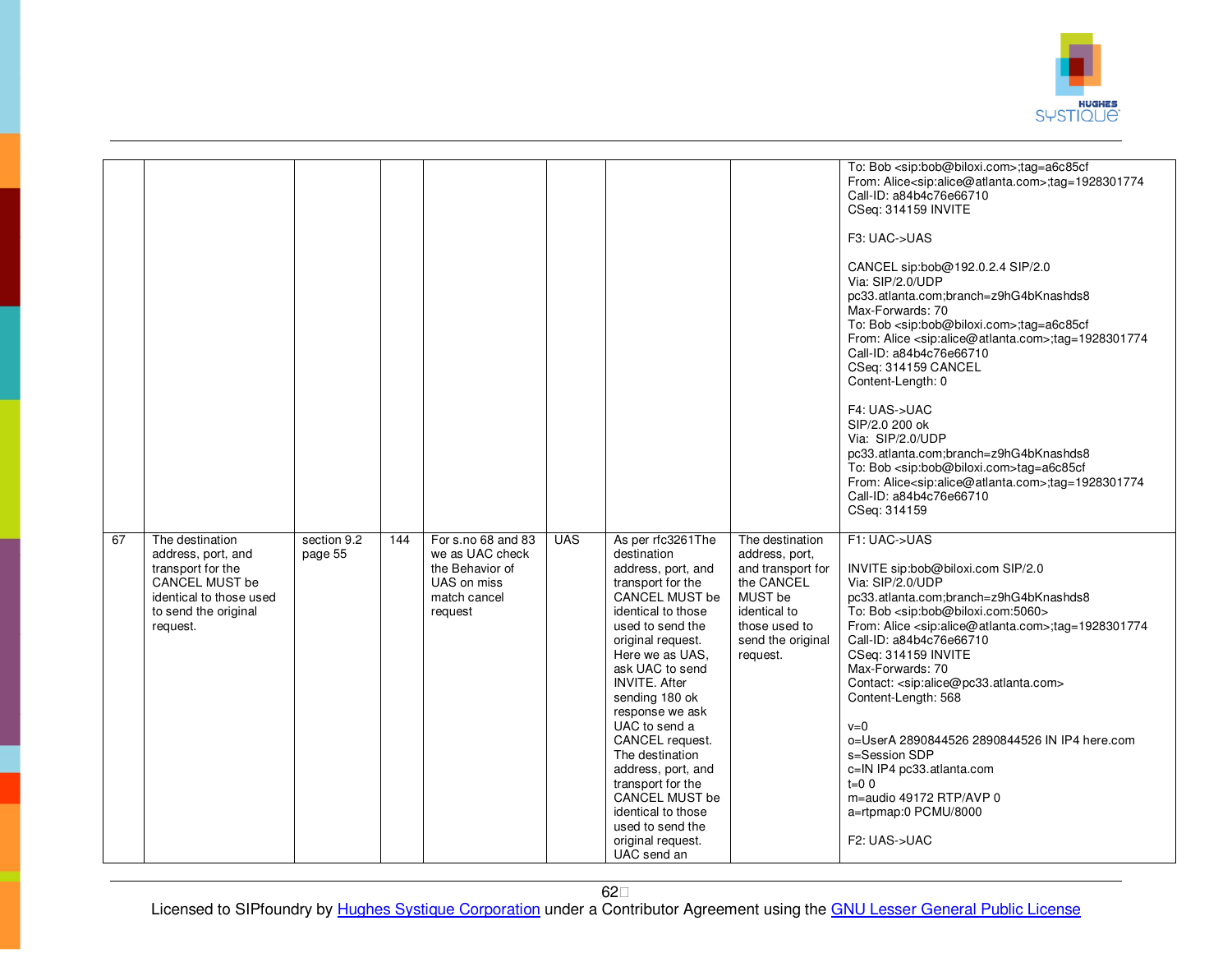

|    |                                                                                                                                             |                        |     |                                                                                                    |            |                                                                                                                                                                                                                                                                                                                                                                                                                                                                                 |                                                                                                                                                   | To: Bob <sip:bob@biloxi.com>;tag=a6c85cf<br/>From: Alice<sip:alice@atlanta.com>;tag=1928301774<br/>Call-ID: a84b4c76e66710<br/>CSeq: 314159 INVITE<br/>F3: UAC-&gt;UAS<br/>CANCEL sip:bob@192.0.2.4 SIP/2.0<br/>Via: SIP/2.0/UDP<br/>pc33.atlanta.com;branch=z9hG4bKnashds8<br/>Max-Forwards: 70<br/>To: Bob <sip:bob@biloxi.com>;tag=a6c85cf<br/>From: Alice <sip:alice@atlanta.com>;tag=1928301774<br/>Call-ID: a84b4c76e66710<br/>CSeq: 314159 CANCEL<br/>Content-Length: 0<br/>F4: UAS-&gt;UAC<br/>SIP/2.0 200 ok<br/>Via: SIP/2.0/UDP<br/>pc33.atlanta.com;branch=z9hG4bKnashds8<br/>To: Bob <sip:bob@biloxi.com>tag=a6c85cf<br/>From: Alice<sip:alice@atlanta.com>;tag=1928301774<br/>Call-ID: a84b4c76e66710</sip:alice@atlanta.com></sip:bob@biloxi.com></sip:alice@atlanta.com></sip:bob@biloxi.com></sip:alice@atlanta.com></sip:bob@biloxi.com> |
|----|---------------------------------------------------------------------------------------------------------------------------------------------|------------------------|-----|----------------------------------------------------------------------------------------------------|------------|---------------------------------------------------------------------------------------------------------------------------------------------------------------------------------------------------------------------------------------------------------------------------------------------------------------------------------------------------------------------------------------------------------------------------------------------------------------------------------|---------------------------------------------------------------------------------------------------------------------------------------------------|------------------------------------------------------------------------------------------------------------------------------------------------------------------------------------------------------------------------------------------------------------------------------------------------------------------------------------------------------------------------------------------------------------------------------------------------------------------------------------------------------------------------------------------------------------------------------------------------------------------------------------------------------------------------------------------------------------------------------------------------------------------------------------------------------------------------------------------------------------|
|    |                                                                                                                                             |                        |     |                                                                                                    |            |                                                                                                                                                                                                                                                                                                                                                                                                                                                                                 |                                                                                                                                                   | CSeq: 314159                                                                                                                                                                                                                                                                                                                                                                                                                                                                                                                                                                                                                                                                                                                                                                                                                                               |
| 67 | The destination<br>address, port, and<br>transport for the<br>CANCEL MUST be<br>identical to those used<br>to send the original<br>request. | section 9.2<br>page 55 | 144 | For s.no 68 and 83<br>we as UAC check<br>the Behavior of<br>UAS on miss<br>match cancel<br>request | <b>UAS</b> | As per rfc3261The<br>destination<br>address, port, and<br>transport for the<br><b>CANCEL MUST be</b><br>identical to those<br>used to send the<br>original request.<br>Here we as UAS,<br>ask UAC to send<br><b>INVITE. After</b><br>sending 180 ok<br>response we ask<br>UAC to send a<br>CANCEL request.<br>The destination<br>address, port, and<br>transport for the<br><b>CANCEL MUST be</b><br>identical to those<br>used to send the<br>original request.<br>UAC send an | The destination<br>address, port,<br>and transport for<br>the CANCEL<br>MUST be<br>identical to<br>those used to<br>send the original<br>request. | F1: UAC->UAS<br>INVITE sip:bob@biloxi.com SIP/2.0<br>Via: SIP/2.0/UDP<br>pc33.atlanta.com;branch=z9hG4bKnashds8<br>To: Bob <sip:bob@biloxi.com:5060><br/>From: Alice <sip:alice@atlanta.com>;tag=1928301774<br/>Call-ID: a84b4c76e66710<br/>CSeq: 314159 INVITE<br/>Max-Forwards: 70<br/>Contact: <sip:alice@pc33.atlanta.com><br/>Content-Length: 568<br/><math>v=0</math><br/>o=UserA 2890844526 2890844526 IN IP4 here.com<br/>s=Session SDP<br/>c=IN IP4 pc33.atlanta.com<br/><math>t=0</math> 0<br/>m=audio 49172 RTP/AVP 0<br/>a=rtpmap:0 PCMU/8000<br/>F2: UAS-&gt;UAC</sip:alice@pc33.atlanta.com></sip:alice@atlanta.com></sip:bob@biloxi.com:5060>                                                                                                                                                                                               |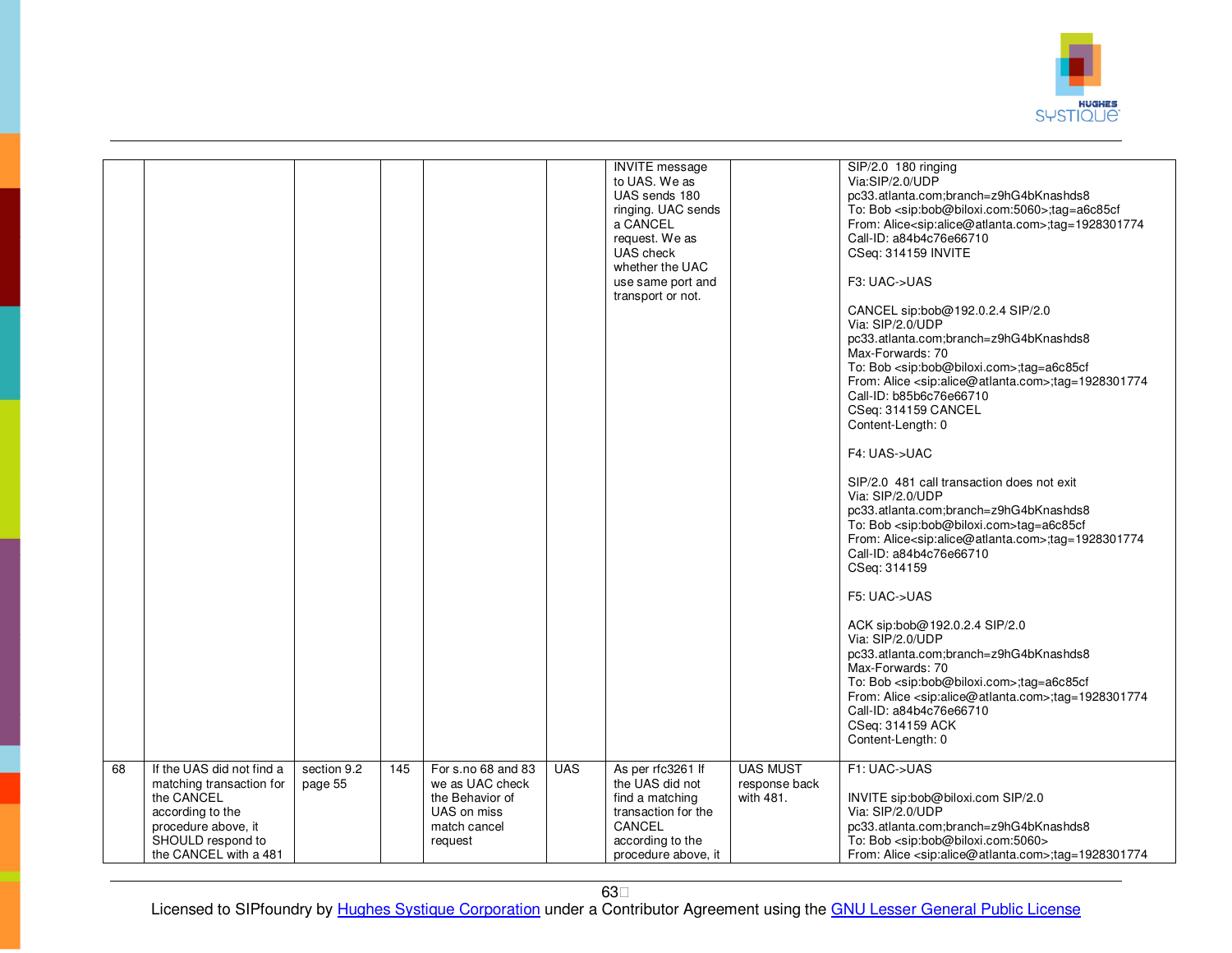

|    |                                                                                                                                                              |                        |     |                                                                                                    |            | <b>INVITE</b> message<br>to UAS. We as<br>UAS sends 180<br>ringing. UAC sends<br>a CANCEL<br>request. We as<br>UAS check<br>whether the UAC<br>use same port and<br>transport or not. |                                               | SIP/2.0 180 ringing<br>Via:SIP/2.0/UDP<br>pc33.atlanta.com;branch=z9hG4bKnashds8<br>To: Bob <sip:bob@biloxi.com:5060>;tag=a6c85cf<br/>From: Alice<sip:alice@atlanta.com>;tag=1928301774<br/>Call-ID: a84b4c76e66710<br/>CSeq: 314159 INVITE<br/>F3: UAC-&gt;UAS<br/>CANCEL sip:bob@192.0.2.4 SIP/2.0<br/>Via: SIP/2.0/UDP<br/>pc33.atlanta.com;branch=z9hG4bKnashds8<br/>Max-Forwards: 70<br/>To: Bob <sip:bob@biloxi.com>;tag=a6c85cf<br/>From: Alice <sip:alice@atlanta.com>;tag=1928301774<br/>Call-ID: b85b6c76e66710<br/>CSeq: 314159 CANCEL<br/>Content-Length: 0<br/>F4: UAS-&gt;UAC<br/>SIP/2.0 481 call transaction does not exit<br/>Via: SIP/2.0/UDP<br/>pc33.atlanta.com;branch=z9hG4bKnashds8<br/>To: Bob <sip:bob@biloxi.com>tag=a6c85cf<br/>From: Alice<sip:alice@atlanta.com>;tag=1928301774<br/>Call-ID: a84b4c76e66710<br/>CSeq: 314159<br/>F5: UAC-&gt;UAS<br/>ACK sip:bob@192.0.2.4 SIP/2.0<br/>Via: SIP/2.0/UDP<br/>pc33.atlanta.com;branch=z9hG4bKnashds8<br/>Max-Forwards: 70<br/>To: Bob <sip:bob@biloxi.com>;tag=a6c85cf<br/>From: Alice <sip:alice@atlanta.com>;tag=1928301774<br/>Call-ID: a84b4c76e66710<br/>CSeq: 314159 ACK<br/>Content-Length: 0</sip:alice@atlanta.com></sip:bob@biloxi.com></sip:alice@atlanta.com></sip:bob@biloxi.com></sip:alice@atlanta.com></sip:bob@biloxi.com></sip:alice@atlanta.com></sip:bob@biloxi.com:5060> |
|----|--------------------------------------------------------------------------------------------------------------------------------------------------------------|------------------------|-----|----------------------------------------------------------------------------------------------------|------------|---------------------------------------------------------------------------------------------------------------------------------------------------------------------------------------|-----------------------------------------------|--------------------------------------------------------------------------------------------------------------------------------------------------------------------------------------------------------------------------------------------------------------------------------------------------------------------------------------------------------------------------------------------------------------------------------------------------------------------------------------------------------------------------------------------------------------------------------------------------------------------------------------------------------------------------------------------------------------------------------------------------------------------------------------------------------------------------------------------------------------------------------------------------------------------------------------------------------------------------------------------------------------------------------------------------------------------------------------------------------------------------------------------------------------------------------------------------------------------------------------------------------------------------------------------------------------------------------------------------------------------------|
| 68 | If the UAS did not find a<br>matching transaction for<br>the CANCEL<br>according to the<br>procedure above, it<br>SHOULD respond to<br>the CANCEL with a 481 | section 9.2<br>page 55 | 145 | For s.no 68 and 83<br>we as UAC check<br>the Behavior of<br>UAS on miss<br>match cancel<br>request | <b>UAS</b> | As per rfc3261 If<br>the UAS did not<br>find a matching<br>transaction for the<br>CANCEL<br>according to the<br>procedure above, it                                                   | <b>UAS MUST</b><br>response back<br>with 481. | F1: UAC->UAS<br>INVITE sip:bob@biloxi.com SIP/2.0<br>Via: SIP/2.0/UDP<br>pc33.atlanta.com;branch=z9hG4bKnashds8<br>To: Bob <sip:bob@biloxi.com:5060><br/>From: Alice <sip:alice@atlanta.com>;tag=1928301774</sip:alice@atlanta.com></sip:bob@biloxi.com:5060>                                                                                                                                                                                                                                                                                                                                                                                                                                                                                                                                                                                                                                                                                                                                                                                                                                                                                                                                                                                                                                                                                                            |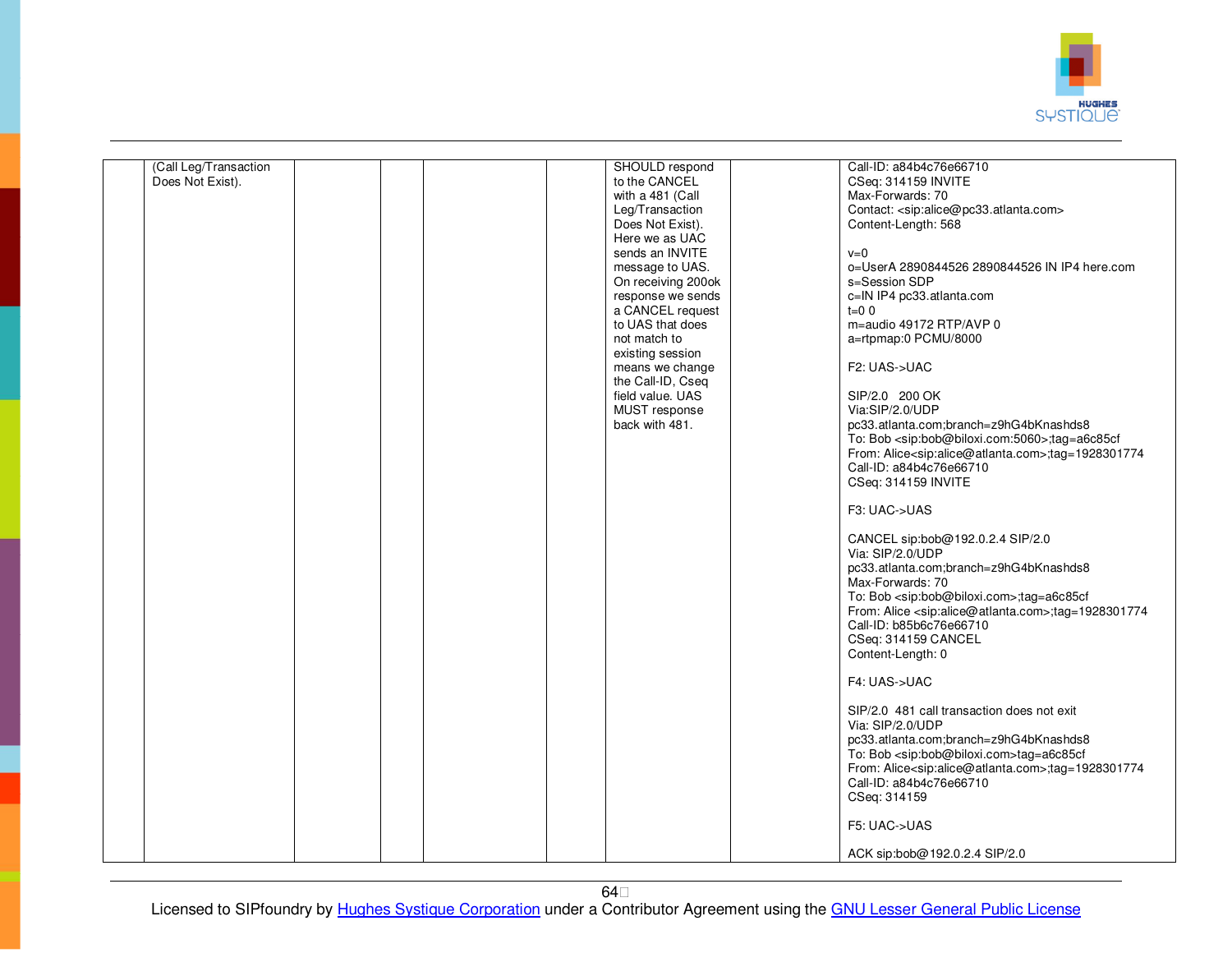

| (Call Leg/Transaction |  |  | SHOULD respond     | Call-ID: a84b4c76e66710                                                    |
|-----------------------|--|--|--------------------|----------------------------------------------------------------------------|
| Does Not Exist).      |  |  | to the CANCEL      | CSeq: 314159 INVITE                                                        |
|                       |  |  | with a 481 (Call   | Max-Forwards: 70                                                           |
|                       |  |  |                    |                                                                            |
|                       |  |  | Leg/Transaction    | Contact: <sip:alice@pc33.atlanta.com></sip:alice@pc33.atlanta.com>         |
|                       |  |  | Does Not Exist).   | Content-Length: 568                                                        |
|                       |  |  | Here we as UAC     |                                                                            |
|                       |  |  | sends an INVITE    | $v=0$                                                                      |
|                       |  |  | message to UAS.    | 0=UserA 2890844526 2890844526 IN IP4 here.com                              |
|                       |  |  |                    |                                                                            |
|                       |  |  | On receiving 200ok | s=Session SDP                                                              |
|                       |  |  | response we sends  | c=IN IP4 pc33.atlanta.com                                                  |
|                       |  |  | a CANCEL request   | $t=0$ 0                                                                    |
|                       |  |  | to UAS that does   | m=audio 49172 RTP/AVP 0                                                    |
|                       |  |  | not match to       | a=rtpmap:0 PCMU/8000                                                       |
|                       |  |  |                    |                                                                            |
|                       |  |  | existing session   |                                                                            |
|                       |  |  | means we change    | F2: UAS->UAC                                                               |
|                       |  |  | the Call-ID, Cseq  |                                                                            |
|                       |  |  | field value. UAS   | SIP/2.0 200 OK                                                             |
|                       |  |  | MUST response      | Via:SIP/2.0/UDP                                                            |
|                       |  |  |                    |                                                                            |
|                       |  |  | back with 481.     | pc33.atlanta.com;branch=z9hG4bKnashds8                                     |
|                       |  |  |                    | To: Bob <sip:bob@biloxi.com:5060>;tag=a6c85cf</sip:bob@biloxi.com:5060>    |
|                       |  |  |                    | From: Alice <sip:alice@atlanta.com>;tag=1928301774</sip:alice@atlanta.com> |
|                       |  |  |                    | Call-ID: a84b4c76e66710                                                    |
|                       |  |  |                    | CSeq: 314159 INVITE                                                        |
|                       |  |  |                    |                                                                            |
|                       |  |  |                    |                                                                            |
|                       |  |  |                    | F3: UAC->UAS                                                               |
|                       |  |  |                    |                                                                            |
|                       |  |  |                    | CANCEL sip:bob@192.0.2.4 SIP/2.0                                           |
|                       |  |  |                    | Via: SIP/2.0/UDP                                                           |
|                       |  |  |                    |                                                                            |
|                       |  |  |                    | pc33.atlanta.com;branch=z9hG4bKnashds8                                     |
|                       |  |  |                    | Max-Forwards: 70                                                           |
|                       |  |  |                    | To: Bob <sip:bob@biloxi.com>;tag=a6c85cf</sip:bob@biloxi.com>              |
|                       |  |  |                    | From: Alice <sip:alice@atlanta.com>;tag=1928301774</sip:alice@atlanta.com> |
|                       |  |  |                    | Call-ID: b85b6c76e66710                                                    |
|                       |  |  |                    | CSeq: 314159 CANCEL                                                        |
|                       |  |  |                    |                                                                            |
|                       |  |  |                    | Content-Length: 0                                                          |
|                       |  |  |                    |                                                                            |
|                       |  |  |                    | F4: UAS->UAC                                                               |
|                       |  |  |                    |                                                                            |
|                       |  |  |                    | SIP/2.0 481 call transaction does not exit                                 |
|                       |  |  |                    |                                                                            |
|                       |  |  |                    | Via: SIP/2.0/UDP                                                           |
|                       |  |  |                    | pc33.atlanta.com;branch=z9hG4bKnashds8                                     |
|                       |  |  |                    | To: Bob <sip:bob@biloxi.com>tag=a6c85cf</sip:bob@biloxi.com>               |
|                       |  |  |                    | From: Alice <sip:alice@atlanta.com>;tag=1928301774</sip:alice@atlanta.com> |
|                       |  |  |                    | Call-ID: a84b4c76e66710                                                    |
|                       |  |  |                    |                                                                            |
|                       |  |  |                    | CSeq: 314159                                                               |
|                       |  |  |                    |                                                                            |
|                       |  |  |                    | F5: UAC->UAS                                                               |
|                       |  |  |                    |                                                                            |
|                       |  |  |                    | ACK sip:bob@192.0.2.4 SIP/2.0                                              |
|                       |  |  |                    |                                                                            |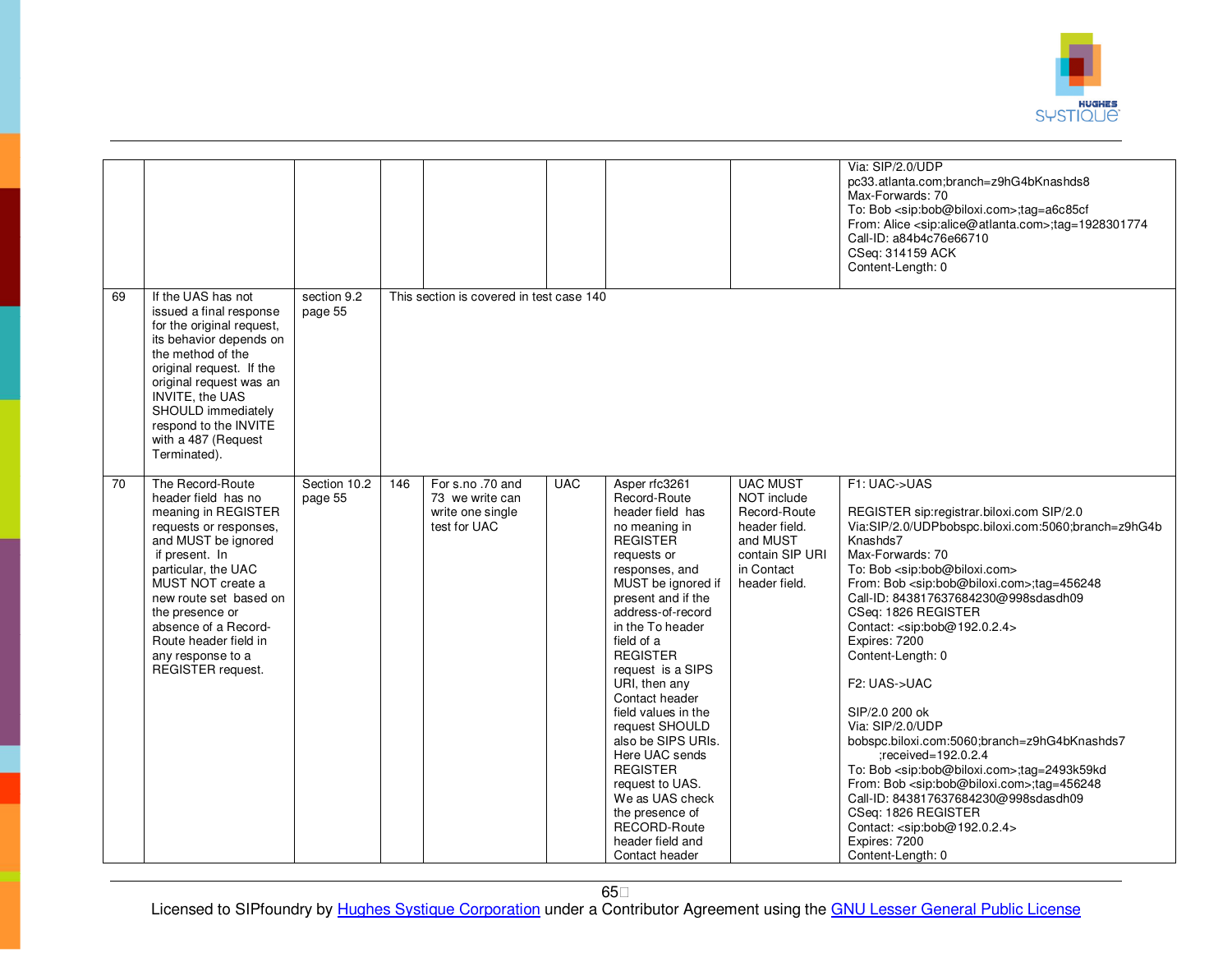

|                 |                                                                                                                                                                                                                                                                                                                       |                         |     |                                                                        |            |                                                                                                                                                                                                                                                                                                                                                                                                                                                                                                                         |                                                                                                                               | Via: SIP/2.0/UDP<br>pc33.atlanta.com;branch=z9hG4bKnashds8<br>Max-Forwards: 70<br>To: Bob <sip:bob@biloxi.com>;tag=a6c85cf<br/>From: Alice <sip:alice@atlanta.com>;tag=1928301774<br/>Call-ID: a84b4c76e66710<br/>CSeq: 314159 ACK<br/>Content-Length: 0</sip:alice@atlanta.com></sip:bob@biloxi.com>                                                                                                                                                                                                                                                                                                                                                                                                                                                                                                                                                                            |
|-----------------|-----------------------------------------------------------------------------------------------------------------------------------------------------------------------------------------------------------------------------------------------------------------------------------------------------------------------|-------------------------|-----|------------------------------------------------------------------------|------------|-------------------------------------------------------------------------------------------------------------------------------------------------------------------------------------------------------------------------------------------------------------------------------------------------------------------------------------------------------------------------------------------------------------------------------------------------------------------------------------------------------------------------|-------------------------------------------------------------------------------------------------------------------------------|----------------------------------------------------------------------------------------------------------------------------------------------------------------------------------------------------------------------------------------------------------------------------------------------------------------------------------------------------------------------------------------------------------------------------------------------------------------------------------------------------------------------------------------------------------------------------------------------------------------------------------------------------------------------------------------------------------------------------------------------------------------------------------------------------------------------------------------------------------------------------------|
| 69              | If the UAS has not<br>issued a final response<br>for the original request,<br>its behavior depends on<br>the method of the<br>original request. If the<br>original request was an<br><b>INVITE, the UAS</b><br>SHOULD immediately<br>respond to the INVITE<br>with a 487 (Request<br>Terminated).                     | section 9.2<br>page 55  |     | This section is covered in test case 140                               |            |                                                                                                                                                                                                                                                                                                                                                                                                                                                                                                                         |                                                                                                                               |                                                                                                                                                                                                                                                                                                                                                                                                                                                                                                                                                                                                                                                                                                                                                                                                                                                                                  |
| $\overline{70}$ | The Record-Route<br>header field has no<br>meaning in REGISTER<br>requests or responses,<br>and MUST be ignored<br>if present. In<br>particular, the UAC<br>MUST NOT create a<br>new route set based on<br>the presence or<br>absence of a Record-<br>Route header field in<br>any response to a<br>REGISTER request. | Section 10.2<br>page 55 | 146 | For s.no.70 and<br>73 we write can<br>write one single<br>test for UAC | <b>UAC</b> | Asper rfc3261<br>Record-Route<br>header field has<br>no meaning in<br><b>REGISTER</b><br>requests or<br>responses, and<br>MUST be ignored if<br>present and if the<br>address-of-record<br>in the To header<br>field of a<br><b>REGISTER</b><br>request is a SIPS<br>URI, then any<br>Contact header<br>field values in the<br>request SHOULD<br>also be SIPS URIs.<br>Here UAC sends<br><b>REGISTER</b><br>request to UAS.<br>We as UAS check<br>the presence of<br>RECORD-Route<br>header field and<br>Contact header | <b>UAC MUST</b><br>NOT include<br>Record-Route<br>header field.<br>and MUST<br>contain SIP URI<br>in Contact<br>header field. | F1: UAC->UAS<br>REGISTER sip:registrar.biloxi.com SIP/2.0<br>Via:SIP/2.0/UDPbobspc.biloxi.com:5060;branch=z9hG4b<br>Knashds7<br>Max-Forwards: 70<br>To: Bob <sip:bob@biloxi.com><br/>From: Bob <sip:bob@biloxi.com>;tag=456248<br/>Call-ID: 843817637684230@998sdasdh09<br/>CSeq: 1826 REGISTER<br/>Contact: <sip:bob@192.0.2.4><br/>Expires: 7200<br/>Content-Length: 0<br/>F2: UAS-&gt;UAC<br/>SIP/2.0 200 ok<br/>Via: SIP/2.0/UDP<br/>bobspc.biloxi.com:5060;branch=z9hG4bKnashds7<br/>:received=192.0.2.4<br/>To: Bob <sip:bob@biloxi.com>;tag=2493k59kd<br/>From: Bob <sip:bob@biloxi.com>;tag=456248<br/>Call-ID: 843817637684230@998sdasdh09<br/>CSeq: 1826 REGISTER<br/>Contact: <sip:bob@192.0.2.4><br/>Expires: 7200<br/>Content-Length: 0</sip:bob@192.0.2.4></sip:bob@biloxi.com></sip:bob@biloxi.com></sip:bob@192.0.2.4></sip:bob@biloxi.com></sip:bob@biloxi.com> |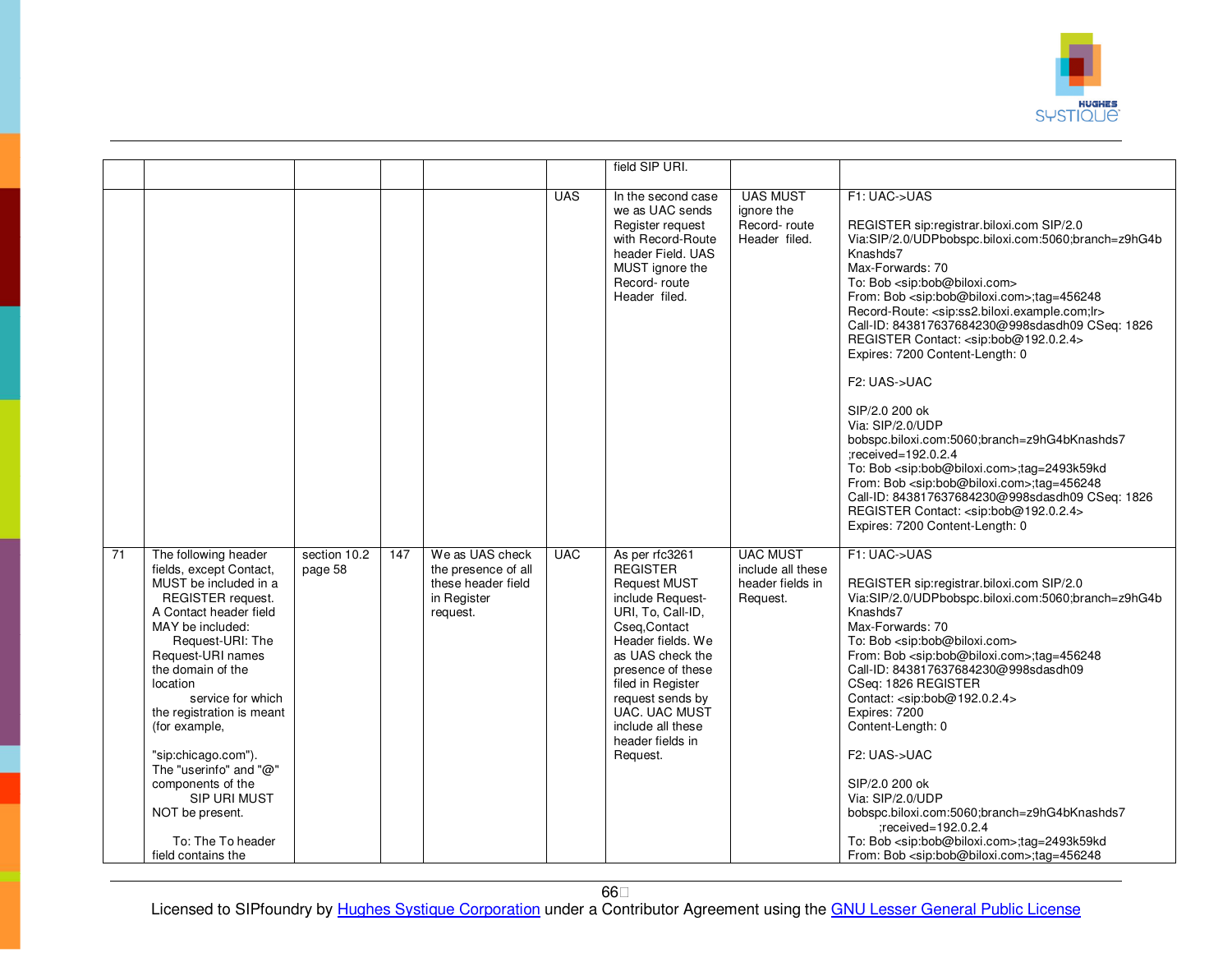

|    |                                                                                                                                                                                                                                                                                                                                                                                                                                              |                         |     |                                                                                         |            | field SIP URI.                                                                                                                                                                                                                                                                                         |                                                                      |                                                                                                                                                                                                                                                                                                                                                                                                                                                                                                                                                                                                                                                                                                                                                                                                                                                                                                                                                               |
|----|----------------------------------------------------------------------------------------------------------------------------------------------------------------------------------------------------------------------------------------------------------------------------------------------------------------------------------------------------------------------------------------------------------------------------------------------|-------------------------|-----|-----------------------------------------------------------------------------------------|------------|--------------------------------------------------------------------------------------------------------------------------------------------------------------------------------------------------------------------------------------------------------------------------------------------------------|----------------------------------------------------------------------|---------------------------------------------------------------------------------------------------------------------------------------------------------------------------------------------------------------------------------------------------------------------------------------------------------------------------------------------------------------------------------------------------------------------------------------------------------------------------------------------------------------------------------------------------------------------------------------------------------------------------------------------------------------------------------------------------------------------------------------------------------------------------------------------------------------------------------------------------------------------------------------------------------------------------------------------------------------|
|    |                                                                                                                                                                                                                                                                                                                                                                                                                                              |                         |     |                                                                                         |            |                                                                                                                                                                                                                                                                                                        |                                                                      |                                                                                                                                                                                                                                                                                                                                                                                                                                                                                                                                                                                                                                                                                                                                                                                                                                                                                                                                                               |
|    |                                                                                                                                                                                                                                                                                                                                                                                                                                              |                         |     |                                                                                         | <b>UAS</b> | In the second case<br>we as UAC sends<br>Register request<br>with Record-Route<br>header Field, UAS<br>MUST ignore the<br>Record-route<br>Header filed.                                                                                                                                                | <b>UAS MUST</b><br>ignore the<br>Record-route<br>Header filed.       | F1: UAC->UAS<br>REGISTER sip:registrar.biloxi.com SIP/2.0<br>Via:SIP/2.0/UDPbobspc.biloxi.com:5060;branch=z9hG4b<br>Knashds7<br>Max-Forwards: 70<br>To: Bob <sip:bob@biloxi.com><br/>From: Bob <sip:bob@biloxi.com>;tag=456248<br/>Record-Route: <sip:ss2.biloxi.example.com;lr><br/>Call-ID: 843817637684230@998sdasdh09 CSeq: 1826<br/>REGISTER Contact: <sip:bob@192.0.2.4><br/>Expires: 7200 Content-Length: 0<br/>F<sub>2</sub>: UAS-&gt;UAC<br/>SIP/2.0 200 ok<br/>Via: SIP/2.0/UDP<br/>bobspc.biloxi.com:5060;branch=z9hG4bKnashds7<br/>:received=192.0.2.4<br/>To: Bob <sip:bob@biloxi.com>;tag=2493k59kd<br/>From: Bob <sip:bob@biloxi.com>;tag=456248<br/>Call-ID: 843817637684230@998sdasdh09 CSeq: 1826<br/>REGISTER Contact: <sip:bob@192.0.2.4><br/>Expires: 7200 Content-Length: 0</sip:bob@192.0.2.4></sip:bob@biloxi.com></sip:bob@biloxi.com></sip:bob@192.0.2.4></sip:ss2.biloxi.example.com;lr></sip:bob@biloxi.com></sip:bob@biloxi.com> |
| 71 | The following header<br>fields, except Contact,<br>MUST be included in a<br>REGISTER request.<br>A Contact header field<br>MAY be included:<br>Request-URI: The<br>Request-URI names<br>the domain of the<br>location<br>service for which<br>the registration is meant<br>(for example,<br>"sip:chicago.com").<br>The "userinfo" and "@"<br>components of the<br>SIP URI MUST<br>NOT be present.<br>To: The To header<br>field contains the | section 10.2<br>page 58 | 147 | We as UAS check<br>the presence of all<br>these header field<br>in Register<br>request. | <b>UAC</b> | As per rfc3261<br><b>REGISTER</b><br><b>Request MUST</b><br>include Request-<br>URI, To, Call-ID,<br>Cseq, Contact<br>Header fields. We<br>as UAS check the<br>presence of these<br>filed in Register<br>request sends by<br><b>UAC. UAC MUST</b><br>include all these<br>header fields in<br>Request. | <b>UAC MUST</b><br>include all these<br>header fields in<br>Request. | F1: UAC->UAS<br>REGISTER sip:registrar.biloxi.com SIP/2.0<br>Via:SIP/2.0/UDPbobspc.biloxi.com:5060;branch=z9hG4b<br>Knashds7<br>Max-Forwards: 70<br>To: Bob <sip:bob@biloxi.com><br/>From: Bob <sip:bob@biloxi.com>;tag=456248<br/>Call-ID: 843817637684230@998sdasdh09<br/>CSeq: 1826 REGISTER<br/>Contact: <sip:bob@192.0.2.4><br/>Expires: 7200<br/>Content-Length: 0<br/>F<sub>2</sub>: UAS-&gt;UAC<br/>SIP/2.0 200 ok<br/>Via: SIP/2.0/UDP<br/>bobspc.biloxi.com:5060;branch=z9hG4bKnashds7<br/>:received=192.0.2.4<br/>To: Bob <sip:bob@biloxi.com>;tag=2493k59kd<br/>From: Bob <sip:bob@biloxi.com>;tag=456248</sip:bob@biloxi.com></sip:bob@biloxi.com></sip:bob@192.0.2.4></sip:bob@biloxi.com></sip:bob@biloxi.com>                                                                                                                                                                                                                                 |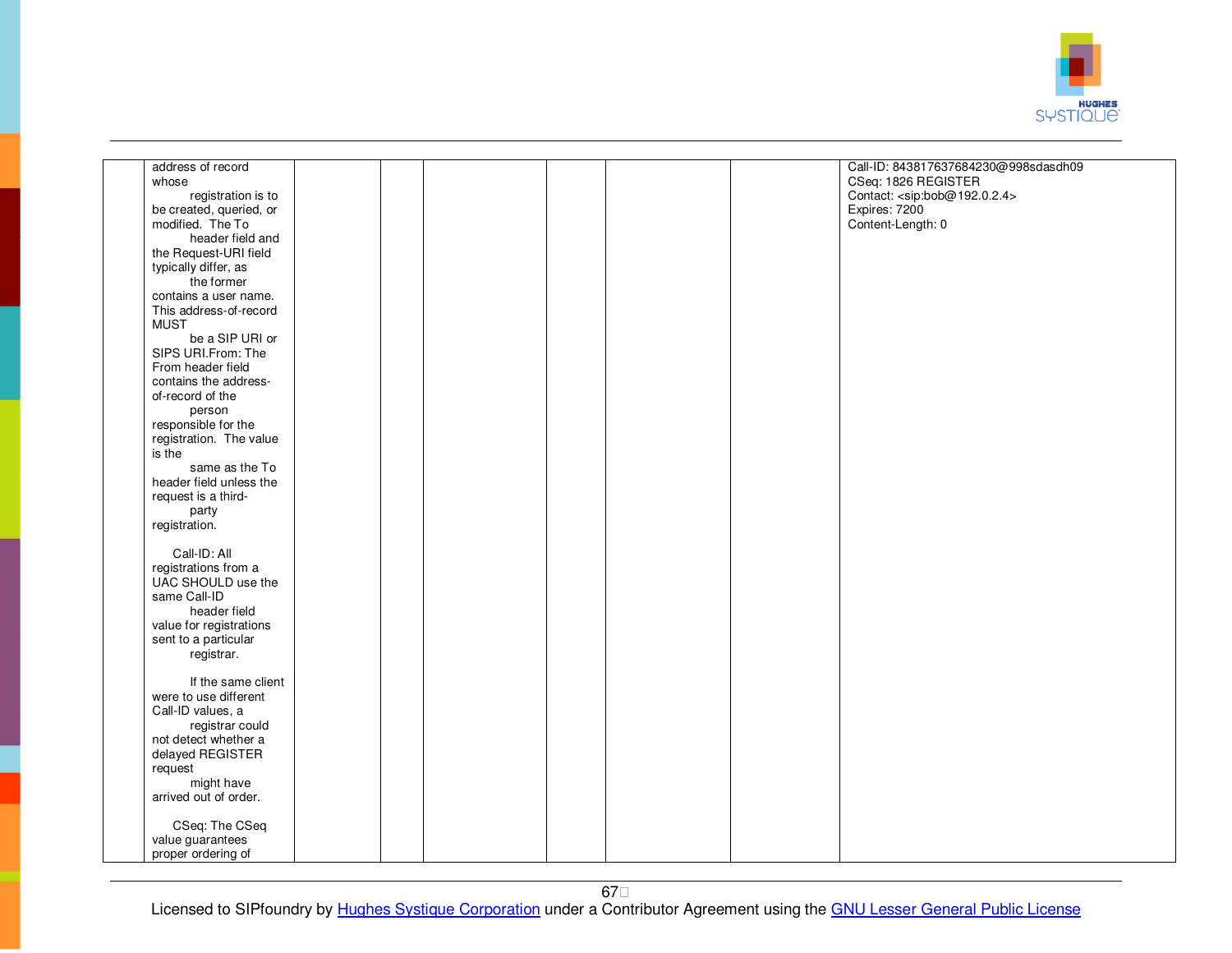

| Call-ID: 843817637684230@998sdasdh09<br>address of record<br>whose<br>CSeq: 1826 REGISTER<br>Contact: <sip:bob@192.0.2.4><br/>registration is to<br/>Expires: 7200<br/>be created, queried, or<br/>modified. The To<br/>Content-Length: 0<br/>header field and<br/>the Request-URI field<br/>typically differ, as<br/>the former<br/>contains a user name.<br/>This address-of-record<br/><b>MUST</b><br/>be a SIP URI or<br/>SIPS URI.From: The<br/>From header field<br/>contains the address-<br/>of-record of the<br/>person<br/>responsible for the<br/>registration. The value<br/>is the<br/>same as the To<br/>header field unless the<br/>request is a third-<br/>party<br/>registration.<br/>Call-ID: All<br/>registrations from a<br/>UAC SHOULD use the<br/>same Call-ID<br/>header field<br/>value for registrations<br/>sent to a particular<br/>registrar.<br/>If the same client<br/>were to use different<br/>Call-ID values, a<br/>registrar could<br/>not detect whether a<br/>delayed REGISTER<br/>request<br/>might have<br/>arrived out of order.<br/>CSeq: The CSeq<br/>value guarantees<br/>proper ordering of</sip:bob@192.0.2.4> |  |  |  |  |  |
|------------------------------------------------------------------------------------------------------------------------------------------------------------------------------------------------------------------------------------------------------------------------------------------------------------------------------------------------------------------------------------------------------------------------------------------------------------------------------------------------------------------------------------------------------------------------------------------------------------------------------------------------------------------------------------------------------------------------------------------------------------------------------------------------------------------------------------------------------------------------------------------------------------------------------------------------------------------------------------------------------------------------------------------------------------------------------------------------------------------------------------------------------------|--|--|--|--|--|
|                                                                                                                                                                                                                                                                                                                                                                                                                                                                                                                                                                                                                                                                                                                                                                                                                                                                                                                                                                                                                                                                                                                                                            |  |  |  |  |  |
|                                                                                                                                                                                                                                                                                                                                                                                                                                                                                                                                                                                                                                                                                                                                                                                                                                                                                                                                                                                                                                                                                                                                                            |  |  |  |  |  |
|                                                                                                                                                                                                                                                                                                                                                                                                                                                                                                                                                                                                                                                                                                                                                                                                                                                                                                                                                                                                                                                                                                                                                            |  |  |  |  |  |
|                                                                                                                                                                                                                                                                                                                                                                                                                                                                                                                                                                                                                                                                                                                                                                                                                                                                                                                                                                                                                                                                                                                                                            |  |  |  |  |  |
|                                                                                                                                                                                                                                                                                                                                                                                                                                                                                                                                                                                                                                                                                                                                                                                                                                                                                                                                                                                                                                                                                                                                                            |  |  |  |  |  |
|                                                                                                                                                                                                                                                                                                                                                                                                                                                                                                                                                                                                                                                                                                                                                                                                                                                                                                                                                                                                                                                                                                                                                            |  |  |  |  |  |
|                                                                                                                                                                                                                                                                                                                                                                                                                                                                                                                                                                                                                                                                                                                                                                                                                                                                                                                                                                                                                                                                                                                                                            |  |  |  |  |  |
|                                                                                                                                                                                                                                                                                                                                                                                                                                                                                                                                                                                                                                                                                                                                                                                                                                                                                                                                                                                                                                                                                                                                                            |  |  |  |  |  |
|                                                                                                                                                                                                                                                                                                                                                                                                                                                                                                                                                                                                                                                                                                                                                                                                                                                                                                                                                                                                                                                                                                                                                            |  |  |  |  |  |
|                                                                                                                                                                                                                                                                                                                                                                                                                                                                                                                                                                                                                                                                                                                                                                                                                                                                                                                                                                                                                                                                                                                                                            |  |  |  |  |  |
|                                                                                                                                                                                                                                                                                                                                                                                                                                                                                                                                                                                                                                                                                                                                                                                                                                                                                                                                                                                                                                                                                                                                                            |  |  |  |  |  |
|                                                                                                                                                                                                                                                                                                                                                                                                                                                                                                                                                                                                                                                                                                                                                                                                                                                                                                                                                                                                                                                                                                                                                            |  |  |  |  |  |
|                                                                                                                                                                                                                                                                                                                                                                                                                                                                                                                                                                                                                                                                                                                                                                                                                                                                                                                                                                                                                                                                                                                                                            |  |  |  |  |  |
|                                                                                                                                                                                                                                                                                                                                                                                                                                                                                                                                                                                                                                                                                                                                                                                                                                                                                                                                                                                                                                                                                                                                                            |  |  |  |  |  |
|                                                                                                                                                                                                                                                                                                                                                                                                                                                                                                                                                                                                                                                                                                                                                                                                                                                                                                                                                                                                                                                                                                                                                            |  |  |  |  |  |
|                                                                                                                                                                                                                                                                                                                                                                                                                                                                                                                                                                                                                                                                                                                                                                                                                                                                                                                                                                                                                                                                                                                                                            |  |  |  |  |  |
|                                                                                                                                                                                                                                                                                                                                                                                                                                                                                                                                                                                                                                                                                                                                                                                                                                                                                                                                                                                                                                                                                                                                                            |  |  |  |  |  |
|                                                                                                                                                                                                                                                                                                                                                                                                                                                                                                                                                                                                                                                                                                                                                                                                                                                                                                                                                                                                                                                                                                                                                            |  |  |  |  |  |
|                                                                                                                                                                                                                                                                                                                                                                                                                                                                                                                                                                                                                                                                                                                                                                                                                                                                                                                                                                                                                                                                                                                                                            |  |  |  |  |  |
|                                                                                                                                                                                                                                                                                                                                                                                                                                                                                                                                                                                                                                                                                                                                                                                                                                                                                                                                                                                                                                                                                                                                                            |  |  |  |  |  |
|                                                                                                                                                                                                                                                                                                                                                                                                                                                                                                                                                                                                                                                                                                                                                                                                                                                                                                                                                                                                                                                                                                                                                            |  |  |  |  |  |
|                                                                                                                                                                                                                                                                                                                                                                                                                                                                                                                                                                                                                                                                                                                                                                                                                                                                                                                                                                                                                                                                                                                                                            |  |  |  |  |  |
|                                                                                                                                                                                                                                                                                                                                                                                                                                                                                                                                                                                                                                                                                                                                                                                                                                                                                                                                                                                                                                                                                                                                                            |  |  |  |  |  |
|                                                                                                                                                                                                                                                                                                                                                                                                                                                                                                                                                                                                                                                                                                                                                                                                                                                                                                                                                                                                                                                                                                                                                            |  |  |  |  |  |
|                                                                                                                                                                                                                                                                                                                                                                                                                                                                                                                                                                                                                                                                                                                                                                                                                                                                                                                                                                                                                                                                                                                                                            |  |  |  |  |  |
|                                                                                                                                                                                                                                                                                                                                                                                                                                                                                                                                                                                                                                                                                                                                                                                                                                                                                                                                                                                                                                                                                                                                                            |  |  |  |  |  |
|                                                                                                                                                                                                                                                                                                                                                                                                                                                                                                                                                                                                                                                                                                                                                                                                                                                                                                                                                                                                                                                                                                                                                            |  |  |  |  |  |
|                                                                                                                                                                                                                                                                                                                                                                                                                                                                                                                                                                                                                                                                                                                                                                                                                                                                                                                                                                                                                                                                                                                                                            |  |  |  |  |  |
|                                                                                                                                                                                                                                                                                                                                                                                                                                                                                                                                                                                                                                                                                                                                                                                                                                                                                                                                                                                                                                                                                                                                                            |  |  |  |  |  |
|                                                                                                                                                                                                                                                                                                                                                                                                                                                                                                                                                                                                                                                                                                                                                                                                                                                                                                                                                                                                                                                                                                                                                            |  |  |  |  |  |
|                                                                                                                                                                                                                                                                                                                                                                                                                                                                                                                                                                                                                                                                                                                                                                                                                                                                                                                                                                                                                                                                                                                                                            |  |  |  |  |  |
|                                                                                                                                                                                                                                                                                                                                                                                                                                                                                                                                                                                                                                                                                                                                                                                                                                                                                                                                                                                                                                                                                                                                                            |  |  |  |  |  |
|                                                                                                                                                                                                                                                                                                                                                                                                                                                                                                                                                                                                                                                                                                                                                                                                                                                                                                                                                                                                                                                                                                                                                            |  |  |  |  |  |
|                                                                                                                                                                                                                                                                                                                                                                                                                                                                                                                                                                                                                                                                                                                                                                                                                                                                                                                                                                                                                                                                                                                                                            |  |  |  |  |  |
|                                                                                                                                                                                                                                                                                                                                                                                                                                                                                                                                                                                                                                                                                                                                                                                                                                                                                                                                                                                                                                                                                                                                                            |  |  |  |  |  |
|                                                                                                                                                                                                                                                                                                                                                                                                                                                                                                                                                                                                                                                                                                                                                                                                                                                                                                                                                                                                                                                                                                                                                            |  |  |  |  |  |
|                                                                                                                                                                                                                                                                                                                                                                                                                                                                                                                                                                                                                                                                                                                                                                                                                                                                                                                                                                                                                                                                                                                                                            |  |  |  |  |  |
|                                                                                                                                                                                                                                                                                                                                                                                                                                                                                                                                                                                                                                                                                                                                                                                                                                                                                                                                                                                                                                                                                                                                                            |  |  |  |  |  |
|                                                                                                                                                                                                                                                                                                                                                                                                                                                                                                                                                                                                                                                                                                                                                                                                                                                                                                                                                                                                                                                                                                                                                            |  |  |  |  |  |
|                                                                                                                                                                                                                                                                                                                                                                                                                                                                                                                                                                                                                                                                                                                                                                                                                                                                                                                                                                                                                                                                                                                                                            |  |  |  |  |  |
|                                                                                                                                                                                                                                                                                                                                                                                                                                                                                                                                                                                                                                                                                                                                                                                                                                                                                                                                                                                                                                                                                                                                                            |  |  |  |  |  |
|                                                                                                                                                                                                                                                                                                                                                                                                                                                                                                                                                                                                                                                                                                                                                                                                                                                                                                                                                                                                                                                                                                                                                            |  |  |  |  |  |
|                                                                                                                                                                                                                                                                                                                                                                                                                                                                                                                                                                                                                                                                                                                                                                                                                                                                                                                                                                                                                                                                                                                                                            |  |  |  |  |  |
|                                                                                                                                                                                                                                                                                                                                                                                                                                                                                                                                                                                                                                                                                                                                                                                                                                                                                                                                                                                                                                                                                                                                                            |  |  |  |  |  |
|                                                                                                                                                                                                                                                                                                                                                                                                                                                                                                                                                                                                                                                                                                                                                                                                                                                                                                                                                                                                                                                                                                                                                            |  |  |  |  |  |
|                                                                                                                                                                                                                                                                                                                                                                                                                                                                                                                                                                                                                                                                                                                                                                                                                                                                                                                                                                                                                                                                                                                                                            |  |  |  |  |  |
|                                                                                                                                                                                                                                                                                                                                                                                                                                                                                                                                                                                                                                                                                                                                                                                                                                                                                                                                                                                                                                                                                                                                                            |  |  |  |  |  |
|                                                                                                                                                                                                                                                                                                                                                                                                                                                                                                                                                                                                                                                                                                                                                                                                                                                                                                                                                                                                                                                                                                                                                            |  |  |  |  |  |
|                                                                                                                                                                                                                                                                                                                                                                                                                                                                                                                                                                                                                                                                                                                                                                                                                                                                                                                                                                                                                                                                                                                                                            |  |  |  |  |  |
|                                                                                                                                                                                                                                                                                                                                                                                                                                                                                                                                                                                                                                                                                                                                                                                                                                                                                                                                                                                                                                                                                                                                                            |  |  |  |  |  |
|                                                                                                                                                                                                                                                                                                                                                                                                                                                                                                                                                                                                                                                                                                                                                                                                                                                                                                                                                                                                                                                                                                                                                            |  |  |  |  |  |
|                                                                                                                                                                                                                                                                                                                                                                                                                                                                                                                                                                                                                                                                                                                                                                                                                                                                                                                                                                                                                                                                                                                                                            |  |  |  |  |  |
|                                                                                                                                                                                                                                                                                                                                                                                                                                                                                                                                                                                                                                                                                                                                                                                                                                                                                                                                                                                                                                                                                                                                                            |  |  |  |  |  |
|                                                                                                                                                                                                                                                                                                                                                                                                                                                                                                                                                                                                                                                                                                                                                                                                                                                                                                                                                                                                                                                                                                                                                            |  |  |  |  |  |
|                                                                                                                                                                                                                                                                                                                                                                                                                                                                                                                                                                                                                                                                                                                                                                                                                                                                                                                                                                                                                                                                                                                                                            |  |  |  |  |  |
|                                                                                                                                                                                                                                                                                                                                                                                                                                                                                                                                                                                                                                                                                                                                                                                                                                                                                                                                                                                                                                                                                                                                                            |  |  |  |  |  |
|                                                                                                                                                                                                                                                                                                                                                                                                                                                                                                                                                                                                                                                                                                                                                                                                                                                                                                                                                                                                                                                                                                                                                            |  |  |  |  |  |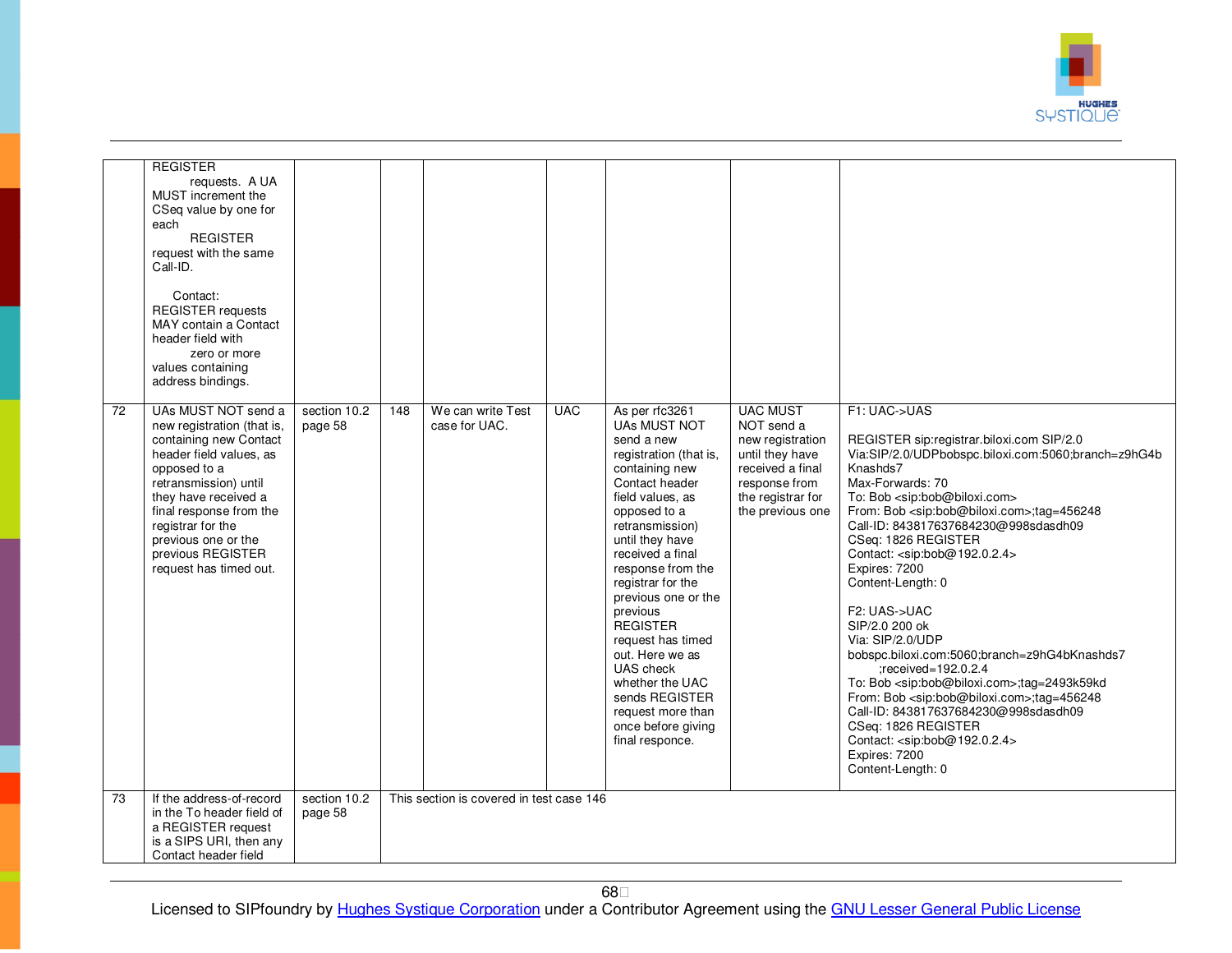

|    | <b>REGISTER</b><br>requests. A UA<br>MUST increment the<br>CSeq value by one for<br>each<br><b>REGISTER</b><br>request with the same<br>Call-ID.<br>Contact:<br><b>REGISTER</b> requests<br>MAY contain a Contact<br>header field with<br>zero or more<br>values containing<br>address bindings. |                         |     |                                          |            |                                                                                                                                                                                                                                                                                                                                                                                                                                                                         |                                                                                                                                                    |                                                                                                                                                                                                                                                                                                                                                                                                                                                                                                                                                                                                                                                                                                                                                                                                                                                                                  |
|----|--------------------------------------------------------------------------------------------------------------------------------------------------------------------------------------------------------------------------------------------------------------------------------------------------|-------------------------|-----|------------------------------------------|------------|-------------------------------------------------------------------------------------------------------------------------------------------------------------------------------------------------------------------------------------------------------------------------------------------------------------------------------------------------------------------------------------------------------------------------------------------------------------------------|----------------------------------------------------------------------------------------------------------------------------------------------------|----------------------------------------------------------------------------------------------------------------------------------------------------------------------------------------------------------------------------------------------------------------------------------------------------------------------------------------------------------------------------------------------------------------------------------------------------------------------------------------------------------------------------------------------------------------------------------------------------------------------------------------------------------------------------------------------------------------------------------------------------------------------------------------------------------------------------------------------------------------------------------|
| 72 | UAs MUST NOT send a<br>new registration (that is,<br>containing new Contact<br>header field values, as<br>opposed to a<br>retransmission) until<br>they have received a<br>final response from the<br>registrar for the<br>previous one or the<br>previous REGISTER<br>request has timed out.    | section 10.2<br>page 58 | 148 | We can write Test<br>case for UAC.       | <b>UAC</b> | As per rfc3261<br><b>UAs MUST NOT</b><br>send a new<br>registration (that is,<br>containing new<br>Contact header<br>field values, as<br>opposed to a<br>retransmission)<br>until they have<br>received a final<br>response from the<br>registrar for the<br>previous one or the<br>previous<br><b>REGISTER</b><br>request has timed<br>out. Here we as<br>UAS check<br>whether the UAC<br>sends REGISTER<br>request more than<br>once before giving<br>final responce. | <b>UAC MUST</b><br>NOT send a<br>new registration<br>until they have<br>received a final<br>response from<br>the registrar for<br>the previous one | F1: UAC->UAS<br>REGISTER sip:registrar.biloxi.com SIP/2.0<br>Via:SIP/2.0/UDPbobspc.biloxi.com:5060;branch=z9hG4b<br>Knashds7<br>Max-Forwards: 70<br>To: Bob <sip:bob@biloxi.com><br/>From: Bob <sip:bob@biloxi.com>;tag=456248<br/>Call-ID: 843817637684230@998sdasdh09<br/>CSeq: 1826 REGISTER<br/>Contact: <sip:bob@192.0.2.4><br/>Expires: 7200<br/>Content-Length: 0<br/>F2: UAS-&gt;UAC<br/>SIP/2.0 200 ok<br/>Via: SIP/2.0/UDP<br/>bobspc.biloxi.com:5060;branch=z9hG4bKnashds7<br/>:received=192.0.2.4<br/>To: Bob <sip:bob@biloxi.com>;tag=2493k59kd<br/>From: Bob <sip:bob@biloxi.com>;tag=456248<br/>Call-ID: 843817637684230@998sdasdh09<br/>CSeq: 1826 REGISTER<br/>Contact: <sip:bob@192.0.2.4><br/>Expires: 7200<br/>Content-Length: 0</sip:bob@192.0.2.4></sip:bob@biloxi.com></sip:bob@biloxi.com></sip:bob@192.0.2.4></sip:bob@biloxi.com></sip:bob@biloxi.com> |
| 73 | If the address-of-record<br>in the To header field of<br>a REGISTER request<br>is a SIPS URI, then any<br>Contact header field                                                                                                                                                                   | section 10.2<br>page 58 |     | This section is covered in test case 146 |            |                                                                                                                                                                                                                                                                                                                                                                                                                                                                         |                                                                                                                                                    |                                                                                                                                                                                                                                                                                                                                                                                                                                                                                                                                                                                                                                                                                                                                                                                                                                                                                  |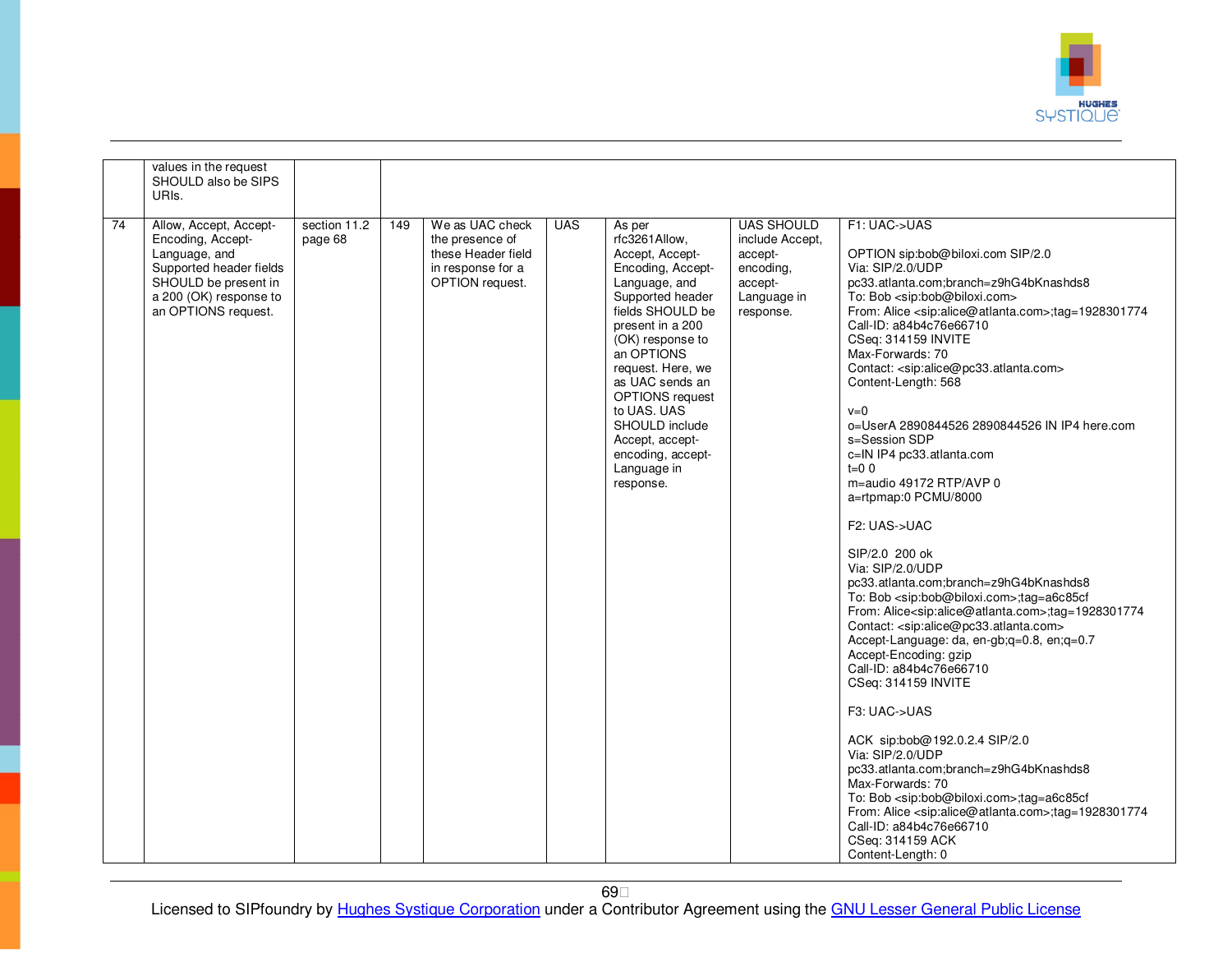

|    | values in the request<br>SHOULD also be SIPS<br>URIs.                                                                                                            |                         |     |                                                                                                  |            |                                                                                                                                                                                                                                                                                                                                                       |                                                                                                     |                                                                                                                                                                                                                                                                                                                                                                                                                                                                                                                                                                                                                                                                                                                                                                                                                                                                                                                                                                                                                                                                                                                                                                                                                                                                                                                                                                                                                                                              |
|----|------------------------------------------------------------------------------------------------------------------------------------------------------------------|-------------------------|-----|--------------------------------------------------------------------------------------------------|------------|-------------------------------------------------------------------------------------------------------------------------------------------------------------------------------------------------------------------------------------------------------------------------------------------------------------------------------------------------------|-----------------------------------------------------------------------------------------------------|--------------------------------------------------------------------------------------------------------------------------------------------------------------------------------------------------------------------------------------------------------------------------------------------------------------------------------------------------------------------------------------------------------------------------------------------------------------------------------------------------------------------------------------------------------------------------------------------------------------------------------------------------------------------------------------------------------------------------------------------------------------------------------------------------------------------------------------------------------------------------------------------------------------------------------------------------------------------------------------------------------------------------------------------------------------------------------------------------------------------------------------------------------------------------------------------------------------------------------------------------------------------------------------------------------------------------------------------------------------------------------------------------------------------------------------------------------------|
| 74 | Allow, Accept, Accept-<br>Encoding, Accept-<br>Language, and<br>Supported header fields<br>SHOULD be present in<br>a 200 (OK) response to<br>an OPTIONS request. | section 11.2<br>page 68 | 149 | We as UAC check<br>the presence of<br>these Header field<br>in response for a<br>OPTION request. | <b>UAS</b> | As per<br>rfc3261Allow.<br>Accept, Accept-<br>Encoding, Accept-<br>Language, and<br>Supported header<br>fields SHOULD be<br>present in a 200<br>(OK) response to<br>an OPTIONS<br>request. Here, we<br>as UAC sends an<br><b>OPTIONS</b> request<br>to UAS. UAS<br>SHOULD include<br>Accept, accept-<br>encoding, accept-<br>Language in<br>response. | <b>UAS SHOULD</b><br>include Accept.<br>accept-<br>encoding,<br>accept-<br>Language in<br>response. | F1: UAC->UAS<br>OPTION sip:bob@biloxi.com SIP/2.0<br>Via: SIP/2.0/UDP<br>pc33.atlanta.com;branch=z9hG4bKnashds8<br>To: Bob <sip:bob@biloxi.com><br/>From: Alice <sip:alice@atlanta.com>;tag=1928301774<br/>Call-ID: a84b4c76e66710<br/>CSeq: 314159 INVITE<br/>Max-Forwards: 70<br/>Contact: <sip:alice@pc33.atlanta.com><br/>Content-Length: 568<br/><math>v=0</math><br/>o=UserA 2890844526 2890844526 IN IP4 here.com<br/>s=Session SDP<br/>c=IN IP4 pc33.atlanta.com<br/><math>t=0</math> 0<br/>m=audio 49172 RTP/AVP 0<br/>a=rtpmap:0 PCMU/8000<br/>F2: UAS-&gt;UAC<br/>SIP/2.0 200 ok<br/>Via: SIP/2.0/UDP<br/>pc33.atlanta.com;branch=z9hG4bKnashds8<br/>To: Bob <sip:bob@biloxi.com>;tag=a6c85cf<br/>From: Alice<sip:alice@atlanta.com>;tag=1928301774<br/>Contact: <sip:alice@pc33.atlanta.com><br/>Accept-Language: da, en-gb;q=0.8, en;q=0.7<br/>Accept-Encoding: gzip<br/>Call-ID: a84b4c76e66710<br/>CSeq: 314159 INVITE<br/>F3: UAC-&gt;UAS<br/>ACK sip:bob@192.0.2.4 SIP/2.0<br/>Via: SIP/2.0/UDP<br/>pc33.atlanta.com;branch=z9hG4bKnashds8<br/>Max-Forwards: 70<br/>To: Bob <sip:bob@biloxi.com>;tag=a6c85cf<br/>From: Alice <sip:alice@atlanta.com>;tag=1928301774<br/>Call-ID: a84b4c76e66710<br/>CSeq: 314159 ACK<br/>Content-Length: 0</sip:alice@atlanta.com></sip:bob@biloxi.com></sip:alice@pc33.atlanta.com></sip:alice@atlanta.com></sip:bob@biloxi.com></sip:alice@pc33.atlanta.com></sip:alice@atlanta.com></sip:bob@biloxi.com> |

69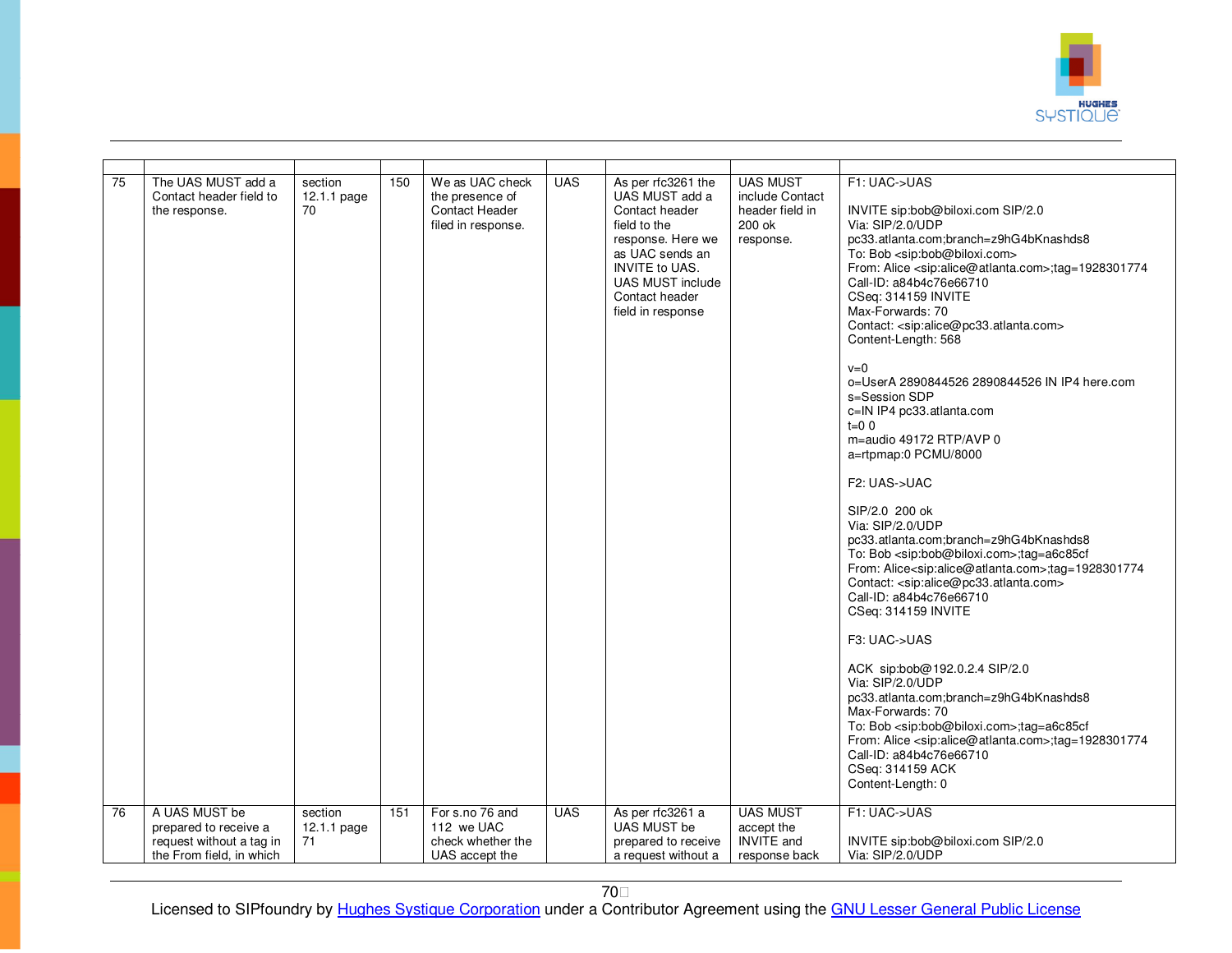

| $\overline{75}$ | The UAS MUST add a<br>Contact header field to<br>the response.                                 | section<br>$12.1.1$ page<br>70 | 150 | We as UAC check<br>the presence of<br>Contact Header<br>filed in response. | <b>UAS</b> | As per rfc3261 the<br>UAS MUST add a<br>Contact header<br>field to the<br>response. Here we<br>as UAC sends an<br><b>INVITE to UAS.</b><br><b>UAS MUST include</b><br>Contact header<br>field in response | <b>UAS MUST</b><br>include Contact<br>header field in<br>200 ok<br>response. | F1: UAC->UAS<br>INVITE sip:bob@biloxi.com SIP/2.0<br>Via: SIP/2.0/UDP<br>pc33.atlanta.com;branch=z9hG4bKnashds8<br>To: Bob <sip:bob@biloxi.com><br/>From: Alice <sip:alice@atlanta.com>;tag=1928301774<br/>Call-ID: a84b4c76e66710<br/>CSeq: 314159 INVITE<br/>Max-Forwards: 70<br/>Contact: <sip:alice@pc33.atlanta.com><br/>Content-Length: 568<br/><math>v=0</math><br/>o=UserA 2890844526 2890844526 IN IP4 here.com<br/>s=Session SDP<br/>c=IN IP4 pc33.atlanta.com<br/><math>t=0</math> 0<br/>m=audio 49172 RTP/AVP 0<br/>a=rtpmap:0 PCMU/8000<br/>F2: UAS-&gt;UAC<br/>SIP/2.0 200 ok<br/>Via: SIP/2.0/UDP<br/>pc33.atlanta.com;branch=z9hG4bKnashds8<br/>To: Bob <sip:bob@biloxi.com>;tag=a6c85cf<br/>From: Alice<sip:alice@atlanta.com>;tag=1928301774<br/>Contact: <sip:alice@pc33.atlanta.com><br/>Call-ID: a84b4c76e66710<br/>CSeq: 314159 INVITE<br/>F3: UAC-&gt;UAS<br/>ACK sip:bob@192.0.2.4 SIP/2.0<br/>Via: SIP/2.0/UDP<br/>pc33.atlanta.com;branch=z9hG4bKnashds8<br/>Max-Forwards: 70<br/>To: Bob <sip:bob@biloxi.com>;tag=a6c85cf<br/>From: Alice <sip:alice@atlanta.com>;tag=1928301774<br/>Call-ID: a84b4c76e66710<br/>CSeq: 314159 ACK<br/>Content-Length: 0</sip:alice@atlanta.com></sip:bob@biloxi.com></sip:alice@pc33.atlanta.com></sip:alice@atlanta.com></sip:bob@biloxi.com></sip:alice@pc33.atlanta.com></sip:alice@atlanta.com></sip:bob@biloxi.com> |
|-----------------|------------------------------------------------------------------------------------------------|--------------------------------|-----|----------------------------------------------------------------------------|------------|-----------------------------------------------------------------------------------------------------------------------------------------------------------------------------------------------------------|------------------------------------------------------------------------------|-------------------------------------------------------------------------------------------------------------------------------------------------------------------------------------------------------------------------------------------------------------------------------------------------------------------------------------------------------------------------------------------------------------------------------------------------------------------------------------------------------------------------------------------------------------------------------------------------------------------------------------------------------------------------------------------------------------------------------------------------------------------------------------------------------------------------------------------------------------------------------------------------------------------------------------------------------------------------------------------------------------------------------------------------------------------------------------------------------------------------------------------------------------------------------------------------------------------------------------------------------------------------------------------------------------------------------------------------------------------------------------|
| 76              | A UAS MUST be<br>prepared to receive a<br>request without a tag in<br>the From field, in which | section<br>$12.1.1$ page<br>71 | 151 | For s.no 76 and<br>112 we UAC<br>check whether the<br>UAS accept the       | <b>UAS</b> | As per rfc3261 a<br>UAS MUST be<br>prepared to receive<br>a request without a                                                                                                                             | <b>UAS MUST</b><br>accept the<br><b>INVITE</b> and<br>response back          | F1: UAC->UAS<br>INVITE sip:bob@biloxi.com SIP/2.0<br>Via: SIP/2.0/UDP                                                                                                                                                                                                                                                                                                                                                                                                                                                                                                                                                                                                                                                                                                                                                                                                                                                                                                                                                                                                                                                                                                                                                                                                                                                                                                               |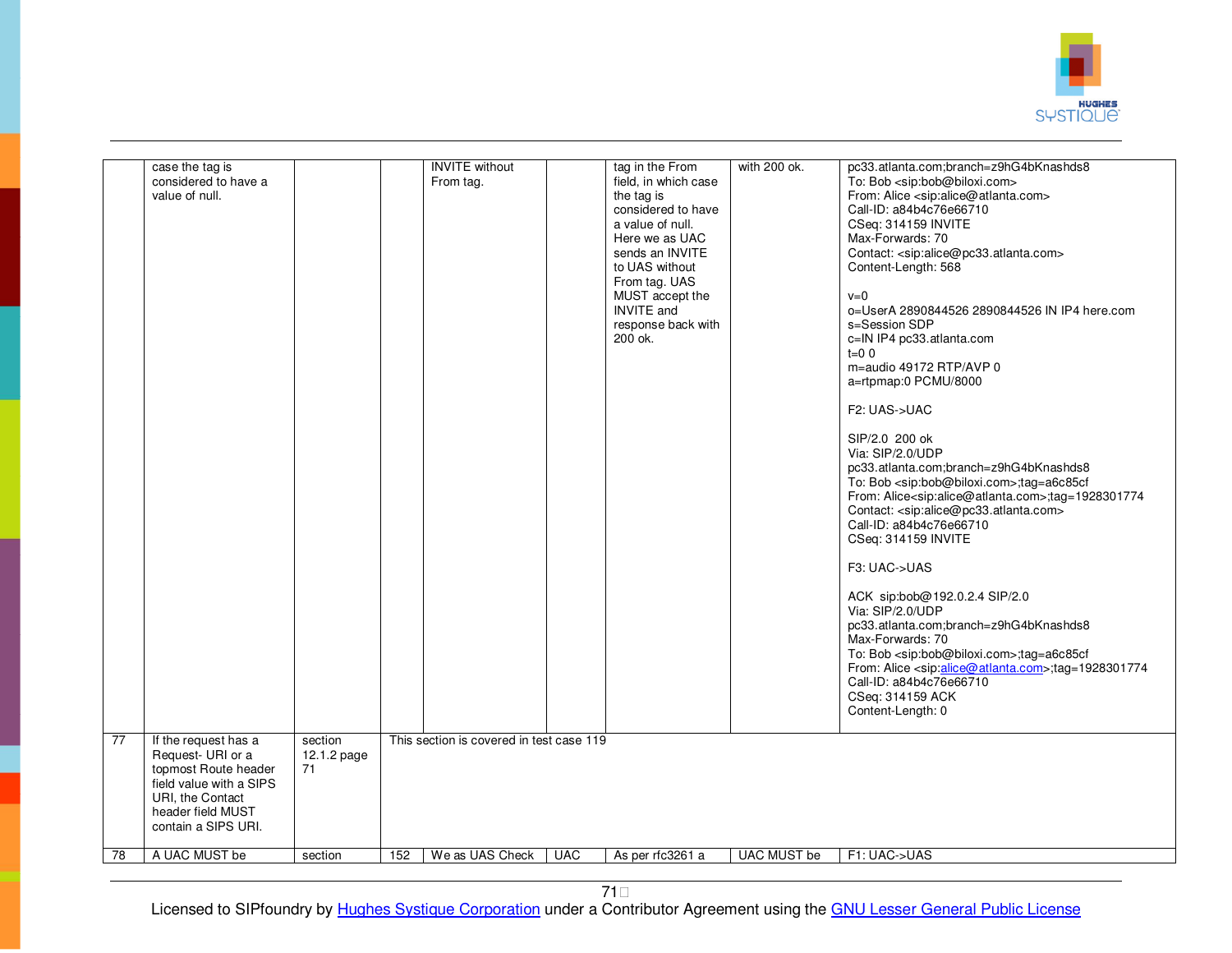

|                 | case the tag is<br>considered to have a<br>value of null.                                                                                                    |                              |     | <b>INVITE</b> without<br>From tag.       |            | tag in the From<br>field, in which case<br>the tag is<br>considered to have<br>a value of null.<br>Here we as UAC<br>sends an INVITE<br>to UAS without<br>From tag. UAS<br>MUST accept the<br><b>INVITE</b> and<br>response back with<br>200 ok. | with 200 ok. | pc33.atlanta.com;branch=z9hG4bKnashds8<br>To: Bob <sip:bob@biloxi.com><br/>From: Alice <sip:alice@atlanta.com><br/>Call-ID: a84b4c76e66710<br/>CSeq: 314159 INVITE<br/>Max-Forwards: 70<br/>Contact: <sip:alice@pc33.atlanta.com><br/>Content-Length: 568<br/><math>v=0</math><br/>o=UserA 2890844526 2890844526 IN IP4 here.com<br/>s=Session SDP<br/>c=IN IP4 pc33.atlanta.com<br/><math>t=0</math> 0<br/>m=audio 49172 RTP/AVP 0<br/>a=rtpmap:0 PCMU/8000<br/>F2: UAS-&gt;UAC<br/>SIP/2.0 200 ok<br/>Via: SIP/2.0/UDP<br/>pc33.atlanta.com;branch=z9hG4bKnashds8<br/>To: Bob <sip:bob@biloxi.com>;tag=a6c85cf<br/>From: Alice<sip:alice@atlanta.com>;tag=1928301774<br/>Contact: <sip:alice@pc33.atlanta.com><br/>Call-ID: a84b4c76e66710<br/>CSeq: 314159 INVITE<br/>F3: UAC-&gt;UAS<br/>ACK sip:bob@192.0.2.4 SIP/2.0<br/>Via: SIP/2.0/UDP<br/>pc33.atlanta.com;branch=z9hG4bKnashds8<br/>Max-Forwards: 70<br/>To: Bob <sip:bob@biloxi.com>;tag=a6c85cf<br/>From: Alice <sip:alice@atlanta.com>;tag=1928301774<br/>Call-ID: a84b4c76e66710<br/>CSeq: 314159 ACK<br/>Content-Length: 0</sip:alice@atlanta.com></sip:bob@biloxi.com></sip:alice@pc33.atlanta.com></sip:alice@atlanta.com></sip:bob@biloxi.com></sip:alice@pc33.atlanta.com></sip:alice@atlanta.com></sip:bob@biloxi.com> |
|-----------------|--------------------------------------------------------------------------------------------------------------------------------------------------------------|------------------------------|-----|------------------------------------------|------------|--------------------------------------------------------------------------------------------------------------------------------------------------------------------------------------------------------------------------------------------------|--------------|---------------------------------------------------------------------------------------------------------------------------------------------------------------------------------------------------------------------------------------------------------------------------------------------------------------------------------------------------------------------------------------------------------------------------------------------------------------------------------------------------------------------------------------------------------------------------------------------------------------------------------------------------------------------------------------------------------------------------------------------------------------------------------------------------------------------------------------------------------------------------------------------------------------------------------------------------------------------------------------------------------------------------------------------------------------------------------------------------------------------------------------------------------------------------------------------------------------------------------------------------------------------------------------------|
| $\overline{77}$ | If the request has a<br>Request- URI or a<br>topmost Route header<br>field value with a SIPS<br>URI, the Contact<br>header field MUST<br>contain a SIPS URI. | section<br>12.1.2 page<br>71 |     | This section is covered in test case 119 |            |                                                                                                                                                                                                                                                  |              |                                                                                                                                                                                                                                                                                                                                                                                                                                                                                                                                                                                                                                                                                                                                                                                                                                                                                                                                                                                                                                                                                                                                                                                                                                                                                             |
| 78              | A UAC MUST be                                                                                                                                                | section                      | 152 | We as UAS Check                          | <b>UAC</b> | As per rfc3261 a                                                                                                                                                                                                                                 | UAC MUST be  | F1: UAC->UAS                                                                                                                                                                                                                                                                                                                                                                                                                                                                                                                                                                                                                                                                                                                                                                                                                                                                                                                                                                                                                                                                                                                                                                                                                                                                                |
|                 |                                                                                                                                                              |                              |     |                                          |            |                                                                                                                                                                                                                                                  |              |                                                                                                                                                                                                                                                                                                                                                                                                                                                                                                                                                                                                                                                                                                                                                                                                                                                                                                                                                                                                                                                                                                                                                                                                                                                                                             |

71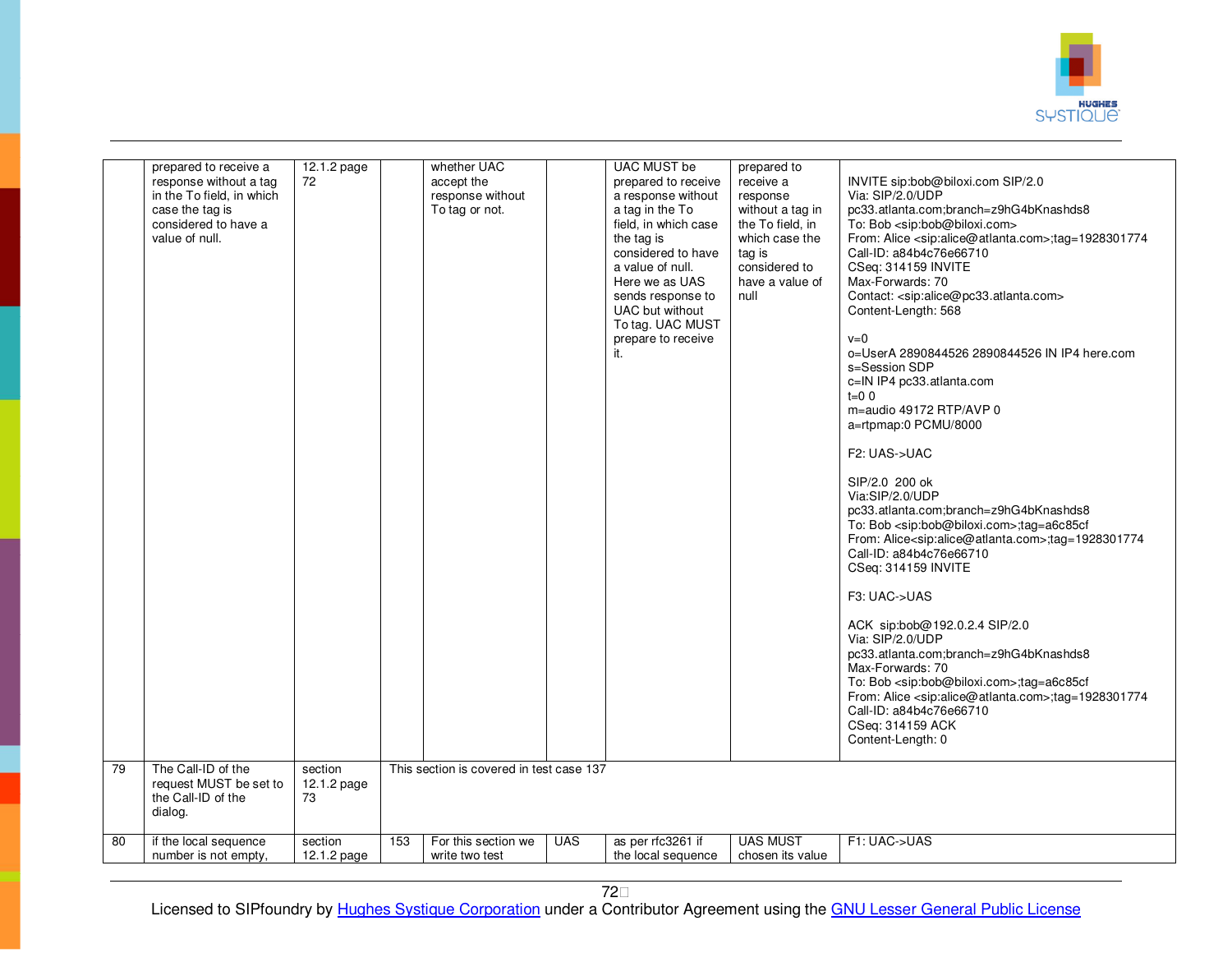

|    | prepared to receive a<br>response without a tag<br>in the To field, in which<br>case the tag is<br>considered to have a<br>value of null. | 12.1.2 page<br>72            |     | whether UAC<br>accept the<br>response without<br>To tag or not. |            | <b>UAC MUST be</b><br>prepared to receive<br>a response without<br>a tag in the To<br>field, in which case<br>the tag is<br>considered to have<br>a value of null.<br>Here we as UAS<br>sends response to<br>UAC but without<br>To tag. UAC MUST<br>prepare to receive<br>it. | prepared to<br>receive a<br>response<br>without a tag in<br>the To field, in<br>which case the<br>tag is<br>considered to<br>have a value of<br>null | INVITE sip:bob@biloxi.com SIP/2.0<br>Via: SIP/2.0/UDP<br>pc33.atlanta.com;branch=z9hG4bKnashds8<br>To: Bob <sip:bob@biloxi.com><br/>From: Alice <sip:alice@atlanta.com>;tag=1928301774<br/>Call-ID: a84b4c76e66710<br/>CSeq: 314159 INVITE<br/>Max-Forwards: 70<br/>Contact: <sip:alice@pc33.atlanta.com><br/>Content-Length: 568<br/><math>v=0</math><br/>o=UserA 2890844526 2890844526 IN IP4 here.com<br/>s=Session SDP<br/>c=IN IP4 pc33.atlanta.com<br/><math>t=0</math> 0<br/>m=audio 49172 RTP/AVP 0<br/>a=rtpmap:0 PCMU/8000<br/>F2: UAS-&gt;UAC<br/>SIP/2.0 200 ok<br/>Via:SIP/2.0/UDP<br/>pc33.atlanta.com;branch=z9hG4bKnashds8<br/>To: Bob <sip:bob@biloxi.com>;tag=a6c85cf<br/>From: Alice<sip:alice@atlanta.com>;tag=1928301774<br/>Call-ID: a84b4c76e66710<br/>CSeq: 314159 INVITE<br/>F3: UAC-&gt;UAS<br/>ACK sip:bob@192.0.2.4 SIP/2.0<br/>Via: SIP/2.0/UDP<br/>pc33.atlanta.com;branch=z9hG4bKnashds8<br/>Max-Forwards: 70<br/>To: Bob <sip:bob@biloxi.com>;tag=a6c85cf<br/>From: Alice <sip:alice@atlanta.com>;tag=1928301774<br/>Call-ID: a84b4c76e66710<br/>CSeq: 314159 ACK<br/>Content-Length: 0</sip:alice@atlanta.com></sip:bob@biloxi.com></sip:alice@atlanta.com></sip:bob@biloxi.com></sip:alice@pc33.atlanta.com></sip:alice@atlanta.com></sip:bob@biloxi.com> |
|----|-------------------------------------------------------------------------------------------------------------------------------------------|------------------------------|-----|-----------------------------------------------------------------|------------|-------------------------------------------------------------------------------------------------------------------------------------------------------------------------------------------------------------------------------------------------------------------------------|------------------------------------------------------------------------------------------------------------------------------------------------------|---------------------------------------------------------------------------------------------------------------------------------------------------------------------------------------------------------------------------------------------------------------------------------------------------------------------------------------------------------------------------------------------------------------------------------------------------------------------------------------------------------------------------------------------------------------------------------------------------------------------------------------------------------------------------------------------------------------------------------------------------------------------------------------------------------------------------------------------------------------------------------------------------------------------------------------------------------------------------------------------------------------------------------------------------------------------------------------------------------------------------------------------------------------------------------------------------------------------------------------------------------------------------------------------|
| 79 | The Call-ID of the<br>request MUST be set to<br>the Call-ID of the<br>dialog.                                                             | section<br>12.1.2 page<br>73 |     | This section is covered in test case 137                        |            |                                                                                                                                                                                                                                                                               |                                                                                                                                                      |                                                                                                                                                                                                                                                                                                                                                                                                                                                                                                                                                                                                                                                                                                                                                                                                                                                                                                                                                                                                                                                                                                                                                                                                                                                                                             |
| 80 | if the local sequence<br>number is not empty,                                                                                             | section<br>12.1.2 page       | 153 | For this section we<br>write two test                           | <b>UAS</b> | as per rfc3261 if<br>the local sequence                                                                                                                                                                                                                                       | <b>UAS MUST</b><br>chosen its value                                                                                                                  | F1: UAC->UAS                                                                                                                                                                                                                                                                                                                                                                                                                                                                                                                                                                                                                                                                                                                                                                                                                                                                                                                                                                                                                                                                                                                                                                                                                                                                                |
|    |                                                                                                                                           |                              |     |                                                                 |            |                                                                                                                                                                                                                                                                               |                                                                                                                                                      |                                                                                                                                                                                                                                                                                                                                                                                                                                                                                                                                                                                                                                                                                                                                                                                                                                                                                                                                                                                                                                                                                                                                                                                                                                                                                             |

72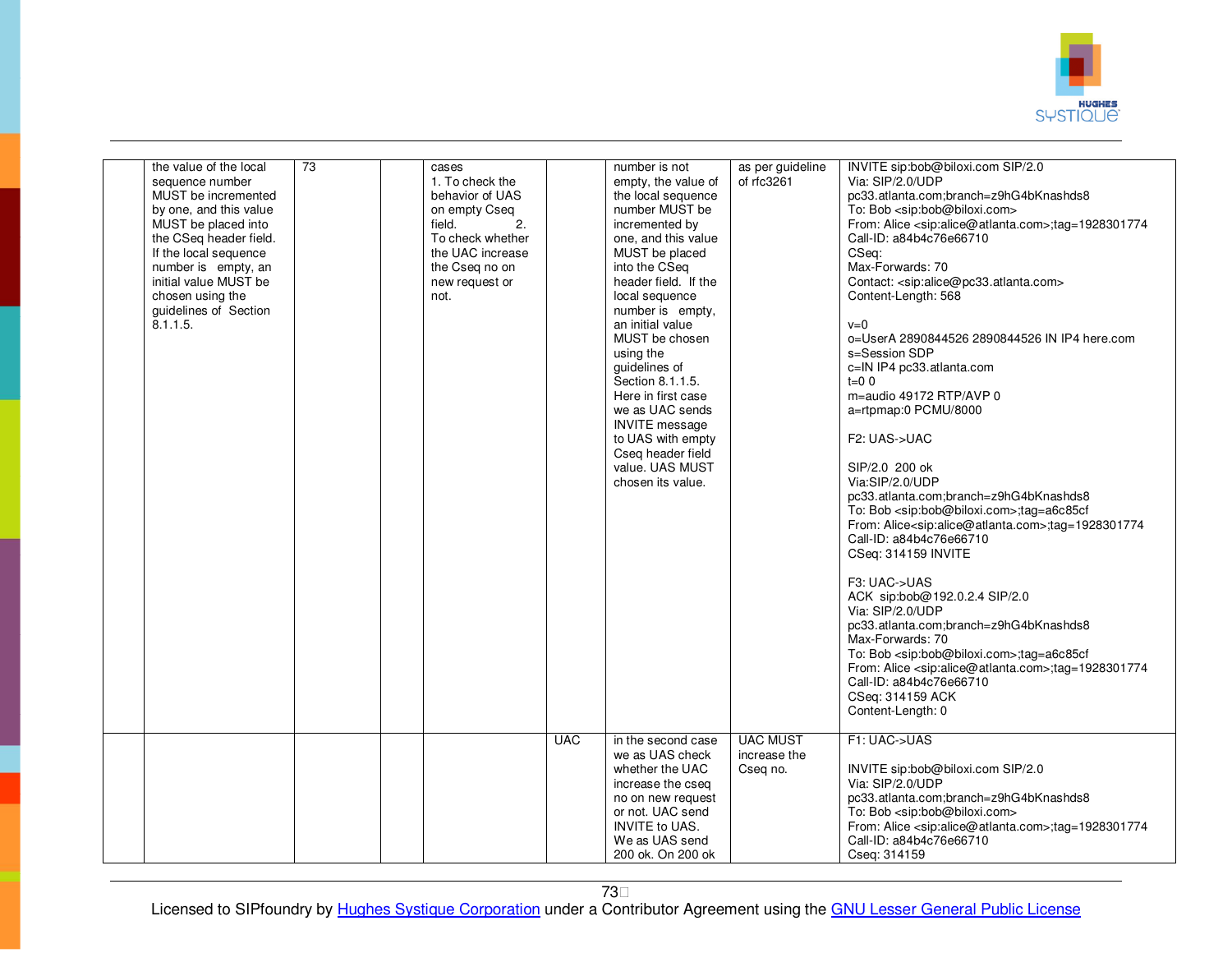

| the value of the local<br>sequence number<br>MUST be incremented<br>by one, and this value<br>MUST be placed into<br>the CSeq header field.<br>If the local sequence<br>number is empty, an<br>initial value MUST be<br>chosen using the<br>quidelines of Section<br>8.1.1.5. | 73 | cases<br>1. To check the<br>behavior of UAS<br>on empty Cseq<br>2.<br>field.<br>To check whether<br>the UAC increase<br>the Cseq no on<br>new request or<br>not. |            | number is not<br>empty, the value of<br>the local sequence<br>number MUST be<br>incremented by<br>one, and this value<br>MUST be placed<br>into the CSeq<br>header field. If the<br>local sequence<br>number is empty,<br>an initial value<br>MUST be chosen<br>using the<br>guidelines of<br>Section 8.1.1.5.<br>Here in first case<br>we as UAC sends<br><b>INVITE</b> message<br>to UAS with empty<br>Cseg header field<br>value. UAS MUST<br>chosen its value. | as per guideline<br>of rfc3261              | INVITE sip:bob@biloxi.com SIP/2.0<br>Via: SIP/2.0/UDP<br>pc33.atlanta.com;branch=z9hG4bKnashds8<br>To: Bob <sip:bob@biloxi.com><br/>From: Alice <sip:alice@atlanta.com>;tag=1928301774<br/>Call-ID: a84b4c76e66710<br/>CSeq:<br/>Max-Forwards: 70<br/>Contact: <sip:alice@pc33.atlanta.com><br/>Content-Length: 568<br/><math>v=0</math><br/>o=UserA 2890844526 2890844526 IN IP4 here.com<br/>s=Session SDP<br/>c=IN IP4 pc33.atlanta.com<br/><math>t = 0</math> 0<br/>m=audio 49172 RTP/AVP 0<br/>a=rtpmap:0 PCMU/8000<br/>F2: UAS-&gt;UAC<br/>SIP/2.0 200 ok<br/>Via:SIP/2.0/UDP<br/>pc33.atlanta.com;branch=z9hG4bKnashds8<br/>To: Bob <sip:bob@biloxi.com>;tag=a6c85cf<br/>From: Alice<sip:alice@atlanta.com>;tag=1928301774<br/>Call-ID: a84b4c76e66710<br/>CSeq: 314159 INVITE<br/>F3: UAC-&gt;UAS<br/>ACK sip:bob@192.0.2.4 SIP/2.0<br/>Via: SIP/2.0/UDP<br/>pc33.atlanta.com;branch=z9hG4bKnashds8<br/>Max-Forwards: 70<br/>To: Bob <sip:bob@biloxi.com>;tag=a6c85cf<br/>From: Alice <sip:alice@atlanta.com>;tag=1928301774<br/>Call-ID: a84b4c76e66710<br/>CSeq: 314159 ACK<br/>Content-Length: 0</sip:alice@atlanta.com></sip:bob@biloxi.com></sip:alice@atlanta.com></sip:bob@biloxi.com></sip:alice@pc33.atlanta.com></sip:alice@atlanta.com></sip:bob@biloxi.com> |
|-------------------------------------------------------------------------------------------------------------------------------------------------------------------------------------------------------------------------------------------------------------------------------|----|------------------------------------------------------------------------------------------------------------------------------------------------------------------|------------|--------------------------------------------------------------------------------------------------------------------------------------------------------------------------------------------------------------------------------------------------------------------------------------------------------------------------------------------------------------------------------------------------------------------------------------------------------------------|---------------------------------------------|---------------------------------------------------------------------------------------------------------------------------------------------------------------------------------------------------------------------------------------------------------------------------------------------------------------------------------------------------------------------------------------------------------------------------------------------------------------------------------------------------------------------------------------------------------------------------------------------------------------------------------------------------------------------------------------------------------------------------------------------------------------------------------------------------------------------------------------------------------------------------------------------------------------------------------------------------------------------------------------------------------------------------------------------------------------------------------------------------------------------------------------------------------------------------------------------------------------------------------------------------------------------------------|
|                                                                                                                                                                                                                                                                               |    |                                                                                                                                                                  | <b>UAC</b> | in the second case<br>we as UAS check<br>whether the UAC<br>increase the cseq<br>no on new request<br>or not. UAC send<br><b>INVITE to UAS.</b><br>We as UAS send<br>200 ok. On 200 ok                                                                                                                                                                                                                                                                             | <b>UAC MUST</b><br>increase the<br>Cseq no. | F1: UAC->UAS<br>INVITE sip:bob@biloxi.com SIP/2.0<br>Via: SIP/2.0/UDP<br>pc33.atlanta.com;branch=z9hG4bKnashds8<br>To: Bob <sip:bob@biloxi.com><br/>From: Alice <sip:alice@atlanta.com>;tag=1928301774<br/>Call-ID: a84b4c76e66710<br/>Cseq: 314159</sip:alice@atlanta.com></sip:bob@biloxi.com>                                                                                                                                                                                                                                                                                                                                                                                                                                                                                                                                                                                                                                                                                                                                                                                                                                                                                                                                                                                |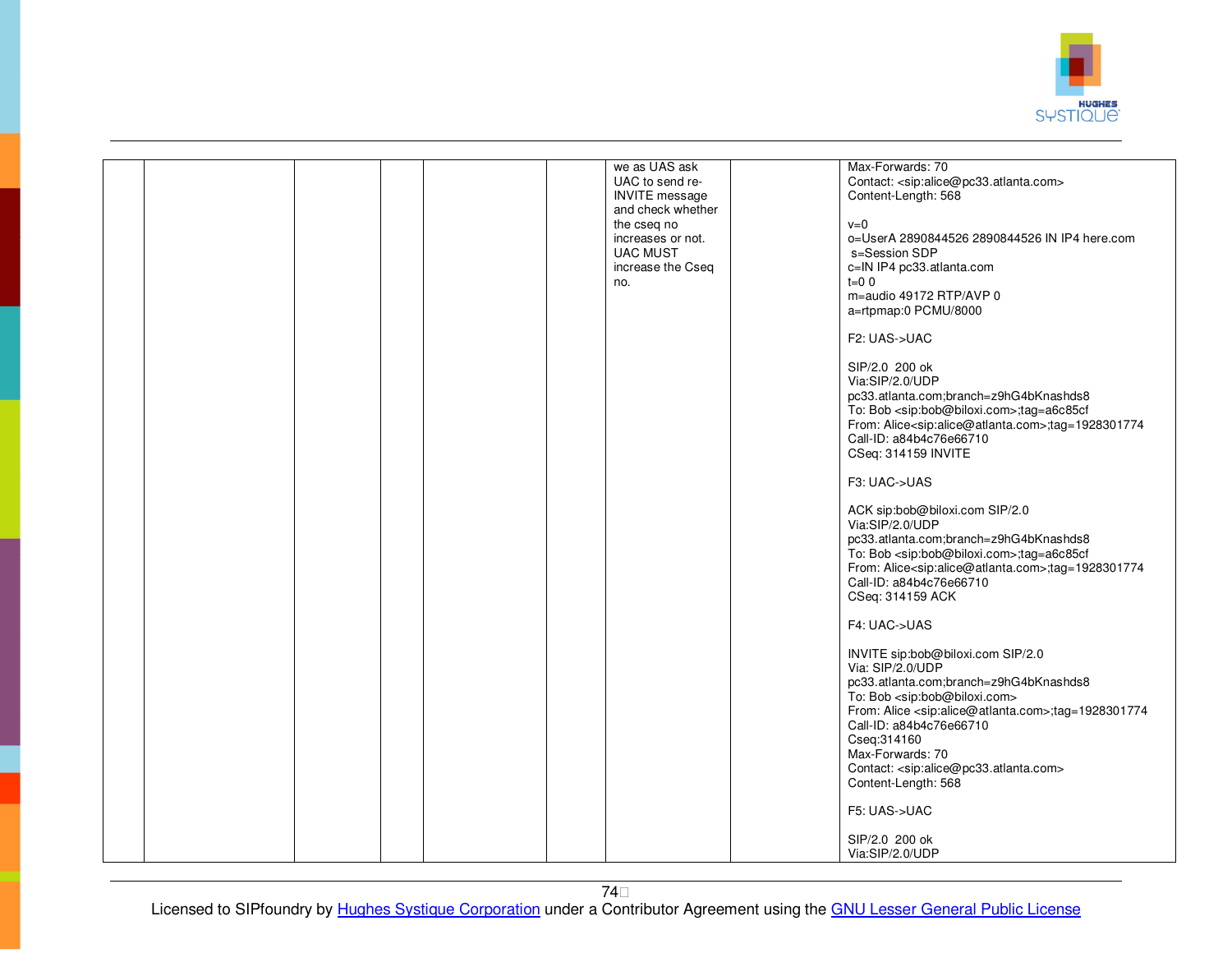

|  |  |  | we as UAS ask         | Max-Forwards: 70                                                           |
|--|--|--|-----------------------|----------------------------------------------------------------------------|
|  |  |  | UAC to send re-       | Contact: <sip:alice@pc33.atlanta.com></sip:alice@pc33.atlanta.com>         |
|  |  |  | <b>INVITE</b> message | Content-Length: 568                                                        |
|  |  |  | and check whether     |                                                                            |
|  |  |  |                       |                                                                            |
|  |  |  | the cseq no           | $v=0$                                                                      |
|  |  |  | increases or not.     | o=UserA 2890844526 2890844526 IN IP4 here.com                              |
|  |  |  | <b>UAC MUST</b>       | s=Session SDP                                                              |
|  |  |  | increase the Cseq     | c=IN IP4 pc33.atlanta.com                                                  |
|  |  |  | no.                   | $t=0.0$                                                                    |
|  |  |  |                       | m=audio 49172 RTP/AVP 0                                                    |
|  |  |  |                       |                                                                            |
|  |  |  |                       | a=rtpmap:0 PCMU/8000                                                       |
|  |  |  |                       |                                                                            |
|  |  |  |                       | F2: UAS->UAC                                                               |
|  |  |  |                       |                                                                            |
|  |  |  |                       | SIP/2.0 200 ok                                                             |
|  |  |  |                       | Via:SIP/2.0/UDP                                                            |
|  |  |  |                       |                                                                            |
|  |  |  |                       | pc33.atlanta.com;branch=z9hG4bKnashds8                                     |
|  |  |  |                       | To: Bob <sip:bob@biloxi.com>;tag=a6c85cf</sip:bob@biloxi.com>              |
|  |  |  |                       | From: Alice <sip:alice@atlanta.com>;tag=1928301774</sip:alice@atlanta.com> |
|  |  |  |                       | Call-ID: a84b4c76e66710                                                    |
|  |  |  |                       | CSeq: 314159 INVITE                                                        |
|  |  |  |                       |                                                                            |
|  |  |  |                       | F3: UAC->UAS                                                               |
|  |  |  |                       |                                                                            |
|  |  |  |                       |                                                                            |
|  |  |  |                       | ACK sip:bob@biloxi.com SIP/2.0                                             |
|  |  |  |                       | Via:SIP/2.0/UDP                                                            |
|  |  |  |                       | pc33.atlanta.com;branch=z9hG4bKnashds8                                     |
|  |  |  |                       | To: Bob <sip:bob@biloxi.com>;tag=a6c85cf</sip:bob@biloxi.com>              |
|  |  |  |                       | From: Alice <sip:alice@atlanta.com>;tag=1928301774</sip:alice@atlanta.com> |
|  |  |  |                       | Call-ID: a84b4c76e66710                                                    |
|  |  |  |                       |                                                                            |
|  |  |  |                       | CSeq: 314159 ACK                                                           |
|  |  |  |                       |                                                                            |
|  |  |  |                       | F4: UAC->UAS                                                               |
|  |  |  |                       |                                                                            |
|  |  |  |                       | INVITE sip:bob@biloxi.com SIP/2.0                                          |
|  |  |  |                       | Via: SIP/2.0/UDP                                                           |
|  |  |  |                       | pc33.atlanta.com;branch=z9hG4bKnashds8                                     |
|  |  |  |                       |                                                                            |
|  |  |  |                       | To: Bob <sip:bob@biloxi.com></sip:bob@biloxi.com>                          |
|  |  |  |                       | From: Alice <sip:alice@atlanta.com>;tag=1928301774</sip:alice@atlanta.com> |
|  |  |  |                       | Call-ID: a84b4c76e66710                                                    |
|  |  |  |                       | Cseq: 314160                                                               |
|  |  |  |                       | Max-Forwards: 70                                                           |
|  |  |  |                       | Contact: <sip:alice@pc33.atlanta.com></sip:alice@pc33.atlanta.com>         |
|  |  |  |                       |                                                                            |
|  |  |  |                       | Content-Length: 568                                                        |
|  |  |  |                       |                                                                            |
|  |  |  |                       | F5: UAS->UAC                                                               |
|  |  |  |                       |                                                                            |
|  |  |  |                       | SIP/2.0 200 ok                                                             |
|  |  |  |                       | Via:SIP/2.0/UDP                                                            |
|  |  |  |                       |                                                                            |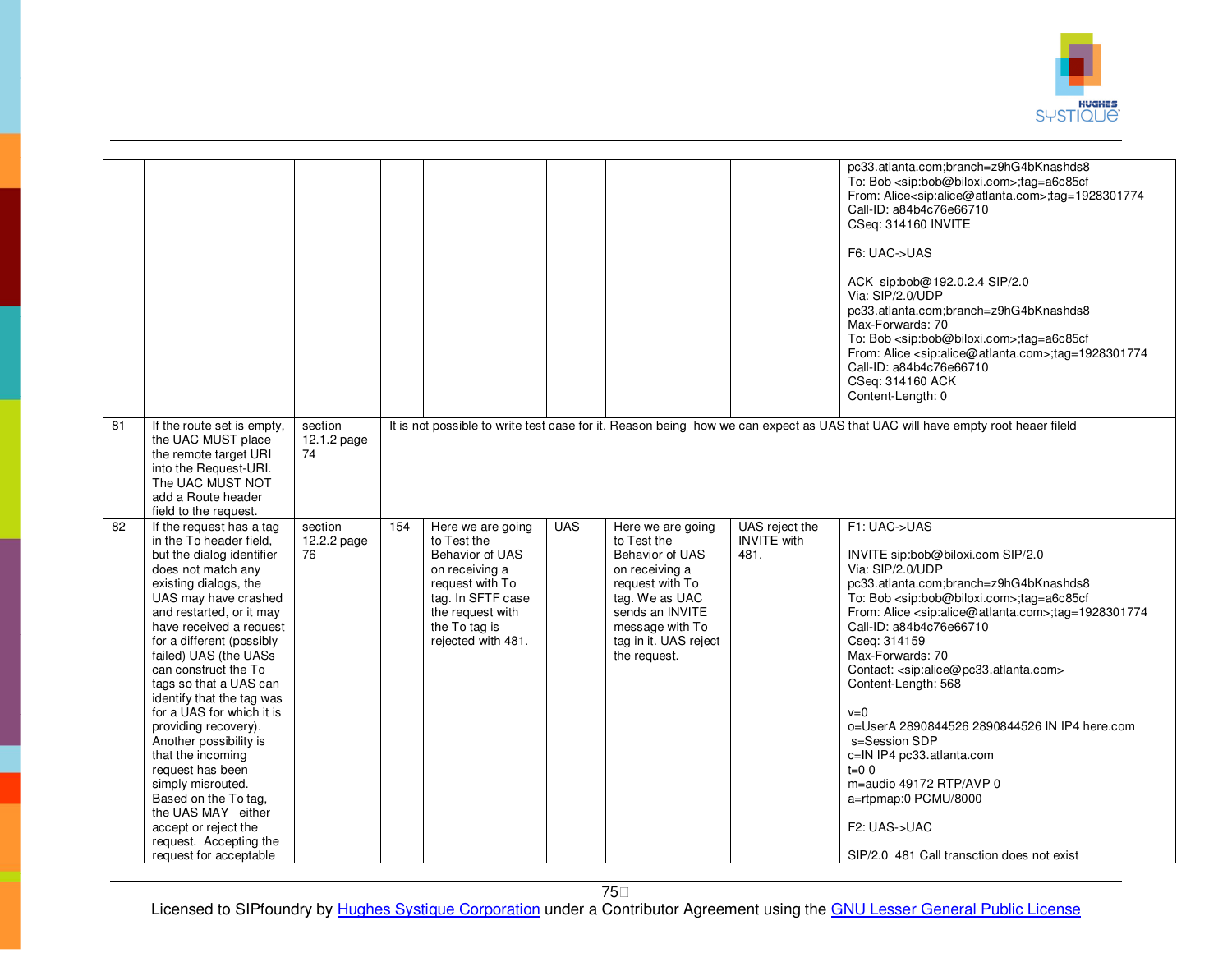

|    |                                                                                                                                                                                                                                                                                                                                                                                                                                                                                                                                                                                                  |                              |     |                                                                                                                                                                          |            |                                                                                                                                                                                                  |                                              | pc33.atlanta.com;branch=z9hG4bKnashds8<br>To: Bob <sip:bob@biloxi.com>;tag=a6c85cf<br/>From: Alice<sip:alice@atlanta.com>;tag=1928301774<br/>Call-ID: a84b4c76e66710<br/>CSeq: 314160 INVITE<br/>F6: UAC-&gt;UAS<br/>ACK sip:bob@192.0.2.4 SIP/2.0<br/>Via: SIP/2.0/UDP<br/>pc33.atlanta.com;branch=z9hG4bKnashds8<br/>Max-Forwards: 70<br/>To: Bob <sip:bob@biloxi.com>;tag=a6c85cf<br/>From: Alice <sip:alice@atlanta.com>;tag=1928301774<br/>Call-ID: a84b4c76e66710<br/>CSeq: 314160 ACK<br/>Content-Length: 0</sip:alice@atlanta.com></sip:bob@biloxi.com></sip:alice@atlanta.com></sip:bob@biloxi.com>                                            |
|----|--------------------------------------------------------------------------------------------------------------------------------------------------------------------------------------------------------------------------------------------------------------------------------------------------------------------------------------------------------------------------------------------------------------------------------------------------------------------------------------------------------------------------------------------------------------------------------------------------|------------------------------|-----|--------------------------------------------------------------------------------------------------------------------------------------------------------------------------|------------|--------------------------------------------------------------------------------------------------------------------------------------------------------------------------------------------------|----------------------------------------------|---------------------------------------------------------------------------------------------------------------------------------------------------------------------------------------------------------------------------------------------------------------------------------------------------------------------------------------------------------------------------------------------------------------------------------------------------------------------------------------------------------------------------------------------------------------------------------------------------------------------------------------------------------|
| 81 | If the route set is empty,<br>the UAC MUST place<br>the remote target URI<br>into the Request-URI.<br>The UAC MUST NOT<br>add a Route header<br>field to the request.                                                                                                                                                                                                                                                                                                                                                                                                                            | section<br>12.1.2 page<br>74 |     |                                                                                                                                                                          |            |                                                                                                                                                                                                  |                                              | It is not possible to write test case for it. Reason being how we can expect as UAS that UAC will have empty root heaer fileld                                                                                                                                                                                                                                                                                                                                                                                                                                                                                                                          |
| 82 | If the request has a tag<br>in the To header field,<br>but the dialog identifier<br>does not match any<br>existing dialogs, the<br>UAS may have crashed<br>and restarted, or it may<br>have received a request<br>for a different (possibly<br>failed) UAS (the UASs<br>can construct the To<br>tags so that a UAS can<br>identify that the tag was<br>for a UAS for which it is<br>providing recovery).<br>Another possibility is<br>that the incoming<br>request has been<br>simply misrouted.<br>Based on the To tag,<br>the UAS MAY either<br>accept or reject the<br>request. Accepting the | section<br>12.2.2 page<br>76 | 154 | Here we are going<br>to Test the<br>Behavior of UAS<br>on receiving a<br>request with To<br>tag. In SFTF case<br>the request with<br>the To tag is<br>rejected with 481. | <b>UAS</b> | Here we are going<br>to Test the<br><b>Behavior of UAS</b><br>on receiving a<br>request with To<br>tag. We as UAC<br>sends an INVITE<br>message with To<br>tag in it. UAS reject<br>the request. | UAS reject the<br><b>INVITE</b> with<br>481. | F1: UAC->UAS<br>INVITE sip:bob@biloxi.com SIP/2.0<br>Via: SIP/2.0/UDP<br>pc33.atlanta.com;branch=z9hG4bKnashds8<br>To: Bob <sip:bob@biloxi.com>;tag=a6c85cf<br/>From: Alice <sip:alice@atlanta.com>;tag=1928301774<br/>Call-ID: a84b4c76e66710<br/>Cseq: 314159<br/>Max-Forwards: 70<br/>Contact: <sip:alice@pc33.atlanta.com><br/>Content-Length: 568<br/><math>v=0</math><br/>o=UserA 2890844526 2890844526 IN IP4 here.com<br/>s=Session SDP<br/>c=IN IP4 pc33.atlanta.com<br/><math>t=0</math> 0<br/>m=audio 49172 RTP/AVP 0<br/>a=rtpmap:0 PCMU/8000<br/>F2: UAS-&gt;UAC</sip:alice@pc33.atlanta.com></sip:alice@atlanta.com></sip:bob@biloxi.com> |
|    | request for acceptable                                                                                                                                                                                                                                                                                                                                                                                                                                                                                                                                                                           |                              |     |                                                                                                                                                                          |            |                                                                                                                                                                                                  |                                              | SIP/2.0 481 Call transction does not exist                                                                                                                                                                                                                                                                                                                                                                                                                                                                                                                                                                                                              |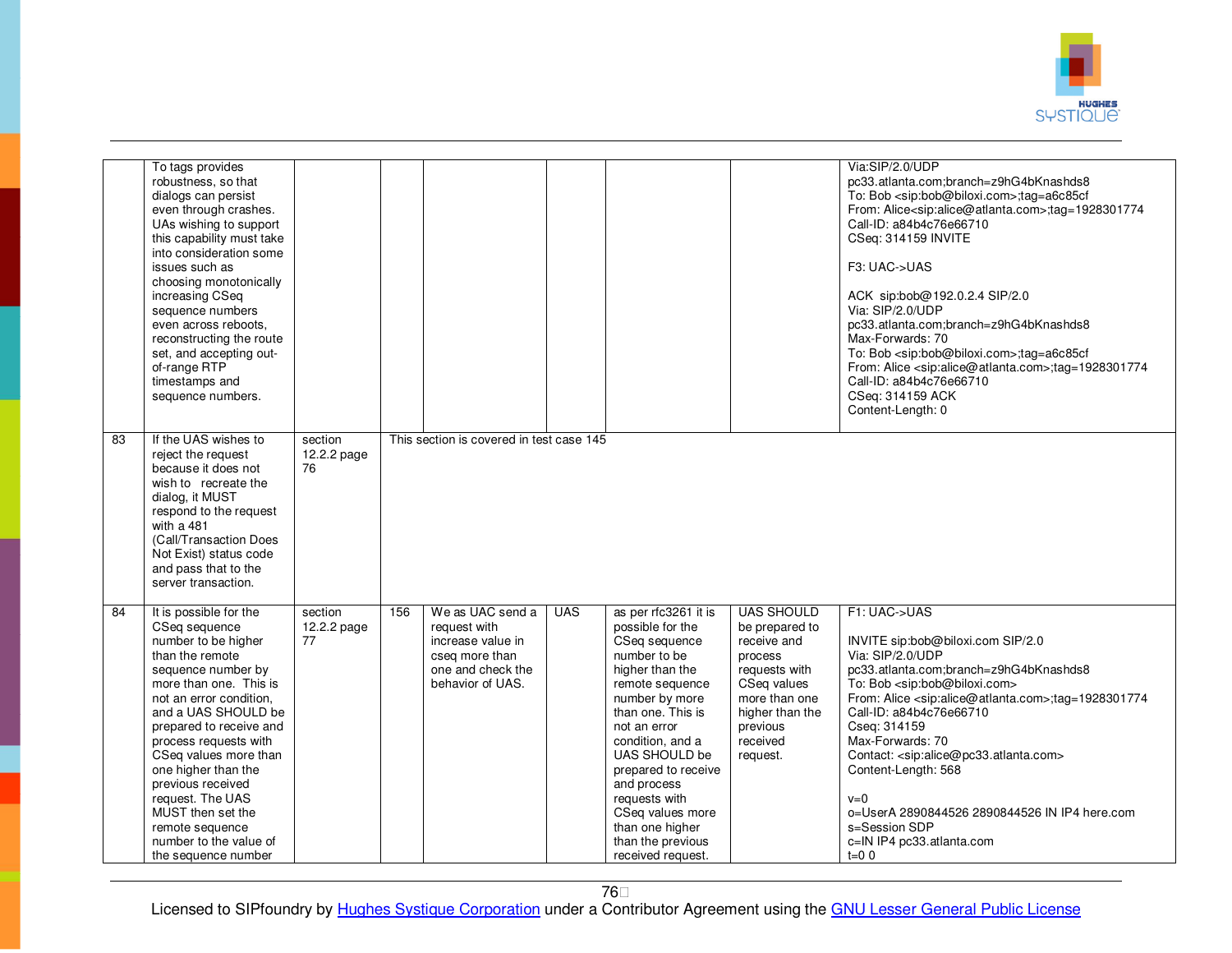

|    | To tags provides<br>robustness, so that<br>dialogs can persist<br>even through crashes.<br>UAs wishing to support<br>this capability must take<br>into consideration some<br>issues such as<br>choosing monotonically<br>increasing CSeq<br>sequence numbers<br>even across reboots.<br>reconstructing the route<br>set, and accepting out-<br>of-range RTP<br>timestamps and<br>sequence numbers.                        |                              |     |                                                                                                                  |            |                                                                                                                                                                                                                                                                                                                                                     |                                                                                                                                                                       | Via:SIP/2.0/UDP<br>pc33.atlanta.com;branch=z9hG4bKnashds8<br>To: Bob <sip:bob@biloxi.com>;tag=a6c85cf<br/>From: Alice<sip:alice@atlanta.com>;tag=1928301774<br/>Call-ID: a84b4c76e66710<br/>CSeq: 314159 INVITE<br/>F3: UAC-&gt;UAS<br/>ACK sip:bob@192.0.2.4 SIP/2.0<br/>Via: SIP/2.0/UDP<br/>pc33.atlanta.com;branch=z9hG4bKnashds8<br/>Max-Forwards: 70<br/>To: Bob <sip:bob@biloxi.com>;tag=a6c85cf<br/>From: Alice <sip:alice@atlanta.com>;tag=1928301774<br/>Call-ID: a84b4c76e66710<br/>CSeq: 314159 ACK<br/>Content-Length: 0</sip:alice@atlanta.com></sip:bob@biloxi.com></sip:alice@atlanta.com></sip:bob@biloxi.com> |
|----|---------------------------------------------------------------------------------------------------------------------------------------------------------------------------------------------------------------------------------------------------------------------------------------------------------------------------------------------------------------------------------------------------------------------------|------------------------------|-----|------------------------------------------------------------------------------------------------------------------|------------|-----------------------------------------------------------------------------------------------------------------------------------------------------------------------------------------------------------------------------------------------------------------------------------------------------------------------------------------------------|-----------------------------------------------------------------------------------------------------------------------------------------------------------------------|---------------------------------------------------------------------------------------------------------------------------------------------------------------------------------------------------------------------------------------------------------------------------------------------------------------------------------------------------------------------------------------------------------------------------------------------------------------------------------------------------------------------------------------------------------------------------------------------------------------------------------|
| 83 | If the UAS wishes to<br>reject the request<br>because it does not<br>wish to recreate the<br>dialog, it MUST<br>respond to the request<br>with a 481<br>(Call/Transaction Does<br>Not Exist) status code<br>and pass that to the<br>server transaction.                                                                                                                                                                   | section<br>12.2.2 page<br>76 |     | This section is covered in test case 145                                                                         |            |                                                                                                                                                                                                                                                                                                                                                     |                                                                                                                                                                       |                                                                                                                                                                                                                                                                                                                                                                                                                                                                                                                                                                                                                                 |
| 84 | It is possible for the<br>CSeq sequence<br>number to be higher<br>than the remote<br>sequence number by<br>more than one. This is<br>not an error condition.<br>and a UAS SHOULD be<br>prepared to receive and<br>process requests with<br>CSeq values more than<br>one higher than the<br>previous received<br>request. The UAS<br>MUST then set the<br>remote sequence<br>number to the value of<br>the sequence number | section<br>12.2.2 page<br>77 | 156 | We as UAC send a<br>request with<br>increase value in<br>cseg more than<br>one and check the<br>behavior of UAS. | <b>UAS</b> | as per rfc3261 it is<br>possible for the<br>CSeg sequence<br>number to be<br>higher than the<br>remote sequence<br>number by more<br>than one. This is<br>not an error<br>condition, and a<br>UAS SHOULD be<br>prepared to receive<br>and process<br>requests with<br>CSeq values more<br>than one higher<br>than the previous<br>received request. | <b>UAS SHOULD</b><br>be prepared to<br>receive and<br>process<br>requests with<br>CSeq values<br>more than one<br>higher than the<br>previous<br>received<br>request. | F1: UAC->UAS<br>INVITE sip:bob@biloxi.com SIP/2.0<br>Via: SIP/2.0/UDP<br>pc33.atlanta.com;branch=z9hG4bKnashds8<br>To: Bob <sip:bob@biloxi.com><br/>From: Alice <sip:alice@atlanta.com>;tag=1928301774<br/>Call-ID: a84b4c76e66710<br/>Cseq: 314159<br/>Max-Forwards: 70<br/>Contact: <sip:alice@pc33.atlanta.com><br/>Content-Length: 568<br/><math>v=0</math><br/>o=UserA 2890844526 2890844526 IN IP4 here.com<br/>s=Session SDP<br/>c=IN IP4 pc33.atlanta.com<br/><math>t=0</math> 0</sip:alice@pc33.atlanta.com></sip:alice@atlanta.com></sip:bob@biloxi.com>                                                              |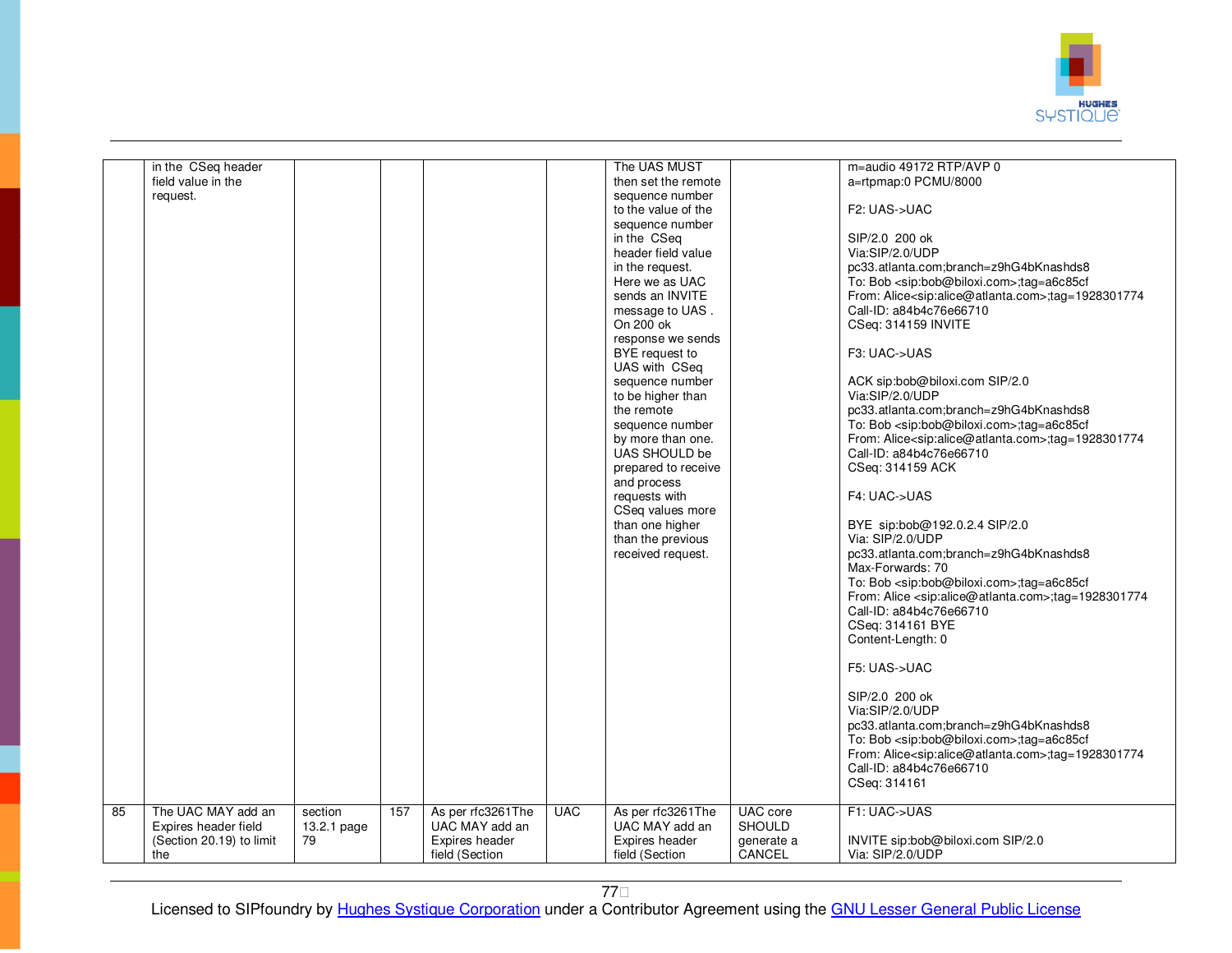

|    | in the CSeq header<br>field value in the<br>request.                   |                              |     |                                                       |            | The UAS MUST<br>then set the remote<br>sequence number<br>to the value of the<br>sequence number<br>in the CSeq<br>header field value<br>in the request.<br>Here we as UAC<br>sends an INVITE<br>message to UAS.<br>On 200 ok<br>response we sends<br>BYE request to<br>UAS with CSeq<br>sequence number<br>to be higher than<br>the remote<br>sequence number<br>by more than one.<br>UAS SHOULD be<br>prepared to receive<br>and process<br>requests with<br>CSeq values more<br>than one higher<br>than the previous<br>received request. |                                         | m=audio 49172 RTP/AVP 0<br>a=rtpmap:0 PCMU/8000<br>F2: UAS->UAC<br>SIP/2.0 200 ok<br>Via:SIP/2.0/UDP<br>pc33.atlanta.com;branch=z9hG4bKnashds8<br>To: Bob <sip:bob@biloxi.com>;tag=a6c85cf<br/>From: Alice<sip:alice@atlanta.com>;tag=1928301774<br/>Call-ID: a84b4c76e66710<br/>CSeq: 314159 INVITE<br/>F3: UAC-&gt;UAS<br/>ACK sip:bob@biloxi.com SIP/2.0<br/>Via:SIP/2.0/UDP<br/>pc33.atlanta.com;branch=z9hG4bKnashds8<br/>To: Bob <sip:bob@biloxi.com>;tag=a6c85cf<br/>From: Alice<sip:alice@atlanta.com>;tag=1928301774<br/>Call-ID: a84b4c76e66710<br/>CSeq: 314159 ACK<br/>F4: UAC-&gt;UAS<br/>BYE sip:bob@192.0.2.4 SIP/2.0<br/>Via: SIP/2.0/UDP<br/>pc33.atlanta.com;branch=z9hG4bKnashds8<br/>Max-Forwards: 70<br/>To: Bob <sip:bob@biloxi.com>;tag=a6c85cf<br/>From: Alice <sip:alice@atlanta.com>;tag=1928301774<br/>Call-ID: a84b4c76e66710<br/>CSeq: 314161 BYE<br/>Content-Length: 0<br/>F5: UAS-&gt;UAC<br/>SIP/2.0 200 ok<br/>Via:SIP/2.0/UDP<br/>pc33.atlanta.com;branch=z9hG4bKnashds8<br/>To: Bob <sip:bob@biloxi.com>;tag=a6c85cf<br/>From: Alice &lt; sip: alice @ atlanta.com &gt; : tag = 1928301774<br/>Call-ID: a84b4c76e66710</sip:bob@biloxi.com></sip:alice@atlanta.com></sip:bob@biloxi.com></sip:alice@atlanta.com></sip:bob@biloxi.com></sip:alice@atlanta.com></sip:bob@biloxi.com> |
|----|------------------------------------------------------------------------|------------------------------|-----|-------------------------------------------------------|------------|----------------------------------------------------------------------------------------------------------------------------------------------------------------------------------------------------------------------------------------------------------------------------------------------------------------------------------------------------------------------------------------------------------------------------------------------------------------------------------------------------------------------------------------------|-----------------------------------------|-----------------------------------------------------------------------------------------------------------------------------------------------------------------------------------------------------------------------------------------------------------------------------------------------------------------------------------------------------------------------------------------------------------------------------------------------------------------------------------------------------------------------------------------------------------------------------------------------------------------------------------------------------------------------------------------------------------------------------------------------------------------------------------------------------------------------------------------------------------------------------------------------------------------------------------------------------------------------------------------------------------------------------------------------------------------------------------------------------------------------------------------------------------------------------------------------------------------------------------------------------------------------------------------------------------------------|
| 85 | The UAC MAY add an<br>Expires header field<br>(Section 20.19) to limit | section<br>13.2.1 page<br>79 | 157 | As per rfc3261The<br>UAC MAY add an<br>Expires header | <b>UAC</b> | As per rfc3261The<br>UAC MAY add an<br>Expires header                                                                                                                                                                                                                                                                                                                                                                                                                                                                                        | UAC core<br><b>SHOULD</b><br>generate a | CSeq: 314161<br>F1: UAC->UAS<br>INVITE sip:bob@biloxi.com SIP/2.0                                                                                                                                                                                                                                                                                                                                                                                                                                                                                                                                                                                                                                                                                                                                                                                                                                                                                                                                                                                                                                                                                                                                                                                                                                                     |
|    | the                                                                    |                              |     | field (Section                                        |            | field (Section                                                                                                                                                                                                                                                                                                                                                                                                                                                                                                                               | CANCEL                                  | Via: SIP/2.0/UDP                                                                                                                                                                                                                                                                                                                                                                                                                                                                                                                                                                                                                                                                                                                                                                                                                                                                                                                                                                                                                                                                                                                                                                                                                                                                                                      |

77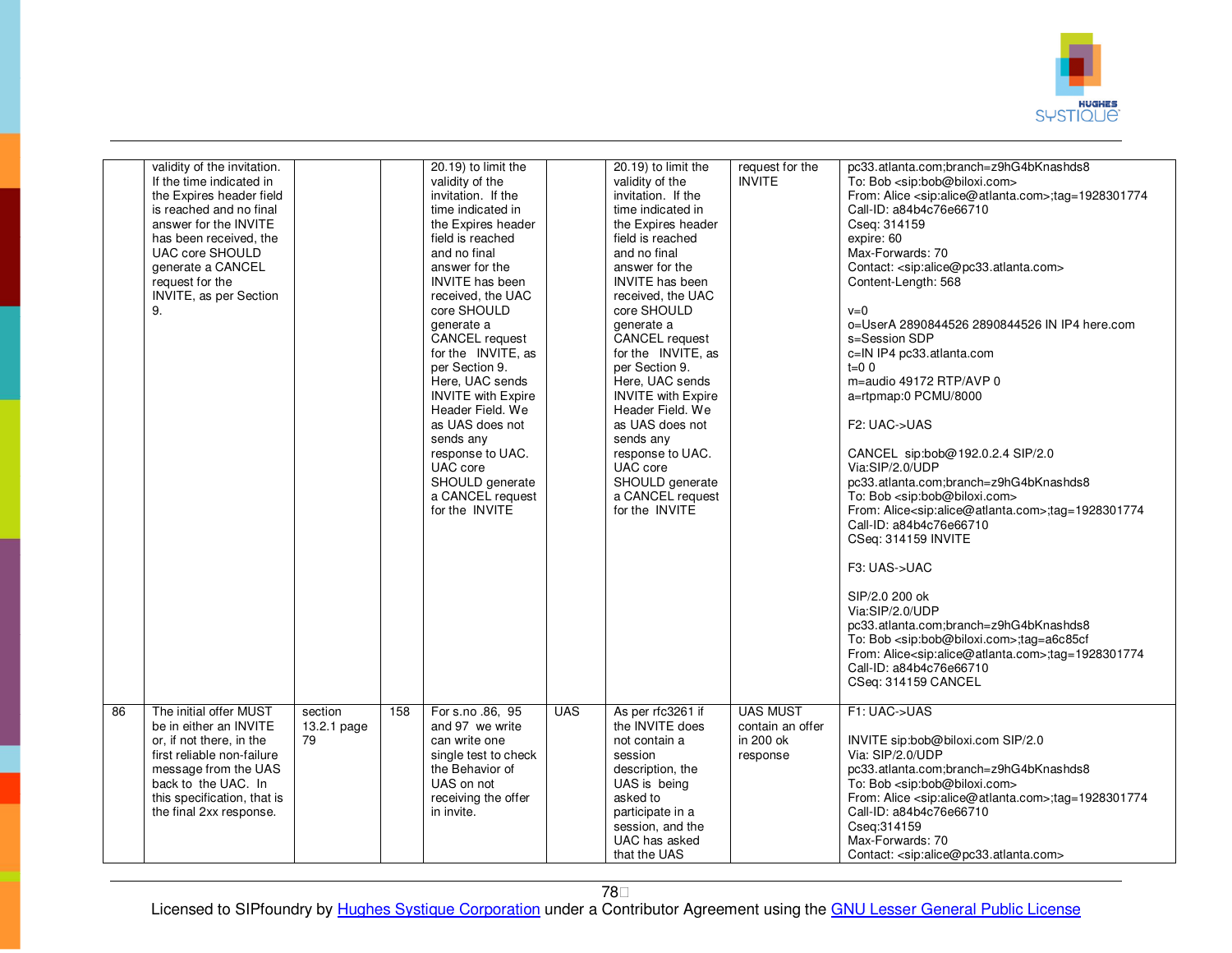

|    | validity of the invitation.<br>If the time indicated in<br>the Expires header field<br>is reached and no final<br>answer for the INVITE<br>has been received, the<br><b>UAC core SHOULD</b><br>generate a CANCEL<br>request for the<br>INVITE, as per Section<br>9. |                              |     | 20.19) to limit the<br>validity of the<br>invitation. If the<br>time indicated in<br>the Expires header<br>field is reached<br>and no final<br>answer for the<br><b>INVITE</b> has been<br>received, the UAC<br>core SHOULD<br>generate a<br>CANCEL request<br>for the INVITE, as<br>per Section 9.<br>Here, UAC sends<br><b>INVITE</b> with Expire<br>Header Field. We<br>as UAS does not<br>sends any<br>response to UAC.<br>UAC core<br>SHOULD generate<br>a CANCEL request<br>for the INVITE |            | 20.19) to limit the<br>validity of the<br>invitation. If the<br>time indicated in<br>the Expires header<br>field is reached<br>and no final<br>answer for the<br>INVITE has been<br>received, the UAC<br>core SHOULD<br>generate a<br>CANCEL request<br>for the INVITE, as<br>per Section 9.<br>Here, UAC sends<br><b>INVITE</b> with Expire<br>Header Field. We<br>as UAS does not<br>sends any<br>response to UAC.<br>UAC core<br>SHOULD generate<br>a CANCEL request<br>for the INVITE | request for the<br><b>INVITE</b>                             | pc33.atlanta.com;branch=z9hG4bKnashds8<br>To: Bob <sip:bob@biloxi.com><br/>From: Alice <sip:alice@atlanta.com>;tag=1928301774<br/>Call-ID: a84b4c76e66710<br/>Cseq: 314159<br/>expire: 60<br/>Max-Forwards: 70<br/>Contact: <sip:alice@pc33.atlanta.com><br/>Content-Length: 568<br/><math>v=0</math><br/>o=UserA 2890844526 2890844526 IN IP4 here.com<br/>s=Session SDP<br/>c=IN IP4 pc33.atlanta.com<br/><math>t=0</math> 0<br/>m=audio 49172 RTP/AVP 0<br/>a=rtpmap:0 PCMU/8000<br/>F<sub>2</sub>: UAC-&gt;UAS<br/>CANCEL sip:bob@192.0.2.4 SIP/2.0<br/>Via:SIP/2.0/UDP<br/>pc33.atlanta.com;branch=z9hG4bKnashds8<br/>To: Bob <sip:bob@biloxi.com><br/>From: Alice<sip:alice@atlanta.com>;tag=1928301774<br/>Call-ID: a84b4c76e66710<br/>CSeq: 314159 INVITE<br/>F3: UAS-&gt;UAC<br/>SIP/2.0 200 ok<br/>Via:SIP/2.0/UDP<br/>pc33.atlanta.com;branch=z9hG4bKnashds8<br/>To: Bob <sip:bob@biloxi.com>;tag=a6c85cf<br/>From: Alice<sip:alice@atlanta.com>;tag=1928301774<br/>Call-ID: a84b4c76e66710<br/>CSeq: 314159 CANCEL</sip:alice@atlanta.com></sip:bob@biloxi.com></sip:alice@atlanta.com></sip:bob@biloxi.com></sip:alice@pc33.atlanta.com></sip:alice@atlanta.com></sip:bob@biloxi.com> |
|----|---------------------------------------------------------------------------------------------------------------------------------------------------------------------------------------------------------------------------------------------------------------------|------------------------------|-----|--------------------------------------------------------------------------------------------------------------------------------------------------------------------------------------------------------------------------------------------------------------------------------------------------------------------------------------------------------------------------------------------------------------------------------------------------------------------------------------------------|------------|-------------------------------------------------------------------------------------------------------------------------------------------------------------------------------------------------------------------------------------------------------------------------------------------------------------------------------------------------------------------------------------------------------------------------------------------------------------------------------------------|--------------------------------------------------------------|----------------------------------------------------------------------------------------------------------------------------------------------------------------------------------------------------------------------------------------------------------------------------------------------------------------------------------------------------------------------------------------------------------------------------------------------------------------------------------------------------------------------------------------------------------------------------------------------------------------------------------------------------------------------------------------------------------------------------------------------------------------------------------------------------------------------------------------------------------------------------------------------------------------------------------------------------------------------------------------------------------------------------------------------------------------------------------------------------------------------------------------------------------------------------------------------------|
| 86 | The initial offer MUST<br>be in either an INVITE<br>or, if not there, in the<br>first reliable non-failure<br>message from the UAS<br>back to the UAC. In<br>this specification, that is<br>the final 2xx response.                                                 | section<br>13.2.1 page<br>79 | 158 | For s.no .86, 95<br>and 97 we write<br>can write one<br>single test to check<br>the Behavior of<br>UAS on not<br>receiving the offer<br>in invite.                                                                                                                                                                                                                                                                                                                                               | <b>UAS</b> | As per rfc3261 if<br>the INVITE does<br>not contain a<br>session<br>description, the<br>UAS is being<br>asked to<br>participate in a<br>session, and the<br>UAC has asked<br>that the UAS                                                                                                                                                                                                                                                                                                 | <b>UAS MUST</b><br>contain an offer<br>in 200 ok<br>response | F1: UAC->UAS<br>INVITE sip:bob@biloxi.com SIP/2.0<br>Via: SIP/2.0/UDP<br>pc33.atlanta.com;branch=z9hG4bKnashds8<br>To: Bob <sip:bob@biloxi.com><br/>From: Alice <sip:alice@atlanta.com>;tag=1928301774<br/>Call-ID: a84b4c76e66710<br/>Cseq: 314159<br/>Max-Forwards: 70<br/>Contact: <sip:alice@pc33.atlanta.com></sip:alice@pc33.atlanta.com></sip:alice@atlanta.com></sip:bob@biloxi.com>                                                                                                                                                                                                                                                                                                                                                                                                                                                                                                                                                                                                                                                                                                                                                                                                       |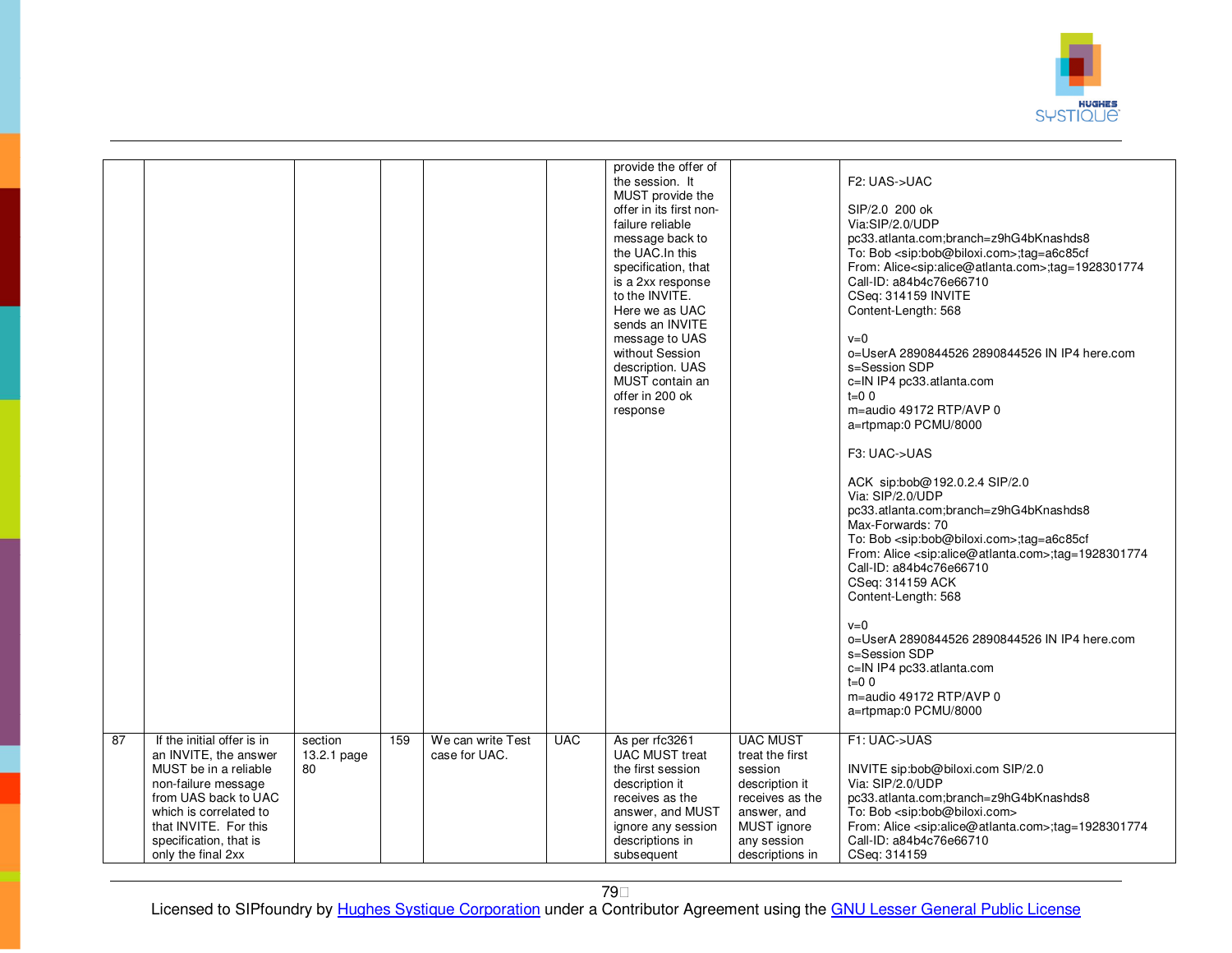

| 87 |                                                                                                                                                                                                                                |                              |     |                                    | <b>UAC</b> | provide the offer of<br>the session. It<br>MUST provide the<br>offer in its first non-<br>failure reliable<br>message back to<br>the UAC.In this<br>specification, that<br>is a 2xx response<br>to the INVITE.<br>Here we as UAC<br>sends an INVITE<br>message to UAS<br>without Session<br>description. UAS<br>MUST contain an<br>offer in 200 ok<br>response | <b>UAC MUST</b>                                                                                                                 | F2: UAS->UAC<br>SIP/2.0 200 ok<br>Via:SIP/2.0/UDP<br>pc33.atlanta.com;branch=z9hG4bKnashds8<br>To: Bob <sip:bob@biloxi.com>;tag=a6c85cf<br/>From: Alice<sip:alice@atlanta.com>:tag=1928301774<br/>Call-ID: a84b4c76e66710<br/>CSeq: 314159 INVITE<br/>Content-Length: 568<br/><math>v=0</math><br/>o=UserA 2890844526 2890844526 IN IP4 here.com<br/>s=Session SDP<br/>c=IN IP4 pc33.atlanta.com<br/><math>t = 0.0</math><br/>m=audio 49172 RTP/AVP 0<br/>a=rtpmap:0 PCMU/8000<br/>F3: UAC-&gt;UAS<br/>ACK sip:bob@192.0.2.4 SIP/2.0<br/>Via: SIP/2.0/UDP<br/>pc33.atlanta.com;branch=z9hG4bKnashds8<br/>Max-Forwards: 70<br/>To: Bob <sip:bob@biloxi.com>;tag=a6c85cf<br/>From: Alice <sip:alice@atlanta.com>;tag=1928301774<br/>Call-ID: a84b4c76e66710<br/>CSeq: 314159 ACK<br/>Content-Length: 568<br/><math>v=0</math><br/>o=UserA 2890844526 2890844526 IN IP4 here.com<br/>s=Session SDP<br/>c=IN IP4 pc33.atlanta.com<br/><math>t=0</math> 0<br/>m=audio 49172 RTP/AVP 0<br/>a=rtpmap:0 PCMU/8000<br/>F1: UAC-&gt;UAS</sip:alice@atlanta.com></sip:bob@biloxi.com></sip:alice@atlanta.com></sip:bob@biloxi.com> |
|----|--------------------------------------------------------------------------------------------------------------------------------------------------------------------------------------------------------------------------------|------------------------------|-----|------------------------------------|------------|----------------------------------------------------------------------------------------------------------------------------------------------------------------------------------------------------------------------------------------------------------------------------------------------------------------------------------------------------------------|---------------------------------------------------------------------------------------------------------------------------------|-------------------------------------------------------------------------------------------------------------------------------------------------------------------------------------------------------------------------------------------------------------------------------------------------------------------------------------------------------------------------------------------------------------------------------------------------------------------------------------------------------------------------------------------------------------------------------------------------------------------------------------------------------------------------------------------------------------------------------------------------------------------------------------------------------------------------------------------------------------------------------------------------------------------------------------------------------------------------------------------------------------------------------------------------------------------------------------------------------------------------|
|    | If the initial offer is in<br>an INVITE, the answer<br>MUST be in a reliable<br>non-failure message<br>from UAS back to UAC<br>which is correlated to<br>that INVITE. For this<br>specification, that is<br>only the final 2xx | section<br>13.2.1 page<br>80 | 159 | We can write Test<br>case for UAC. |            | As per rfc3261<br><b>UAC MUST treat</b><br>the first session<br>description it<br>receives as the<br>answer, and MUST<br>ignore any session<br>descriptions in<br>subsequent                                                                                                                                                                                   | treat the first<br>session<br>description it<br>receives as the<br>answer, and<br>MUST ignore<br>any session<br>descriptions in | INVITE sip:bob@biloxi.com SIP/2.0<br>Via: SIP/2.0/UDP<br>pc33.atlanta.com;branch=z9hG4bKnashds8<br>To: Bob <sip:bob@biloxi.com><br/>From: Alice <sip:alice@atlanta.com>;tag=1928301774<br/>Call-ID: a84b4c76e66710<br/>CSeq: 314159</sip:alice@atlanta.com></sip:bob@biloxi.com>                                                                                                                                                                                                                                                                                                                                                                                                                                                                                                                                                                                                                                                                                                                                                                                                                                        |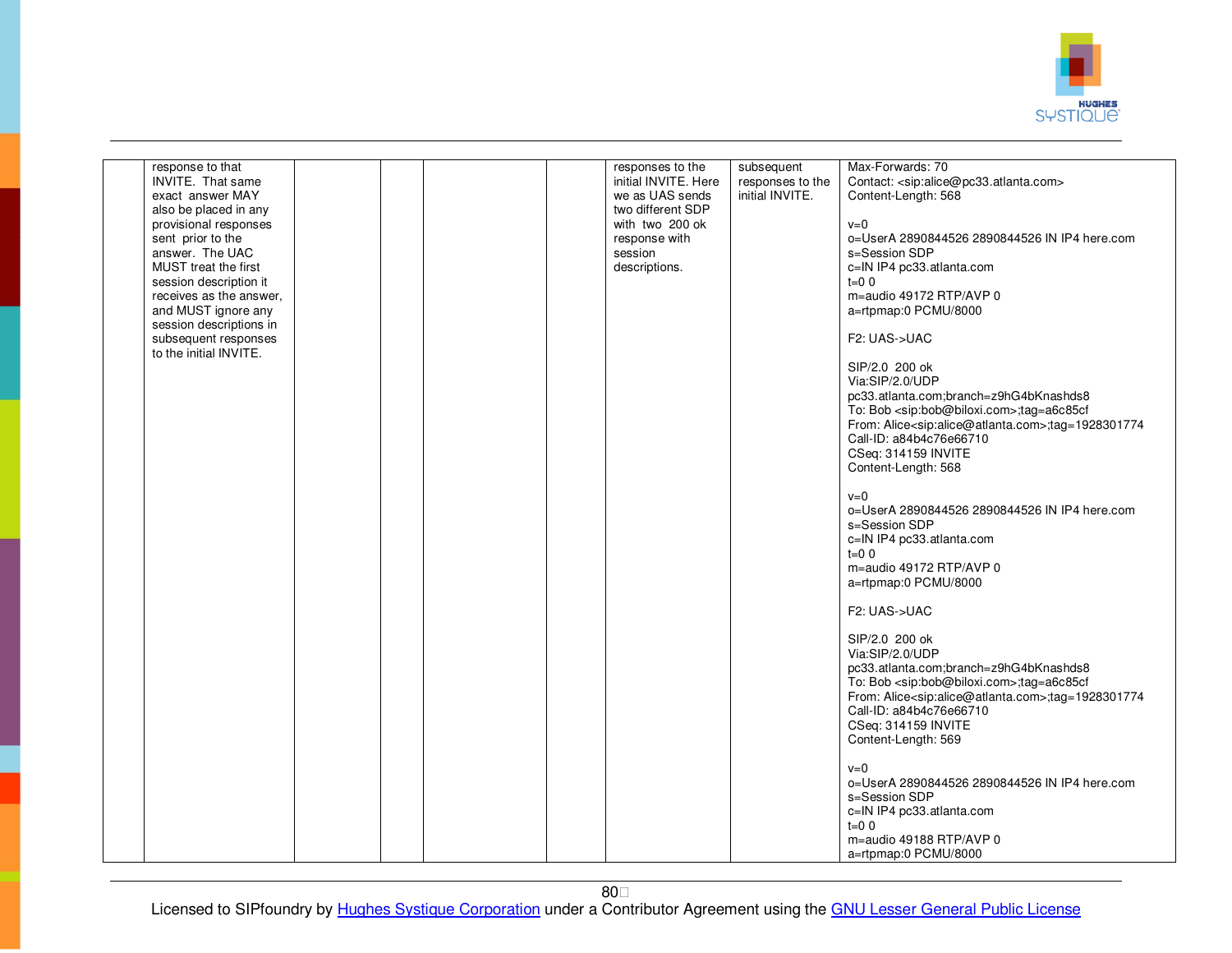

| response to that<br>INVITE. That same<br>exact answer MAY<br>also be placed in any<br>provisional responses<br>sent prior to the<br>answer. The UAC<br>MUST treat the first<br>session description it<br>receives as the answer,<br>and MUST ignore any<br>session descriptions in<br>subsequent responses<br>to the initial INVITE. |  |  | responses to the<br>initial INVITE. Here<br>we as UAS sends<br>two different SDP<br>with two 200 ok<br>response with<br>session<br>descriptions. | subsequent<br>responses to the<br>initial INVITE. | Max-Forwards: 70<br>Contact: <sip:alice@pc33.atlanta.com><br/>Content-Length: 568<br/><math>v=0</math><br/>0=UserA 2890844526 2890844526 IN IP4 here.com<br/>s=Session SDP<br/>c=IN IP4 pc33.atlanta.com<br/><math>t=0</math> 0<br/>m=audio 49172 RTP/AVP 0<br/>a=rtpmap:0 PCMU/8000<br/>F2: UAS-&gt;UAC<br/>SIP/2.0 200 ok<br/>Via:SIP/2.0/UDP<br/>pc33.atlanta.com;branch=z9hG4bKnashds8<br/>To: Bob <sip:bob@biloxi.com>;tag=a6c85cf<br/>From: Alice<sip:alice@atlanta.com>;tag=1928301774<br/>Call-ID: a84b4c76e66710<br/>CSeq: 314159 INVITE<br/>Content-Length: 568<br/><math>v=0</math><br/>o=UserA 2890844526 2890844526 IN IP4 here.com<br/>s=Session SDP<br/>c=IN IP4 pc33.atlanta.com<br/><math>t=0</math> 0<br/>m=audio 49172 RTP/AVP 0<br/>a=rtpmap:0 PCMU/8000<br/>F2: UAS-&gt;UAC<br/>SIP/2.0 200 ok<br/>Via:SIP/2.0/UDP<br/>pc33.atlanta.com;branch=z9hG4bKnashds8<br/>To: Bob <sip:bob@biloxi.com>;tag=a6c85cf<br/>From: Alice<sip:alice@atlanta.com>;tag=1928301774<br/>Call-ID: a84b4c76e66710<br/>CSeq: 314159 INVITE<br/>Content-Length: 569<br/><math>v=0</math><br/>o=UserA 2890844526 2890844526 IN IP4 here.com<br/>s=Session SDP</sip:alice@atlanta.com></sip:bob@biloxi.com></sip:alice@atlanta.com></sip:bob@biloxi.com></sip:alice@pc33.atlanta.com> |
|--------------------------------------------------------------------------------------------------------------------------------------------------------------------------------------------------------------------------------------------------------------------------------------------------------------------------------------|--|--|--------------------------------------------------------------------------------------------------------------------------------------------------|---------------------------------------------------|-----------------------------------------------------------------------------------------------------------------------------------------------------------------------------------------------------------------------------------------------------------------------------------------------------------------------------------------------------------------------------------------------------------------------------------------------------------------------------------------------------------------------------------------------------------------------------------------------------------------------------------------------------------------------------------------------------------------------------------------------------------------------------------------------------------------------------------------------------------------------------------------------------------------------------------------------------------------------------------------------------------------------------------------------------------------------------------------------------------------------------------------------------------------------------------------------------------------------------------------------------------------------------------|
|                                                                                                                                                                                                                                                                                                                                      |  |  |                                                                                                                                                  |                                                   | c=IN IP4 pc33.atlanta.com<br>$t=0$ 0<br>m=audio 49188 RTP/AVP 0                                                                                                                                                                                                                                                                                                                                                                                                                                                                                                                                                                                                                                                                                                                                                                                                                                                                                                                                                                                                                                                                                                                                                                                                                   |
|                                                                                                                                                                                                                                                                                                                                      |  |  |                                                                                                                                                  |                                                   | a=rtpmap:0 PCMU/8000                                                                                                                                                                                                                                                                                                                                                                                                                                                                                                                                                                                                                                                                                                                                                                                                                                                                                                                                                                                                                                                                                                                                                                                                                                                              |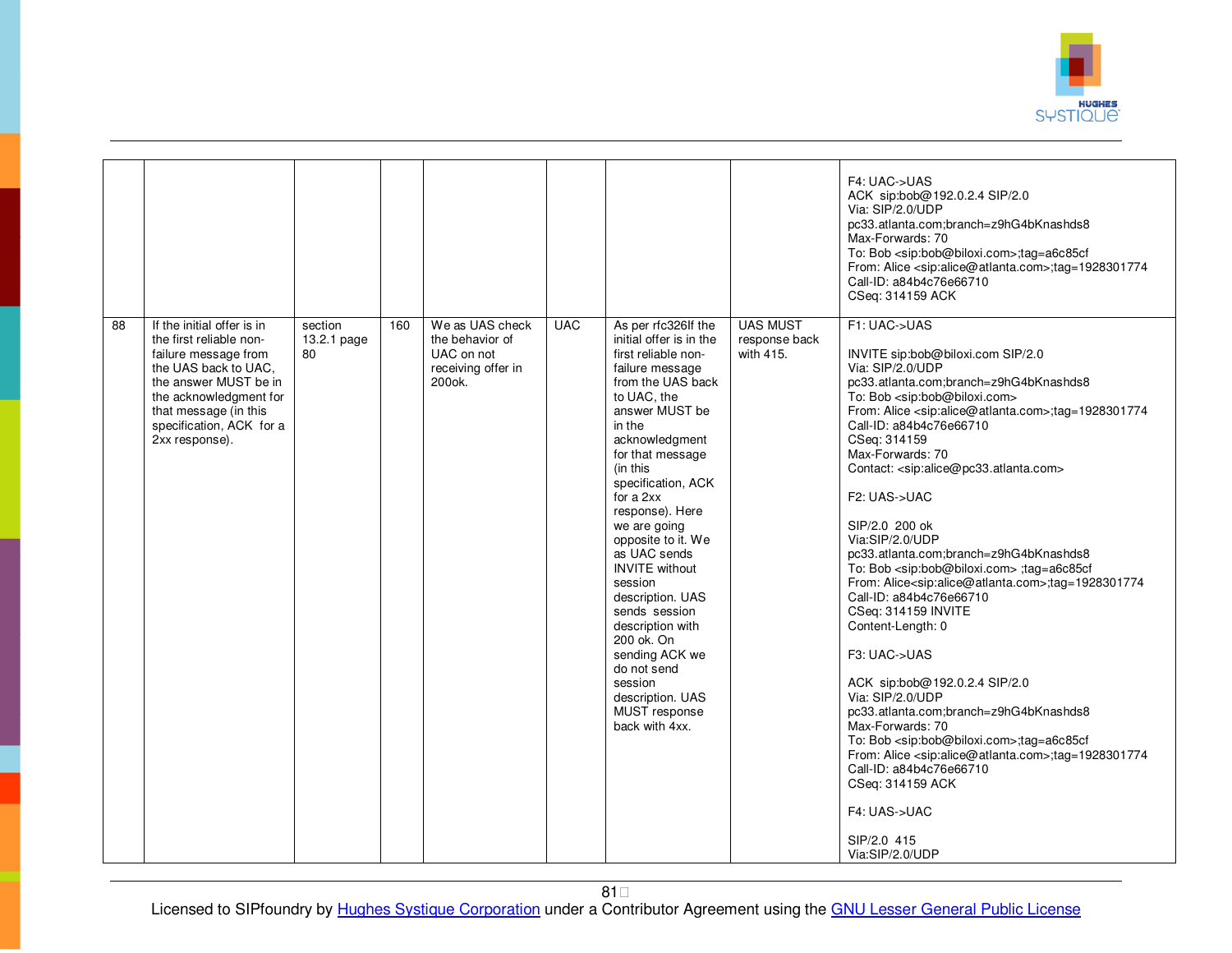

| 88 | If the initial offer is in                                                                                                                                                                        |                              |     | We as UAS check                                                            | <b>UAC</b> |                                                                                                                                                                                                                                                                                                                                                                                                                                                                                                                                        | <b>UAS MUST</b>            | F4: UAC->UAS<br>ACK sip:bob@192.0.2.4 SIP/2.0<br>Via: SIP/2.0/UDP<br>pc33.atlanta.com;branch=z9hG4bKnashds8<br>Max-Forwards: 70<br>To: Bob <sip:bob@biloxi.com>;tag=a6c85cf<br/>From: Alice <sip:alice@atlanta.com>;tag=1928301774<br/>Call-ID: a84b4c76e66710<br/>CSeq: 314159 ACK<br/>F1: UAC-&gt;UAS</sip:alice@atlanta.com></sip:bob@biloxi.com>                                                                                                                                                                                                                                                                                                                                                                                                                                                                                                                                                                                                                                                                                                                                                               |
|----|---------------------------------------------------------------------------------------------------------------------------------------------------------------------------------------------------|------------------------------|-----|----------------------------------------------------------------------------|------------|----------------------------------------------------------------------------------------------------------------------------------------------------------------------------------------------------------------------------------------------------------------------------------------------------------------------------------------------------------------------------------------------------------------------------------------------------------------------------------------------------------------------------------------|----------------------------|--------------------------------------------------------------------------------------------------------------------------------------------------------------------------------------------------------------------------------------------------------------------------------------------------------------------------------------------------------------------------------------------------------------------------------------------------------------------------------------------------------------------------------------------------------------------------------------------------------------------------------------------------------------------------------------------------------------------------------------------------------------------------------------------------------------------------------------------------------------------------------------------------------------------------------------------------------------------------------------------------------------------------------------------------------------------------------------------------------------------|
|    | the first reliable non-<br>failure message from<br>the UAS back to UAC,<br>the answer MUST be in<br>the acknowledgment for<br>that message (in this<br>specification, ACK for a<br>2xx response). | section<br>13.2.1 page<br>80 | 160 | the behavior of<br>UAC on not<br>receiving offer in<br>200 <sub>o</sub> k. |            | As per rfc326If the<br>initial offer is in the<br>first reliable non-<br>failure message<br>from the UAS back<br>to UAC, the<br>answer MUST be<br>in the<br>acknowledgment<br>for that message<br>(in this<br>specification, ACK<br>for a $2xx$<br>response). Here<br>we are going<br>opposite to it. We<br>as UAC sends<br><b>INVITE</b> without<br>session<br>description. UAS<br>sends session<br>description with<br>200 ok. On<br>sending ACK we<br>do not send<br>session<br>description. UAS<br>MUST response<br>back with 4xx. | response back<br>with 415. | INVITE sip:bob@biloxi.com SIP/2.0<br>Via: SIP/2.0/UDP<br>pc33.atlanta.com;branch=z9hG4bKnashds8<br>To: Bob <sip:bob@biloxi.com><br/>From: Alice <sip:alice@atlanta.com>;tag=1928301774<br/>Call-ID: a84b4c76e66710<br/>CSeq: 314159<br/>Max-Forwards: 70<br/>Contact: <sip:alice@pc33.atlanta.com><br/>F2: UAS-&gt;UAC<br/>SIP/2.0 200 ok<br/>Via:SIP/2.0/UDP<br/>pc33.atlanta.com;branch=z9hG4bKnashds8<br/>To: Bob <sip:bob@biloxi.com> ;tag=a6c85cf<br/>From: Alice<sip:alice@atlanta.com>;tag=1928301774<br/>Call-ID: a84b4c76e66710<br/>CSeq: 314159 INVITE<br/>Content-Length: 0<br/>F3: UAC-&gt;UAS<br/>ACK sip:bob@192.0.2.4 SIP/2.0<br/>Via: SIP/2.0/UDP<br/>pc33.atlanta.com;branch=z9hG4bKnashds8<br/>Max-Forwards: 70<br/>To: Bob <sip:bob@biloxi.com>;tag=a6c85cf<br/>From: Alice <sip:alice@atlanta.com>;tag=1928301774<br/>Call-ID: a84b4c76e66710<br/>CSeq: 314159 ACK<br/>F4: UAS-&gt;UAC<br/>SIP/2.0 415<br/>Via:SIP/2.0/UDP</sip:alice@atlanta.com></sip:bob@biloxi.com></sip:alice@atlanta.com></sip:bob@biloxi.com></sip:alice@pc33.atlanta.com></sip:alice@atlanta.com></sip:bob@biloxi.com> |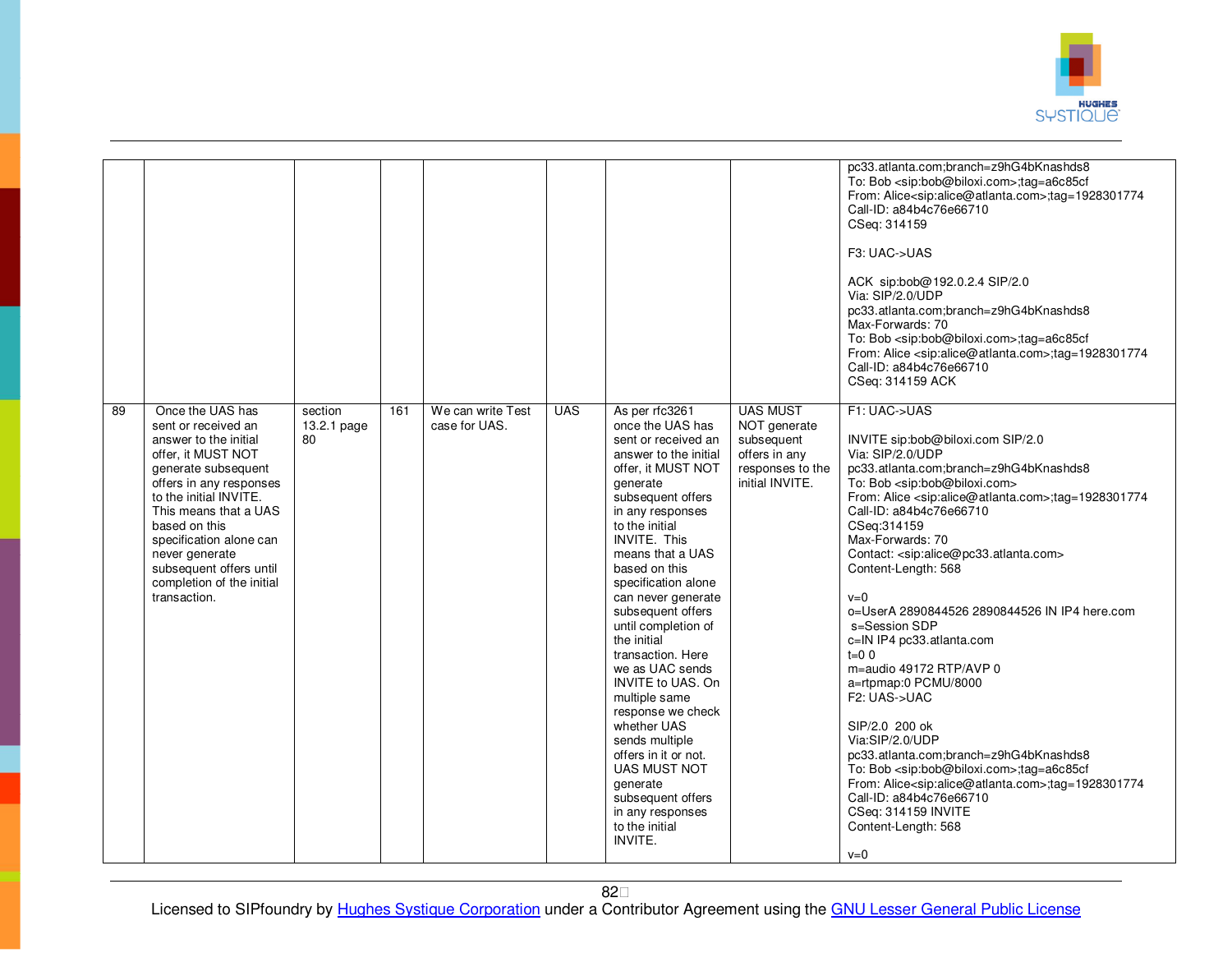

|    |                                                                                                                                                                                                                                                                                                                                   |                              |     |                                    |            |                                                                                                                                                                                                                                                                                                                                                                                                                                                                                                                                                                                                                          |                                                                                                       | pc33.atlanta.com;branch=z9hG4bKnashds8<br>To: Bob <sip:bob@biloxi.com>;tag=a6c85cf<br/>From: Alice<sip:alice@atlanta.com>:tag=1928301774<br/>Call-ID: a84b4c76e66710<br/>CSeq: 314159<br/>F3: UAC-&gt;UAS<br/>ACK sip:bob@192.0.2.4 SIP/2.0<br/>Via: SIP/2.0/UDP<br/>pc33.atlanta.com;branch=z9hG4bKnashds8<br/>Max-Forwards: 70<br/>To: Bob <sip:bob@biloxi.com>;tag=a6c85cf<br/>From: Alice <sip:alice@atlanta.com>;tag=1928301774<br/>Call-ID: a84b4c76e66710<br/>CSeq: 314159 ACK</sip:alice@atlanta.com></sip:bob@biloxi.com></sip:alice@atlanta.com></sip:bob@biloxi.com>                                                                                                                                                                                                                                                                                                                                                                                                 |
|----|-----------------------------------------------------------------------------------------------------------------------------------------------------------------------------------------------------------------------------------------------------------------------------------------------------------------------------------|------------------------------|-----|------------------------------------|------------|--------------------------------------------------------------------------------------------------------------------------------------------------------------------------------------------------------------------------------------------------------------------------------------------------------------------------------------------------------------------------------------------------------------------------------------------------------------------------------------------------------------------------------------------------------------------------------------------------------------------------|-------------------------------------------------------------------------------------------------------|---------------------------------------------------------------------------------------------------------------------------------------------------------------------------------------------------------------------------------------------------------------------------------------------------------------------------------------------------------------------------------------------------------------------------------------------------------------------------------------------------------------------------------------------------------------------------------------------------------------------------------------------------------------------------------------------------------------------------------------------------------------------------------------------------------------------------------------------------------------------------------------------------------------------------------------------------------------------------------|
| 89 | Once the UAS has<br>sent or received an<br>answer to the initial<br>offer, it MUST NOT<br>generate subsequent<br>offers in any responses<br>to the initial INVITE.<br>This means that a UAS<br>based on this<br>specification alone can<br>never generate<br>subsequent offers until<br>completion of the initial<br>transaction. | section<br>13.2.1 page<br>80 | 161 | We can write Test<br>case for UAS. | <b>UAS</b> | As per rfc3261<br>once the UAS has<br>sent or received an<br>answer to the initial<br>offer, it MUST NOT<br>generate<br>subsequent offers<br>in any responses<br>to the initial<br><b>INVITE. This</b><br>means that a UAS<br>based on this<br>specification alone<br>can never generate<br>subsequent offers<br>until completion of<br>the initial<br>transaction. Here<br>we as UAC sends<br>INVITE to UAS. On<br>multiple same<br>response we check<br>whether UAS<br>sends multiple<br>offers in it or not.<br><b>UAS MUST NOT</b><br>generate<br>subsequent offers<br>in any responses<br>to the initial<br>INVITE. | <b>UAS MUST</b><br>NOT generate<br>subsequent<br>offers in any<br>responses to the<br>initial INVITE. | F1: UAC->UAS<br>INVITE sip:bob@biloxi.com SIP/2.0<br>Via: SIP/2.0/UDP<br>pc33.atlanta.com;branch=z9hG4bKnashds8<br>To: Bob <sip:bob@biloxi.com><br/>From: Alice <sip:alice@atlanta.com>;tag=1928301774<br/>Call-ID: a84b4c76e66710<br/>CSeq:314159<br/>Max-Forwards: 70<br/>Contact: <sip:alice@pc33.atlanta.com><br/>Content-Length: 568<br/><math>v=0</math><br/>o=UserA 2890844526 2890844526 IN IP4 here.com<br/>s=Session SDP<br/>c=IN IP4 pc33.atlanta.com<br/><math>t = 0.0</math><br/>m=audio 49172 RTP/AVP 0<br/>a=rtpmap:0 PCMU/8000<br/>F2: UAS-&gt;UAC<br/>SIP/2.0 200 ok<br/>Via:SIP/2.0/UDP<br/>pc33.atlanta.com;branch=z9hG4bKnashds8<br/>To: Bob <sip:bob@biloxi.com>;tag=a6c85cf<br/>From: Alice<sip:alice@atlanta.com>;tag=1928301774<br/>Call-ID: a84b4c76e66710<br/>CSeq: 314159 INVITE<br/>Content-Length: 568<br/><math>v=0</math></sip:alice@atlanta.com></sip:bob@biloxi.com></sip:alice@pc33.atlanta.com></sip:alice@atlanta.com></sip:bob@biloxi.com> |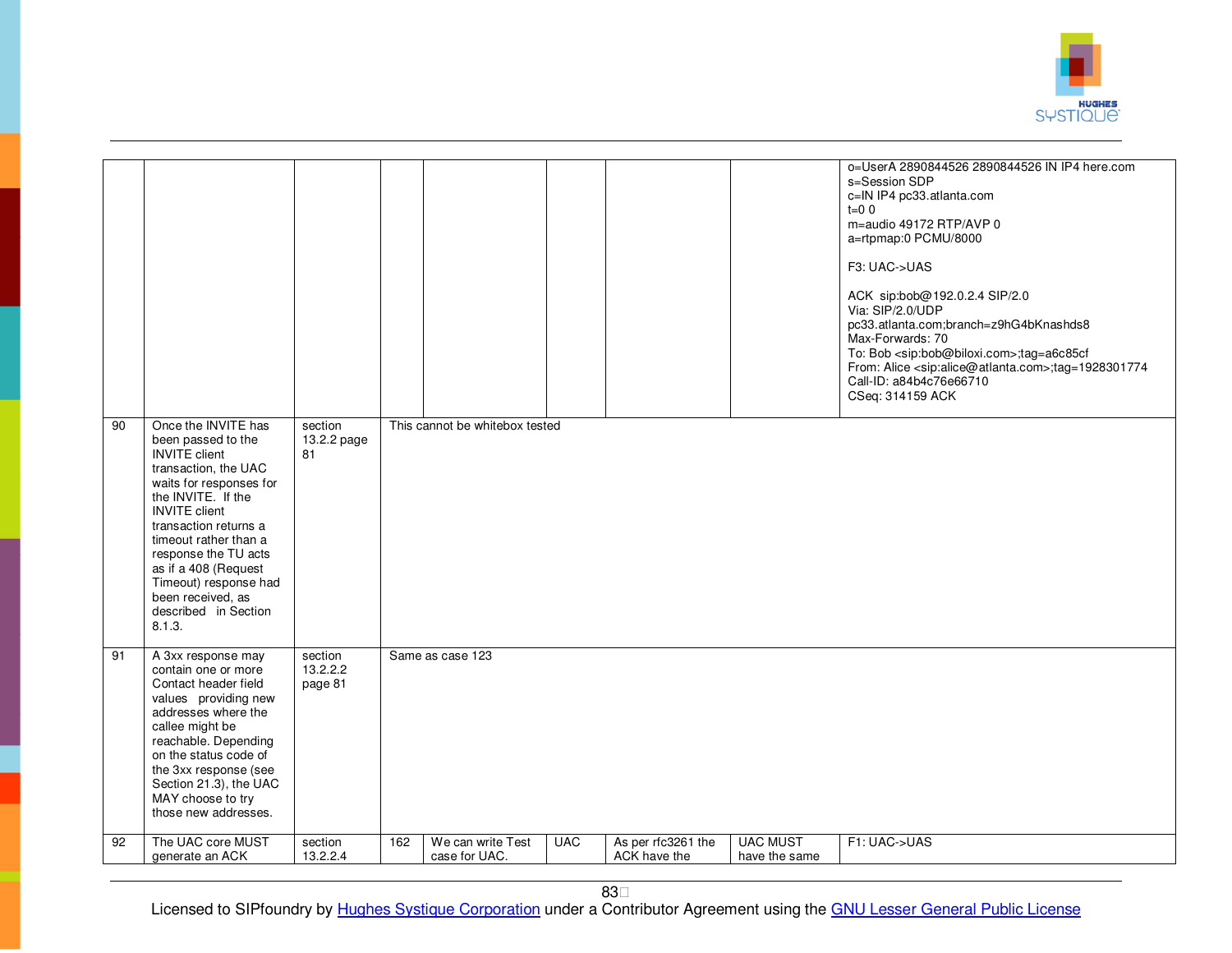

|    |                                                                                                                                                                                                                                                                                                                                                      |                                |     |                                    |            |                                    |                                  | o=UserA 2890844526 2890844526 IN IP4 here.com<br>s=Session SDP<br>c=IN IP4 pc33.atlanta.com<br>$t=0$ 0<br>m=audio 49172 RTP/AVP 0<br>a=rtpmap:0 PCMU/8000<br>F3: UAC->UAS<br>ACK sip:bob@192.0.2.4 SIP/2.0<br>Via: SIP/2.0/UDP<br>pc33.atlanta.com;branch=z9hG4bKnashds8<br>Max-Forwards: 70<br>To: Bob <sip:bob@biloxi.com>;tag=a6c85cf<br/>From: Alice <sip:alice@atlanta.com>;tag=1928301774<br/>Call-ID: a84b4c76e66710<br/>CSeq: 314159 ACK</sip:alice@atlanta.com></sip:bob@biloxi.com> |
|----|------------------------------------------------------------------------------------------------------------------------------------------------------------------------------------------------------------------------------------------------------------------------------------------------------------------------------------------------------|--------------------------------|-----|------------------------------------|------------|------------------------------------|----------------------------------|-----------------------------------------------------------------------------------------------------------------------------------------------------------------------------------------------------------------------------------------------------------------------------------------------------------------------------------------------------------------------------------------------------------------------------------------------------------------------------------------------|
| 90 | Once the INVITE has<br>been passed to the<br><b>INVITE</b> client<br>transaction, the UAC<br>waits for responses for<br>the INVITE. If the<br><b>INVITE</b> client<br>transaction returns a<br>timeout rather than a<br>response the TU acts<br>as if a 408 (Request<br>Timeout) response had<br>been received, as<br>described in Section<br>8.1.3. | section<br>13.2.2 page<br>81   |     | This cannot be whitebox tested     |            |                                    |                                  |                                                                                                                                                                                                                                                                                                                                                                                                                                                                                               |
| 91 | A 3xx response may<br>contain one or more<br>Contact header field<br>values providing new<br>addresses where the<br>callee might be<br>reachable. Depending<br>on the status code of<br>the 3xx response (see<br>Section 21.3), the UAC<br>MAY choose to try<br>those new addresses.                                                                 | section<br>13.2.2.2<br>page 81 |     | Same as case 123                   |            |                                    |                                  |                                                                                                                                                                                                                                                                                                                                                                                                                                                                                               |
| 92 | The UAC core MUST<br>generate an ACK                                                                                                                                                                                                                                                                                                                 | section<br>13.2.2.4            | 162 | We can write Test<br>case for UAC. | <b>UAC</b> | As per rfc3261 the<br>ACK have the | <b>UAC MUST</b><br>have the same | F1: UAC->UAS                                                                                                                                                                                                                                                                                                                                                                                                                                                                                  |
|    |                                                                                                                                                                                                                                                                                                                                                      |                                |     |                                    |            |                                    |                                  |                                                                                                                                                                                                                                                                                                                                                                                                                                                                                               |

83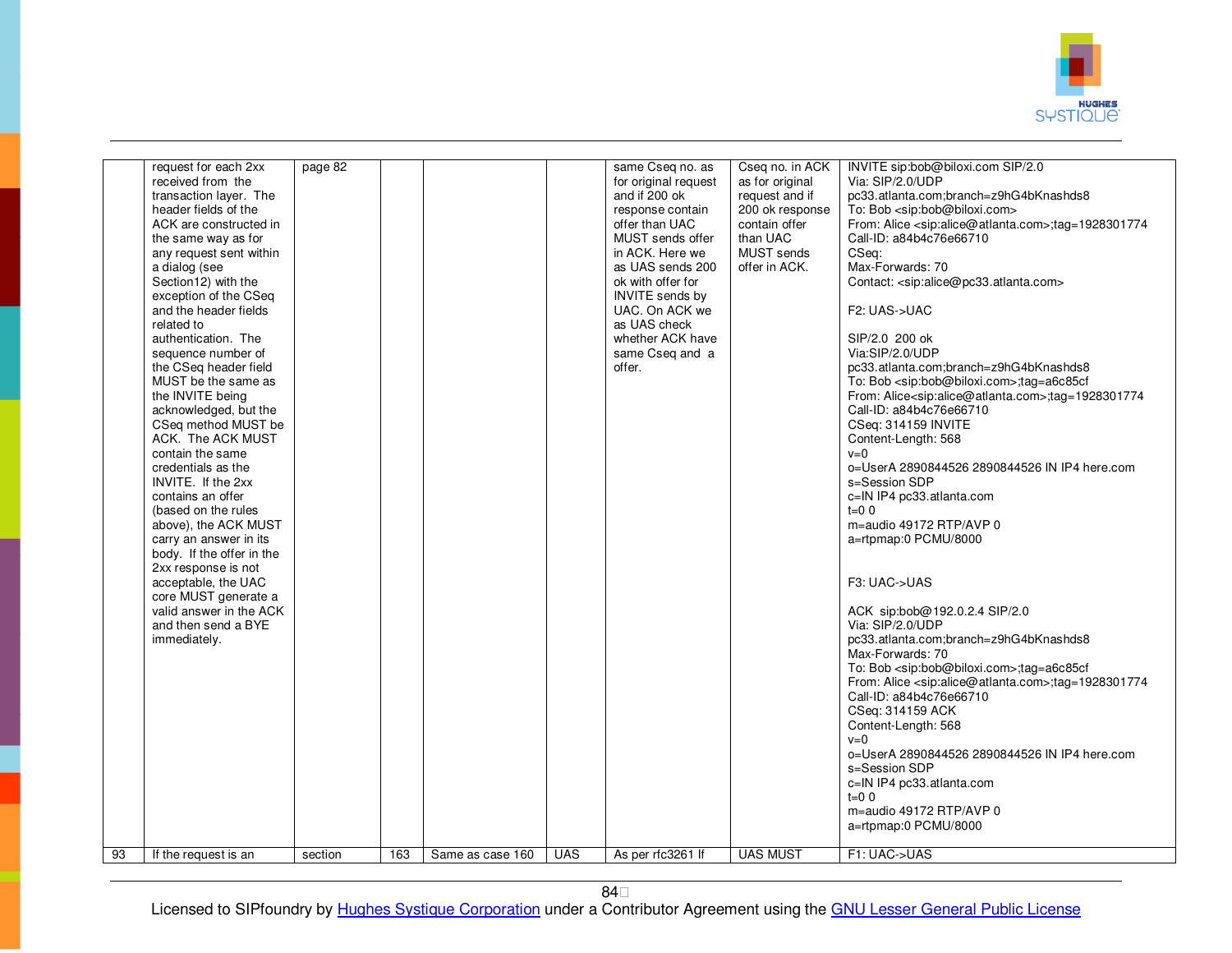

|    | request for each 2xx<br>received from the<br>transaction layer. The<br>header fields of the<br>ACK are constructed in<br>the same way as for                                                                                                                                                                                                                                                                                                                                                                     | page 82 |     |                  |            | same Cseg no. as<br>for original request<br>and if 200 ok                                                                                                                                                                | Cseq no. in ACK<br>as for original<br>request and if                        | INVITE sip:bob@biloxi.com SIP/2.0<br>Via: SIP/2.0/UDP<br>pc33.atlanta.com;branch=z9hG4bKnashds8                                                                                                                                                                                                                                                                                                                                                                                                                                                                                                                                                                                                                                                                                                           |
|----|------------------------------------------------------------------------------------------------------------------------------------------------------------------------------------------------------------------------------------------------------------------------------------------------------------------------------------------------------------------------------------------------------------------------------------------------------------------------------------------------------------------|---------|-----|------------------|------------|--------------------------------------------------------------------------------------------------------------------------------------------------------------------------------------------------------------------------|-----------------------------------------------------------------------------|-----------------------------------------------------------------------------------------------------------------------------------------------------------------------------------------------------------------------------------------------------------------------------------------------------------------------------------------------------------------------------------------------------------------------------------------------------------------------------------------------------------------------------------------------------------------------------------------------------------------------------------------------------------------------------------------------------------------------------------------------------------------------------------------------------------|
|    | any request sent within<br>a dialog (see<br>Section12) with the<br>exception of the CSeq<br>and the header fields<br>related to<br>authentication. The<br>sequence number of<br>the CSeq header field<br>MUST be the same as<br>the INVITE being<br>acknowledged, but the<br>CSeq method MUST be<br>ACK. The ACK MUST<br>contain the same<br>credentials as the<br>INVITE. If the 2xx<br>contains an offer<br>(based on the rules<br>above), the ACK MUST<br>carry an answer in its<br>body. If the offer in the |         |     |                  |            | response contain<br>offer than UAC<br>MUST sends offer<br>in ACK. Here we<br>as UAS sends 200<br>ok with offer for<br>INVITE sends by<br>UAC. On ACK we<br>as UAS check<br>whether ACK have<br>same Cseq and a<br>offer. | 200 ok response<br>contain offer<br>than UAC<br>MUST sends<br>offer in ACK. | To: Bob <sip:bob@biloxi.com><br/>From: Alice <sip:alice@atlanta.com>;tag=1928301774<br/>Call-ID: a84b4c76e66710<br/>CSeq:<br/>Max-Forwards: 70<br/>Contact: <sip:alice@pc33.atlanta.com><br/>F2: UAS-&gt;UAC<br/>SIP/2.0 200 ok<br/>Via:SIP/2.0/UDP<br/>pc33.atlanta.com;branch=z9hG4bKnashds8<br/>To: Bob <sip:bob@biloxi.com>;tag=a6c85cf<br/>From: Alice<sip:alice@atlanta.com>;tag=1928301774<br/>Call-ID: a84b4c76e66710<br/>CSeq: 314159 INVITE<br/>Content-Length: 568<br/><math>v=0</math><br/>o=UserA 2890844526 2890844526 IN IP4 here.com<br/>s=Session SDP<br/>c=IN IP4 pc33.atlanta.com<br/><math>t = 0</math> 0<br/>m=audio 49172 RTP/AVP 0<br/>a=rtpmap:0 PCMU/8000</sip:alice@atlanta.com></sip:bob@biloxi.com></sip:alice@pc33.atlanta.com></sip:alice@atlanta.com></sip:bob@biloxi.com> |
| 93 | 2xx response is not<br>acceptable, the UAC<br>core MUST generate a<br>valid answer in the ACK<br>and then send a BYE<br>immediately.<br>If the request is an                                                                                                                                                                                                                                                                                                                                                     | section | 163 | Same as case 160 | <b>UAS</b> | As per rfc3261 If                                                                                                                                                                                                        | <b>UAS MUST</b>                                                             | F3: UAC->UAS<br>ACK sip:bob@192.0.2.4 SIP/2.0<br>Via: SIP/2.0/UDP<br>pc33.atlanta.com;branch=z9hG4bKnashds8<br>Max-Forwards: 70<br>To: Bob <sip:bob@biloxi.com>;tag=a6c85cf<br/>From: Alice <sip:alice@atlanta.com>;tag=1928301774<br/>Call-ID: a84b4c76e66710<br/>CSeq: 314159 ACK<br/>Content-Length: 568<br/><math>v=0</math><br/>o=UserA 2890844526 2890844526 IN IP4 here.com<br/>s=Session SDP<br/>c=IN IP4 pc33.atlanta.com<br/><math>t = 00</math><br/>m=audio 49172 RTP/AVP 0<br/>a=rtpmap:0 PCMU/8000<br/>F1: UAC-&gt;UAS</sip:alice@atlanta.com></sip:bob@biloxi.com>                                                                                                                                                                                                                          |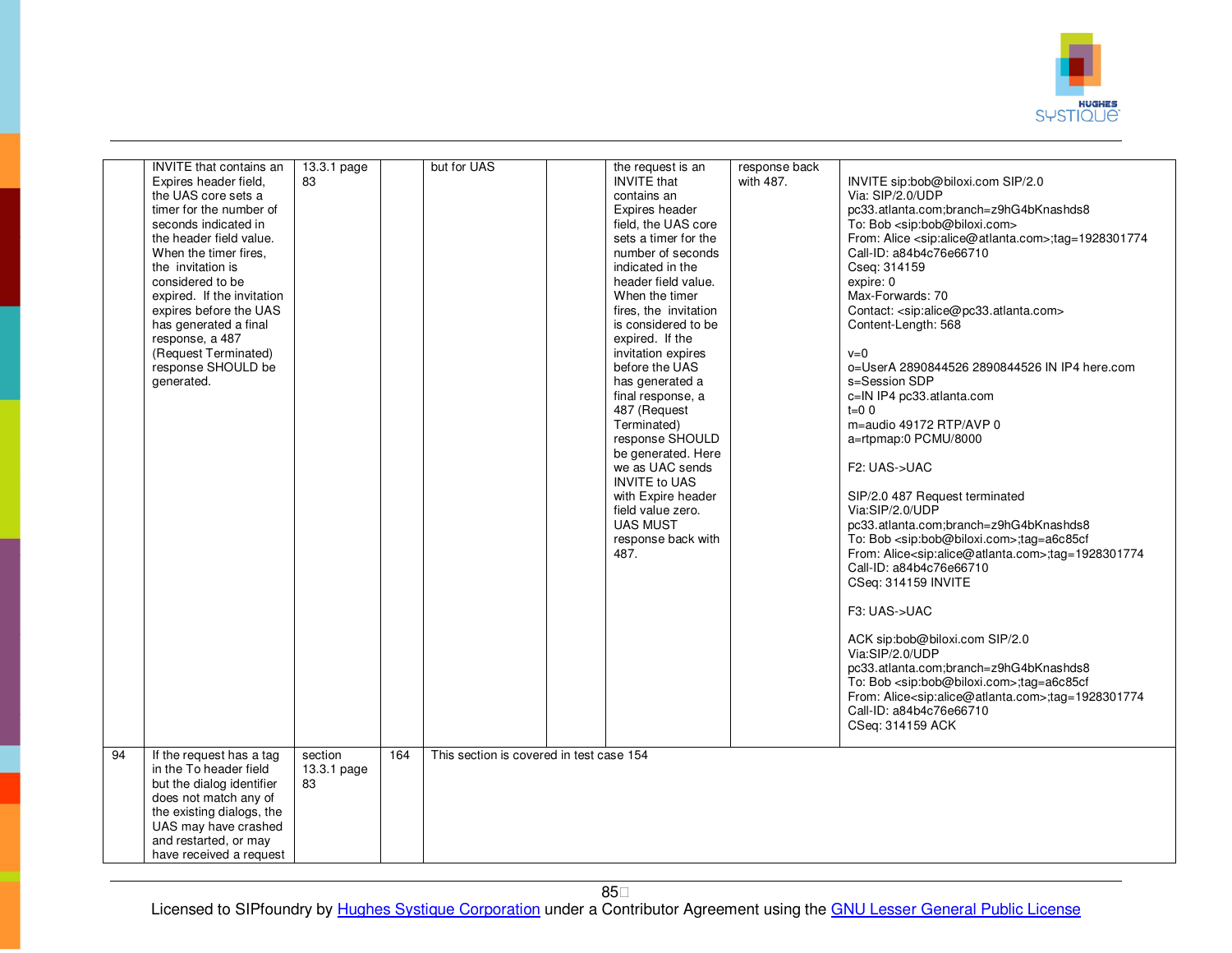

|    | <b>INVITE</b> that contains an<br>Expires header field,<br>the UAS core sets a<br>timer for the number of<br>seconds indicated in<br>the header field value.<br>When the timer fires.<br>the invitation is<br>considered to be<br>expired. If the invitation<br>expires before the UAS<br>has generated a final<br>response, a 487<br>(Request Terminated)<br>response SHOULD be<br>generated. | 13.3.1 page<br>83            |     | but for UAS                              | the request is an<br><b>INVITE</b> that<br>contains an<br>Expires header<br>field, the UAS core<br>sets a timer for the<br>number of seconds<br>indicated in the<br>header field value.<br>When the timer<br>fires, the invitation<br>is considered to be<br>expired. If the<br>invitation expires<br>before the UAS<br>has generated a<br>final response, a<br>487 (Request<br>Terminated)<br>response SHOULD<br>be generated. Here<br>we as UAC sends<br><b>INVITE to UAS</b><br>with Expire header<br>field value zero.<br><b>UAS MUST</b><br>response back with<br>487. | response back<br>with 487. | INVITE sip:bob@biloxi.com SIP/2.0<br>Via: SIP/2.0/UDP<br>pc33.atlanta.com;branch=z9hG4bKnashds8<br>To: Bob <sip:bob@biloxi.com><br/>From: Alice <sip:alice@atlanta.com>;tag=1928301774<br/>Call-ID: a84b4c76e66710<br/>Cseq: 314159<br/>expire: 0<br/>Max-Forwards: 70<br/>Contact: <sip:alice@pc33.atlanta.com><br/>Content-Length: 568<br/><math>v=0</math><br/>o=UserA 2890844526 2890844526 IN IP4 here.com<br/>s=Session SDP<br/>c=IN IP4 pc33.atlanta.com<br/><math>t=0.0</math><br/>m=audio 49172 RTP/AVP 0<br/>a=rtpmap:0 PCMU/8000<br/>F2: UAS-&gt;UAC<br/>SIP/2.0 487 Request terminated<br/>Via:SIP/2.0/UDP<br/>pc33.atlanta.com;branch=z9hG4bKnashds8<br/>To: Bob <sip:bob@biloxi.com>;tag=a6c85cf<br/>From: Alice<sip:alice@atlanta.com>;tag=1928301774<br/>Call-ID: a84b4c76e66710<br/>CSeq: 314159 INVITE<br/>F3: UAS-&gt;UAC<br/>ACK sip:bob@biloxi.com SIP/2.0<br/>Via:SIP/2.0/UDP<br/>pc33.atlanta.com;branch=z9hG4bKnashds8<br/>To: Bob <sip:bob@biloxi.com>;tag=a6c85cf<br/>From: Alice<sip:alice@atlanta.com>;tag=1928301774<br/>Call-ID: a84b4c76e66710<br/>CSeq: 314159 ACK</sip:alice@atlanta.com></sip:bob@biloxi.com></sip:alice@atlanta.com></sip:bob@biloxi.com></sip:alice@pc33.atlanta.com></sip:alice@atlanta.com></sip:bob@biloxi.com> |
|----|------------------------------------------------------------------------------------------------------------------------------------------------------------------------------------------------------------------------------------------------------------------------------------------------------------------------------------------------------------------------------------------------|------------------------------|-----|------------------------------------------|-----------------------------------------------------------------------------------------------------------------------------------------------------------------------------------------------------------------------------------------------------------------------------------------------------------------------------------------------------------------------------------------------------------------------------------------------------------------------------------------------------------------------------------------------------------------------------|----------------------------|------------------------------------------------------------------------------------------------------------------------------------------------------------------------------------------------------------------------------------------------------------------------------------------------------------------------------------------------------------------------------------------------------------------------------------------------------------------------------------------------------------------------------------------------------------------------------------------------------------------------------------------------------------------------------------------------------------------------------------------------------------------------------------------------------------------------------------------------------------------------------------------------------------------------------------------------------------------------------------------------------------------------------------------------------------------------------------------------------------------------------------------------------------------------------------------------------------------------------------------------------------------------|
| 94 | If the request has a tag<br>in the To header field<br>but the dialog identifier<br>does not match any of<br>the existing dialogs, the<br>UAS may have crashed<br>and restarted, or may<br>have received a request                                                                                                                                                                              | section<br>13.3.1 page<br>83 | 164 | This section is covered in test case 154 |                                                                                                                                                                                                                                                                                                                                                                                                                                                                                                                                                                             |                            |                                                                                                                                                                                                                                                                                                                                                                                                                                                                                                                                                                                                                                                                                                                                                                                                                                                                                                                                                                                                                                                                                                                                                                                                                                                                        |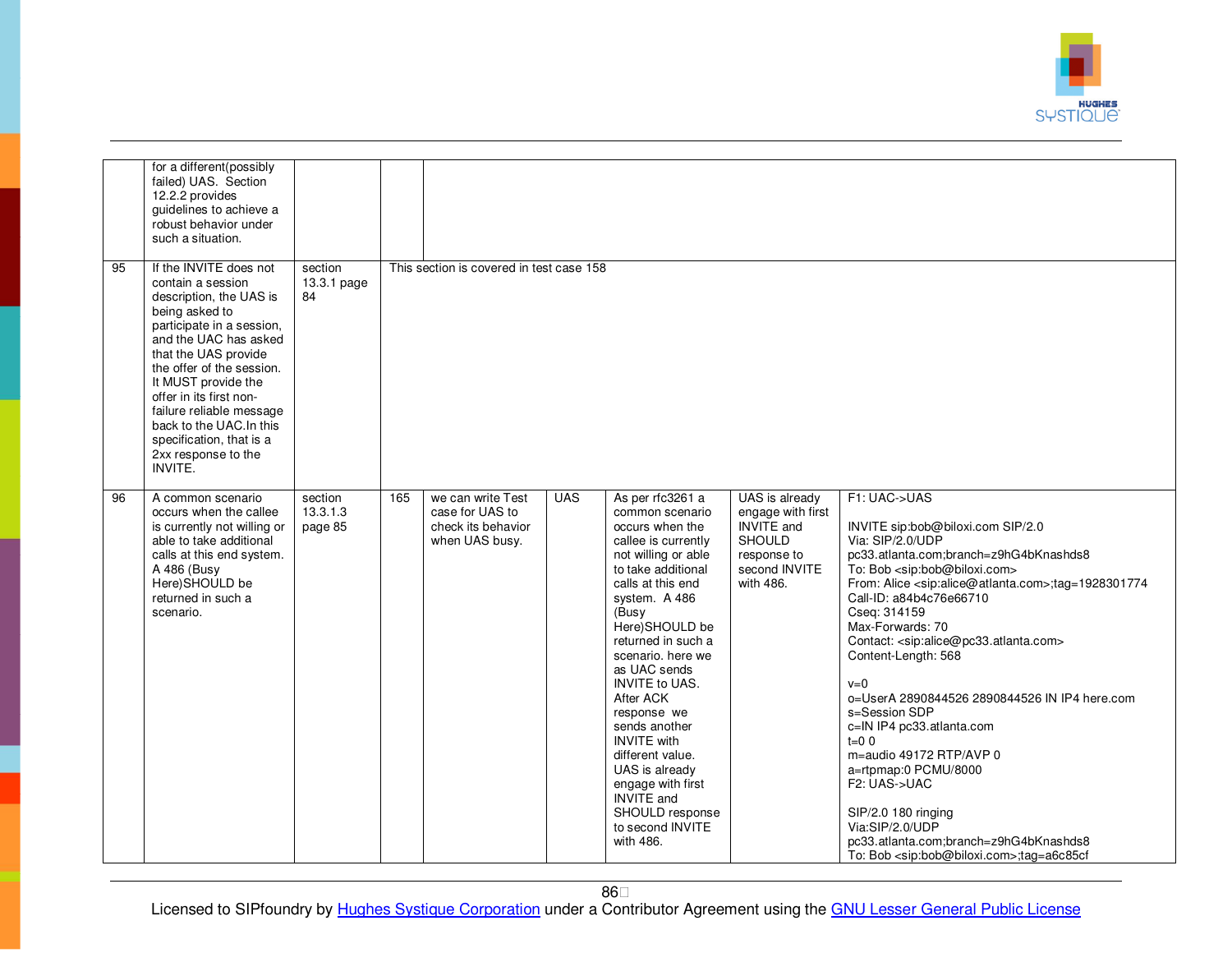

|    | for a different(possibly<br>failed) UAS. Section<br>12.2.2 provides<br>guidelines to achieve a<br>robust behavior under<br>such a situation.                                                                                                                                                                                                                                |                                |     |                                                                              |            |                                                                                                                                                                                                                                                                                                                                                                                                                                                                                 |                                                                                                                        |                                                                                                                                                                                                                                                                                                                                                                                                                                                                                                                                                                                                                                                                                                                                                                                                      |
|----|-----------------------------------------------------------------------------------------------------------------------------------------------------------------------------------------------------------------------------------------------------------------------------------------------------------------------------------------------------------------------------|--------------------------------|-----|------------------------------------------------------------------------------|------------|---------------------------------------------------------------------------------------------------------------------------------------------------------------------------------------------------------------------------------------------------------------------------------------------------------------------------------------------------------------------------------------------------------------------------------------------------------------------------------|------------------------------------------------------------------------------------------------------------------------|------------------------------------------------------------------------------------------------------------------------------------------------------------------------------------------------------------------------------------------------------------------------------------------------------------------------------------------------------------------------------------------------------------------------------------------------------------------------------------------------------------------------------------------------------------------------------------------------------------------------------------------------------------------------------------------------------------------------------------------------------------------------------------------------------|
| 95 | If the INVITE does not<br>contain a session<br>description, the UAS is<br>being asked to<br>participate in a session,<br>and the UAC has asked<br>that the UAS provide<br>the offer of the session.<br>It MUST provide the<br>offer in its first non-<br>failure reliable message<br>back to the UAC. In this<br>specification, that is a<br>2xx response to the<br>INVITE. | section<br>13.3.1 page<br>84   |     | This section is covered in test case 158                                     |            |                                                                                                                                                                                                                                                                                                                                                                                                                                                                                 |                                                                                                                        |                                                                                                                                                                                                                                                                                                                                                                                                                                                                                                                                                                                                                                                                                                                                                                                                      |
| 96 | A common scenario<br>occurs when the callee<br>is currently not willing or<br>able to take additional<br>calls at this end system.<br>A 486 (Busy<br>Here)SHOULD be<br>returned in such a<br>scenario.                                                                                                                                                                      | section<br>13.3.1.3<br>page 85 | 165 | we can write Test<br>case for UAS to<br>check its behavior<br>when UAS busy. | <b>UAS</b> | As per rfc3261 a<br>common scenario<br>occurs when the<br>callee is currently<br>not willing or able<br>to take additional<br>calls at this end<br>system. A 486<br>(Busy<br>Here)SHOULD be<br>returned in such a<br>scenario, here we<br>as UAC sends<br><b>INVITE to UAS.</b><br>After ACK<br>response we<br>sends another<br><b>INVITE</b> with<br>different value.<br>UAS is already<br>engage with first<br>INVITE and<br>SHOULD response<br>to second INVITE<br>with 486. | UAS is already<br>engage with first<br><b>INVITE</b> and<br><b>SHOULD</b><br>response to<br>second INVITE<br>with 486. | F1: UAC->UAS<br>INVITE sip:bob@biloxi.com SIP/2.0<br>Via: SIP/2.0/UDP<br>pc33.atlanta.com;branch=z9hG4bKnashds8<br>To: Bob <sip:bob@biloxi.com><br/>From: Alice <sip:alice@atlanta.com>;tag=1928301774<br/>Call-ID: a84b4c76e66710<br/>Cseq: 314159<br/>Max-Forwards: 70<br/>Contact: <sip:alice@pc33.atlanta.com><br/>Content-Length: 568<br/><math>v=0</math><br/>o=UserA 2890844526 2890844526 IN IP4 here.com<br/>s=Session SDP<br/>c=IN IP4 pc33.atlanta.com<br/><math>t=0</math> 0<br/>m=audio 49172 RTP/AVP 0<br/>a=rtpmap:0 PCMU/8000<br/>F2: UAS-&gt;UAC<br/>SIP/2.0 180 ringing<br/>Via:SIP/2.0/UDP<br/>pc33.atlanta.com;branch=z9hG4bKnashds8<br/>To: Bob <sip:bob@biloxi.com>;tag=a6c85cf</sip:bob@biloxi.com></sip:alice@pc33.atlanta.com></sip:alice@atlanta.com></sip:bob@biloxi.com> |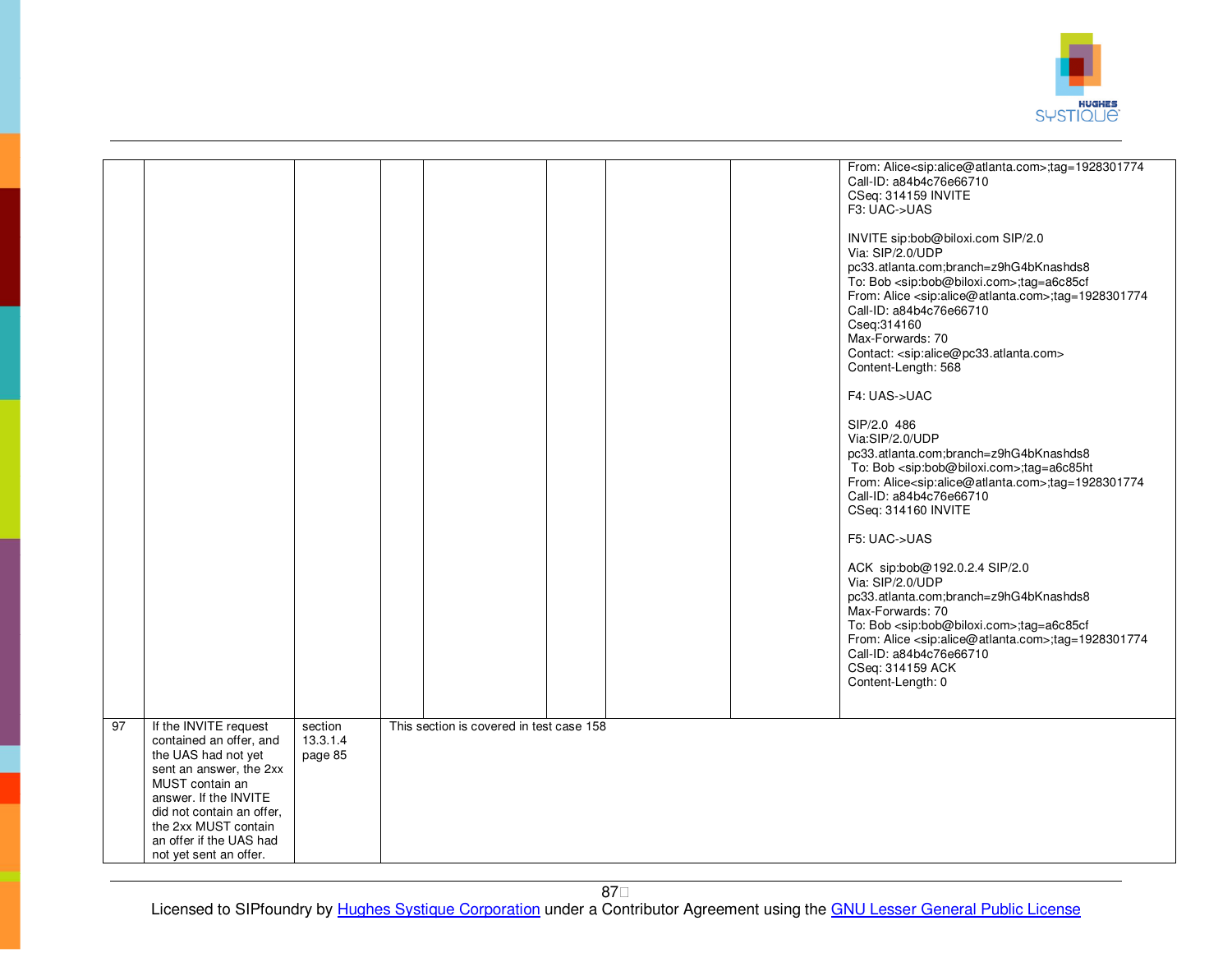

|                 |                                                                                                                                                                                                                                                          |                                |                                          |  | From: Alice <sip:alice@atlanta.com>;tag=1928301774<br/>Call-ID: a84b4c76e66710<br/>CSeq: 314159 INVITE<br/>F3: UAC-&gt;UAS<br/>INVITE sip:bob@biloxi.com SIP/2.0<br/>Via: SIP/2.0/UDP<br/>pc33.atlanta.com;branch=z9hG4bKnashds8<br/>To: Bob <sip:bob@biloxi.com>;tag=a6c85cf<br/>From: Alice <sip:alice@atlanta.com>;tag=1928301774<br/>Call-ID: a84b4c76e66710<br/>Cseq: 314160<br/>Max-Forwards: 70<br/>Contact: <sip:alice@pc33.atlanta.com><br/>Content-Length: 568<br/>F4: UAS-&gt;UAC<br/>SIP/2.0 486<br/>Via:SIP/2.0/UDP<br/>pc33.atlanta.com;branch=z9hG4bKnashds8<br/>To: Bob <sip:bob@biloxi.com>;tag=a6c85ht<br/>From: Alice<sip:alice@atlanta.com>;tag=1928301774<br/>Call-ID: a84b4c76e66710<br/>CSeq: 314160 INVITE<br/>F5: UAC-&gt;UAS<br/>ACK sip:bob@192.0.2.4 SIP/2.0<br/>Via: SIP/2.0/UDP<br/>pc33.atlanta.com;branch=z9hG4bKnashds8<br/>Max-Forwards: 70<br/>To: Bob <sip:bob@biloxi.com>;tag=a6c85cf<br/>From: Alice <sip:alice@atlanta.com>;tag=1928301774<br/>Call-ID: a84b4c76e66710<br/>CSeq: 314159 ACK<br/>Content-Length: 0</sip:alice@atlanta.com></sip:bob@biloxi.com></sip:alice@atlanta.com></sip:bob@biloxi.com></sip:alice@pc33.atlanta.com></sip:alice@atlanta.com></sip:bob@biloxi.com></sip:alice@atlanta.com> |
|-----------------|----------------------------------------------------------------------------------------------------------------------------------------------------------------------------------------------------------------------------------------------------------|--------------------------------|------------------------------------------|--|------------------------------------------------------------------------------------------------------------------------------------------------------------------------------------------------------------------------------------------------------------------------------------------------------------------------------------------------------------------------------------------------------------------------------------------------------------------------------------------------------------------------------------------------------------------------------------------------------------------------------------------------------------------------------------------------------------------------------------------------------------------------------------------------------------------------------------------------------------------------------------------------------------------------------------------------------------------------------------------------------------------------------------------------------------------------------------------------------------------------------------------------------------------------------------------------------------------------------------------------------|
| $\overline{97}$ | If the INVITE request<br>contained an offer, and<br>the UAS had not yet<br>sent an answer, the 2xx<br>MUST contain an<br>answer. If the INVITE<br>did not contain an offer.<br>the 2xx MUST contain<br>an offer if the UAS had<br>not yet sent an offer. | section<br>13.3.1.4<br>page 85 | This section is covered in test case 158 |  |                                                                                                                                                                                                                                                                                                                                                                                                                                                                                                                                                                                                                                                                                                                                                                                                                                                                                                                                                                                                                                                                                                                                                                                                                                                      |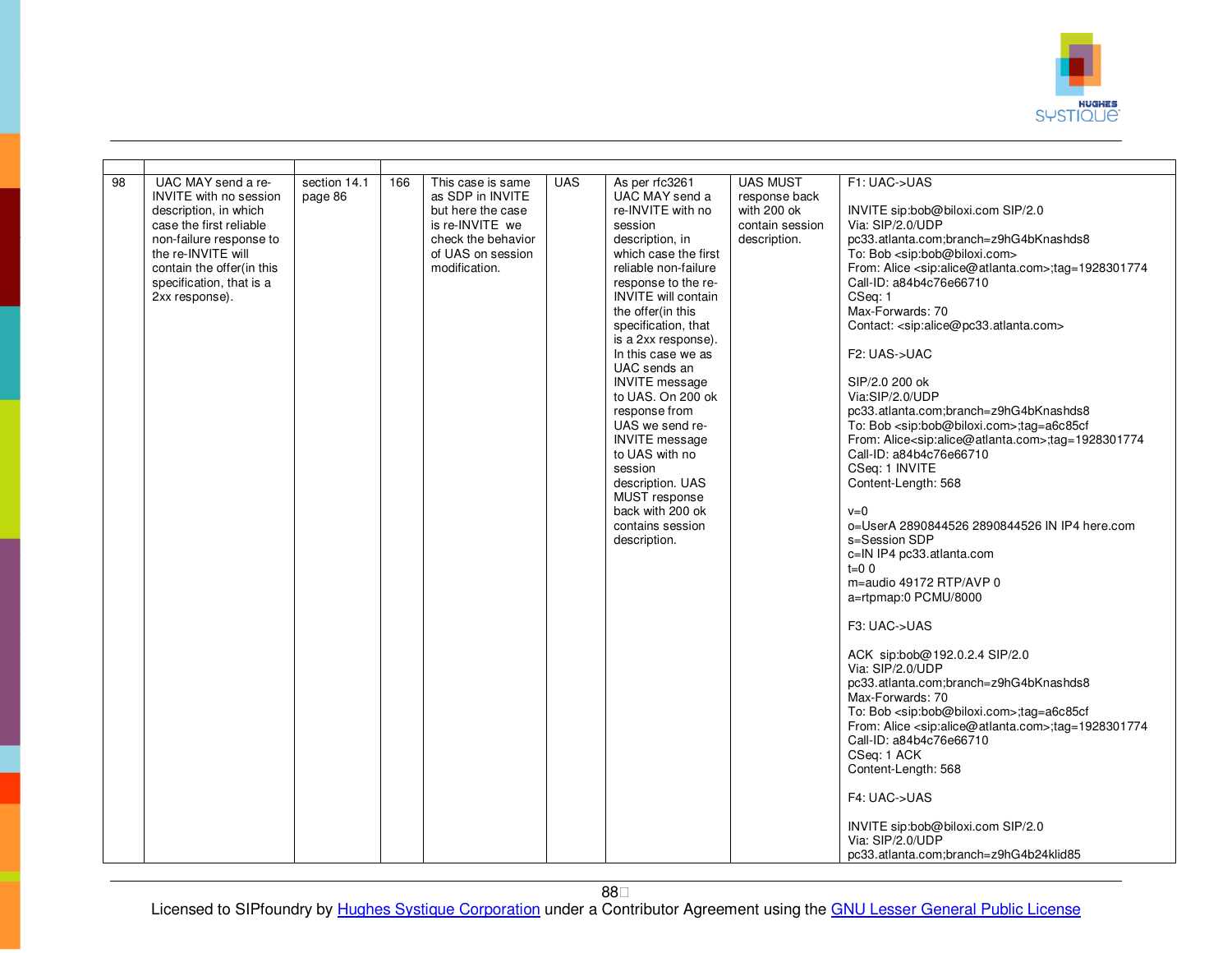

| UAC MAY send a re-<br><b>UAS MUST</b><br>$\overline{98}$<br>section 14.1<br><b>UAS</b><br>As per rfc3261<br>F1: UAC->UAS<br>166<br>This case is same<br>as SDP in INVITE<br><b>INVITE</b> with no session<br>page 86<br>UAC MAY send a<br>response back<br>description, in which<br>but here the case<br>re-INVITE with no<br>with 200 ok<br>INVITE sip:bob@biloxi.com SIP/2.0<br>Via: SIP/2.0/UDP<br>case the first reliable<br>is re-INVITE we<br>contain session<br>session<br>pc33.atlanta.com;branch=z9hG4bKnashds8<br>non-failure response to<br>check the behavior<br>description, in<br>description.<br>the re-INVITE will<br>of UAS on session<br>which case the first<br>To: Bob <sip:bob@biloxi.com></sip:bob@biloxi.com>                                                                                                                                                                                                                                                                                                                                                                                                                                                                                                                                                                                                                                                                                                                                                                                                                                                                                                                                                                                                      |
|-------------------------------------------------------------------------------------------------------------------------------------------------------------------------------------------------------------------------------------------------------------------------------------------------------------------------------------------------------------------------------------------------------------------------------------------------------------------------------------------------------------------------------------------------------------------------------------------------------------------------------------------------------------------------------------------------------------------------------------------------------------------------------------------------------------------------------------------------------------------------------------------------------------------------------------------------------------------------------------------------------------------------------------------------------------------------------------------------------------------------------------------------------------------------------------------------------------------------------------------------------------------------------------------------------------------------------------------------------------------------------------------------------------------------------------------------------------------------------------------------------------------------------------------------------------------------------------------------------------------------------------------------------------------------------------------------------------------------------------------|
| contain the offer(in this<br>modification.<br>reliable non-failure<br>From: Alice <sip:alice@atlanta.com>;tag=1928301774<br/>Call-ID: a84b4c76e66710<br/>specification, that is a<br/>response to the re-<br/><b>INVITE</b> will contain<br/>CSeq: 1<br/>2xx response).<br/>Max-Forwards: 70<br/>the offer(in this<br/>specification, that<br/>Contact: <sip:alice@pc33.atlanta.com><br/>is a 2xx response).<br/>In this case we as<br/>F2: UAS-&gt;UAC<br/>UAC sends an<br/>SIP/2.0 200 ok<br/><b>INVITE</b> message<br/>to UAS. On 200 ok<br/>Via:SIP/2.0/UDP<br/>response from<br/>pc33.atlanta.com;branch=z9hG4bKnashds8<br/>UAS we send re-<br/>To: Bob <sip:bob@biloxi.com>;tag=a6c85cf<br/><b>INVITE</b> message<br/>From: Alice<sip:alice@atlanta.com>;tag=1928301774<br/>to UAS with no<br/>Call-ID: a84b4c76e66710<br/>CSeq: 1 INVITE<br/>session<br/>description. UAS<br/>Content-Length: 568<br/>MUST response<br/>back with 200 ok<br/><math>v=0</math><br/>contains session<br/>o=UserA 2890844526 2890844526 IN IP4 here.com<br/>s=Session SDP<br/>description.<br/>c=IN IP4 pc33.atlanta.com<br/><math>t=0</math> 0<br/>m=audio 49172 RTP/AVP 0<br/>a=rtpmap:0 PCMU/8000<br/>F3: UAC-&gt;UAS<br/>ACK sip:bob@192.0.2.4 SIP/2.0<br/>Via: SIP/2.0/UDP<br/>pc33.atlanta.com;branch=z9hG4bKnashds8<br/>Max-Forwards: 70<br/>To: Bob <sip:bob@biloxi.com>;tag=a6c85cf<br/>From: Alice <sip:alice@atlanta.com>;tag=1928301774<br/>Call-ID: a84b4c76e66710<br/>CSeq: 1 ACK<br/>Content-Length: 568<br/>F4: UAC-&gt;UAS<br/>INVITE sip:bob@biloxi.com SIP/2.0<br/>Via: SIP/2.0/UDP</sip:alice@atlanta.com></sip:bob@biloxi.com></sip:alice@atlanta.com></sip:bob@biloxi.com></sip:alice@pc33.atlanta.com></sip:alice@atlanta.com> |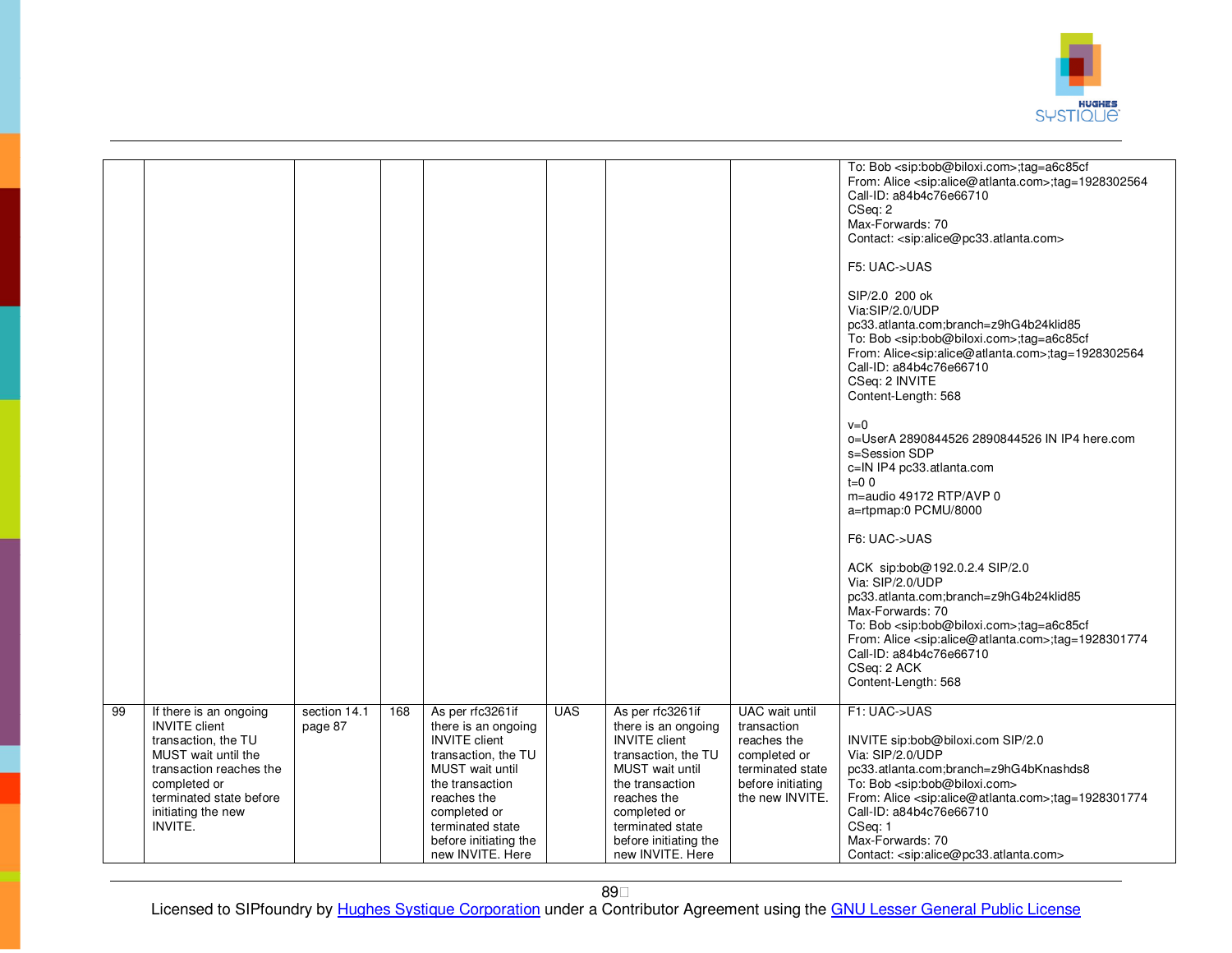

|    |                                                                                                                                                                                                     |                         |     |                                                                                                                                                                                                                              |            |                                                                                                                                                                                                                              |                                                                                                                          | To: Bob <sip:bob@biloxi.com>;tag=a6c85cf<br/>From: Alice <sip:alice@atlanta.com>;tag=1928302564<br/>Call-ID: a84b4c76e66710<br/>CSeq: 2<br/>Max-Forwards: 70<br/>Contact: <sip:alice@pc33.atlanta.com><br/>F5: UAC-&gt;UAS<br/>SIP/2.0 200 ok<br/>Via:SIP/2.0/UDP<br/>pc33.atlanta.com;branch=z9hG4b24klid85<br/>To: Bob <sip:bob@biloxi.com>;tag=a6c85cf<br/>From: Alice<sip:alice@atlanta.com>;tag=1928302564<br/>Call-ID: a84b4c76e66710<br/>CSeq: 2 INVITE<br/>Content-Length: 568<br/><math>v=0</math><br/>o=UserA 2890844526 2890844526 IN IP4 here.com<br/>s=Session SDP<br/>c=IN IP4 pc33.atlanta.com<br/><math>t=0.0</math><br/>m=audio 49172 RTP/AVP 0<br/>a=rtpmap:0 PCMU/8000<br/>F6: UAC-&gt;UAS<br/>ACK sip:bob@192.0.2.4 SIP/2.0<br/>Via: SIP/2.0/UDP<br/>pc33.atlanta.com;branch=z9hG4b24klid85<br/>Max-Forwards: 70<br/>To: Bob <sip:bob@biloxi.com>;tag=a6c85cf<br/>From: Alice <sip:alice@atlanta.com>;tag=1928301774<br/>Call-ID: a84b4c76e66710<br/>CSeq: 2 ACK<br/>Content-Length: 568</sip:alice@atlanta.com></sip:bob@biloxi.com></sip:alice@atlanta.com></sip:bob@biloxi.com></sip:alice@pc33.atlanta.com></sip:alice@atlanta.com></sip:bob@biloxi.com> |
|----|-----------------------------------------------------------------------------------------------------------------------------------------------------------------------------------------------------|-------------------------|-----|------------------------------------------------------------------------------------------------------------------------------------------------------------------------------------------------------------------------------|------------|------------------------------------------------------------------------------------------------------------------------------------------------------------------------------------------------------------------------------|--------------------------------------------------------------------------------------------------------------------------|----------------------------------------------------------------------------------------------------------------------------------------------------------------------------------------------------------------------------------------------------------------------------------------------------------------------------------------------------------------------------------------------------------------------------------------------------------------------------------------------------------------------------------------------------------------------------------------------------------------------------------------------------------------------------------------------------------------------------------------------------------------------------------------------------------------------------------------------------------------------------------------------------------------------------------------------------------------------------------------------------------------------------------------------------------------------------------------------------------------------------------------------------------------------------------|
| 99 | If there is an ongoing<br><b>INVITE</b> client<br>transaction, the TU<br>MUST wait until the<br>transaction reaches the<br>completed or<br>terminated state before<br>initiating the new<br>INVITE. | section 14.1<br>page 87 | 168 | As per rfc3261if<br>there is an ongoing<br><b>INVITE</b> client<br>transaction, the TU<br>MUST wait until<br>the transaction<br>reaches the<br>completed or<br>terminated state<br>before initiating the<br>new INVITE. Here | <b>UAS</b> | As per rfc3261if<br>there is an ongoing<br><b>INVITE</b> client<br>transaction, the TU<br>MUST wait until<br>the transaction<br>reaches the<br>completed or<br>terminated state<br>before initiating the<br>new INVITE. Here | UAC wait until<br>transaction<br>reaches the<br>completed or<br>terminated state<br>before initiating<br>the new INVITE. | F1: UAC->UAS<br>INVITE sip:bob@biloxi.com SIP/2.0<br>Via: SIP/2.0/UDP<br>pc33.atlanta.com;branch=z9hG4bKnashds8<br>To: Bob <sip:bob@biloxi.com><br/>From: Alice <sip:alice@atlanta.com>;tag=1928301774<br/>Call-ID: a84b4c76e66710<br/>CSea: 1<br/>Max-Forwards: 70<br/>Contact: <sip:alice@pc33.atlanta.com></sip:alice@pc33.atlanta.com></sip:alice@atlanta.com></sip:bob@biloxi.com>                                                                                                                                                                                                                                                                                                                                                                                                                                                                                                                                                                                                                                                                                                                                                                                          |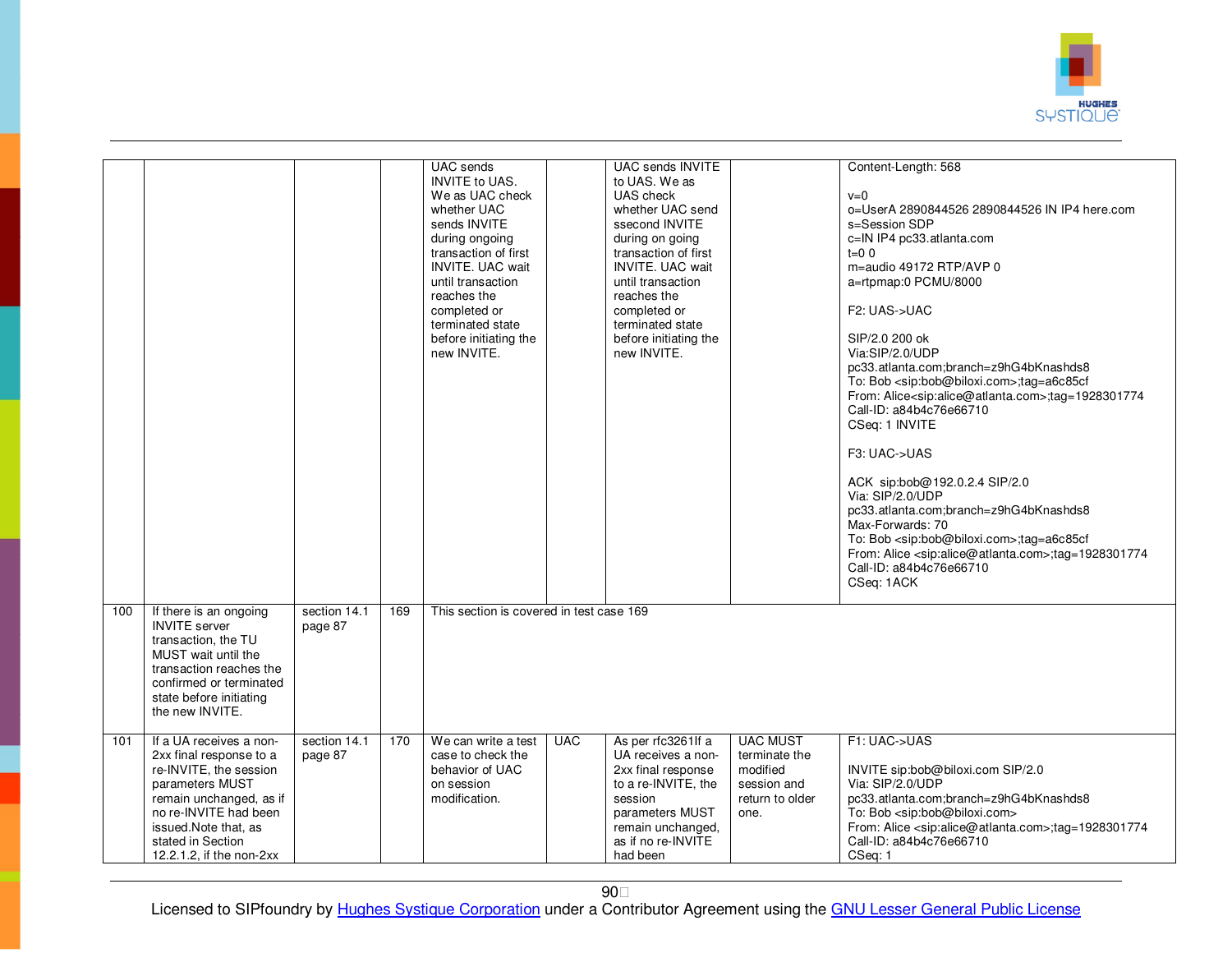

|     |                                                                                                                                                                                                                               |                         |     | UAC sends<br><b>INVITE to UAS.</b><br>We as UAC check<br>whether UAC<br>sends INVITE<br>during ongoing<br>transaction of first<br><b>INVITE, UAC wait</b><br>until transaction<br>reaches the<br>completed or<br>terminated state<br>before initiating the<br>new INVITE. |            | UAC sends INVITE<br>to UAS. We as<br>UAS check<br>whether UAC send<br>ssecond INVITE<br>during on going<br>transaction of first<br><b>INVITE, UAC wait</b><br>until transaction<br>reaches the<br>completed or<br>terminated state<br>before initiating the<br>new INVITE. |                                                                                        | Content-Length: 568<br>$v=0$<br>o=UserA 2890844526 2890844526 IN IP4 here.com<br>s=Session SDP<br>c=IN IP4 pc33.atlanta.com<br>$t=0$ 0<br>m=audio 49172 RTP/AVP 0<br>a=rtpmap:0 PCMU/8000<br>F <sub>2</sub> : UAS->UAC<br>SIP/2.0 200 ok<br>Via:SIP/2.0/UDP<br>pc33.atlanta.com;branch=z9hG4bKnashds8<br>To: Bob <sip:bob@biloxi.com>;tag=a6c85cf<br/>From: Alice<sip:alice@atlanta.com>;tag=1928301774<br/>Call-ID: a84b4c76e66710<br/>CSeq: 1 INVITE<br/>F3: UAC-&gt;UAS<br/>ACK sip:bob@192.0.2.4 SIP/2.0<br/>Via: SIP/2.0/UDP<br/>pc33.atlanta.com;branch=z9hG4bKnashds8<br/>Max-Forwards: 70<br/>To: Bob <sip:bob@biloxi.com>;tag=a6c85cf<br/>From: Alice <sip:alice@atlanta.com>;tag=1928301774<br/>Call-ID: a84b4c76e66710<br/>CSeq: 1ACK</sip:alice@atlanta.com></sip:bob@biloxi.com></sip:alice@atlanta.com></sip:bob@biloxi.com> |
|-----|-------------------------------------------------------------------------------------------------------------------------------------------------------------------------------------------------------------------------------|-------------------------|-----|---------------------------------------------------------------------------------------------------------------------------------------------------------------------------------------------------------------------------------------------------------------------------|------------|----------------------------------------------------------------------------------------------------------------------------------------------------------------------------------------------------------------------------------------------------------------------------|----------------------------------------------------------------------------------------|--------------------------------------------------------------------------------------------------------------------------------------------------------------------------------------------------------------------------------------------------------------------------------------------------------------------------------------------------------------------------------------------------------------------------------------------------------------------------------------------------------------------------------------------------------------------------------------------------------------------------------------------------------------------------------------------------------------------------------------------------------------------------------------------------------------------------------------------|
| 100 | If there is an ongoing<br><b>INVITE</b> server<br>transaction, the TU<br>MUST wait until the<br>transaction reaches the<br>confirmed or terminated<br>state before initiating<br>the new INVITE.                              | section 14.1<br>page 87 | 169 | This section is covered in test case 169                                                                                                                                                                                                                                  |            |                                                                                                                                                                                                                                                                            |                                                                                        |                                                                                                                                                                                                                                                                                                                                                                                                                                                                                                                                                                                                                                                                                                                                                                                                                                            |
| 101 | If a UA receives a non-<br>2xx final response to a<br>re-INVITE, the session<br>parameters MUST<br>remain unchanged, as if<br>no re-INVITE had been<br>issued. Note that, as<br>stated in Section<br>12.2.1.2, if the non-2xx | section 14.1<br>page 87 | 170 | We can write a test<br>case to check the<br>behavior of UAC<br>on session<br>modification.                                                                                                                                                                                | <b>UAC</b> | As per rfc3261If a<br>UA receives a non-<br>2xx final response<br>to a re-INVITE, the<br>session<br>parameters MUST<br>remain unchanged,<br>as if no re-INVITE<br>had been                                                                                                 | <b>UAC MUST</b><br>terminate the<br>modified<br>session and<br>return to older<br>one. | F1: UAC->UAS<br>INVITE sip:bob@biloxi.com SIP/2.0<br>Via: SIP/2.0/UDP<br>pc33.atlanta.com;branch=z9hG4bKnashds8<br>To: Bob <sip:bob@biloxi.com><br/>From: Alice <sip:alice@atlanta.com>;tag=1928301774<br/>Call-ID: a84b4c76e66710<br/>CSeq: 1</sip:alice@atlanta.com></sip:bob@biloxi.com>                                                                                                                                                                                                                                                                                                                                                                                                                                                                                                                                                |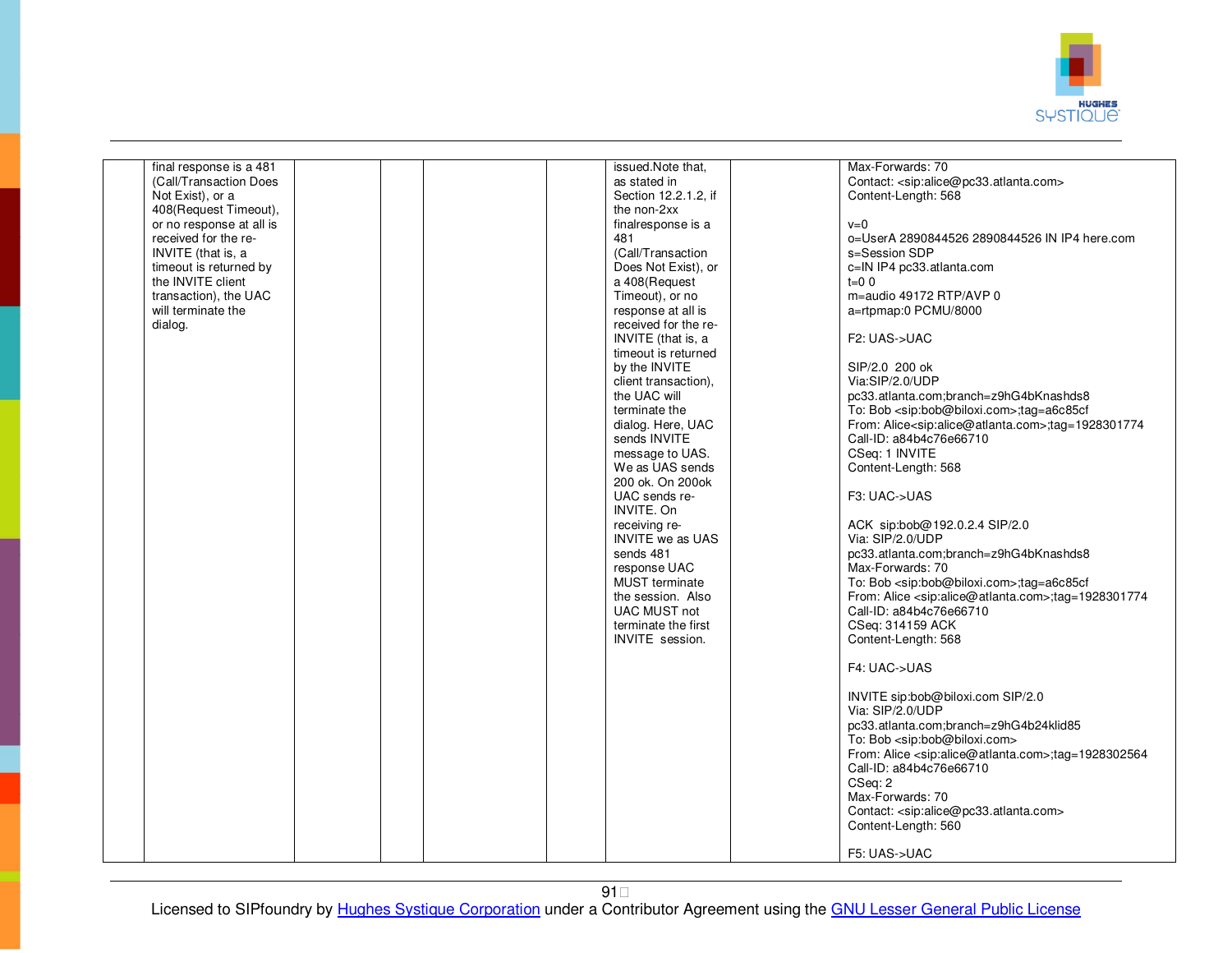

| final response is a 481  |  | issued.Note that,       | Max-Forwards: 70                                                           |
|--------------------------|--|-------------------------|----------------------------------------------------------------------------|
| (Call/Transaction Does   |  | as stated in            | Contact: <sip:alice@pc33.atlanta.com></sip:alice@pc33.atlanta.com>         |
| Not Exist), or a         |  | Section 12.2.1.2. if    | Content-Length: 568                                                        |
|                          |  |                         |                                                                            |
| 408(Request Timeout),    |  | the non-2xx             |                                                                            |
| or no response at all is |  | finalresponse is a      | $v=0$                                                                      |
| received for the re-     |  | 481                     | o=UserA 2890844526 2890844526 IN IP4 here.com                              |
| INVITE (that is, a       |  | (Call/Transaction       | s=Session SDP                                                              |
|                          |  | Does Not Exist), or     |                                                                            |
| timeout is returned by   |  |                         | c=IN IP4 pc33.atlanta.com                                                  |
| the INVITE client        |  | a 408(Request           | $t=0$ 0                                                                    |
| transaction), the UAC    |  | Timeout), or no         | m=audio 49172 RTP/AVP 0                                                    |
| will terminate the       |  | response at all is      | a=rtpmap:0 PCMU/8000                                                       |
| dialog.                  |  | received for the re-    |                                                                            |
|                          |  |                         |                                                                            |
|                          |  | INVITE (that is, a      | F2: UAS->UAC                                                               |
|                          |  | timeout is returned     |                                                                            |
|                          |  | by the INVITE           | SIP/2.0 200 ok                                                             |
|                          |  | client transaction),    | Via:SIP/2.0/UDP                                                            |
|                          |  | the UAC will            | pc33.atlanta.com;branch=z9hG4bKnashds8                                     |
|                          |  |                         |                                                                            |
|                          |  | terminate the           | To: Bob <sip:bob@biloxi.com>;taq=a6c85cf</sip:bob@biloxi.com>              |
|                          |  | dialog. Here, UAC       | From: Alice <sip:alice@atlanta.com>;tag=1928301774</sip:alice@atlanta.com> |
|                          |  | sends INVITE            | Call-ID: a84b4c76e66710                                                    |
|                          |  | message to UAS.         | CSeq: 1 INVITE                                                             |
|                          |  | We as UAS sends         | Content-Length: 568                                                        |
|                          |  |                         |                                                                            |
|                          |  | 200 ok. On 200 ok       |                                                                            |
|                          |  | UAC sends re-           | F3: UAC->UAS                                                               |
|                          |  | INVITE, On              |                                                                            |
|                          |  | receiving re-           | ACK sip:bob@192.0.2.4 SIP/2.0                                              |
|                          |  | <b>INVITE</b> we as UAS | Via: SIP/2.0/UDP                                                           |
|                          |  |                         |                                                                            |
|                          |  | sends 481               | pc33.atlanta.com;branch=z9hG4bKnashds8                                     |
|                          |  | response UAC            | Max-Forwards: 70                                                           |
|                          |  | <b>MUST</b> terminate   | To: Bob <sip:bob@biloxi.com>;tag=a6c85cf</sip:bob@biloxi.com>              |
|                          |  | the session. Also       | From: Alice <sip:alice@atlanta.com>;tag=1928301774</sip:alice@atlanta.com> |
|                          |  | <b>UAC MUST not</b>     | Call-ID: a84b4c76e66710                                                    |
|                          |  |                         |                                                                            |
|                          |  | terminate the first     | CSeq: 314159 ACK                                                           |
|                          |  | <b>INVITE</b> session.  | Content-Length: 568                                                        |
|                          |  |                         |                                                                            |
|                          |  |                         | F4: UAC->UAS                                                               |
|                          |  |                         |                                                                            |
|                          |  |                         | INVITE sip:bob@biloxi.com SIP/2.0                                          |
|                          |  |                         |                                                                            |
|                          |  |                         | Via: SIP/2.0/UDP                                                           |
|                          |  |                         | pc33.atlanta.com;branch=z9hG4b24klid85                                     |
|                          |  |                         | To: Bob <sip:bob@biloxi.com></sip:bob@biloxi.com>                          |
|                          |  |                         | From: Alice <sip:alice@atlanta.com>;tag=1928302564</sip:alice@atlanta.com> |
|                          |  |                         |                                                                            |
|                          |  |                         | Call-ID: a84b4c76e66710                                                    |
|                          |  |                         | CSeq: 2                                                                    |
|                          |  |                         | Max-Forwards: 70                                                           |
|                          |  |                         | Contact: <sip:alice@pc33.atlanta.com></sip:alice@pc33.atlanta.com>         |
|                          |  |                         | Content-Length: 560                                                        |
|                          |  |                         |                                                                            |
|                          |  |                         |                                                                            |
|                          |  |                         | F5: UAS->UAC                                                               |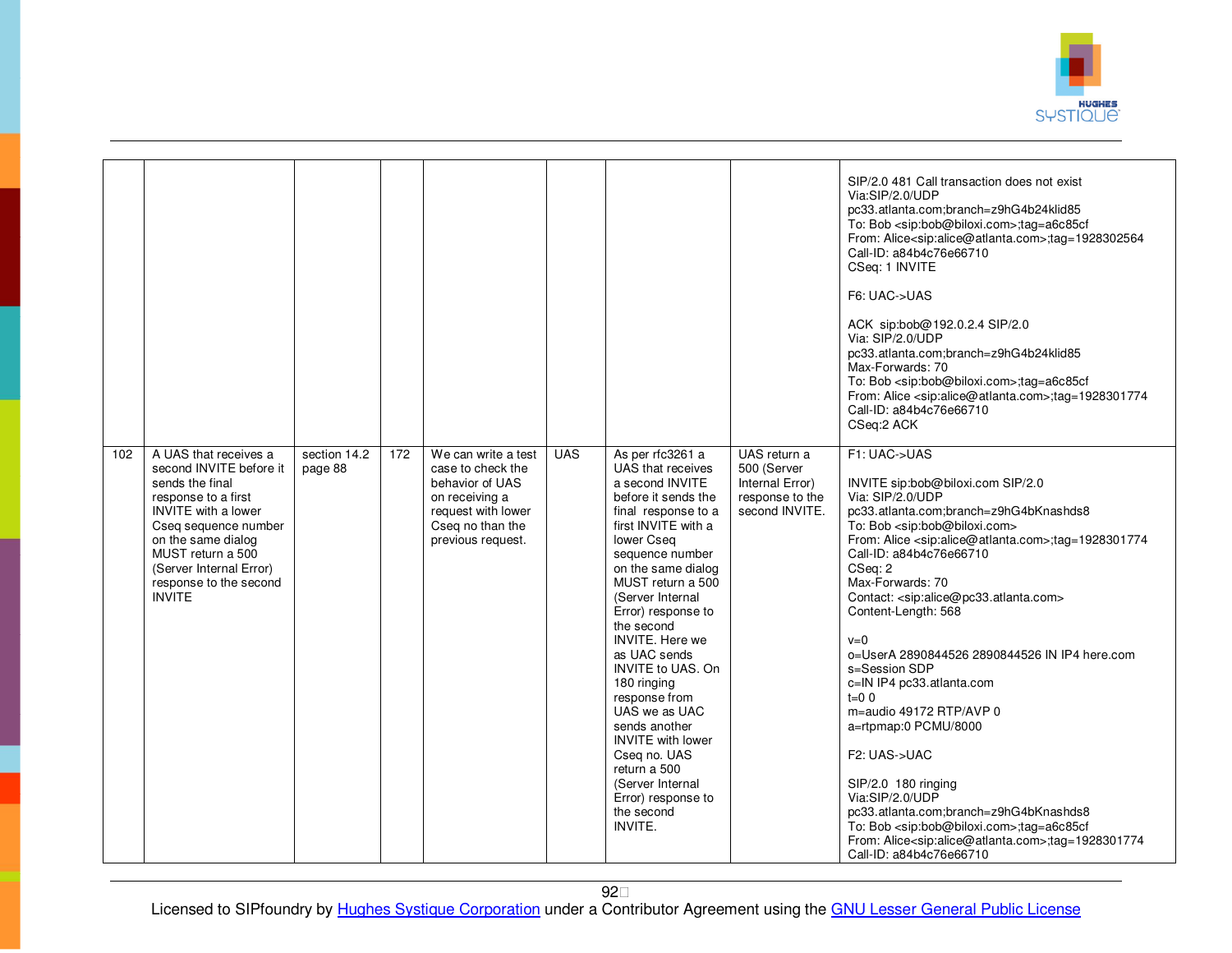

|     |                                                                                                                                                                                                                                                                   |                         |     |                                                                                                                                              |            |                                                                                                                                                                                                                                                                                                                                                                                                                                                                                                                                                 |                                                                                     | SIP/2.0 481 Call transaction does not exist<br>Via:SIP/2.0/UDP<br>pc33.atlanta.com;branch=z9hG4b24klid85<br>To: Bob <sip:bob@biloxi.com>;tag=a6c85cf<br/>From: Alice<sip:alice@atlanta.com>;tag=1928302564<br/>Call-ID: a84b4c76e66710<br/>CSeq: 1 INVITE<br/>F6: UAC-&gt;UAS<br/>ACK sip:bob@192.0.2.4 SIP/2.0<br/>Via: SIP/2.0/UDP<br/>pc33.atlanta.com;branch=z9hG4b24klid85<br/>Max-Forwards: 70<br/>To: Bob <sip:bob@biloxi.com>;tag=a6c85cf<br/>From: Alice <sip:alice@atlanta.com>;tag=1928301774<br/>Call-ID: a84b4c76e66710<br/>CSeq:2 ACK</sip:alice@atlanta.com></sip:bob@biloxi.com></sip:alice@atlanta.com></sip:bob@biloxi.com>                                                                                                                                                                                                                                                             |
|-----|-------------------------------------------------------------------------------------------------------------------------------------------------------------------------------------------------------------------------------------------------------------------|-------------------------|-----|----------------------------------------------------------------------------------------------------------------------------------------------|------------|-------------------------------------------------------------------------------------------------------------------------------------------------------------------------------------------------------------------------------------------------------------------------------------------------------------------------------------------------------------------------------------------------------------------------------------------------------------------------------------------------------------------------------------------------|-------------------------------------------------------------------------------------|-----------------------------------------------------------------------------------------------------------------------------------------------------------------------------------------------------------------------------------------------------------------------------------------------------------------------------------------------------------------------------------------------------------------------------------------------------------------------------------------------------------------------------------------------------------------------------------------------------------------------------------------------------------------------------------------------------------------------------------------------------------------------------------------------------------------------------------------------------------------------------------------------------------|
| 102 | A UAS that receives a<br>second INVITE before it<br>sends the final<br>response to a first<br><b>INVITE</b> with a lower<br>Cseq sequence number<br>on the same dialog<br>MUST return a 500<br>(Server Internal Error)<br>response to the second<br><b>INVITE</b> | section 14.2<br>page 88 | 172 | We can write a test<br>case to check the<br>behavior of UAS<br>on receiving a<br>request with lower<br>Cseq no than the<br>previous request. | <b>UAS</b> | As per rfc3261 a<br>UAS that receives<br>a second INVITE<br>before it sends the<br>final response to a<br>first INVITE with a<br>lower Cseq<br>sequence number<br>on the same dialog<br>MUST return a 500<br>(Server Internal<br>Error) response to<br>the second<br><b>INVITE.</b> Here we<br>as UAC sends<br><b>INVITE to UAS, On</b><br>180 ringing<br>response from<br>UAS we as UAC<br>sends another<br><b>INVITE</b> with lower<br>Cseq no. UAS<br>return a 500<br>(Server Internal<br>Error) response to<br>the second<br><b>INVITE.</b> | UAS return a<br>500 (Server<br>Internal Error)<br>response to the<br>second INVITE. | F1: UAC->UAS<br>INVITE sip:bob@biloxi.com SIP/2.0<br>Via: SIP/2.0/UDP<br>pc33.atlanta.com;branch=z9hG4bKnashds8<br>To: Bob <sip:bob@biloxi.com><br/>From: Alice <sip:alice@atlanta.com>;tag=1928301774<br/>Call-ID: a84b4c76e66710<br/>CSeq: 2<br/>Max-Forwards: 70<br/>Contact: <sip:alice@pc33.atlanta.com><br/>Content-Length: 568<br/><math>v=0</math><br/>o=UserA 2890844526 2890844526 IN IP4 here.com<br/>s=Session SDP<br/>c=IN IP4 pc33.atlanta.com<br/><math>t=0</math> 0<br/>m=audio 49172 RTP/AVP 0<br/>a=rtpmap:0 PCMU/8000<br/>F2: UAS-&gt;UAC<br/>SIP/2.0 180 ringing<br/>Via:SIP/2.0/UDP<br/>pc33.atlanta.com;branch=z9hG4bKnashds8<br/>To: Bob <sip:bob@biloxi.com>;tag=a6c85cf<br/>From: Alice<sip:alice@atlanta.com>;tag=1928301774<br/>Call-ID: a84b4c76e66710</sip:alice@atlanta.com></sip:bob@biloxi.com></sip:alice@pc33.atlanta.com></sip:alice@atlanta.com></sip:bob@biloxi.com> |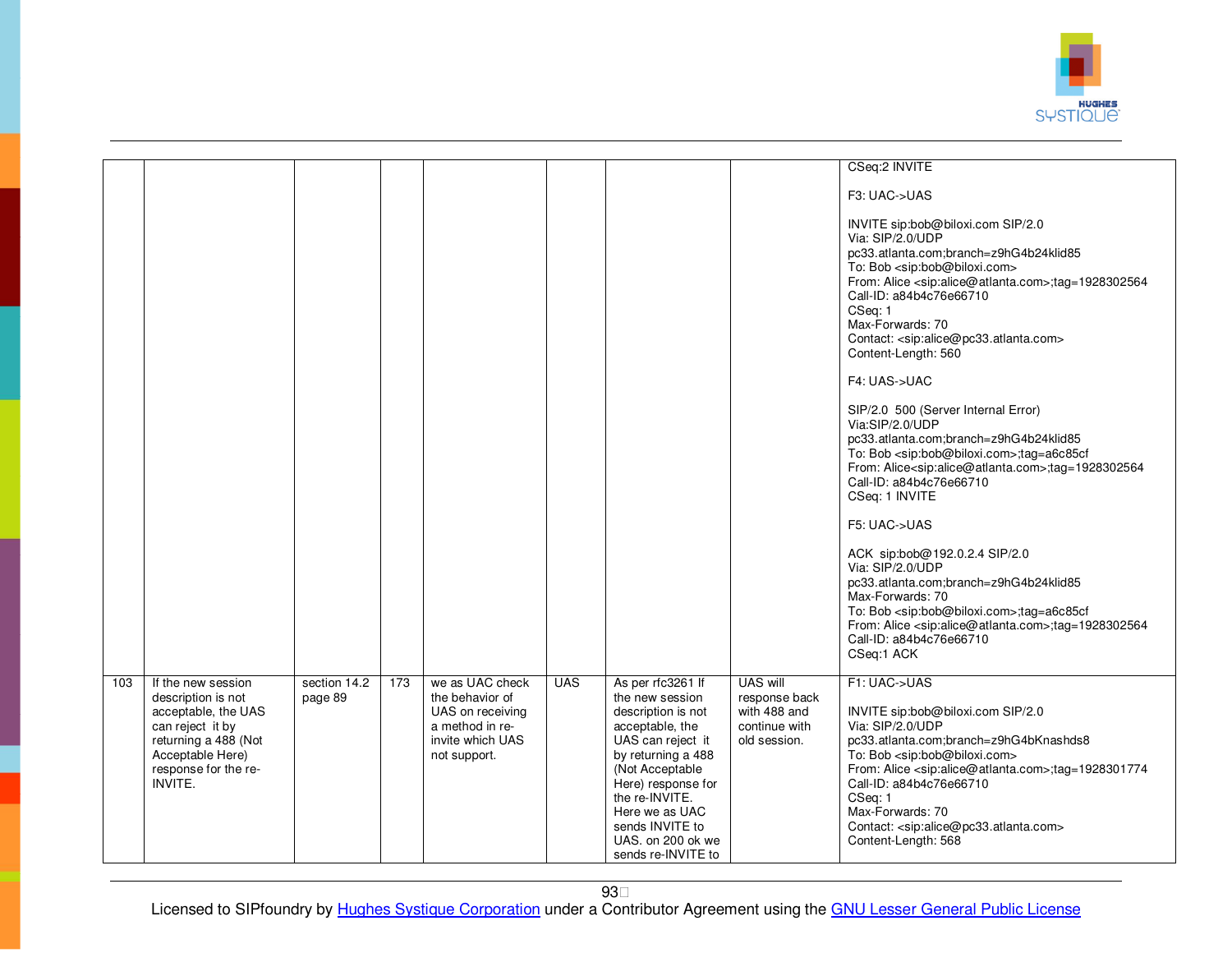

|     |                                                                                                                                                                           |                         |     |                                                                                            |            |                                                                                                                                                                                                                                                                     |                                                                | CSeq:2 INVITE                                                                                                                                                                                                                                                                                                                                                                                                                                                                                                                                                                                                                                                                                          |
|-----|---------------------------------------------------------------------------------------------------------------------------------------------------------------------------|-------------------------|-----|--------------------------------------------------------------------------------------------|------------|---------------------------------------------------------------------------------------------------------------------------------------------------------------------------------------------------------------------------------------------------------------------|----------------------------------------------------------------|--------------------------------------------------------------------------------------------------------------------------------------------------------------------------------------------------------------------------------------------------------------------------------------------------------------------------------------------------------------------------------------------------------------------------------------------------------------------------------------------------------------------------------------------------------------------------------------------------------------------------------------------------------------------------------------------------------|
|     |                                                                                                                                                                           |                         |     |                                                                                            |            |                                                                                                                                                                                                                                                                     |                                                                | F3: UAC->UAS                                                                                                                                                                                                                                                                                                                                                                                                                                                                                                                                                                                                                                                                                           |
|     |                                                                                                                                                                           |                         |     |                                                                                            |            |                                                                                                                                                                                                                                                                     |                                                                | INVITE sip:bob@biloxi.com SIP/2.0<br>Via: SIP/2.0/UDP<br>pc33.atlanta.com;branch=z9hG4b24klid85<br>To: Bob <sip:bob@biloxi.com><br/>From: Alice <sip:alice@atlanta.com>;tag=1928302564<br/>Call-ID: a84b4c76e66710<br/>CSeq: 1<br/>Max-Forwards: 70<br/>Contact: <sip:alice@pc33.atlanta.com><br/>Content-Length: 560<br/>F4: UAS-&gt;UAC<br/>SIP/2.0 500 (Server Internal Error)<br/>Via:SIP/2.0/UDP<br/>pc33.atlanta.com;branch=z9hG4b24klid85<br/>To: Bob <sip:bob@biloxi.com>;tag=a6c85cf<br/>From: Alice<sip:alice@atlanta.com>;tag=1928302564<br/>Call-ID: a84b4c76e66710</sip:alice@atlanta.com></sip:bob@biloxi.com></sip:alice@pc33.atlanta.com></sip:alice@atlanta.com></sip:bob@biloxi.com> |
|     |                                                                                                                                                                           |                         |     |                                                                                            |            |                                                                                                                                                                                                                                                                     |                                                                | CSeq: 1 INVITE                                                                                                                                                                                                                                                                                                                                                                                                                                                                                                                                                                                                                                                                                         |
|     |                                                                                                                                                                           |                         |     | we as UAC check                                                                            | <b>UAS</b> |                                                                                                                                                                                                                                                                     | <b>UAS will</b>                                                | F5: UAC->UAS<br>ACK sip:bob@192.0.2.4 SIP/2.0<br>Via: SIP/2.0/UDP<br>pc33.atlanta.com;branch=z9hG4b24klid85<br>Max-Forwards: 70<br>To: Bob <sip:bob@biloxi.com>;tag=a6c85cf<br/>From: Alice <sip:alice@atlanta.com>;tag=1928302564<br/>Call-ID: a84b4c76e66710<br/>CSeq:1 ACK<br/>F1: UAC-&gt;UAS</sip:alice@atlanta.com></sip:bob@biloxi.com>                                                                                                                                                                                                                                                                                                                                                         |
| 103 | If the new session<br>description is not<br>acceptable, the UAS<br>can reject it by<br>returning a 488 (Not<br>Acceptable Here)<br>response for the re-<br><b>INVITE.</b> | section 14.2<br>page 89 | 173 | the behavior of<br>UAS on receiving<br>a method in re-<br>invite which UAS<br>not support. |            | As per rfc3261 If<br>the new session<br>description is not<br>acceptable, the<br>UAS can reject it<br>by returning a 488<br>(Not Acceptable<br>Here) response for<br>the re-INVITE.<br>Here we as UAC<br>sends INVITE to<br>UAS. on 200 ok we<br>sends re-INVITE to | response back<br>with 488 and<br>continue with<br>old session. | INVITE sip:bob@biloxi.com SIP/2.0<br>Via: SIP/2.0/UDP<br>pc33.atlanta.com;branch=z9hG4bKnashds8<br>To: Bob <sip:bob@biloxi.com><br/>From: Alice <sip:alice@atlanta.com>;tag=1928301774<br/>Call-ID: a84b4c76e66710<br/>CSeq: 1<br/>Max-Forwards: 70<br/>Contact: <sip:alice@pc33.atlanta.com><br/>Content-Length: 568</sip:alice@pc33.atlanta.com></sip:alice@atlanta.com></sip:bob@biloxi.com>                                                                                                                                                                                                                                                                                                        |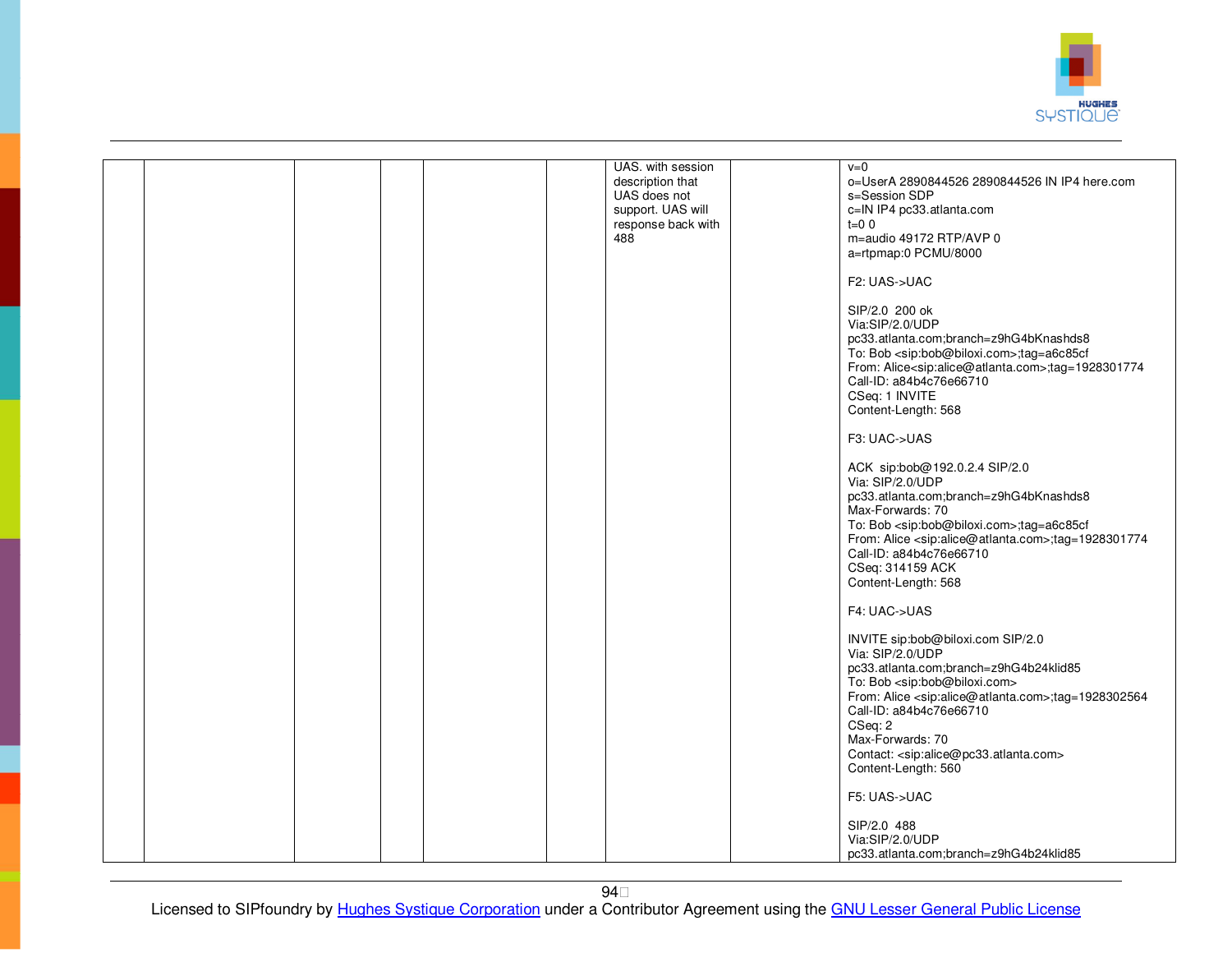

|  |  |  | UAS. with session<br>description that<br>UAS does not<br>support. UAS will<br>response back with<br>488 | $v=0$<br>o=UserA 2890844526 2890844526 IN IP4 here.com<br>s=Session SDP<br>c=IN IP4 pc33.atlanta.com<br>$t=0$ 0<br>m=audio 49172 RTP/AVP 0<br>a=rtpmap:0 PCMU/8000<br>F2: UAS->UAC<br>SIP/2.0 200 ok<br>Via:SIP/2.0/UDP<br>pc33.atlanta.com;branch=z9hG4bKnashds8<br>To: Bob <sip:bob@biloxi.com>;tag=a6c85cf<br/>From: Alice<sip:alice@atlanta.com>;tag=1928301774<br/>Call-ID: a84b4c76e66710<br/>CSeq: 1 INVITE<br/>Content-Length: 568<br/>F3: UAC-&gt;UAS<br/>ACK sip:bob@192.0.2.4 SIP/2.0<br/>Via: SIP/2.0/UDP<br/>pc33.atlanta.com;branch=z9hG4bKnashds8<br/>Max-Forwards: 70<br/>To: Bob <sip:bob@biloxi.com>;tag=a6c85cf<br/>From: Alice <sip:alice@atlanta.com>;tag=1928301774<br/>Call-ID: a84b4c76e66710<br/>CSeq: 314159 ACK<br/>Content-Length: 568<br/>F4: UAC-&gt;UAS<br/>INVITE sip:bob@biloxi.com SIP/2.0<br/>Via: SIP/2.0/UDP<br/>pc33.atlanta.com;branch=z9hG4b24klid85<br/>To: Bob <sip:bob@biloxi.com><br/>From: Alice <sip:alice@atlanta.com>;tag=1928302564<br/>Call-ID: a84b4c76e66710<br/>CSeq: 2<br/>Max-Forwards: 70</sip:alice@atlanta.com></sip:bob@biloxi.com></sip:alice@atlanta.com></sip:bob@biloxi.com></sip:alice@atlanta.com></sip:bob@biloxi.com> |
|--|--|--|---------------------------------------------------------------------------------------------------------|------------------------------------------------------------------------------------------------------------------------------------------------------------------------------------------------------------------------------------------------------------------------------------------------------------------------------------------------------------------------------------------------------------------------------------------------------------------------------------------------------------------------------------------------------------------------------------------------------------------------------------------------------------------------------------------------------------------------------------------------------------------------------------------------------------------------------------------------------------------------------------------------------------------------------------------------------------------------------------------------------------------------------------------------------------------------------------------------------------------------------------------------------------------------------------------|
|  |  |  |                                                                                                         | Contact: <sip:alice@pc33.atlanta.com></sip:alice@pc33.atlanta.com>                                                                                                                                                                                                                                                                                                                                                                                                                                                                                                                                                                                                                                                                                                                                                                                                                                                                                                                                                                                                                                                                                                                       |
|  |  |  |                                                                                                         | Content-Length: 560<br>F5: UAS->UAC                                                                                                                                                                                                                                                                                                                                                                                                                                                                                                                                                                                                                                                                                                                                                                                                                                                                                                                                                                                                                                                                                                                                                      |
|  |  |  |                                                                                                         | SIP/2.0 488<br>Via:SIP/2.0/UDP<br>pc33.atlanta.com;branch=z9hG4b24klid85                                                                                                                                                                                                                                                                                                                                                                                                                                                                                                                                                                                                                                                                                                                                                                                                                                                                                                                                                                                                                                                                                                                 |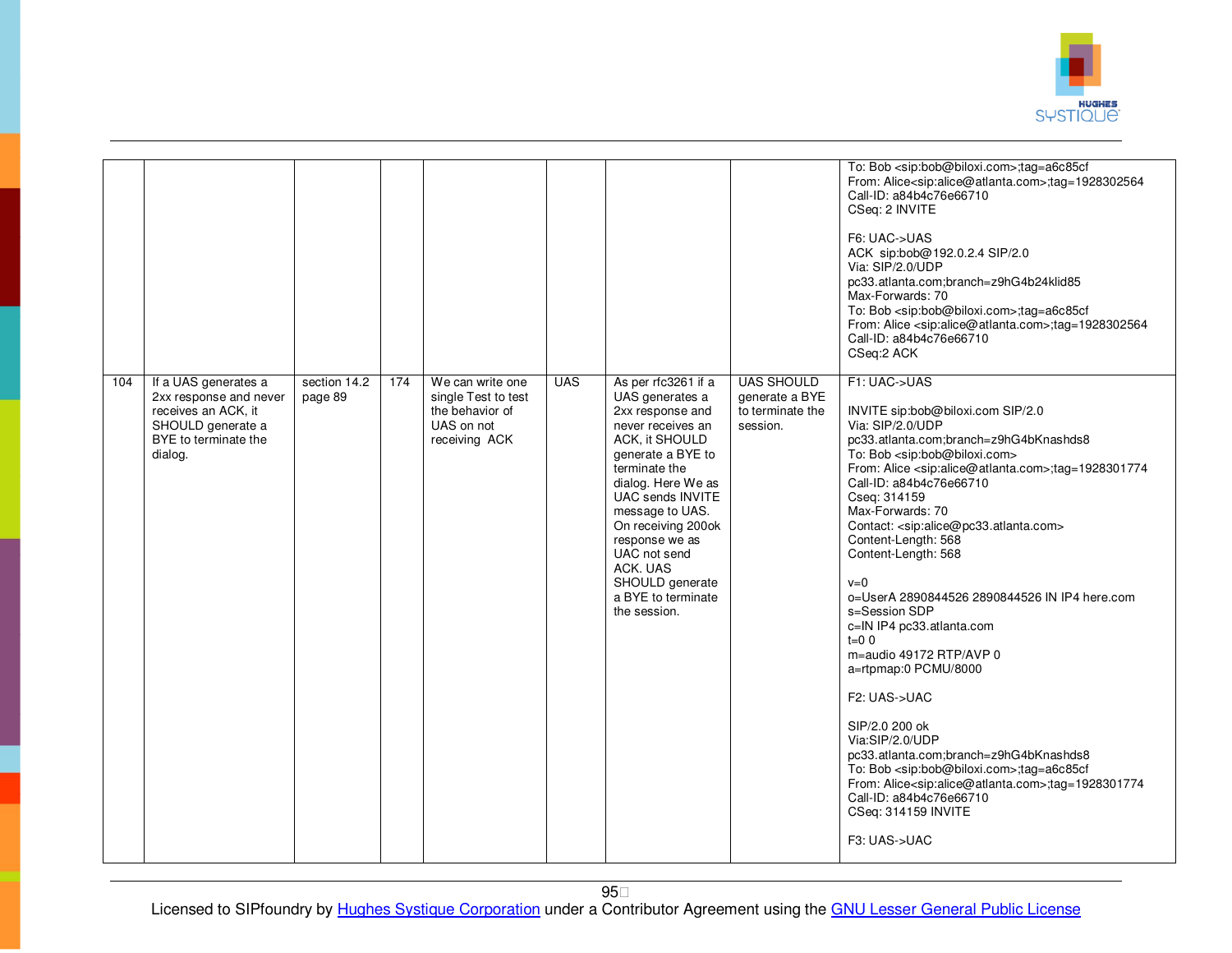

|     |                                                                                                                               |                         |     |                                                                                           |            |                                                                                                                                                                                                                                                                                                                                   |                                                                     | To: Bob <sip:bob@biloxi.com>;tag=a6c85cf<br/>From: Alice<sip:alice@atlanta.com>;tag=1928302564<br/>Call-ID: a84b4c76e66710<br/>CSeq: 2 INVITE<br/>F6: UAC-&gt;UAS<br/>ACK sip:bob@192.0.2.4 SIP/2.0<br/>Via: SIP/2.0/UDP<br/>pc33.atlanta.com;branch=z9hG4b24klid85<br/>Max-Forwards: 70<br/>To: Bob <sip:bob@biloxi.com>;tag=a6c85cf<br/>From: Alice <sip:alice@atlanta.com>;tag=1928302564<br/>Call-ID: a84b4c76e66710<br/>CSeq:2 ACK</sip:alice@atlanta.com></sip:bob@biloxi.com></sip:alice@atlanta.com></sip:bob@biloxi.com>                                                                                                                                                                                                                                                                                                                                                                                                                                             |
|-----|-------------------------------------------------------------------------------------------------------------------------------|-------------------------|-----|-------------------------------------------------------------------------------------------|------------|-----------------------------------------------------------------------------------------------------------------------------------------------------------------------------------------------------------------------------------------------------------------------------------------------------------------------------------|---------------------------------------------------------------------|-------------------------------------------------------------------------------------------------------------------------------------------------------------------------------------------------------------------------------------------------------------------------------------------------------------------------------------------------------------------------------------------------------------------------------------------------------------------------------------------------------------------------------------------------------------------------------------------------------------------------------------------------------------------------------------------------------------------------------------------------------------------------------------------------------------------------------------------------------------------------------------------------------------------------------------------------------------------------------|
| 104 | If a UAS generates a<br>2xx response and never<br>receives an ACK, it<br>SHOULD generate a<br>BYE to terminate the<br>dialog. | section 14.2<br>page 89 | 174 | We can write one<br>single Test to test<br>the behavior of<br>UAS on not<br>receiving ACK | <b>UAS</b> | As per rfc3261 if a<br>UAS generates a<br>2xx response and<br>never receives an<br>ACK, it SHOULD<br>generate a BYE to<br>terminate the<br>dialog. Here We as<br>UAC sends INVITE<br>message to UAS.<br>On receiving 200ok<br>response we as<br>UAC not send<br>ACK. UAS<br>SHOULD generate<br>a BYE to terminate<br>the session. | <b>UAS SHOULD</b><br>generate a BYE<br>to terminate the<br>session. | F1: UAC->UAS<br>INVITE sip:bob@biloxi.com SIP/2.0<br>Via: SIP/2.0/UDP<br>pc33.atlanta.com;branch=z9hG4bKnashds8<br>To: Bob <sip:bob@biloxi.com><br/>From: Alice <sip:alice@atlanta.com>;tag=1928301774<br/>Call-ID: a84b4c76e66710<br/>Cseq: 314159<br/>Max-Forwards: 70<br/>Contact: <sip:alice@pc33.atlanta.com><br/>Content-Length: 568<br/>Content-Length: 568<br/><math>v=0</math><br/>o=UserA 2890844526 2890844526 IN IP4 here.com<br/>s=Session SDP<br/>c=IN IP4 pc33.atlanta.com<br/><math>t=0</math> 0<br/>m=audio 49172 RTP/AVP 0<br/>a=rtpmap:0 PCMU/8000<br/>F2: UAS-&gt;UAC<br/>SIP/2.0 200 ok<br/>Via:SIP/2.0/UDP<br/>pc33.atlanta.com;branch=z9hG4bKnashds8<br/>To: Bob <sip:bob@biloxi.com>;tag=a6c85cf<br/>From: Alice<sip:alice@atlanta.com>;tag=1928301774<br/>Call-ID: a84b4c76e66710<br/>CSeq: 314159 INVITE<br/>F3: UAS-&gt;UAC</sip:alice@atlanta.com></sip:bob@biloxi.com></sip:alice@pc33.atlanta.com></sip:alice@atlanta.com></sip:bob@biloxi.com> |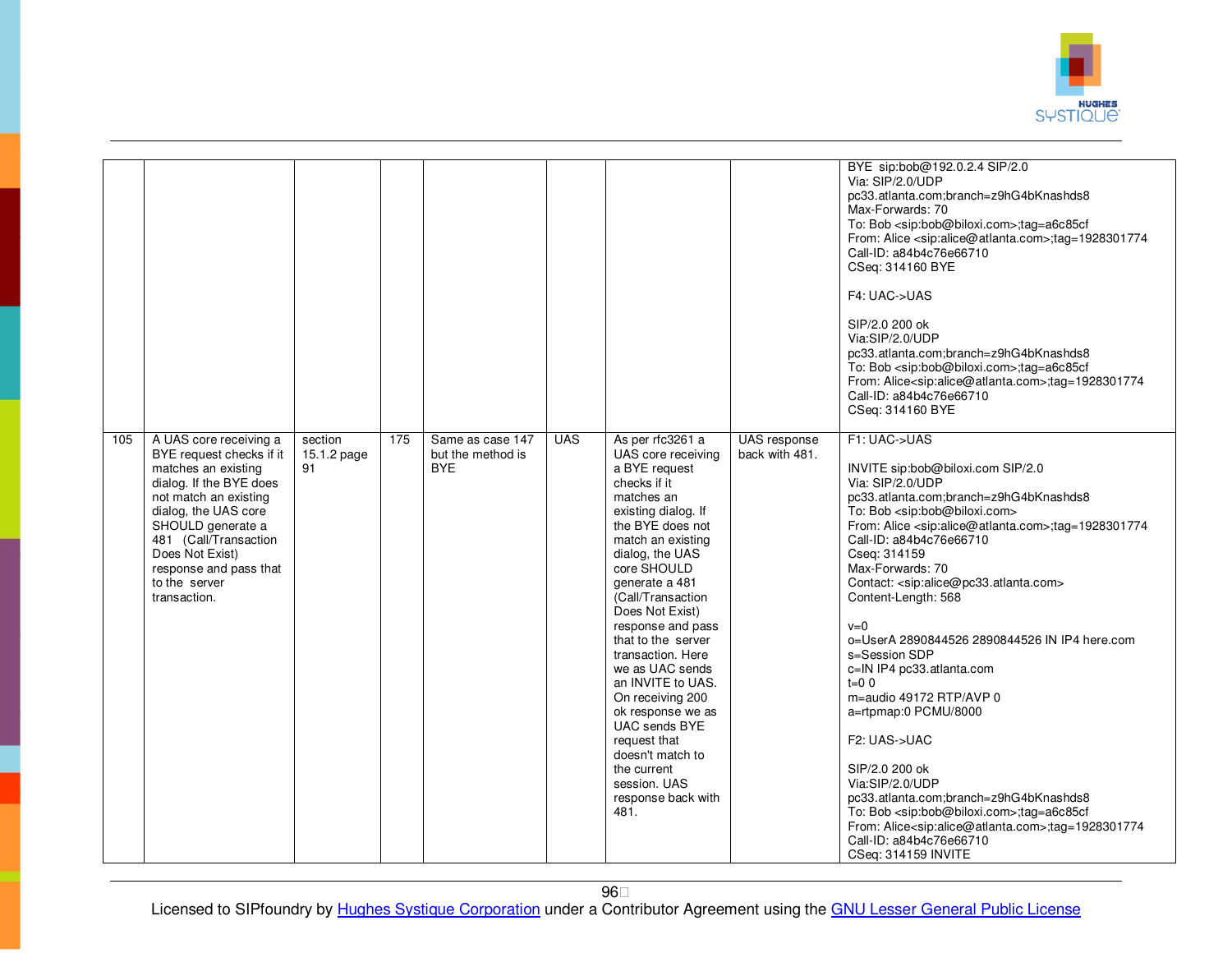

|     |                                                                                                                                                                                                                                                                                   |                              |     |                                                     |            |                                                                                                                                                                                                                                                                                                                                                                                                                                                                                                                      |                                | BYE sip:bob@192.0.2.4 SIP/2.0<br>Via: SIP/2.0/UDP<br>pc33.atlanta.com;branch=z9hG4bKnashds8<br>Max-Forwards: 70<br>To: Bob <sip:bob@biloxi.com>;tag=a6c85cf<br/>From: Alice <sip:alice@atlanta.com>;tag=1928301774<br/>Call-ID: a84b4c76e66710<br/>CSeq: 314160 BYE<br/>F4: UAC-&gt;UAS<br/>SIP/2.0 200 ok<br/>Via:SIP/2.0/UDP<br/>pc33.atlanta.com;branch=z9hG4bKnashds8<br/>To: Bob <sip:bob@biloxi.com>;tag=a6c85cf<br/>From: Alice<sip:alice@atlanta.com>;tag=1928301774<br/>Call-ID: a84b4c76e66710<br/>CSeq: 314160 BYE</sip:alice@atlanta.com></sip:bob@biloxi.com></sip:alice@atlanta.com></sip:bob@biloxi.com>                                                                                                                                                                                                                                                                                                                      |
|-----|-----------------------------------------------------------------------------------------------------------------------------------------------------------------------------------------------------------------------------------------------------------------------------------|------------------------------|-----|-----------------------------------------------------|------------|----------------------------------------------------------------------------------------------------------------------------------------------------------------------------------------------------------------------------------------------------------------------------------------------------------------------------------------------------------------------------------------------------------------------------------------------------------------------------------------------------------------------|--------------------------------|----------------------------------------------------------------------------------------------------------------------------------------------------------------------------------------------------------------------------------------------------------------------------------------------------------------------------------------------------------------------------------------------------------------------------------------------------------------------------------------------------------------------------------------------------------------------------------------------------------------------------------------------------------------------------------------------------------------------------------------------------------------------------------------------------------------------------------------------------------------------------------------------------------------------------------------------|
| 105 | A UAS core receiving a<br>BYE request checks if it<br>matches an existing<br>dialog. If the BYE does<br>not match an existing<br>dialog, the UAS core<br>SHOULD generate a<br>481 (Call/Transaction<br>Does Not Exist)<br>response and pass that<br>to the server<br>transaction. | section<br>15.1.2 page<br>91 | 175 | Same as case 147<br>but the method is<br><b>BYE</b> | <b>UAS</b> | As per rfc3261 a<br>UAS core receiving<br>a BYE request<br>checks if it<br>matches an<br>existing dialog. If<br>the BYE does not<br>match an existing<br>dialog, the UAS<br>core SHOULD<br>generate a 481<br>(Call/Transaction<br>Does Not Exist)<br>response and pass<br>that to the server<br>transaction. Here<br>we as UAC sends<br>an INVITE to UAS.<br>On receiving 200<br>ok response we as<br>UAC sends BYE<br>request that<br>doesn't match to<br>the current<br>session. UAS<br>response back with<br>481. | UAS response<br>back with 481. | F1: UAC->UAS<br>INVITE sip:bob@biloxi.com SIP/2.0<br>Via: SIP/2.0/UDP<br>pc33.atlanta.com;branch=z9hG4bKnashds8<br>To: Bob <sip:bob@biloxi.com><br/>From: Alice <sip:alice@atlanta.com>;tag=1928301774<br/>Call-ID: a84b4c76e66710<br/>Cseq: 314159<br/>Max-Forwards: 70<br/>Contact: <sip:alice@pc33.atlanta.com><br/>Content-Length: 568<br/><math>v=0</math><br/>o=UserA 2890844526 2890844526 IN IP4 here.com<br/>s=Session SDP<br/>c=IN IP4 pc33.atlanta.com<br/><math>t=0.0</math><br/>m=audio 49172 RTP/AVP 0<br/>a=rtpmap:0 PCMU/8000<br/>F<sub>2</sub>: UAS-&gt;UAC<br/>SIP/2.0 200 ok<br/>Via:SIP/2.0/UDP<br/>pc33.atlanta.com;branch=z9hG4bKnashds8<br/>To: Bob <sip:bob@biloxi.com>;tag=a6c85cf<br/>From: Alice<sip:alice@atlanta.com>;tag=1928301774<br/>Call-ID: a84b4c76e66710<br/>CSeq: 314159 INVITE</sip:alice@atlanta.com></sip:bob@biloxi.com></sip:alice@pc33.atlanta.com></sip:alice@atlanta.com></sip:bob@biloxi.com> |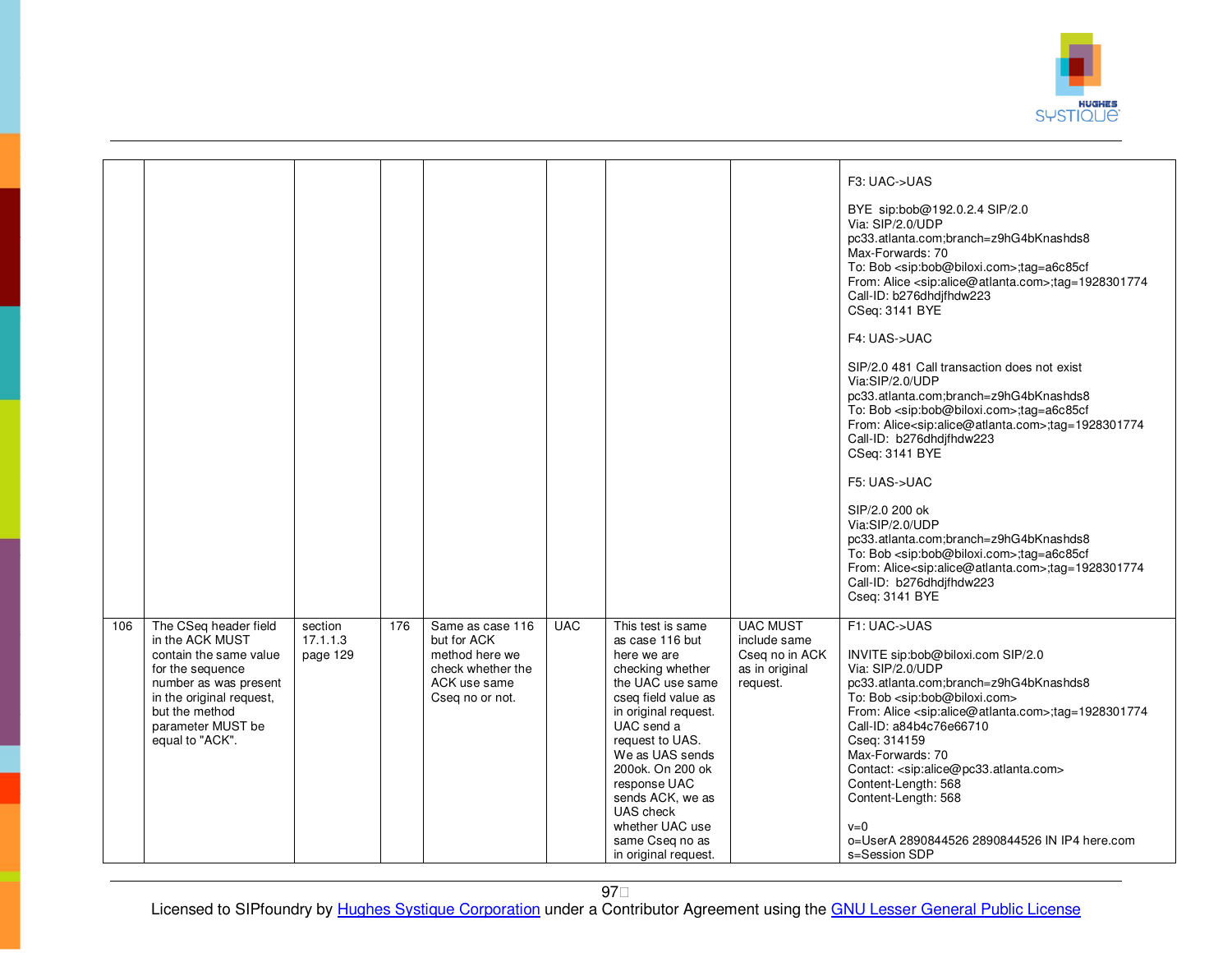

|     |                                                                                                                                                                                                       |                                 |     |                                                                                                           |            |                                                                                                                                                                                                                                                                                                                                   |                                                                                 | F3: UAC->UAS<br>BYE sip:bob@192.0.2.4 SIP/2.0<br>Via: SIP/2.0/UDP<br>pc33.atlanta.com;branch=z9hG4bKnashds8<br>Max-Forwards: 70<br>To: Bob <sip:bob@biloxi.com>;tag=a6c85cf<br/>From: Alice <sip:alice@atlanta.com>;tag=1928301774<br/>Call-ID: b276dhdjfhdw223<br/>CSeq: 3141 BYE<br/>F4: UAS-&gt;UAC<br/>SIP/2.0 481 Call transaction does not exist<br/>Via:SIP/2.0/UDP<br/>pc33.atlanta.com;branch=z9hG4bKnashds8<br/>To: Bob <sip:bob@biloxi.com>;tag=a6c85cf<br/>From: Alice<sip:alice@atlanta.com>;tag=1928301774<br/>Call-ID: b276dhdjfhdw223<br/>CSeq: 3141 BYE<br/>F5: UAS-&gt;UAC<br/>SIP/2.0 200 ok<br/>Via:SIP/2.0/UDP<br/>pc33.atlanta.com;branch=z9hG4bKnashds8<br/>To: Bob <sip:bob@biloxi.com>;tag=a6c85cf<br/>From: Alice<sip:alice@atlanta.com>;tag=1928301774<br/>Call-ID: b276dhdjfhdw223<br/>Cseq: 3141 BYE</sip:alice@atlanta.com></sip:bob@biloxi.com></sip:alice@atlanta.com></sip:bob@biloxi.com></sip:alice@atlanta.com></sip:bob@biloxi.com> |
|-----|-------------------------------------------------------------------------------------------------------------------------------------------------------------------------------------------------------|---------------------------------|-----|-----------------------------------------------------------------------------------------------------------|------------|-----------------------------------------------------------------------------------------------------------------------------------------------------------------------------------------------------------------------------------------------------------------------------------------------------------------------------------|---------------------------------------------------------------------------------|--------------------------------------------------------------------------------------------------------------------------------------------------------------------------------------------------------------------------------------------------------------------------------------------------------------------------------------------------------------------------------------------------------------------------------------------------------------------------------------------------------------------------------------------------------------------------------------------------------------------------------------------------------------------------------------------------------------------------------------------------------------------------------------------------------------------------------------------------------------------------------------------------------------------------------------------------------------------------|
| 106 | The CSeq header field<br>in the ACK MUST<br>contain the same value<br>for the sequence<br>number as was present<br>in the original request,<br>but the method<br>parameter MUST be<br>equal to "ACK". | section<br>17.1.1.3<br>page 129 | 176 | Same as case 116<br>but for ACK<br>method here we<br>check whether the<br>ACK use same<br>Cseq no or not. | <b>UAC</b> | This test is same<br>as case 116 but<br>here we are<br>checking whether<br>the UAC use same<br>cseq field value as<br>in original request.<br>UAC send a<br>request to UAS.<br>We as UAS sends<br>200ok. On 200 ok<br>response UAC<br>sends ACK, we as<br>UAS check<br>whether UAC use<br>same Cseq no as<br>in original request. | <b>UAC MUST</b><br>include same<br>Cseq no in ACK<br>as in original<br>request. | F1: UAC->UAS<br>INVITE sip:bob@biloxi.com SIP/2.0<br>Via: SIP/2.0/UDP<br>pc33.atlanta.com;branch=z9hG4bKnashds8<br>To: Bob <sip:bob@biloxi.com><br/>From: Alice <sip:alice@atlanta.com>;tag=1928301774<br/>Call-ID: a84b4c76e66710<br/>Cseq: 314159<br/>Max-Forwards: 70<br/>Contact: <sip:alice@pc33.atlanta.com><br/>Content-Length: 568<br/>Content-Length: 568<br/><math>v=0</math><br/>o=UserA 2890844526 2890844526 IN IP4 here.com<br/>s=Session SDP</sip:alice@pc33.atlanta.com></sip:alice@atlanta.com></sip:bob@biloxi.com>                                                                                                                                                                                                                                                                                                                                                                                                                                    |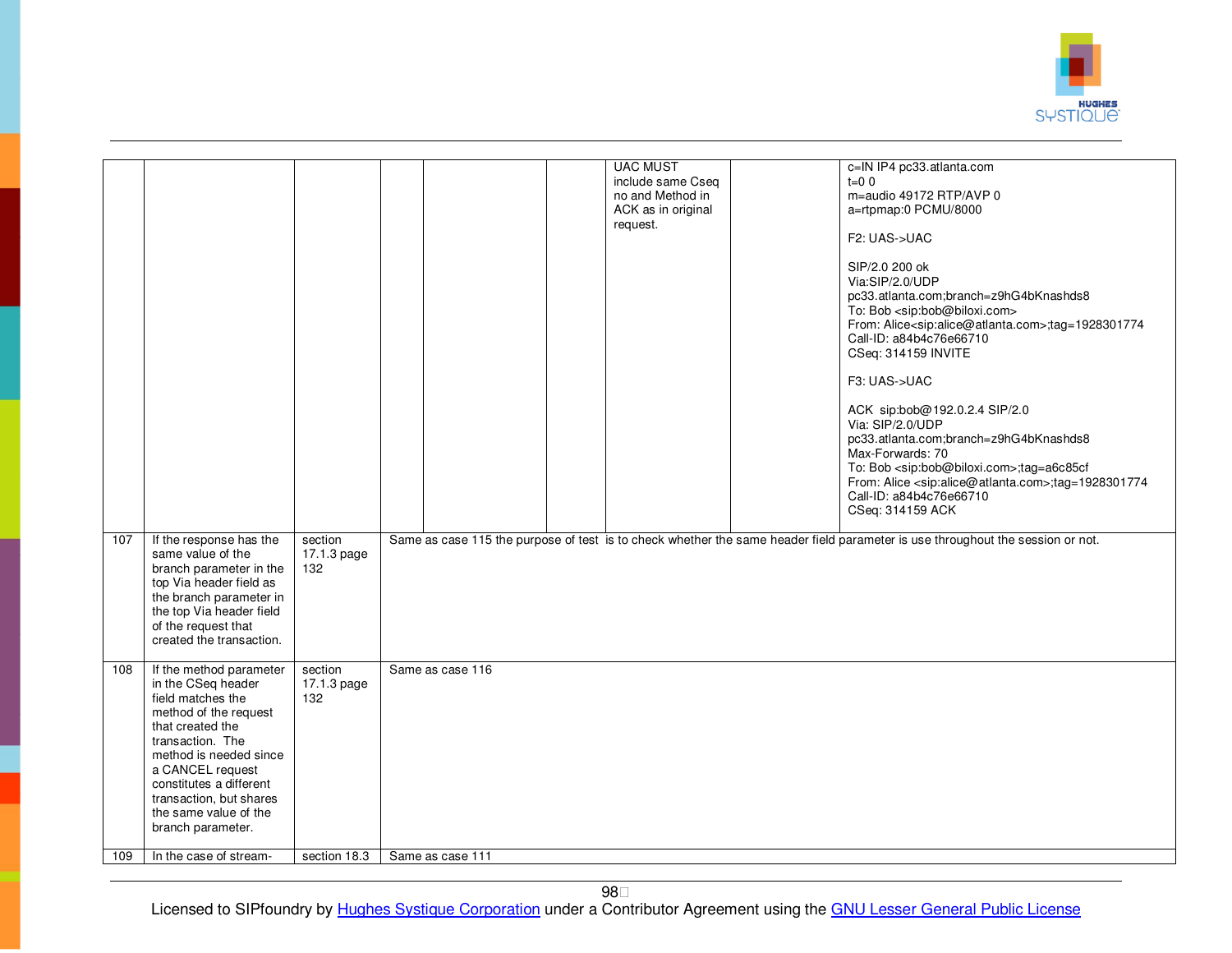

|     |                                                                                                                                                                                                                                                                                       |                               |                  | <b>UAC MUST</b><br>include same Cseq<br>no and Method in<br>ACK as in original<br>request. | c=IN IP4 pc33.atlanta.com<br>$t = 0$ 0<br>m=audio 49172 RTP/AVP 0<br>a=rtpmap:0 PCMU/8000<br>F2: UAS->UAC<br>SIP/2.0 200 ok<br>Via:SIP/2.0/UDP<br>pc33.atlanta.com;branch=z9hG4bKnashds8<br>To: Bob <sip:bob@biloxi.com><br/>From: Alice<sip:alice@atlanta.com>;tag=1928301774<br/>Call-ID: a84b4c76e66710<br/>CSeq: 314159 INVITE<br/>F3: UAS-&gt;UAC<br/>ACK sip:bob@192.0.2.4 SIP/2.0<br/>Via: SIP/2.0/UDP<br/>pc33.atlanta.com;branch=z9hG4bKnashds8<br/>Max-Forwards: 70<br/>To: Bob <sip:bob@biloxi.com>;tag=a6c85cf<br/>From: Alice <sip:alice@atlanta.com>;tag=1928301774<br/>Call-ID: a84b4c76e66710<br/>CSeq: 314159 ACK</sip:alice@atlanta.com></sip:bob@biloxi.com></sip:alice@atlanta.com></sip:bob@biloxi.com> |
|-----|---------------------------------------------------------------------------------------------------------------------------------------------------------------------------------------------------------------------------------------------------------------------------------------|-------------------------------|------------------|--------------------------------------------------------------------------------------------|------------------------------------------------------------------------------------------------------------------------------------------------------------------------------------------------------------------------------------------------------------------------------------------------------------------------------------------------------------------------------------------------------------------------------------------------------------------------------------------------------------------------------------------------------------------------------------------------------------------------------------------------------------------------------------------------------------------------------|
| 107 | If the response has the<br>same value of the<br>branch parameter in the<br>top Via header field as<br>the branch parameter in<br>the top Via header field<br>of the request that<br>created the transaction.                                                                          | section<br>17.1.3 page<br>132 |                  |                                                                                            | Same as case 115 the purpose of test is to check whether the same header field parameter is use throughout the session or not.                                                                                                                                                                                                                                                                                                                                                                                                                                                                                                                                                                                               |
| 108 | If the method parameter<br>in the CSeq header<br>field matches the<br>method of the request<br>that created the<br>transaction. The<br>method is needed since<br>a CANCEL request<br>constitutes a different<br>transaction, but shares<br>the same value of the<br>branch parameter. | section<br>17.1.3 page<br>132 | Same as case 116 |                                                                                            |                                                                                                                                                                                                                                                                                                                                                                                                                                                                                                                                                                                                                                                                                                                              |
| 109 | In the case of stream-                                                                                                                                                                                                                                                                | section 18.3                  | Same as case 111 |                                                                                            |                                                                                                                                                                                                                                                                                                                                                                                                                                                                                                                                                                                                                                                                                                                              |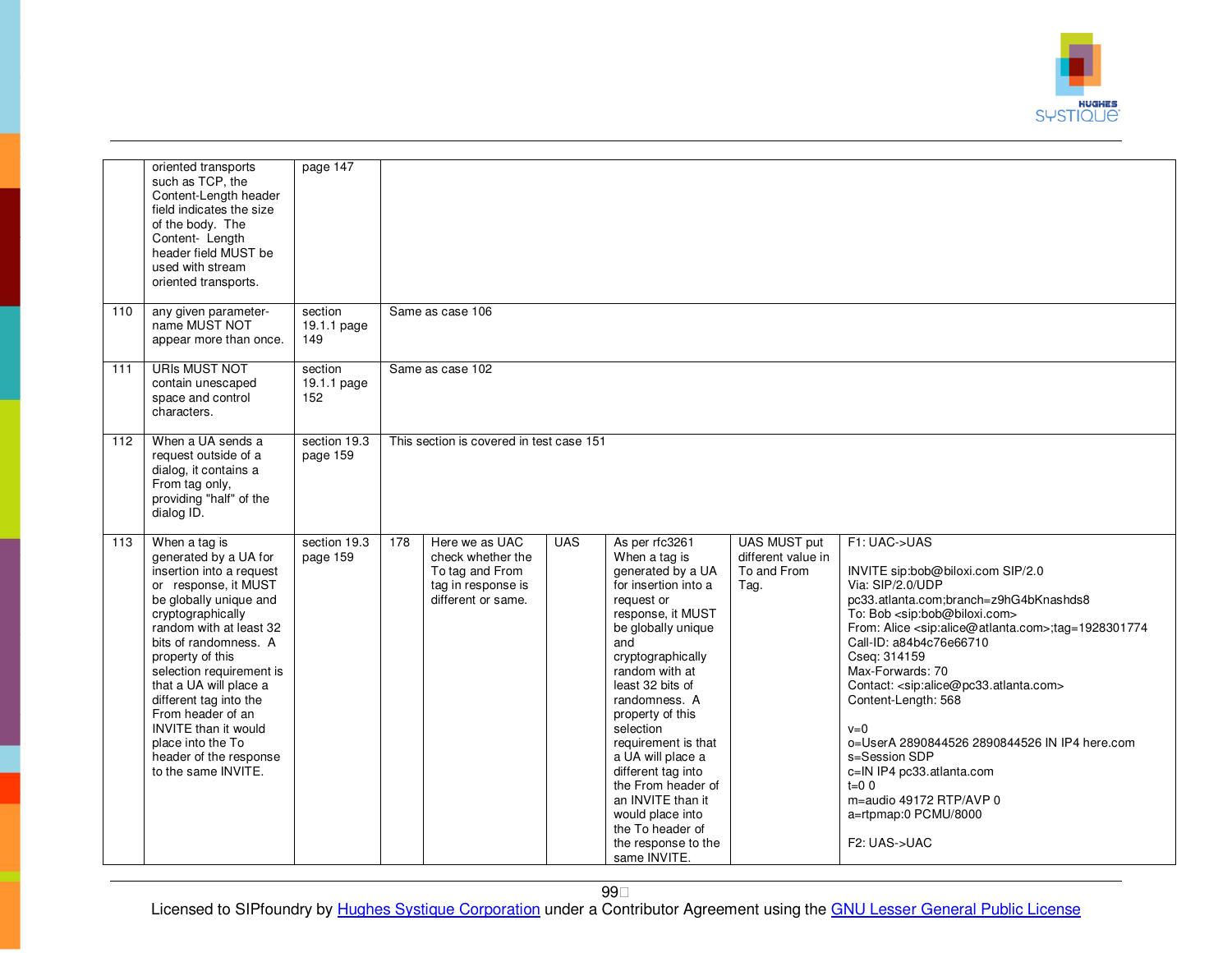

|     | oriented transports<br>such as TCP, the<br>Content-Length header<br>field indicates the size<br>of the body. The<br>Content- Length<br>header field MUST be<br>used with stream<br>oriented transports.                                                                                                                                                                                                                     | page 147                      |     |                                                                                                    |            |                                                                                                                                                                                                                                                                                                                                                                                                                                                       |                                                                  |                                                                                                                                                                                                                                                                                                                                                                                                                                                                                                                                                                                                                                             |
|-----|-----------------------------------------------------------------------------------------------------------------------------------------------------------------------------------------------------------------------------------------------------------------------------------------------------------------------------------------------------------------------------------------------------------------------------|-------------------------------|-----|----------------------------------------------------------------------------------------------------|------------|-------------------------------------------------------------------------------------------------------------------------------------------------------------------------------------------------------------------------------------------------------------------------------------------------------------------------------------------------------------------------------------------------------------------------------------------------------|------------------------------------------------------------------|---------------------------------------------------------------------------------------------------------------------------------------------------------------------------------------------------------------------------------------------------------------------------------------------------------------------------------------------------------------------------------------------------------------------------------------------------------------------------------------------------------------------------------------------------------------------------------------------------------------------------------------------|
| 110 | any given parameter-<br>name MUST NOT<br>appear more than once.                                                                                                                                                                                                                                                                                                                                                             | section<br>19.1.1 page<br>149 |     | Same as case 106                                                                                   |            |                                                                                                                                                                                                                                                                                                                                                                                                                                                       |                                                                  |                                                                                                                                                                                                                                                                                                                                                                                                                                                                                                                                                                                                                                             |
| 111 | <b>URIS MUST NOT</b><br>contain unescaped<br>space and control<br>characters.                                                                                                                                                                                                                                                                                                                                               | section<br>19.1.1 page<br>152 |     | Same as case 102                                                                                   |            |                                                                                                                                                                                                                                                                                                                                                                                                                                                       |                                                                  |                                                                                                                                                                                                                                                                                                                                                                                                                                                                                                                                                                                                                                             |
| 112 | When a UA sends a<br>request outside of a<br>dialog, it contains a<br>From tag only,<br>providing "half" of the<br>dialog ID.                                                                                                                                                                                                                                                                                               | section 19.3<br>page 159      |     | This section is covered in test case 151                                                           |            |                                                                                                                                                                                                                                                                                                                                                                                                                                                       |                                                                  |                                                                                                                                                                                                                                                                                                                                                                                                                                                                                                                                                                                                                                             |
| 113 | When a tag is<br>generated by a UA for<br>insertion into a request<br>or response, it MUST<br>be globally unique and<br>cryptographically<br>random with at least 32<br>bits of randomness. A<br>property of this<br>selection requirement is<br>that a UA will place a<br>different tag into the<br>From header of an<br><b>INVITE</b> than it would<br>place into the To<br>header of the response<br>to the same INVITE. | section 19.3<br>page 159      | 178 | Here we as UAC<br>check whether the<br>To tag and From<br>tag in response is<br>different or same. | <b>UAS</b> | As per rfc3261<br>When a tag is<br>generated by a UA<br>for insertion into a<br>request or<br>response, it MUST<br>be globally unique<br>and<br>cryptographically<br>random with at<br>least 32 bits of<br>randomness. A<br>property of this<br>selection<br>requirement is that<br>a UA will place a<br>different tag into<br>the From header of<br>an INVITE than it<br>would place into<br>the To header of<br>the response to the<br>same INVITE. | <b>UAS MUST put</b><br>different value in<br>To and From<br>Tag. | F1: UAC->UAS<br>INVITE sip:bob@biloxi.com SIP/2.0<br>Via: SIP/2.0/UDP<br>pc33.atlanta.com;branch=z9hG4bKnashds8<br>To: Bob <sip:bob@biloxi.com><br/>From: Alice <sip:alice@atlanta.com>;tag=1928301774<br/>Call-ID: a84b4c76e66710<br/>Cseq: 314159<br/>Max-Forwards: 70<br/>Contact: <sip:alice@pc33.atlanta.com><br/>Content-Length: 568<br/><math>v=0</math><br/>o=UserA 2890844526 2890844526 IN IP4 here.com<br/>s=Session SDP<br/>c=IN IP4 pc33.atlanta.com<br/><math>t=0</math> 0<br/>m=audio 49172 RTP/AVP 0<br/>a=rtpmap:0 PCMU/8000<br/>F2: UAS-&gt;UAC</sip:alice@pc33.atlanta.com></sip:alice@atlanta.com></sip:bob@biloxi.com> |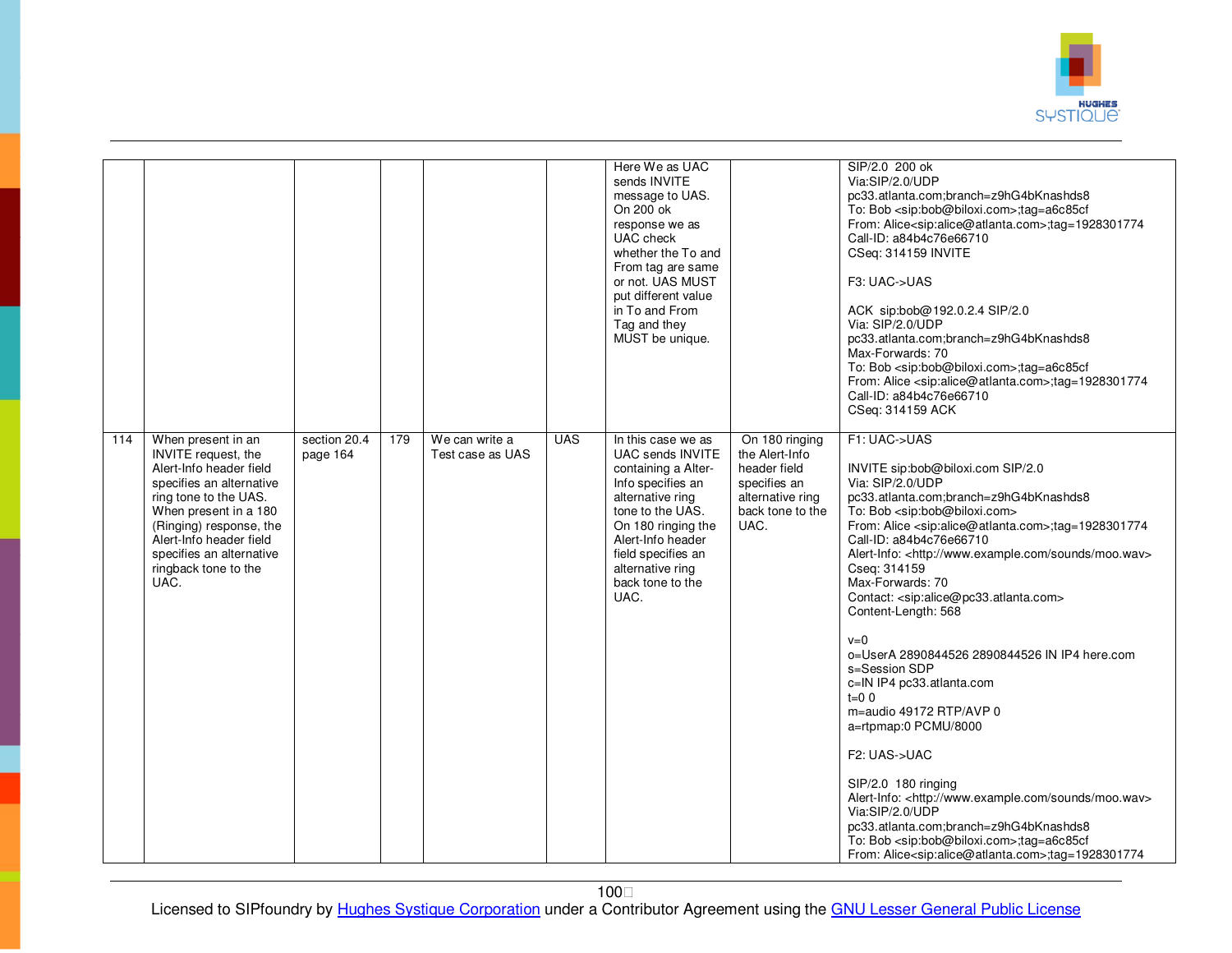

|     |                                                                                                                                                                                                                                                                      |                          |     |                                    |            | Here We as UAC<br>sends INVITE<br>message to UAS.<br>On 200 ok<br>response we as<br>UAC check<br>whether the To and<br>From tag are same<br>or not. UAS MUST<br>put different value<br>in To and From<br>Tag and they<br>MUST be unique.    |                                                                                                                  | SIP/2.0 200 ok<br>Via:SIP/2.0/UDP<br>pc33.atlanta.com;branch=z9hG4bKnashds8<br>To: Bob <sip:bob@biloxi.com>;tag=a6c85cf<br/>From: Alice<sip:alice@atlanta.com>;tag=1928301774<br/>Call-ID: a84b4c76e66710<br/>CSeq: 314159 INVITE<br/>F3: UAC-&gt;UAS<br/>ACK sip:bob@192.0.2.4 SIP/2.0<br/>Via: SIP/2.0/UDP<br/>pc33.atlanta.com;branch=z9hG4bKnashds8<br/>Max-Forwards: 70<br/>To: Bob <sip:bob@biloxi.com>;tag=a6c85cf<br/>From: Alice <sip:alice@atlanta.com>;tag=1928301774<br/>Call-ID: a84b4c76e66710<br/>CSeq: 314159 ACK</sip:alice@atlanta.com></sip:bob@biloxi.com></sip:alice@atlanta.com></sip:bob@biloxi.com>                                                                                                                                                                                                                                                                                                                                                                                                        |
|-----|----------------------------------------------------------------------------------------------------------------------------------------------------------------------------------------------------------------------------------------------------------------------|--------------------------|-----|------------------------------------|------------|---------------------------------------------------------------------------------------------------------------------------------------------------------------------------------------------------------------------------------------------|------------------------------------------------------------------------------------------------------------------|------------------------------------------------------------------------------------------------------------------------------------------------------------------------------------------------------------------------------------------------------------------------------------------------------------------------------------------------------------------------------------------------------------------------------------------------------------------------------------------------------------------------------------------------------------------------------------------------------------------------------------------------------------------------------------------------------------------------------------------------------------------------------------------------------------------------------------------------------------------------------------------------------------------------------------------------------------------------------------------------------------------------------------|
| 114 | When present in an<br>INVITE request, the<br>Alert-Info header field<br>specifies an alternative<br>ring tone to the UAS.<br>When present in a 180<br>(Ringing) response, the<br>Alert-Info header field<br>specifies an alternative<br>ringback tone to the<br>UAC. | section 20.4<br>page 164 | 179 | We can write a<br>Test case as UAS | <b>UAS</b> | In this case we as<br>UAC sends INVITE<br>containing a Alter-<br>Info specifies an<br>alternative ring<br>tone to the UAS.<br>On 180 ringing the<br>Alert-Info header<br>field specifies an<br>alternative ring<br>back tone to the<br>UAC. | On 180 ringing<br>the Alert-Info<br>header field<br>specifies an<br>alternative ring<br>back tone to the<br>UAC. | F1: UAC->UAS<br>INVITE sip:bob@biloxi.com SIP/2.0<br>Via: SIP/2.0/UDP<br>pc33.atlanta.com;branch=z9hG4bKnashds8<br>To: Bob <sip:bob@biloxi.com><br/>From: Alice <sip:alice@atlanta.com>;tag=1928301774<br/>Call-ID: a84b4c76e66710<br/>Alert-Info: <http: moo.wav="" sounds="" www.example.com=""><br/>Cseq: 314159<br/>Max-Forwards: 70<br/>Contact: <sip:alice@pc33.atlanta.com><br/>Content-Length: 568<br/><math>v=0</math><br/>0=UserA 2890844526 2890844526 IN IP4 here.com<br/>s=Session SDP<br/>c=IN IP4 pc33.atlanta.com<br/><math>t=0</math> 0<br/>m=audio 49172 RTP/AVP 0<br/>a=rtpmap:0 PCMU/8000<br/>F2: UAS-&gt;UAC<br/>SIP/2.0 180 ringing<br/>Alert-Info: <http: moo.wav="" sounds="" www.example.com=""><br/>Via:SIP/2.0/UDP<br/>pc33.atlanta.com;branch=z9hG4bKnashds8<br/>To: Bob <sip:bob@biloxi.com>;tag=a6c85cf<br/>From: Alice<sip:alice@atlanta.com>;tag=1928301774</sip:alice@atlanta.com></sip:bob@biloxi.com></http:></sip:alice@pc33.atlanta.com></http:></sip:alice@atlanta.com></sip:bob@biloxi.com> |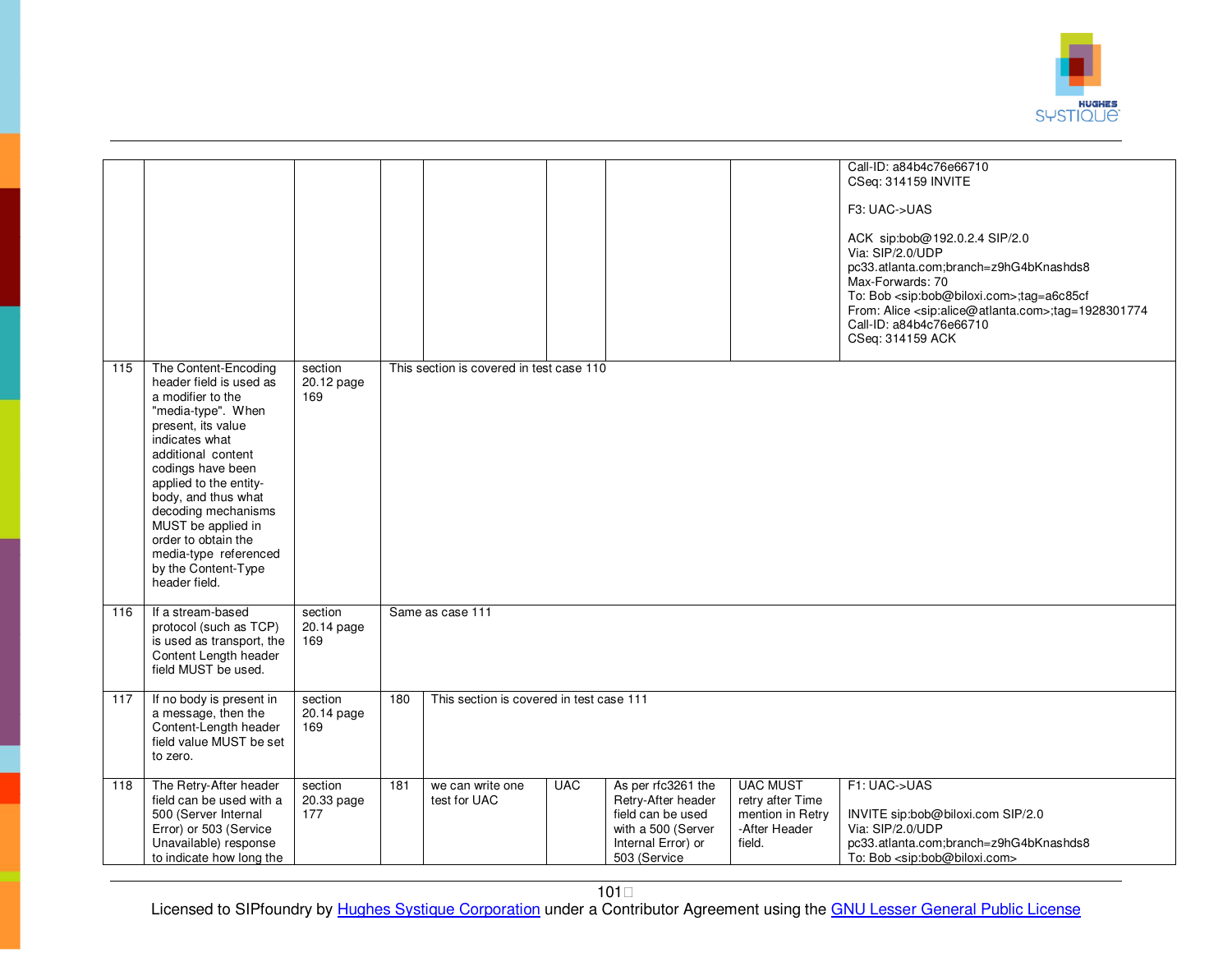

|     |                                                                                                                                                                                                                                                                                                                                                                     |                              |     |                                          |            |                                                                                                                           |                                                                                    | Call-ID: a84b4c76e66710<br>CSeq: 314159 INVITE<br>F3: UAC->UAS<br>ACK sip:bob@192.0.2.4 SIP/2.0<br>Via: SIP/2.0/UDP<br>pc33.atlanta.com;branch=z9hG4bKnashds8<br>Max-Forwards: 70<br>To: Bob <sip:bob@biloxi.com>;tag=a6c85cf<br/>From: Alice <sip:alice@atlanta.com>;tag=1928301774<br/>Call-ID: a84b4c76e66710<br/>CSeq: 314159 ACK</sip:alice@atlanta.com></sip:bob@biloxi.com> |
|-----|---------------------------------------------------------------------------------------------------------------------------------------------------------------------------------------------------------------------------------------------------------------------------------------------------------------------------------------------------------------------|------------------------------|-----|------------------------------------------|------------|---------------------------------------------------------------------------------------------------------------------------|------------------------------------------------------------------------------------|------------------------------------------------------------------------------------------------------------------------------------------------------------------------------------------------------------------------------------------------------------------------------------------------------------------------------------------------------------------------------------|
| 115 | The Content-Encoding<br>header field is used as<br>a modifier to the<br>"media-type". When<br>present, its value<br>indicates what<br>additional content<br>codings have been<br>applied to the entity-<br>body, and thus what<br>decoding mechanisms<br>MUST be applied in<br>order to obtain the<br>media-type referenced<br>by the Content-Type<br>header field. | section<br>20.12 page<br>169 |     | This section is covered in test case 110 |            |                                                                                                                           |                                                                                    |                                                                                                                                                                                                                                                                                                                                                                                    |
| 116 | If a stream-based<br>protocol (such as TCP)<br>is used as transport, the<br>Content Length header<br>field MUST be used.                                                                                                                                                                                                                                            | section<br>20.14 page<br>169 |     | Same as case 111                         |            |                                                                                                                           |                                                                                    |                                                                                                                                                                                                                                                                                                                                                                                    |
| 117 | If no body is present in<br>a message, then the<br>Content-Length header<br>field value MUST be set<br>to zero.                                                                                                                                                                                                                                                     | section<br>20.14 page<br>169 | 180 | This section is covered in test case 111 |            |                                                                                                                           |                                                                                    |                                                                                                                                                                                                                                                                                                                                                                                    |
| 118 | The Retry-After header<br>field can be used with a<br>500 (Server Internal<br>Error) or 503 (Service<br>Unavailable) response<br>to indicate how long the                                                                                                                                                                                                           | section<br>20.33 page<br>177 | 181 | we can write one<br>test for UAC         | <b>UAC</b> | As per rfc3261 the<br>Retry-After header<br>field can be used<br>with a 500 (Server<br>Internal Error) or<br>503 (Service | <b>UAC MUST</b><br>retry after Time<br>mention in Retry<br>-After Header<br>field. | F1: UAC->UAS<br>INVITE sip:bob@biloxi.com SIP/2.0<br>Via: SIP/2.0/UDP<br>pc33.atlanta.com;branch=z9hG4bKnashds8<br>To: Bob <sip:bob@biloxi.com></sip:bob@biloxi.com>                                                                                                                                                                                                               |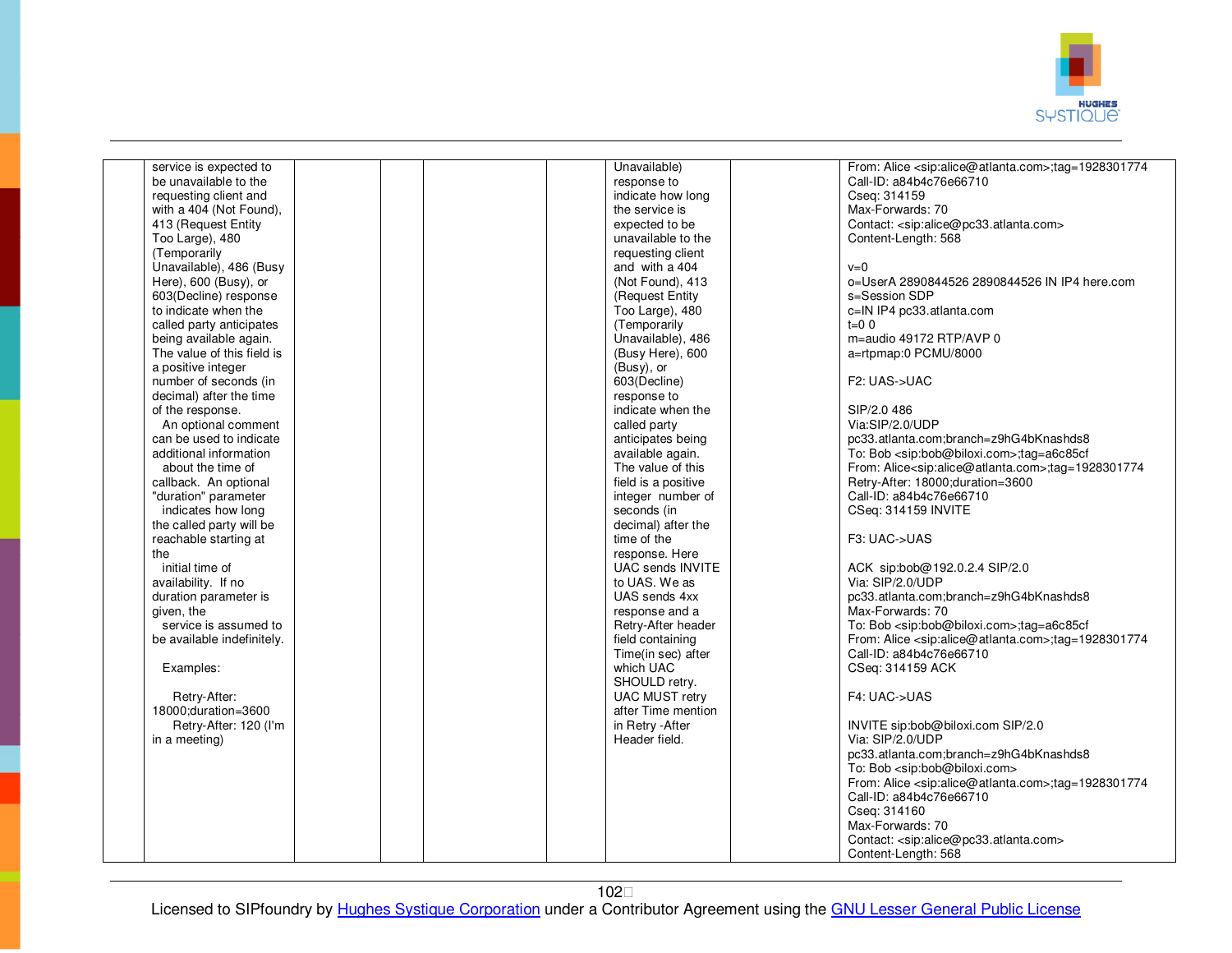

| service is expected to     |  | Unavailable)            | From: Alice <sip:alice@atlanta.com>;tag=1928301774</sip:alice@atlanta.com> |
|----------------------------|--|-------------------------|----------------------------------------------------------------------------|
| be unavailable to the      |  | response to             | Call-ID: a84b4c76e66710                                                    |
| requesting client and      |  | indicate how long       | Cseq: 314159                                                               |
| with a 404 (Not Found),    |  | the service is          | Max-Forwards: 70                                                           |
| 413 (Request Entity        |  | expected to be          | Contact: <sip:alice@pc33.atlanta.com></sip:alice@pc33.atlanta.com>         |
| Too Large), 480            |  | unavailable to the      | Content-Length: 568                                                        |
| (Temporarily               |  | requesting client       |                                                                            |
| Unavailable), 486 (Busy    |  | and with a 404          | $v=0$                                                                      |
| Here), 600 (Busy), or      |  | (Not Found), 413        | o=UserA 2890844526 2890844526 IN IP4 here.com                              |
|                            |  |                         |                                                                            |
| 603(Decline) response      |  | (Request Entity         | s=Session SDP                                                              |
| to indicate when the       |  | Too Large), 480         | c=IN IP4 pc33.atlanta.com                                                  |
| called party anticipates   |  | (Temporarily            | $t=0$ 0                                                                    |
| being available again.     |  | Unavailable), 486       | m=audio 49172 RTP/AVP 0                                                    |
| The value of this field is |  | (Busy Here), 600        | a=rtpmap:0 PCMU/8000                                                       |
| a positive integer         |  | (Busy), or              |                                                                            |
| number of seconds (in      |  | 603(Decline)            | F2: UAS->UAC                                                               |
| decimal) after the time    |  | response to             |                                                                            |
| of the response.           |  | indicate when the       | SIP/2.0 486                                                                |
| An optional comment        |  | called party            | Via:SIP/2.0/UDP                                                            |
| can be used to indicate    |  | anticipates being       | pc33.atlanta.com;branch=z9hG4bKnashds8                                     |
| additional information     |  | available again.        | To: Bob <sip:bob@biloxi.com>;tag=a6c85cf</sip:bob@biloxi.com>              |
| about the time of          |  | The value of this       | From: Alice <sip:alice@atlanta.com>;tag=1928301774</sip:alice@atlanta.com> |
| callback. An optional      |  | field is a positive     | Retry-After: 18000; duration=3600                                          |
| "duration" parameter       |  | integer number of       | Call-ID: a84b4c76e66710                                                    |
| indicates how long         |  | seconds (in             | CSeq: 314159 INVITE                                                        |
| the called party will be   |  | decimal) after the      |                                                                            |
| reachable starting at      |  | time of the             | F3: UAC->UAS                                                               |
| the                        |  | response. Here          |                                                                            |
| initial time of            |  | <b>UAC sends INVITE</b> | ACK sip:bob@192.0.2.4 SIP/2.0                                              |
|                            |  | to UAS. We as           | Via: SIP/2.0/UDP                                                           |
| availability. If no        |  |                         |                                                                            |
| duration parameter is      |  | UAS sends 4xx           | pc33.atlanta.com;branch=z9hG4bKnashds8                                     |
| given, the                 |  | response and a          | Max-Forwards: 70                                                           |
| service is assumed to      |  | Retry-After header      | To: Bob <sip:bob@biloxi.com>;tag=a6c85cf</sip:bob@biloxi.com>              |
| be available indefinitely. |  | field containing        | From: Alice <sip:alice@atlanta.com>;tag=1928301774</sip:alice@atlanta.com> |
|                            |  | Time(in sec) after      | Call-ID: a84b4c76e66710                                                    |
| Examples:                  |  | which UAC               | CSeq: 314159 ACK                                                           |
|                            |  | SHOULD retry.           |                                                                            |
| Retry-After:               |  | <b>UAC MUST retry</b>   | F4: UAC->UAS                                                               |
| 18000; duration=3600       |  | after Time mention      |                                                                            |
| Retry-After: 120 (I'm      |  | in Retry - After        | INVITE sip:bob@biloxi.com SIP/2.0                                          |
| in a meeting)              |  | Header field.           | Via: SIP/2.0/UDP                                                           |
|                            |  |                         | pc33.atlanta.com;branch=z9hG4bKnashds8                                     |
|                            |  |                         | To: Bob <sip:bob@biloxi.com></sip:bob@biloxi.com>                          |
|                            |  |                         | From: Alice <sip:alice@atlanta.com>;tag=1928301774</sip:alice@atlanta.com> |
|                            |  |                         | Call-ID: a84b4c76e66710                                                    |
|                            |  |                         | Cseq: 314160                                                               |
|                            |  |                         | Max-Forwards: 70                                                           |
|                            |  |                         |                                                                            |
|                            |  |                         | Contact: <sip:alice@pc33.atlanta.com></sip:alice@pc33.atlanta.com>         |
|                            |  |                         | Content-Length: 568                                                        |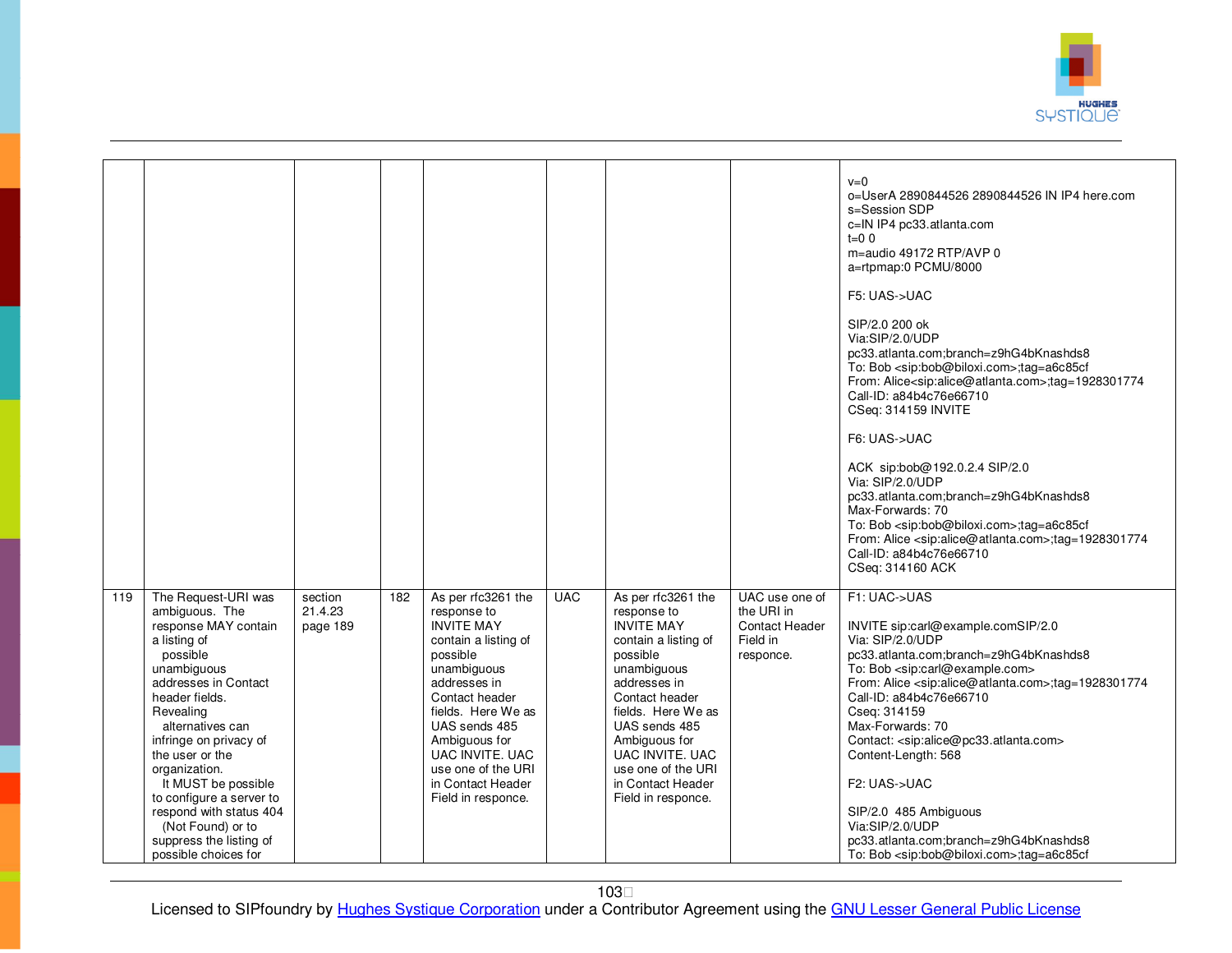

|     |                                                                                                                                                                                                                                                                                                                                                                                                         |                                |     |                                                                                                                                                                                                                                                                                         |            |                                                                                                                                                                                                                                                                                         |                                                                                | $v=0$<br>o=UserA 2890844526 2890844526 IN IP4 here.com<br>s=Session SDP<br>c=IN IP4 pc33.atlanta.com<br>$t=0$ 0<br>m=audio 49172 RTP/AVP 0<br>a=rtpmap:0 PCMU/8000<br>F5: UAS->UAC<br>SIP/2.0 200 ok<br>Via:SIP/2.0/UDP<br>pc33.atlanta.com;branch=z9hG4bKnashds8<br>To: Bob <sip:bob@biloxi.com>;tag=a6c85cf<br/>From: Alice<sip:alice@atlanta.com>;tag=1928301774<br/>Call-ID: a84b4c76e66710<br/>CSeq: 314159 INVITE<br/>F6: UAS-&gt;UAC<br/>ACK sip:bob@192.0.2.4 SIP/2.0<br/>Via: SIP/2.0/UDP<br/>pc33.atlanta.com;branch=z9hG4bKnashds8<br/>Max-Forwards: 70<br/>To: Bob <sip:bob@biloxi.com>;tag=a6c85cf<br/>From: Alice <sip:alice@atlanta.com>;tag=1928301774<br/>Call-ID: a84b4c76e66710<br/>CSeq: 314160 ACK</sip:alice@atlanta.com></sip:bob@biloxi.com></sip:alice@atlanta.com></sip:bob@biloxi.com> |
|-----|---------------------------------------------------------------------------------------------------------------------------------------------------------------------------------------------------------------------------------------------------------------------------------------------------------------------------------------------------------------------------------------------------------|--------------------------------|-----|-----------------------------------------------------------------------------------------------------------------------------------------------------------------------------------------------------------------------------------------------------------------------------------------|------------|-----------------------------------------------------------------------------------------------------------------------------------------------------------------------------------------------------------------------------------------------------------------------------------------|--------------------------------------------------------------------------------|-------------------------------------------------------------------------------------------------------------------------------------------------------------------------------------------------------------------------------------------------------------------------------------------------------------------------------------------------------------------------------------------------------------------------------------------------------------------------------------------------------------------------------------------------------------------------------------------------------------------------------------------------------------------------------------------------------------------------------------------------------------------------------------------------------------------|
| 119 | The Request-URI was<br>ambiguous. The<br>response MAY contain<br>a listing of<br>possible<br>unambiguous<br>addresses in Contact<br>header fields.<br>Revealing<br>alternatives can<br>infringe on privacy of<br>the user or the<br>organization.<br>It MUST be possible<br>to configure a server to<br>respond with status 404<br>(Not Found) or to<br>suppress the listing of<br>possible choices for | section<br>21.4.23<br>page 189 | 182 | As per rfc3261 the<br>response to<br><b>INVITE MAY</b><br>contain a listing of<br>possible<br>unambiguous<br>addresses in<br>Contact header<br>fields. Here We as<br>UAS sends 485<br>Ambiguous for<br>UAC INVITE. UAC<br>use one of the URI<br>in Contact Header<br>Field in responce. | <b>UAC</b> | As per rfc3261 the<br>response to<br><b>INVITE MAY</b><br>contain a listing of<br>possible<br>unambiguous<br>addresses in<br>Contact header<br>fields. Here We as<br>UAS sends 485<br>Ambiguous for<br>UAC INVITE. UAC<br>use one of the URI<br>in Contact Header<br>Field in responce. | UAC use one of<br>the URI in<br><b>Contact Header</b><br>Field in<br>responce. | F1: UAC->UAS<br>INVITE sip:carl@example.comSIP/2.0<br>Via: SIP/2.0/UDP<br>pc33.atlanta.com;branch=z9hG4bKnashds8<br>To: Bob <sip:carl@example.com><br/>From: Alice <sip:alice@atlanta.com>;tag=1928301774<br/>Call-ID: a84b4c76e66710<br/>Cseq: 314159<br/>Max-Forwards: 70<br/>Contact: <sip:alice@pc33.atlanta.com><br/>Content-Length: 568<br/>F2: UAS-&gt;UAC<br/>SIP/2.0 485 Ambiguous<br/>Via:SIP/2.0/UDP<br/>pc33.atlanta.com;branch=z9hG4bKnashds8<br/>To: Bob <sip:bob@biloxi.com>;tag=a6c85cf</sip:bob@biloxi.com></sip:alice@pc33.atlanta.com></sip:alice@atlanta.com></sip:carl@example.com>                                                                                                                                                                                                          |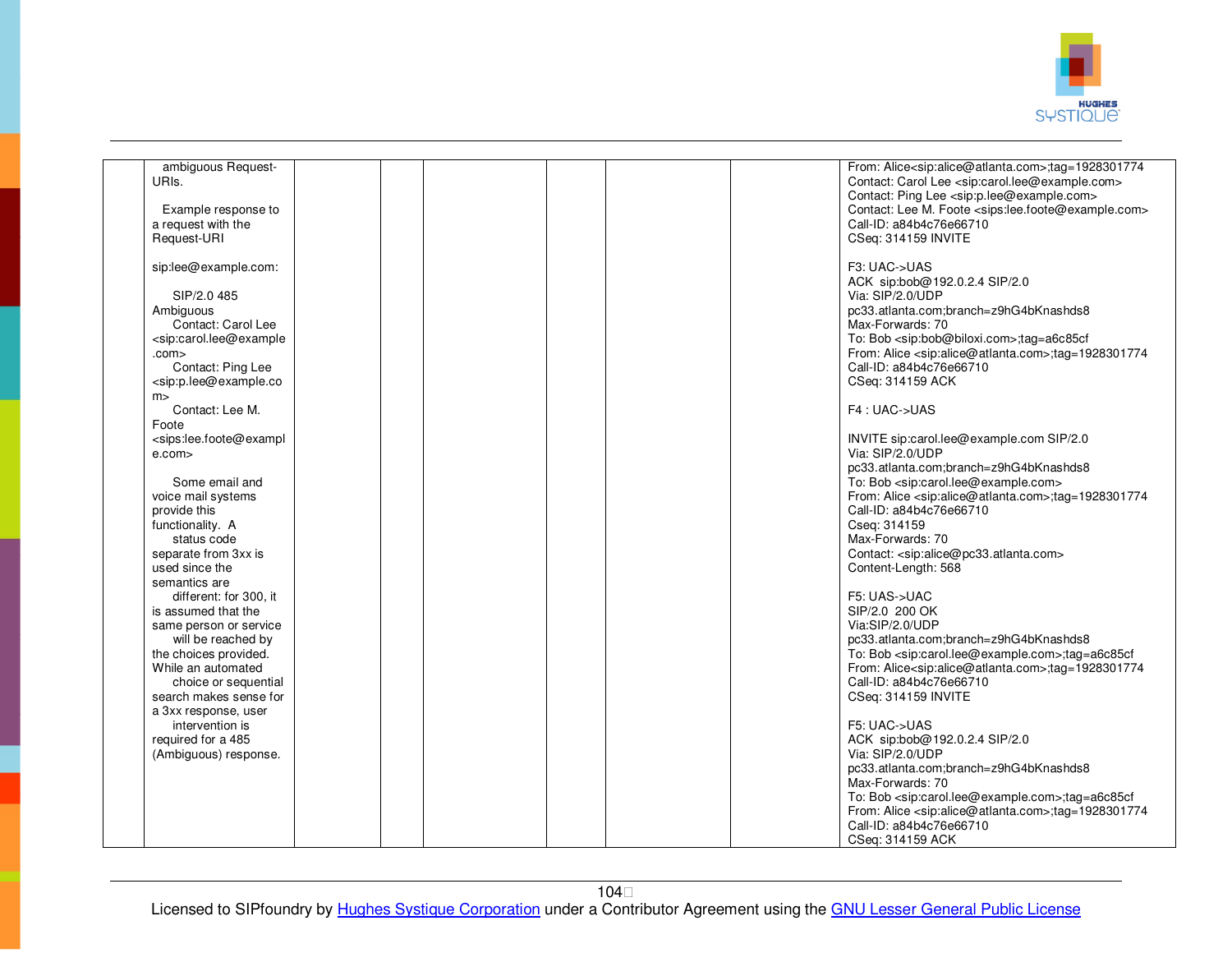

| ambiguous Request-                                                                                                                                       |  |  |  | From: Alice <sip:alice@atlanta.com>;tag=1928301774</sip:alice@atlanta.com>      |
|----------------------------------------------------------------------------------------------------------------------------------------------------------|--|--|--|---------------------------------------------------------------------------------|
| URIs.                                                                                                                                                    |  |  |  | Contact: Carol Lee <sip:carol.lee@example.com></sip:carol.lee@example.com>      |
|                                                                                                                                                          |  |  |  |                                                                                 |
|                                                                                                                                                          |  |  |  | Contact: Ping Lee <sip:p.lee@example.com></sip:p.lee@example.com>               |
| Example response to                                                                                                                                      |  |  |  | Contact: Lee M. Foote <sips:lee.foote@example.com></sips:lee.foote@example.com> |
|                                                                                                                                                          |  |  |  |                                                                                 |
| a request with the                                                                                                                                       |  |  |  | Call-ID: a84b4c76e66710                                                         |
| Request-URI                                                                                                                                              |  |  |  | CSeq: 314159 INVITE                                                             |
|                                                                                                                                                          |  |  |  |                                                                                 |
|                                                                                                                                                          |  |  |  |                                                                                 |
| sip:lee@example.com:                                                                                                                                     |  |  |  | F3: UAC->UAS                                                                    |
|                                                                                                                                                          |  |  |  | ACK sip:bob@192.0.2.4 SIP/2.0                                                   |
| SIP/2.0 485                                                                                                                                              |  |  |  | Via: SIP/2.0/UDP                                                                |
|                                                                                                                                                          |  |  |  |                                                                                 |
| Ambiguous                                                                                                                                                |  |  |  | pc33.atlanta.com;branch=z9hG4bKnashds8                                          |
| Contact: Carol Lee                                                                                                                                       |  |  |  | Max-Forwards: 70                                                                |
|                                                                                                                                                          |  |  |  |                                                                                 |
| <sip:carol.lee@example< td=""><td></td><td></td><td></td><td>To: Bob <sip:bob@biloxi.com>;tag=a6c85cf</sip:bob@biloxi.com></td></sip:carol.lee@example<> |  |  |  | To: Bob <sip:bob@biloxi.com>;tag=a6c85cf</sip:bob@biloxi.com>                   |
| .com>                                                                                                                                                    |  |  |  | From: Alice <sip:alice@atlanta.com>;tag=1928301774</sip:alice@atlanta.com>      |
| Contact: Ping Lee                                                                                                                                        |  |  |  | Call-ID: a84b4c76e66710                                                         |
|                                                                                                                                                          |  |  |  |                                                                                 |
| <sip:p.lee@example.co< td=""><td></td><td></td><td></td><td>CSeq: 314159 ACK</td></sip:p.lee@example.co<>                                                |  |  |  | CSeq: 314159 ACK                                                                |
| m                                                                                                                                                        |  |  |  |                                                                                 |
| Contact: Lee M.                                                                                                                                          |  |  |  | F4: UAC->UAS                                                                    |
|                                                                                                                                                          |  |  |  |                                                                                 |
| Foote                                                                                                                                                    |  |  |  |                                                                                 |
| <sips:lee.foote@exampl< td=""><td></td><td></td><td></td><td>INVITE sip:carol.lee@example.com SIP/2.0</td></sips:lee.foote@exampl<>                      |  |  |  | INVITE sip:carol.lee@example.com SIP/2.0                                        |
|                                                                                                                                                          |  |  |  |                                                                                 |
| e.com>                                                                                                                                                   |  |  |  | Via: SIP/2.0/UDP                                                                |
|                                                                                                                                                          |  |  |  | pc33.atlanta.com;branch=z9hG4bKnashds8                                          |
| Some email and                                                                                                                                           |  |  |  | To: Bob <sip:carol.lee@example.com></sip:carol.lee@example.com>                 |
|                                                                                                                                                          |  |  |  |                                                                                 |
| voice mail systems                                                                                                                                       |  |  |  | From: Alice <sip:alice@atlanta.com>;tag=1928301774</sip:alice@atlanta.com>      |
| provide this                                                                                                                                             |  |  |  | Call-ID: a84b4c76e66710                                                         |
| functionality. A                                                                                                                                         |  |  |  | Cseq: 314159                                                                    |
|                                                                                                                                                          |  |  |  |                                                                                 |
| status code                                                                                                                                              |  |  |  | Max-Forwards: 70                                                                |
| separate from 3xx is                                                                                                                                     |  |  |  | Contact: <sip:alice@pc33.atlanta.com></sip:alice@pc33.atlanta.com>              |
|                                                                                                                                                          |  |  |  |                                                                                 |
| used since the                                                                                                                                           |  |  |  | Content-Length: 568                                                             |
| semantics are                                                                                                                                            |  |  |  |                                                                                 |
| different: for 300, it                                                                                                                                   |  |  |  | F5: UAS->UAC                                                                    |
|                                                                                                                                                          |  |  |  |                                                                                 |
| is assumed that the                                                                                                                                      |  |  |  | SIP/2.0 200 OK                                                                  |
| same person or service                                                                                                                                   |  |  |  | Via:SIP/2.0/UDP                                                                 |
| will be reached by                                                                                                                                       |  |  |  | pc33.atlanta.com;branch=z9hG4bKnashds8                                          |
|                                                                                                                                                          |  |  |  |                                                                                 |
| the choices provided.                                                                                                                                    |  |  |  | To: Bob <sip:carol.lee@example.com>;tag=a6c85cf</sip:carol.lee@example.com>     |
| While an automated                                                                                                                                       |  |  |  | From: Alice <sip:alice@atlanta.com>;tag=1928301774</sip:alice@atlanta.com>      |
|                                                                                                                                                          |  |  |  | Call-ID: a84b4c76e66710                                                         |
| choice or sequential                                                                                                                                     |  |  |  |                                                                                 |
| search makes sense for                                                                                                                                   |  |  |  | CSeq: 314159 INVITE                                                             |
| a 3xx response, user                                                                                                                                     |  |  |  |                                                                                 |
|                                                                                                                                                          |  |  |  |                                                                                 |
| intervention is                                                                                                                                          |  |  |  | F5: UAC->UAS                                                                    |
| required for a 485                                                                                                                                       |  |  |  | ACK sip:bob@192.0.2.4 SIP/2.0                                                   |
| (Ambiguous) response.                                                                                                                                    |  |  |  | Via: SIP/2.0/UDP                                                                |
|                                                                                                                                                          |  |  |  |                                                                                 |
|                                                                                                                                                          |  |  |  | pc33.atlanta.com;branch=z9hG4bKnashds8                                          |
|                                                                                                                                                          |  |  |  | Max-Forwards: 70                                                                |
|                                                                                                                                                          |  |  |  | To: Bob <sip:carol.lee@example.com>;tag=a6c85cf</sip:carol.lee@example.com>     |
|                                                                                                                                                          |  |  |  |                                                                                 |
|                                                                                                                                                          |  |  |  | From: Alice <sip:alice@atlanta.com>;tag=1928301774</sip:alice@atlanta.com>      |
|                                                                                                                                                          |  |  |  | Call-ID: a84b4c76e66710                                                         |
|                                                                                                                                                          |  |  |  |                                                                                 |
|                                                                                                                                                          |  |  |  | CSeq: 314159 ACK                                                                |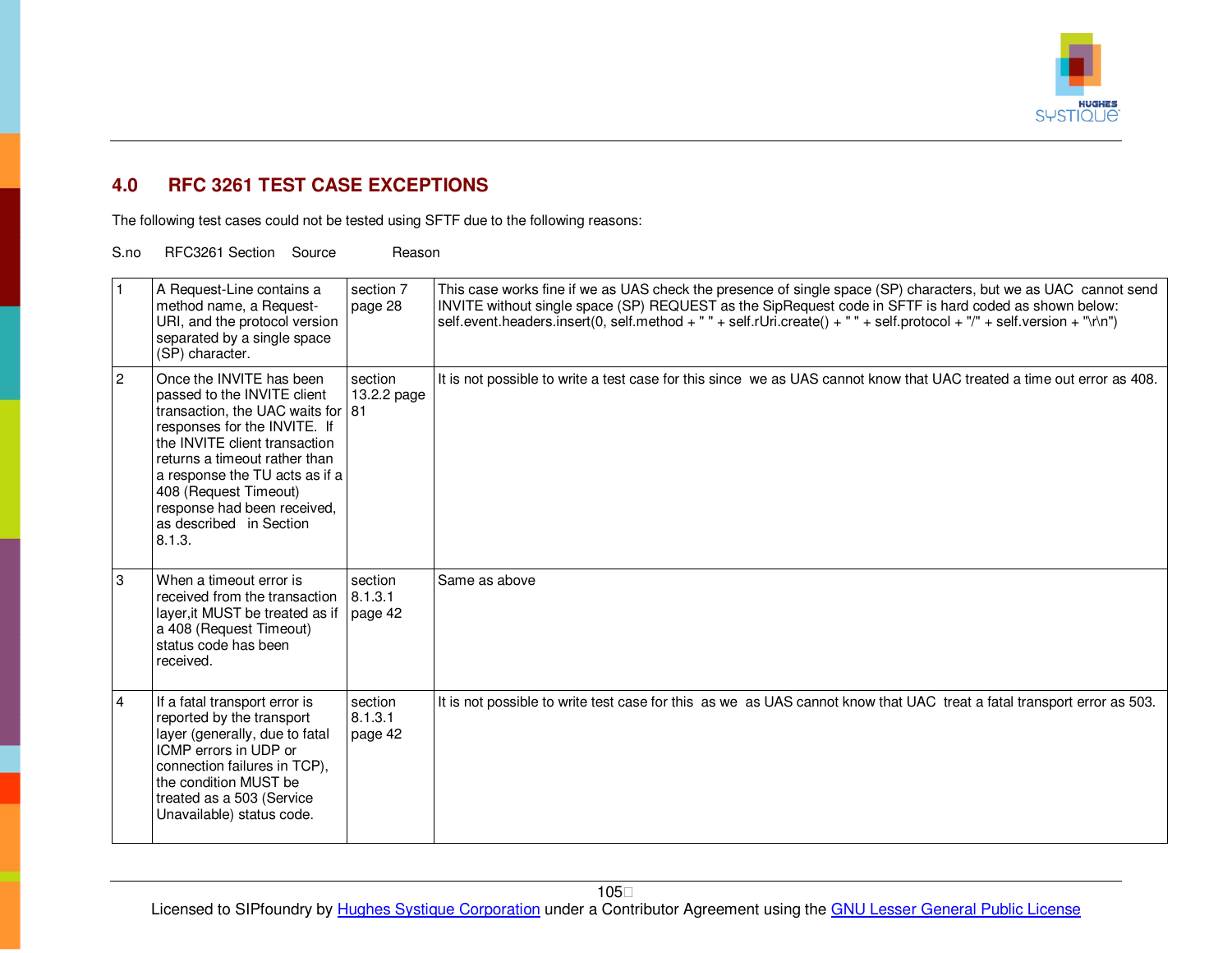

## **4.0 RFC 3261 TEST CASE EXCEPTIONS**

The following test cases could not be tested using SFTF due to the following reasons:

S.no RFC3261 Section Source Reason

|   | A Request-Line contains a<br>method name, a Request-<br>URI, and the protocol version<br>separated by a single space<br>(SP) character.                                                                                                                                                                                       | section 7<br>page 28          | This case works fine if we as UAS check the presence of single space (SP) characters, but we as UAC cannot send<br>INVITE without single space (SP) REQUEST as the SipRequest code in SFTF is hard coded as shown below:<br>self.event.headers.insert(0, self.method + " " + self.rUri.create() + " " + self.protocol + "/" + self.version + "\r\n") |
|---|-------------------------------------------------------------------------------------------------------------------------------------------------------------------------------------------------------------------------------------------------------------------------------------------------------------------------------|-------------------------------|------------------------------------------------------------------------------------------------------------------------------------------------------------------------------------------------------------------------------------------------------------------------------------------------------------------------------------------------------|
| 2 | Once the INVITE has been<br>passed to the INVITE client<br>transaction, the UAC waits for 81<br>responses for the INVITE. If<br>the INVITE client transaction<br>returns a timeout rather than<br>a response the TU acts as if a<br>408 (Request Timeout)<br>response had been received,<br>as described in Section<br>8.1.3. | section<br>13.2.2 page        | It is not possible to write a test case for this since we as UAS cannot know that UAC treated a time out error as 408.                                                                                                                                                                                                                               |
| 3 | When a timeout error is<br>received from the transaction $ 8.1.3.1$<br>layer, it MUST be treated as if<br>a 408 (Request Timeout)<br>status code has been<br>received.                                                                                                                                                        | section<br>page 42            | Same as above                                                                                                                                                                                                                                                                                                                                        |
| 4 | If a fatal transport error is<br>reported by the transport<br>layer (generally, due to fatal<br>ICMP errors in UDP or<br>connection failures in TCP),<br>the condition MUST be<br>treated as a 503 (Service<br>Unavailable) status code.                                                                                      | section<br>8.1.3.1<br>page 42 | It is not possible to write test case for this as we as UAS cannot know that UAC treat a fatal transport error as 503.                                                                                                                                                                                                                               |